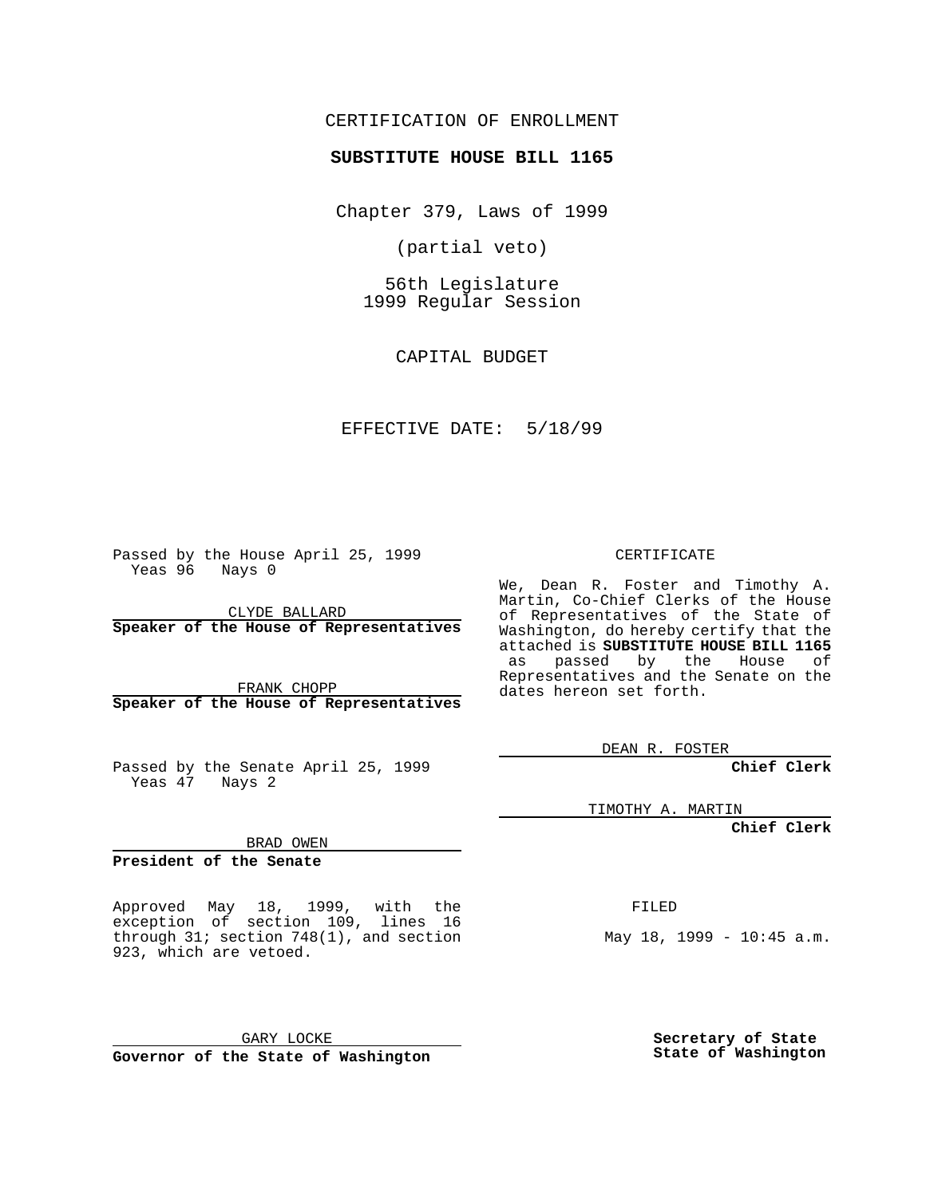#### CERTIFICATION OF ENROLLMENT

#### **SUBSTITUTE HOUSE BILL 1165**

Chapter 379, Laws of 1999

(partial veto)

56th Legislature 1999 Regular Session

CAPITAL BUDGET

#### EFFECTIVE DATE: 5/18/99

Passed by the House April 25, 1999 Yeas 96 Nays 0

CLYDE BALLARD **Speaker of the House of Representatives**

FRANK CHOPP **Speaker of the House of Representatives**

Passed by the Senate April 25, 1999 Yeas 47 Nays 2

TIMOTHY A. MARTIN

**Chief Clerk**

BRAD OWEN

**President of the Senate**

Approved May 18, 1999, with the exception of section 109, lines 16 through 31; section 748(1), and section 923, which are vetoed.

GARY LOCKE **Governor of the State of Washington** FILED

May 18, 1999 - 10:45 a.m.

**Secretary of State State of Washington**

#### CERTIFICATE

We, Dean R. Foster and Timothy A. Martin, Co-Chief Clerks of the House of Representatives of the State of Washington, do hereby certify that the attached is **SUBSTITUTE HOUSE BILL 1165** as passed by the House of Representatives and the Senate on the dates hereon set forth.

DEAN R. FOSTER

**Chief Clerk**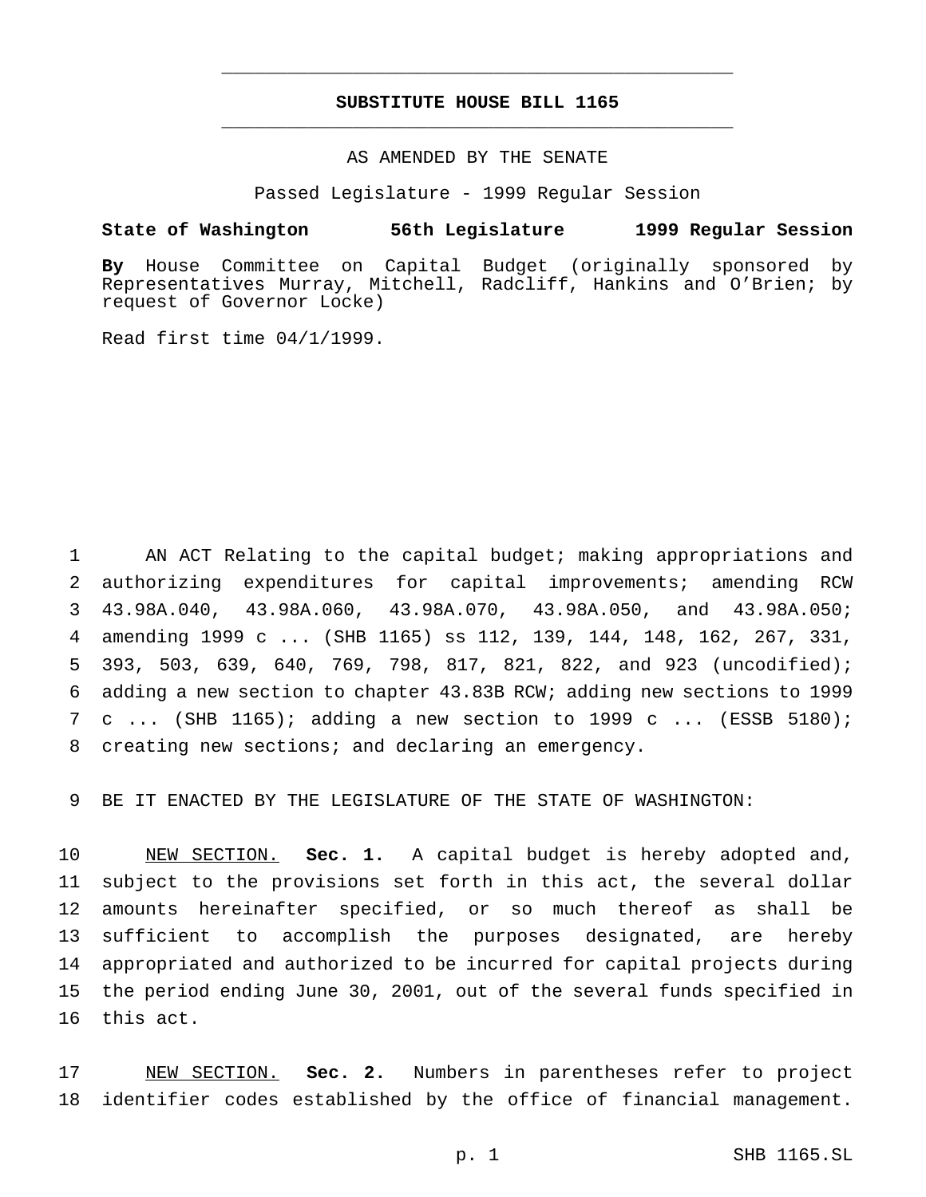#### **SUBSTITUTE HOUSE BILL 1165** \_\_\_\_\_\_\_\_\_\_\_\_\_\_\_\_\_\_\_\_\_\_\_\_\_\_\_\_\_\_\_\_\_\_\_\_\_\_\_\_\_\_\_\_\_\_\_

\_\_\_\_\_\_\_\_\_\_\_\_\_\_\_\_\_\_\_\_\_\_\_\_\_\_\_\_\_\_\_\_\_\_\_\_\_\_\_\_\_\_\_\_\_\_\_

#### AS AMENDED BY THE SENATE

Passed Legislature - 1999 Regular Session

#### **State of Washington 56th Legislature 1999 Regular Session**

**By** House Committee on Capital Budget (originally sponsored by Representatives Murray, Mitchell, Radcliff, Hankins and O'Brien; by request of Governor Locke)

Read first time 04/1/1999.

 AN ACT Relating to the capital budget; making appropriations and authorizing expenditures for capital improvements; amending RCW 43.98A.040, 43.98A.060, 43.98A.070, 43.98A.050, and 43.98A.050; amending 1999 c ... (SHB 1165) ss 112, 139, 144, 148, 162, 267, 331, 393, 503, 639, 640, 769, 798, 817, 821, 822, and 923 (uncodified); adding a new section to chapter 43.83B RCW; adding new sections to 1999 c ... (SHB 1165); adding a new section to 1999 c ... (ESSB 5180); creating new sections; and declaring an emergency.

BE IT ENACTED BY THE LEGISLATURE OF THE STATE OF WASHINGTON:

 NEW SECTION. **Sec. 1.** A capital budget is hereby adopted and, subject to the provisions set forth in this act, the several dollar amounts hereinafter specified, or so much thereof as shall be sufficient to accomplish the purposes designated, are hereby appropriated and authorized to be incurred for capital projects during the period ending June 30, 2001, out of the several funds specified in this act.

 NEW SECTION. **Sec. 2.** Numbers in parentheses refer to project identifier codes established by the office of financial management.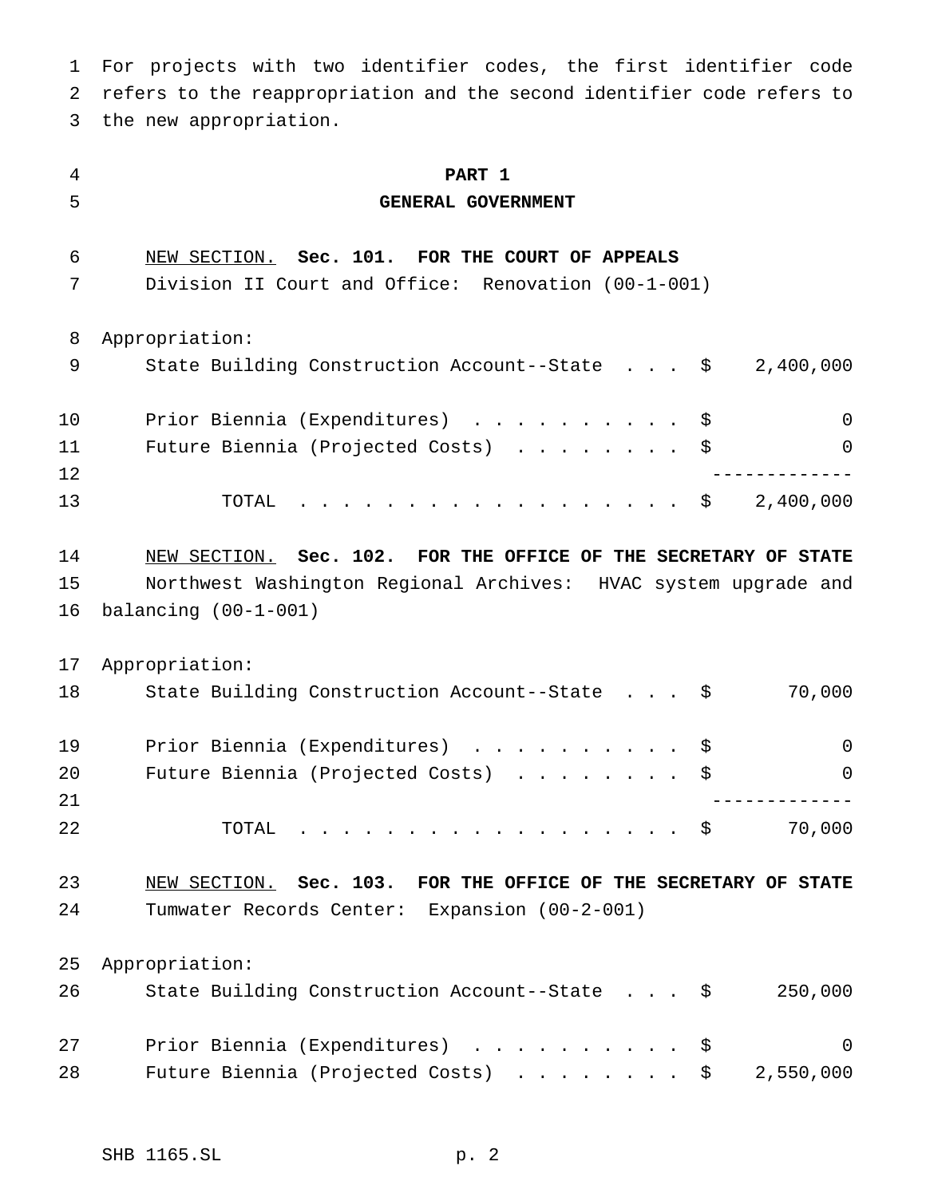For projects with two identifier codes, the first identifier code refers to the reappropriation and the second identifier code refers to the new appropriation.

 **PART 1 GENERAL GOVERNMENT** NEW SECTION. **Sec. 101. FOR THE COURT OF APPEALS** Division II Court and Office: Renovation (00-1-001) Appropriation: 9 State Building Construction Account--State . . . \$ 2,400,000 Prior Biennia (Expenditures) .......... \$ 0 11 Future Biennia (Projected Costs) . . . . . . . \$ 0 ------------- 13 TOTAL . . . . . . . . . . . . . . . . \$ 2,400,000 NEW SECTION. **Sec. 102. FOR THE OFFICE OF THE SECRETARY OF STATE** Northwest Washington Regional Archives: HVAC system upgrade and balancing (00-1-001) Appropriation: State Building Construction Account--State . . . \$ 70,000 19 Prior Biennia (Expenditures) . . . . . . . . . \$ 0 20 Future Biennia (Projected Costs) . . . . . . . \$ 0 ------------- TOTAL .................. \$ 70,000 NEW SECTION. **Sec. 103. FOR THE OFFICE OF THE SECRETARY OF STATE** Tumwater Records Center: Expansion (00-2-001) Appropriation: State Building Construction Account--State . . . \$ 250,000 27 Prior Biennia (Expenditures) . . . . . . . . . \$ 0 28 Future Biennia (Projected Costs) . . . . . . . \$ 2,550,000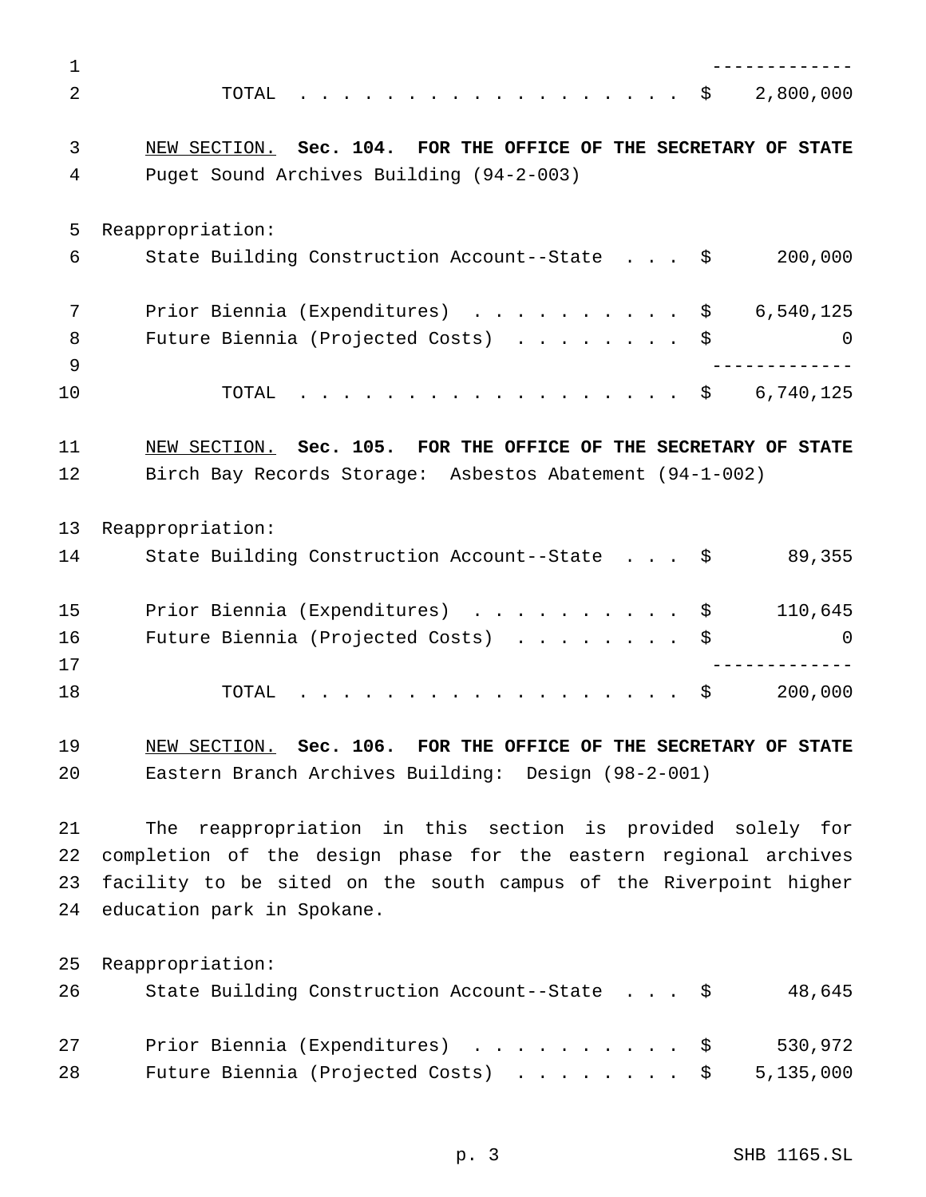| $\mathbf 1$ |                                                                               |
|-------------|-------------------------------------------------------------------------------|
| 2           | 2,800,000<br>. \$<br>TOTAL                                                    |
| 3           | NEW SECTION. Sec. 104. FOR THE OFFICE OF THE SECRETARY OF STATE               |
| 4           | Puget Sound Archives Building (94-2-003)                                      |
| 5           | Reappropriation:                                                              |
| 6           | State Building Construction Account--State \$<br>200,000                      |
| 7           | Prior Biennia (Expenditures) \$<br>6,540,125                                  |
| 8<br>9      | Future Biennia (Projected Costs)<br>\$<br>$\Omega$<br>- - - - - - - - - - - - |
| 10          | . \$<br>6,740,125<br>TOTAL                                                    |
| 11          | NEW SECTION. Sec. 105. FOR THE OFFICE OF THE SECRETARY OF STATE               |
| 12          | Birch Bay Records Storage: Asbestos Abatement (94-1-002)                      |
| 13          | Reappropriation:                                                              |
| 14          | 89,355<br>State Building Construction Account--State \$                       |
| 15          | Prior Biennia (Expenditures) \$<br>110,645                                    |
| 16<br>17    | Future Biennia (Projected Costs)<br>0                                         |
| 18          | \$<br>200,000<br>TOTAL                                                        |
| 19          | NEW SECTION. Sec. 106. FOR THE OFFICE OF THE SECRETARY OF STATE               |
| 20          | Eastern Branch Archives Building: Design (98-2-001)                           |
| 21          | The reappropriation in this section is provided solely for                    |
| 22          | completion of the design phase for the eastern regional archives              |
| 23          | facility to be sited on the south campus of the Riverpoint higher             |
| 24          | education park in Spokane.                                                    |
| 25          | Reappropriation:                                                              |
| 26          | State Building Construction Account--State \$<br>48,645                       |
| 27          | Prior Biennia (Expenditures)<br>530,972<br>\$                                 |
| 28          | 5,135,000<br>Future Biennia (Projected Costs)<br>\$                           |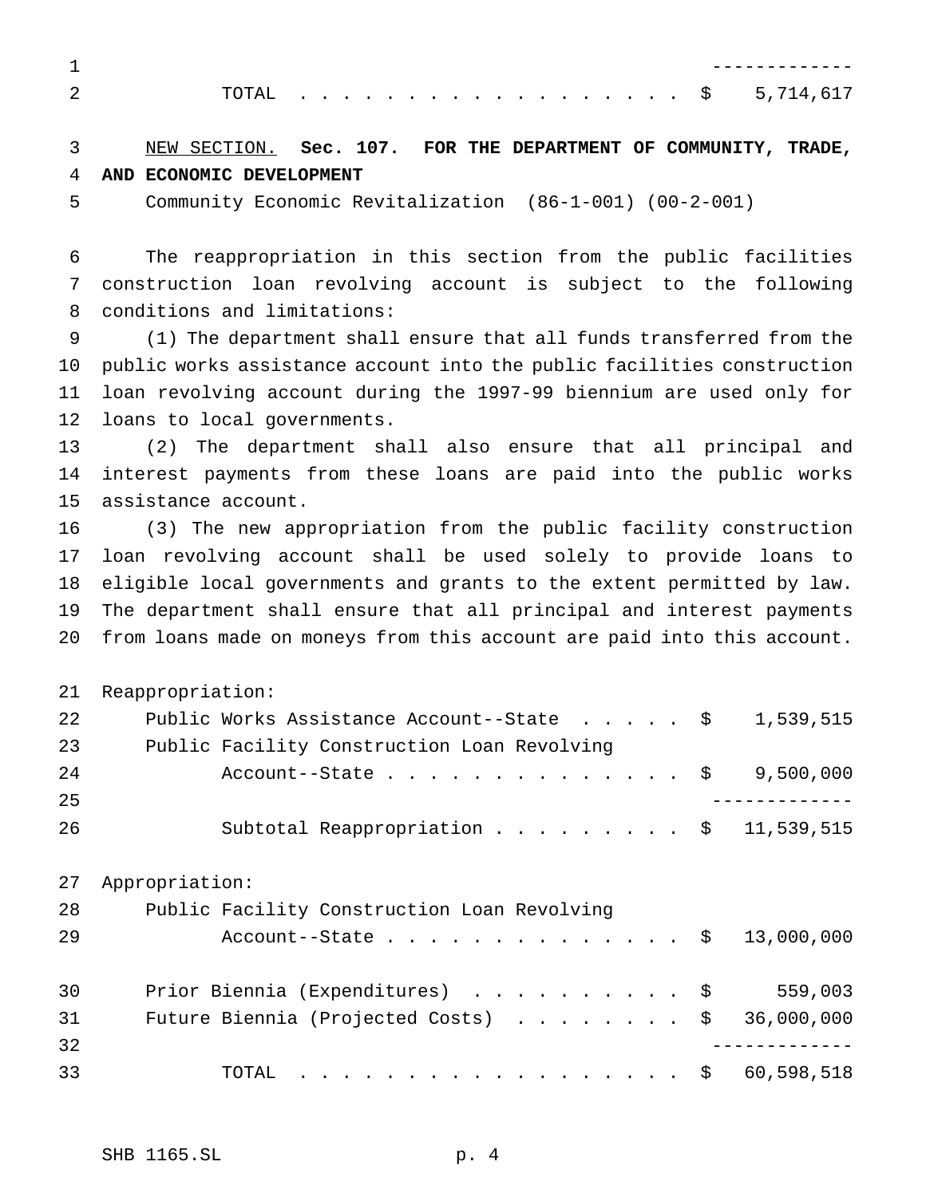| ጥለጥለ |  |  |  |  |  |  |  |  |  |  | $\cdots$ \$ 5,714,617 |
|------|--|--|--|--|--|--|--|--|--|--|-----------------------|

## NEW SECTION. **Sec. 107. FOR THE DEPARTMENT OF COMMUNITY, TRADE, AND ECONOMIC DEVELOPMENT**

Community Economic Revitalization (86-1-001) (00-2-001)

 The reappropriation in this section from the public facilities construction loan revolving account is subject to the following conditions and limitations:

 (1) The department shall ensure that all funds transferred from the public works assistance account into the public facilities construction loan revolving account during the 1997-99 biennium are used only for loans to local governments.

 (2) The department shall also ensure that all principal and interest payments from these loans are paid into the public works assistance account.

 (3) The new appropriation from the public facility construction loan revolving account shall be used solely to provide loans to eligible local governments and grants to the extent permitted by law. The department shall ensure that all principal and interest payments from loans made on moneys from this account are paid into this account.

|    | 21 Reappropriation: |                                                                |  |
|----|---------------------|----------------------------------------------------------------|--|
| 22 |                     | Public Works Assistance Account--State $\frac{1}{5}$ 1,539,515 |  |
| 23 |                     | Public Facility Construction Loan Revolving                    |  |
| 24 |                     | Account--State \$ 9,500,000                                    |  |
| 25 |                     |                                                                |  |
| 26 |                     | Subtotal Reappropriation \$ 11,539,515                         |  |

| 27 | Appropriation:                                          |  |
|----|---------------------------------------------------------|--|
| 28 | Public Facility Construction Loan Revolving             |  |
| 29 | Account--State \$ 13,000,000                            |  |
| 30 | Prior Biennia (Expenditures) \$<br>559,003              |  |
| 31 | Future Biennia (Projected Costs) $\ldots$ \$ 36,000,000 |  |
| 32 |                                                         |  |
| 33 | . \$ 60,598,518<br>TOTAL                                |  |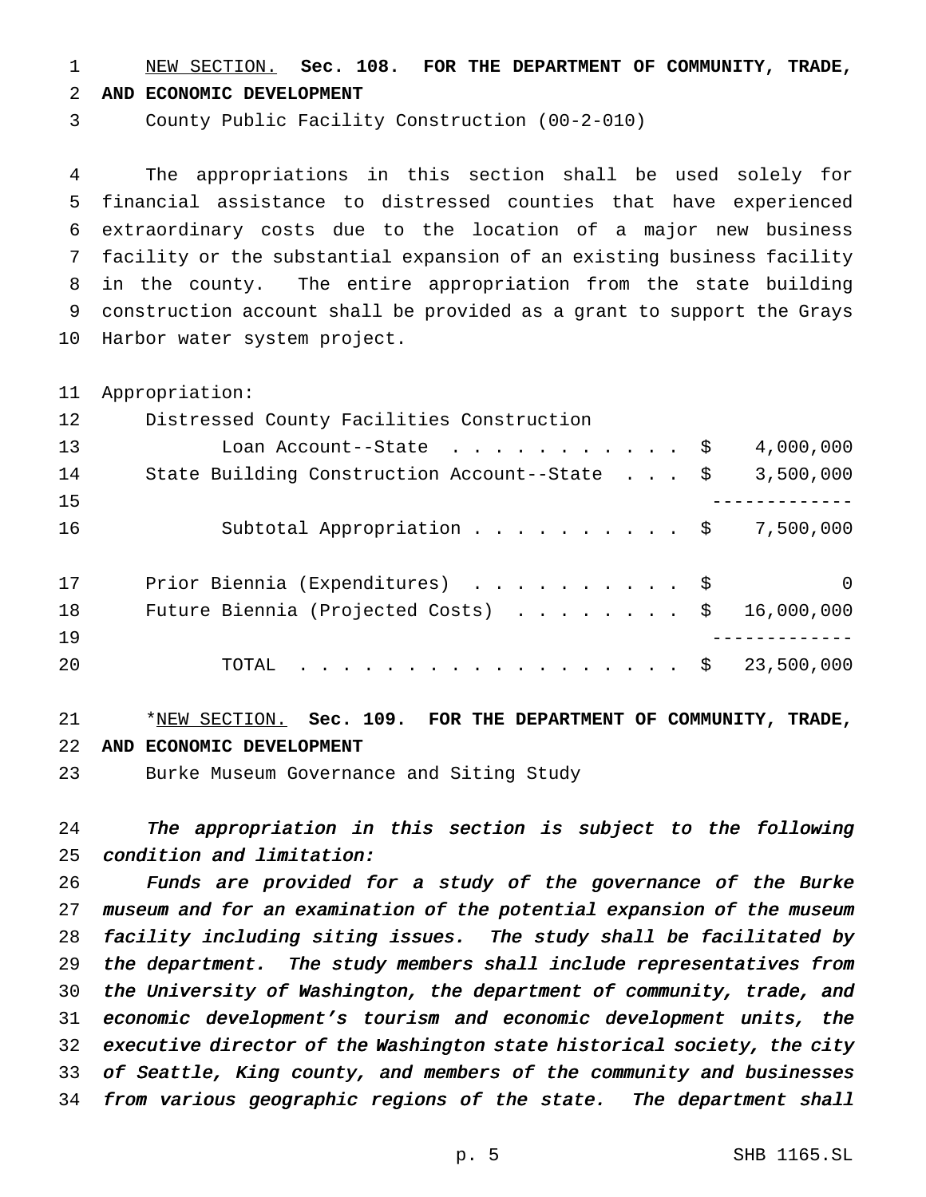NEW SECTION. **Sec. 108. FOR THE DEPARTMENT OF COMMUNITY, TRADE,**

**AND ECONOMIC DEVELOPMENT**

County Public Facility Construction (00-2-010)

 The appropriations in this section shall be used solely for financial assistance to distressed counties that have experienced extraordinary costs due to the location of a major new business facility or the substantial expansion of an existing business facility in the county. The entire appropriation from the state building construction account shall be provided as a grant to support the Grays Harbor water system project.

Appropriation:

| 12 | Distressed County Facilities Construction               |             |
|----|---------------------------------------------------------|-------------|
| 13 | Loan Account--State $\ldots$ \$                         | 4,000,000   |
| 14 | State Building Construction Account--State \$           | 3,500,000   |
| 15 |                                                         |             |
| 16 | Subtotal Appropriation \$                               | 7,500,000   |
| 17 | Prior Biennia (Expenditures) \$                         | $\mathbf 0$ |
| 18 | Future Biennia (Projected Costs) $\ldots$ \$ 16,000,000 |             |
| 19 |                                                         |             |
| 20 | . \$<br>TOTAL                                           | 23,500,000  |
|    |                                                         |             |

## \*NEW SECTION. **Sec. 109. FOR THE DEPARTMENT OF COMMUNITY, TRADE, AND ECONOMIC DEVELOPMENT**

Burke Museum Governance and Siting Study

 The appropriation in this section is subject to the following condition and limitation:

 Funds are provided for <sup>a</sup> study of the governance of the Burke museum and for an examination of the potential expansion of the museum facility including siting issues. The study shall be facilitated by the department. The study members shall include representatives from the University of Washington, the department of community, trade, and economic development's tourism and economic development units, the executive director of the Washington state historical society, the city of Seattle, King county, and members of the community and businesses from various geographic regions of the state. The department shall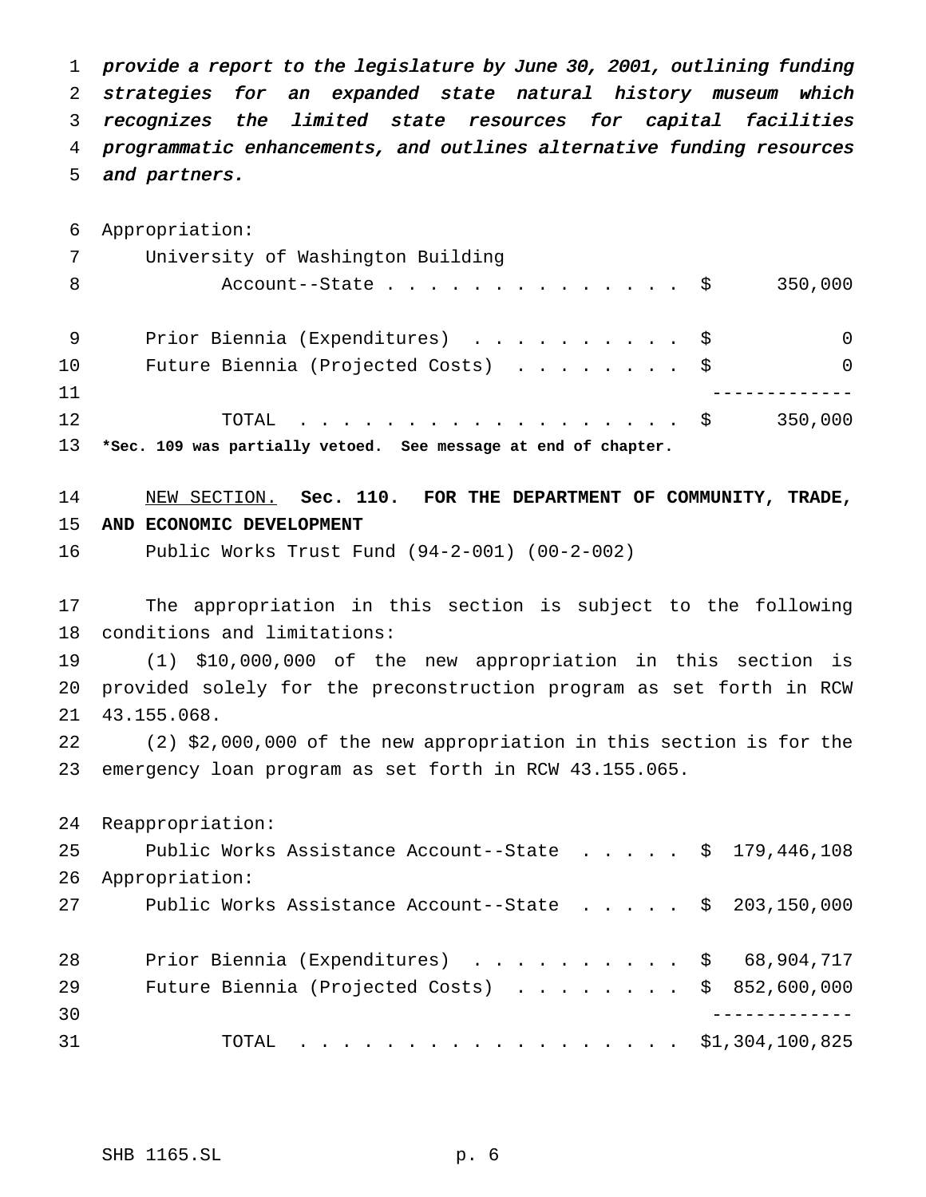provide <sup>a</sup> report to the legislature by June 30, 2001, outlining funding strategies for an expanded state natural history museum which recognizes the limited state resources for capital facilities programmatic enhancements, and outlines alternative funding resources and partners.

 Appropriation: University of Washington Building 8 Account--State..................\$ 350,000 9 Prior Biennia (Expenditures) . . . . . . . . . \$ 0 10 Future Biennia (Projected Costs) . . . . . . . \$ 0 ------------- TOTAL .................. \$ 350,000 **\*Sec. 109 was partially vetoed. See message at end of chapter.**

# NEW SECTION. **Sec. 110. FOR THE DEPARTMENT OF COMMUNITY, TRADE, AND ECONOMIC DEVELOPMENT**

Public Works Trust Fund (94-2-001) (00-2-002)

 The appropriation in this section is subject to the following conditions and limitations:

 (1) \$10,000,000 of the new appropriation in this section is provided solely for the preconstruction program as set forth in RCW 43.155.068.

 (2) \$2,000,000 of the new appropriation in this section is for the emergency loan program as set forth in RCW 43.155.065.

| 25 | Public Works Assistance Account--State $\frac{1}{9}$ , 446, 108  |
|----|------------------------------------------------------------------|
| 26 | Appropriation:                                                   |
| 27 | Public Works Assistance Account--State $\frac{1}{5}$ 203,150,000 |
|    |                                                                  |
| 28 | Prior Biennia (Expenditures) \$ 68,904,717                       |
| 29 | Future Biennia (Projected Costs) $\ldots$ \$ 852,600,000         |
| 30 |                                                                  |
| 31 | TOTAL \$1,304,100,825                                            |
|    |                                                                  |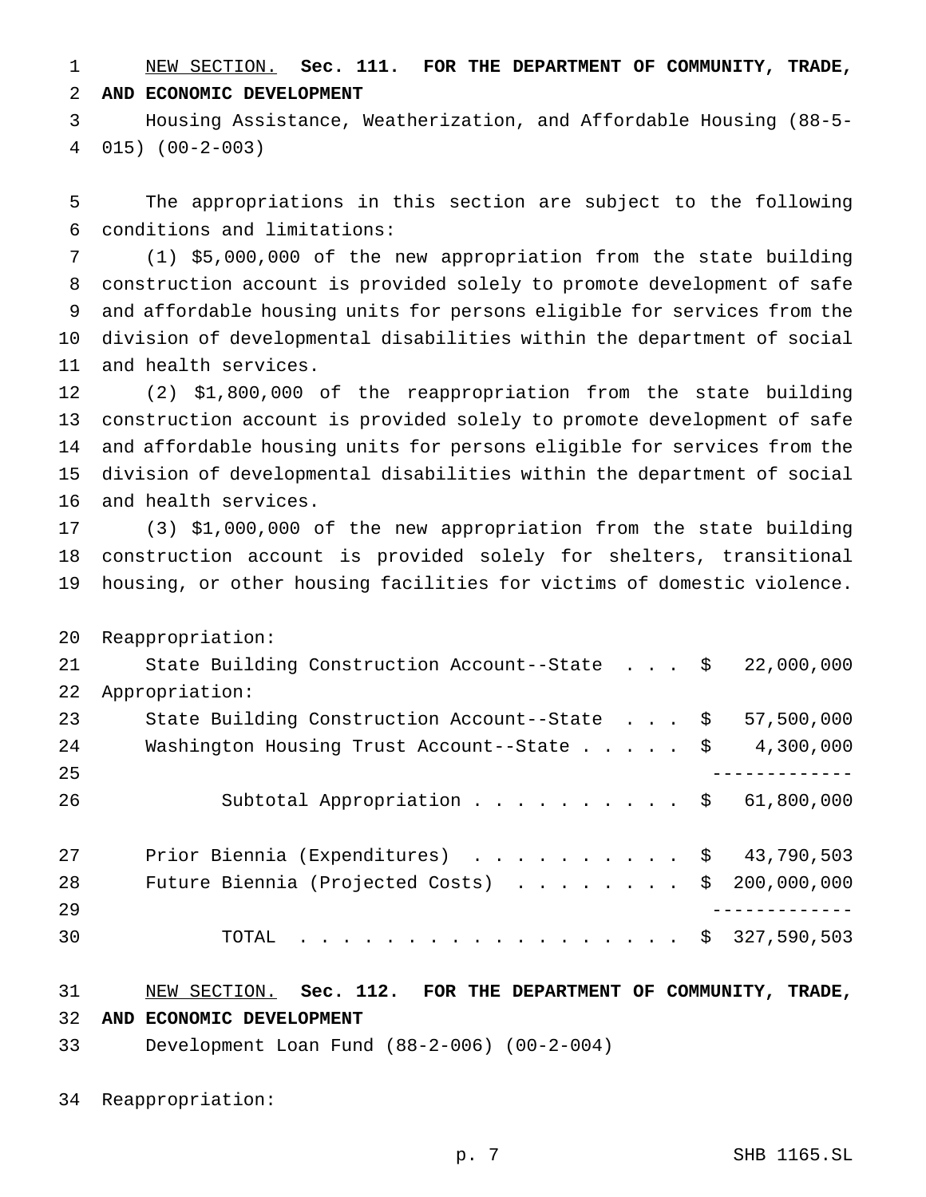NEW SECTION. **Sec. 111. FOR THE DEPARTMENT OF COMMUNITY, TRADE, AND ECONOMIC DEVELOPMENT**

 Housing Assistance, Weatherization, and Affordable Housing (88-5- 015) (00-2-003)

 The appropriations in this section are subject to the following conditions and limitations:

 (1) \$5,000,000 of the new appropriation from the state building construction account is provided solely to promote development of safe and affordable housing units for persons eligible for services from the division of developmental disabilities within the department of social and health services.

 (2) \$1,800,000 of the reappropriation from the state building construction account is provided solely to promote development of safe and affordable housing units for persons eligible for services from the division of developmental disabilities within the department of social and health services.

 (3) \$1,000,000 of the new appropriation from the state building construction account is provided solely for shelters, transitional housing, or other housing facilities for victims of domestic violence.

 Reappropriation: State Building Construction Account--State . . . \$ 22,000,000 Appropriation: 23 State Building Construction Account--State . . . \$ 57,500,000 24 Washington Housing Trust Account--State . . . . \$ 4,300,000 ------------- Subtotal Appropriation.......... \$ 61,800,000 27 Prior Biennia (Expenditures) . . . . . . . . . \$ 43,790,503 Future Biennia (Projected Costs) ........ \$ 200,000,000 ------------- 30 TOTAL . . . . . . . . . . . . . . . . \$ 327,590,503

NEW SECTION. **Sec. 112. FOR THE DEPARTMENT OF COMMUNITY, TRADE,**

**AND ECONOMIC DEVELOPMENT**

Development Loan Fund (88-2-006) (00-2-004)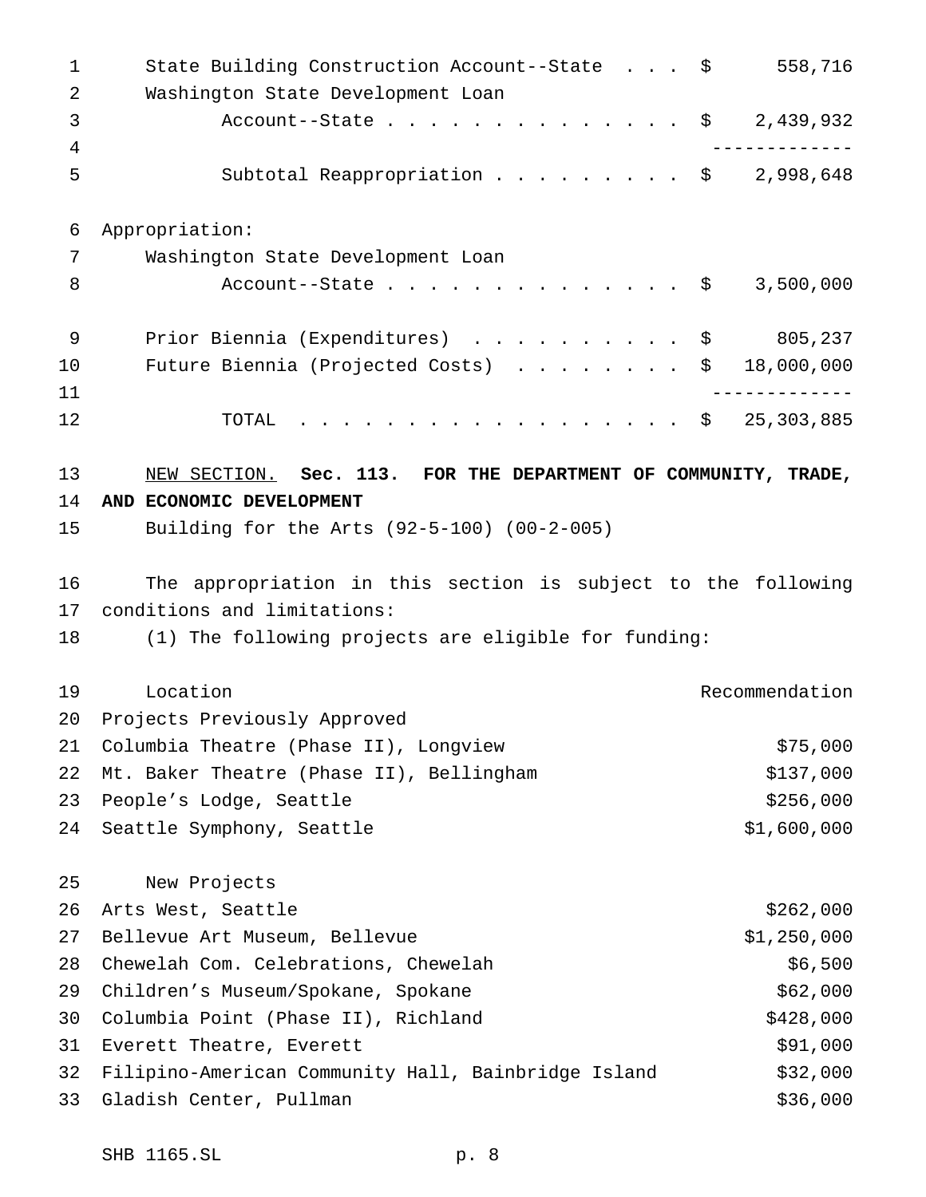| $\mathbf 1$<br>2 | State Building Construction Account--State \$<br>Washington State Development Loan |      | 558,716          |
|------------------|------------------------------------------------------------------------------------|------|------------------|
| 3                | Account--State                                                                     |      | 2,439,932<br>\$  |
| 4<br>5           | Subtotal Reappropriation $\frac{1}{998,648}$                                       |      |                  |
| 6                | Appropriation:                                                                     |      |                  |
| 7                | Washington State Development Loan                                                  |      |                  |
| 8                | Account--State                                                                     | - \$ | 3,500,000        |
| 9                | Prior Biennia (Expenditures) \$                                                    |      | 805,237          |
| 10               | Future Biennia (Projected Costs)                                                   |      | 18,000,000<br>\$ |
| 11               |                                                                                    |      |                  |
| 12               | $\cdot$ \$ 25,303,885<br>TOTAL                                                     |      |                  |
| 13               | NEW SECTION. Sec. 113. FOR THE DEPARTMENT OF COMMUNITY, TRADE,                     |      |                  |
| 14               | AND ECONOMIC DEVELOPMENT                                                           |      |                  |
| 15               | Building for the Arts (92-5-100) (00-2-005)                                        |      |                  |
| 16               |                                                                                    |      |                  |
|                  | The appropriation in this section is subject to the following                      |      |                  |
| 17               | conditions and limitations:                                                        |      |                  |
| 18               | (1) The following projects are eligible for funding:                               |      |                  |
| 19               | Location                                                                           |      | Recommendation   |
| 20               | Projects Previously Approved                                                       |      |                  |
| 21               | Columbia Theatre (Phase II), Longview                                              |      | \$75,000         |
| 22               | Mt. Baker Theatre (Phase II), Bellingham                                           |      | \$137,000        |
| 23               | People's Lodge, Seattle                                                            |      | \$256,000        |
| 24               | Seattle Symphony, Seattle                                                          |      | \$1,600,000      |
| 25               | New Projects                                                                       |      |                  |
| 26               | Arts West, Seattle                                                                 |      | \$262,000        |
| 27               | Bellevue Art Museum, Bellevue                                                      |      | \$1,250,000      |
| 28               | Chewelah Com. Celebrations, Chewelah                                               |      | \$6,500          |
| 29               | Children's Museum/Spokane, Spokane                                                 |      | \$62,000         |
| 30               | Columbia Point (Phase II), Richland                                                |      | \$428,000        |
| 31               | Everett Theatre, Everett                                                           |      | \$91,000         |
| 32               | Filipino-American Community Hall, Bainbridge Island                                |      | \$32,000         |
| 33               | Gladish Center, Pullman                                                            |      | \$36,000         |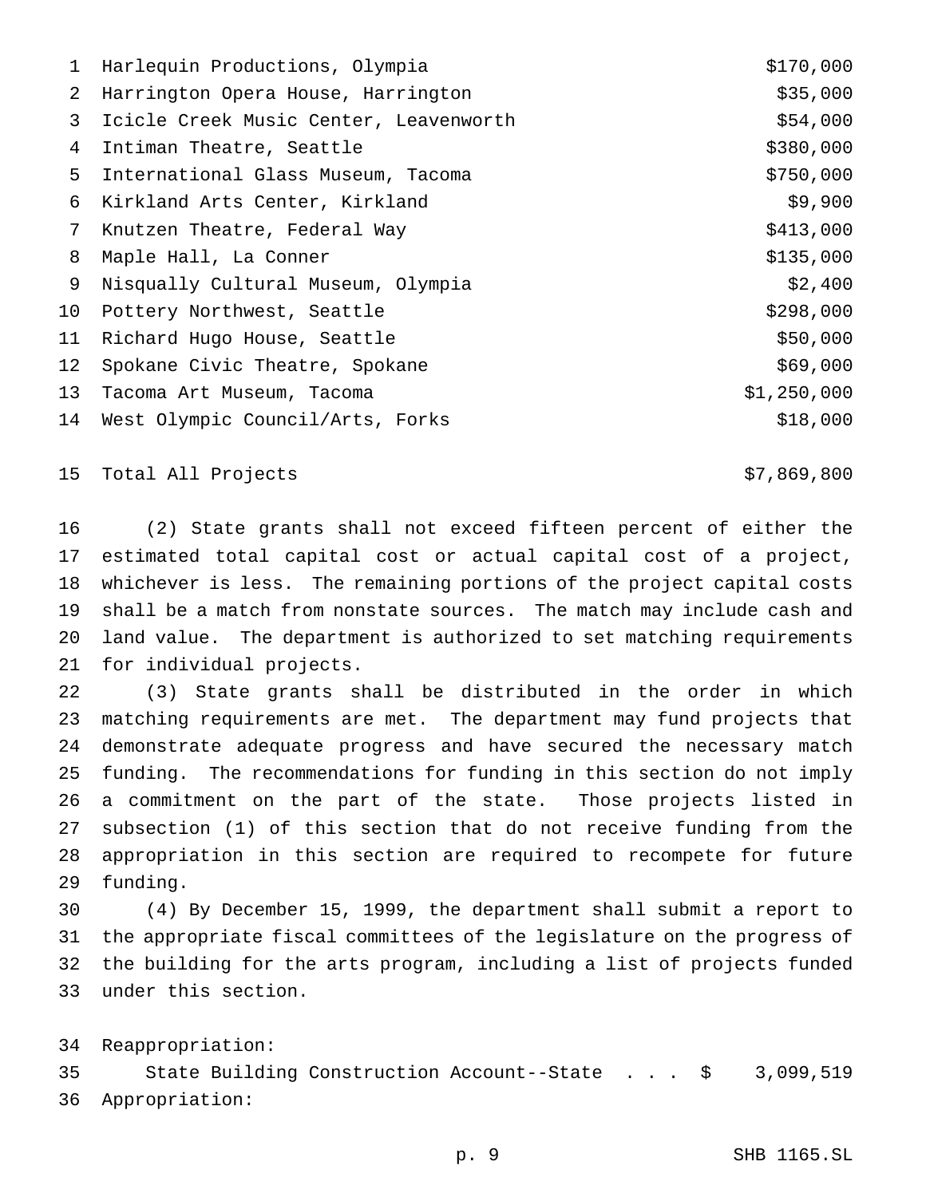|    | 1 Harlequin Productions, Olympia       | \$170,000   |
|----|----------------------------------------|-------------|
| 2  | Harrington Opera House, Harrington     | \$35,000    |
| 3  | Icicle Creek Music Center, Leavenworth | \$54,000    |
| 4  | Intiman Theatre, Seattle               | \$380,000   |
| 5  | International Glass Museum, Tacoma     | \$750,000   |
| 6  | Kirkland Arts Center, Kirkland         | \$9,900     |
| 7  | Knutzen Theatre, Federal Way           | \$413,000   |
| 8  | Maple Hall, La Conner                  | \$135,000   |
| 9  | Nisqually Cultural Museum, Olympia     | \$2,400     |
| 10 | Pottery Northwest, Seattle             | \$298,000   |
| 11 | Richard Hugo House, Seattle            | \$50,000    |
| 12 | Spokane Civic Theatre, Spokane         | \$69,000    |
| 13 | Tacoma Art Museum, Tacoma              | \$1,250,000 |
| 14 | West Olympic Council/Arts, Forks       | \$18,000    |
|    |                                        |             |

Total All Projects \$7,869,800

 (2) State grants shall not exceed fifteen percent of either the estimated total capital cost or actual capital cost of a project, whichever is less. The remaining portions of the project capital costs shall be a match from nonstate sources. The match may include cash and land value. The department is authorized to set matching requirements for individual projects.

 (3) State grants shall be distributed in the order in which matching requirements are met. The department may fund projects that demonstrate adequate progress and have secured the necessary match funding. The recommendations for funding in this section do not imply a commitment on the part of the state. Those projects listed in subsection (1) of this section that do not receive funding from the appropriation in this section are required to recompete for future funding.

 (4) By December 15, 1999, the department shall submit a report to the appropriate fiscal committees of the legislature on the progress of the building for the arts program, including a list of projects funded under this section.

Reappropriation:

 State Building Construction Account--State . . . \$ 3,099,519 Appropriation: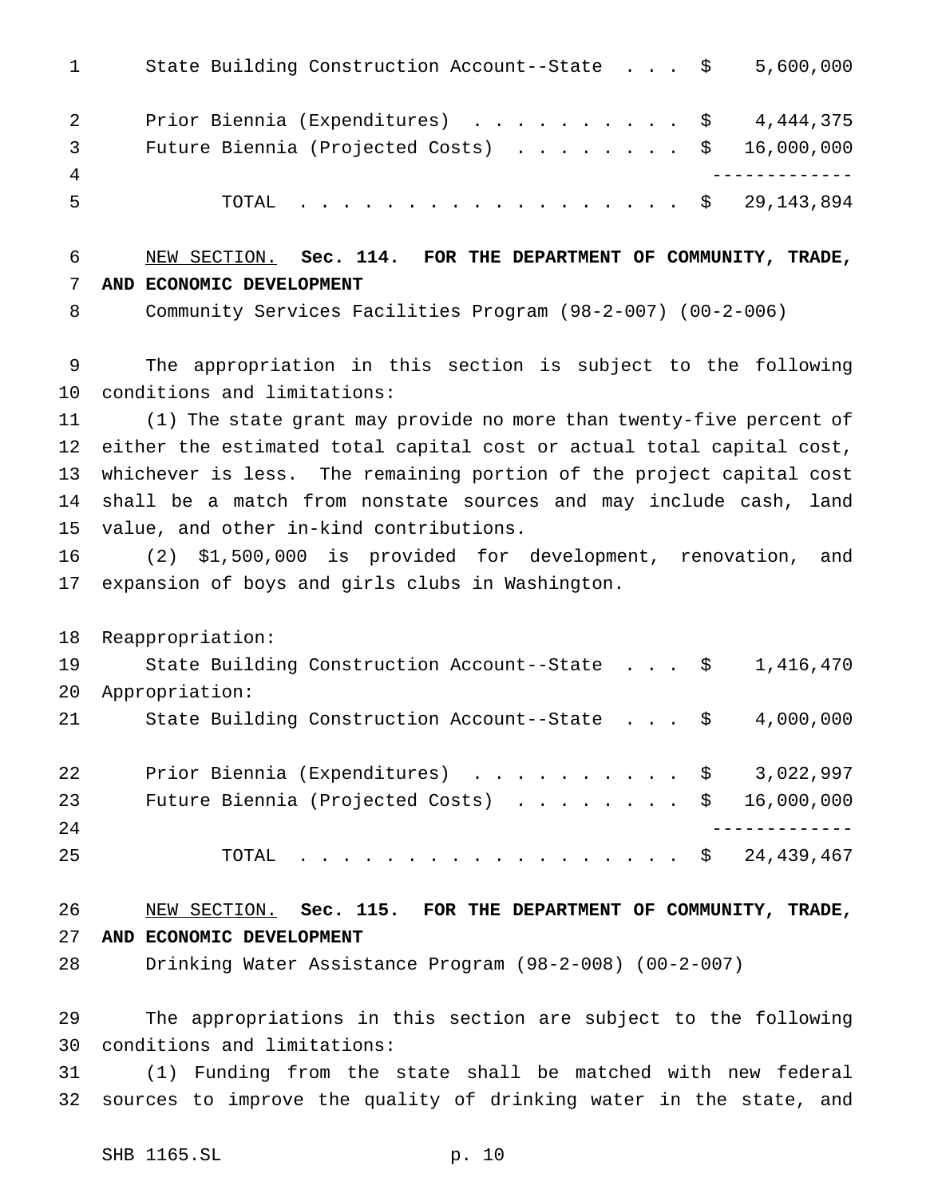1 State Building Construction Account--State . . . \$ 5,600,000 2 Prior Biennia (Expenditures) . . . . . . . . . \$ 4,444,375 3 Future Biennia (Projected Costs) . . . . . . . \$ 16,000,000 ------------- TOTAL .................. \$ 29,143,894 NEW SECTION. **Sec. 114. FOR THE DEPARTMENT OF COMMUNITY, TRADE, AND ECONOMIC DEVELOPMENT** Community Services Facilities Program (98-2-007) (00-2-006) The appropriation in this section is subject to the following conditions and limitations: (1) The state grant may provide no more than twenty-five percent of either the estimated total capital cost or actual total capital cost, whichever is less. The remaining portion of the project capital cost shall be a match from nonstate sources and may include cash, land value, and other in-kind contributions. (2) \$1,500,000 is provided for development, renovation, and expansion of boys and girls clubs in Washington. Reappropriation: State Building Construction Account--State . . . \$ 1,416,470 Appropriation: State Building Construction Account--State . . . \$ 4,000,000 22 Prior Biennia (Expenditures) . . . . . . . . . \$ 3,022,997 23 Future Biennia (Projected Costs) . . . . . . . \$ 16,000,000 ------------- TOTAL .................. \$ 24,439,467 NEW SECTION. **Sec. 115. FOR THE DEPARTMENT OF COMMUNITY, TRADE, AND ECONOMIC DEVELOPMENT** Drinking Water Assistance Program (98-2-008) (00-2-007)

 The appropriations in this section are subject to the following conditions and limitations:

 (1) Funding from the state shall be matched with new federal sources to improve the quality of drinking water in the state, and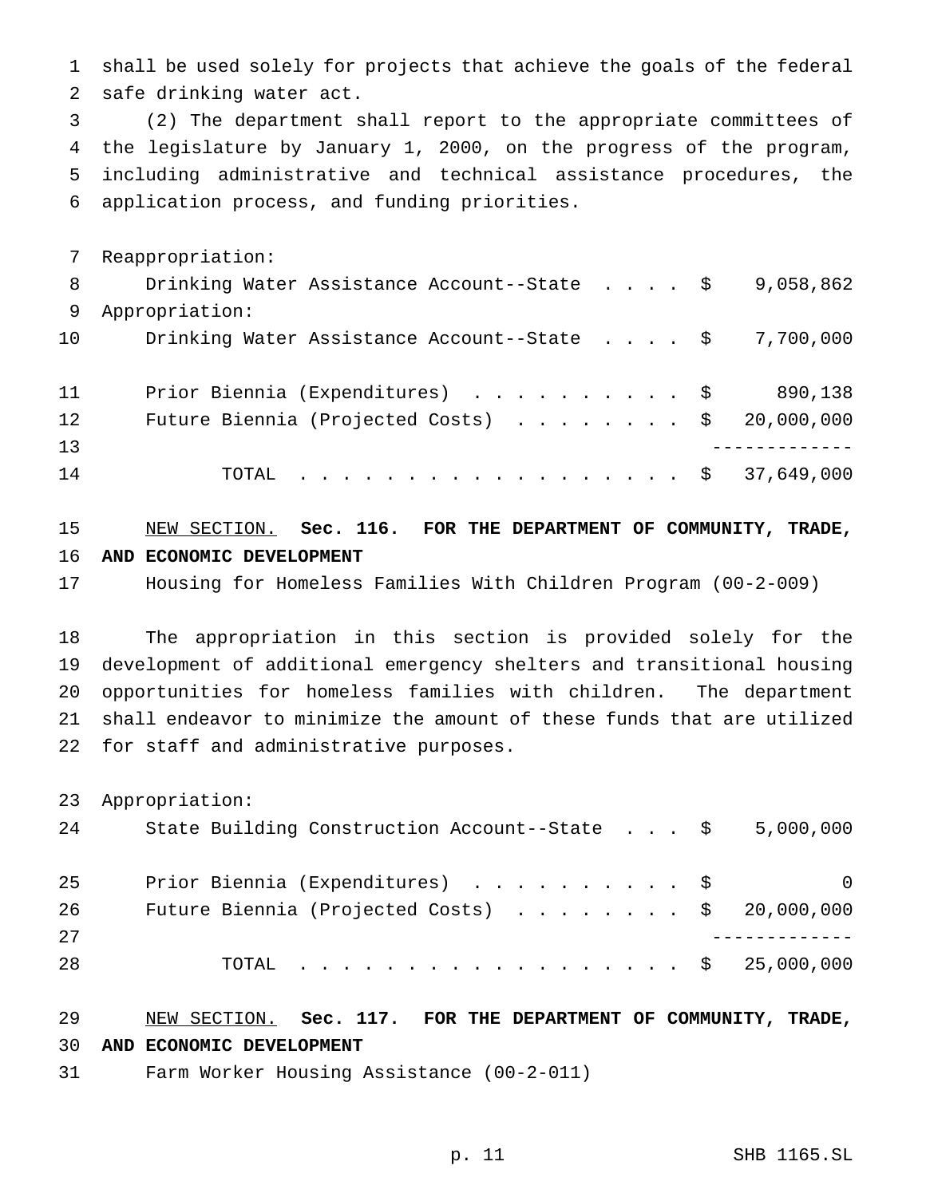shall be used solely for projects that achieve the goals of the federal safe drinking water act.

 (2) The department shall report to the appropriate committees of the legislature by January 1, 2000, on the progress of the program, including administrative and technical assistance procedures, the application process, and funding priorities.

 Reappropriation: 8 Drinking Water Assistance Account--State . . . . \$ 9,058,862 Appropriation: Drinking Water Assistance Account--State .... \$ 7,700,000 11 Prior Biennia (Expenditures) . . . . . . . . . \$ 890,138 12 Future Biennia (Projected Costs) . . . . . . . \$ 20,000,000 ------------- TOTAL .................. \$ 37,649,000

## NEW SECTION. **Sec. 116. FOR THE DEPARTMENT OF COMMUNITY, TRADE, AND ECONOMIC DEVELOPMENT**

Housing for Homeless Families With Children Program (00-2-009)

 The appropriation in this section is provided solely for the development of additional emergency shelters and transitional housing opportunities for homeless families with children. The department shall endeavor to minimize the amount of these funds that are utilized for staff and administrative purposes.

Appropriation:

| 24 | State Building Construction Account--State $\frac{1}{5}$ 5,000,000 |          |
|----|--------------------------------------------------------------------|----------|
| 25 | Prior Biennia (Expenditures) \$                                    | $\Omega$ |
| 26 | Future Biennia (Projected Costs) $\ldots$ \$ 20,000,000            |          |
| 27 |                                                                    |          |
| 28 | TOTAL \$ 25,000,000                                                |          |

#### NEW SECTION. **Sec. 117. FOR THE DEPARTMENT OF COMMUNITY, TRADE, AND ECONOMIC DEVELOPMENT**

Farm Worker Housing Assistance (00-2-011)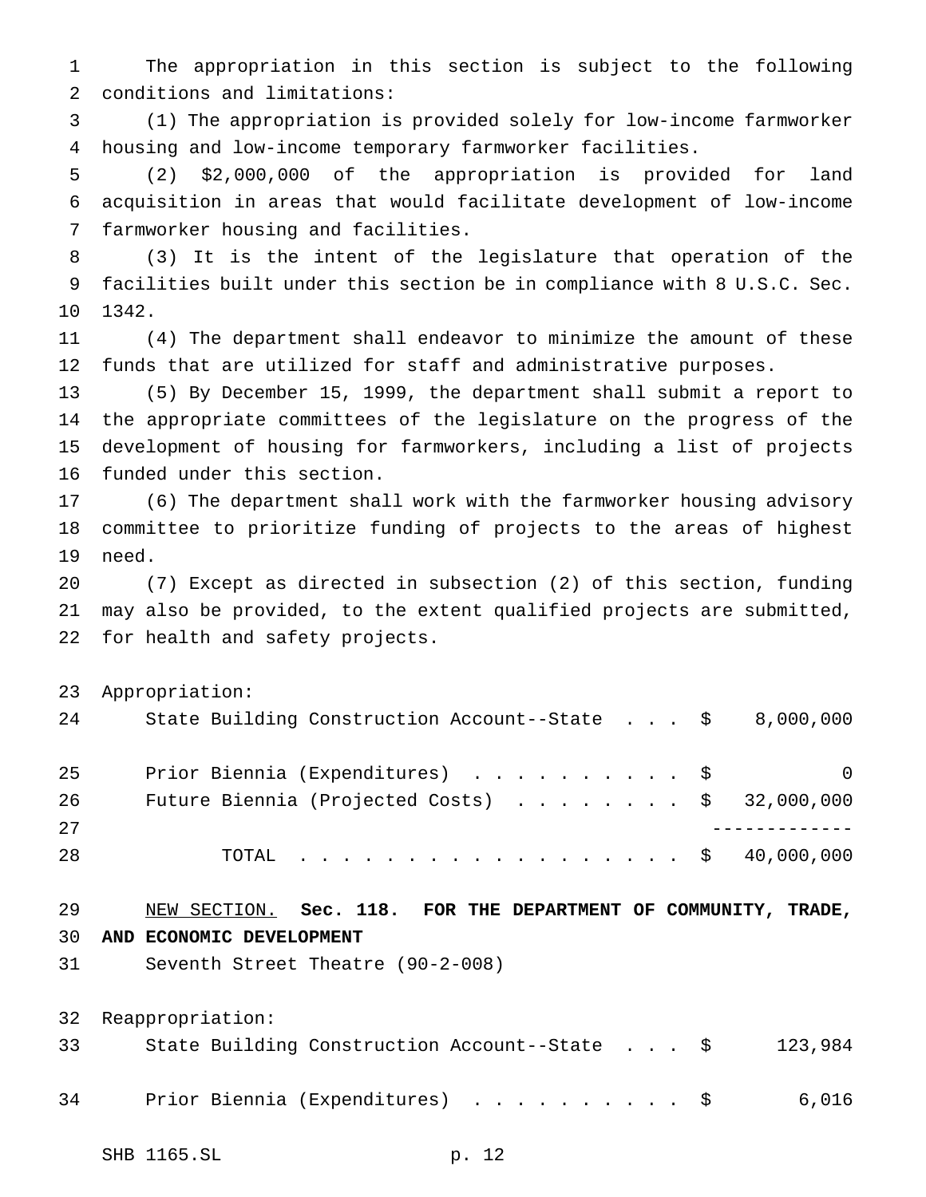The appropriation in this section is subject to the following conditions and limitations:

 (1) The appropriation is provided solely for low-income farmworker housing and low-income temporary farmworker facilities.

 (2) \$2,000,000 of the appropriation is provided for land acquisition in areas that would facilitate development of low-income farmworker housing and facilities.

 (3) It is the intent of the legislature that operation of the facilities built under this section be in compliance with 8 U.S.C. Sec. 1342.

 (4) The department shall endeavor to minimize the amount of these funds that are utilized for staff and administrative purposes.

 (5) By December 15, 1999, the department shall submit a report to the appropriate committees of the legislature on the progress of the development of housing for farmworkers, including a list of projects funded under this section.

 (6) The department shall work with the farmworker housing advisory committee to prioritize funding of projects to the areas of highest need.

 (7) Except as directed in subsection (2) of this section, funding may also be provided, to the extent qualified projects are submitted, for health and safety projects.

Appropriation:

| 24 | State Building Construction Account--State $\frac{1}{5}$ 8,000,000 |          |
|----|--------------------------------------------------------------------|----------|
| 25 | Prior Biennia (Expenditures) \$                                    | $\Omega$ |
| 26 | Future Biennia (Projected Costs) $\ldots$ \$ 32,000,000            |          |
| 27 |                                                                    |          |
| 28 | TOTAL \$ 40,000,000                                                |          |

 NEW SECTION. **Sec. 118. FOR THE DEPARTMENT OF COMMUNITY, TRADE, AND ECONOMIC DEVELOPMENT**

Seventh Street Theatre (90-2-008)

| 33 | State Building Construction Account--State \$ |  |  | 123,984 |
|----|-----------------------------------------------|--|--|---------|
| 34 | Prior Biennia (Expenditures) \$ 6,016         |  |  |         |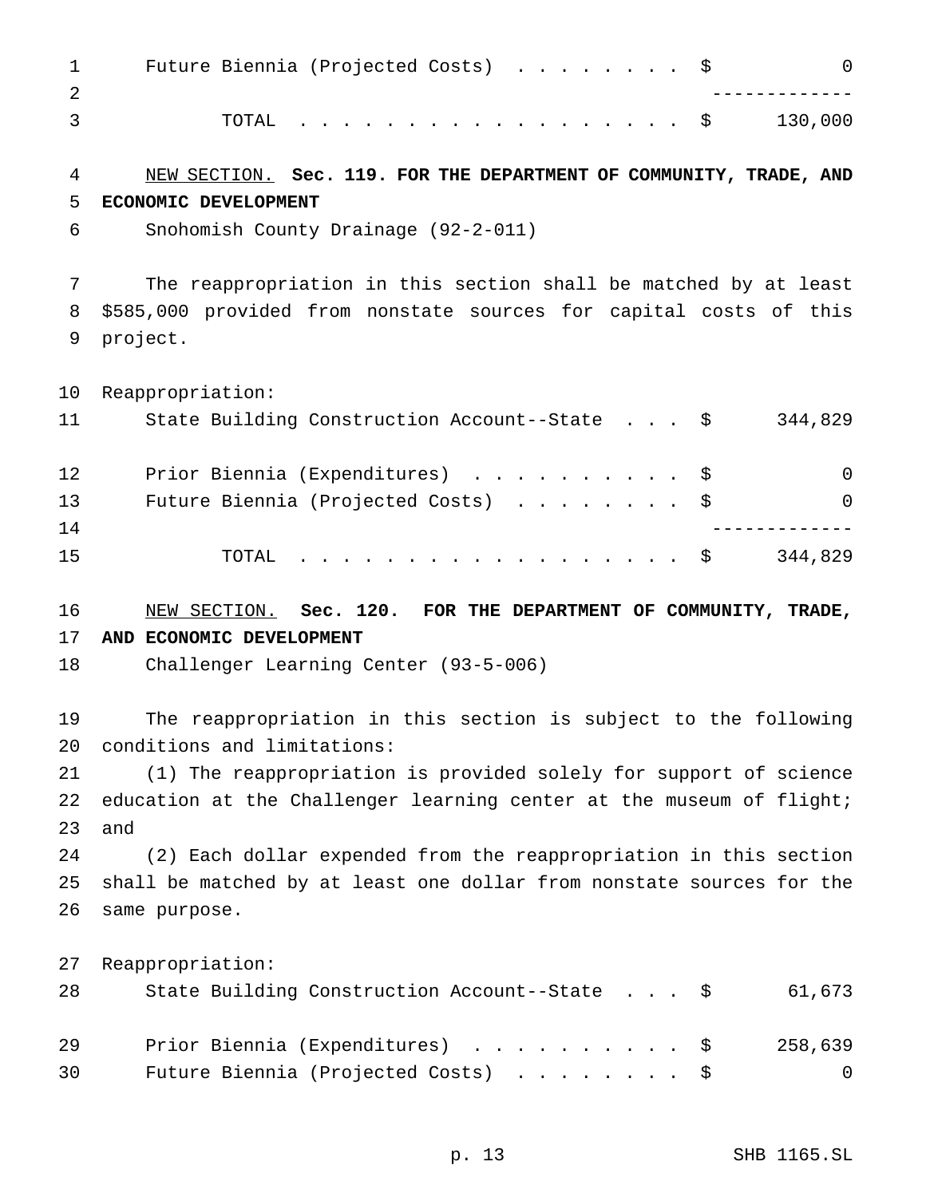|                                   | 1 Future Biennia (Projected Costs) \$ |  |  |  |  |  |  |  |  |  |
|-----------------------------------|---------------------------------------|--|--|--|--|--|--|--|--|--|
|                                   |                                       |  |  |  |  |  |  |  |  |  |
| $\overline{3}$ and $\overline{3}$ | TOTAL $\ldots$ \$ 130,000             |  |  |  |  |  |  |  |  |  |

#### NEW SECTION. **Sec. 119. FOR THE DEPARTMENT OF COMMUNITY, TRADE, AND ECONOMIC DEVELOPMENT**

Snohomish County Drainage (92-2-011)

 The reappropriation in this section shall be matched by at least \$585,000 provided from nonstate sources for capital costs of this project.

Reappropriation:

| 11 | State Building Construction Account--State \$ | 344,829  |
|----|-----------------------------------------------|----------|
| 12 | Prior Biennia (Expenditures) \$               | $\Omega$ |
| 13 | Future Biennia (Projected Costs) \$           | $\Omega$ |
| 14 |                                               |          |
| 15 | TOTAL \$                                      | 344,829  |

## NEW SECTION. **Sec. 120. FOR THE DEPARTMENT OF COMMUNITY, TRADE, AND ECONOMIC DEVELOPMENT**

Challenger Learning Center (93-5-006)

 The reappropriation in this section is subject to the following conditions and limitations:

 (1) The reappropriation is provided solely for support of science 22 education at the Challenger learning center at the museum of flight; and

 (2) Each dollar expended from the reappropriation in this section shall be matched by at least one dollar from nonstate sources for the same purpose.

| 28 | State Building Construction Account--State \$ | 61,673         |
|----|-----------------------------------------------|----------------|
| 29 | Prior Biennia (Expenditures) \$               | 258,639        |
| 30 | Future Biennia (Projected Costs) \$           | $\overline{0}$ |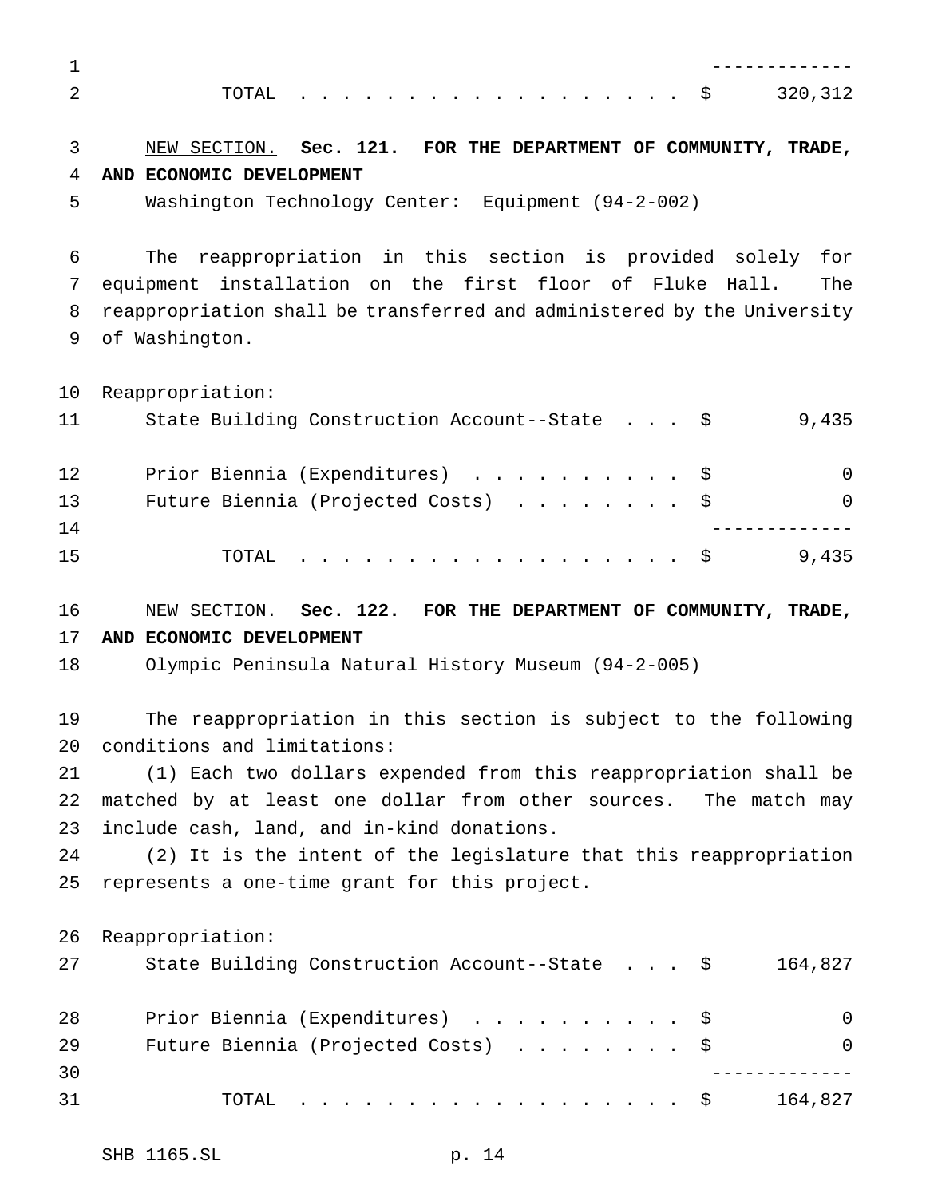## NEW SECTION. **Sec. 121. FOR THE DEPARTMENT OF COMMUNITY, TRADE, AND ECONOMIC DEVELOPMENT**

Washington Technology Center: Equipment (94-2-002)

 The reappropriation in this section is provided solely for equipment installation on the first floor of Fluke Hall. The reappropriation shall be transferred and administered by the University of Washington.

Reappropriation:

| 11 | State Building Construction Account--State \$ | 9,435    |
|----|-----------------------------------------------|----------|
| 12 | Prior Biennia (Expenditures) \$               | $\Omega$ |
| 13 | Future Biennia (Projected Costs) $\ldots$ \$  | $\Omega$ |
| 14 |                                               |          |
| 15 | TOTAL $\ldots$ \$                             | 9,435    |

 NEW SECTION. **Sec. 122. FOR THE DEPARTMENT OF COMMUNITY, TRADE, AND ECONOMIC DEVELOPMENT**

Olympic Peninsula Natural History Museum (94-2-005)

 The reappropriation in this section is subject to the following conditions and limitations:

 (1) Each two dollars expended from this reappropriation shall be matched by at least one dollar from other sources. The match may include cash, land, and in-kind donations.

 (2) It is the intent of the legislature that this reappropriation represents a one-time grant for this project.

| 27 | State Building Construction Account--State \$ | 164,827  |
|----|-----------------------------------------------|----------|
| 28 | Prior Biennia (Expenditures) \$               | $\Omega$ |
| 29 | Future Biennia (Projected Costs) \$           | $\Omega$ |
| 30 |                                               |          |
| 31 | TOTAL \$                                      | 164,827  |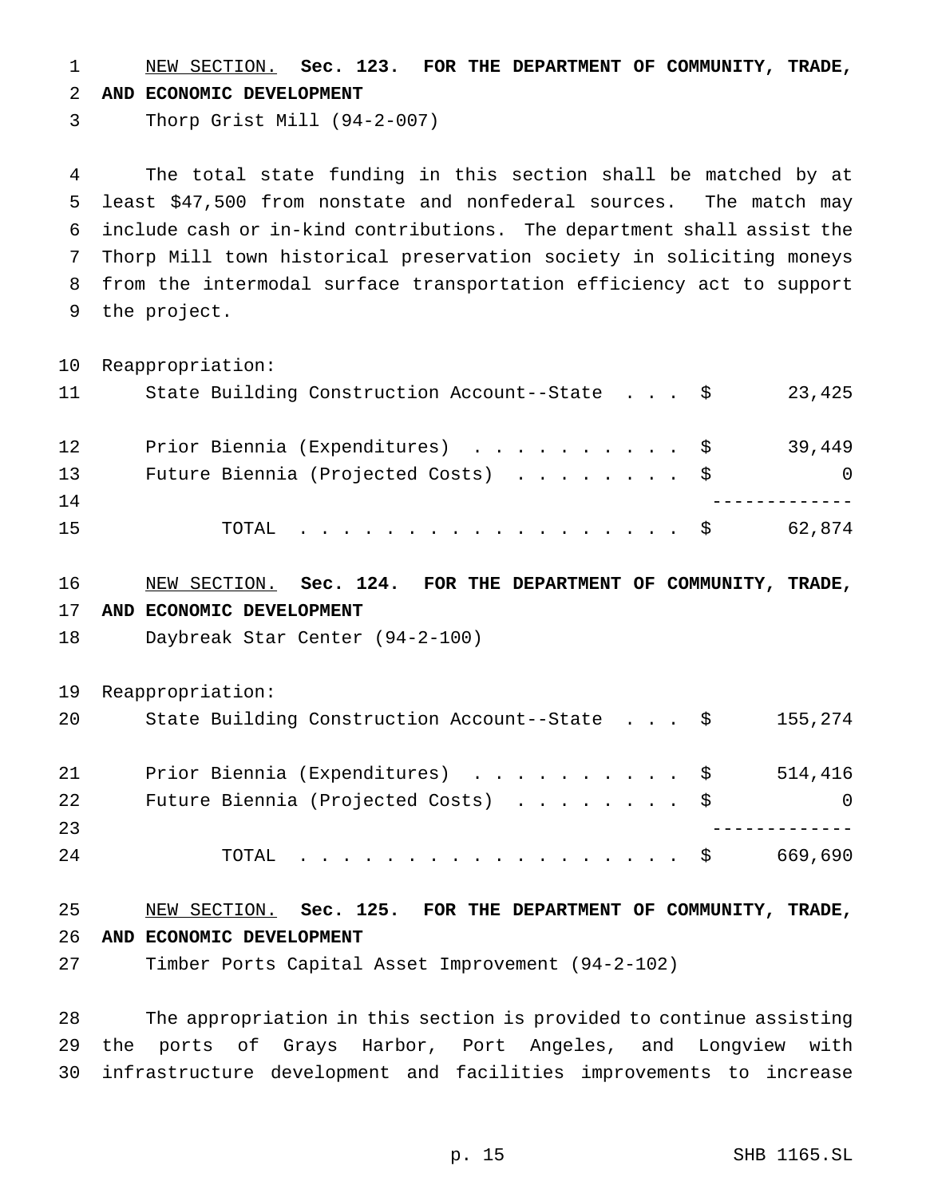NEW SECTION. **Sec. 123. FOR THE DEPARTMENT OF COMMUNITY, TRADE, AND ECONOMIC DEVELOPMENT**

Thorp Grist Mill (94-2-007)

 The total state funding in this section shall be matched by at least \$47,500 from nonstate and nonfederal sources. The match may include cash or in-kind contributions. The department shall assist the Thorp Mill town historical preservation society in soliciting moneys from the intermodal surface transportation efficiency act to support the project.

 Reappropriation: 11 State Building Construction Account--State . . . \$ 23,425 12 Prior Biennia (Expenditures) . . . . . . . . . \$ 39,449 Future Biennia (Projected Costs) ........ \$ 0 ------------- 15 TOTAL . . . . . . . . . . . . . . . . \$ 62,874 NEW SECTION. **Sec. 124. FOR THE DEPARTMENT OF COMMUNITY, TRADE, AND ECONOMIC DEVELOPMENT** Daybreak Star Center (94-2-100) Reappropriation: State Building Construction Account--State . . . \$ 155,274 Prior Biennia (Expenditures) .......... \$ 514,416

| 22  | Future Biennia (Projected Costs) \$ |         |
|-----|-------------------------------------|---------|
| 23  |                                     |         |
| 2.4 | TOTAL \$                            | 669,690 |

 NEW SECTION. **Sec. 125. FOR THE DEPARTMENT OF COMMUNITY, TRADE, AND ECONOMIC DEVELOPMENT**

Timber Ports Capital Asset Improvement (94-2-102)

 The appropriation in this section is provided to continue assisting the ports of Grays Harbor, Port Angeles, and Longview with infrastructure development and facilities improvements to increase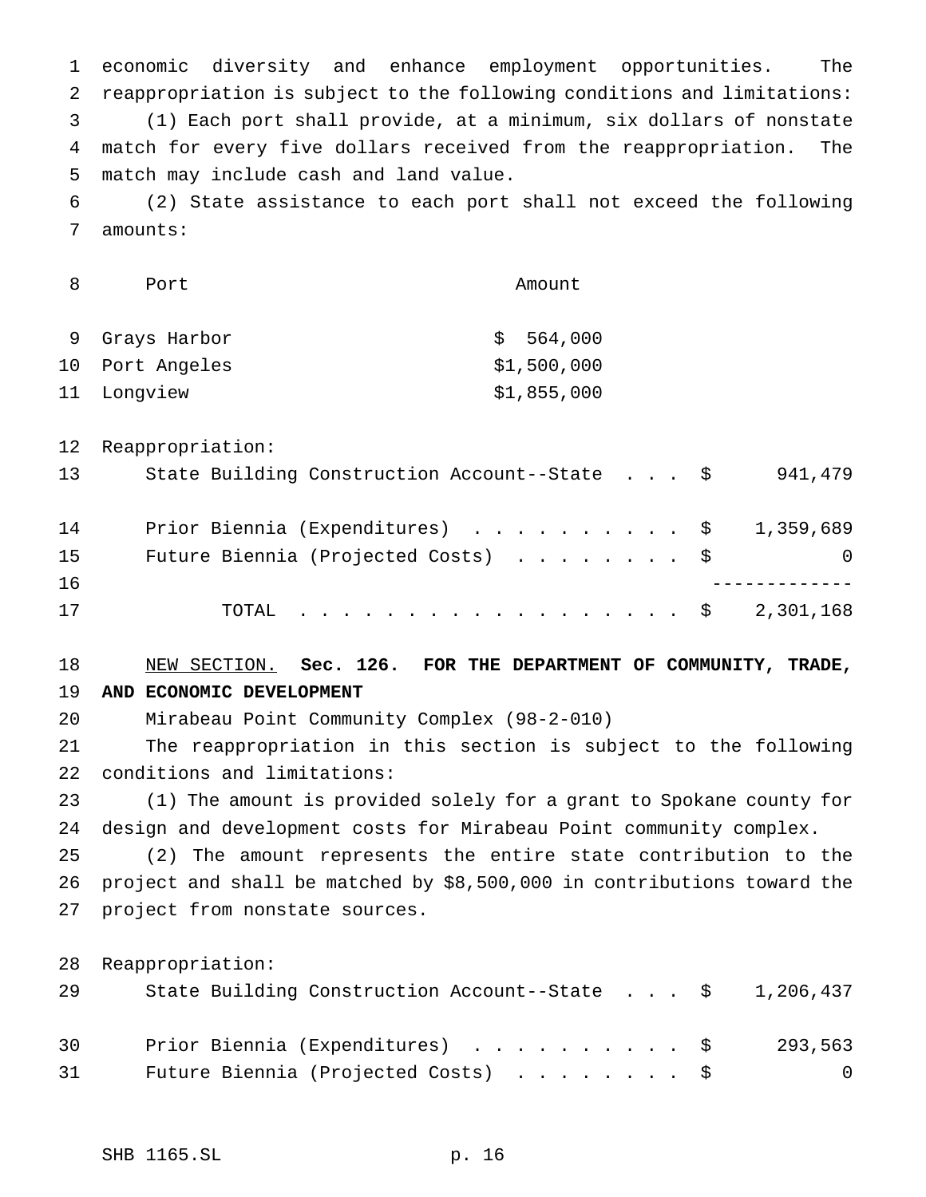economic diversity and enhance employment opportunities. The reappropriation is subject to the following conditions and limitations: (1) Each port shall provide, at a minimum, six dollars of nonstate match for every five dollars received from the reappropriation. The match may include cash and land value. (2) State assistance to each port shall not exceed the following

amounts:

|    | Port            | Amount      |
|----|-----------------|-------------|
|    | 9 Grays Harbor  | \$564,000   |
|    | 10 Port Angeles | \$1,500,000 |
| 11 | Lonqview        | \$1,855,000 |

Reappropriation:

| 13 | State Building Construction Account--State \$ | 941,479 |
|----|-----------------------------------------------|---------|
| 14 | Prior Biennia (Expenditures) \$ 1,359,689     |         |
| 15 | Future Biennia (Projected Costs) \$           | 0       |
| 16 |                                               |         |
| 17 | TOTAL \$ 2,301,168                            |         |

### NEW SECTION. **Sec. 126. FOR THE DEPARTMENT OF COMMUNITY, TRADE, AND ECONOMIC DEVELOPMENT**

Mirabeau Point Community Complex (98-2-010)

 The reappropriation in this section is subject to the following conditions and limitations:

 (1) The amount is provided solely for a grant to Spokane county for design and development costs for Mirabeau Point community complex.

 (2) The amount represents the entire state contribution to the project and shall be matched by \$8,500,000 in contributions toward the project from nonstate sources.

| 29 | State Building Construction Account--State $\frac{1}{9}$ 1,206,437 |  |  |  |         |
|----|--------------------------------------------------------------------|--|--|--|---------|
| 30 | Prior Biennia (Expenditures) \$                                    |  |  |  | 293,563 |
| 31 | Future Biennia (Projected Costs) \$                                |  |  |  | - 0     |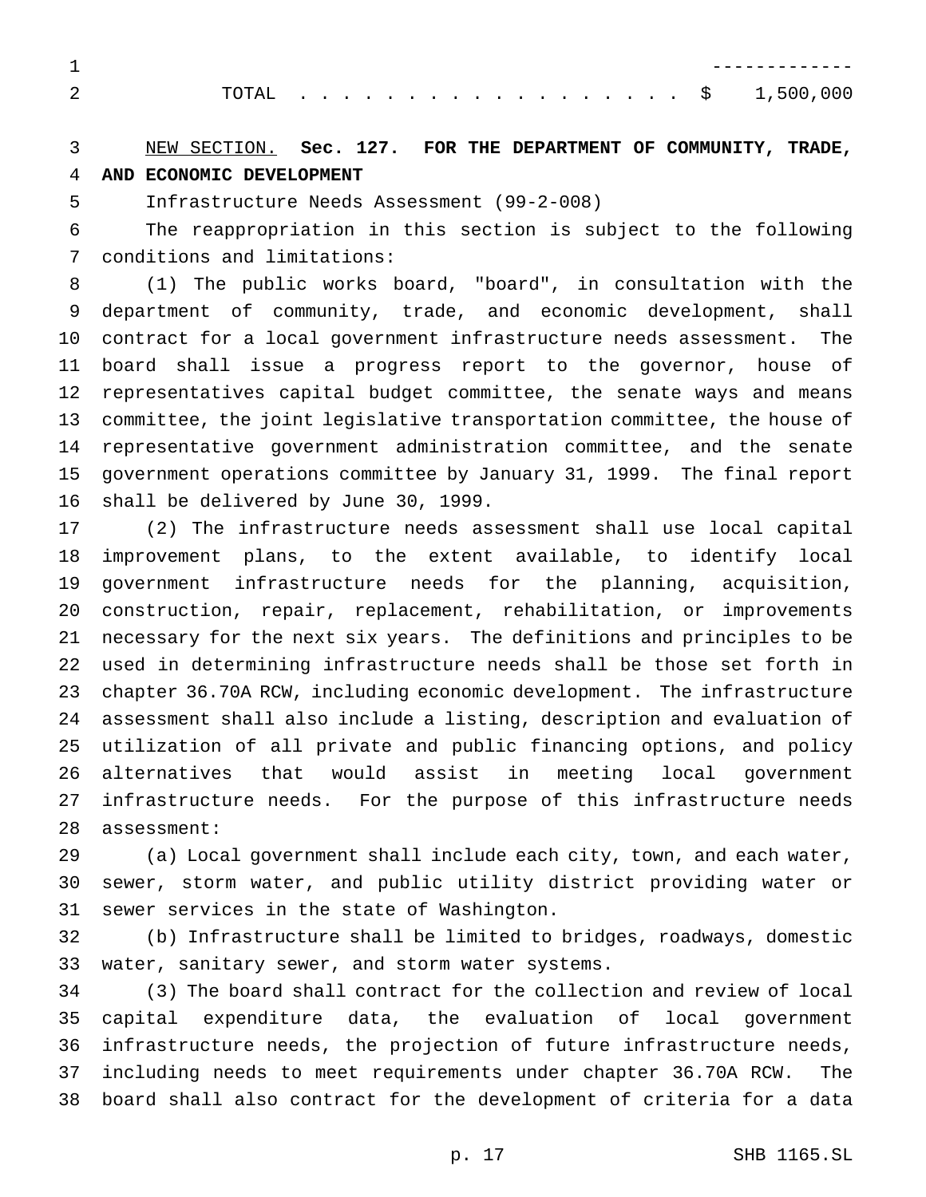|  |  |  |  |  |  |  |  |  |  |  | 1.500.000 |
|--|--|--|--|--|--|--|--|--|--|--|-----------|

## NEW SECTION. **Sec. 127. FOR THE DEPARTMENT OF COMMUNITY, TRADE, AND ECONOMIC DEVELOPMENT**

Infrastructure Needs Assessment (99-2-008)

 The reappropriation in this section is subject to the following conditions and limitations:

 (1) The public works board, "board", in consultation with the department of community, trade, and economic development, shall contract for a local government infrastructure needs assessment. The board shall issue a progress report to the governor, house of representatives capital budget committee, the senate ways and means committee, the joint legislative transportation committee, the house of representative government administration committee, and the senate government operations committee by January 31, 1999. The final report shall be delivered by June 30, 1999.

 (2) The infrastructure needs assessment shall use local capital improvement plans, to the extent available, to identify local government infrastructure needs for the planning, acquisition, construction, repair, replacement, rehabilitation, or improvements necessary for the next six years. The definitions and principles to be used in determining infrastructure needs shall be those set forth in chapter 36.70A RCW, including economic development. The infrastructure assessment shall also include a listing, description and evaluation of utilization of all private and public financing options, and policy alternatives that would assist in meeting local government infrastructure needs. For the purpose of this infrastructure needs assessment:

 (a) Local government shall include each city, town, and each water, sewer, storm water, and public utility district providing water or sewer services in the state of Washington.

 (b) Infrastructure shall be limited to bridges, roadways, domestic water, sanitary sewer, and storm water systems.

 (3) The board shall contract for the collection and review of local capital expenditure data, the evaluation of local government infrastructure needs, the projection of future infrastructure needs, including needs to meet requirements under chapter 36.70A RCW. The board shall also contract for the development of criteria for a data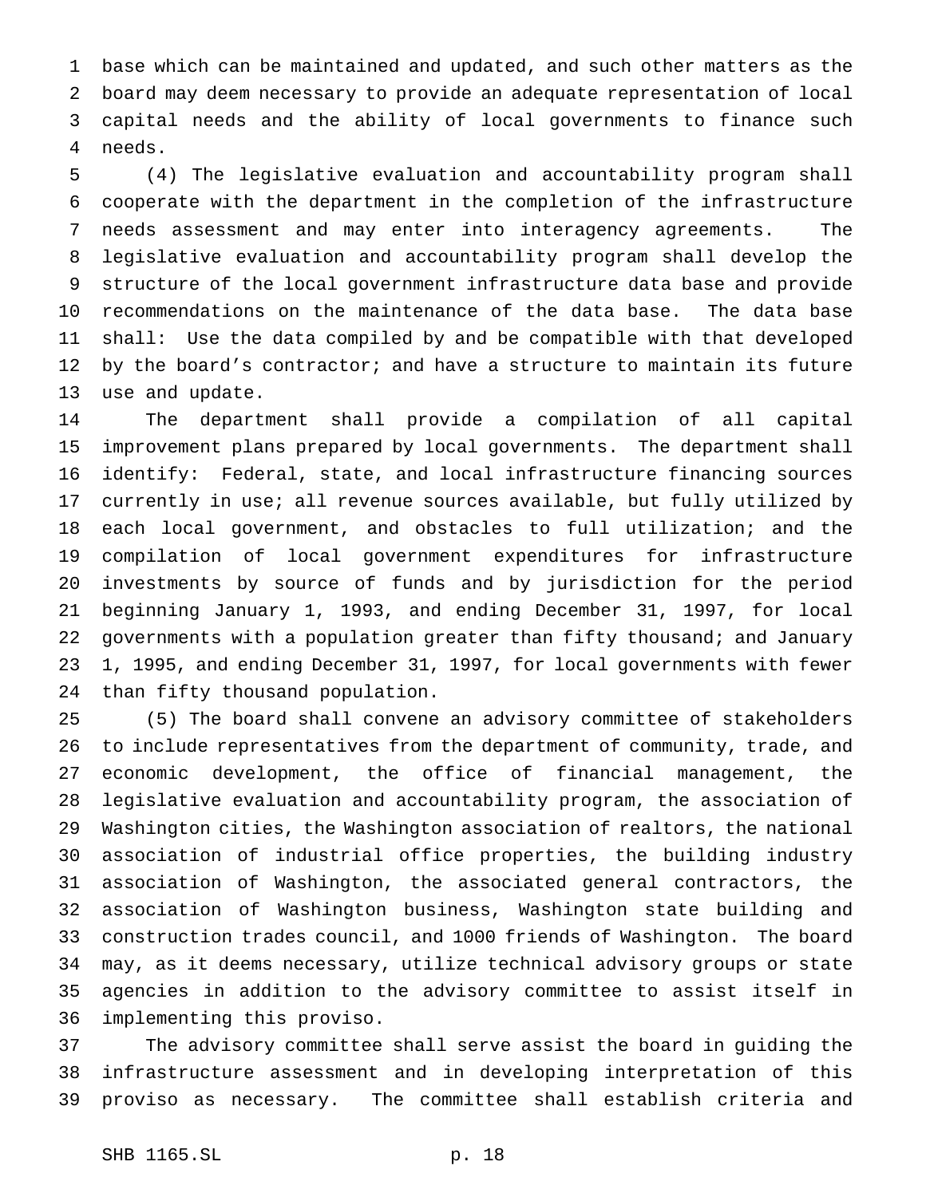base which can be maintained and updated, and such other matters as the board may deem necessary to provide an adequate representation of local capital needs and the ability of local governments to finance such needs.

 (4) The legislative evaluation and accountability program shall cooperate with the department in the completion of the infrastructure needs assessment and may enter into interagency agreements. The legislative evaluation and accountability program shall develop the structure of the local government infrastructure data base and provide recommendations on the maintenance of the data base. The data base shall: Use the data compiled by and be compatible with that developed by the board's contractor; and have a structure to maintain its future use and update.

 The department shall provide a compilation of all capital improvement plans prepared by local governments. The department shall identify: Federal, state, and local infrastructure financing sources currently in use; all revenue sources available, but fully utilized by each local government, and obstacles to full utilization; and the compilation of local government expenditures for infrastructure investments by source of funds and by jurisdiction for the period beginning January 1, 1993, and ending December 31, 1997, for local governments with a population greater than fifty thousand; and January 1, 1995, and ending December 31, 1997, for local governments with fewer than fifty thousand population.

 (5) The board shall convene an advisory committee of stakeholders to include representatives from the department of community, trade, and economic development, the office of financial management, the legislative evaluation and accountability program, the association of Washington cities, the Washington association of realtors, the national association of industrial office properties, the building industry association of Washington, the associated general contractors, the association of Washington business, Washington state building and construction trades council, and 1000 friends of Washington. The board may, as it deems necessary, utilize technical advisory groups or state agencies in addition to the advisory committee to assist itself in implementing this proviso.

 The advisory committee shall serve assist the board in guiding the infrastructure assessment and in developing interpretation of this proviso as necessary. The committee shall establish criteria and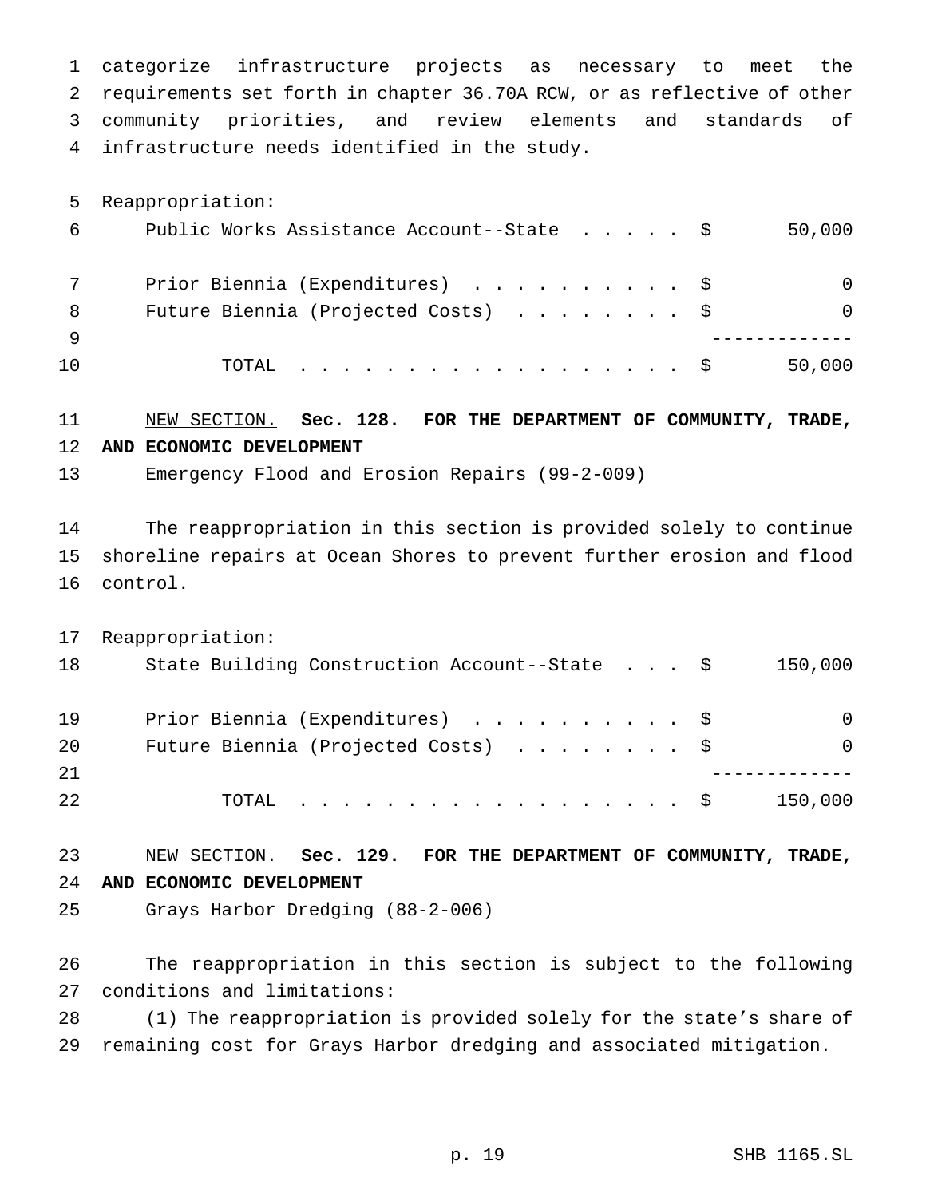categorize infrastructure projects as necessary to meet the requirements set forth in chapter 36.70A RCW, or as reflective of other community priorities, and review elements and standards of infrastructure needs identified in the study.

 Reappropriation: Public Works Assistance Account--State ..... \$ 50,000 Prior Biennia (Expenditures) .......... \$ 0 8 Future Biennia (Projected Costs) . . . . . . . \$ 0 ------------- TOTAL .................. \$ 50,000

#### NEW SECTION. **Sec. 128. FOR THE DEPARTMENT OF COMMUNITY, TRADE, AND ECONOMIC DEVELOPMENT**

Emergency Flood and Erosion Repairs (99-2-009)

 The reappropriation in this section is provided solely to continue shoreline repairs at Ocean Shores to prevent further erosion and flood control.

 Reappropriation: 18 State Building Construction Account--State . . . \$ 150,000 19 Prior Biennia (Expenditures) . . . . . . . . . \$ 0 20 Future Biennia (Projected Costs) . . . . . . . \$ 0 ------------- 22 TOTAL . . . . . . . . . . . . . . . . \$ 150,000

 NEW SECTION. **Sec. 129. FOR THE DEPARTMENT OF COMMUNITY, TRADE, AND ECONOMIC DEVELOPMENT**

Grays Harbor Dredging (88-2-006)

 The reappropriation in this section is subject to the following conditions and limitations:

 (1) The reappropriation is provided solely for the state's share of remaining cost for Grays Harbor dredging and associated mitigation.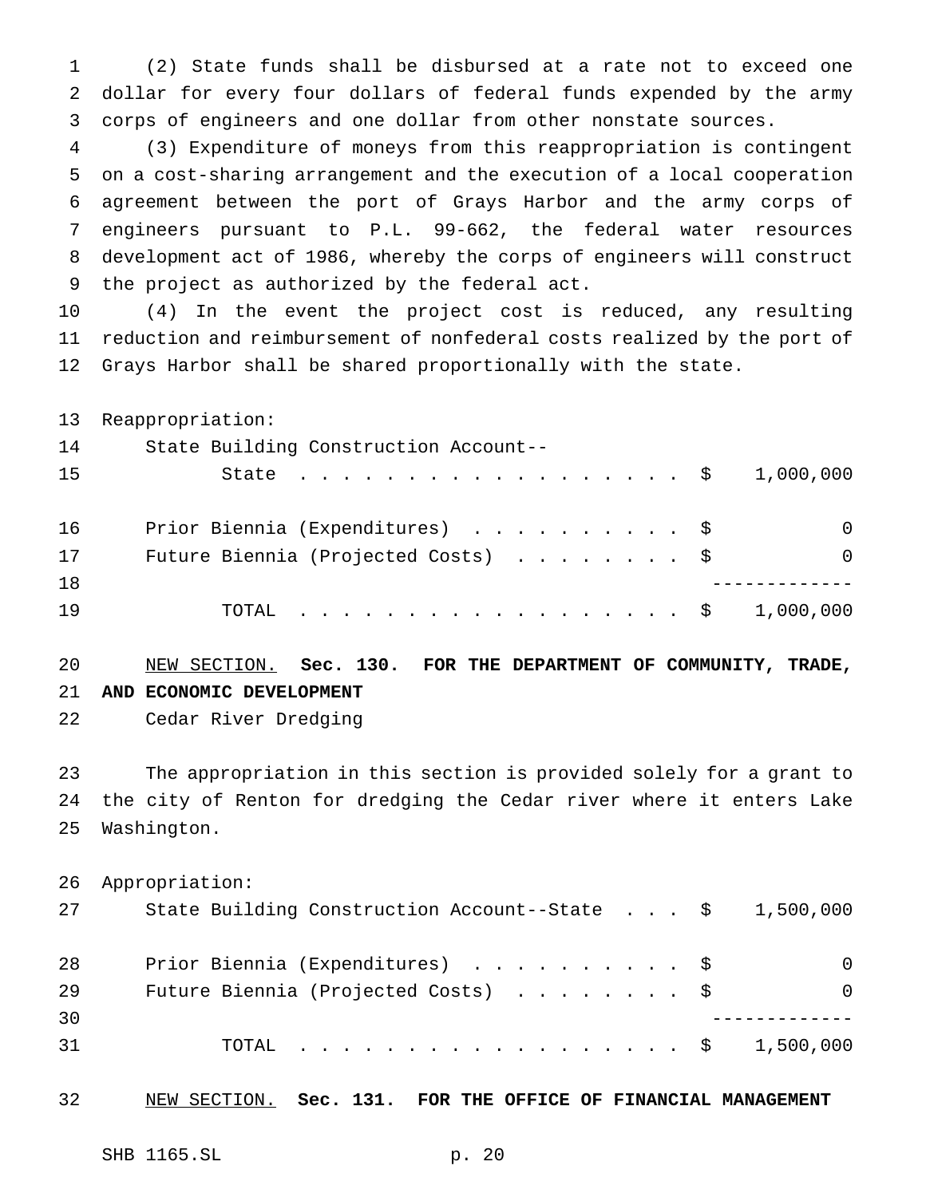(2) State funds shall be disbursed at a rate not to exceed one dollar for every four dollars of federal funds expended by the army corps of engineers and one dollar from other nonstate sources.

 (3) Expenditure of moneys from this reappropriation is contingent on a cost-sharing arrangement and the execution of a local cooperation agreement between the port of Grays Harbor and the army corps of engineers pursuant to P.L. 99-662, the federal water resources development act of 1986, whereby the corps of engineers will construct the project as authorized by the federal act.

 (4) In the event the project cost is reduced, any resulting reduction and reimbursement of nonfederal costs realized by the port of Grays Harbor shall be shared proportionally with the state.

 Reappropriation: State Building Construction Account-- State .................. \$ 1,000,000 Prior Biennia (Expenditures) .......... \$ 0 17 Future Biennia (Projected Costs) . . . . . . . \$ 0 ------------- 19 TOTAL . . . . . . . . . . . . . . . . \$ 1,000,000

# NEW SECTION. **Sec. 130. FOR THE DEPARTMENT OF COMMUNITY, TRADE, AND ECONOMIC DEVELOPMENT**

Cedar River Dredging

 The appropriation in this section is provided solely for a grant to the city of Renton for dredging the Cedar river where it enters Lake Washington.

 Appropriation: State Building Construction Account--State . . . \$ 1,500,000 28 Prior Biennia (Expenditures) . . . . . . . . . \$ 0 Future Biennia (Projected Costs) ........ \$ 0 ------------- TOTAL .................. \$ 1,500,000

NEW SECTION. **Sec. 131. FOR THE OFFICE OF FINANCIAL MANAGEMENT**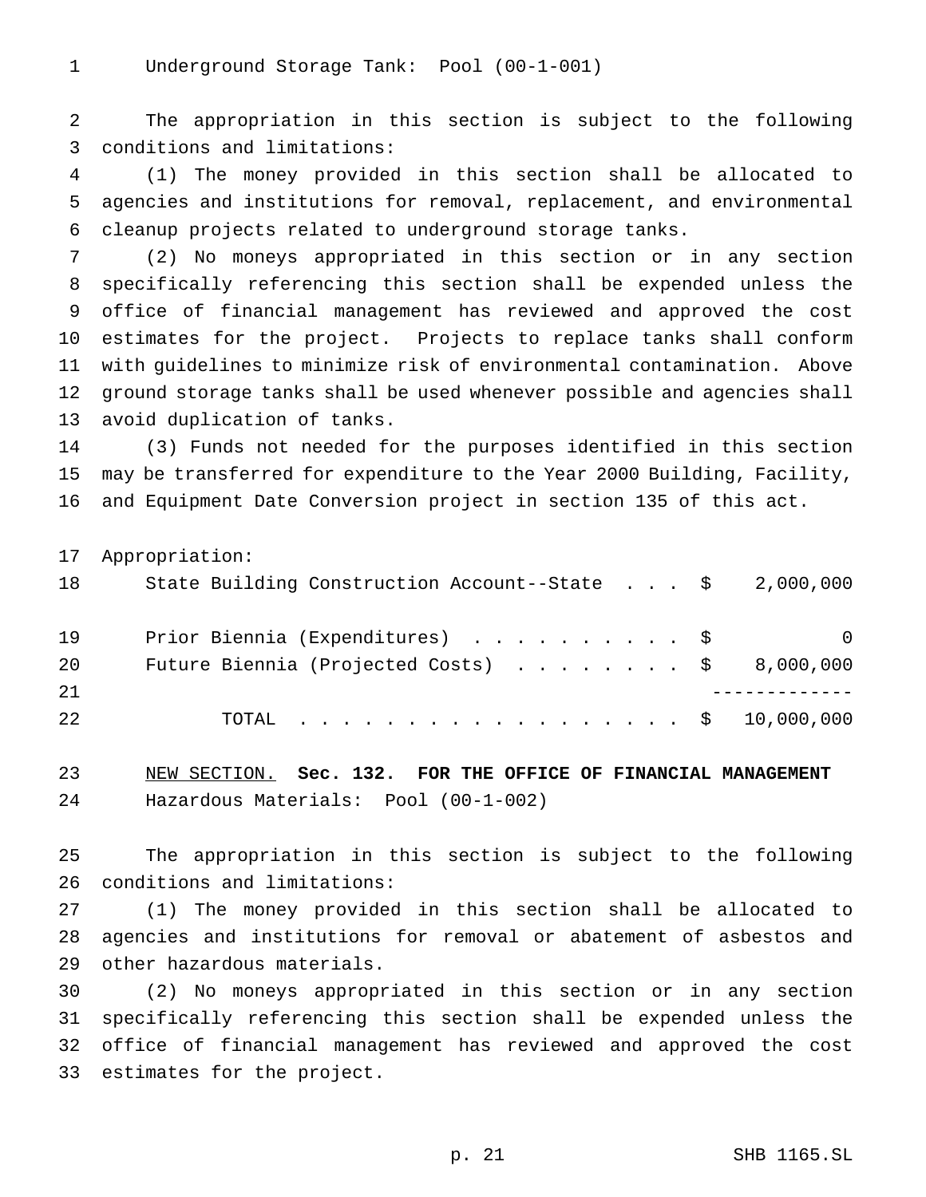Underground Storage Tank: Pool (00-1-001)

 The appropriation in this section is subject to the following conditions and limitations:

 (1) The money provided in this section shall be allocated to agencies and institutions for removal, replacement, and environmental cleanup projects related to underground storage tanks.

 (2) No moneys appropriated in this section or in any section specifically referencing this section shall be expended unless the office of financial management has reviewed and approved the cost estimates for the project. Projects to replace tanks shall conform with guidelines to minimize risk of environmental contamination. Above ground storage tanks shall be used whenever possible and agencies shall avoid duplication of tanks.

 (3) Funds not needed for the purposes identified in this section may be transferred for expenditure to the Year 2000 Building, Facility, and Equipment Date Conversion project in section 135 of this act.

Appropriation:

| 18 | State Building Construction Account--State $\frac{1}{5}$ 2,000,000 |   |
|----|--------------------------------------------------------------------|---|
| 19 | Prior Biennia (Expenditures) \$                                    | 0 |
| 20 | Future Biennia (Projected Costs) $\ldots$ \$ 8,000,000             |   |
| 21 |                                                                    |   |
| 22 | TOTAL \$ 10,000,000                                                |   |

 NEW SECTION. **Sec. 132. FOR THE OFFICE OF FINANCIAL MANAGEMENT** Hazardous Materials: Pool (00-1-002)

 The appropriation in this section is subject to the following conditions and limitations:

 (1) The money provided in this section shall be allocated to agencies and institutions for removal or abatement of asbestos and other hazardous materials.

 (2) No moneys appropriated in this section or in any section specifically referencing this section shall be expended unless the office of financial management has reviewed and approved the cost estimates for the project.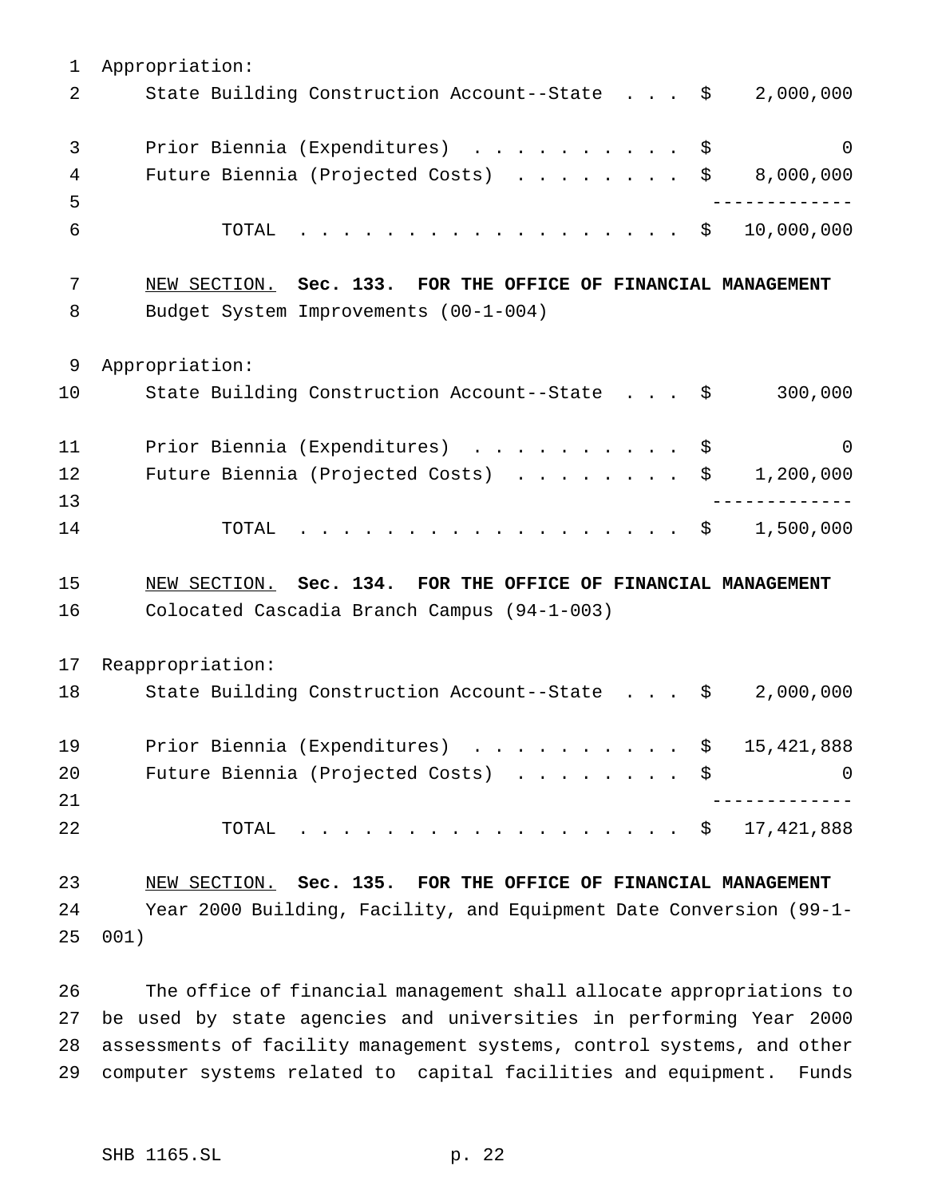| $\mathbf 1$ | Appropriation:                                                       |                |
|-------------|----------------------------------------------------------------------|----------------|
| 2           | State Building Construction Account--State \$<br>2,000,000           |                |
| 3           | Prior Biennia (Expenditures) \$                                      | $\overline{0}$ |
| 4           | Future Biennia (Projected Costs) $\ldots$ \$ 8,000,000               |                |
| 5           | . _ _ _ _ _ _ _ _ _ _ _ _                                            |                |
| 6           | . \$<br>10,000,000<br>TOTAL                                          |                |
| 7           | NEW SECTION. Sec. 133. FOR THE OFFICE OF FINANCIAL MANAGEMENT        |                |
| 8           | Budget System Improvements (00-1-004)                                |                |
| 9           | Appropriation:                                                       |                |
| 10          | State Building Construction Account--State \$<br>300,000             |                |
| 11          | Prior Biennia (Expenditures) \$                                      | 0              |
| 12          | Future Biennia (Projected Costs) $\ldots \ldots \ldots$<br>1,200,000 |                |
| 13          |                                                                      |                |
| 14          | . \$ 1,500,000<br>TOTAL                                              |                |
| 15          | NEW SECTION. Sec. 134. FOR THE OFFICE OF FINANCIAL MANAGEMENT        |                |
| 16          | Colocated Cascadia Branch Campus (94-1-003)                          |                |
| 17          | Reappropriation:                                                     |                |
| 18          | State Building Construction Account--State \$<br>2,000,000           |                |
| 19          | Prior Biennia (Expenditures) \$ 15,421,888                           |                |
| 20          | Future Biennia (Projected Costs) \$                                  | 0              |
| 21          |                                                                      |                |
| 22          | 17,421,888<br>TOTAL<br>. \$                                          |                |
| 23          | NEW SECTION. Sec. 135. FOR THE OFFICE OF FINANCIAL MANAGEMENT        |                |
| 24          | Year 2000 Building, Facility, and Equipment Date Conversion (99-1-   |                |
| 25          | 001)                                                                 |                |

 The office of financial management shall allocate appropriations to be used by state agencies and universities in performing Year 2000 assessments of facility management systems, control systems, and other computer systems related to capital facilities and equipment. Funds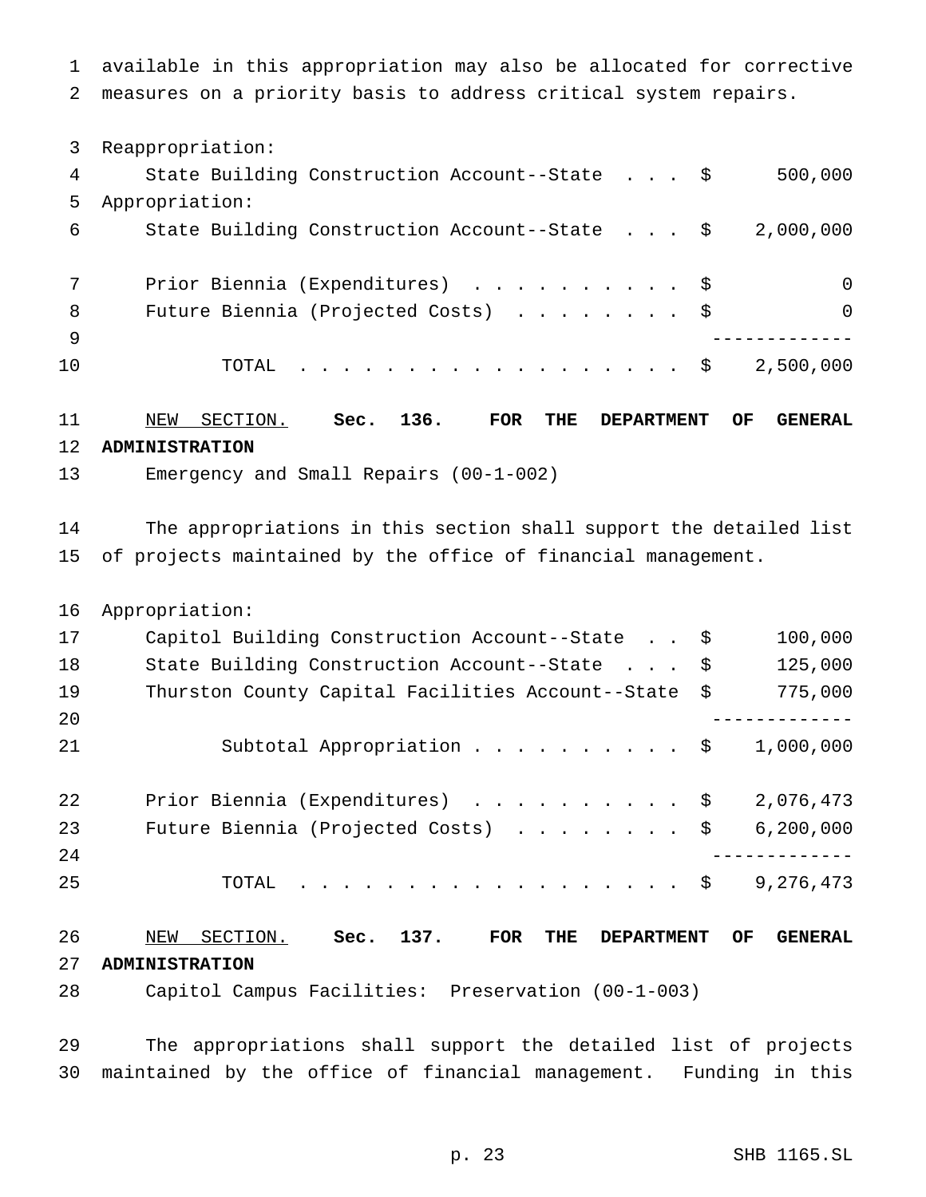available in this appropriation may also be allocated for corrective measures on a priority basis to address critical system repairs.

Reappropriation:

| 4   | State Building Construction Account--State \$ | 500,000   |
|-----|-----------------------------------------------|-----------|
| 5   | Appropriation:                                |           |
| 6   | State Building Construction Account--State \$ | 2,000,000 |
|     |                                               |           |
|     | Prior Biennia (Expenditures) \$               | $\Omega$  |
| 8   | Future Biennia (Projected Costs) \$           | $\Omega$  |
| - 9 |                                               |           |
| 10  | TOTAL $\hat{S}$                               | 2,500,000 |
|     |                                               |           |

## NEW SECTION. **Sec. 136. FOR THE DEPARTMENT OF GENERAL ADMINISTRATION**

Emergency and Small Repairs (00-1-002)

 The appropriations in this section shall support the detailed list of projects maintained by the office of financial management.

Appropriation:

| 17 | Capitol Building Construction Account--State \$      | 100,000     |
|----|------------------------------------------------------|-------------|
| 18 | State Building Construction Account--State \$        | 125,000     |
| 19 | Thurston County Capital Facilities Account--State \$ | 775,000     |
| 20 |                                                      |             |
| 21 | Subtotal Appropriation \$                            | 1,000,000   |
| 22 | Prior Biennia (Expenditures) \$                      | 2,076,473   |
| 23 | Future Biennia (Projected Costs) \$                  | 6, 200, 000 |
| 24 |                                                      |             |
| 25 | TOTAL $\ldots$ \$                                    | 9,276,473   |
|    |                                                      |             |

 NEW SECTION. **Sec. 137. FOR THE DEPARTMENT OF GENERAL ADMINISTRATION**

Capitol Campus Facilities: Preservation (00-1-003)

 The appropriations shall support the detailed list of projects maintained by the office of financial management. Funding in this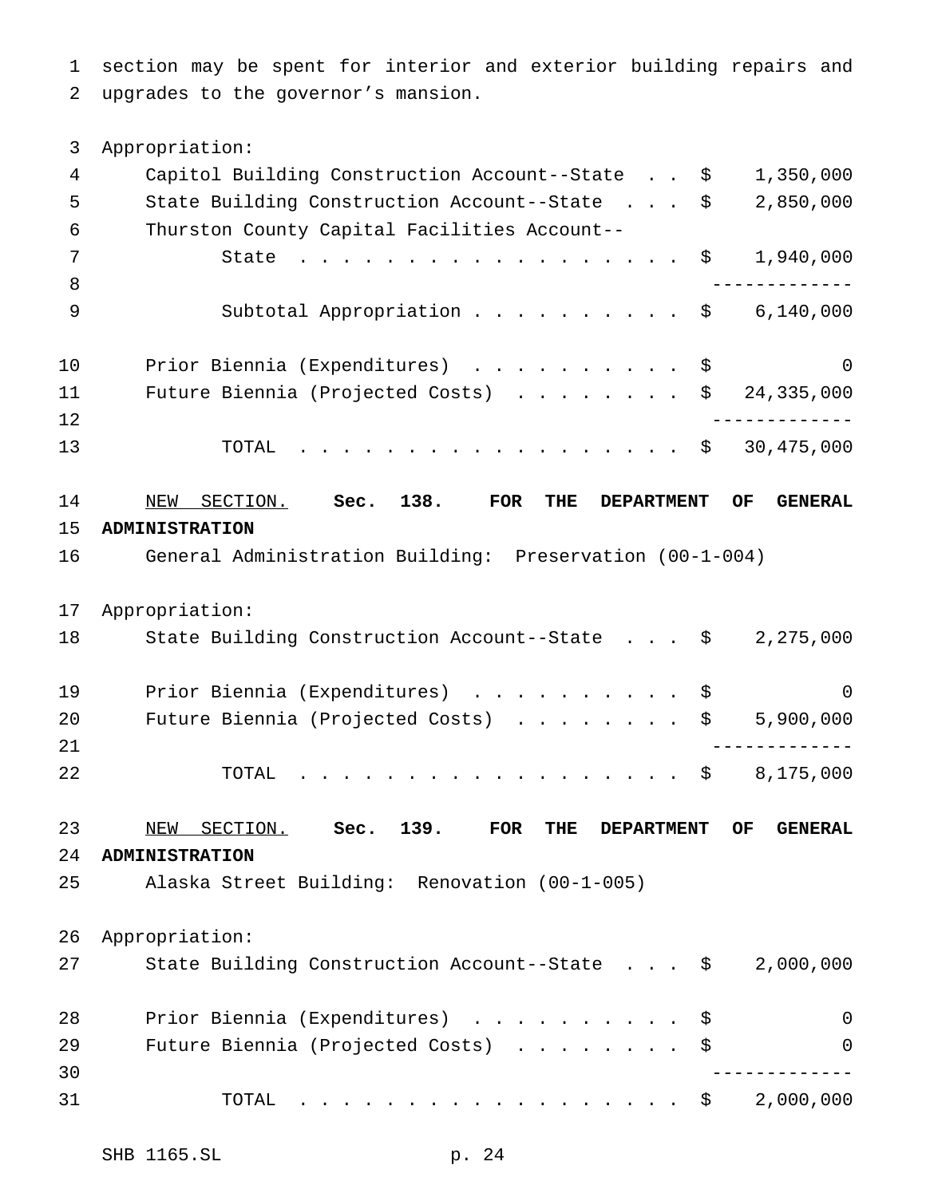section may be spent for interior and exterior building repairs and upgrades to the governor's mansion.

 Appropriation: Capitol Building Construction Account--State . . \$ 1,350,000 State Building Construction Account--State . . . \$ 2,850,000 Thurston County Capital Facilities Account-- 7 State . . . . . . . . . . . . . . . . \$ 1,940,000 ------------- 9 Subtotal Appropriation . . . . . . . . . \$ 6,140,000 Prior Biennia (Expenditures) .......... \$ 0 Future Biennia (Projected Costs) ........ \$ 24,335,000 ------------- TOTAL .................. \$ 30,475,000 NEW SECTION. **Sec. 138. FOR THE DEPARTMENT OF GENERAL ADMINISTRATION** General Administration Building: Preservation (00-1-004) Appropriation: State Building Construction Account--State . . . \$ 2,275,000 19 Prior Biennia (Expenditures) . . . . . . . . . \$ 0 20 Future Biennia (Projected Costs) . . . . . . . \$ 5,900,000 ------------- TOTAL .................. \$ 8,175,000 NEW SECTION. **Sec. 139. FOR THE DEPARTMENT OF GENERAL ADMINISTRATION** Alaska Street Building: Renovation (00-1-005) Appropriation: State Building Construction Account--State . . . \$ 2,000,000 28 Prior Biennia (Expenditures) . . . . . . . . . \$ 0 29 Future Biennia (Projected Costs) . . . . . . . \$ 0 ------------- 31 TOTAL . . . . . . . . . . . . . . . . \$ 2,000,000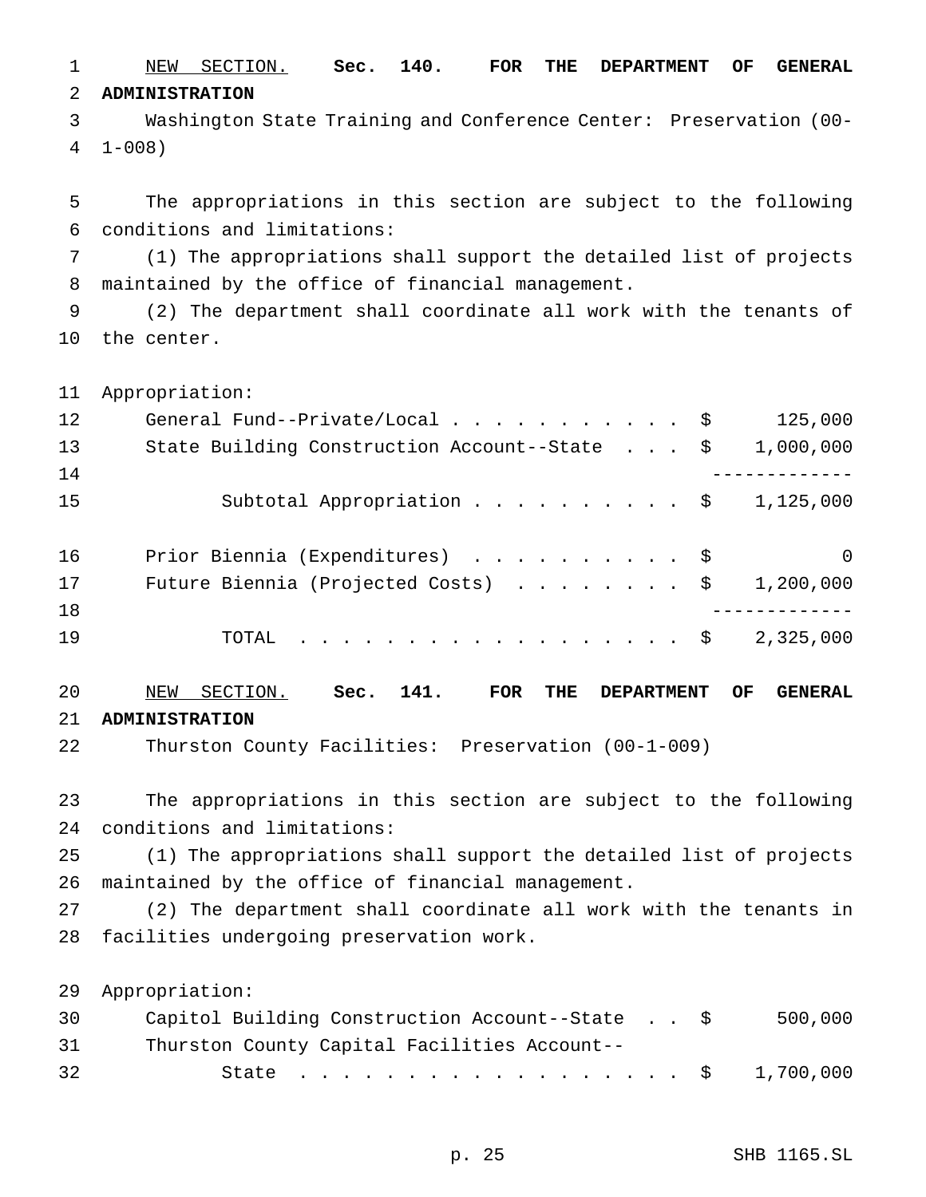NEW SECTION. **Sec. 140. FOR THE DEPARTMENT OF GENERAL ADMINISTRATION**

 Washington State Training and Conference Center: Preservation (00- 1-008)

 The appropriations in this section are subject to the following conditions and limitations:

 (1) The appropriations shall support the detailed list of projects maintained by the office of financial management.

 (2) The department shall coordinate all work with the tenants of the center.

Appropriation:

| 1,000,000 |
|-----------|
|           |
|           |
| 1,125,000 |
|           |
| $\Omega$  |
| 1,200,000 |
|           |
| 2,325,000 |
|           |

 NEW SECTION. **Sec. 141. FOR THE DEPARTMENT OF GENERAL ADMINISTRATION**

Thurston County Facilities: Preservation (00-1-009)

 The appropriations in this section are subject to the following conditions and limitations:

 (1) The appropriations shall support the detailed list of projects maintained by the office of financial management.

 (2) The department shall coordinate all work with the tenants in facilities undergoing preservation work.

Appropriation:

| 30 | Capitol Building Construction Account--State \$ |  | 500,000 |
|----|-------------------------------------------------|--|---------|
| 31 | Thurston County Capital Facilities Account--    |  |         |
| 32 | State \$ 1,700,000                              |  |         |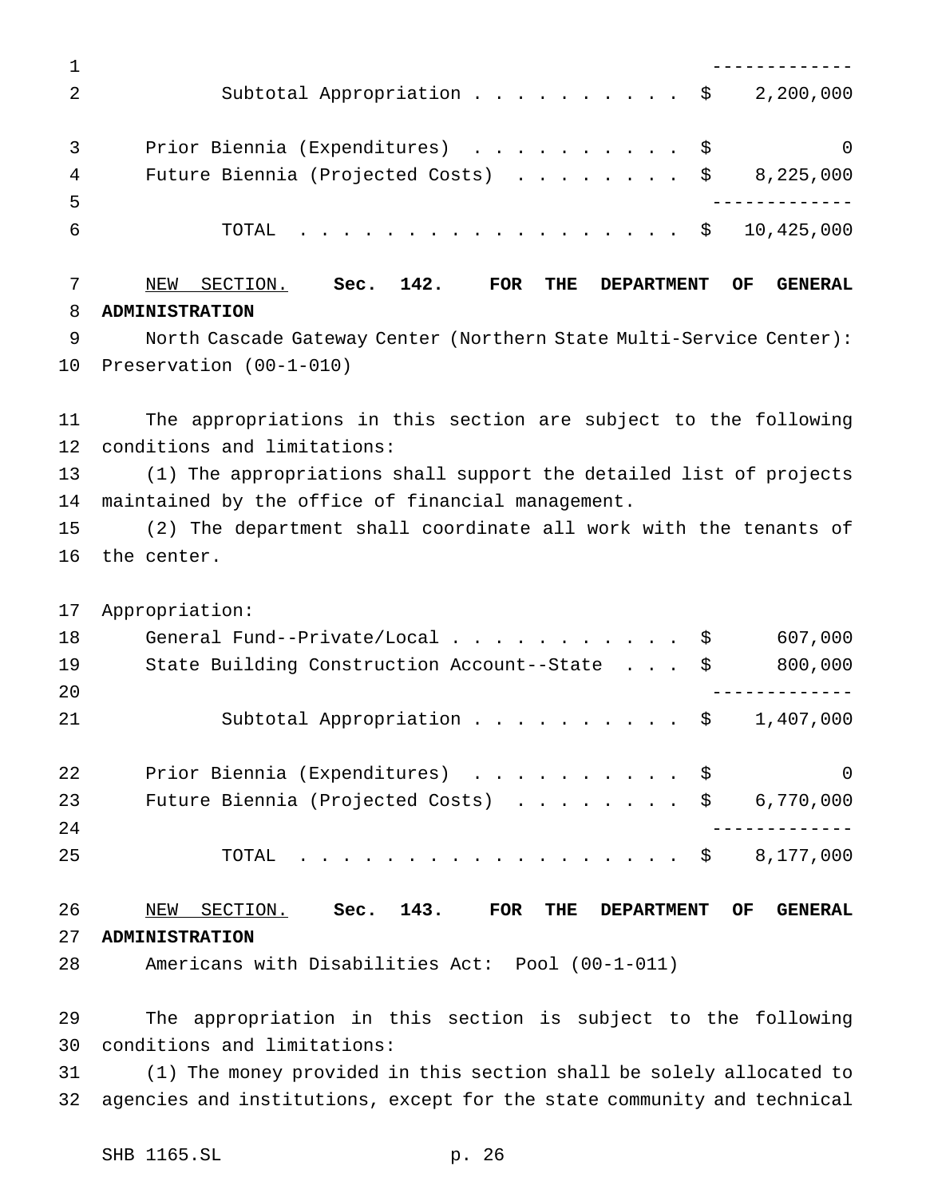------------- 2 Subtotal Appropriation . . . . . . . . . \$ 2,200,000 3 Prior Biennia (Expenditures) . . . . . . . . . \$ 0 4 Future Biennia (Projected Costs) . . . . . . . \$ 8,225,000 ------------- TOTAL .................. \$ 10,425,000 NEW SECTION. **Sec. 142. FOR THE DEPARTMENT OF GENERAL ADMINISTRATION** North Cascade Gateway Center (Northern State Multi-Service Center): Preservation (00-1-010) The appropriations in this section are subject to the following conditions and limitations: (1) The appropriations shall support the detailed list of projects maintained by the office of financial management. (2) The department shall coordinate all work with the tenants of the center.

Appropriation:

| 18 | General Fund--Private/Local $\ldots$ \$                   | 607,000  |
|----|-----------------------------------------------------------|----------|
| 19 | State Building Construction Account--State \$             | 800,000  |
| 20 |                                                           |          |
| 21 | Subtotal Appropriation \$<br>1,407,000                    |          |
| 22 | Prior Biennia (Expenditures) \$                           | $\Omega$ |
| 23 | Future Biennia (Projected Costs) $\ldots$ \$<br>6,770,000 |          |
| 24 |                                                           |          |
| 25 | TOTAL $\ldots$ $\Diamond$<br>8,177,000                    |          |
|    |                                                           |          |

 NEW SECTION. **Sec. 143. FOR THE DEPARTMENT OF GENERAL ADMINISTRATION** Americans with Disabilities Act: Pool (00-1-011)

The appropriation in this section is subject to the following

conditions and limitations:

 (1) The money provided in this section shall be solely allocated to agencies and institutions, except for the state community and technical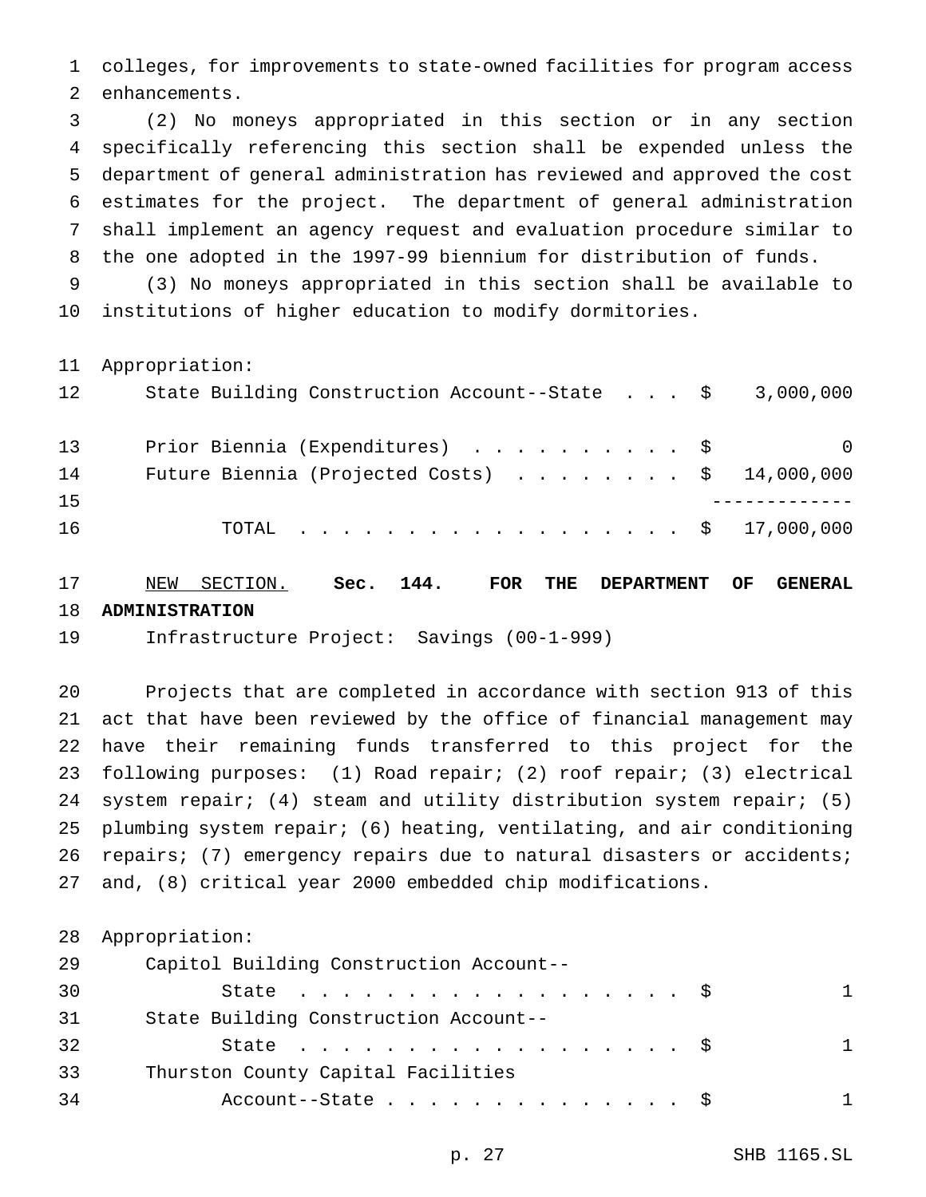colleges, for improvements to state-owned facilities for program access enhancements.

 (2) No moneys appropriated in this section or in any section specifically referencing this section shall be expended unless the department of general administration has reviewed and approved the cost estimates for the project. The department of general administration shall implement an agency request and evaluation procedure similar to the one adopted in the 1997-99 biennium for distribution of funds.

 (3) No moneys appropriated in this section shall be available to institutions of higher education to modify dormitories.

Appropriation:

| 12 | State Building Construction Account--State $\frac{1}{5}$ 3,000,000 |          |
|----|--------------------------------------------------------------------|----------|
| 13 | Prior Biennia (Expenditures) \$                                    | $\Omega$ |
| 14 | Future Biennia (Projected Costs) $\ldots$ \$ 14,000,000            |          |
| 15 |                                                                    |          |
| 16 | TOTAL \$ 17,000,000                                                |          |

 NEW SECTION. **Sec. 144. FOR THE DEPARTMENT OF GENERAL ADMINISTRATION**

Infrastructure Project: Savings (00-1-999)

 Projects that are completed in accordance with section 913 of this act that have been reviewed by the office of financial management may have their remaining funds transferred to this project for the following purposes: (1) Road repair; (2) roof repair; (3) electrical system repair; (4) steam and utility distribution system repair; (5) plumbing system repair; (6) heating, ventilating, and air conditioning repairs; (7) emergency repairs due to natural disasters or accidents; and, (8) critical year 2000 embedded chip modifications.

|    | 28 Appropriation:                       |   |
|----|-----------------------------------------|---|
| 29 | Capitol Building Construction Account-- |   |
| 30 | State $\ldots$ $\frac{1}{5}$            | 1 |
| 31 | State Building Construction Account--   |   |
| 32 | State $\ldots$ \$                       | 1 |
| 33 | Thurston County Capital Facilities      |   |
| 34 | Account--State $\ldots$ \$              | 1 |
|    |                                         |   |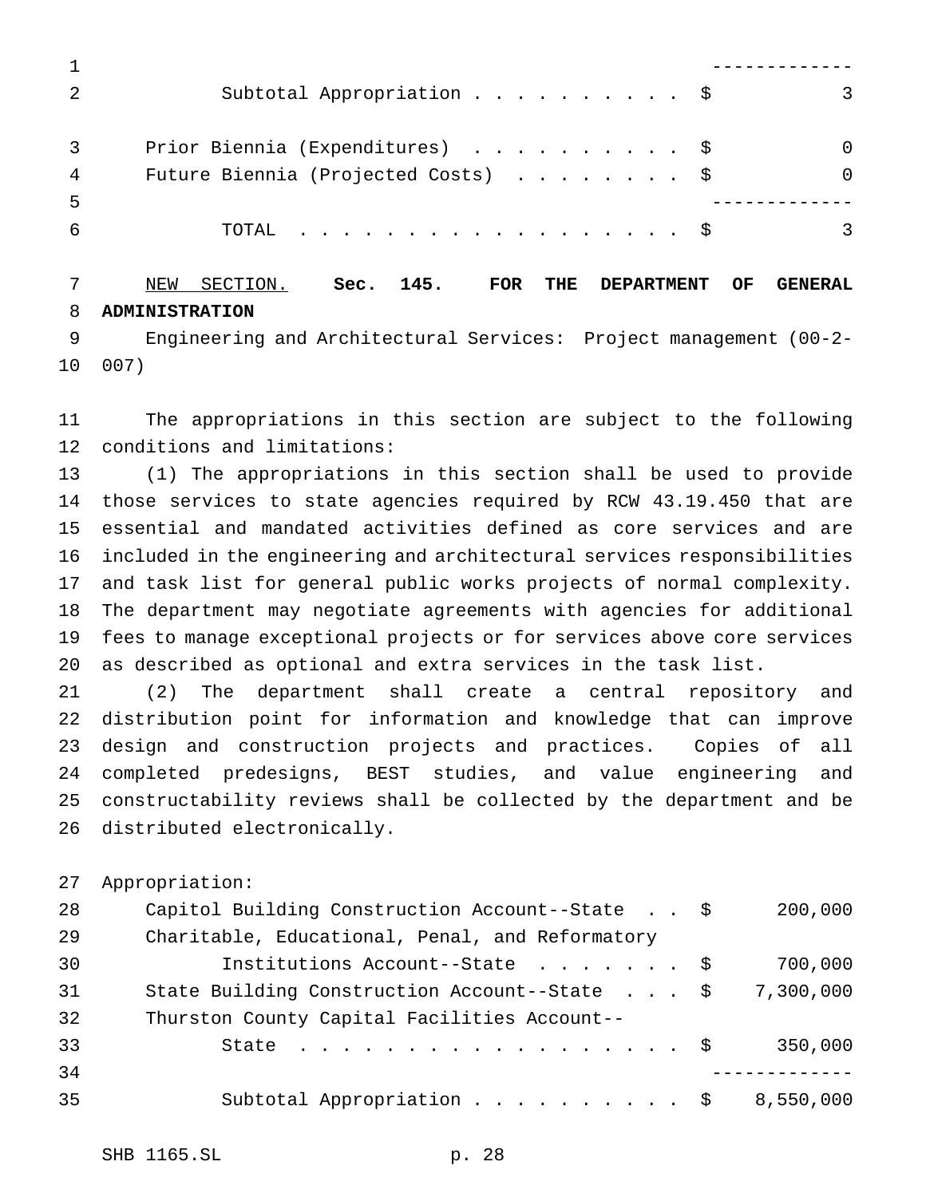| Subtotal Appropriation \$           | 3            |
|-------------------------------------|--------------|
| Prior Biennia (Expenditures) \$     | <sup>0</sup> |
| Future Biennia (Projected Costs) \$ | <sup>0</sup> |
|                                     |              |
| TOTAL $\frac{1}{5}$                 |              |
|                                     |              |

 NEW SECTION. **Sec. 145. FOR THE DEPARTMENT OF GENERAL ADMINISTRATION**

 Engineering and Architectural Services: Project management (00-2- 007)

 The appropriations in this section are subject to the following conditions and limitations:

 (1) The appropriations in this section shall be used to provide those services to state agencies required by RCW 43.19.450 that are essential and mandated activities defined as core services and are included in the engineering and architectural services responsibilities and task list for general public works projects of normal complexity. The department may negotiate agreements with agencies for additional fees to manage exceptional projects or for services above core services as described as optional and extra services in the task list.

 (2) The department shall create a central repository and distribution point for information and knowledge that can improve design and construction projects and practices. Copies of all completed predesigns, BEST studies, and value engineering and constructability reviews shall be collected by the department and be distributed electronically.

Appropriation:

| 28 | Capitol Building Construction Account--State \$ | 200,000   |
|----|-------------------------------------------------|-----------|
| 29 | Charitable, Educational, Penal, and Reformatory |           |
| 30 | Institutions Account--State \$                  | 700,000   |
| 31 | State Building Construction Account--State \$   | 7,300,000 |
| 32 | Thurston County Capital Facilities Account--    |           |
| 33 | State $\ldots$ $\frac{1}{5}$                    | 350,000   |
| 34 |                                                 |           |
| 35 | Subtotal Appropriation $\frac{1}{2}$            | 8,550,000 |
|    |                                                 |           |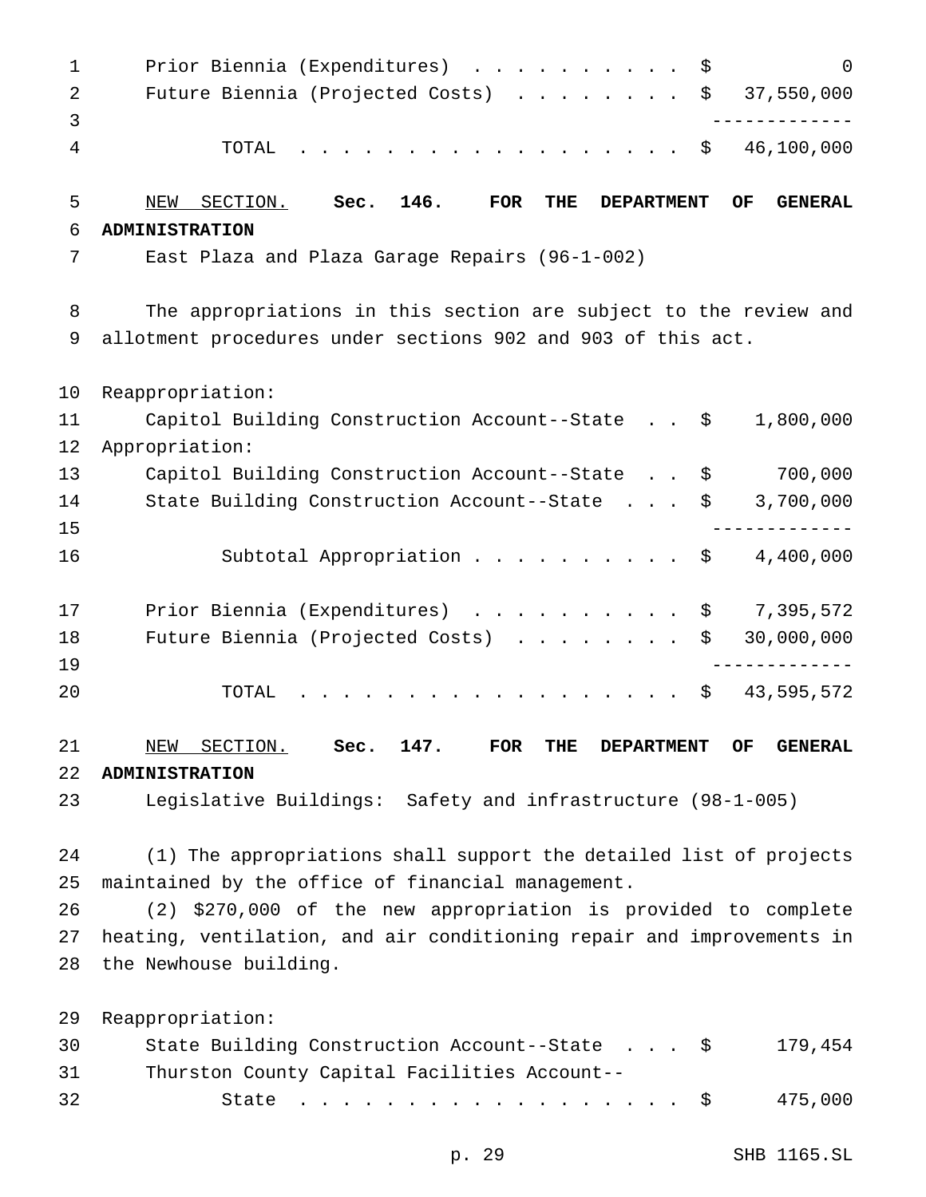1 Prior Biennia (Expenditures) . . . . . . . . . \$ 0 Future Biennia (Projected Costs) ........ \$ 37,550,000 ------------- TOTAL .................. \$ 46,100,000 NEW SECTION. **Sec. 146. FOR THE DEPARTMENT OF GENERAL ADMINISTRATION** East Plaza and Plaza Garage Repairs (96-1-002) The appropriations in this section are subject to the review and allotment procedures under sections 902 and 903 of this act. Reappropriation: Capitol Building Construction Account--State . . \$ 1,800,000 Appropriation: Capitol Building Construction Account--State . . \$ 700,000 State Building Construction Account--State . . . \$ 3,700,000 ------------- 16 Subtotal Appropriation . . . . . . . . . \$ 4,400,000 17 Prior Biennia (Expenditures) . . . . . . . . . \$ 7,395,572 18 Future Biennia (Projected Costs) . . . . . . . \$ 30,000,000 ------------- 20 TOTAL . . . . . . . . . . . . . . . . \$ 43,595,572 NEW SECTION. **Sec. 147. FOR THE DEPARTMENT OF GENERAL ADMINISTRATION** Legislative Buildings: Safety and infrastructure (98-1-005) (1) The appropriations shall support the detailed list of projects maintained by the office of financial management. (2) \$270,000 of the new appropriation is provided to complete heating, ventilation, and air conditioning repair and improvements in the Newhouse building. Reappropriation:

| 30   | State Building Construction Account--State \$ | 179,454 |
|------|-----------------------------------------------|---------|
| 31 — | Thurston County Capital Facilities Account--  |         |
| 32   | State \$ 475,000                              |         |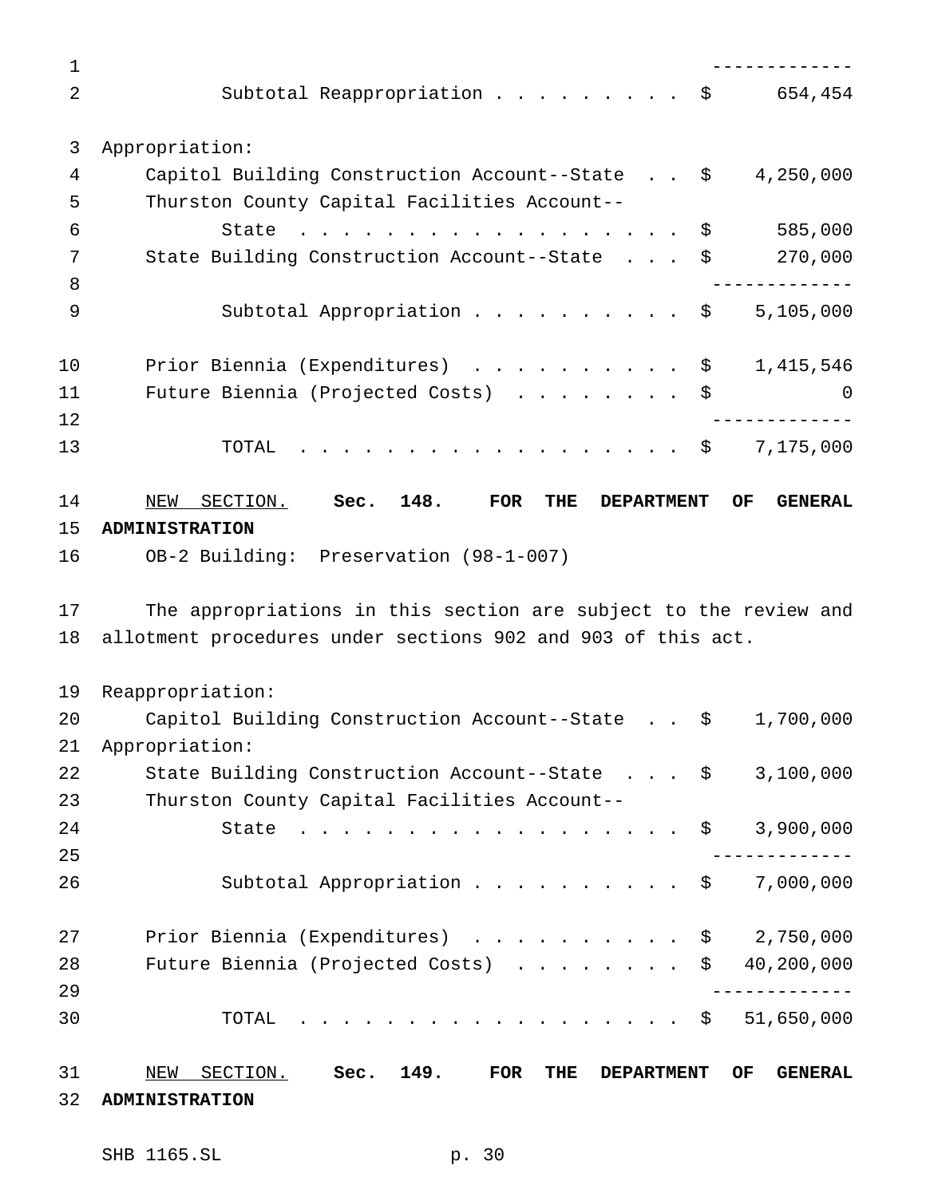| 1              |                                                                                                                                                   |
|----------------|---------------------------------------------------------------------------------------------------------------------------------------------------|
| $\overline{2}$ | Subtotal Reappropriation \$<br>654,454                                                                                                            |
| 3              | Appropriation:                                                                                                                                    |
| 4              | Capitol Building Construction Account--State \$<br>4,250,000                                                                                      |
| 5              | Thurston County Capital Facilities Account--                                                                                                      |
| 6              | 585,000<br>State<br>\$                                                                                                                            |
| 7              | 270,000<br>State Building Construction Account--State<br>\$                                                                                       |
| 8              |                                                                                                                                                   |
| 9              | 5,105,000<br>Subtotal Appropriation \$                                                                                                            |
| 10             | Prior Biennia (Expenditures) \$<br>1,415,546                                                                                                      |
| 11             | Future Biennia (Projected Costs)<br>\$<br>$\Omega$                                                                                                |
| 12             |                                                                                                                                                   |
| 13             | 7,175,000<br>TOTAL<br>. \$                                                                                                                        |
| 14             | 148.<br>SECTION.<br>Sec.<br><b>FOR</b><br>THE<br>NEW<br><b>DEPARTMENT</b><br>OF.<br><b>GENERAL</b>                                                |
| 15             | <b>ADMINISTRATION</b>                                                                                                                             |
| 16             | OB-2 Building: Preservation (98-1-007)                                                                                                            |
|                |                                                                                                                                                   |
| 17             | The appropriations in this section are subject to the review and                                                                                  |
| 18             | allotment procedures under sections 902 and 903 of this act.                                                                                      |
| 19             | Reappropriation:                                                                                                                                  |
| 20             | Capitol Building Construction Account--State \$<br>1,700,000                                                                                      |
| 21             | Appropriation:                                                                                                                                    |
| 22             | State Building Construction Account--State \$<br>3,100,000                                                                                        |
| 23             | Thurston County Capital Facilities Account--                                                                                                      |
| 24             | 3,900,000<br>State<br>$\mathbf{r}$ , $\mathbf{r}$ , $\mathbf{r}$ , $\mathbf{r}$ , $\mathbf{r}$ , $\mathbf{r}$ , $\mathbf{r}$ , $\mathbf{r}$<br>\$ |
| 25             |                                                                                                                                                   |
| 26             | 7,000,000<br>Subtotal Appropriation<br>\$                                                                                                         |
| 27             | Prior Biennia (Expenditures) \$<br>2,750,000                                                                                                      |
| 28             | Future Biennia (Projected Costs)<br>40,200,000<br>\$                                                                                              |
| 29             |                                                                                                                                                   |
| 30             | TOTAL<br>51,650,000<br>\$                                                                                                                         |
| 31             | SECTION.<br>149.<br>FOR<br>OF<br>NEW<br>Sec.<br>THE<br><b>DEPARTMENT</b><br><b>GENERAL</b>                                                        |

SHB 1165.SL p. 30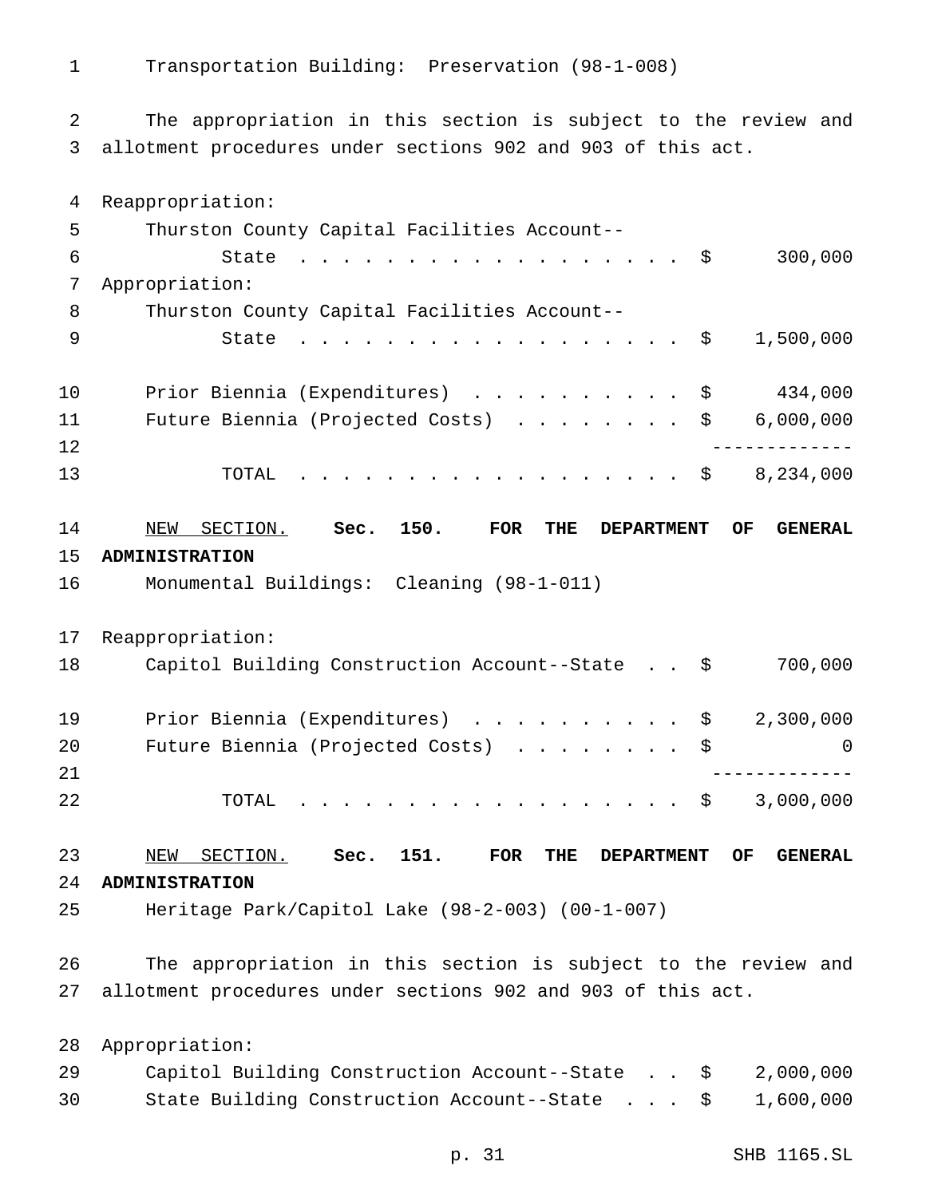Transportation Building: Preservation (98-1-008)

 The appropriation in this section is subject to the review and allotment procedures under sections 902 and 903 of this act.

 Reappropriation: Thurston County Capital Facilities Account-- 6 State . . . . . . . . . . . . . . . . \$ 300,000 Appropriation: Thurston County Capital Facilities Account-- 9 State . . . . . . . . . . . . . . . . \$ 1,500,000 Prior Biennia (Expenditures) .......... \$ 434,000 11 Future Biennia (Projected Costs) . . . . . . . \$ 6,000,000 ------------- TOTAL .................. \$ 8,234,000 NEW SECTION. **Sec. 150. FOR THE DEPARTMENT OF GENERAL ADMINISTRATION** Monumental Buildings: Cleaning (98-1-011) Reappropriation: Capitol Building Construction Account--State . . \$ 700,000 19 Prior Biennia (Expenditures) . . . . . . . . . \$ 2,300,000 20 Future Biennia (Projected Costs) . . . . . . . \$ 0 ------------- TOTAL .................. \$ 3,000,000 NEW SECTION. **Sec. 151. FOR THE DEPARTMENT OF GENERAL ADMINISTRATION** Heritage Park/Capitol Lake (98-2-003) (00-1-007) The appropriation in this section is subject to the review and allotment procedures under sections 902 and 903 of this act. Appropriation: Capitol Building Construction Account--State . . \$ 2,000,000 State Building Construction Account--State . . . \$ 1,600,000

p. 31 SHB 1165.SL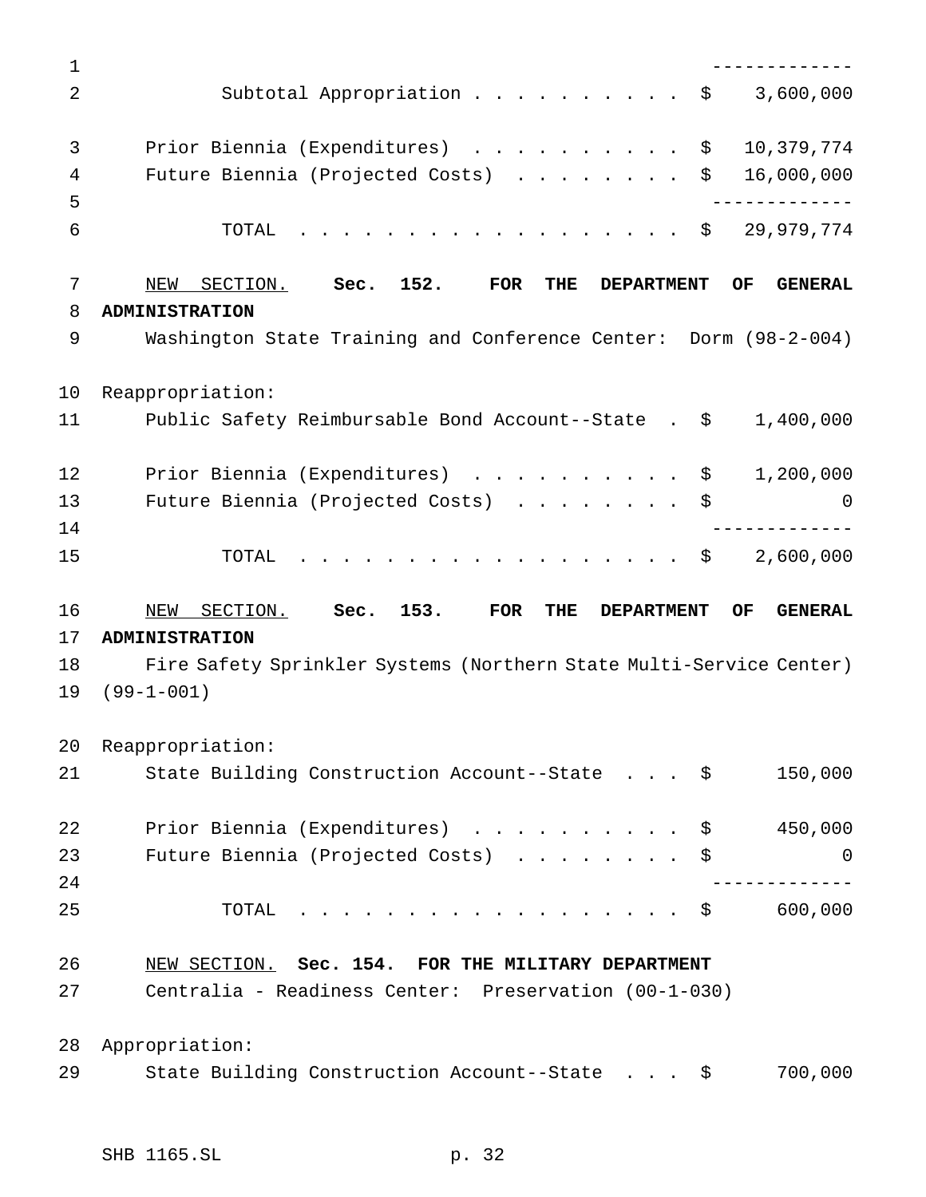| $\mathbf 1$ |                                                                                                             |
|-------------|-------------------------------------------------------------------------------------------------------------|
| 2           | Subtotal Appropriation \$<br>3,600,000                                                                      |
| 3           | Prior Biennia (Expenditures) \$<br>10,379,774                                                               |
| 4           | Future Biennia (Projected Costs)<br>16,000,000<br>\$                                                        |
| 5           | _____________                                                                                               |
| 6           | . \$ 29,979,774<br>TOTAL                                                                                    |
| 7           | Sec. 152.<br>FOR<br>NEW<br>SECTION.<br><b>THE</b><br><b>DEPARTMENT</b><br>OF.<br><b>GENERAL</b>             |
| 8           | <b>ADMINISTRATION</b>                                                                                       |
| 9           | Washington State Training and Conference Center: Dorm (98-2-004)                                            |
| 10          | Reappropriation:                                                                                            |
| 11          | Public Safety Reimbursable Bond Account--State . \$<br>1,400,000                                            |
| 12          | Prior Biennia (Expenditures) \$<br>1,200,000                                                                |
| 13          | Future Biennia (Projected Costs) \$<br>0                                                                    |
| 14          | - - - - - - - - - - - -                                                                                     |
| 15          | 2,600,000<br>. \$<br>TOTAL                                                                                  |
|             |                                                                                                             |
| 16          | 153.<br>NEW SECTION.<br>Sec.<br>FOR<br>OF<br><b>GENERAL</b><br><b>THE</b><br><b>DEPARTMENT</b>              |
| 17          | <b>ADMINISTRATION</b>                                                                                       |
|             | Fire Safety Sprinkler Systems (Northern State Multi-Service Center)                                         |
| 18<br>19    | $(99 - 1 - 001)$                                                                                            |
| 20          | Reappropriation:                                                                                            |
| 21          | State Building Construction Account--State \$<br>150,000                                                    |
| 22          | Prior Biennia (Expenditures) \$<br>450,000                                                                  |
| 23          | Future Biennia (Projected Costs) \$<br>$\Omega$                                                             |
| 24          |                                                                                                             |
| 25          | 600,000<br>. \$<br>TOTAL                                                                                    |
|             |                                                                                                             |
| 26<br>27    | NEW SECTION. Sec. 154. FOR THE MILITARY DEPARTMENT<br>Centralia - Readiness Center: Preservation (00-1-030) |
| 28          | Appropriation:                                                                                              |
| 29          | 700,000<br>State Building Construction Account--State \$                                                    |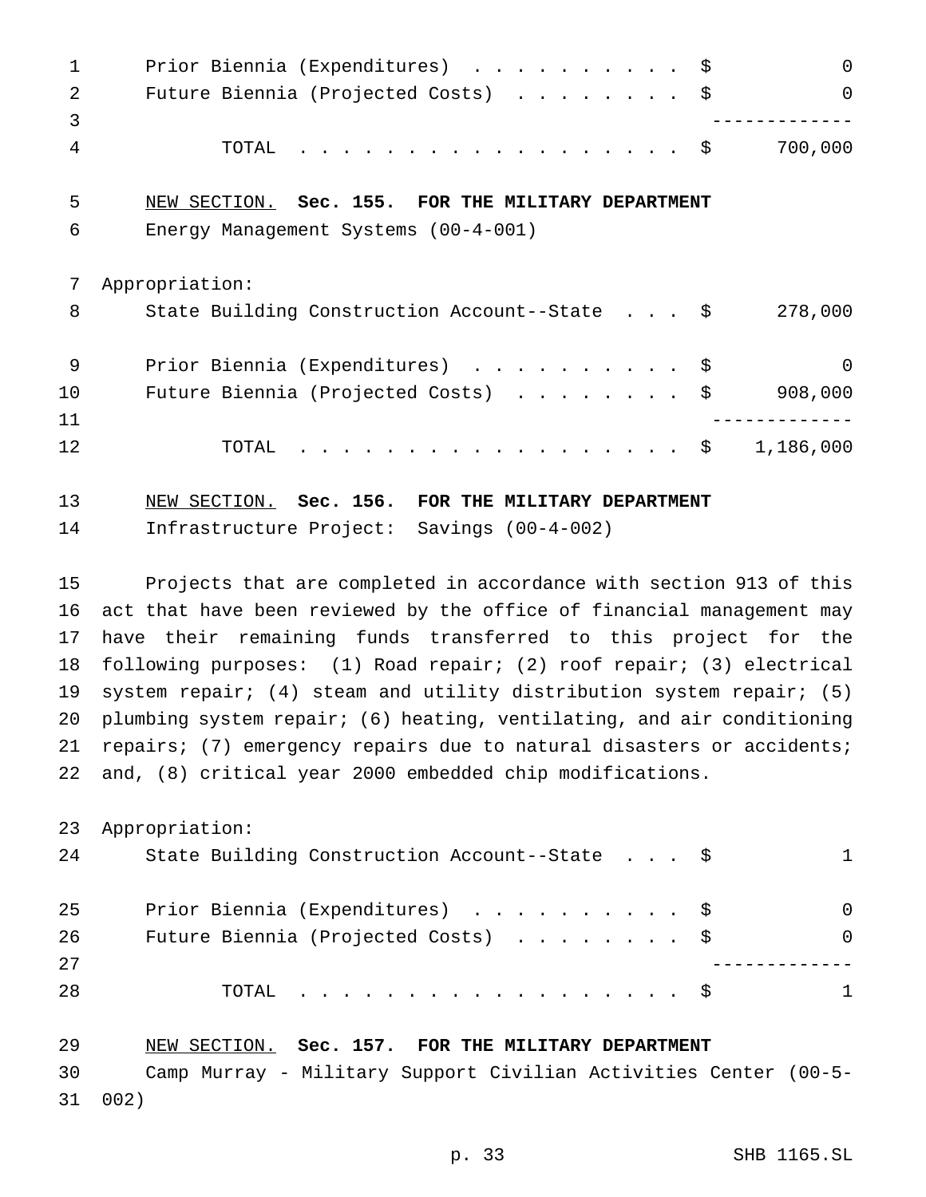1 Prior Biennia (Expenditures) . . . . . . . . . \$ 0 2 Future Biennia (Projected Costs) . . . . . . . \$ 0 ------------- TOTAL .................. \$ 700,000 NEW SECTION. **Sec. 155. FOR THE MILITARY DEPARTMENT** Energy Management Systems (00-4-001) Appropriation: 8 State Building Construction Account--State . . . \$ 278,000 9 Prior Biennia (Expenditures) . . . . . . . . . \$ 0 10 Future Biennia (Projected Costs) . . . . . . . \$ 908,000 ------------- 12 TOTAL . . . . . . . . . . . . . . . . \$ 1,186,000 NEW SECTION. **Sec. 156. FOR THE MILITARY DEPARTMENT** Infrastructure Project: Savings (00-4-002) Projects that are completed in accordance with section 913 of this act that have been reviewed by the office of financial management may have their remaining funds transferred to this project for the following purposes: (1) Road repair; (2) roof repair; (3) electrical system repair; (4) steam and utility distribution system repair; (5) plumbing system repair; (6) heating, ventilating, and air conditioning repairs; (7) emergency repairs due to natural disasters or accidents; and, (8) critical year 2000 embedded chip modifications. Appropriation: 24 State Building Construction Account--State . . . \$ 1 Prior Biennia (Expenditures) .......... \$ 0 Future Biennia (Projected Costs) ........ \$ 0 ------------- TOTAL .................. \$ 1 NEW SECTION. **Sec. 157. FOR THE MILITARY DEPARTMENT**

 Camp Murray - Military Support Civilian Activities Center (00-5- 002)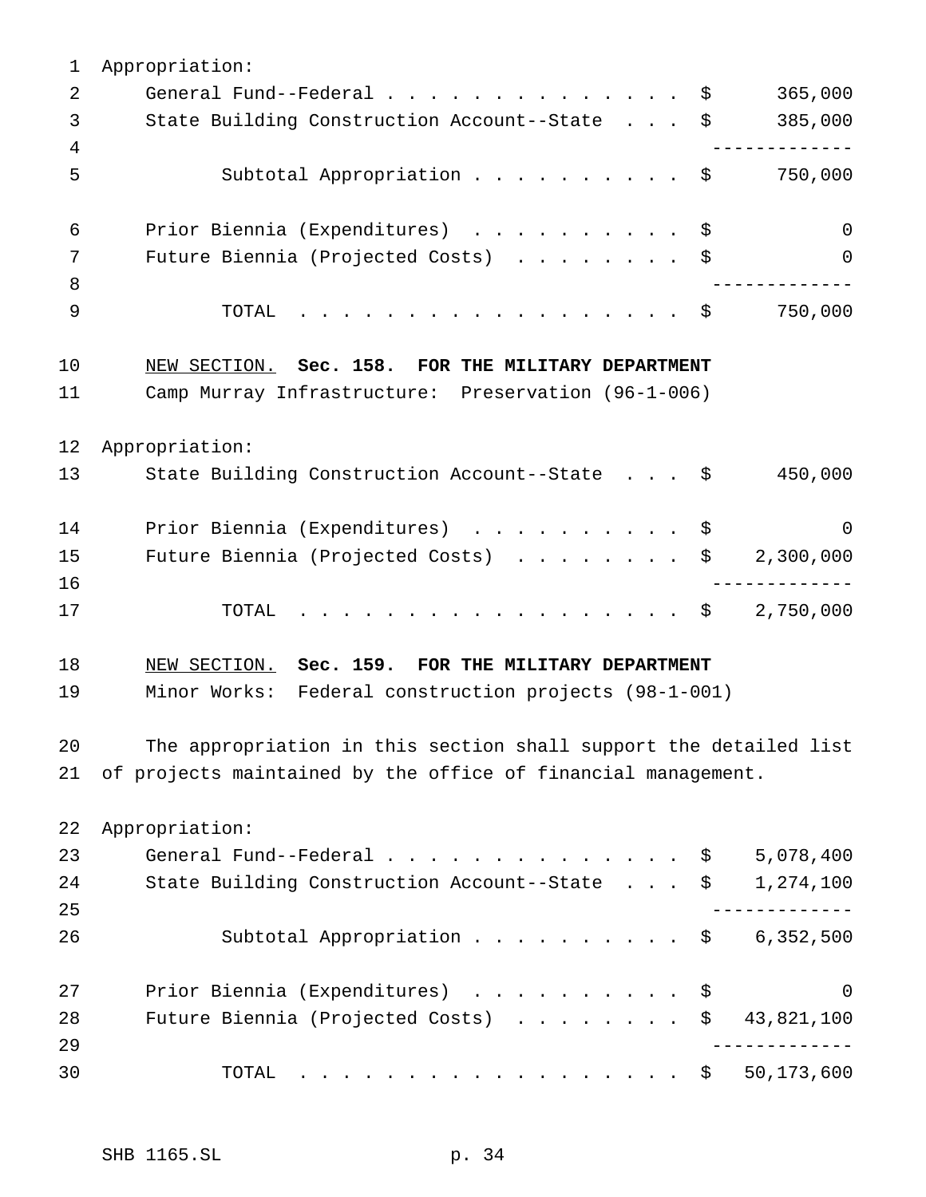| 1  | Appropriation:                                                    |                           |
|----|-------------------------------------------------------------------|---------------------------|
| 2  | General Fund--Federal $\frac{1}{2}$                               | 365,000                   |
| 3  | State Building Construction Account--State \$                     | 385,000                   |
| 4  |                                                                   |                           |
| 5  | Subtotal Appropriation \$                                         | 750,000                   |
| 6  | Prior Biennia (Expenditures) \$                                   | $\mathbf 0$               |
| 7  | Future Biennia (Projected Costs) \$                               | $\overline{0}$            |
| 8  |                                                                   |                           |
| 9  | . \$<br>TOTAL                                                     | 750,000                   |
| 10 | NEW SECTION. Sec. 158. FOR THE MILITARY DEPARTMENT                |                           |
| 11 | Camp Murray Infrastructure: Preservation (96-1-006)               |                           |
| 12 | Appropriation:                                                    |                           |
| 13 | State Building Construction Account--State \$                     | 450,000                   |
| 14 | Prior Biennia (Expenditures) \$                                   | $\overline{0}$            |
| 15 | Future Biennia (Projected Costs) $\ldots$ \$ 2,300,000            |                           |
| 16 |                                                                   | . _ _ _ _ _ _ _ _ _ _ _ _ |
| 17 | $\cdot$ \$ 2,750,000<br>TOTAL                                     |                           |
| 18 | NEW SECTION. Sec. 159. FOR THE MILITARY DEPARTMENT                |                           |
| 19 | Minor Works: Federal construction projects (98-1-001)             |                           |
| 20 | The appropriation in this section shall support the detailed list |                           |
| 21 | of projects maintained by the office of financial management.     |                           |
| 22 | Appropriation:                                                    |                           |
| 23 | General Fund--Federal $\ldots$ \$                                 | 5,078,400                 |
| 24 | State Building Construction Account--State \$                     | 1,274,100                 |
| 25 |                                                                   |                           |
| 26 | Subtotal Appropriation $\ldots$ \$ 6,352,500                      |                           |
| 27 | Prior Biennia (Expenditures)<br>\$                                | $\mathbf 0$               |
| 28 | Future Biennia (Projected Costs)<br>\$                            | 43,821,100                |
| 29 |                                                                   |                           |
| 30 | TOTAL                                                             | 50,173,600                |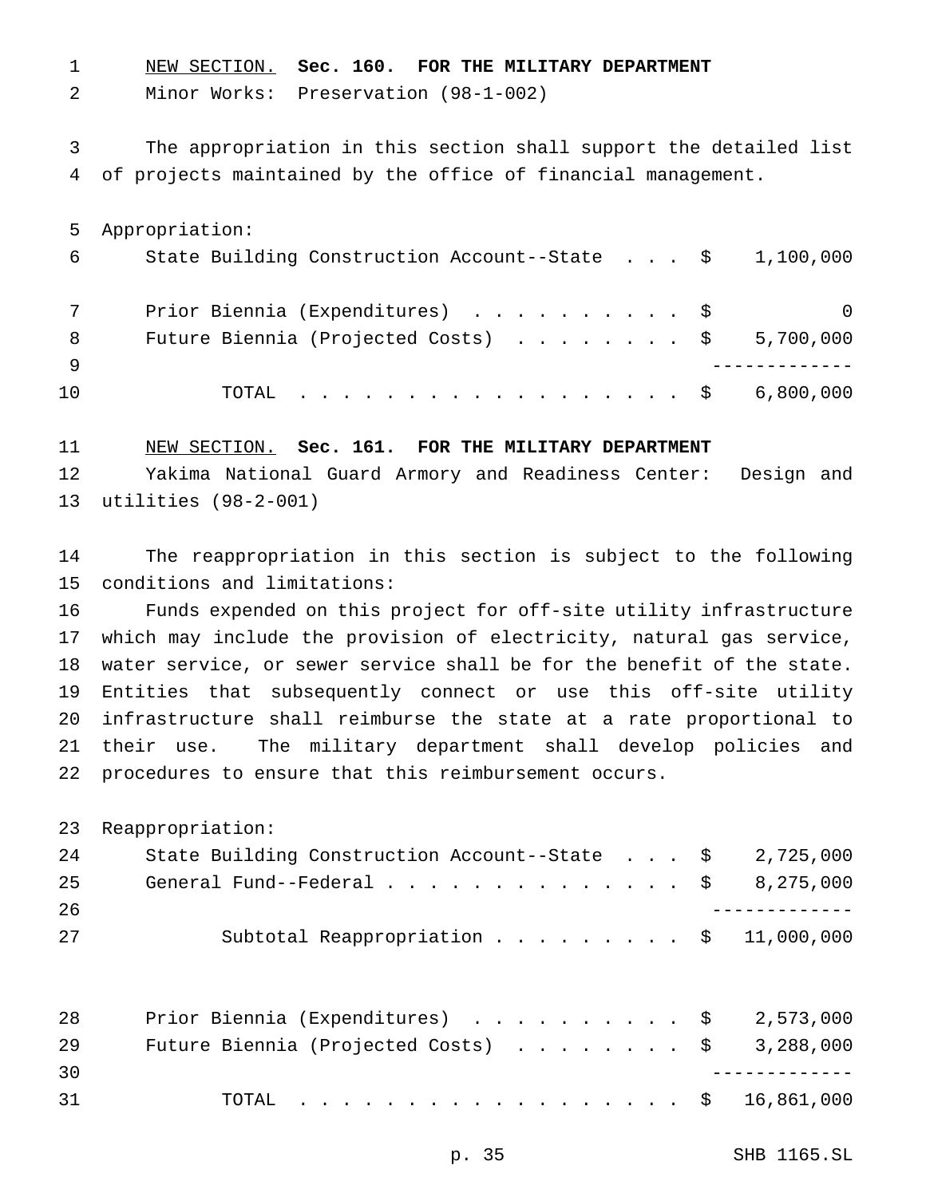NEW SECTION. **Sec. 160. FOR THE MILITARY DEPARTMENT**

Minor Works: Preservation (98-1-002)

 The appropriation in this section shall support the detailed list of projects maintained by the office of financial management.

 Appropriation: State Building Construction Account--State . . . \$ 1,100,000 7 Prior Biennia (Expenditures) . . . . . . . . . \$ 0 8 Future Biennia (Projected Costs) . . . . . . . \$ 5,700,000 ------------- TOTAL .................. \$ 6,800,000

 NEW SECTION. **Sec. 161. FOR THE MILITARY DEPARTMENT** Yakima National Guard Armory and Readiness Center: Design and utilities (98-2-001)

 The reappropriation in this section is subject to the following conditions and limitations:

 Funds expended on this project for off-site utility infrastructure which may include the provision of electricity, natural gas service, water service, or sewer service shall be for the benefit of the state. Entities that subsequently connect or use this off-site utility infrastructure shall reimburse the state at a rate proportional to their use. The military department shall develop policies and procedures to ensure that this reimbursement occurs.

| 24 | State Building Construction Account--State $\frac{1}{2}$ 2,725,000                        |  |  |  |
|----|-------------------------------------------------------------------------------------------|--|--|--|
| 25 | General Fund--Federal $\ldots$ , $\ldots$ , $\ldots$ , $\ldots$ , $\frac{1}{5}$ 8,275,000 |  |  |  |
| 26 |                                                                                           |  |  |  |
| 27 | Subtotal Reappropriation \$ 11,000,000                                                    |  |  |  |

| 28 | Prior Biennia (Expenditures) \$ 2,573,000              |  |
|----|--------------------------------------------------------|--|
| 29 | Future Biennia (Projected Costs) $\ldots$ \$ 3,288,000 |  |
| 30 |                                                        |  |
| 31 | TOTAL \$ 16,861,000                                    |  |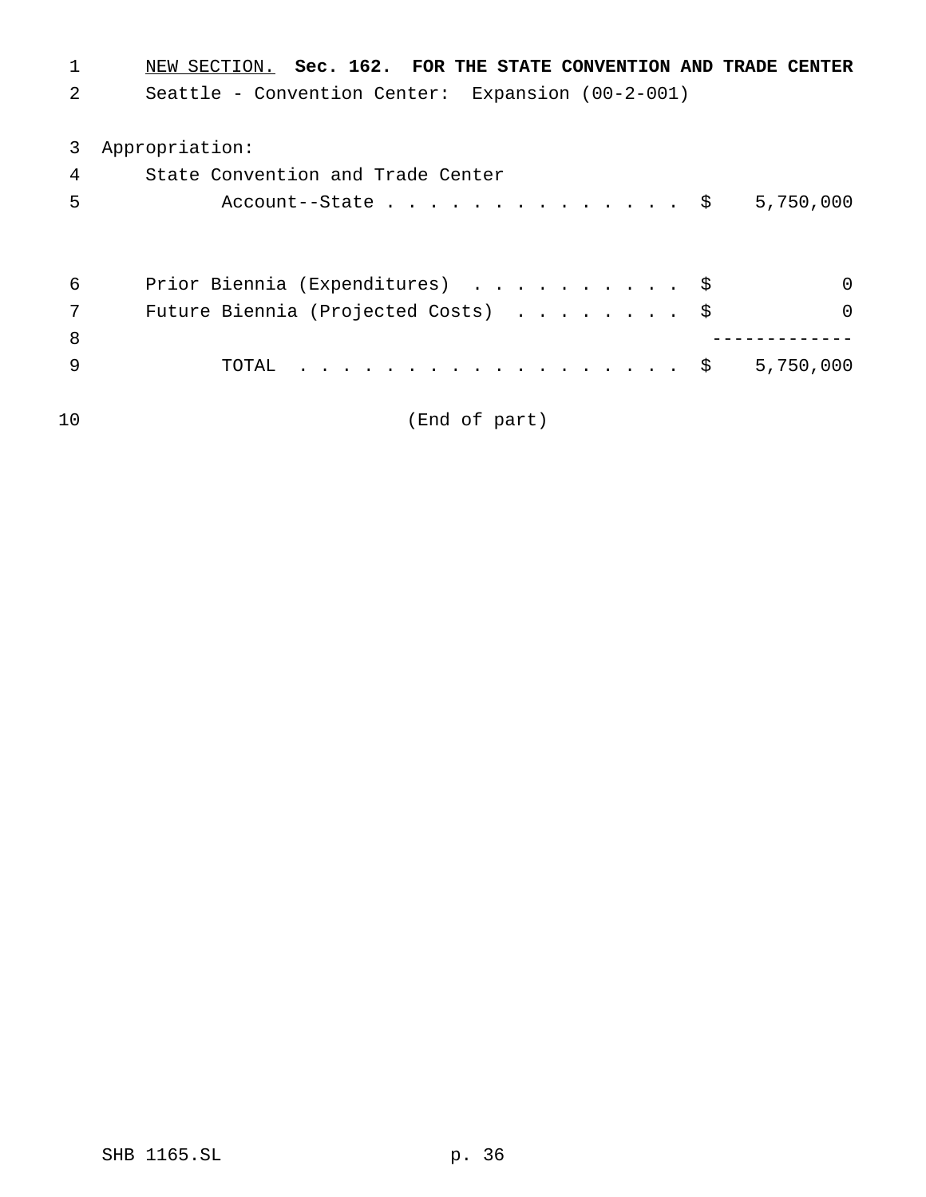| $\mathbf 1$ | NEW SECTION. Sec. 162. FOR THE STATE CONVENTION AND TRADE |
|-------------|-----------------------------------------------------------|
| 2           | Seattle - Convention Center: Expansion (00-2-001)         |
| 3           | Appropriation:                                            |
| 4           | State Convention and Trade Center                         |
| 5           | Account--State $\frac{1}{5}$<br>5,750,000                 |
| 6           | Prior Biennia (Expenditures) \$<br>$\Omega$               |
| 7           | Future Biennia (Projected Costs) \$<br>$\Omega$           |
| 8           |                                                           |
| -9          | . \$<br>5,750,000<br>TOTAL                                |

(End of part)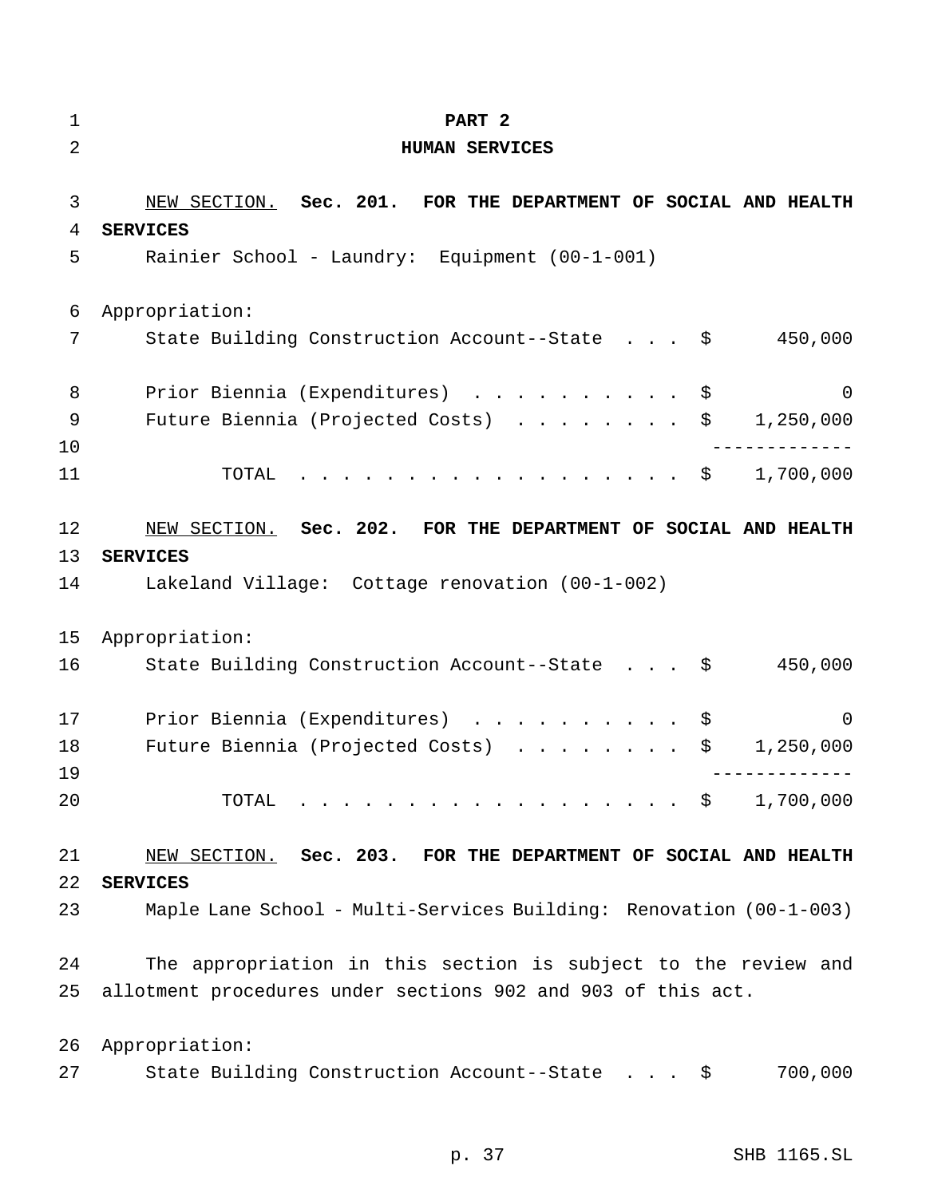| $\mathbf 1$    | PART 2                                                              |
|----------------|---------------------------------------------------------------------|
| $\overline{2}$ | <b>HUMAN SERVICES</b>                                               |
|                |                                                                     |
| 3              | NEW SECTION. Sec. 201. FOR THE DEPARTMENT OF SOCIAL AND HEALTH      |
| 4              | <b>SERVICES</b>                                                     |
| 5              | Rainier School - Laundry: Equipment (00-1-001)                      |
| 6              | Appropriation:                                                      |
| 7              | State Building Construction Account--State \$<br>450,000            |
| 8              | Prior Biennia (Expenditures) \$<br>$\overline{\phantom{0}}$         |
| 9<br>10        | Future Biennia (Projected Costs) $\ldots$ \$ 1,250,000              |
| 11             | . \$<br>1,700,000<br>TOTAL                                          |
| 12             | NEW SECTION. Sec. 202. FOR THE DEPARTMENT OF SOCIAL AND HEALTH      |
| 13             | <b>SERVICES</b>                                                     |
| 14             | Lakeland Village: Cottage renovation (00-1-002)                     |
| 15             | Appropriation:                                                      |
| 16             | State Building Construction Account--State $\frac{1}{2}$<br>450,000 |
| 17             | Prior Biennia (Expenditures)<br>0<br>\$                             |
| 18             | Future Biennia (Projected Costs)<br>\$<br>1,250,000                 |
| 19             |                                                                     |
| 20             | 1,700,000<br>TOTAL<br>. \$                                          |
| 21             | NEW SECTION. Sec. 203. FOR THE DEPARTMENT OF SOCIAL AND HEALTH      |
| 22             | <b>SERVICES</b>                                                     |
| 23             | Maple Lane School - Multi-Services Building: Renovation (00-1-003)  |
| 24             | The appropriation in this section is subject to the review and      |
| 25             | allotment procedures under sections 902 and 903 of this act.        |
| 26             | Appropriation:                                                      |
| 27             | 700,000<br>State Building Construction Account--State $\frac{1}{2}$ |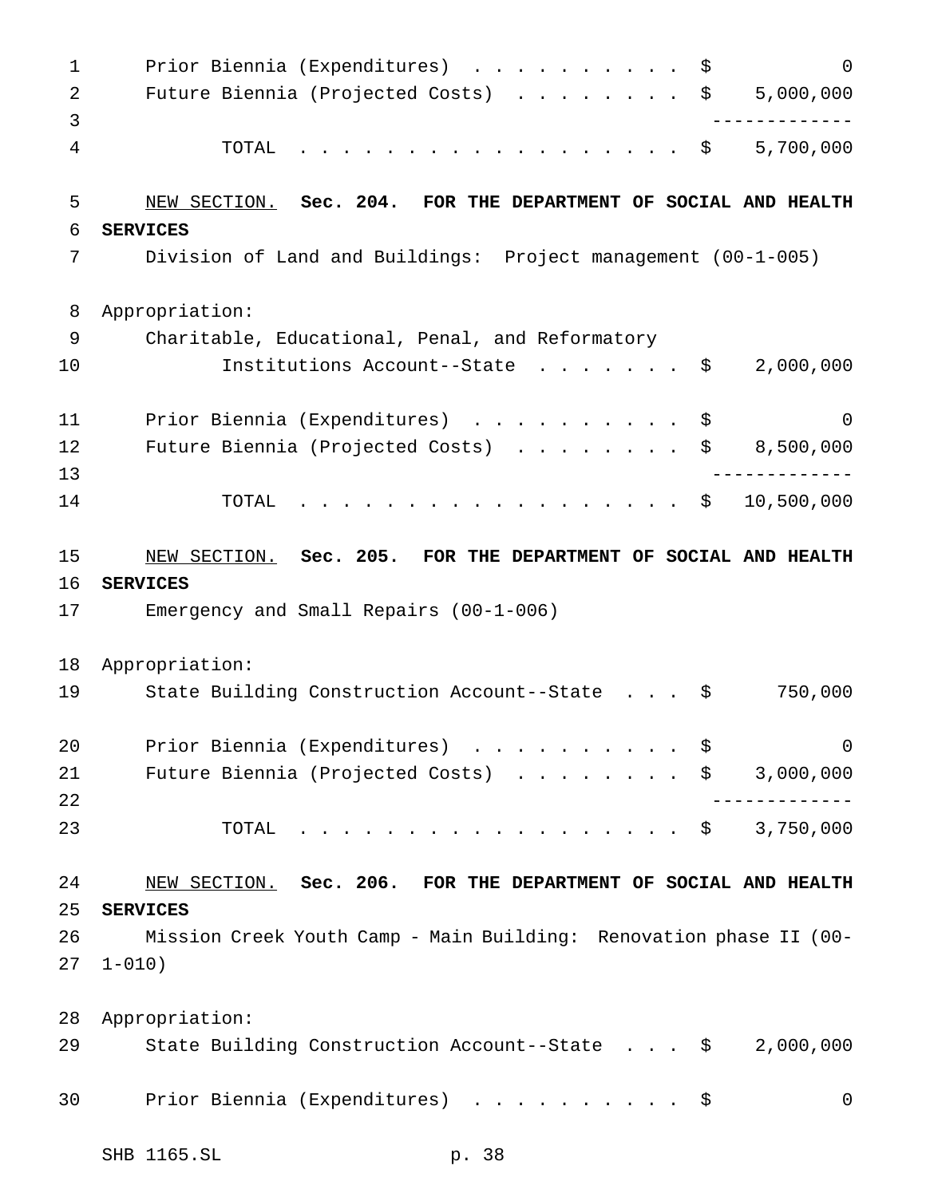1 Prior Biennia (Expenditures) . . . . . . . . . \$ 0 2 Future Biennia (Projected Costs) . . . . . . . \$ 5,000,000 ------------- TOTAL .................. \$ 5,700,000 NEW SECTION. **Sec. 204. FOR THE DEPARTMENT OF SOCIAL AND HEALTH SERVICES** Division of Land and Buildings: Project management (00-1-005) Appropriation: Charitable, Educational, Penal, and Reformatory Institutions Account--State ....... \$ 2,000,000 11 Prior Biennia (Expenditures) ............\$ 0 12 Future Biennia (Projected Costs) . . . . . . . \$ 8,500,000 ------------- TOTAL .................. \$ 10,500,000 NEW SECTION. **Sec. 205. FOR THE DEPARTMENT OF SOCIAL AND HEALTH SERVICES** Emergency and Small Repairs (00-1-006) Appropriation: State Building Construction Account--State . . . \$ 750,000 20 Prior Biennia (Expenditures) . . . . . . . . . \$ 0 21 Future Biennia (Projected Costs) . . . . . . . \$ 3,000,000 ------------- TOTAL .................. \$ 3,750,000 NEW SECTION. **Sec. 206. FOR THE DEPARTMENT OF SOCIAL AND HEALTH SERVICES** Mission Creek Youth Camp - Main Building: Renovation phase II (00- 1-010) Appropriation: State Building Construction Account--State . . . \$ 2,000,000 30 Prior Biennia (Expenditures) . . . . . . . . . \$ 0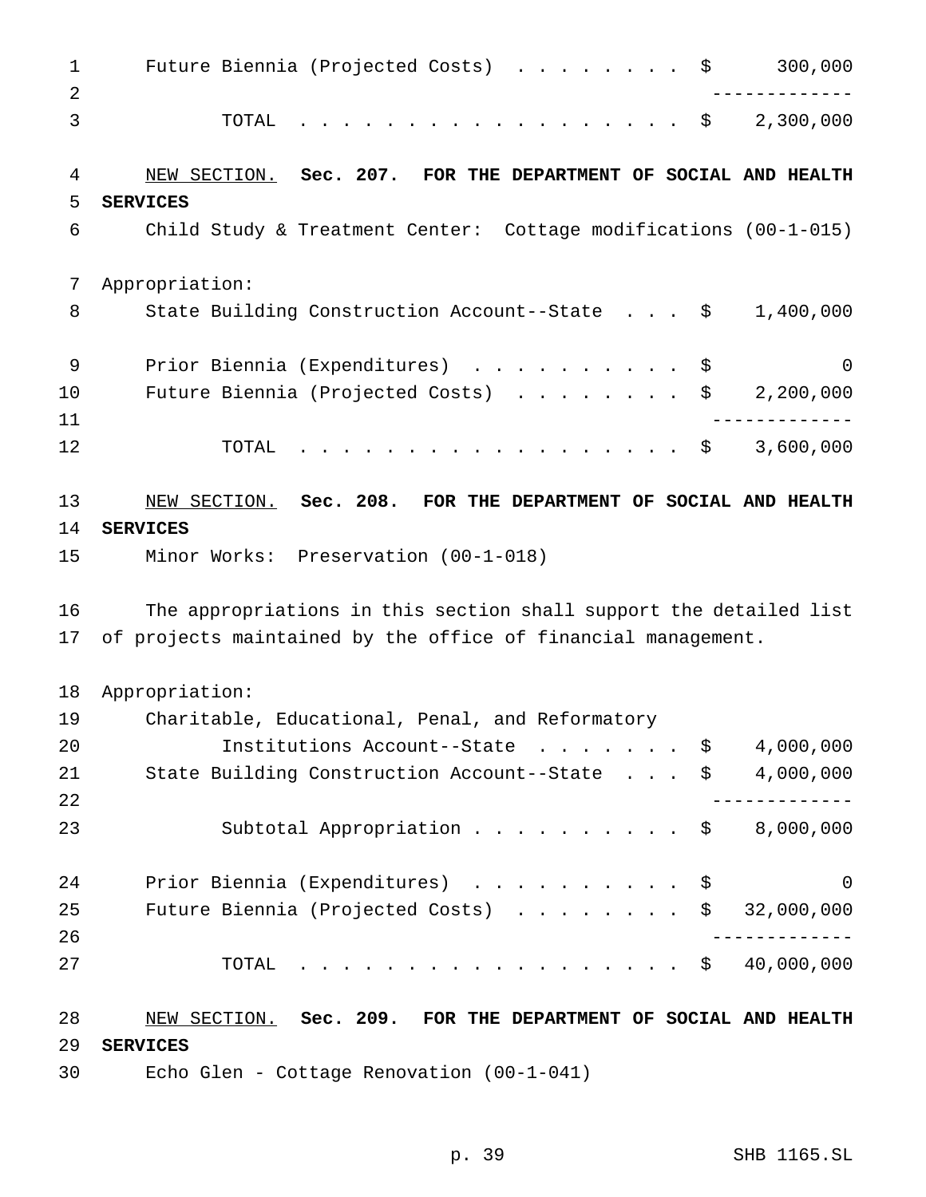1 Future Biennia (Projected Costs) . . . . . . . \$ 300,000 ------------- TOTAL .................. \$ 2,300,000 NEW SECTION. **Sec. 207. FOR THE DEPARTMENT OF SOCIAL AND HEALTH SERVICES** Child Study & Treatment Center: Cottage modifications (00-1-015) Appropriation: 8 State Building Construction Account--State . . . \$ 1,400,000 9 Prior Biennia (Expenditures) . . . . . . . . . \$ 0 Future Biennia (Projected Costs) ........ \$ 2,200,000 ------------- TOTAL .................. \$ 3,600,000 NEW SECTION. **Sec. 208. FOR THE DEPARTMENT OF SOCIAL AND HEALTH SERVICES** Minor Works: Preservation (00-1-018) The appropriations in this section shall support the detailed list of projects maintained by the office of financial management. Appropriation: Charitable, Educational, Penal, and Reformatory Institutions Account--State ....... \$ 4,000,000 State Building Construction Account--State . . . \$ 4,000,000 ------------- Subtotal Appropriation.......... \$ 8,000,000 24 Prior Biennia (Expenditures) . . . . . . . . . \$ 0 Future Biennia (Projected Costs) ........ \$ 32,000,000 ------------- TOTAL .................. \$ 40,000,000 NEW SECTION. **Sec. 209. FOR THE DEPARTMENT OF SOCIAL AND HEALTH SERVICES** Echo Glen - Cottage Renovation (00-1-041)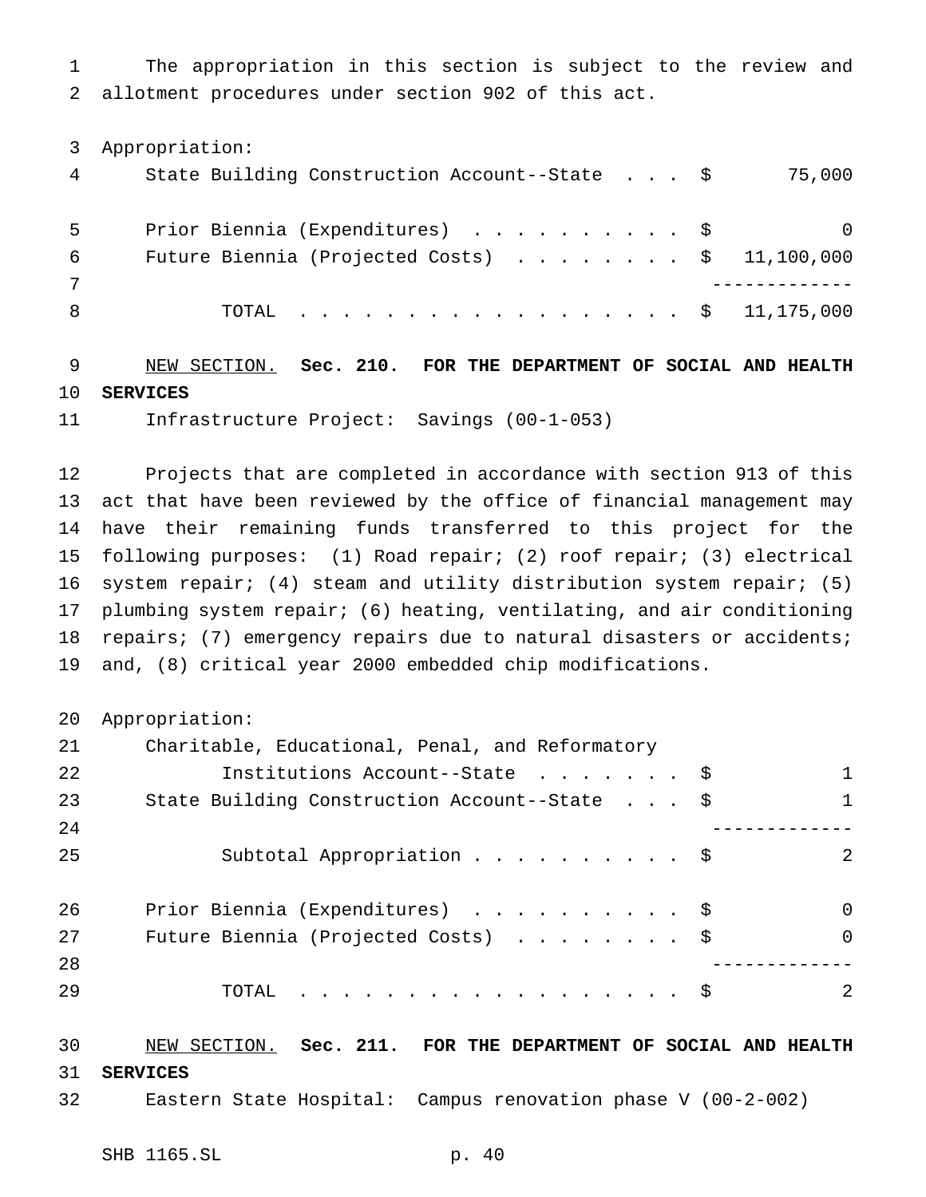The appropriation in this section is subject to the review and allotment procedures under section 902 of this act.

Appropriation:

|   | State Building Construction Account--State \$           | 75,000   |
|---|---------------------------------------------------------|----------|
|   | Prior Biennia (Expenditures) \$                         | $\Omega$ |
| 6 | Future Biennia (Projected Costs) $\ldots$ \$ 11,100,000 |          |
|   |                                                         |          |
|   | TOTAL \$ 11,175,000                                     |          |

 NEW SECTION. **Sec. 210. FOR THE DEPARTMENT OF SOCIAL AND HEALTH SERVICES**

Infrastructure Project: Savings (00-1-053)

 Projects that are completed in accordance with section 913 of this act that have been reviewed by the office of financial management may have their remaining funds transferred to this project for the following purposes: (1) Road repair; (2) roof repair; (3) electrical system repair; (4) steam and utility distribution system repair; (5) plumbing system repair; (6) heating, ventilating, and air conditioning repairs; (7) emergency repairs due to natural disasters or accidents; and, (8) critical year 2000 embedded chip modifications.

```
20 Appropriation:
```

| 21 | Charitable, Educational, Penal, and Reformatory |                |
|----|-------------------------------------------------|----------------|
| 22 | Institutions Account--State \$                  | $\mathbf{1}$   |
| 23 | State Building Construction Account--State \$   | 1              |
| 24 |                                                 |                |
| 25 | Subtotal Appropriation \$                       | -2             |
| 26 | Prior Biennia (Expenditures) \$                 | $\overline{0}$ |
| 27 | Future Biennia (Projected Costs) \$             | $\overline{0}$ |
| 28 |                                                 |                |
| 29 | TOTAL $\frac{1}{5}$                             | 2              |
|    |                                                 |                |

 NEW SECTION. **Sec. 211. FOR THE DEPARTMENT OF SOCIAL AND HEALTH SERVICES**

Eastern State Hospital: Campus renovation phase V (00-2-002)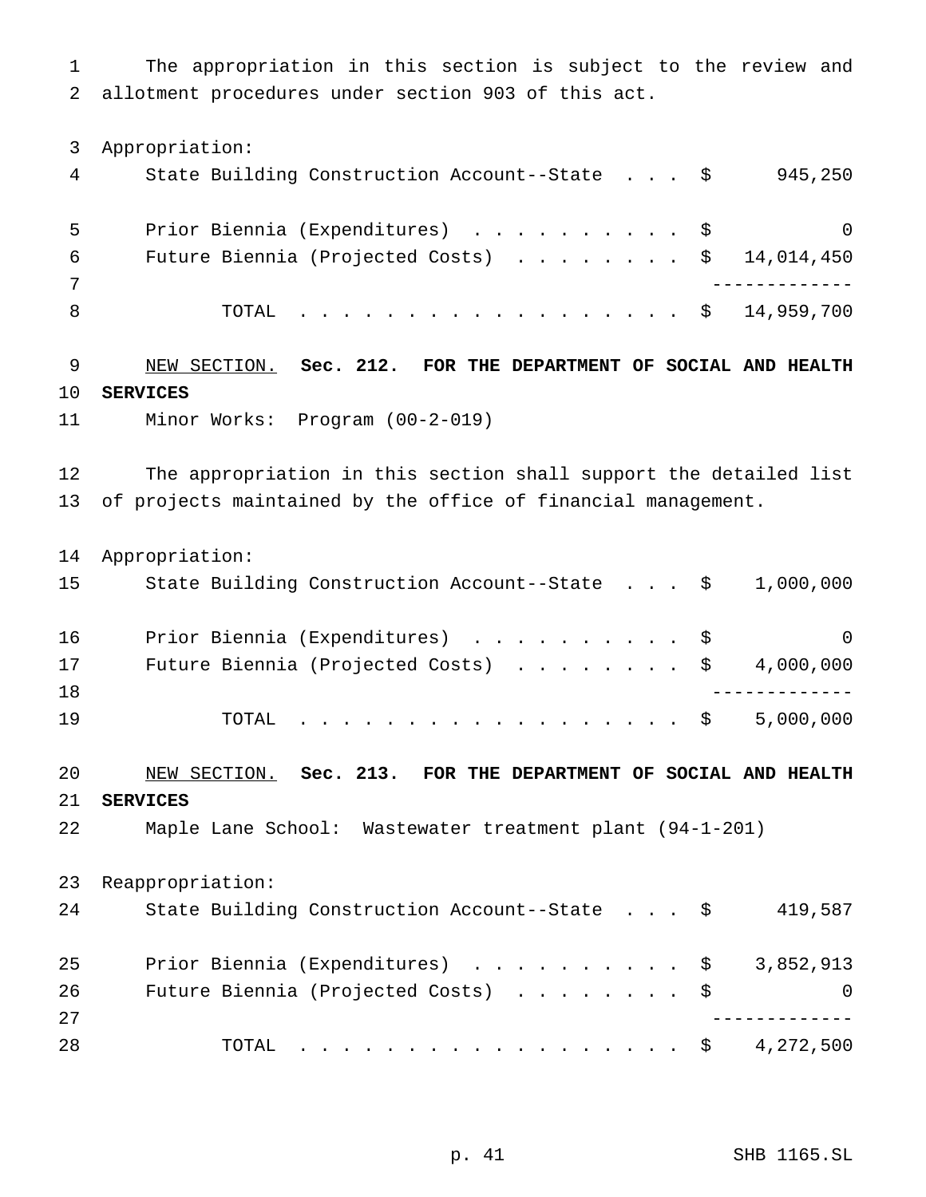The appropriation in this section is subject to the review and allotment procedures under section 903 of this act.

Appropriation:

|   | State Building Construction Account--State \$  | 945,250  |
|---|------------------------------------------------|----------|
|   | Prior Biennia (Expenditures) \$                | $\Omega$ |
| 6 | Future Biennia (Projected Costs) \$ 14,014,450 |          |
|   |                                                |          |
|   | TOTAL \$ 14,959,700                            |          |

 NEW SECTION. **Sec. 212. FOR THE DEPARTMENT OF SOCIAL AND HEALTH SERVICES**

Minor Works: Program (00-2-019)

 The appropriation in this section shall support the detailed list of projects maintained by the office of financial management.

Appropriation:

| 15 | State Building Construction Account--State $\frac{1}{9}$ , 000,000   |  |           |
|----|----------------------------------------------------------------------|--|-----------|
| 16 | Prior Biennia (Expenditures) \$                                      |  | $\Omega$  |
| 17 | Future Biennia (Projected Costs) $\ldots$ \$ 4,000,000               |  |           |
| 18 |                                                                      |  |           |
| 19 | TOTAL $\ldots$ $\Diamond$                                            |  | 5,000,000 |
| 20 | NEW SECTION.<br>Sec. 213.<br>FOR THE DEPARTMENT OF SOCIAL AND HEALTH |  |           |

**SERVICES**

Maple Lane School: Wastewater treatment plant (94-1-201)

 Reappropriation: 24 State Building Construction Account--State . . . \$ 419,587 25 Prior Biennia (Expenditures) . . . . . . . . . \$ 3,852,913 26 Future Biennia (Projected Costs) . . . . . . . \$ 0 ------------- TOTAL .................. \$ 4,272,500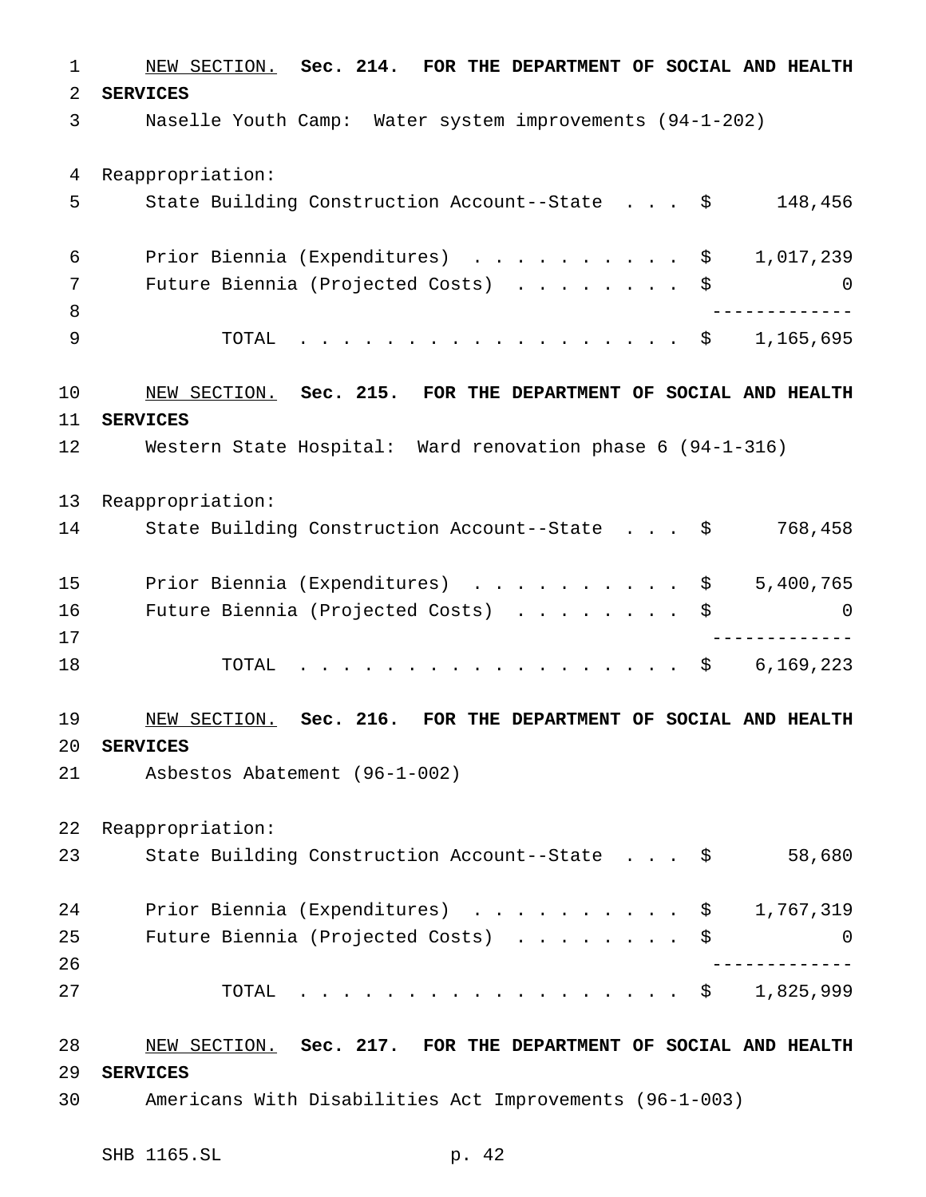NEW SECTION. **Sec. 214. FOR THE DEPARTMENT OF SOCIAL AND HEALTH SERVICES** Naselle Youth Camp: Water system improvements (94-1-202) Reappropriation: State Building Construction Account--State . . . \$ 148,456 Prior Biennia (Expenditures) .......... \$ 1,017,239 Future Biennia (Projected Costs) ........ \$ 0 ------------- 9 TOTAL . . . . . . . . . . . . . . . . \$ 1,165,695 NEW SECTION. **Sec. 215. FOR THE DEPARTMENT OF SOCIAL AND HEALTH SERVICES** Western State Hospital: Ward renovation phase 6 (94-1-316) Reappropriation: 14 State Building Construction Account--State . . . \$ 768,458 15 Prior Biennia (Expenditures) . . . . . . . . . \$ 5,400,765 Future Biennia (Projected Costs) ........ \$ 0 ------------- 18 TOTAL . . . . . . . . . . . . . . . . \$ 6,169,223 NEW SECTION. **Sec. 216. FOR THE DEPARTMENT OF SOCIAL AND HEALTH SERVICES** Asbestos Abatement (96-1-002) Reappropriation: State Building Construction Account--State . . . \$ 58,680 Prior Biennia (Expenditures) .......... \$ 1,767,319 Future Biennia (Projected Costs) ........ \$ 0 ------------- TOTAL .................. \$ 1,825,999 NEW SECTION. **Sec. 217. FOR THE DEPARTMENT OF SOCIAL AND HEALTH SERVICES** Americans With Disabilities Act Improvements (96-1-003)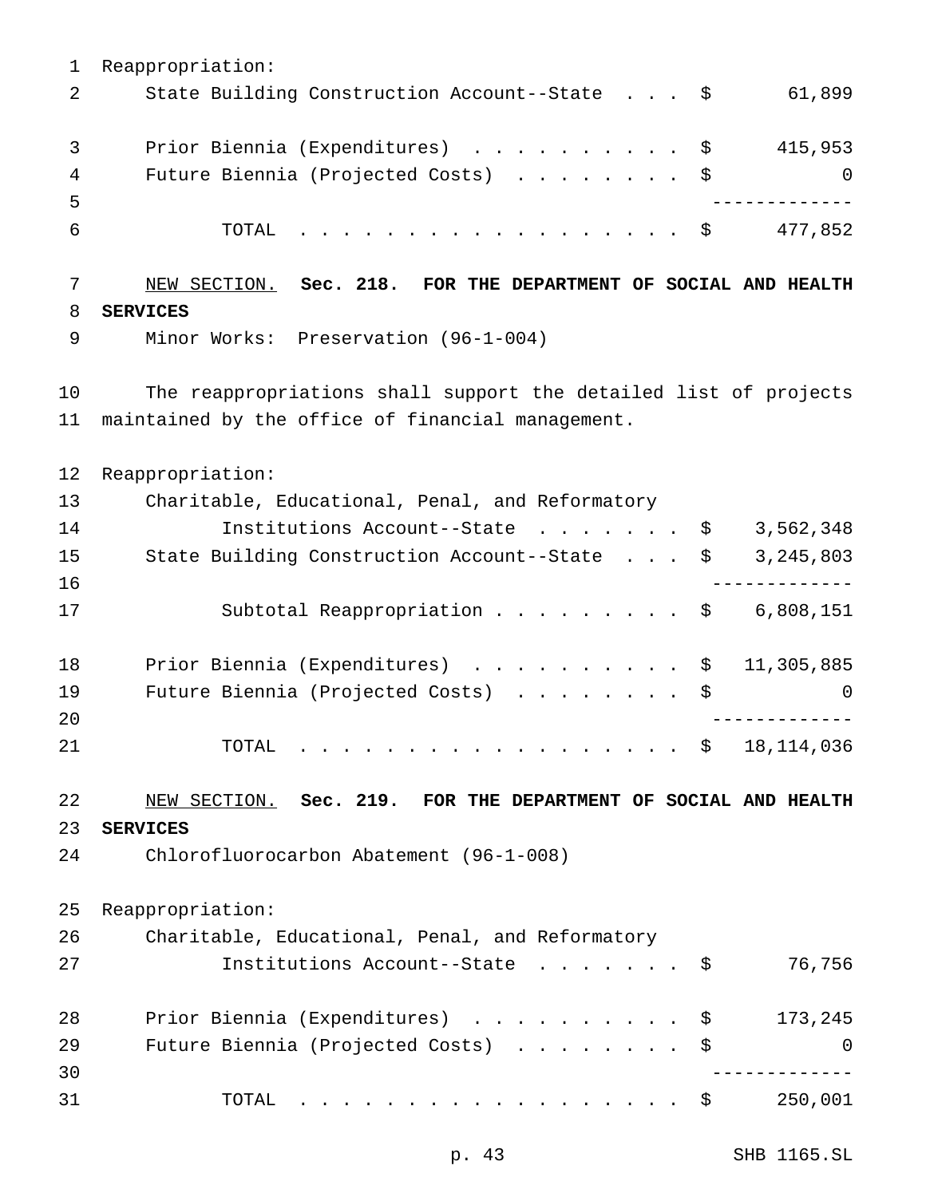Reappropriation: 2 State Building Construction Account--State . . . \$ 61,899 3 Prior Biennia (Expenditures) . . . . . . . . . \$ 415,953 4 Future Biennia (Projected Costs) . . . . . . . \$ 0 ------------- TOTAL .................. \$ 477,852 NEW SECTION. **Sec. 218. FOR THE DEPARTMENT OF SOCIAL AND HEALTH SERVICES** Minor Works: Preservation (96-1-004) The reappropriations shall support the detailed list of projects maintained by the office of financial management. Reappropriation: Charitable, Educational, Penal, and Reformatory 14 Institutions Account--State . . . . . . \$ 3,562,348 State Building Construction Account--State . . . \$ 3,245,803 ------------- 17 Subtotal Reappropriation . . . . . . . . \$ 6,808,151 Prior Biennia (Expenditures) .......... \$ 11,305,885 19 Future Biennia (Projected Costs) . . . . . . . \$ 0 ------------- 21 TOTAL . . . . . . . . . . . . . . . . \$ 18,114,036 NEW SECTION. **Sec. 219. FOR THE DEPARTMENT OF SOCIAL AND HEALTH SERVICES** Chlorofluorocarbon Abatement (96-1-008) Reappropriation: Charitable, Educational, Penal, and Reformatory Institutions Account--State ....... \$ 76,756 Prior Biennia (Expenditures) .......... \$ 173,245 29 Future Biennia (Projected Costs) . . . . . . . \$ 0 ------------- TOTAL .................. \$ 250,001

p. 43 SHB 1165.SL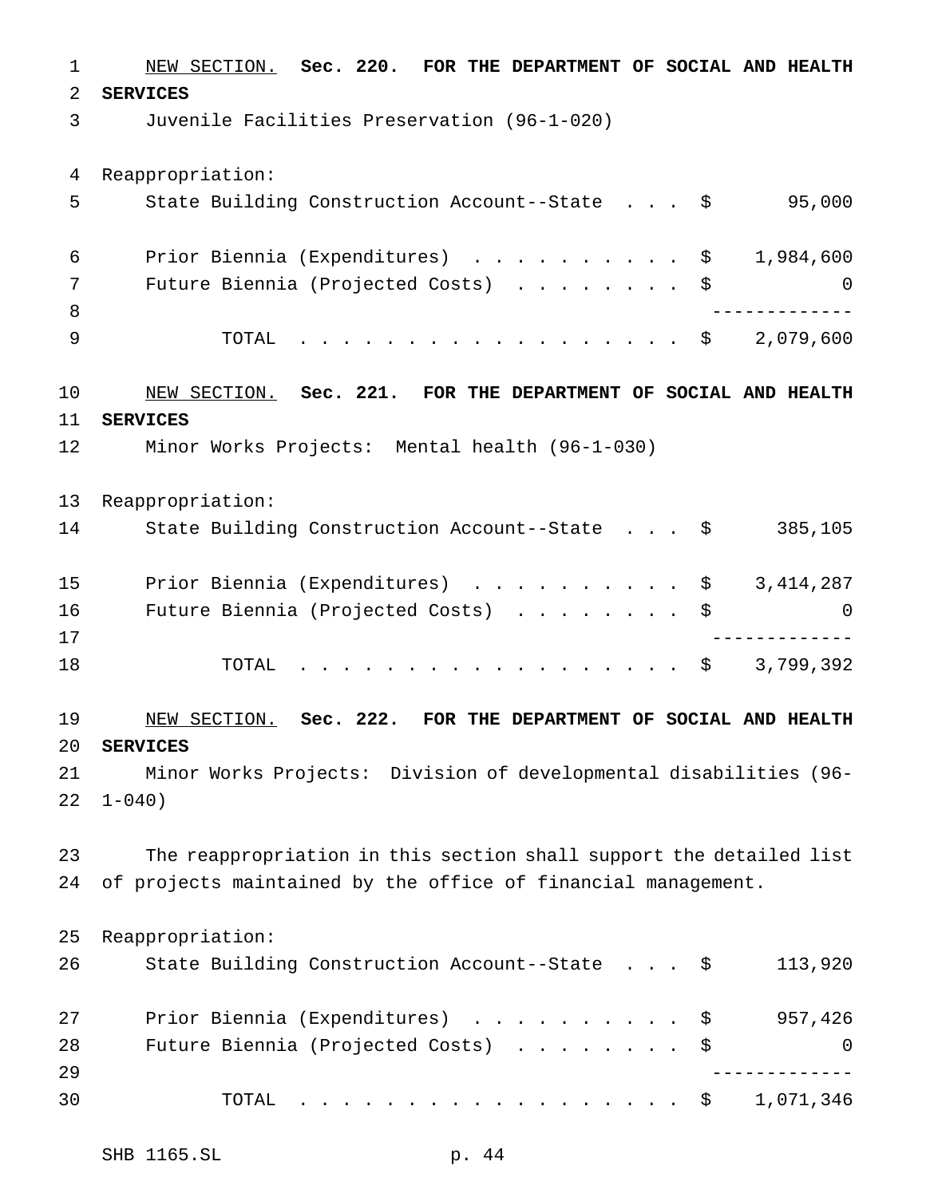NEW SECTION. **Sec. 220. FOR THE DEPARTMENT OF SOCIAL AND HEALTH SERVICES** Juvenile Facilities Preservation (96-1-020) Reappropriation: State Building Construction Account--State . . . \$ 95,000 Prior Biennia (Expenditures) .......... \$ 1,984,600 Future Biennia (Projected Costs) ........ \$ 0 ------------- TOTAL .................. \$ 2,079,600 NEW SECTION. **Sec. 221. FOR THE DEPARTMENT OF SOCIAL AND HEALTH SERVICES** Minor Works Projects: Mental health (96-1-030) Reappropriation: State Building Construction Account--State . . . \$ 385,105 15 Prior Biennia (Expenditures) . . . . . . . . . \$ 3,414,287 Future Biennia (Projected Costs) ........ \$ 0 ------------- 18 TOTAL . . . . . . . . . . . . . . . . \$ 3,799,392 NEW SECTION. **Sec. 222. FOR THE DEPARTMENT OF SOCIAL AND HEALTH SERVICES** Minor Works Projects: Division of developmental disabilities (96-  $22 \quad 1-040$  The reappropriation in this section shall support the detailed list of projects maintained by the office of financial management. Reappropriation: State Building Construction Account--State . . . \$ 113,920 Prior Biennia (Expenditures) .......... \$ 957,426 28 Future Biennia (Projected Costs) . . . . . . . \$ 0 ------------- TOTAL .................. \$ 1,071,346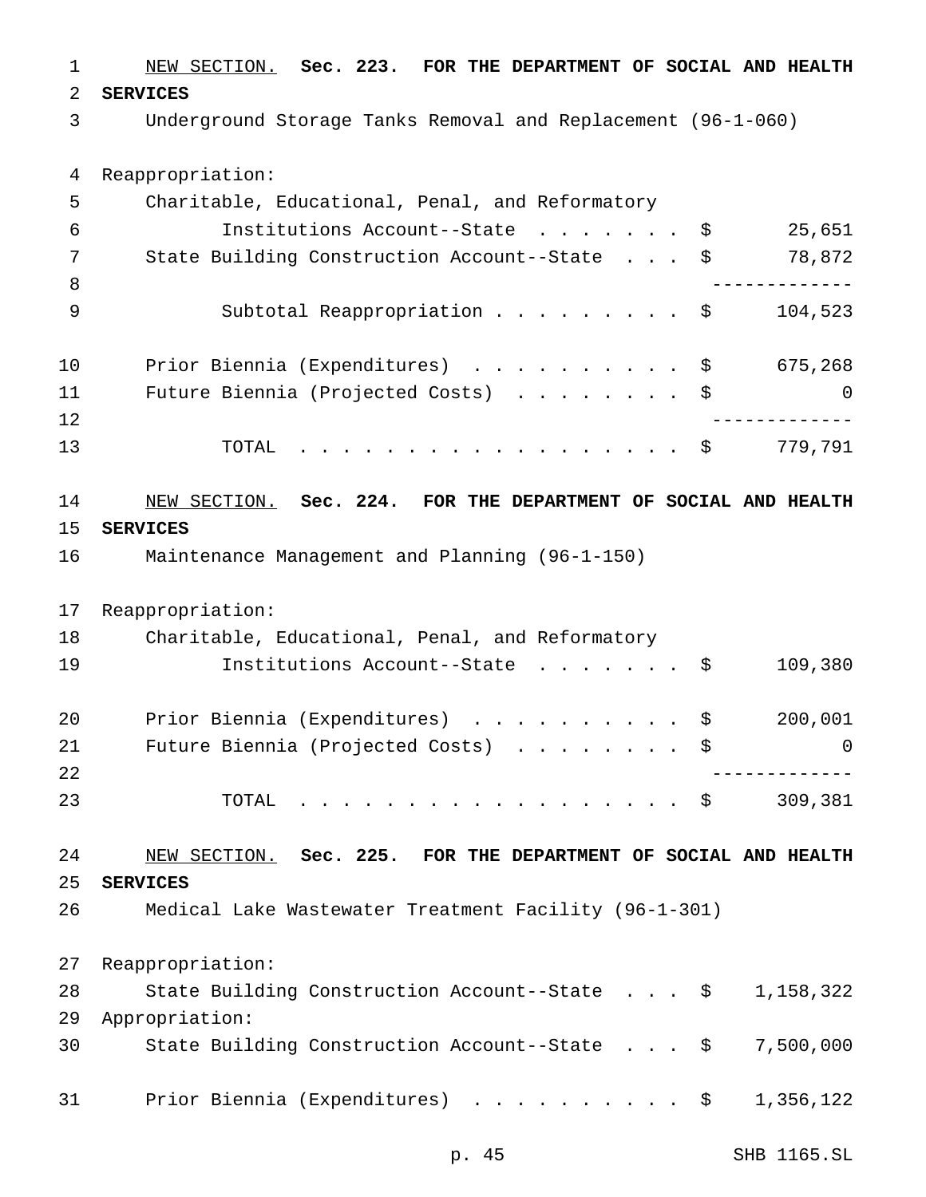NEW SECTION. **Sec. 223. FOR THE DEPARTMENT OF SOCIAL AND HEALTH SERVICES** Underground Storage Tanks Removal and Replacement (96-1-060) Reappropriation: Charitable, Educational, Penal, and Reformatory Institutions Account--State ....... \$ 25,651 State Building Construction Account--State . . . \$ 78,872 ------------- 9 Subtotal Reappropriation ......... \$ 104,523 10 Prior Biennia (Expenditures) . . . . . . . . . \$ 675,268 Future Biennia (Projected Costs) ........ \$ 0 ------------- 13 TOTAL . . . . . . . . . . . . . . . . \$ 779,791 NEW SECTION. **Sec. 224. FOR THE DEPARTMENT OF SOCIAL AND HEALTH SERVICES** Maintenance Management and Planning (96-1-150) Reappropriation: Charitable, Educational, Penal, and Reformatory 19 Institutions Account--State . . . . . . \$ 109,380 Prior Biennia (Expenditures) .......... \$ 200,001 21 Future Biennia (Projected Costs) . . . . . . . \$ 0 ------------- TOTAL .................. \$ 309,381 NEW SECTION. **Sec. 225. FOR THE DEPARTMENT OF SOCIAL AND HEALTH SERVICES** Medical Lake Wastewater Treatment Facility (96-1-301) Reappropriation: State Building Construction Account--State . . . \$ 1,158,322 Appropriation: State Building Construction Account--State . . . \$ 7,500,000 31 Prior Biennia (Expenditures) . . . . . . . . . \$ 1,356,122

p. 45 SHB 1165.SL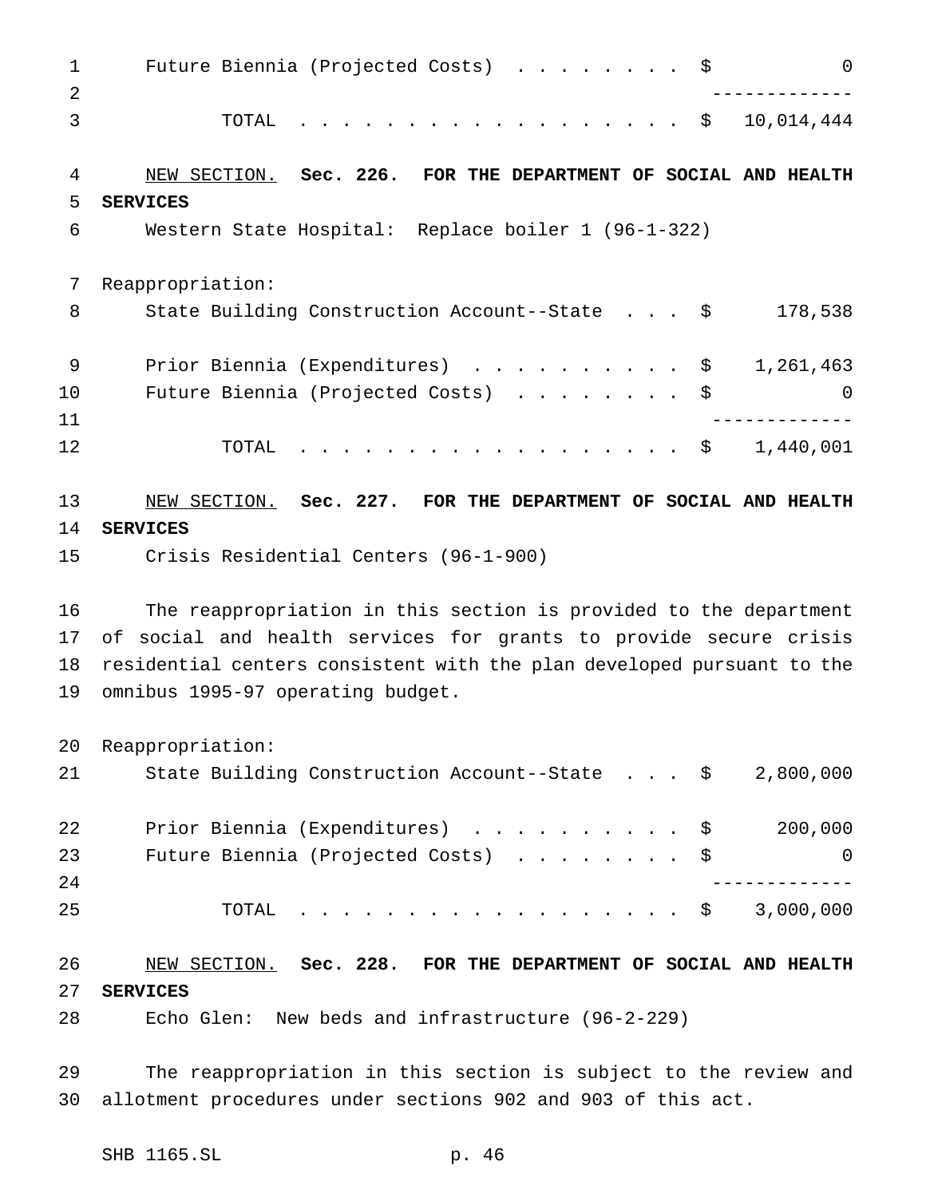Future Biennia (Projected Costs) ........ \$ 0 ------------- TOTAL .................. \$ 10,014,444 NEW SECTION. **Sec. 226. FOR THE DEPARTMENT OF SOCIAL AND HEALTH SERVICES** Western State Hospital: Replace boiler 1 (96-1-322) Reappropriation: 8 State Building Construction Account--State . . . \$ 178,538 9 Prior Biennia (Expenditures) . . . . . . . . . \$ 1,261,463 Future Biennia (Projected Costs) ........ \$ 0 ------------- TOTAL .................. \$ 1,440,001 NEW SECTION. **Sec. 227. FOR THE DEPARTMENT OF SOCIAL AND HEALTH SERVICES** Crisis Residential Centers (96-1-900) The reappropriation in this section is provided to the department of social and health services for grants to provide secure crisis residential centers consistent with the plan developed pursuant to the omnibus 1995-97 operating budget. Reappropriation: State Building Construction Account--State . . . \$ 2,800,000 22 Prior Biennia (Expenditures) . . . . . . . . . \$ 200,000 23 Future Biennia (Projected Costs) . . . . . . . \$ 0 ------------- TOTAL .................. \$ 3,000,000 NEW SECTION. **Sec. 228. FOR THE DEPARTMENT OF SOCIAL AND HEALTH SERVICES**

Echo Glen: New beds and infrastructure (96-2-229)

 The reappropriation in this section is subject to the review and allotment procedures under sections 902 and 903 of this act.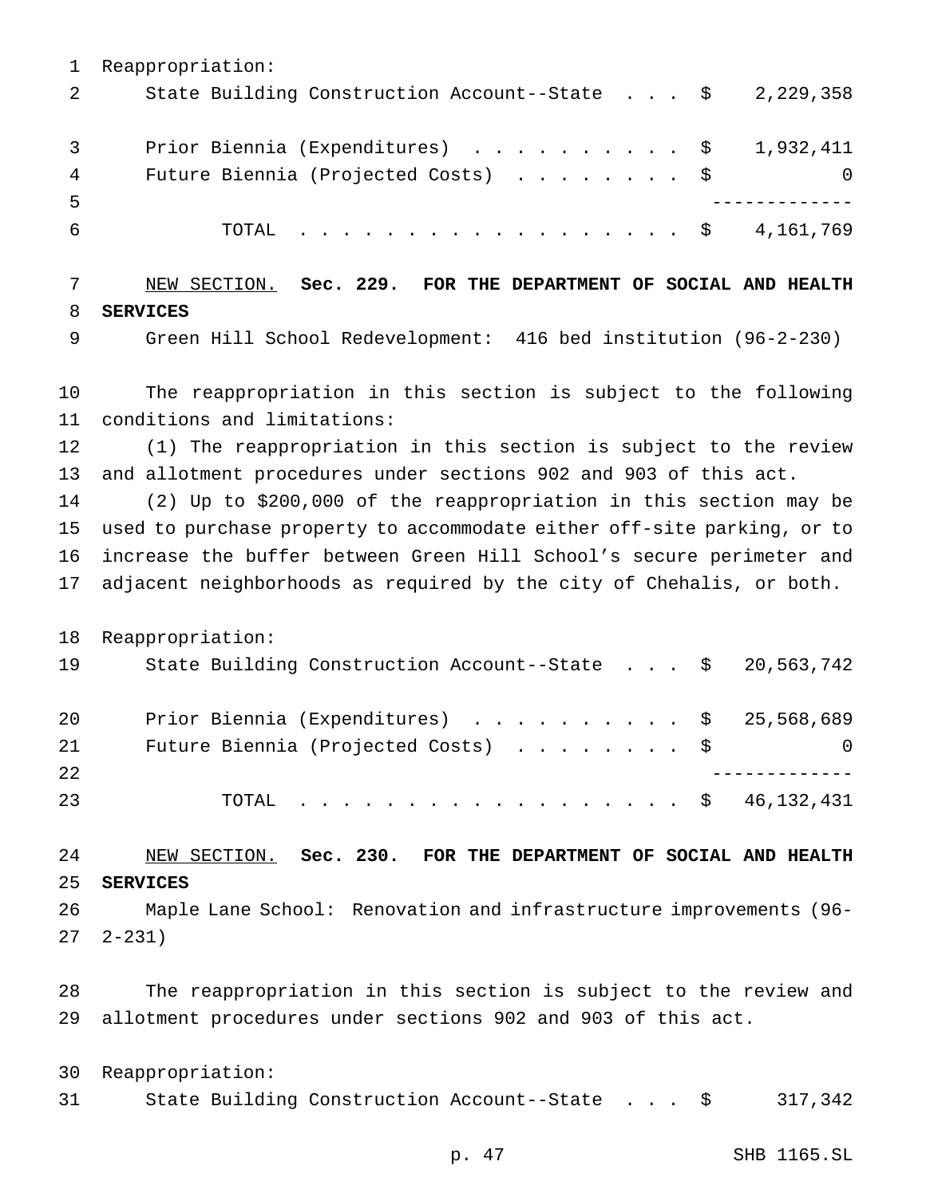Reappropriation: 2 State Building Construction Account--State . . . \$ 2,229,358 3 Prior Biennia (Expenditures) . . . . . . . . . \$ 1,932,411 4 Future Biennia (Projected Costs) . . . . . . . \$ 0 ------------- TOTAL .................. \$ 4,161,769 NEW SECTION. **Sec. 229. FOR THE DEPARTMENT OF SOCIAL AND HEALTH SERVICES** Green Hill School Redevelopment: 416 bed institution (96-2-230) The reappropriation in this section is subject to the following conditions and limitations: (1) The reappropriation in this section is subject to the review and allotment procedures under sections 902 and 903 of this act. (2) Up to \$200,000 of the reappropriation in this section may be used to purchase property to accommodate either off-site parking, or to increase the buffer between Green Hill School's secure perimeter and adjacent neighborhoods as required by the city of Chehalis, or both. Reappropriation: State Building Construction Account--State . . . \$ 20,563,742 Prior Biennia (Expenditures) .......... \$ 25,568,689 21 Future Biennia (Projected Costs) . . . . . . . \$ 0 ------------- TOTAL .................. \$ 46,132,431 NEW SECTION. **Sec. 230. FOR THE DEPARTMENT OF SOCIAL AND HEALTH SERVICES** Maple Lane School: Renovation and infrastructure improvements (96- 2-231) The reappropriation in this section is subject to the review and allotment procedures under sections 902 and 903 of this act. Reappropriation:

State Building Construction Account--State . . . \$ 317,342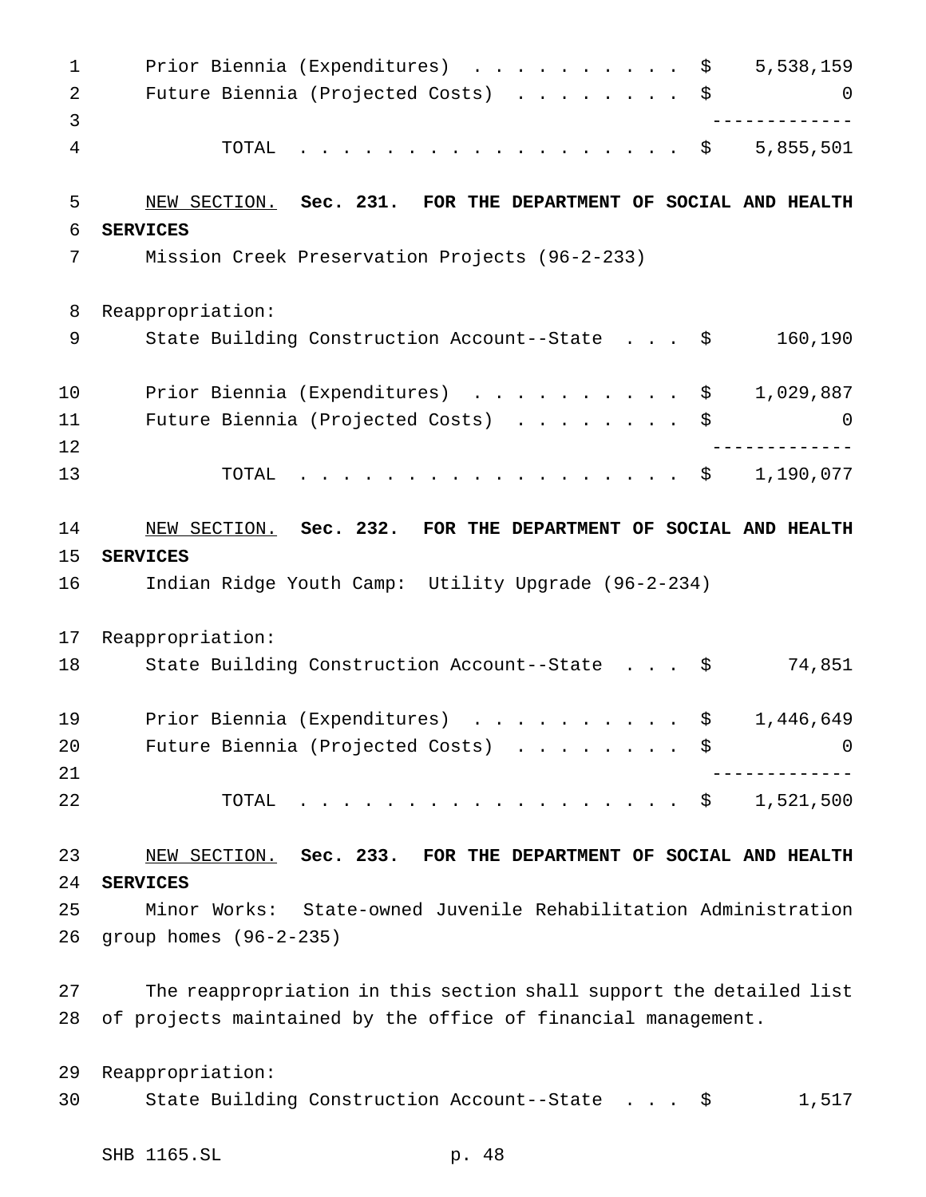1 Prior Biennia (Expenditures) . . . . . . . . . \$ 5,538,159 2 Future Biennia (Projected Costs) . . . . . . . \$ 0 ------------- TOTAL .................. \$ 5,855,501 NEW SECTION. **Sec. 231. FOR THE DEPARTMENT OF SOCIAL AND HEALTH SERVICES** Mission Creek Preservation Projects (96-2-233) Reappropriation: State Building Construction Account--State . . . \$ 160,190 10 Prior Biennia (Expenditures) . . . . . . . . . \$ 1,029,887 Future Biennia (Projected Costs) ........ \$ 0 ------------- TOTAL .................. \$ 1,190,077 NEW SECTION. **Sec. 232. FOR THE DEPARTMENT OF SOCIAL AND HEALTH SERVICES** Indian Ridge Youth Camp: Utility Upgrade (96-2-234) Reappropriation: 18 State Building Construction Account--State . . . \$ 74,851 19 Prior Biennia (Expenditures) . . . . . . . . . \$ 1,446,649 20 Future Biennia (Projected Costs) . . . . . . . \$ 0 ------------- TOTAL .................. \$ 1,521,500 NEW SECTION. **Sec. 233. FOR THE DEPARTMENT OF SOCIAL AND HEALTH SERVICES** Minor Works: State-owned Juvenile Rehabilitation Administration group homes (96-2-235) The reappropriation in this section shall support the detailed list of projects maintained by the office of financial management. Reappropriation: State Building Construction Account--State . . . \$ 1,517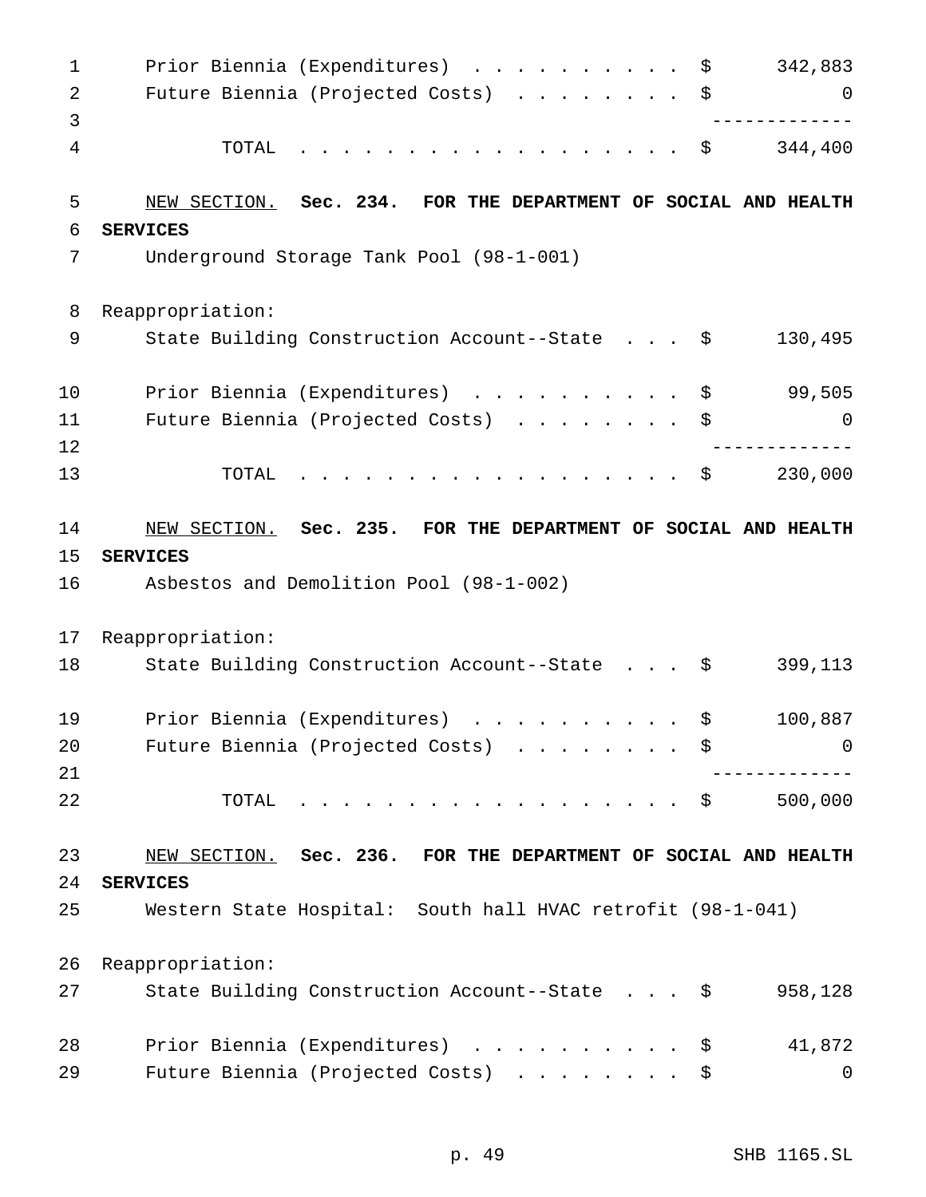| $\mathbf 1$ | Prior Biennia (Expenditures)<br>\$                             | 342,883        |
|-------------|----------------------------------------------------------------|----------------|
| 2           | Future Biennia (Projected Costs)<br>\$                         | 0              |
| 3           |                                                                |                |
| 4           | TOTAL<br>.<br>\$                                               | 344,400        |
| 5           | NEW SECTION. Sec. 234. FOR THE DEPARTMENT OF SOCIAL AND HEALTH |                |
| 6           | <b>SERVICES</b>                                                |                |
| 7           | Underground Storage Tank Pool (98-1-001)                       |                |
| 8           | Reappropriation:                                               |                |
| 9           | State Building Construction Account--State \$                  | 130,495        |
| 10          | Prior Biennia (Expenditures)<br>\$                             | 99,505         |
| 11          | Future Biennia (Projected Costs)<br>\$                         | 0              |
| 12          |                                                                |                |
| 13          | .<br>TOTAL<br>\$                                               | 230,000        |
| 14          | NEW SECTION. Sec. 235. FOR THE DEPARTMENT OF SOCIAL AND HEALTH |                |
| 15          | <b>SERVICES</b>                                                |                |
| 16          | Asbestos and Demolition Pool (98-1-002)                        |                |
|             |                                                                |                |
| 17          | Reappropriation:                                               |                |
| 18          |                                                                | 399,113        |
|             | State Building Construction Account--State \$                  |                |
| 19          | Prior Biennia (Expenditures)<br>\$<br>.                        | 100,887        |
| 20          | Future Biennia (Projected Costs) \$                            | $\overline{0}$ |
| 21          |                                                                |                |
| 22          | TOTAL<br>. \$                                                  | 500,000        |
| 23          | NEW SECTION. Sec. 236. FOR THE DEPARTMENT OF SOCIAL AND HEALTH |                |
| 24          | <b>SERVICES</b>                                                |                |
| 25          | Western State Hospital: South hall HVAC retrofit (98-1-041)    |                |
| 26          | Reappropriation:                                               |                |
| 27          | State Building Construction Account--State \$                  | 958,128        |
| 28          | Prior Biennia (Expenditures) \$                                | 41,872         |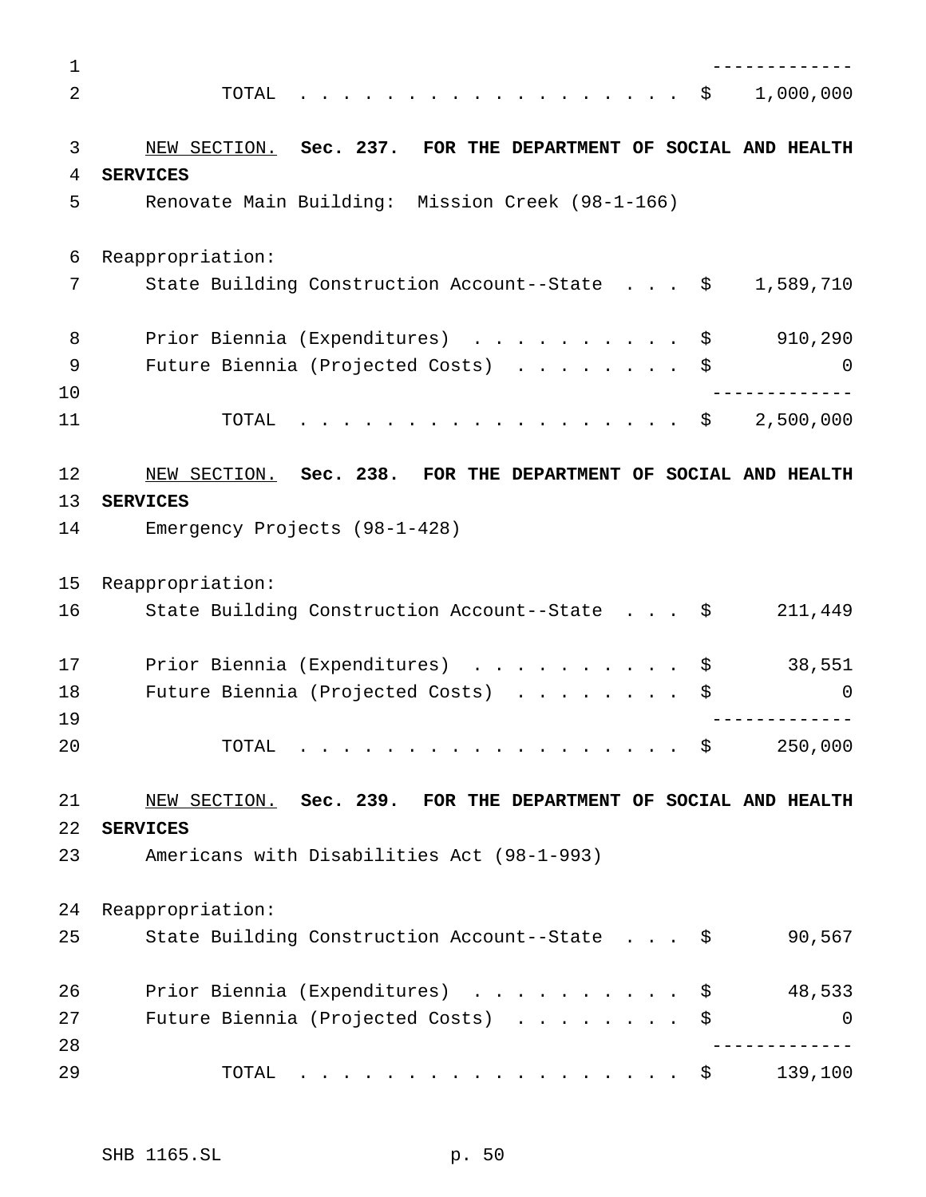| $\mathbf 1$ |                                                                                          |           |
|-------------|------------------------------------------------------------------------------------------|-----------|
| 2           | TOTAL<br>\$<br>$\frac{1}{2}$                                                             | 1,000,000 |
|             |                                                                                          |           |
| 3           | NEW SECTION. Sec. 237. FOR THE DEPARTMENT OF SOCIAL AND HEALTH                           |           |
| 4           | <b>SERVICES</b>                                                                          |           |
| 5           | Renovate Main Building: Mission Creek (98-1-166)                                         |           |
| 6           | Reappropriation:                                                                         |           |
| 7           | State Building Construction Account--State \$                                            | 1,589,710 |
| 8           | Prior Biennia (Expenditures) \$                                                          | 910,290   |
| 9           | Future Biennia (Projected Costs)<br>\$                                                   | 0         |
| 10          |                                                                                          |           |
| 11          | $\frac{1}{2}$<br>TOTAL<br>- \$                                                           | 2,500,000 |
| 12          | NEW SECTION. Sec. 238. FOR THE DEPARTMENT OF SOCIAL AND HEALTH                           |           |
| 13          | <b>SERVICES</b>                                                                          |           |
| 14          | Emergency Projects (98-1-428)                                                            |           |
| 15          | Reappropriation:                                                                         |           |
| 16          | State Building Construction Account--State \$                                            | 211,449   |
| 17          | Prior Biennia (Expenditures)<br>$\mathbf{r}$ . The state of the state $\mathbf{r}$<br>\$ | 38,551    |
| 18          | Future Biennia (Projected Costs)<br>\$                                                   | $\Omega$  |
| 19          |                                                                                          |           |
| 20          | TOTAL<br>- \$<br>.                                                                       | 250,000   |
| 21          | NEW SECTION. Sec. 239. FOR THE DEPARTMENT OF SOCIAL AND HEALTH                           |           |
| 22          | <b>SERVICES</b>                                                                          |           |
| 23          | Americans with Disabilities Act (98-1-993)                                               |           |
| 24          | Reappropriation:                                                                         |           |
| 25          | State Building Construction Account--State \$                                            | 90,567    |
| 26          | Prior Biennia (Expenditures) \$                                                          | 48,533    |
| 27          | Future Biennia (Projected Costs)<br>\$                                                   | 0         |
| 28          |                                                                                          |           |
| 29          | TOTAL<br>. \$                                                                            | 139,100   |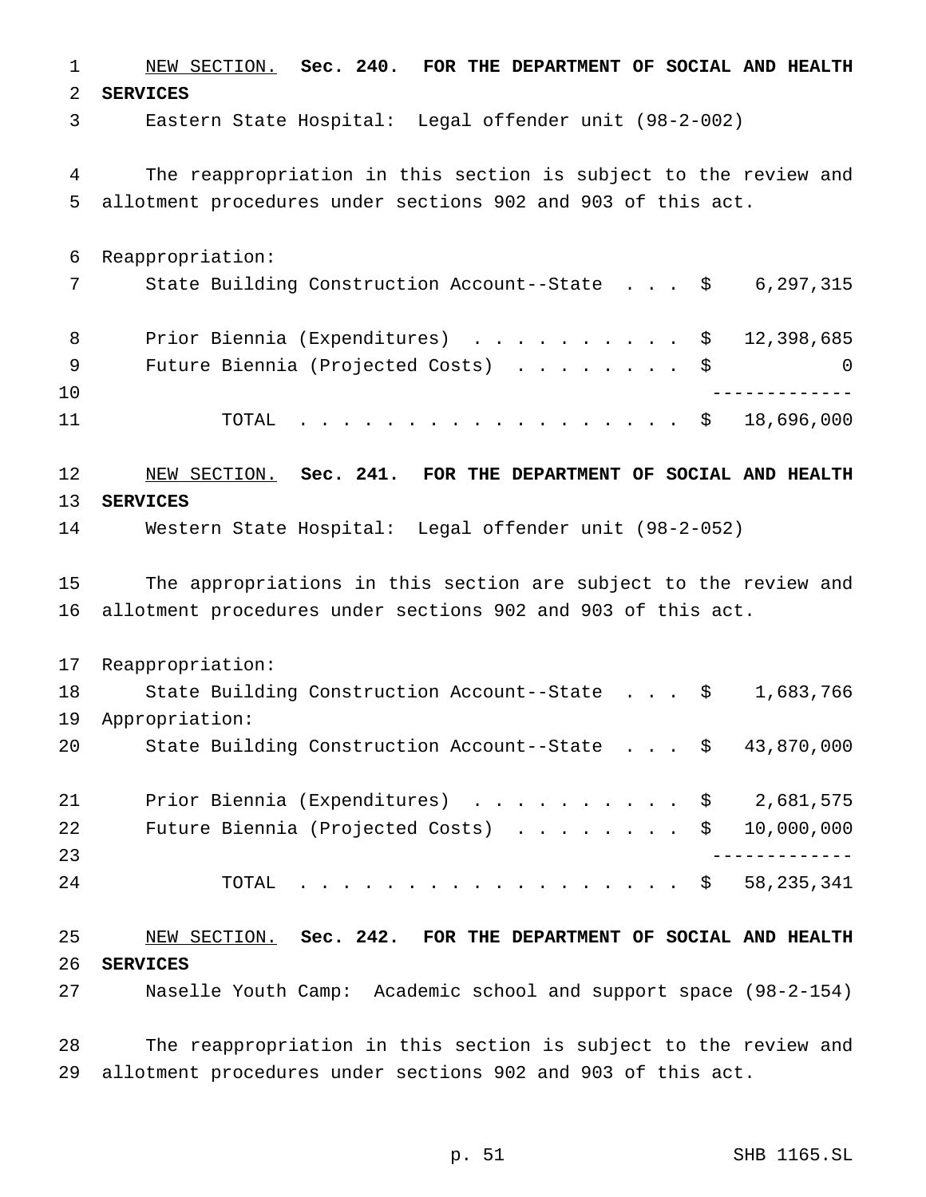NEW SECTION. **Sec. 240. FOR THE DEPARTMENT OF SOCIAL AND HEALTH SERVICES** Eastern State Hospital: Legal offender unit (98-2-002) The reappropriation in this section is subject to the review and allotment procedures under sections 902 and 903 of this act. Reappropriation: 7 State Building Construction Account--State . . . \$ 6,297,315 8 Prior Biennia (Expenditures) . . . . . . . . . \$ 12,398,685 9 Future Biennia (Projected Costs) . . . . . . . \$ 0 ------------- TOTAL .................. \$ 18,696,000 NEW SECTION. **Sec. 241. FOR THE DEPARTMENT OF SOCIAL AND HEALTH SERVICES** Western State Hospital: Legal offender unit (98-2-052) The appropriations in this section are subject to the review and allotment procedures under sections 902 and 903 of this act. Reappropriation: 18 State Building Construction Account--State . . . \$ 1,683,766 Appropriation: State Building Construction Account--State . . . \$ 43,870,000 21 Prior Biennia (Expenditures) . . . . . . . . . \$ 2,681,575 22 Future Biennia (Projected Costs) . . . . . . . \$ 10,000,000 ------------- 24 TOTAL . . . . . . . . . . . . . . . . \$ 58,235,341 NEW SECTION. **Sec. 242. FOR THE DEPARTMENT OF SOCIAL AND HEALTH SERVICES** Naselle Youth Camp: Academic school and support space (98-2-154)

 The reappropriation in this section is subject to the review and allotment procedures under sections 902 and 903 of this act.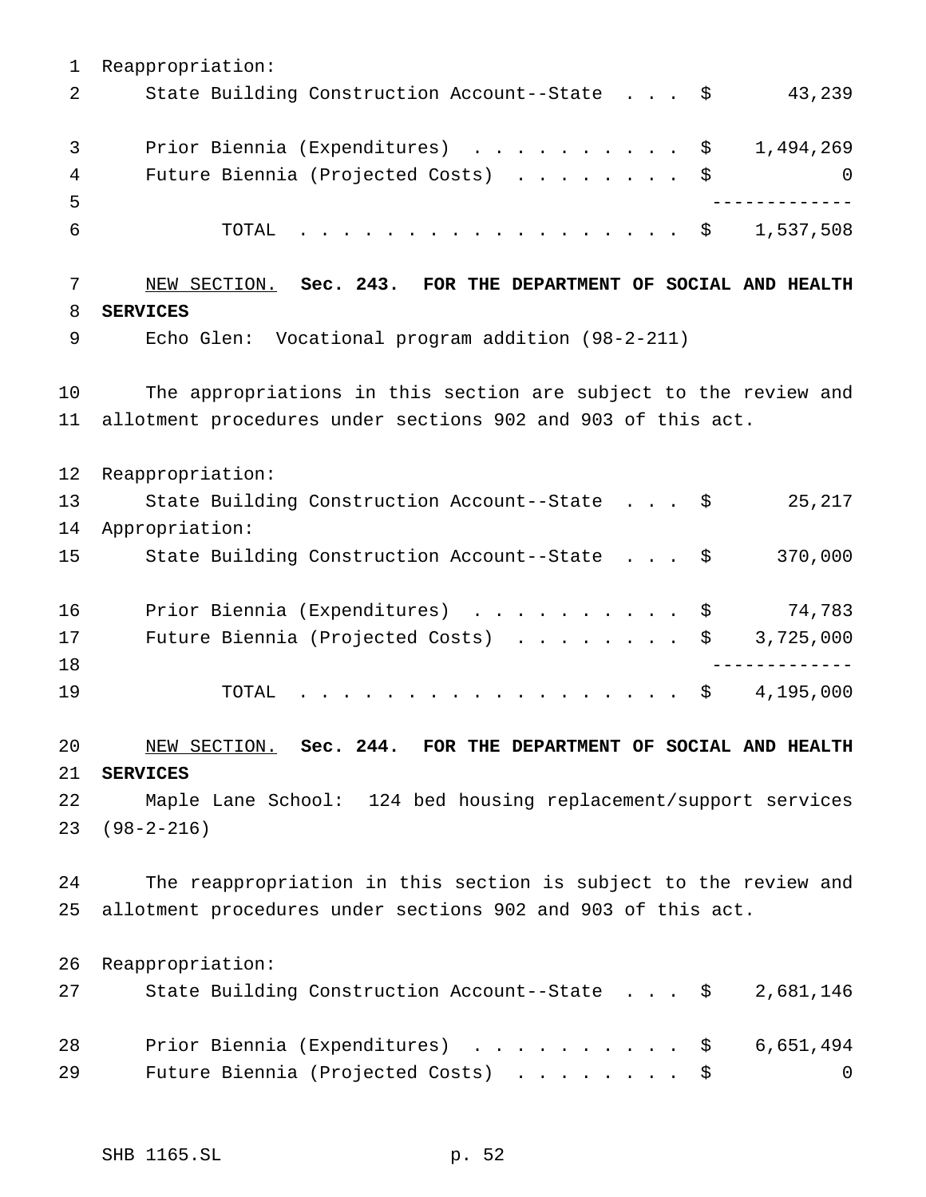Reappropriation: 2 State Building Construction Account--State . . . \$ 43,239 3 Prior Biennia (Expenditures) . . . . . . . . . \$ 1,494,269 4 Future Biennia (Projected Costs) . . . . . . . \$ 0 ------------- TOTAL .................. \$ 1,537,508 NEW SECTION. **Sec. 243. FOR THE DEPARTMENT OF SOCIAL AND HEALTH SERVICES** Echo Glen: Vocational program addition (98-2-211) The appropriations in this section are subject to the review and allotment procedures under sections 902 and 903 of this act. Reappropriation: State Building Construction Account--State . . . \$ 25,217 Appropriation: State Building Construction Account--State . . . \$ 370,000 Prior Biennia (Expenditures) .......... \$ 74,783 17 Future Biennia (Projected Costs) . . . . . . . \$ 3,725,000 ------------- TOTAL .................. \$ 4,195,000 NEW SECTION. **Sec. 244. FOR THE DEPARTMENT OF SOCIAL AND HEALTH SERVICES** Maple Lane School: 124 bed housing replacement/support services (98-2-216) The reappropriation in this section is subject to the review and allotment procedures under sections 902 and 903 of this act. Reappropriation: State Building Construction Account--State . . . \$ 2,681,146 28 Prior Biennia (Expenditures) . . . . . . . . . \$ 6,651,494 29 Future Biennia (Projected Costs) . . . . . . . \$ 0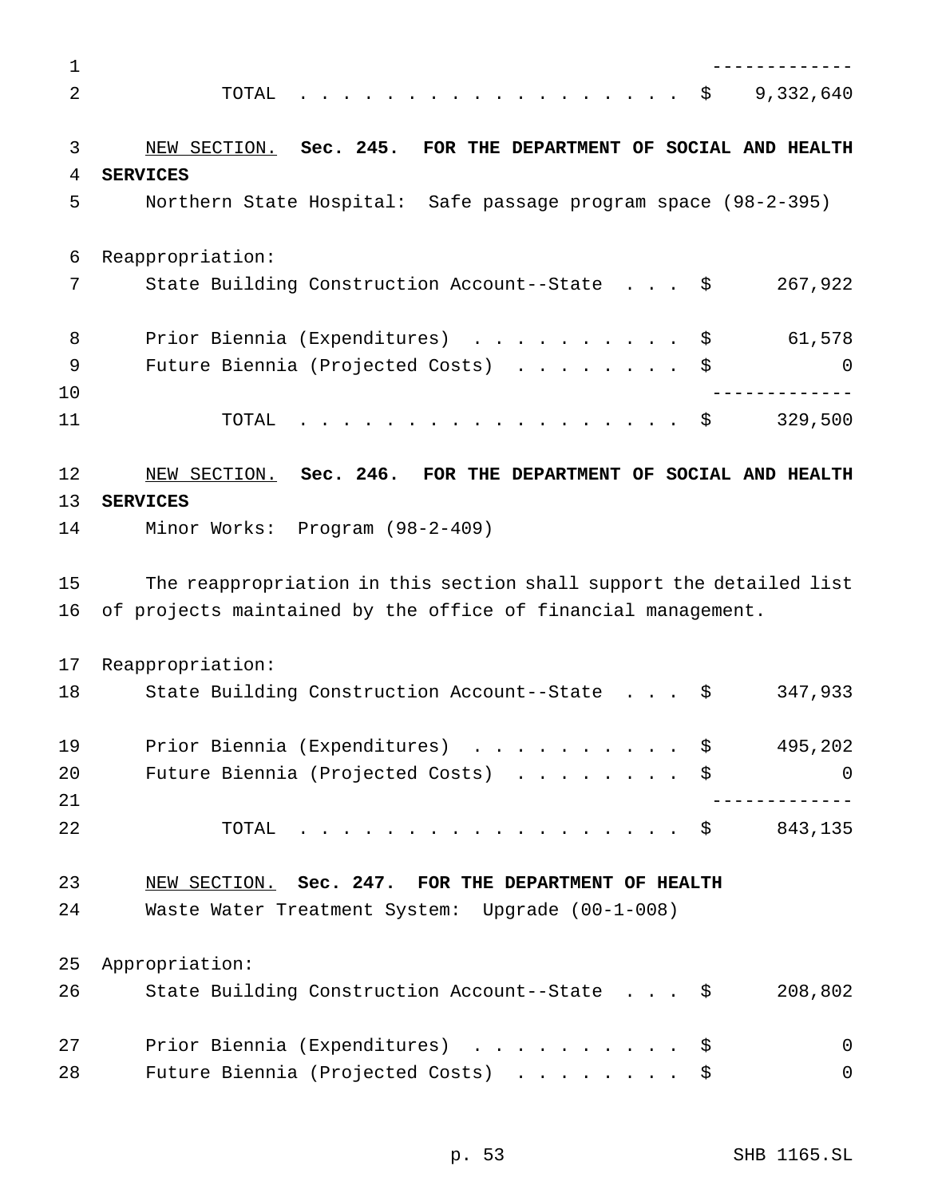| 1  |                                                                     |
|----|---------------------------------------------------------------------|
| 2  | 9,332,640<br>TOTAL<br>- \$                                          |
|    |                                                                     |
| 3  | NEW SECTION. Sec. 245. FOR THE DEPARTMENT OF SOCIAL AND HEALTH      |
| 4  | <b>SERVICES</b>                                                     |
| 5  | Northern State Hospital: Safe passage program space (98-2-395)      |
| 6  | Reappropriation:                                                    |
| 7  | 267,922<br>State Building Construction Account--State \$            |
| 8  | Prior Biennia (Expenditures) \$<br>61,578                           |
| 9  | Future Biennia (Projected Costs)<br>\$<br>0                         |
| 10 |                                                                     |
| 11 | <u>na na manana na manana na manana</u><br>329,500<br>TOTAL<br>- \$ |
| 12 | NEW SECTION. Sec. 246. FOR THE DEPARTMENT OF SOCIAL AND HEALTH      |
| 13 | <b>SERVICES</b>                                                     |
| 14 | Minor Works: Program (98-2-409)                                     |
| 15 | The reappropriation in this section shall support the detailed list |
| 16 | of projects maintained by the office of financial management.       |
| 17 | Reappropriation:                                                    |
| 18 | 347,933<br>State Building Construction Account--State \$            |
| 19 | Prior Biennia (Expenditures) \$<br>495,202                          |
| 20 | Future Biennia (Projected Costs) \$<br>0                            |
| 21 |                                                                     |
| 22 | 843,135<br>TOTAL<br>- \$                                            |
| 23 | NEW SECTION. Sec. 247. FOR THE DEPARTMENT OF HEALTH                 |
| 24 | Waste Water Treatment System: Upgrade (00-1-008)                    |
| 25 | Appropriation:                                                      |
| 26 | 208,802<br>State Building Construction Account--State \$            |
| 27 | Prior Biennia (Expenditures) \$<br>0                                |
| 28 | Future Biennia (Projected Costs)<br>0<br>Ş.                         |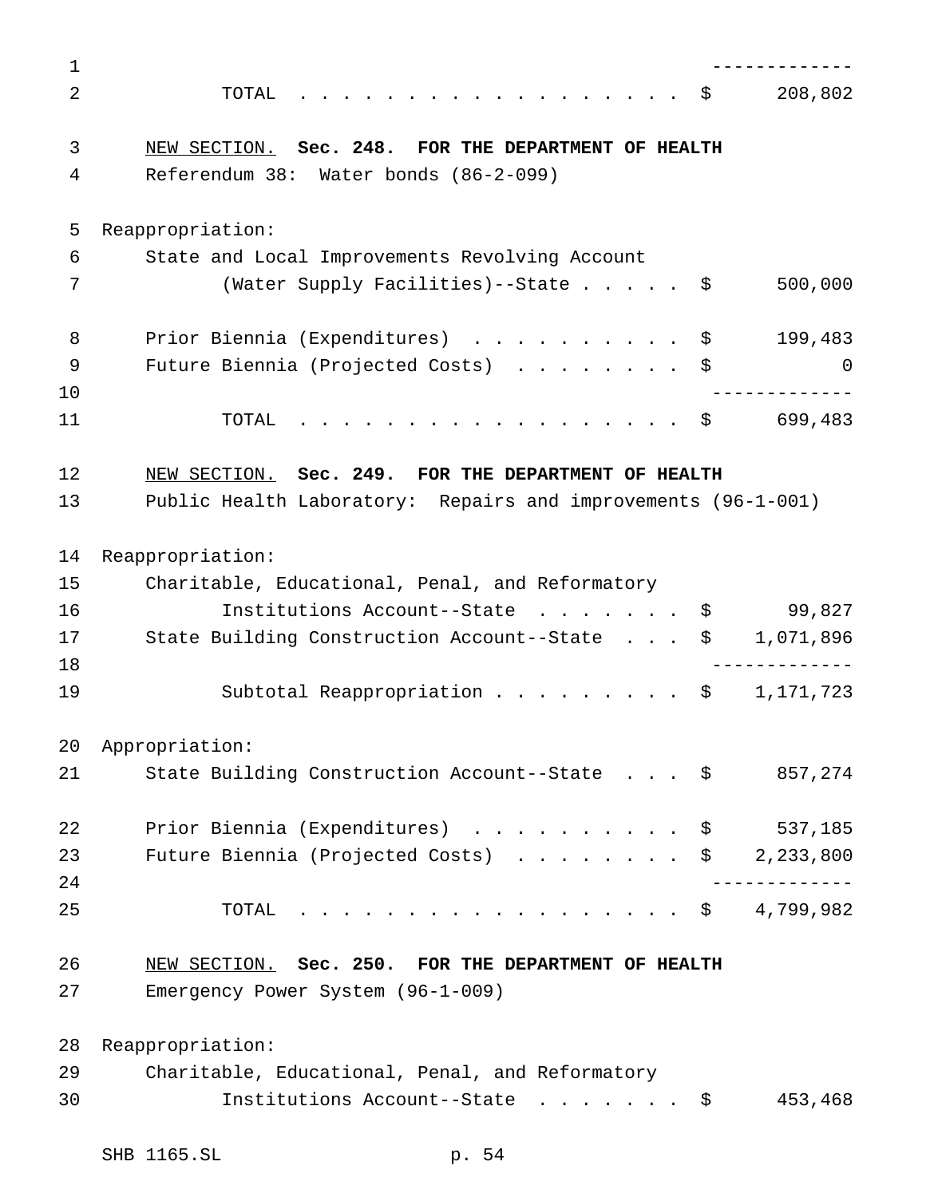| 1  |                                                               |   |
|----|---------------------------------------------------------------|---|
| 2  | 208,802<br>TOTAL<br>. \$                                      |   |
| 3  | NEW SECTION. Sec. 248. FOR THE DEPARTMENT OF HEALTH           |   |
| 4  | Referendum 38: Water bonds (86-2-099)                         |   |
| 5  | Reappropriation:                                              |   |
| 6  | State and Local Improvements Revolving Account                |   |
| 7  | (Water Supply Facilities)--State \$<br>500,000                |   |
| 8  | Prior Biennia (Expenditures) \$<br>199,483                    |   |
| 9  | Future Biennia (Projected Costs)<br>\$                        | 0 |
| 10 |                                                               |   |
| 11 | 699,483<br>. \$<br>TOTAL                                      |   |
| 12 | NEW SECTION. Sec. 249. FOR THE DEPARTMENT OF HEALTH           |   |
| 13 | Public Health Laboratory: Repairs and improvements (96-1-001) |   |
| 14 | Reappropriation:                                              |   |
| 15 | Charitable, Educational, Penal, and Reformatory               |   |
| 16 | Institutions Account--State<br>99,827<br>\$                   |   |
| 17 | State Building Construction Account--State<br>1,071,896<br>\$ |   |
| 18 |                                                               |   |
| 19 | Subtotal Reappropriation<br>1,171,723<br>\$                   |   |
| 20 | Appropriation:                                                |   |
| 21 | State Building Construction Account--State \$<br>857,274      |   |
| 22 | Prior Biennia (Expenditures) \$<br>537,185                    |   |
| 23 | Future Biennia (Projected Costs) $\ldots$ \$ 2,233,800        |   |
| 24 | _ _ _ _ _ _ _ _ _ _ _ .                                       |   |
| 25 | . \$ 4,799,982<br>TOTAL                                       |   |
| 26 | NEW SECTION. Sec. 250. FOR THE DEPARTMENT OF HEALTH           |   |
| 27 | Emergency Power System (96-1-009)                             |   |
| 28 | Reappropriation:                                              |   |
| 29 | Charitable, Educational, Penal, and Reformatory               |   |
| 30 | Institutions Account--State \$<br>453,468                     |   |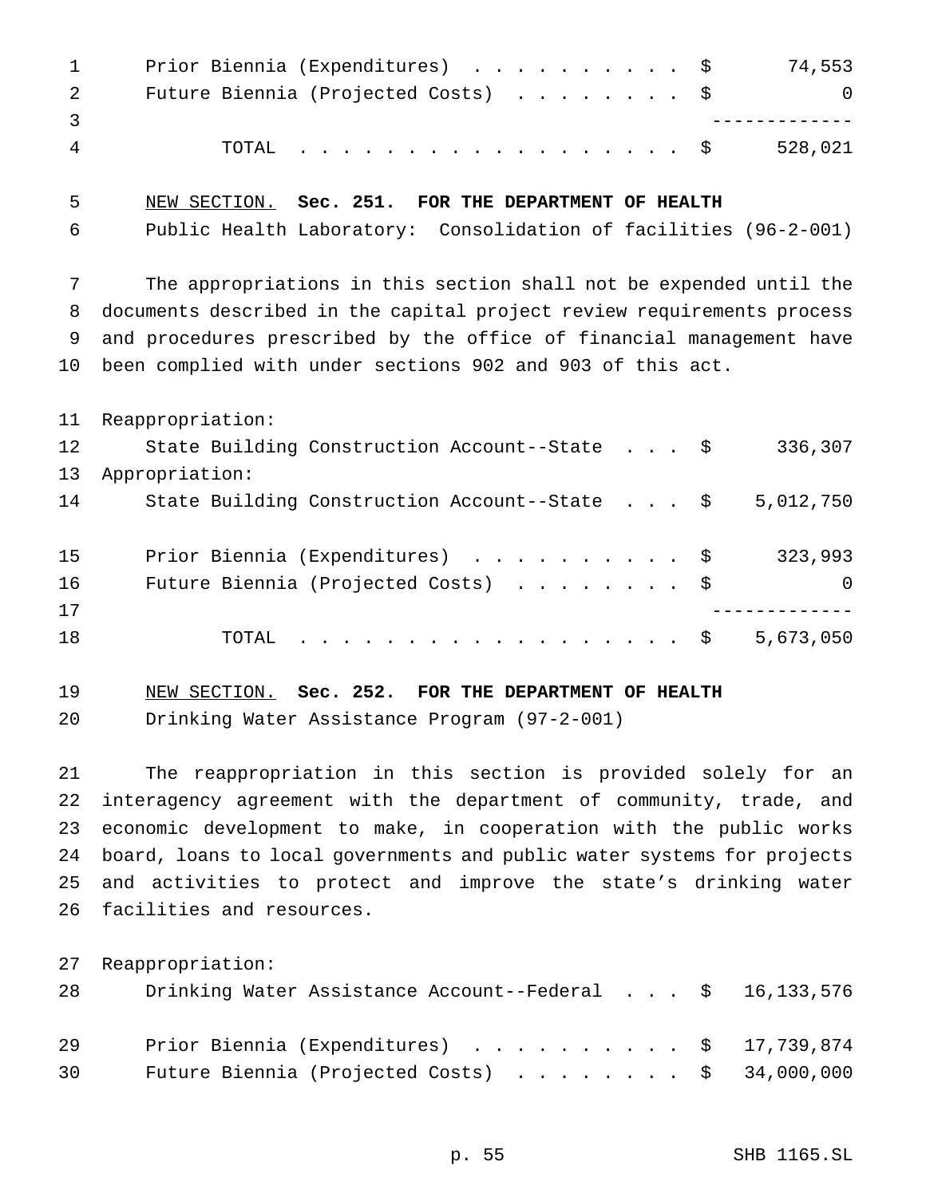| $\sim$ 1 | Prior Biennia (Expenditures) \$     | 74,553         |
|----------|-------------------------------------|----------------|
| 2        | Future Biennia (Projected Costs) \$ | $\overline{0}$ |
|          |                                     |                |
| 4        | TOTAL \$                            | 528,021        |

NEW SECTION. **Sec. 251. FOR THE DEPARTMENT OF HEALTH**

Public Health Laboratory: Consolidation of facilities (96-2-001)

 The appropriations in this section shall not be expended until the documents described in the capital project review requirements process and procedures prescribed by the office of financial management have been complied with under sections 902 and 903 of this act.

|    | 11 Reappropriation:                           |                |
|----|-----------------------------------------------|----------------|
| 12 | State Building Construction Account--State \$ | 336,307        |
| 13 | Appropriation:                                |                |
| 14 | State Building Construction Account--State \$ | 5,012,750      |
|    |                                               |                |
| 15 | Prior Biennia (Expenditures) \$               | 323,993        |
| 16 | Future Biennia (Projected Costs) \$           | $\overline{0}$ |
| 17 |                                               |                |
| 18 | . \$<br>TOTAL                                 | 5,673,050      |

NEW SECTION. **Sec. 252. FOR THE DEPARTMENT OF HEALTH**

Drinking Water Assistance Program (97-2-001)

 The reappropriation in this section is provided solely for an interagency agreement with the department of community, trade, and economic development to make, in cooperation with the public works board, loans to local governments and public water systems for projects and activities to protect and improve the state's drinking water facilities and resources.

Reappropriation:

| 28 | Drinking Water Assistance Account--Federal \$ 16,133,576 |  |
|----|----------------------------------------------------------|--|
| 29 | Prior Biennia (Expenditures) \$ 17,739,874               |  |
| 30 | Future Biennia (Projected Costs) $\ldots$ \$ 34,000,000  |  |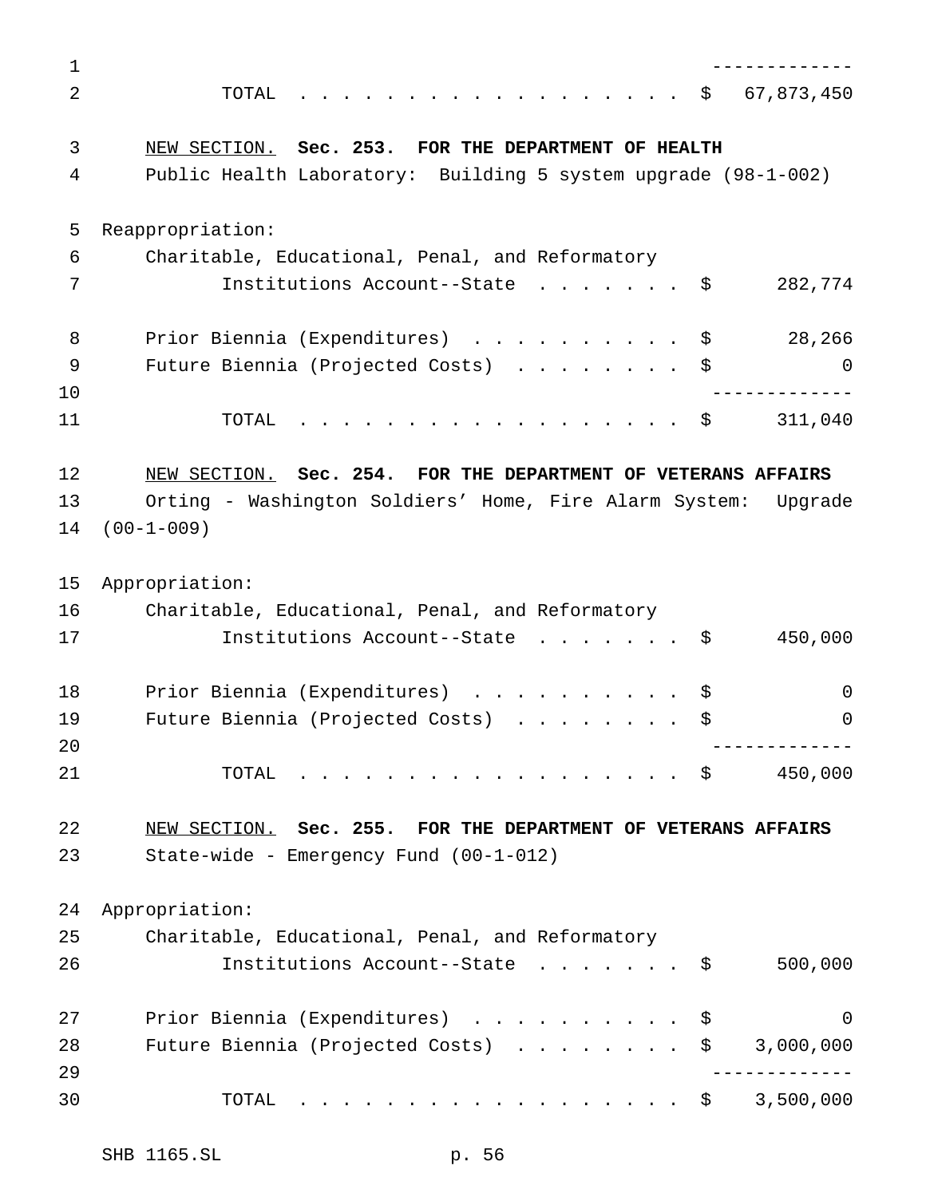------------- TOTAL .................. \$ 67,873,450 NEW SECTION. **Sec. 253. FOR THE DEPARTMENT OF HEALTH** Public Health Laboratory: Building 5 system upgrade (98-1-002) Reappropriation: Charitable, Educational, Penal, and Reformatory 7 Institutions Account--State . . . . . . \$ 282,774 8 Prior Biennia (Expenditures) . . . . . . . . . \$ 28,266 Future Biennia (Projected Costs) ........ \$ 0 ------------- 11 TOTAL . . . . . . . . . . . . . . . . \$ 311,040 NEW SECTION. **Sec. 254. FOR THE DEPARTMENT OF VETERANS AFFAIRS** Orting - Washington Soldiers' Home, Fire Alarm System: Upgrade (00-1-009) Appropriation: Charitable, Educational, Penal, and Reformatory 17 Institutions Account--State . . . . . . \$ 450,000 18 Prior Biennia (Expenditures) . . . . . . . . . \$ 0 Future Biennia (Projected Costs) ........ \$ 0 ------------- 21 TOTAL . . . . . . . . . . . . . . . . \$ 450,000 NEW SECTION. **Sec. 255. FOR THE DEPARTMENT OF VETERANS AFFAIRS** State-wide - Emergency Fund (00-1-012) Appropriation: Charitable, Educational, Penal, and Reformatory Institutions Account--State ....... \$ 500,000 27 Prior Biennia (Expenditures) . . . . . . . . . \$ 0 28 Future Biennia (Projected Costs) . . . . . . . \$ 3,000,000 ------------- TOTAL .................. \$ 3,500,000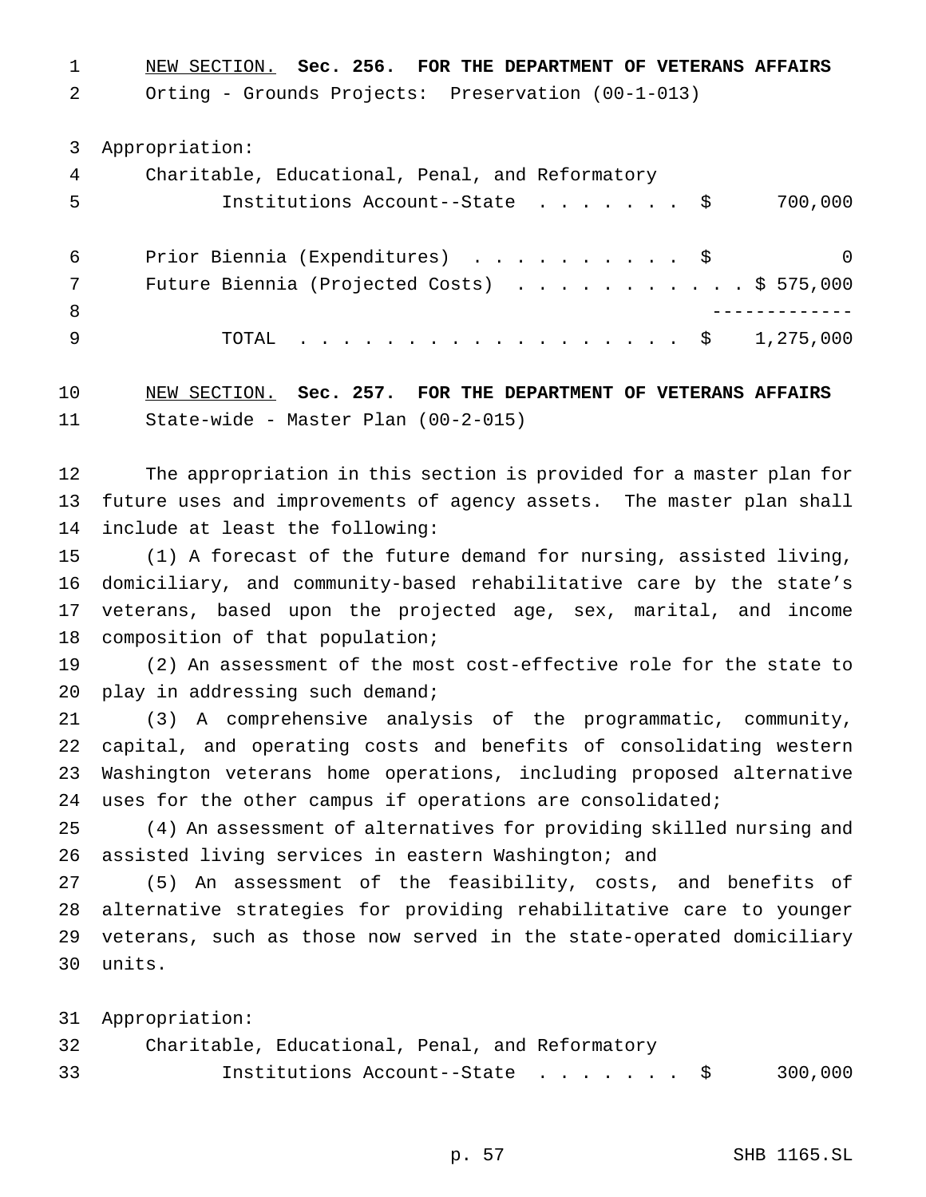NEW SECTION. **Sec. 256. FOR THE DEPARTMENT OF VETERANS AFFAIRS**

Orting - Grounds Projects: Preservation (00-1-013)

Appropriation:

| 4   | Charitable, Educational, Penal, and Reformatory |
|-----|-------------------------------------------------|
| 5   | Institutions Account--State \$<br>700,000       |
| 6   | Prior Biennia (Expenditures) \$<br>$\Omega$     |
|     | Future Biennia (Projected Costs) \$ 575,000     |
| - 8 |                                                 |
| 9   | TOTAL \$ 1,275,000                              |

 NEW SECTION. **Sec. 257. FOR THE DEPARTMENT OF VETERANS AFFAIRS** State-wide - Master Plan (00-2-015)

 The appropriation in this section is provided for a master plan for future uses and improvements of agency assets. The master plan shall include at least the following:

 (1) A forecast of the future demand for nursing, assisted living, domiciliary, and community-based rehabilitative care by the state's veterans, based upon the projected age, sex, marital, and income composition of that population;

 (2) An assessment of the most cost-effective role for the state to 20 play in addressing such demand;

 (3) A comprehensive analysis of the programmatic, community, capital, and operating costs and benefits of consolidating western Washington veterans home operations, including proposed alternative uses for the other campus if operations are consolidated;

 (4) An assessment of alternatives for providing skilled nursing and assisted living services in eastern Washington; and

 (5) An assessment of the feasibility, costs, and benefits of alternative strategies for providing rehabilitative care to younger veterans, such as those now served in the state-operated domiciliary units.

Appropriation:

| 32 | Charitable, Educational, Penal, and Reformatory |         |
|----|-------------------------------------------------|---------|
| 33 | Institutions Account--State \$                  | 300,000 |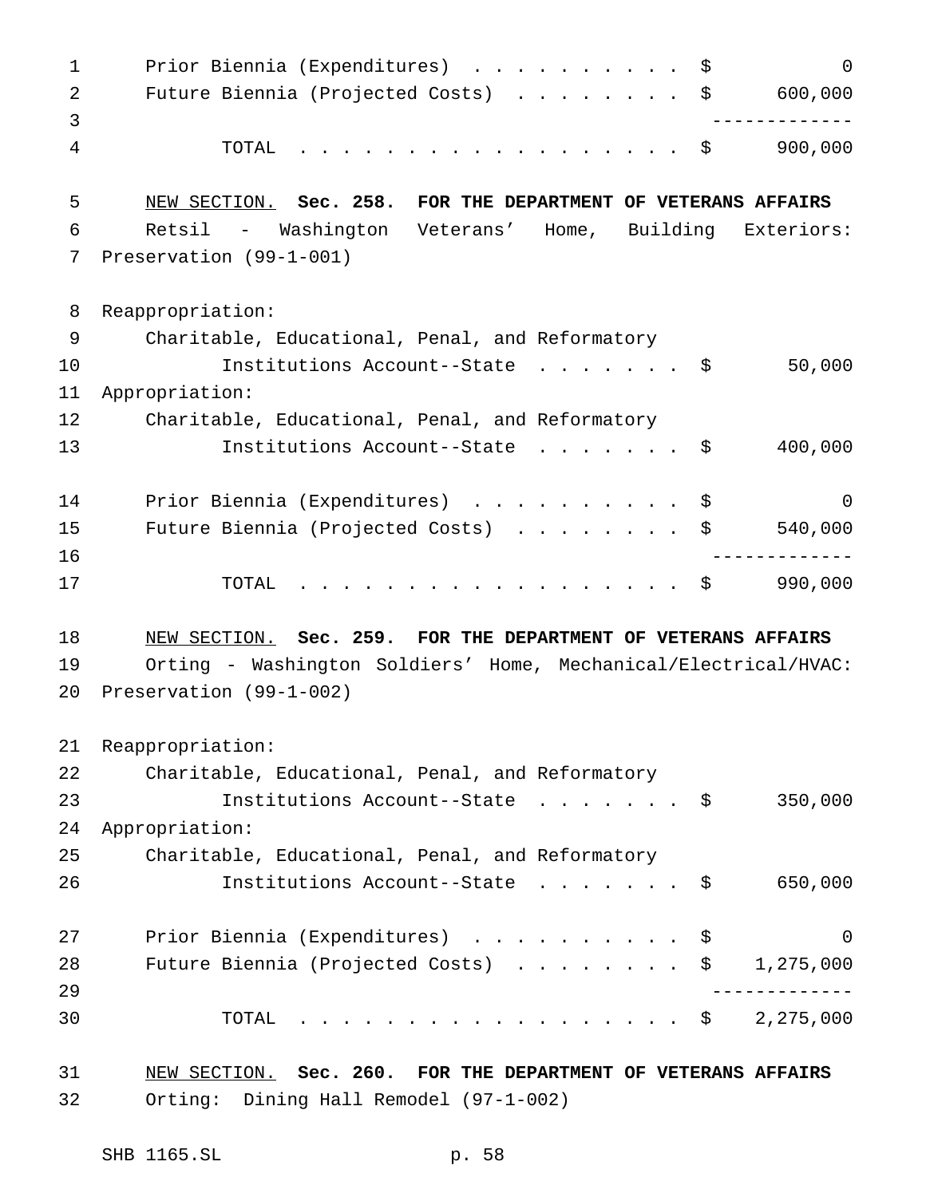1 Prior Biennia (Expenditures) . . . . . . . . . \$ 0 Future Biennia (Projected Costs) ........ \$ 600,000 ------------- TOTAL .................. \$ 900,000 NEW SECTION. **Sec. 258. FOR THE DEPARTMENT OF VETERANS AFFAIRS** Retsil - Washington Veterans' Home, Building Exteriors: Preservation (99-1-001) Reappropriation: Charitable, Educational, Penal, and Reformatory 10 Institutions Account--State . . . . . . \$ 50,000 Appropriation: Charitable, Educational, Penal, and Reformatory 13 Institutions Account--State . . . . . . \$ 400,000 14 Prior Biennia (Expenditures) ...............\$ Future Biennia (Projected Costs) ........ \$ 540,000 ------------- TOTAL .................. \$ 990,000 NEW SECTION. **Sec. 259. FOR THE DEPARTMENT OF VETERANS AFFAIRS** Orting - Washington Soldiers' Home, Mechanical/Electrical/HVAC: Preservation (99-1-002) Reappropriation: Charitable, Educational, Penal, and Reformatory Institutions Account--State ....... \$ 350,000 Appropriation: Charitable, Educational, Penal, and Reformatory Institutions Account--State ....... \$ 650,000 Prior Biennia (Expenditures) .......... \$ 0 28 Future Biennia (Projected Costs) . . . . . . . \$ 1,275,000 ------------- TOTAL .................. \$ 2,275,000 NEW SECTION. **Sec. 260. FOR THE DEPARTMENT OF VETERANS AFFAIRS** Orting: Dining Hall Remodel (97-1-002)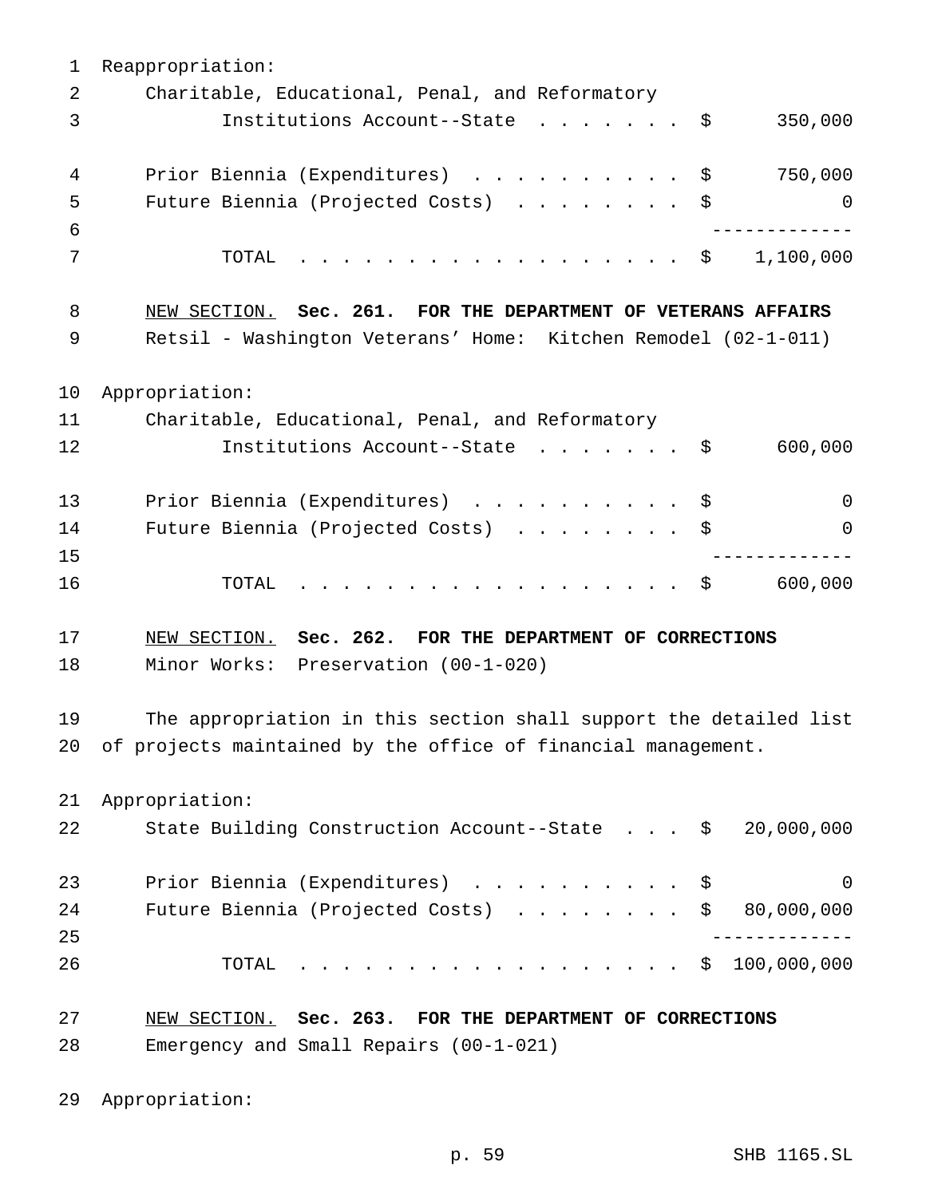Reappropriation: Charitable, Educational, Penal, and Reformatory Institutions Account--State ....... \$ 350,000 4 Prior Biennia (Expenditures) . . . . . . . . . \$ 750,000 Future Biennia (Projected Costs) ........ \$ 0 ------------- TOTAL .................. \$ 1,100,000 NEW SECTION. **Sec. 261. FOR THE DEPARTMENT OF VETERANS AFFAIRS** Retsil - Washington Veterans' Home: Kitchen Remodel (02-1-011) Appropriation: Charitable, Educational, Penal, and Reformatory 12 Institutions Account--State . . . . . . \$ 600,000 13 Prior Biennia (Expenditures) . . . . . . . . . \$ 0 Future Biennia (Projected Costs) ........ \$ 0 ------------- 16 TOTAL . . . . . . . . . . . . . . . . \$ 600,000 NEW SECTION. **Sec. 262. FOR THE DEPARTMENT OF CORRECTIONS** Minor Works: Preservation (00-1-020) The appropriation in this section shall support the detailed list of projects maintained by the office of financial management. Appropriation: State Building Construction Account--State . . . \$ 20,000,000 23 Prior Biennia (Expenditures) . . . . . . . . . \$ 0 24 Future Biennia (Projected Costs) . . . . . . . \$ 80,000,000 ------------- TOTAL .................. \$ 100,000,000 NEW SECTION. **Sec. 263. FOR THE DEPARTMENT OF CORRECTIONS** Emergency and Small Repairs (00-1-021)

Appropriation: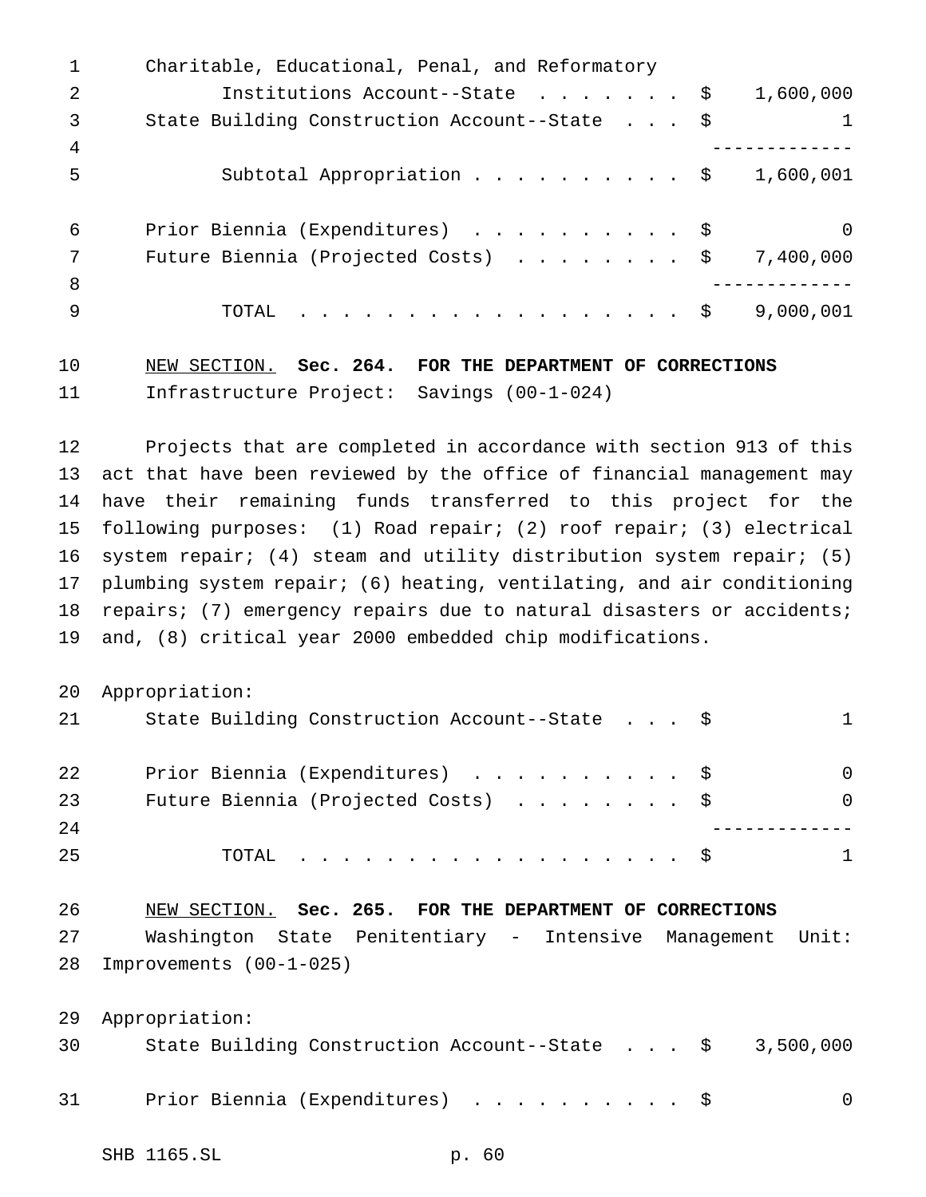|                | Charitable, Educational, Penal, and Reformatory |           |
|----------------|-------------------------------------------------|-----------|
| $\mathcal{L}$  | Institutions Account--State \$                  | 1,600,000 |
| 3              | State Building Construction Account--State \$   | 1         |
| $\overline{4}$ |                                                 |           |
| -5             | Subtotal Appropriation \$                       | 1,600,001 |
| -6             | Prior Biennia (Expenditures) \$                 | $\Omega$  |
| 7              | Future Biennia (Projected Costs) \$             | 7,400,000 |
| 8              |                                                 |           |
| -9             | . \$<br>TOTAL                                   | 9,000,001 |
|                |                                                 |           |

## NEW SECTION. **Sec. 264. FOR THE DEPARTMENT OF CORRECTIONS** Infrastructure Project: Savings (00-1-024)

 Projects that are completed in accordance with section 913 of this act that have been reviewed by the office of financial management may have their remaining funds transferred to this project for the following purposes: (1) Road repair; (2) roof repair; (3) electrical system repair; (4) steam and utility distribution system repair; (5) plumbing system repair; (6) heating, ventilating, and air conditioning 18 repairs; (7) emergency repairs due to natural disasters or accidents; and, (8) critical year 2000 embedded chip modifications.

Appropriation:

| 21 | State Building Construction Account--State \$ |              |
|----|-----------------------------------------------|--------------|
| 22 | Prior Biennia (Expenditures) \$               | $\Omega$     |
| 23 | Future Biennia (Projected Costs) \$           | <sup>0</sup> |
| 24 |                                               |              |
| 25 | . \$<br>TOTAL.                                | 1            |

| 26 | NEW SECTION. Sec. 265. FOR THE DEPARTMENT OF CORRECTIONS |  |  |  |                                                            |  |
|----|----------------------------------------------------------|--|--|--|------------------------------------------------------------|--|
| 27 |                                                          |  |  |  | Washington State Penitentiary - Intensive Management Unit: |  |
|    | 28 Improvements (00-1-025)                               |  |  |  |                                                            |  |

Appropriation:

| 30 |  | State Building Construction Account--State $\frac{1}{5}$ 3,500,000 |  |  |  |  |  |
|----|--|--------------------------------------------------------------------|--|--|--|--|--|
| 31 |  | Prior Biennia (Expenditures) \$                                    |  |  |  |  |  |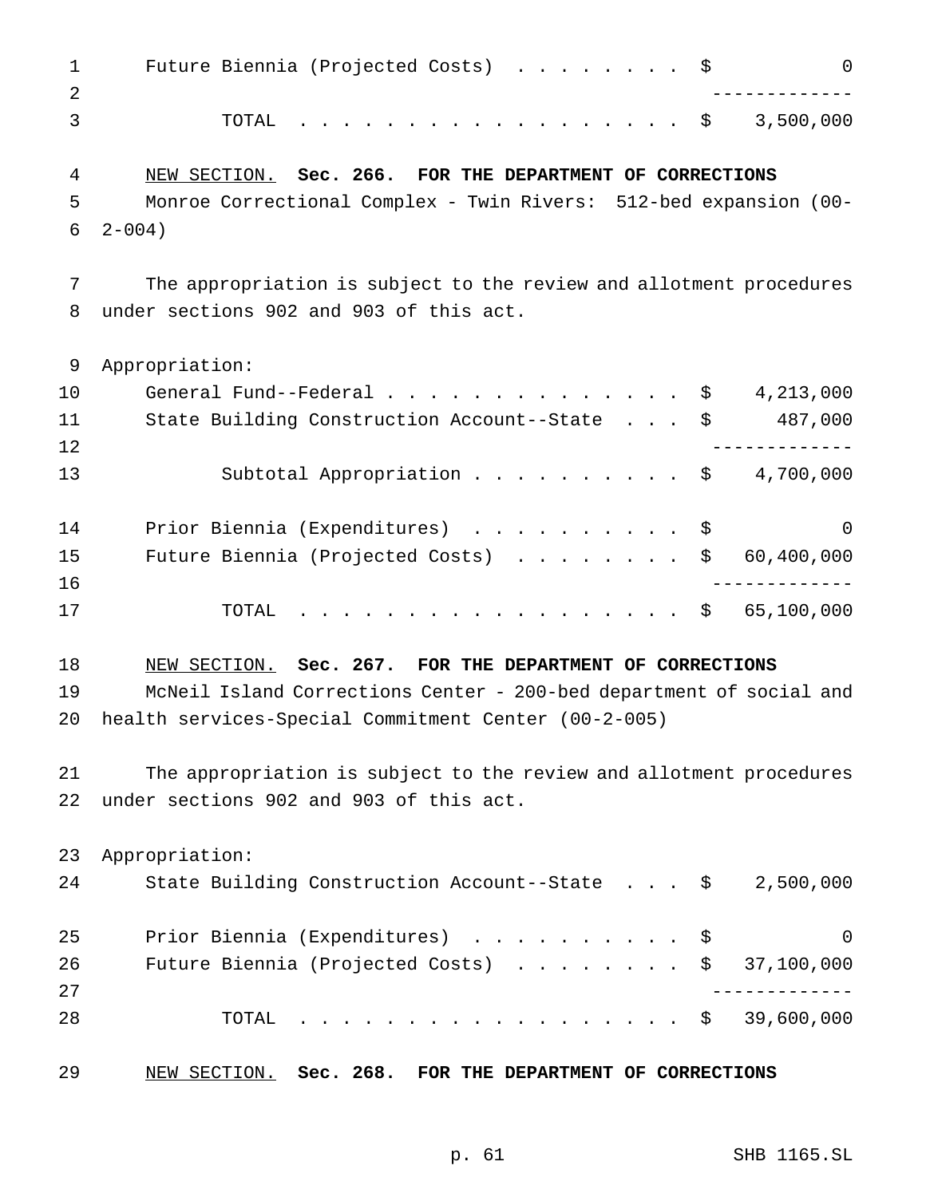| $\mathbf{1}$<br>$\overline{2}$ | Future Biennia (Projected Costs) \$                                         | $\overline{0}$ |
|--------------------------------|-----------------------------------------------------------------------------|----------------|
| 3                              | $\cdot$ \$ 3,500,000<br>TOTAL                                               |                |
| 4                              | NEW SECTION. Sec. 266. FOR THE DEPARTMENT OF CORRECTIONS                    |                |
| 5                              | Monroe Correctional Complex - Twin Rivers: 512-bed expansion (00-           |                |
| 6                              | $2 - 004$ )                                                                 |                |
| 7                              | The appropriation is subject to the review and allotment procedures         |                |
| 8                              | under sections 902 and 903 of this act.                                     |                |
| 9                              | Appropriation:                                                              |                |
| 10                             | General Fund--Federal $\ldots$ , $\ldots$ , $\ldots$ , $\ddot{S}$ 4,213,000 |                |
| 11                             | State Building Construction Account--State \$ 487,000                       |                |
| 12                             |                                                                             | -------------- |
| 13                             | Subtotal Appropriation $\ldots$ \$ 4,700,000                                |                |
| 14                             | Prior Biennia (Expenditures) \$                                             | 0              |
| 15                             | Future Biennia (Projected Costs)                                            | \$60,400,000   |
| 16                             |                                                                             |                |
| 17                             | $\cdot$ \$ 65,100,000<br>TOTAL                                              |                |
| 18                             | NEW SECTION. Sec. 267. FOR THE DEPARTMENT OF CORRECTIONS                    |                |
| 19                             | McNeil Island Corrections Center - 200-bed department of social and         |                |
| 20                             | health services-Special Commitment Center (00-2-005)                        |                |
| 21                             | The appropriation is subject to the review and allotment procedures         |                |
| 22                             | under sections 902 and 903 of this act.                                     |                |
| 23                             | Appropriation:                                                              |                |
| 24                             | State Building Construction Account--State \$ 2,500,000                     |                |
| 25                             | Prior Biennia (Expenditures) \$                                             | 0              |
| 26                             | Future Biennia (Projected Costs)                                            | \$37,100,000   |
| 27                             |                                                                             |                |
| 28                             | . \$ 39,600,000<br>TOTAL                                                    |                |
| 29                             | NEW SECTION. Sec. 268.<br>FOR THE DEPARTMENT OF CORRECTIONS                 |                |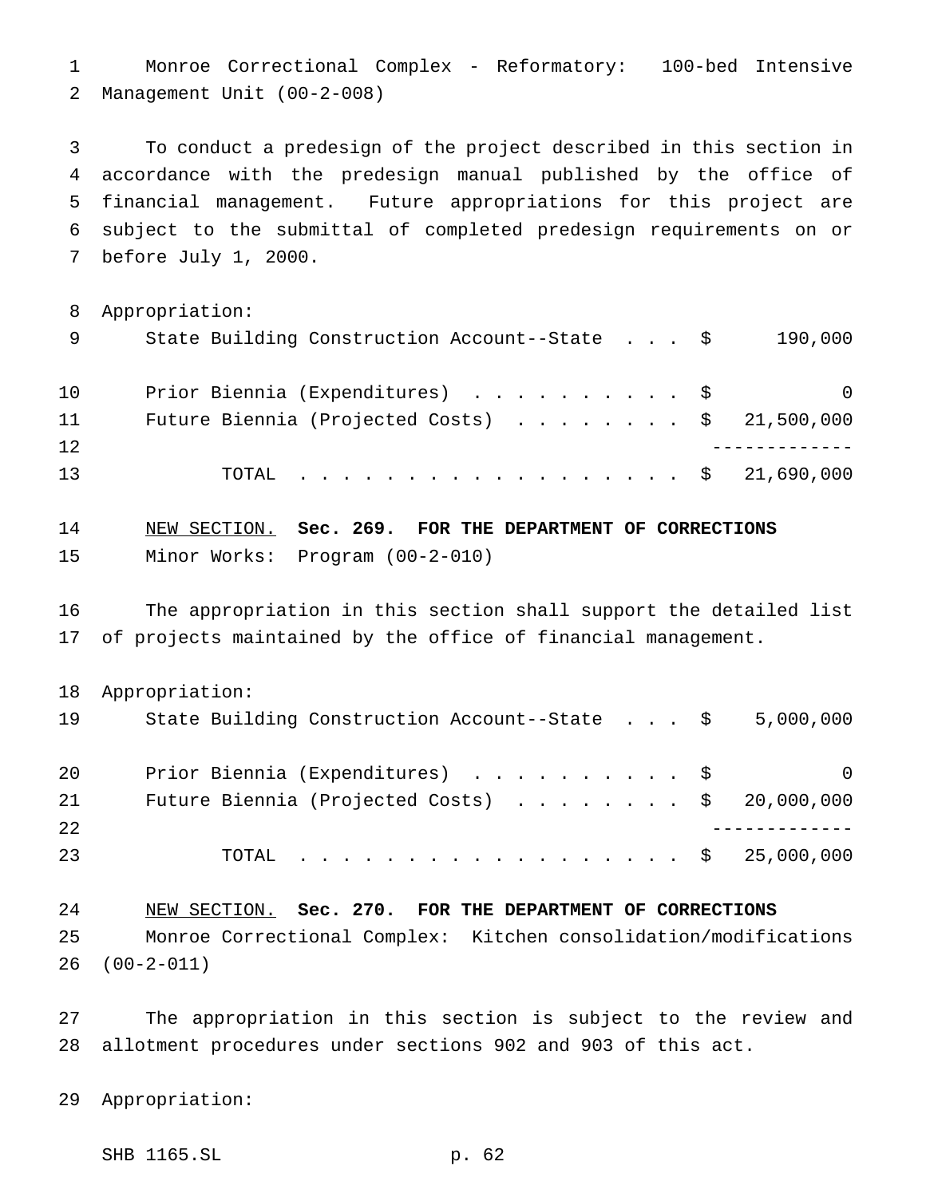Monroe Correctional Complex - Reformatory: 100-bed Intensive Management Unit (00-2-008)

 To conduct a predesign of the project described in this section in accordance with the predesign manual published by the office of financial management. Future appropriations for this project are subject to the submittal of completed predesign requirements on or before July 1, 2000.

Appropriation:

| 9  | State Building Construction Account--State \$           | 190,000  |
|----|---------------------------------------------------------|----------|
| 10 | Prior Biennia (Expenditures) \$                         | $\Omega$ |
| 11 | Future Biennia (Projected Costs) $\ldots$ \$ 21,500,000 |          |
| 12 |                                                         |          |
| 13 | TOTAL \$ 21,690,000                                     |          |

```
14 NEW SECTION. Sec. 269. FOR THE DEPARTMENT OF CORRECTIONS
15 Minor Works: Program (00-2-010)
```
 The appropriation in this section shall support the detailed list of projects maintained by the office of financial management.

Appropriation:

| 19 | State Building Construction Account--State $\frac{1}{5}$ 5,000,000 |   |
|----|--------------------------------------------------------------------|---|
| 20 | Prior Biennia (Expenditures) \$                                    | 0 |
| 21 | Future Biennia (Projected Costs) $\ldots$ \$ 20,000,000            |   |
| 22 |                                                                    |   |
| 23 | TOTAL \$ 25,000,000                                                |   |

 NEW SECTION. **Sec. 270. FOR THE DEPARTMENT OF CORRECTIONS** Monroe Correctional Complex: Kitchen consolidation/modifications (00-2-011)

 The appropriation in this section is subject to the review and allotment procedures under sections 902 and 903 of this act.

Appropriation:

SHB 1165.SL p. 62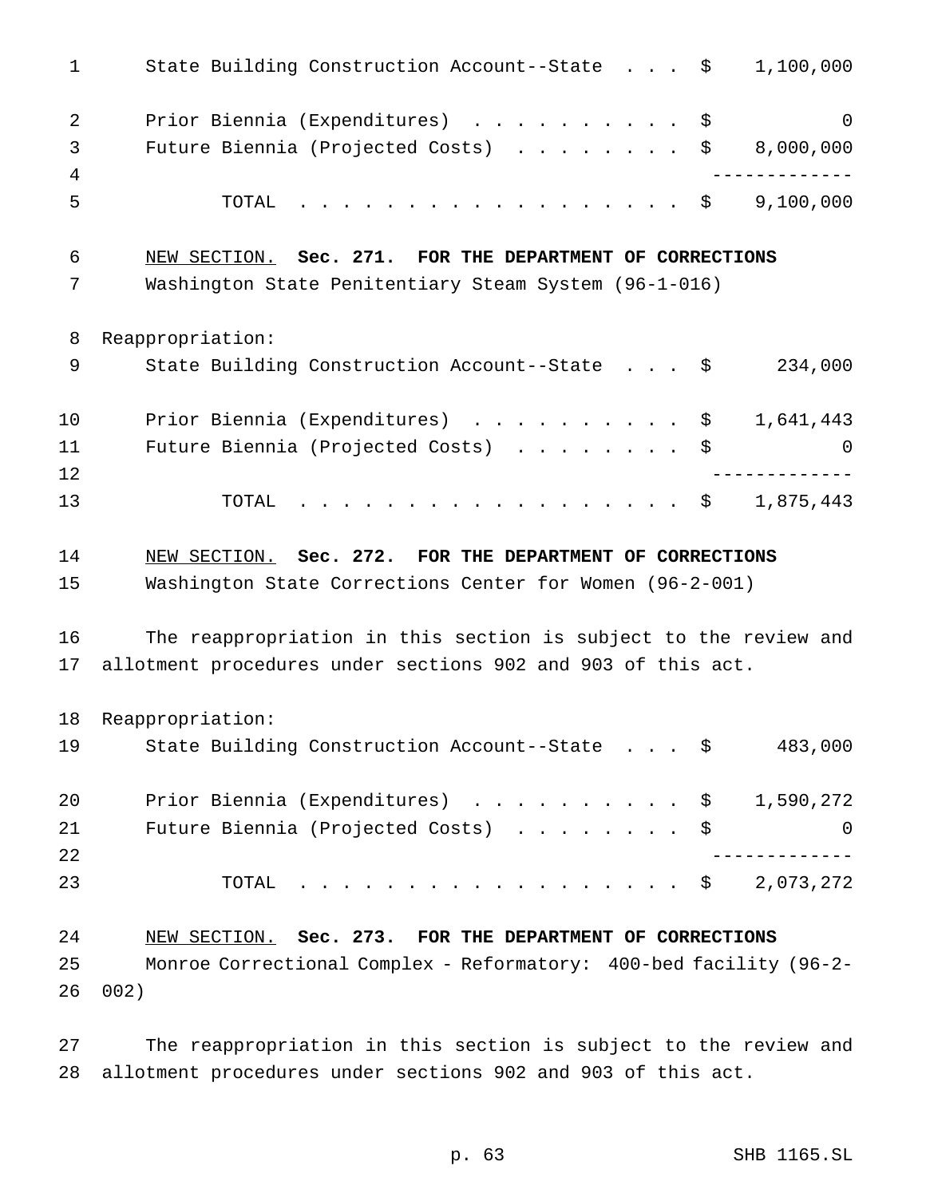| $\mathbf 1$    | State Building Construction Account--State \$                      | 1,100,000 |
|----------------|--------------------------------------------------------------------|-----------|
| 2              | Prior Biennia (Expenditures) \$                                    | $\Omega$  |
| 3              | Future Biennia (Projected Costs) $\ldots \ldots$ , $\ddot{S}$      | 8,000,000 |
| $\overline{4}$ |                                                                    |           |
| 5              | TOTAL<br>. \$                                                      | 9,100,000 |
| 6              | NEW SECTION. Sec. 271. FOR THE DEPARTMENT OF CORRECTIONS           |           |
| 7              | Washington State Penitentiary Steam System (96-1-016)              |           |
| 8              | Reappropriation:                                                   |           |
| 9              | State Building Construction Account--State \$                      | 234,000   |
| 10             | Prior Biennia (Expenditures) \$                                    | 1,641,443 |
| 11             | Future Biennia (Projected Costs)                                   | \$<br>0   |
| 12             |                                                                    |           |
| 13             | . \$<br>TOTAL                                                      | 1,875,443 |
| 14             | NEW SECTION. Sec. 272. FOR THE DEPARTMENT OF CORRECTIONS           |           |
| 15             | Washington State Corrections Center for Women (96-2-001)           |           |
| 16             | The reappropriation in this section is subject to the review and   |           |
| 17             | allotment procedures under sections 902 and 903 of this act.       |           |
| 18             | Reappropriation:                                                   |           |
| 19             | State Building Construction Account--State \$                      | 483,000   |
| 20             | Prior Biennia (Expenditures) \$                                    | 1,590,272 |
| 21             | Future Biennia (Projected Costs) \$                                | 0         |
| 22             |                                                                    |           |
| 23             | TOTAL<br>. \$                                                      | 2,073,272 |
| 24             | NEW SECTION. Sec. 273. FOR THE DEPARTMENT OF CORRECTIONS           |           |
| 25             | Monroe Correctional Complex - Reformatory: 400-bed facility (96-2- |           |
| 26             | 002)                                                               |           |

 The reappropriation in this section is subject to the review and allotment procedures under sections 902 and 903 of this act.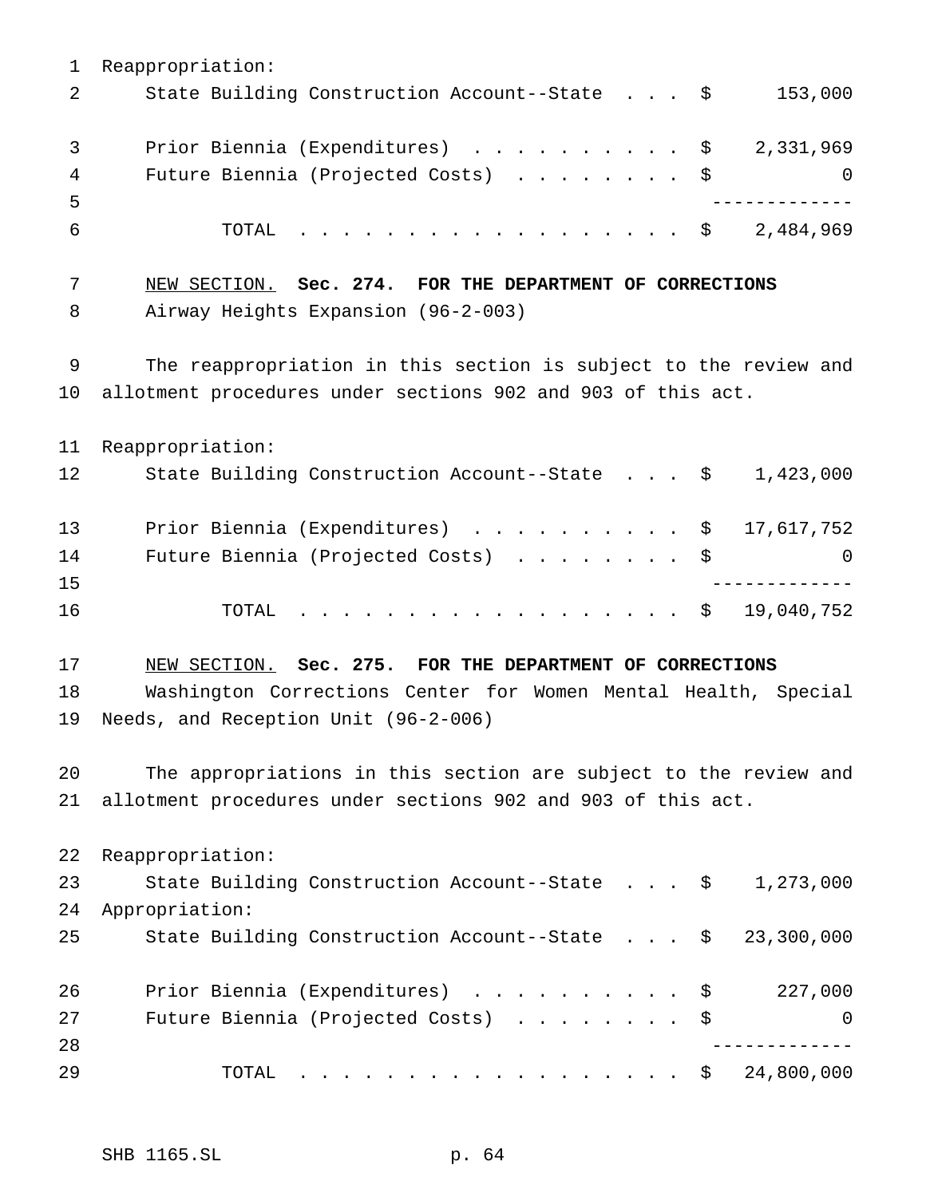Reappropriation: 2 State Building Construction Account--State . . . \$ 153,000 3 Prior Biennia (Expenditures) . . . . . . . . . \$ 2,331,969 4 Future Biennia (Projected Costs) . . . . . . . \$ 0 ------------- TOTAL .................. \$ 2,484,969 NEW SECTION. **Sec. 274. FOR THE DEPARTMENT OF CORRECTIONS** Airway Heights Expansion (96-2-003) The reappropriation in this section is subject to the review and allotment procedures under sections 902 and 903 of this act. Reappropriation: State Building Construction Account--State . . . \$ 1,423,000 13 Prior Biennia (Expenditures) . . . . . . . . . \$ 17,617,752 14 Future Biennia (Projected Costs) . . . . . . . \$ 0 ------------- 16 TOTAL . . . . . . . . . . . . . . . . \$ 19,040,752 NEW SECTION. **Sec. 275. FOR THE DEPARTMENT OF CORRECTIONS** Washington Corrections Center for Women Mental Health, Special Needs, and Reception Unit (96-2-006) The appropriations in this section are subject to the review and allotment procedures under sections 902 and 903 of this act. Reappropriation: State Building Construction Account--State . . . \$ 1,273,000 Appropriation: State Building Construction Account--State . . . \$ 23,300,000 Prior Biennia (Expenditures) .......... \$ 227,000 Future Biennia (Projected Costs) ........ \$ 0 ------------- TOTAL .................. \$ 24,800,000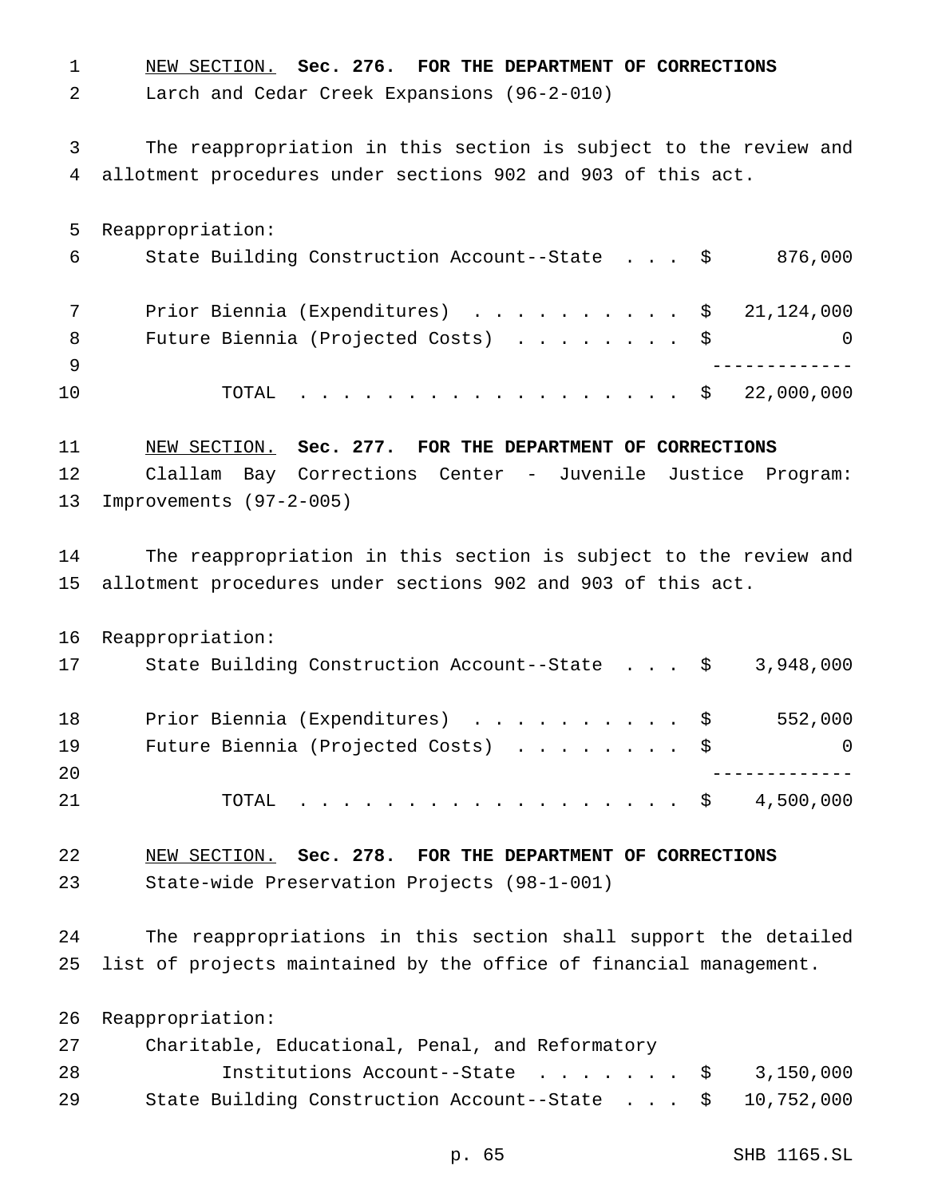NEW SECTION. **Sec. 276. FOR THE DEPARTMENT OF CORRECTIONS** Larch and Cedar Creek Expansions (96-2-010) The reappropriation in this section is subject to the review and allotment procedures under sections 902 and 903 of this act. Reappropriation: State Building Construction Account--State . . . \$ 876,000 Prior Biennia (Expenditures) .......... \$ 21,124,000 8 Future Biennia (Projected Costs) . . . . . . . \$ 0 ------------- 10 TOTAL . . . . . . . . . . . . . . . . \$ 22,000,000 NEW SECTION. **Sec. 277. FOR THE DEPARTMENT OF CORRECTIONS** Clallam Bay Corrections Center - Juvenile Justice Program: Improvements (97-2-005) The reappropriation in this section is subject to the review and allotment procedures under sections 902 and 903 of this act. Reappropriation: 17 State Building Construction Account--State . . . \$ 3,948,000 18 Prior Biennia (Expenditures) . . . . . . . . . \$ 552,000 19 Future Biennia (Projected Costs) . . . . . . . \$ 0 ------------- TOTAL .................. \$ 4,500,000 NEW SECTION. **Sec. 278. FOR THE DEPARTMENT OF CORRECTIONS** State-wide Preservation Projects (98-1-001) The reappropriations in this section shall support the detailed list of projects maintained by the office of financial management. Reappropriation: Charitable, Educational, Penal, and Reformatory Institutions Account--State ....... \$ 3,150,000 State Building Construction Account--State . . . \$ 10,752,000

p. 65 SHB 1165.SL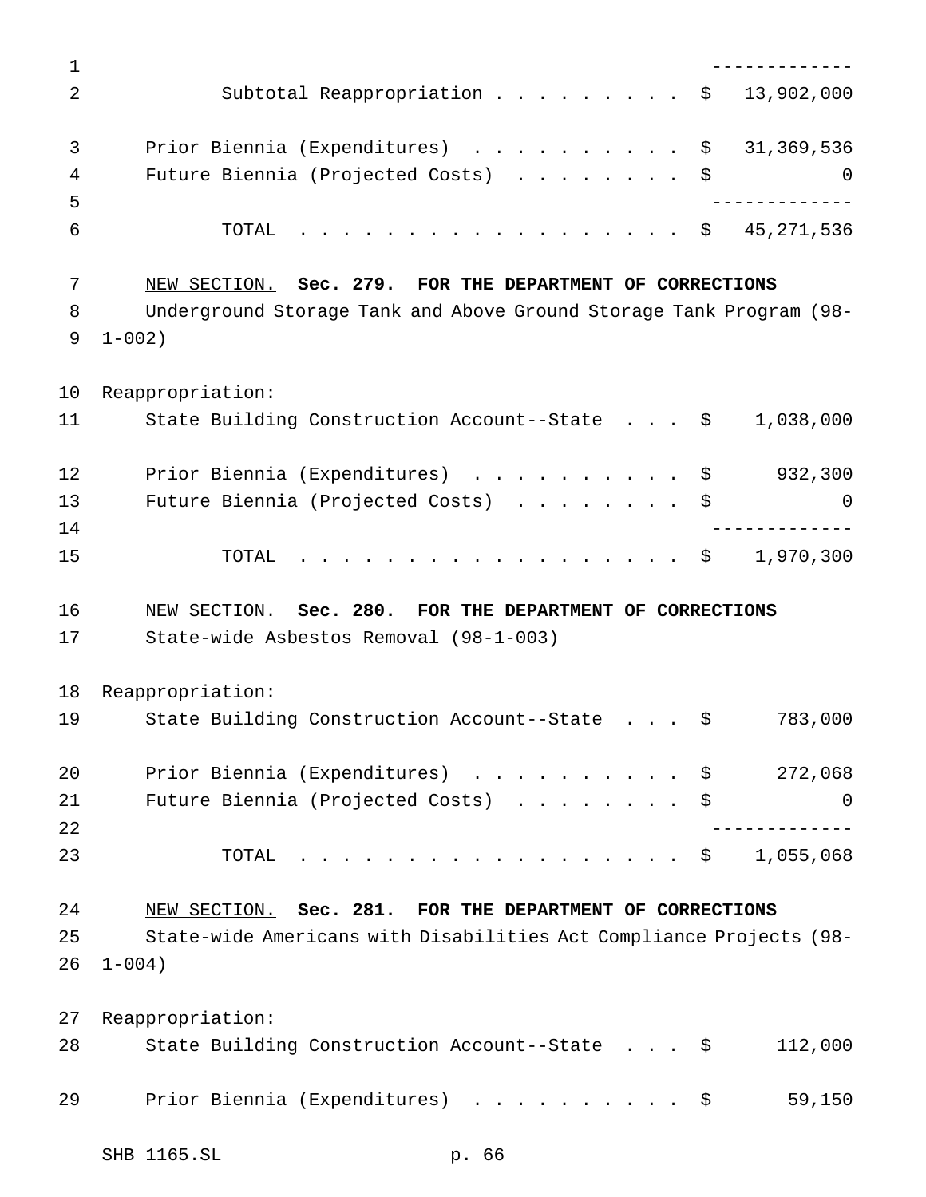| $\mathbf 1$    |                                                                                                                                                |
|----------------|------------------------------------------------------------------------------------------------------------------------------------------------|
| 2              | Subtotal Reappropriation \$<br>13,902,000                                                                                                      |
| 3<br>4         | Prior Biennia (Expenditures) \$<br>31,369,536<br>Future Biennia (Projected Costs) \$                                                           |
| 5<br>6         | $\cdot \cdot \cdot \cdot \cdot \cdot \cdot \cdot \cdot \cdot \cdot \cdot \cdot \cdot \cdot \cdot \cdot \cdot \cdot$ \$ 45,271,536<br>TOTAL     |
| 7<br>8<br>9    | NEW SECTION. Sec. 279. FOR THE DEPARTMENT OF CORRECTIONS<br>Underground Storage Tank and Above Ground Storage Tank Program (98-<br>$1 - 002$ ) |
| 10<br>11       | Reappropriation:<br>State Building Construction Account--State \$<br>1,038,000                                                                 |
| 12             | Prior Biennia (Expenditures) \$<br>932,300                                                                                                     |
| 13<br>14<br>15 | Future Biennia (Projected Costs) \$<br>$\Omega$<br>1,970,300<br>TOTAL<br>. \$                                                                  |
|                |                                                                                                                                                |
| 16<br>17       | NEW SECTION. Sec. 280. FOR THE DEPARTMENT OF CORRECTIONS<br>State-wide Asbestos Removal (98-1-003)                                             |
| 18             | Reappropriation:                                                                                                                               |
| 19             | State Building Construction Account--State \$<br>783,000                                                                                       |
| 20<br>21<br>22 | Prior Biennia (Expenditures) \$ 272,068<br>Future Biennia (Projected Costs) \$<br>0                                                            |
| 23             | . \$ 1,055,068<br>TOTAL                                                                                                                        |
| 24<br>25<br>26 | NEW SECTION. Sec. 281. FOR THE DEPARTMENT OF CORRECTIONS<br>State-wide Americans with Disabilities Act Compliance Projects (98-<br>$1 - 004$ ) |
| 27<br>28       | Reappropriation:<br>State Building Construction Account--State \$<br>112,000                                                                   |
| 29             | Prior Biennia (Expenditures) \$<br>59,150                                                                                                      |
|                | SHB 1165.SL<br>p. 66                                                                                                                           |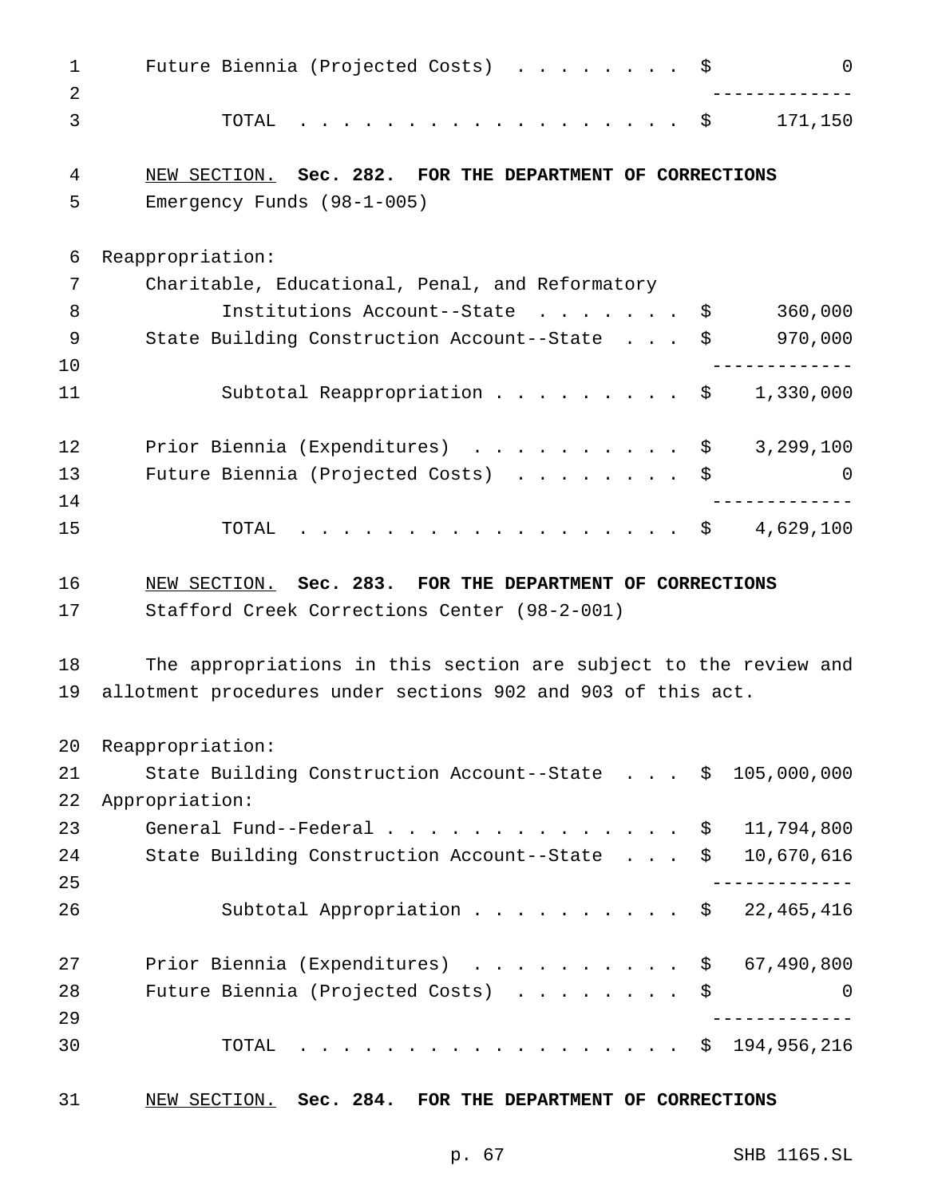| $\mathbf 1$<br>2 | Future Biennia (Projected Costs) \$                              |    | $\Omega$    |  |
|------------------|------------------------------------------------------------------|----|-------------|--|
| 3                | . \$<br>TOTAL                                                    |    | 171,150     |  |
| 4                | NEW SECTION. Sec. 282. FOR THE DEPARTMENT OF CORRECTIONS         |    |             |  |
| 5                | Emergency Funds $(98-1-005)$                                     |    |             |  |
| 6                | Reappropriation:                                                 |    |             |  |
| 7                | Charitable, Educational, Penal, and Reformatory                  |    |             |  |
| 8                | Institutions Account--State \$                                   |    | 360,000     |  |
| 9                | State Building Construction Account--State \$                    |    | 970,000     |  |
| 10               |                                                                  |    |             |  |
| 11               | Subtotal Reappropriation \$                                      |    | 1,330,000   |  |
| 12               | Prior Biennia (Expenditures) \$                                  |    | 3,299,100   |  |
| 13               | Future Biennia (Projected Costs) \$                              |    | 0           |  |
| 14               |                                                                  |    |             |  |
| 15               | . \$<br>TOTAL                                                    |    | 4,629,100   |  |
| 16               | NEW SECTION. Sec. 283. FOR THE DEPARTMENT OF CORRECTIONS         |    |             |  |
| 17               | Stafford Creek Corrections Center (98-2-001)                     |    |             |  |
| 18               | The appropriations in this section are subject to the review and |    |             |  |
| 19               | allotment procedures under sections 902 and 903 of this act.     |    |             |  |
| 20               | Reappropriation:                                                 |    |             |  |
| 21               | State Building Construction Account--State  \$ 105,000,000       |    |             |  |
| 22               | Appropriation:                                                   |    |             |  |
| 23               | General Fund--Federal $\ldots$ \$                                |    | 11,794,800  |  |
| 24               | State Building Construction Account--State                       | \$ | 10,670,616  |  |
| 25               |                                                                  |    |             |  |
| 26               | Subtotal Appropriation \$ 22,465,416                             |    |             |  |
| 27               | Prior Biennia (Expenditures)                                     | \$ | 67,490,800  |  |
| 28               | Future Biennia (Projected Costs)                                 | \$ | 0           |  |
| 29               |                                                                  |    |             |  |
| 30               | . \$<br>TOTAL                                                    |    | 194,956,216 |  |
| 31               | NEW SECTION. Sec. 284. FOR THE DEPARTMENT OF CORRECTIONS         |    |             |  |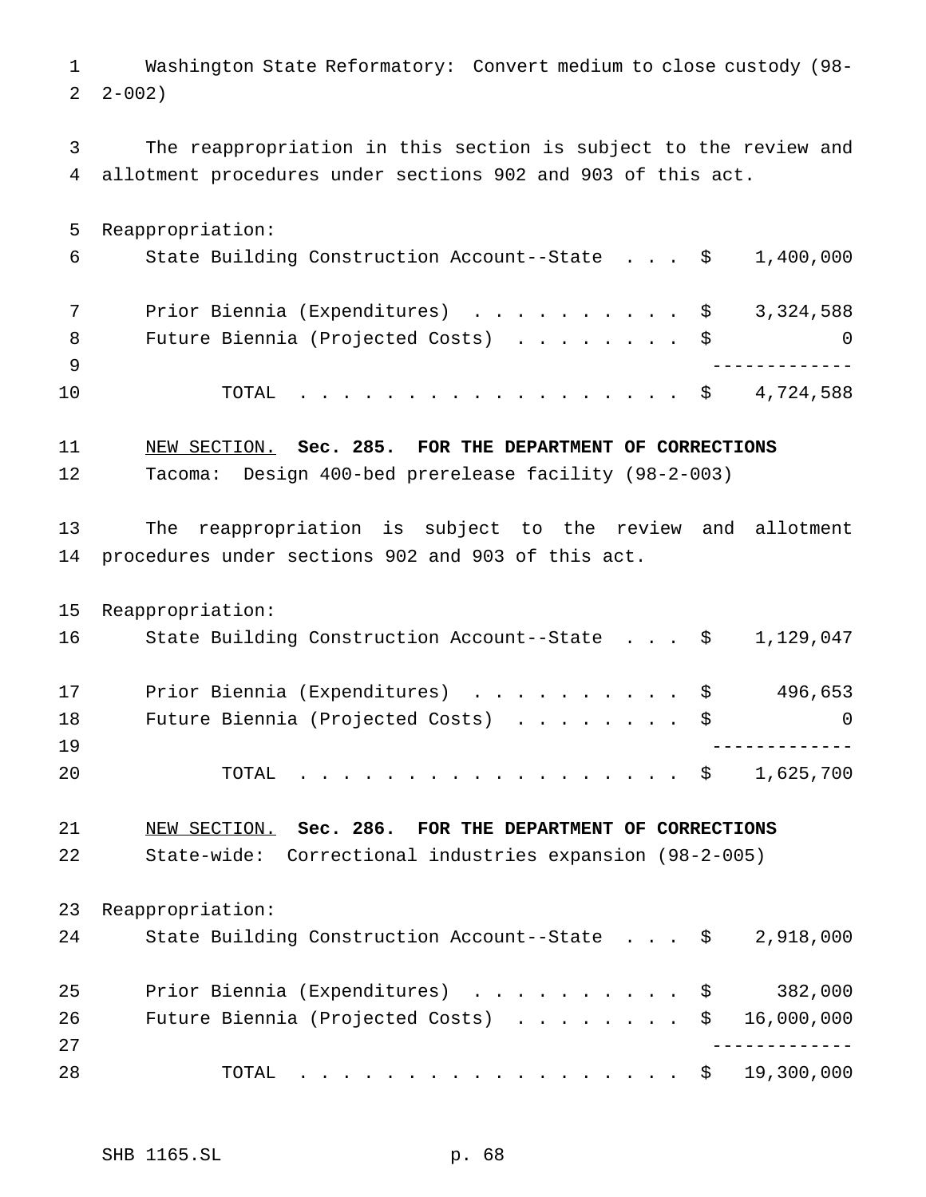Washington State Reformatory: Convert medium to close custody (98-  $2 - 002$ 

 The reappropriation in this section is subject to the review and allotment procedures under sections 902 and 903 of this act.

 Reappropriation: State Building Construction Account--State . . . \$ 1,400,000 7 Prior Biennia (Expenditures) . . . . . . . . . \$ 3,324,588 8 Future Biennia (Projected Costs) . . . . . . . \$ 0 ------------- 10 TOTAL . . . . . . . . . . . . . . . . \$ 4,724,588

NEW SECTION. **Sec. 285. FOR THE DEPARTMENT OF CORRECTIONS**

Tacoma: Design 400-bed prerelease facility (98-2-003)

 The reappropriation is subject to the review and allotment procedures under sections 902 and 903 of this act.

 Reappropriation: State Building Construction Account--State . . . \$ 1,129,047 17 Prior Biennia (Expenditures) . . . . . . . . . \$ 496,653 18 Future Biennia (Projected Costs) . . . . . . . \$ 0 ------------- TOTAL .................. \$ 1,625,700

 NEW SECTION. **Sec. 286. FOR THE DEPARTMENT OF CORRECTIONS** State-wide: Correctional industries expansion (98-2-005)

 Reappropriation: State Building Construction Account--State . . . \$ 2,918,000 Prior Biennia (Expenditures) .......... \$ 382,000 26 Future Biennia (Projected Costs) . . . . . . . \$ 16,000,000 ------------- TOTAL .................. \$ 19,300,000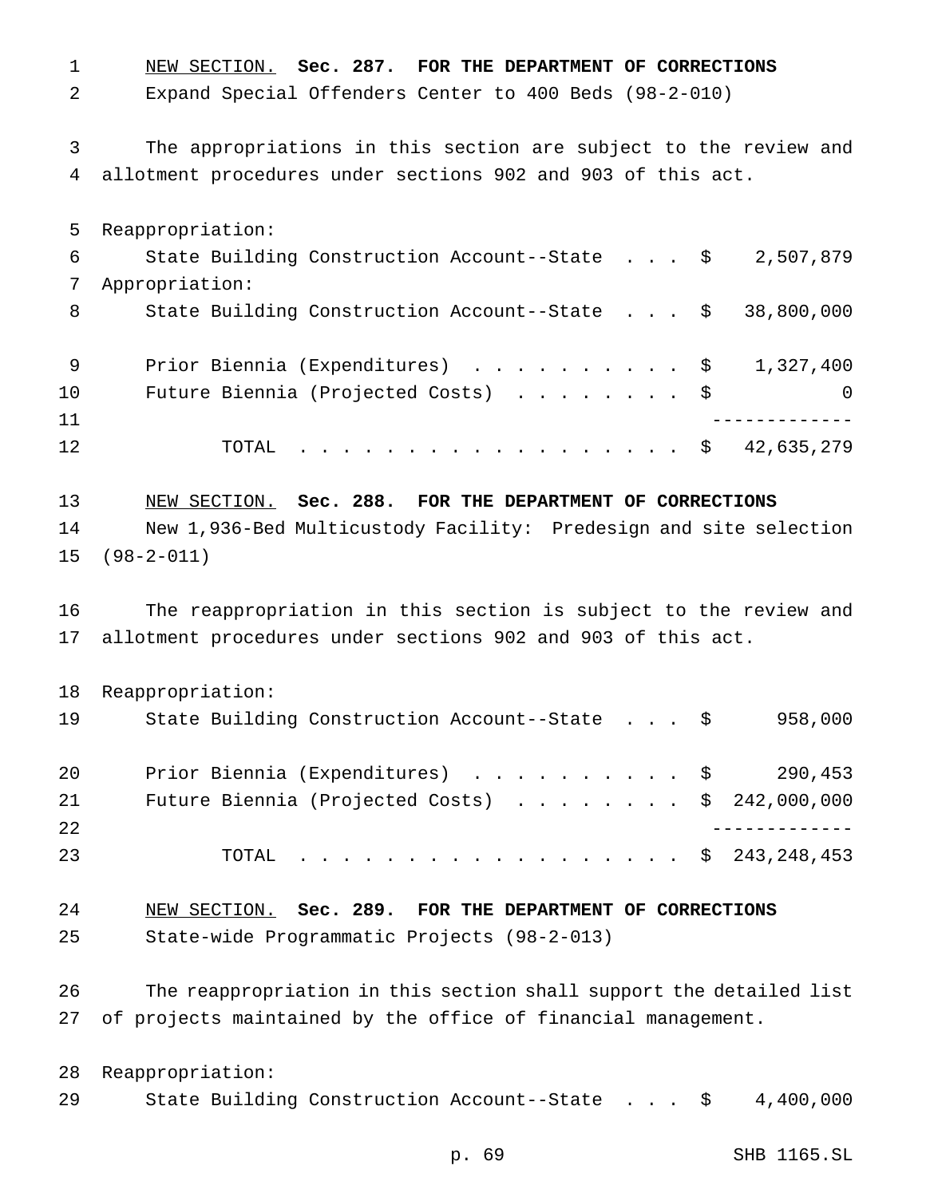NEW SECTION. **Sec. 287. FOR THE DEPARTMENT OF CORRECTIONS** Expand Special Offenders Center to 400 Beds (98-2-010) The appropriations in this section are subject to the review and allotment procedures under sections 902 and 903 of this act. Reappropriation: State Building Construction Account--State . . . \$ 2,507,879 Appropriation: 8 State Building Construction Account--State . . . \$ 38,800,000 9 Prior Biennia (Expenditures) . . . . . . . . . \$ 1,327,400 Future Biennia (Projected Costs) ........ \$ 0 ------------- 12 TOTAL . . . . . . . . . . . . . . . . \$ 42,635,279 NEW SECTION. **Sec. 288. FOR THE DEPARTMENT OF CORRECTIONS** New 1,936-Bed Multicustody Facility: Predesign and site selection (98-2-011) The reappropriation in this section is subject to the review and allotment procedures under sections 902 and 903 of this act. Reappropriation: State Building Construction Account--State . . . \$ 958,000 20 Prior Biennia (Expenditures) . . . . . . . . . \$ 290,453 Future Biennia (Projected Costs) ........ \$ 242,000,000 ------------- TOTAL .................. \$ 243,248,453 NEW SECTION. **Sec. 289. FOR THE DEPARTMENT OF CORRECTIONS** State-wide Programmatic Projects (98-2-013) The reappropriation in this section shall support the detailed list of projects maintained by the office of financial management. Reappropriation: State Building Construction Account--State . . . \$ 4,400,000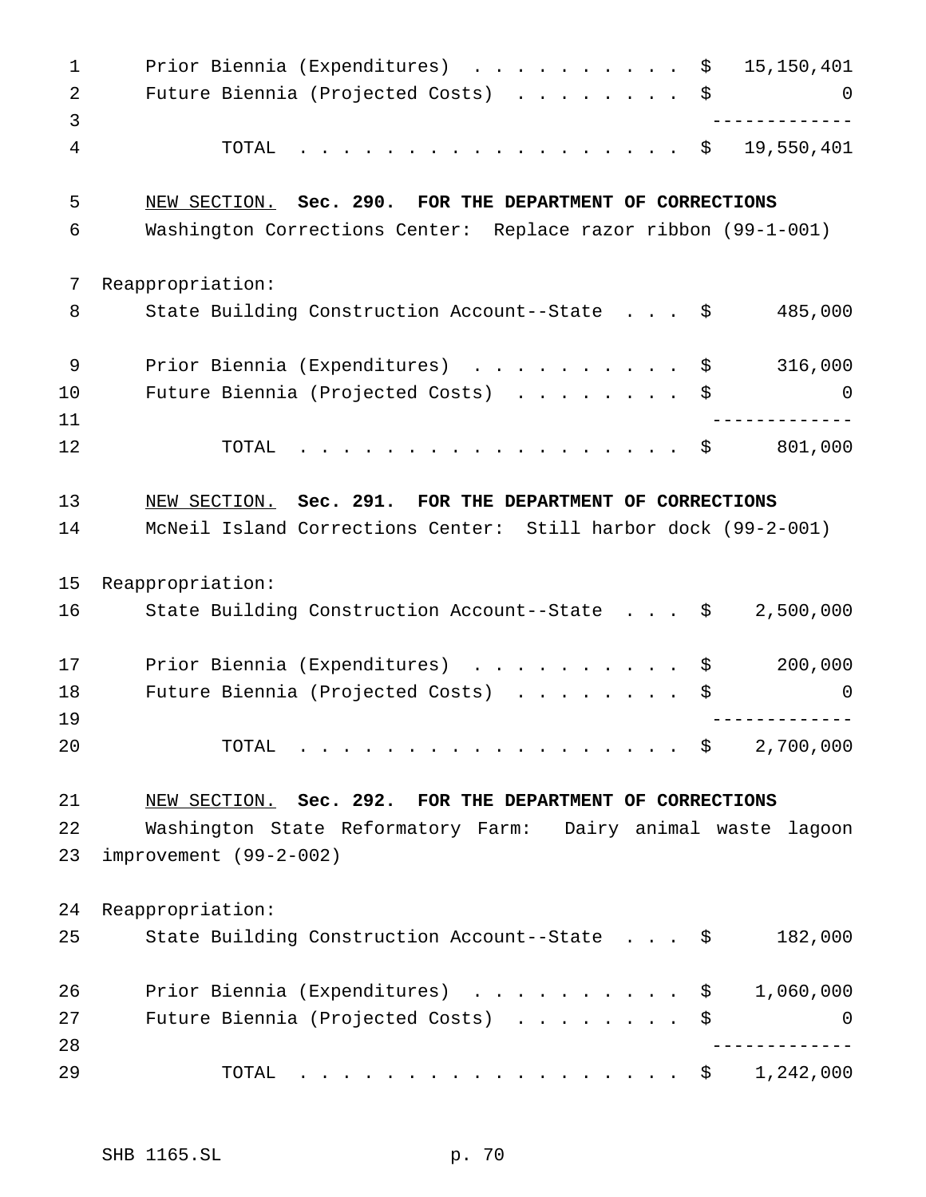| $\mathbf{1}$ | Prior Biennia (Expenditures) \$<br>15,150,401                  |
|--------------|----------------------------------------------------------------|
| 2            | Future Biennia (Projected Costs)<br>\$<br>0                    |
| 3            |                                                                |
| 4            | 19,550,401<br>TOTAL<br>. \$                                    |
| 5            | NEW SECTION. Sec. 290. FOR THE DEPARTMENT OF CORRECTIONS       |
| 6            | Washington Corrections Center: Replace razor ribbon (99-1-001) |
| 7            | Reappropriation:                                               |
| 8            | 485,000<br>State Building Construction Account--State \$       |
| 9            | Prior Biennia (Expenditures) \$<br>316,000                     |
| 10           | Future Biennia (Projected Costs) \$<br>0                       |
| 11           |                                                                |
| 12           | 801,000<br>. \$<br>TOTAL                                       |
| 13           | NEW SECTION. Sec. 291. FOR THE DEPARTMENT OF CORRECTIONS       |
| 14           | McNeil Island Corrections Center: Still harbor dock (99-2-001) |
| 15           | Reappropriation:                                               |
| 16           | State Building Construction Account--State \$<br>2,500,000     |
| 17           | 200,000<br>Prior Biennia (Expenditures) \$                     |
| 18           | Future Biennia (Projected Costs)<br>\$<br>0                    |
| 19           |                                                                |
| 20           | 2,700,000<br>TOTAL<br>. \$                                     |
| 21           | NEW SECTION. Sec. 292. FOR THE DEPARTMENT OF CORRECTIONS       |
| 22           | Washington State Reformatory Farm: Dairy animal waste lagoon   |
| 23           | improvement (99-2-002)                                         |
| 24           | Reappropriation:                                               |
| 25           | State Building Construction Account--State \$<br>182,000       |
| 26           | 1,060,000<br>Prior Biennia (Expenditures) \$                   |
| 27           | Future Biennia (Projected Costs)<br>\$<br>0                    |
| 28           |                                                                |
| 29           | 1,242,000<br>. \$<br>TOTAL                                     |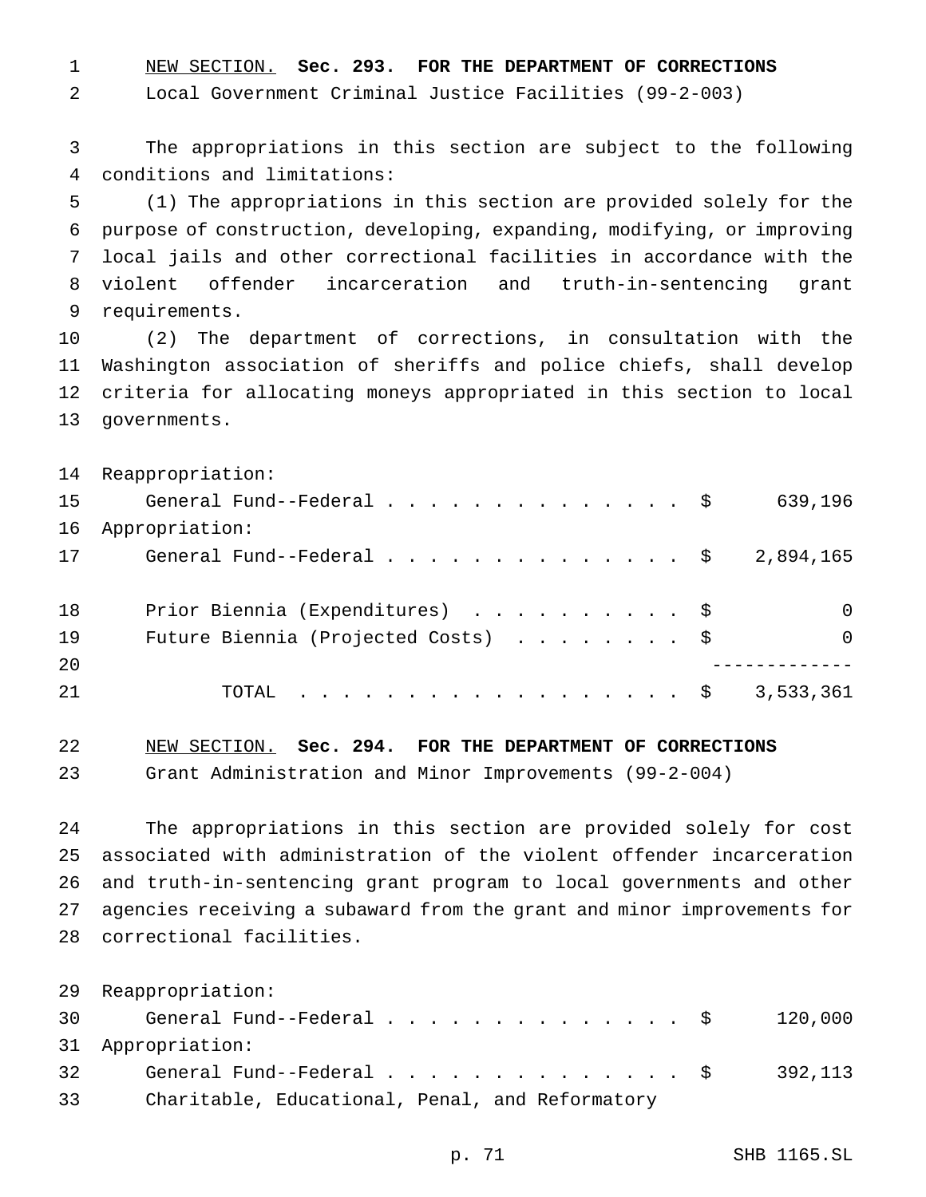NEW SECTION. **Sec. 293. FOR THE DEPARTMENT OF CORRECTIONS**

Local Government Criminal Justice Facilities (99-2-003)

 The appropriations in this section are subject to the following conditions and limitations:

 (1) The appropriations in this section are provided solely for the purpose of construction, developing, expanding, modifying, or improving local jails and other correctional facilities in accordance with the violent offender incarceration and truth-in-sentencing grant requirements.

 (2) The department of corrections, in consultation with the Washington association of sheriffs and police chiefs, shall develop criteria for allocating moneys appropriated in this section to local governments.

|    | 14 Reappropriation:                                                                |             |
|----|------------------------------------------------------------------------------------|-------------|
| 15 | General Fund--Federal \$                                                           | 639,196     |
| 16 | Appropriation:                                                                     |             |
| 17 | General Fund--Federal $\ldots$ , $\ldots$ , $\ldots$ , $\ddot{\text{S}}$ 2,894,165 |             |
|    |                                                                                    |             |
| 18 | Prior Biennia (Expenditures) \$                                                    | $\mathbf 0$ |
| 19 | Future Biennia (Projected Costs) \$                                                | $\Omega$    |
| 20 |                                                                                    |             |
| 21 | TOTAL \$                                                                           | 3,533,361   |
|    |                                                                                    |             |

NEW SECTION. **Sec. 294. FOR THE DEPARTMENT OF CORRECTIONS**

Grant Administration and Minor Improvements (99-2-004)

 The appropriations in this section are provided solely for cost associated with administration of the violent offender incarceration and truth-in-sentencing grant program to local governments and other agencies receiving a subaward from the grant and minor improvements for correctional facilities.

 Reappropriation: General Fund--Federal.............. \$ 120,000 Appropriation: 32 General Fund--Federal...................... \$ 392,113 Charitable, Educational, Penal, and Reformatory

p. 71 SHB 1165.SL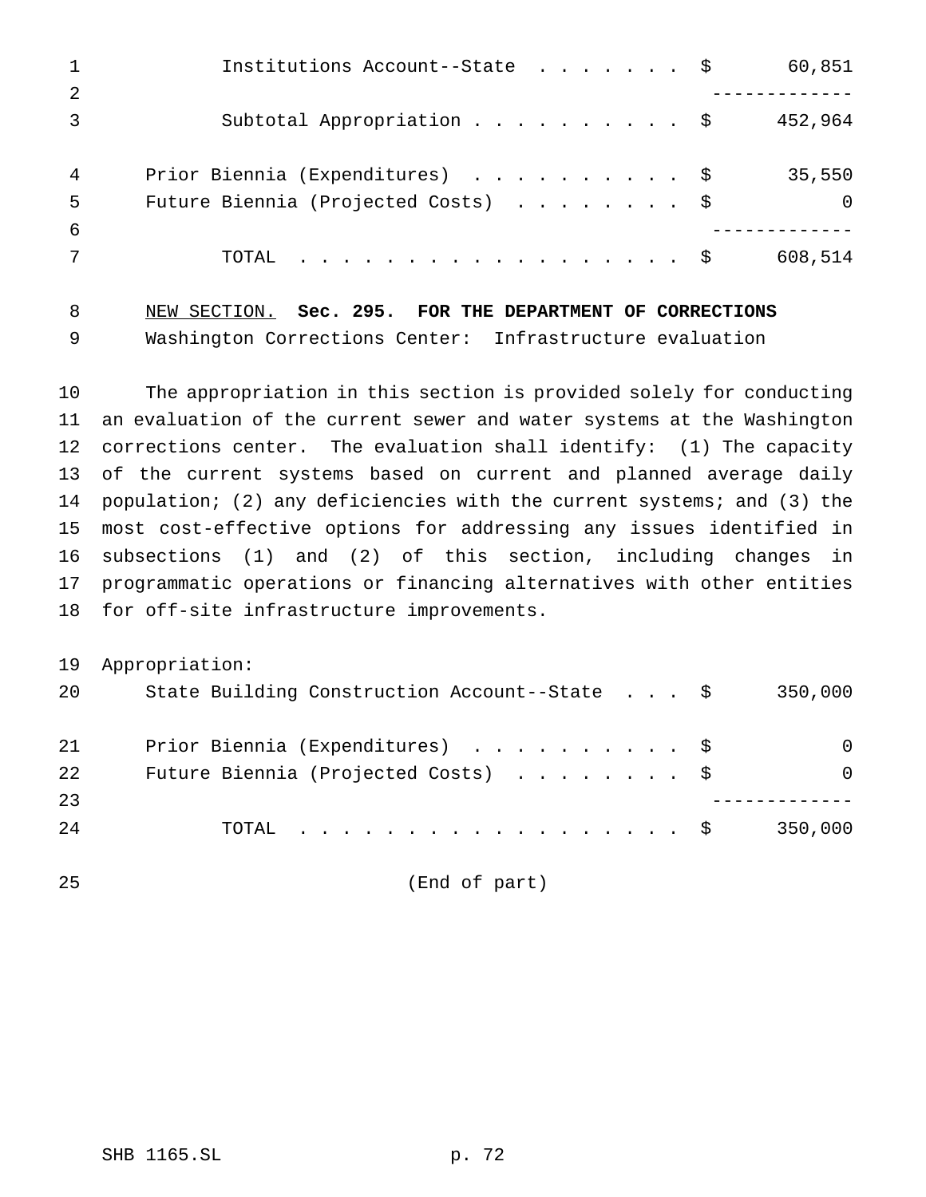|    | Institutions Account--State \$      | 60,851   |
|----|-------------------------------------|----------|
| -2 |                                     |          |
|    | Subtotal Appropriation \$           | 452,964  |
| 4  | Prior Biennia (Expenditures) \$     | 35,550   |
| -5 | Future Biennia (Projected Costs) \$ | $\Omega$ |
| -6 |                                     |          |
|    | TOTAL \$                            | 608,514  |

 NEW SECTION. **Sec. 295. FOR THE DEPARTMENT OF CORRECTIONS** Washington Corrections Center: Infrastructure evaluation

 The appropriation in this section is provided solely for conducting an evaluation of the current sewer and water systems at the Washington corrections center. The evaluation shall identify: (1) The capacity of the current systems based on current and planned average daily population; (2) any deficiencies with the current systems; and (3) the most cost-effective options for addressing any issues identified in subsections (1) and (2) of this section, including changes in programmatic operations or financing alternatives with other entities for off-site infrastructure improvements.

Appropriation:

| 20 | State Building Construction Account--State \$ | 350,000  |
|----|-----------------------------------------------|----------|
| 21 | Prior Biennia (Expenditures) \$               | $\Omega$ |
| 22 | Future Biennia (Projected Costs) \$           | $\Omega$ |
| 23 |                                               |          |
| 24 | TOTAL $\ldots$ \$                             | 350,000  |

(End of part)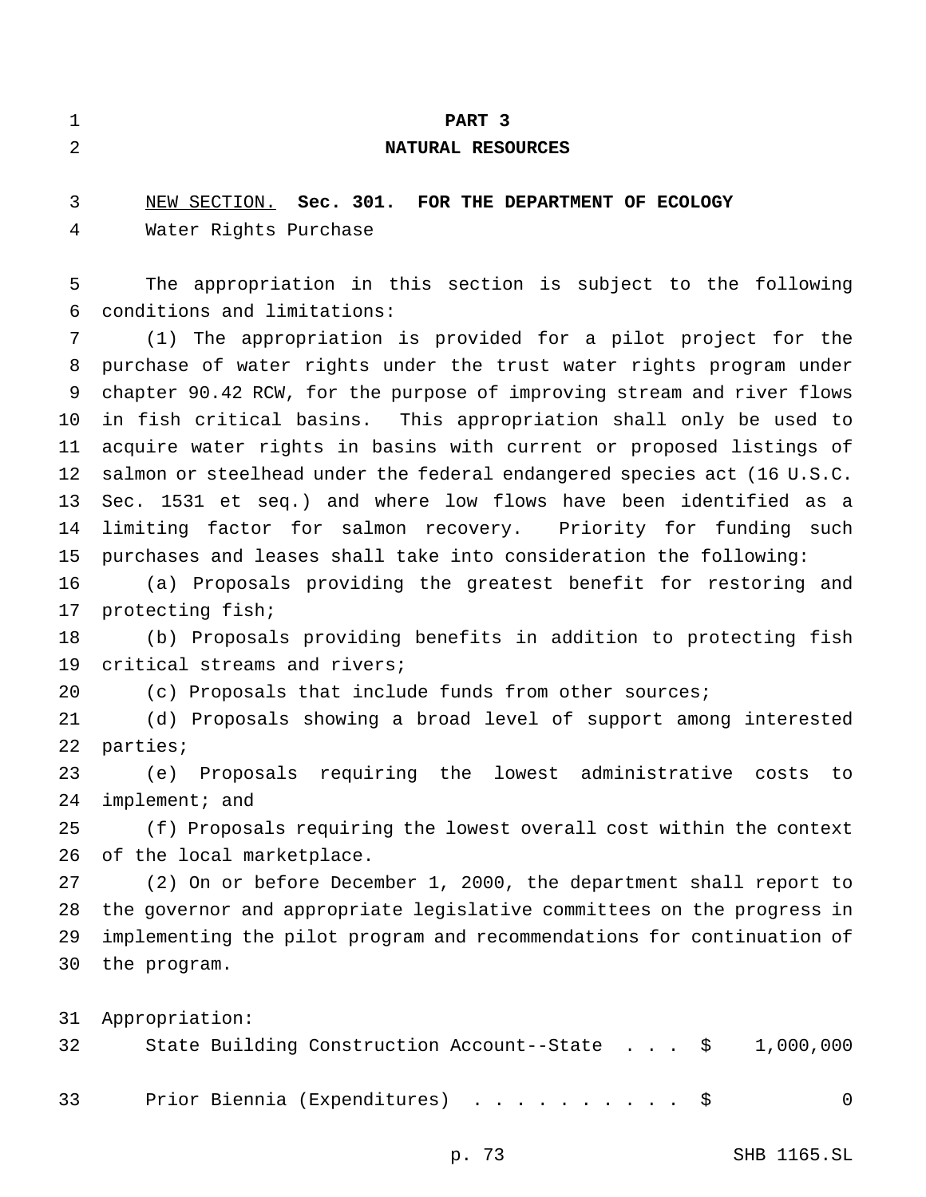|   | PART 3                                                        |  |  |  |  |  |  |  |
|---|---------------------------------------------------------------|--|--|--|--|--|--|--|
| 2 | NATURAL RESOURCES                                             |  |  |  |  |  |  |  |
| 3 | NEW SECTION. Sec. 301. FOR THE DEPARTMENT OF ECOLOGY          |  |  |  |  |  |  |  |
| 4 | Water Rights Purchase                                         |  |  |  |  |  |  |  |
| 5 | The appropriation in this section is subject to the following |  |  |  |  |  |  |  |

 conditions and limitations: (1) The appropriation is provided for a pilot project for the purchase of water rights under the trust water rights program under chapter 90.42 RCW, for the purpose of improving stream and river flows in fish critical basins. This appropriation shall only be used to acquire water rights in basins with current or proposed listings of salmon or steelhead under the federal endangered species act (16 U.S.C. Sec. 1531 et seq.) and where low flows have been identified as a limiting factor for salmon recovery. Priority for funding such purchases and leases shall take into consideration the following:

 (a) Proposals providing the greatest benefit for restoring and protecting fish;

 (b) Proposals providing benefits in addition to protecting fish critical streams and rivers;

(c) Proposals that include funds from other sources;

 (d) Proposals showing a broad level of support among interested parties;

 (e) Proposals requiring the lowest administrative costs to 24 implement; and

 (f) Proposals requiring the lowest overall cost within the context of the local marketplace.

 (2) On or before December 1, 2000, the department shall report to the governor and appropriate legislative committees on the progress in implementing the pilot program and recommendations for continuation of the program.

Appropriation:

| 32 |  | State Building Construction Account--State $\frac{1}{9}$ 1,000,000 |  |  |  |          |
|----|--|--------------------------------------------------------------------|--|--|--|----------|
| 33 |  | Prior Biennia (Expenditures) \$                                    |  |  |  | $\Omega$ |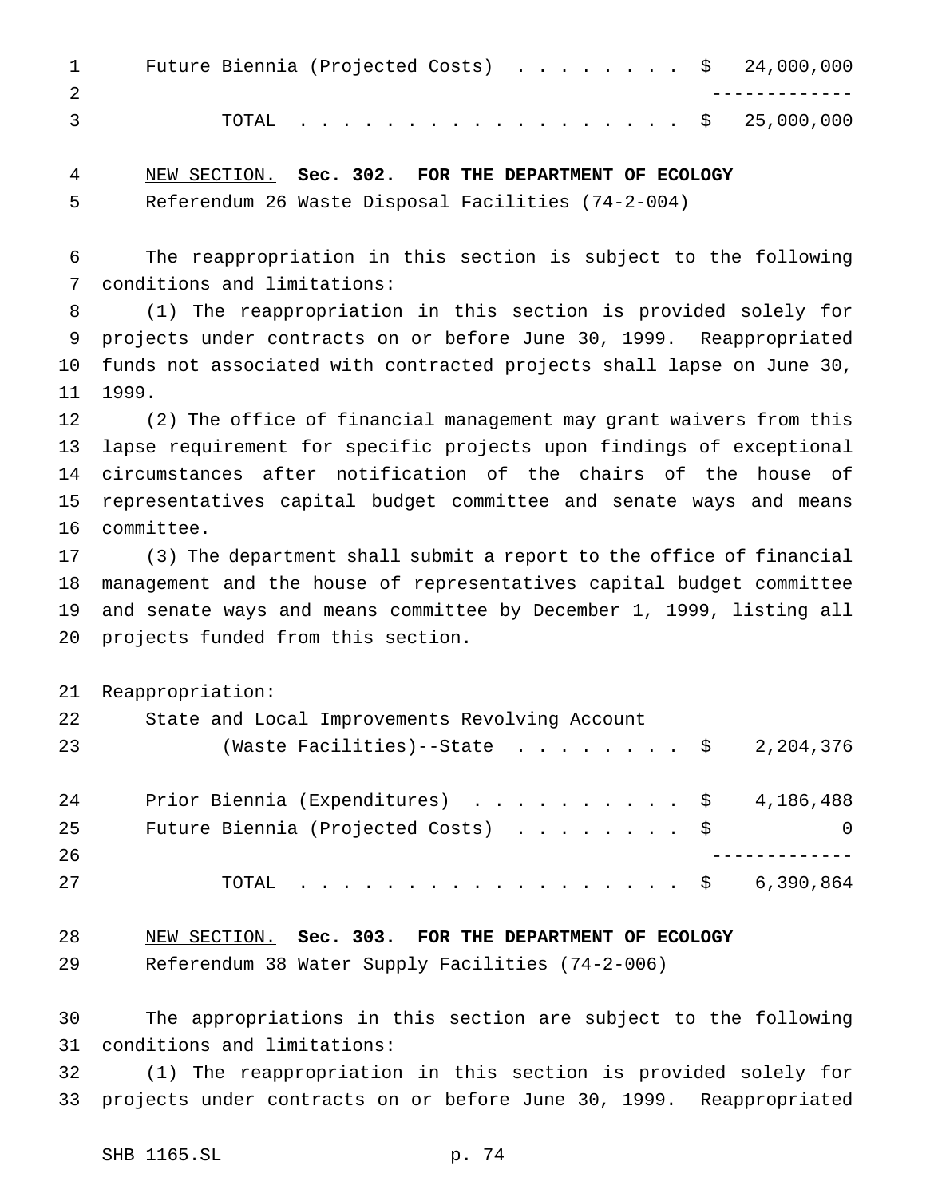| $1 \qquad \qquad$ |  | Future Biennia (Projected Costs) $\ldots$ \$ 24,000,000 |  |  |  |  |  |
|-------------------|--|---------------------------------------------------------|--|--|--|--|--|
|                   |  |                                                         |  |  |  |  |  |
| $\overline{3}$    |  | TOTAL \$ 25,000,000                                     |  |  |  |  |  |

 NEW SECTION. **Sec. 302. FOR THE DEPARTMENT OF ECOLOGY** Referendum 26 Waste Disposal Facilities (74-2-004)

 The reappropriation in this section is subject to the following conditions and limitations:

 (1) The reappropriation in this section is provided solely for projects under contracts on or before June 30, 1999. Reappropriated funds not associated with contracted projects shall lapse on June 30, 1999.

 (2) The office of financial management may grant waivers from this lapse requirement for specific projects upon findings of exceptional circumstances after notification of the chairs of the house of representatives capital budget committee and senate ways and means committee.

 (3) The department shall submit a report to the office of financial management and the house of representatives capital budget committee and senate ways and means committee by December 1, 1999, listing all projects funded from this section.

Reappropriation:

| 22 | State and Local Improvements Revolving Account |          |
|----|------------------------------------------------|----------|
| 23 | (Waste Facilities)--State \$ 2,204,376         |          |
| 24 | Prior Biennia (Expenditures) \$ 4,186,488      |          |
| 25 | Future Biennia (Projected Costs) \$            | $\Omega$ |
| 26 |                                                |          |
| 27 | TOTAL \$ 6,390,864                             |          |

 NEW SECTION. **Sec. 303. FOR THE DEPARTMENT OF ECOLOGY** Referendum 38 Water Supply Facilities (74-2-006)

 The appropriations in this section are subject to the following conditions and limitations:

 (1) The reappropriation in this section is provided solely for projects under contracts on or before June 30, 1999. Reappropriated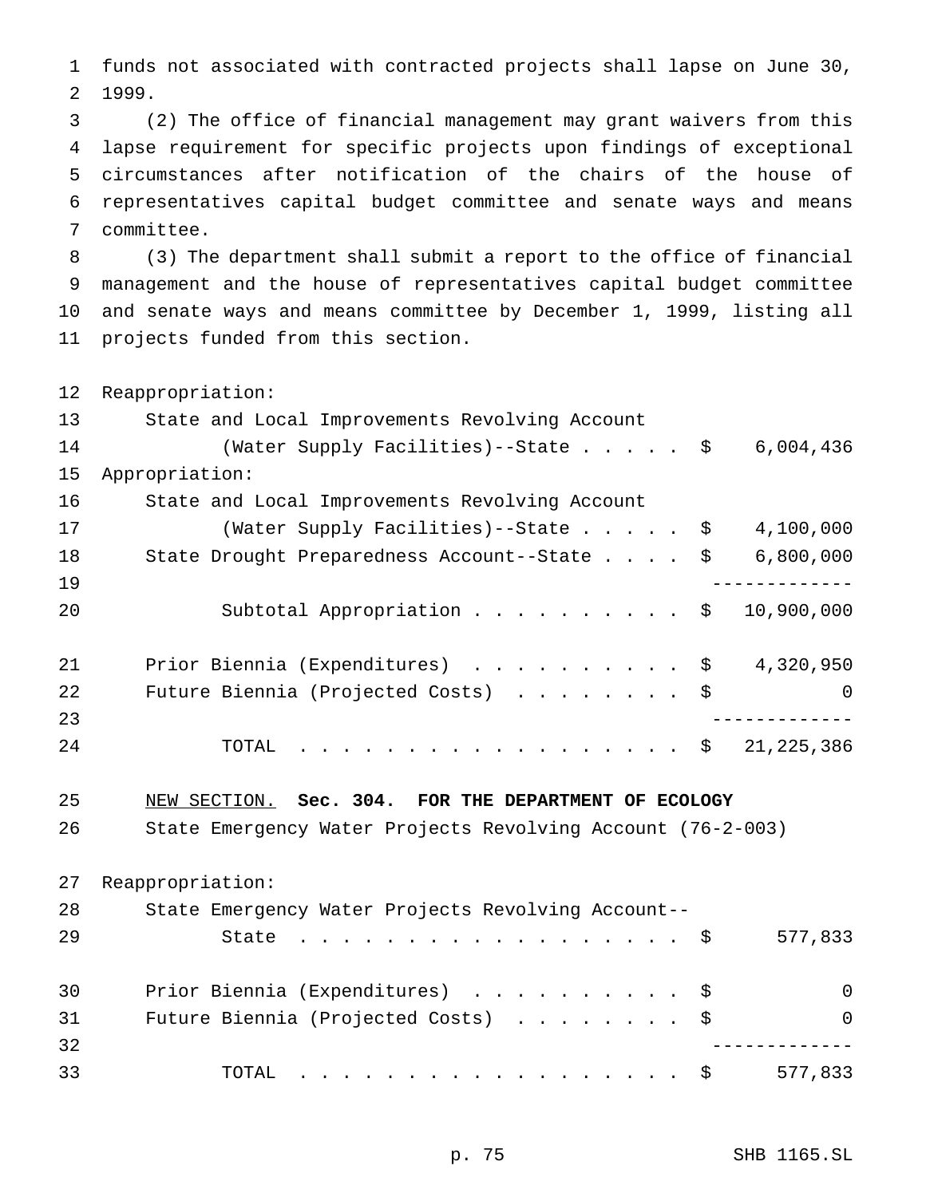funds not associated with contracted projects shall lapse on June 30, 1999.

 (2) The office of financial management may grant waivers from this lapse requirement for specific projects upon findings of exceptional circumstances after notification of the chairs of the house of representatives capital budget committee and senate ways and means committee.

 (3) The department shall submit a report to the office of financial management and the house of representatives capital budget committee and senate ways and means committee by December 1, 1999, listing all projects funded from this section.

Reappropriation:

| State and Local Improvements Revolving Account |                                                                                                                                                                                                                                                        |
|------------------------------------------------|--------------------------------------------------------------------------------------------------------------------------------------------------------------------------------------------------------------------------------------------------------|
|                                                | 6,004,436                                                                                                                                                                                                                                              |
| Appropriation:                                 |                                                                                                                                                                                                                                                        |
| State and Local Improvements Revolving Account |                                                                                                                                                                                                                                                        |
|                                                | 4,100,000                                                                                                                                                                                                                                              |
|                                                | 6,800,000                                                                                                                                                                                                                                              |
|                                                |                                                                                                                                                                                                                                                        |
|                                                | 10,900,000                                                                                                                                                                                                                                             |
|                                                | 4,320,950                                                                                                                                                                                                                                              |
|                                                | $\Omega$                                                                                                                                                                                                                                               |
|                                                |                                                                                                                                                                                                                                                        |
|                                                | 21, 225, 386                                                                                                                                                                                                                                           |
|                                                | (Water Supply Facilities)--State \$<br>(Water Supply Facilities)--State \$<br>State Drought Preparedness Account--State \$<br>Subtotal Appropriation \$<br>Prior Biennia (Expenditures) \$<br>Future Biennia (Projected Costs) \$<br>TOTAL $\ldots$ \$ |

NEW SECTION. **Sec. 304. FOR THE DEPARTMENT OF ECOLOGY**

State Emergency Water Projects Revolving Account (76-2-003)

|    | 27 Reappropriation:                                |          |
|----|----------------------------------------------------|----------|
| 28 | State Emergency Water Projects Revolving Account-- |          |
| 29 | State $\ldots$ $\frac{1}{5}$                       | 577,833  |
| 30 | Prior Biennia (Expenditures) \$                    | $\Omega$ |
| 31 | Future Biennia (Projected Costs) \$                | $\Omega$ |
| 32 |                                                    |          |
| 33 | TOTAL $\hat{S}$                                    | 577,833  |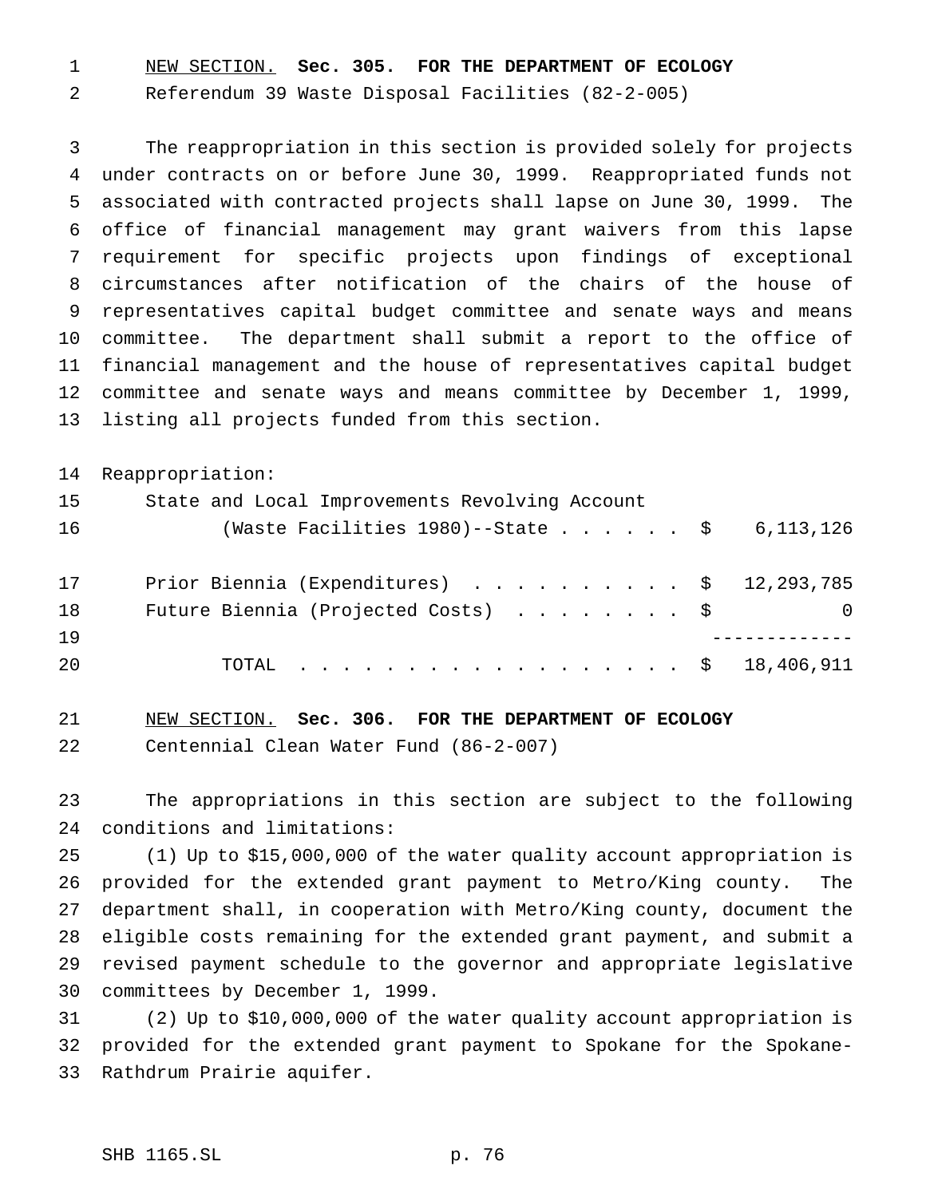NEW SECTION. **Sec. 305. FOR THE DEPARTMENT OF ECOLOGY**

Referendum 39 Waste Disposal Facilities (82-2-005)

 The reappropriation in this section is provided solely for projects under contracts on or before June 30, 1999. Reappropriated funds not associated with contracted projects shall lapse on June 30, 1999. The office of financial management may grant waivers from this lapse requirement for specific projects upon findings of exceptional circumstances after notification of the chairs of the house of representatives capital budget committee and senate ways and means committee. The department shall submit a report to the office of financial management and the house of representatives capital budget committee and senate ways and means committee by December 1, 1999, listing all projects funded from this section.

Reappropriation:

| 15        | State and Local Improvements Revolving Account         |                  |
|-----------|--------------------------------------------------------|------------------|
| 16        | (Waste Facilities 1980)--State $\frac{1}{5}$ 6,113,126 |                  |
| 17        | Prior Biennia (Expenditures) \$ 12,293,785             |                  |
| 18        | Future Biennia (Projected Costs) $\ldots$ \$           | $\left( \right)$ |
| <b>19</b> |                                                        |                  |
| -20       | TOTAL \$ 18,406,911                                    |                  |

 NEW SECTION. **Sec. 306. FOR THE DEPARTMENT OF ECOLOGY** Centennial Clean Water Fund (86-2-007)

 The appropriations in this section are subject to the following conditions and limitations:

 (1) Up to \$15,000,000 of the water quality account appropriation is provided for the extended grant payment to Metro/King county. The department shall, in cooperation with Metro/King county, document the eligible costs remaining for the extended grant payment, and submit a revised payment schedule to the governor and appropriate legislative committees by December 1, 1999.

 (2) Up to \$10,000,000 of the water quality account appropriation is provided for the extended grant payment to Spokane for the Spokane-Rathdrum Prairie aquifer.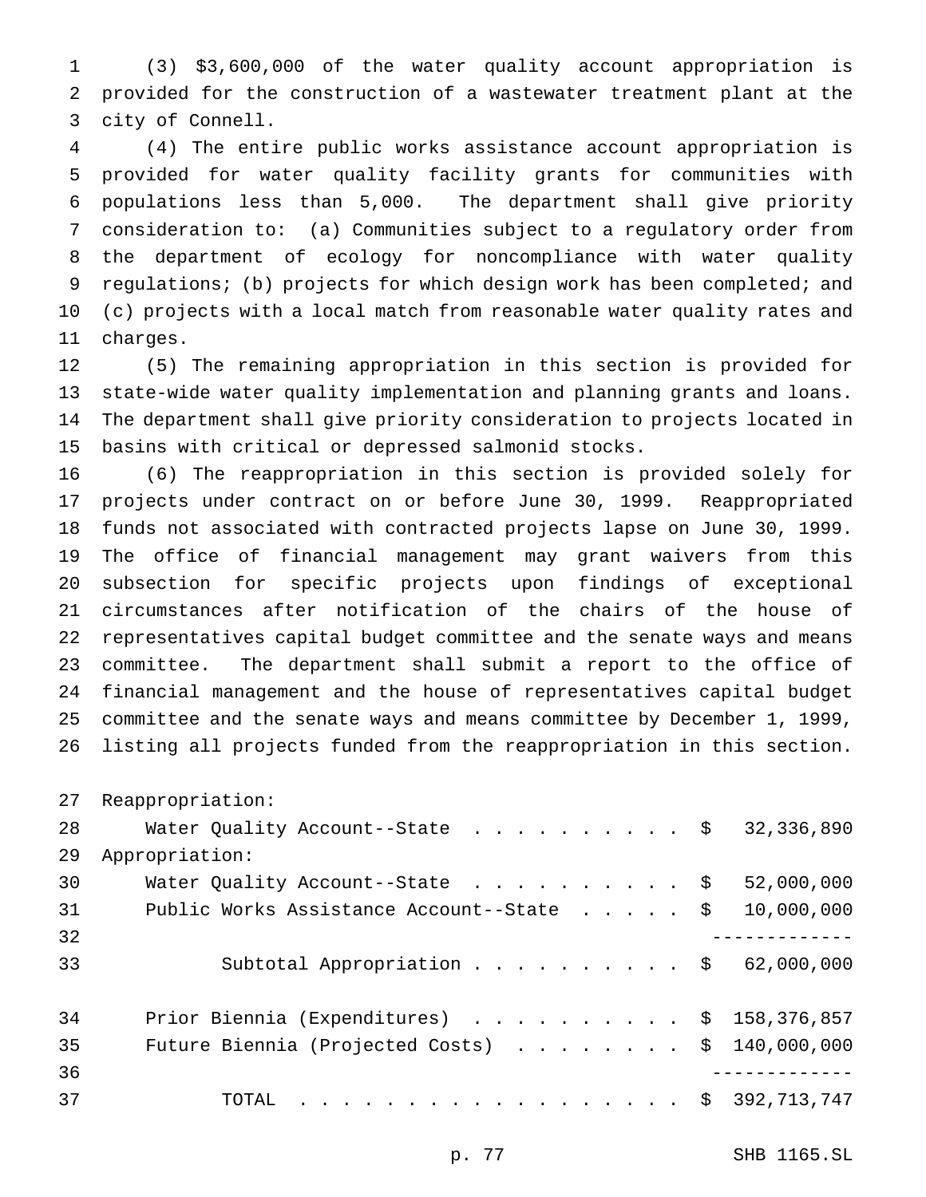(3) \$3,600,000 of the water quality account appropriation is provided for the construction of a wastewater treatment plant at the city of Connell.

 (4) The entire public works assistance account appropriation is provided for water quality facility grants for communities with populations less than 5,000. The department shall give priority consideration to: (a) Communities subject to a regulatory order from the department of ecology for noncompliance with water quality 9 regulations; (b) projects for which design work has been completed; and (c) projects with a local match from reasonable water quality rates and charges.

 (5) The remaining appropriation in this section is provided for state-wide water quality implementation and planning grants and loans. The department shall give priority consideration to projects located in basins with critical or depressed salmonid stocks.

 (6) The reappropriation in this section is provided solely for projects under contract on or before June 30, 1999. Reappropriated funds not associated with contracted projects lapse on June 30, 1999. The office of financial management may grant waivers from this subsection for specific projects upon findings of exceptional circumstances after notification of the chairs of the house of representatives capital budget committee and the senate ways and means committee. The department shall submit a report to the office of financial management and the house of representatives capital budget committee and the senate ways and means committee by December 1, 1999, listing all projects funded from the reappropriation in this section.

Reappropriation:

| 28 | Water Quality Account--State \$ 32,336,890               |            |
|----|----------------------------------------------------------|------------|
| 29 | Appropriation:                                           |            |
| 30 | Water Quality Account--State $\ldots$ \$                 | 52,000,000 |
| 31 | Public Works Assistance Account--State \$                | 10,000,000 |
| 32 |                                                          |            |
| 33 | Subtotal Appropriation \$ 62,000,000                     |            |
| 34 | Prior Biennia (Expenditures) $\ldots$ \$ 158,376,857     |            |
| 35 | Future Biennia (Projected Costs) $\ldots$ \$ 140,000,000 |            |
| 36 |                                                          |            |
| 37 | TOTAL \$ 392,713,747                                     |            |
|    |                                                          |            |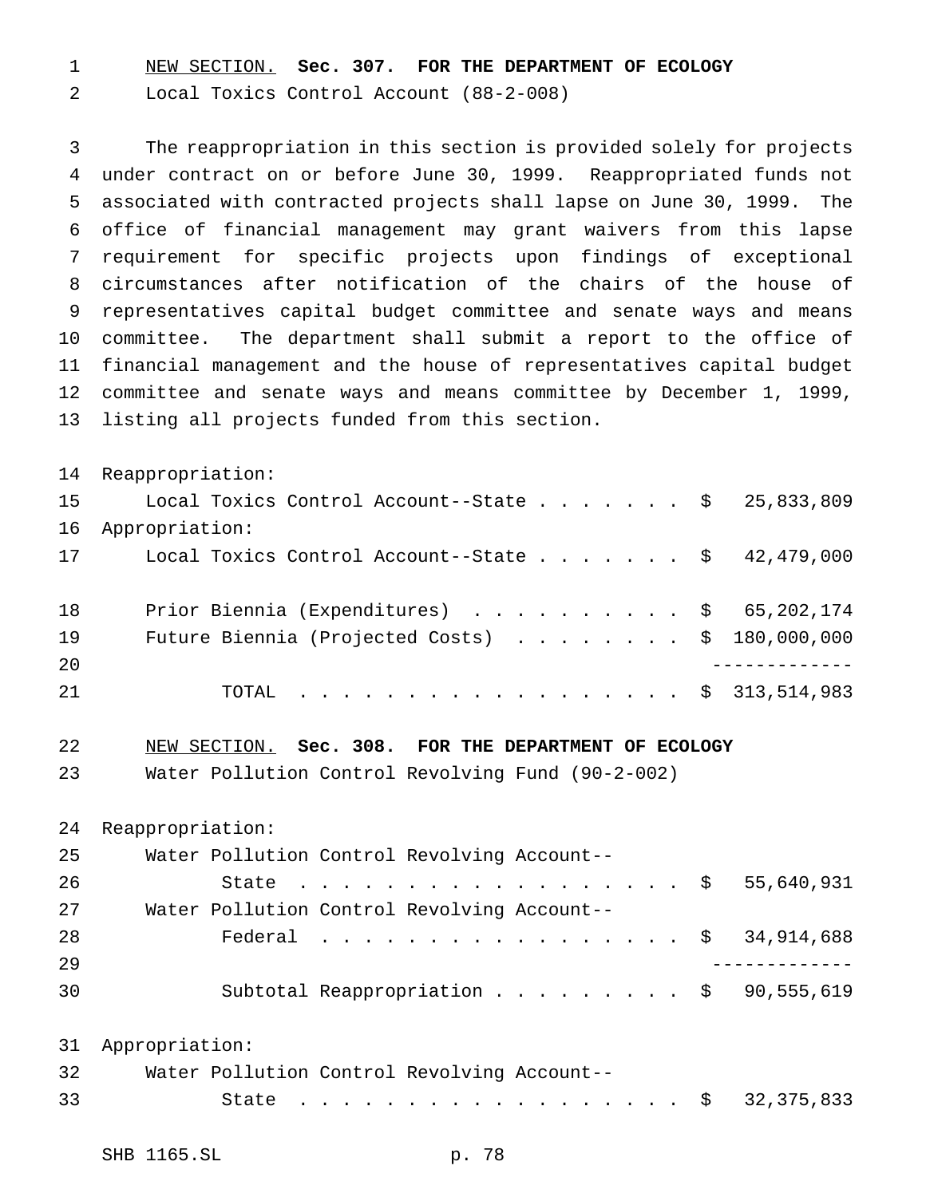NEW SECTION. **Sec. 307. FOR THE DEPARTMENT OF ECOLOGY**

Local Toxics Control Account (88-2-008)

 The reappropriation in this section is provided solely for projects under contract on or before June 30, 1999. Reappropriated funds not associated with contracted projects shall lapse on June 30, 1999. The office of financial management may grant waivers from this lapse requirement for specific projects upon findings of exceptional circumstances after notification of the chairs of the house of representatives capital budget committee and senate ways and means committee. The department shall submit a report to the office of financial management and the house of representatives capital budget committee and senate ways and means committee by December 1, 1999, listing all projects funded from this section.

 Reappropriation: 15 Local Toxics Control Account--State . . . . . . \$ 25,833,809 Appropriation: 17 Local Toxics Control Account--State . . . . . . \$ 42,479,000 18 Prior Biennia (Expenditures) . . . . . . . . . \$ 65,202,174 Future Biennia (Projected Costs) ........ \$ 180,000,000 ------------- TOTAL .................. \$ 313,514,983

NEW SECTION. **Sec. 308. FOR THE DEPARTMENT OF ECOLOGY**

Water Pollution Control Revolving Fund (90-2-002)

Reappropriation:

| 25 |  | Water Pollution Control Revolving Account-- |  |  |                                                    |
|----|--|---------------------------------------------|--|--|----------------------------------------------------|
| 26 |  |                                             |  |  | State \$ 55,640,931                                |
| 27 |  | Water Pollution Control Revolving Account-- |  |  |                                                    |
| 28 |  |                                             |  |  | Federal \$ 34,914,688                              |
| 29 |  |                                             |  |  |                                                    |
| 30 |  |                                             |  |  | Subtotal Reappropriation $\frac{1}{90}$ , 555, 619 |

 Appropriation: Water Pollution Control Revolving Account-- 33 State . . . . . . . . . . . . . . . . \$ 32,375,833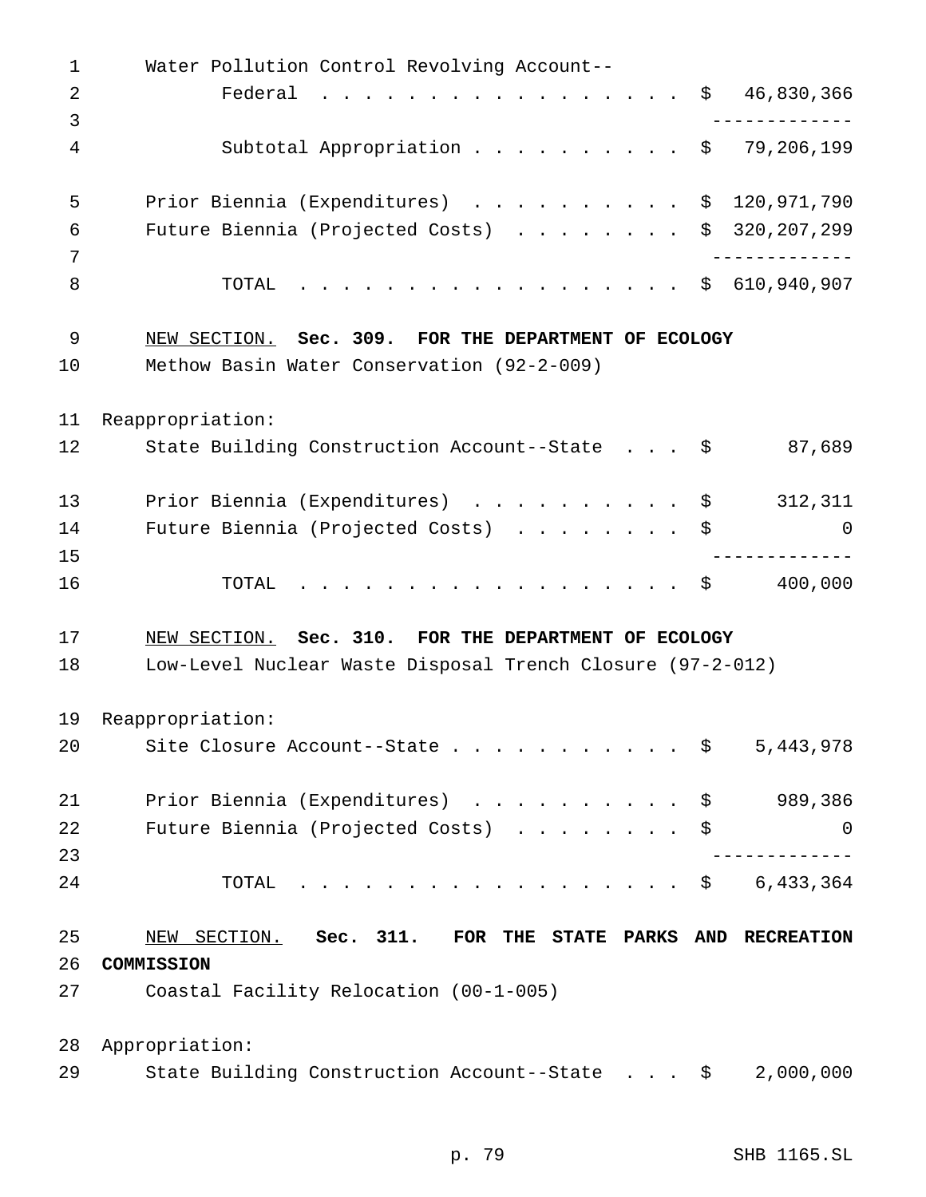Water Pollution Control Revolving Account-- 2 Federal . . . . . . . . . . . . . . . \$ 46,830,366 ------------- Subtotal Appropriation.......... \$ 79,206,199 Prior Biennia (Expenditures) .......... \$ 120,971,790 Future Biennia (Projected Costs) ........ \$ 320,207,299 ------------- TOTAL .................. \$ 610,940,907 NEW SECTION. **Sec. 309. FOR THE DEPARTMENT OF ECOLOGY** Methow Basin Water Conservation (92-2-009) Reappropriation: 12 State Building Construction Account--State . . . \$ 87,689 13 Prior Biennia (Expenditures) . . . . . . . . . \$ 312,311 14 Future Biennia (Projected Costs) . . . . . . . \$ 0 ------------- 16 TOTAL . . . . . . . . . . . . . . . . \$ 400,000 NEW SECTION. **Sec. 310. FOR THE DEPARTMENT OF ECOLOGY** Low-Level Nuclear Waste Disposal Trench Closure (97-2-012) Reappropriation: 20 Site Closure Account--State . . . . . . . . . . \$ 5,443,978 21 Prior Biennia (Expenditures) . . . . . . . . . \$ 989,386 Future Biennia (Projected Costs) ........ \$ 0 ------------- 24 TOTAL . . . . . . . . . . . . . . . . \$ 6,433,364 NEW SECTION. **Sec. 311. FOR THE STATE PARKS AND RECREATION COMMISSION** Coastal Facility Relocation (00-1-005) Appropriation: State Building Construction Account--State . . . \$ 2,000,000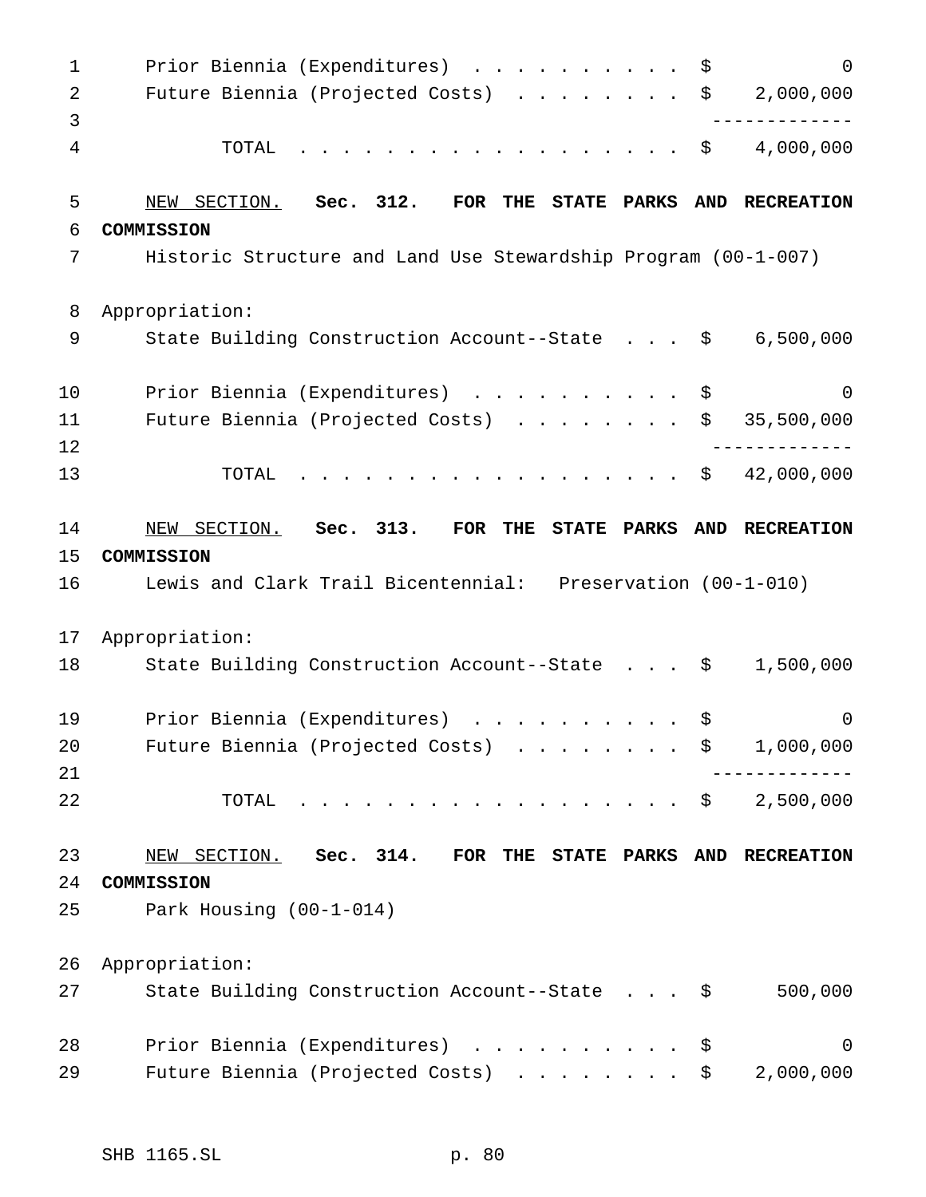1 Prior Biennia (Expenditures) . . . . . . . . . \$ 0 Future Biennia (Projected Costs) ........ \$ 2,000,000 ------------- TOTAL .................. \$ 4,000,000 NEW SECTION. **Sec. 312. FOR THE STATE PARKS AND RECREATION COMMISSION** Historic Structure and Land Use Stewardship Program (00-1-007) Appropriation: State Building Construction Account--State . . . \$ 6,500,000 10 Prior Biennia (Expenditures) .............\$ 0 Future Biennia (Projected Costs) ........ \$ 35,500,000 ------------- TOTAL .................. \$ 42,000,000 NEW SECTION. **Sec. 313. FOR THE STATE PARKS AND RECREATION COMMISSION** Lewis and Clark Trail Bicentennial: Preservation (00-1-010) Appropriation: State Building Construction Account--State . . . \$ 1,500,000 Prior Biennia (Expenditures) .......... \$ 0 20 Future Biennia (Projected Costs) . . . . . . . \$ 1,000,000 ------------- TOTAL .................. \$ 2,500,000 NEW SECTION. **Sec. 314. FOR THE STATE PARKS AND RECREATION COMMISSION** Park Housing (00-1-014) Appropriation: State Building Construction Account--State . . . \$ 500,000 28 Prior Biennia (Expenditures) . . . . . . . . . \$ 0 29 Future Biennia (Projected Costs) . . . . . . . \$ 2,000,000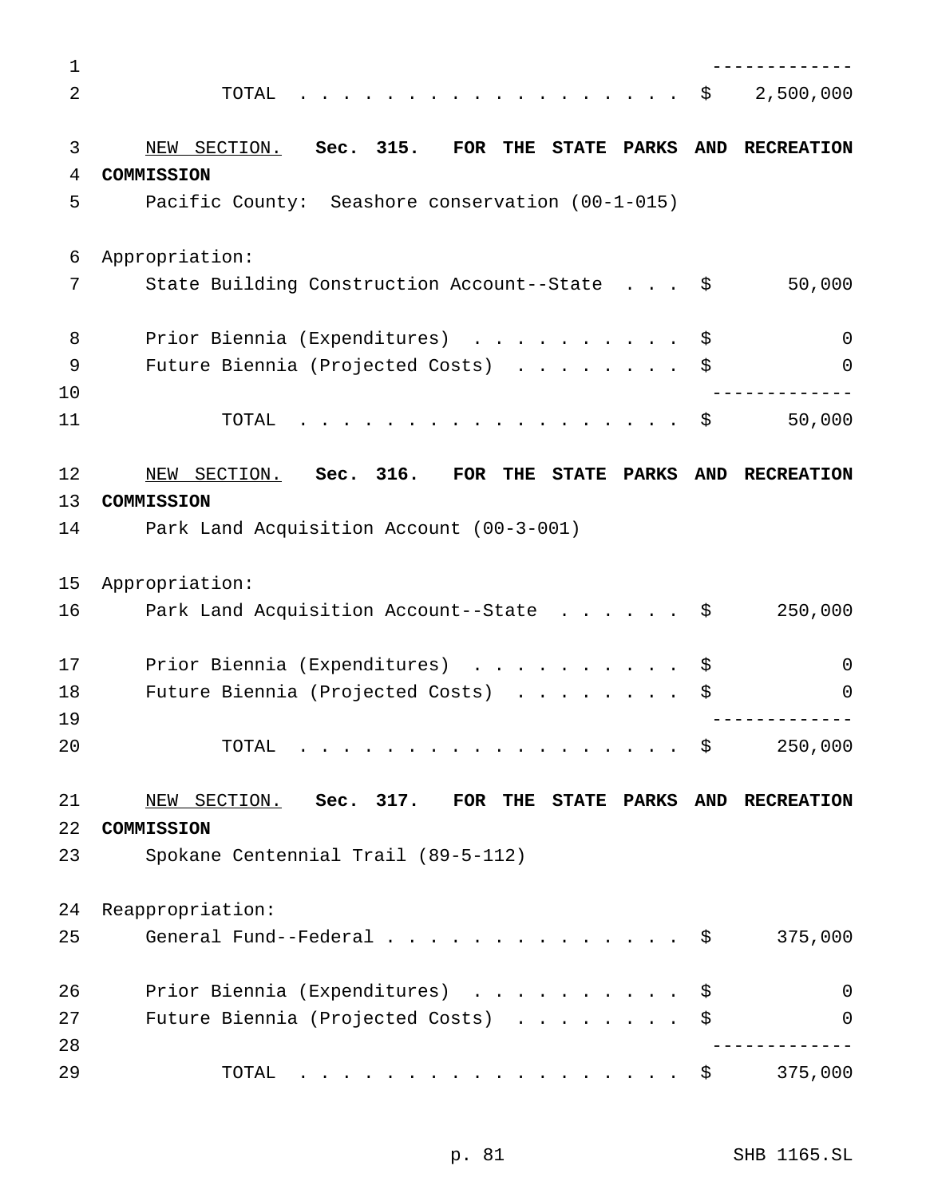| $\mathbf 1$ |                                                                                                                                                                                                                                        |            |                   |
|-------------|----------------------------------------------------------------------------------------------------------------------------------------------------------------------------------------------------------------------------------------|------------|-------------------|
| 2           | TOTAL                                                                                                                                                                                                                                  | \$         | 2,500,000         |
|             |                                                                                                                                                                                                                                        |            |                   |
| 3           | NEW SECTION.<br>Sec. 315.<br>$\overline{\text{FOR}}$<br>THE<br>STATE PARKS                                                                                                                                                             | <b>AND</b> | <b>RECREATION</b> |
| 4           | COMMISSION                                                                                                                                                                                                                             |            |                   |
| 5           | Pacific County: Seashore conservation (00-1-015)                                                                                                                                                                                       |            |                   |
| 6           | Appropriation:                                                                                                                                                                                                                         |            |                   |
| 7           | State Building Construction Account--State \$                                                                                                                                                                                          |            | 50,000            |
| 8           | Prior Biennia (Expenditures)                                                                                                                                                                                                           | \$         | $\Omega$          |
| 9           | Future Biennia (Projected Costs)<br>$\cdots$                                                                                                                                                                                           | \$         | 0                 |
| 10          |                                                                                                                                                                                                                                        |            |                   |
| 11          | TOTAL                                                                                                                                                                                                                                  | \$         | 50,000            |
| 12          | Sec. 316.<br>NEW SECTION.<br>FOR<br><b>THE</b><br>STATE PARKS                                                                                                                                                                          | <b>AND</b> | <b>RECREATION</b> |
| 13          | COMMISSION                                                                                                                                                                                                                             |            |                   |
| 14          | Park Land Acquisition Account (00-3-001)                                                                                                                                                                                               |            |                   |
| 15          | Appropriation:                                                                                                                                                                                                                         |            |                   |
| 16          |                                                                                                                                                                                                                                        |            | 250,000           |
|             | Park Land Acquisition Account--State                                                                                                                                                                                                   | \$         |                   |
| 17          | Prior Biennia (Expenditures)<br>$\cdots$                                                                                                                                                                                               | \$         | $\Omega$          |
| 18          | Future Biennia (Projected Costs)<br>.                                                                                                                                                                                                  | \$         | 0                 |
| 19          |                                                                                                                                                                                                                                        |            |                   |
| 20          | TOTAL                                                                                                                                                                                                                                  | \$         | 250,000           |
| 21          | NEW SECTION.<br>Sec. 317. FOR THE<br><b>STATE PARKS</b>                                                                                                                                                                                |            | AND RECREATION    |
| 22          | COMMISSION                                                                                                                                                                                                                             |            |                   |
| 23          | Spokane Centennial Trail (89-5-112)                                                                                                                                                                                                    |            |                   |
| 24          | Reappropriation:                                                                                                                                                                                                                       |            |                   |
| 25          | General Fund--Federal                                                                                                                                                                                                                  | \$         | 375,000           |
|             |                                                                                                                                                                                                                                        |            |                   |
| 26          | Prior Biennia (Expenditures)<br>$\cdots$                                                                                                                                                                                               | \$         | $\mathbf 0$       |
| 27          | Future Biennia (Projected Costs)                                                                                                                                                                                                       | \$         | 0                 |
| 28          |                                                                                                                                                                                                                                        |            |                   |
| 29          | TOTAL<br>. The contract of the contract of the contract of the contract of the contract of the contract of the contract of the contract of the contract of the contract of the contract of the contract of the contract of the contrac | \$         | 375,000           |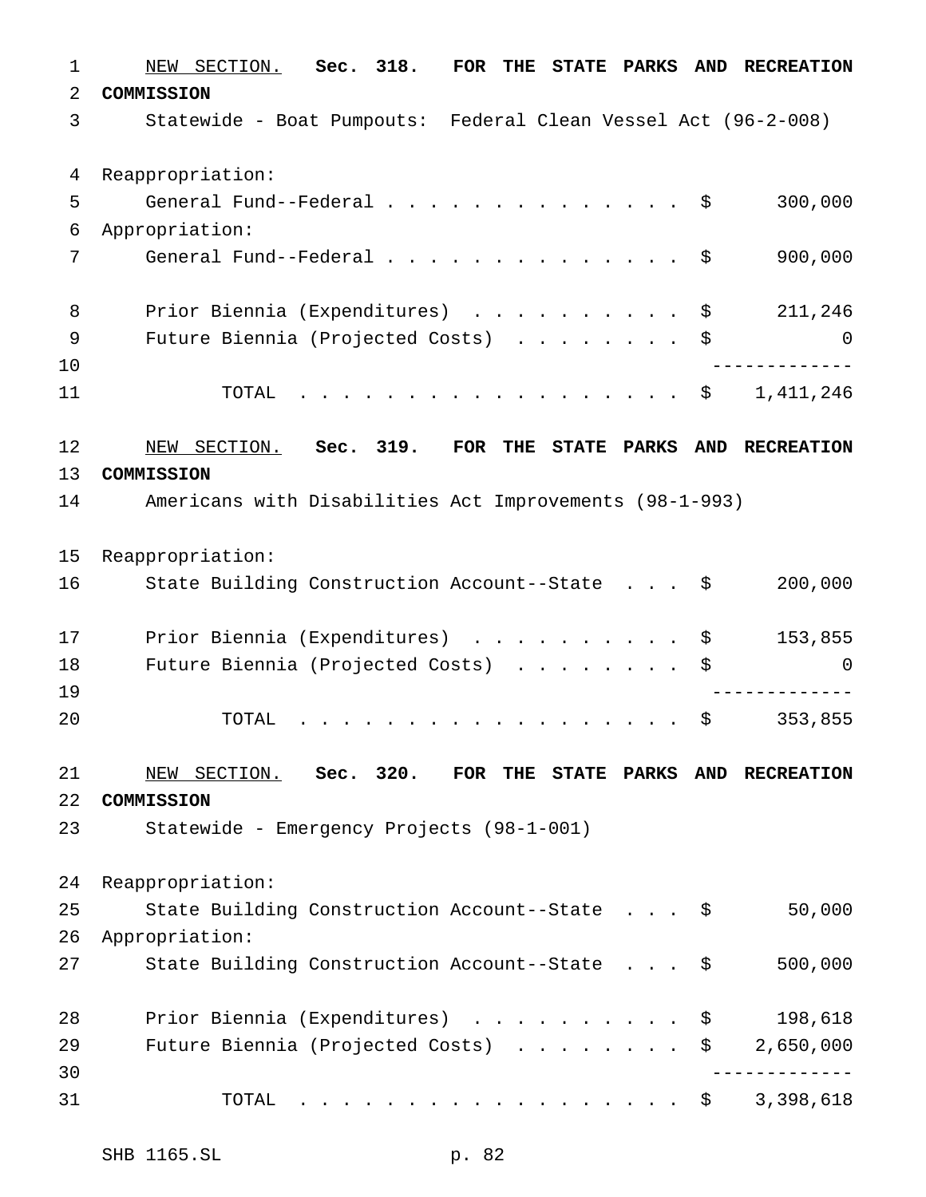NEW SECTION. **Sec. 318. FOR THE STATE PARKS AND RECREATION COMMISSION** Statewide - Boat Pumpouts: Federal Clean Vessel Act (96-2-008) Reappropriation: General Fund--Federal.............. \$ 300,000 Appropriation: 7 General Fund--Federal . . . . . . . . . . . . . \$ 900,000 8 Prior Biennia (Expenditures) . . . . . . . . . \$ 211,246 Future Biennia (Projected Costs) ........ \$ 0 ------------- 11 TOTAL . . . . . . . . . . . . . . . . \$ 1,411,246 NEW SECTION. **Sec. 319. FOR THE STATE PARKS AND RECREATION COMMISSION** Americans with Disabilities Act Improvements (98-1-993) Reappropriation: 16 State Building Construction Account--State . . . \$ 200,000 Prior Biennia (Expenditures) .......... \$ 153,855 18 Future Biennia (Projected Costs) . . . . . . . \$ 0 ------------- TOTAL .................. \$ 353,855 NEW SECTION. **Sec. 320. FOR THE STATE PARKS AND RECREATION COMMISSION** Statewide - Emergency Projects (98-1-001) Reappropriation: State Building Construction Account--State . . . \$ 50,000 Appropriation: State Building Construction Account--State . . . \$ 500,000 28 Prior Biennia (Expenditures) . . . . . . . . . \$ 198,618 29 Future Biennia (Projected Costs) . . . . . . . \$ 2,650,000 ------------- TOTAL .................. \$ 3,398,618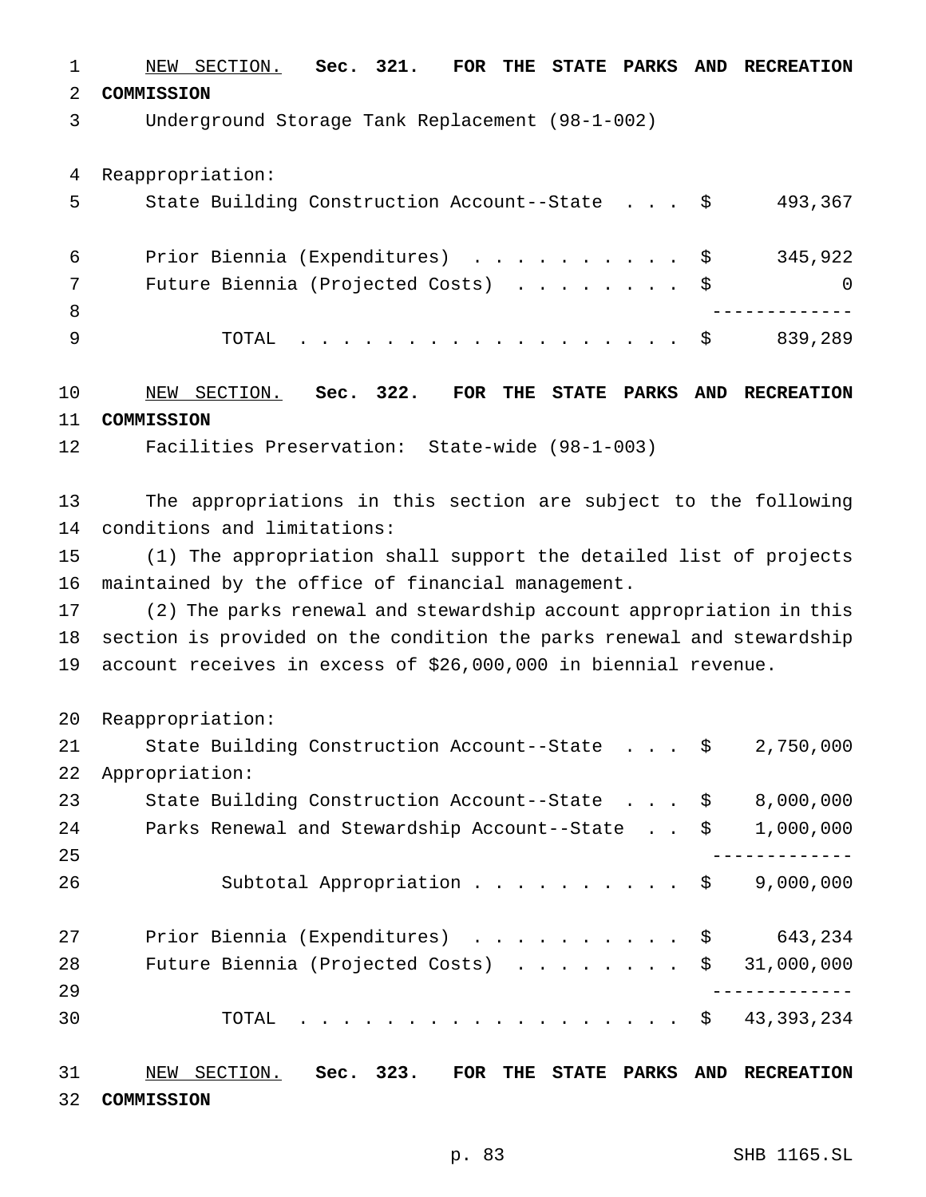NEW SECTION. **Sec. 321. FOR THE STATE PARKS AND RECREATION COMMISSION**

Underground Storage Tank Replacement (98-1-002)

Reappropriation:

|     | State Building Construction Account--State \$ | 493,367  |
|-----|-----------------------------------------------|----------|
| 6   | Prior Biennia (Expenditures) \$               | 345,922  |
|     | Future Biennia (Projected Costs) \$           | $\Omega$ |
| - 8 |                                               |          |
|     | TOTAL \$                                      | 839,289  |
|     |                                               |          |

 NEW SECTION. **Sec. 322. FOR THE STATE PARKS AND RECREATION COMMISSION**

Facilities Preservation: State-wide (98-1-003)

 The appropriations in this section are subject to the following conditions and limitations:

 (1) The appropriation shall support the detailed list of projects maintained by the office of financial management.

 (2) The parks renewal and stewardship account appropriation in this section is provided on the condition the parks renewal and stewardship account receives in excess of \$26,000,000 in biennial revenue.

Reappropriation:

| 21 | State Building Construction Account--State \$   | 2,750,000  |
|----|-------------------------------------------------|------------|
| 22 | Appropriation:                                  |            |
| 23 | State Building Construction Account--State \$   | 8,000,000  |
| 24 | Parks Renewal and Stewardship Account--State \$ | 1,000,000  |
| 25 |                                                 |            |
| 26 | Subtotal Appropriation \$                       | 9,000,000  |
| 27 | Prior Biennia (Expenditures) \$                 | 643,234    |
| 28 | Future Biennia (Projected Costs) $\ldots$ \$    | 31,000,000 |
| 29 |                                                 |            |
| 30 | TOTAL $\ldots$ $\hat{S}$                        | 43,393,234 |
|    |                                                 |            |

 NEW SECTION. **Sec. 323. FOR THE STATE PARKS AND RECREATION COMMISSION**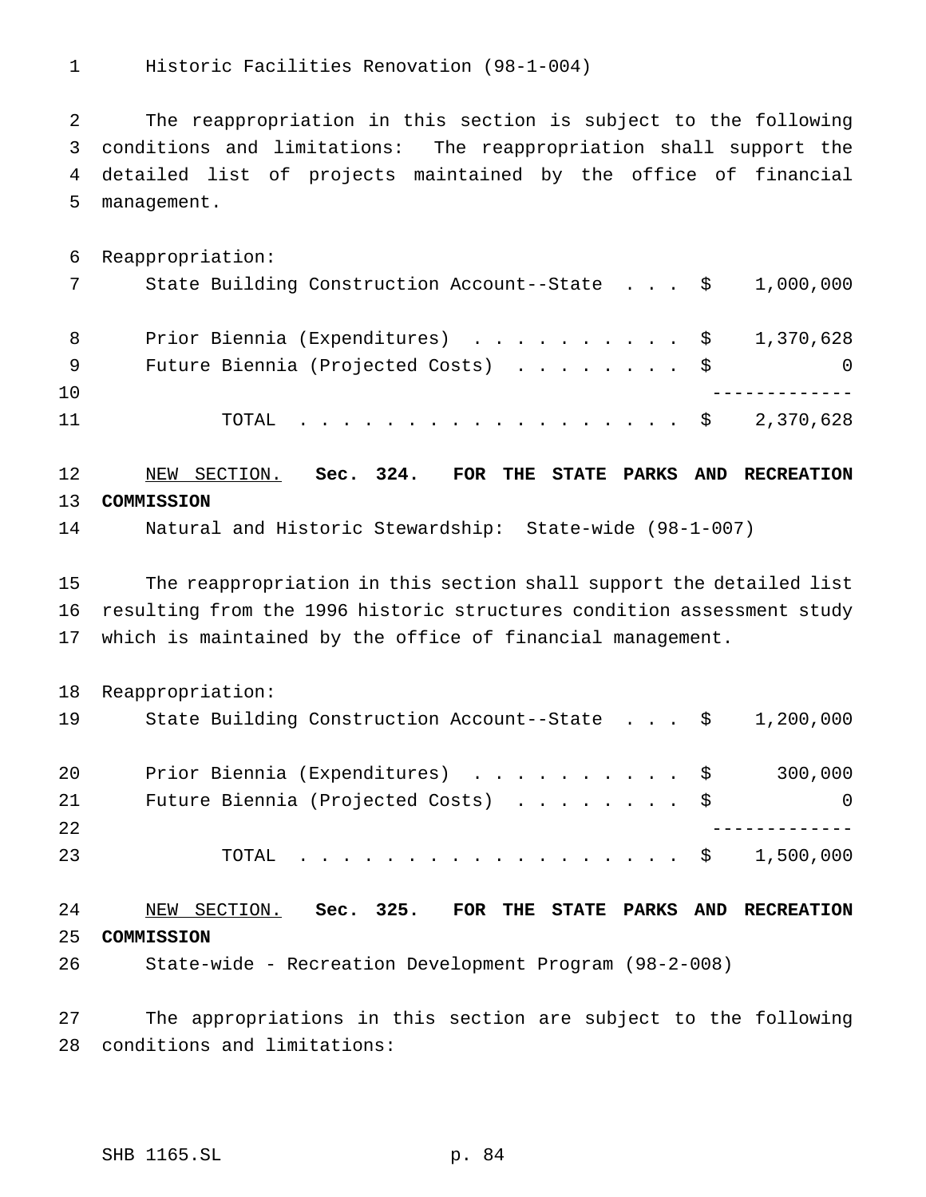Historic Facilities Renovation (98-1-004)

 The reappropriation in this section is subject to the following conditions and limitations: The reappropriation shall support the detailed list of projects maintained by the office of financial management.

 Reappropriation: State Building Construction Account--State . . . \$ 1,000,000 8 Prior Biennia (Expenditures) . . . . . . . . . \$ 1,370,628 Future Biennia (Projected Costs) ........ \$ 0 ------------- TOTAL .................. \$ 2,370,628

 NEW SECTION. **Sec. 324. FOR THE STATE PARKS AND RECREATION COMMISSION**

Natural and Historic Stewardship: State-wide (98-1-007)

 The reappropriation in this section shall support the detailed list resulting from the 1996 historic structures condition assessment study which is maintained by the office of financial management.

Reappropriation:

| 19 | State Building Construction Account--State $\frac{1}{2}$ , 200,000 |  |  |          |
|----|--------------------------------------------------------------------|--|--|----------|
| 20 | Prior Biennia (Expenditures) \$                                    |  |  | 300,000  |
| 21 | Future Biennia (Projected Costs) \$                                |  |  | $\Omega$ |
| 22 |                                                                    |  |  |          |
| 23 | TOTAL \$ 1,500,000                                                 |  |  |          |

 NEW SECTION. **Sec. 325. FOR THE STATE PARKS AND RECREATION COMMISSION** State-wide - Recreation Development Program (98-2-008)

 The appropriations in this section are subject to the following conditions and limitations: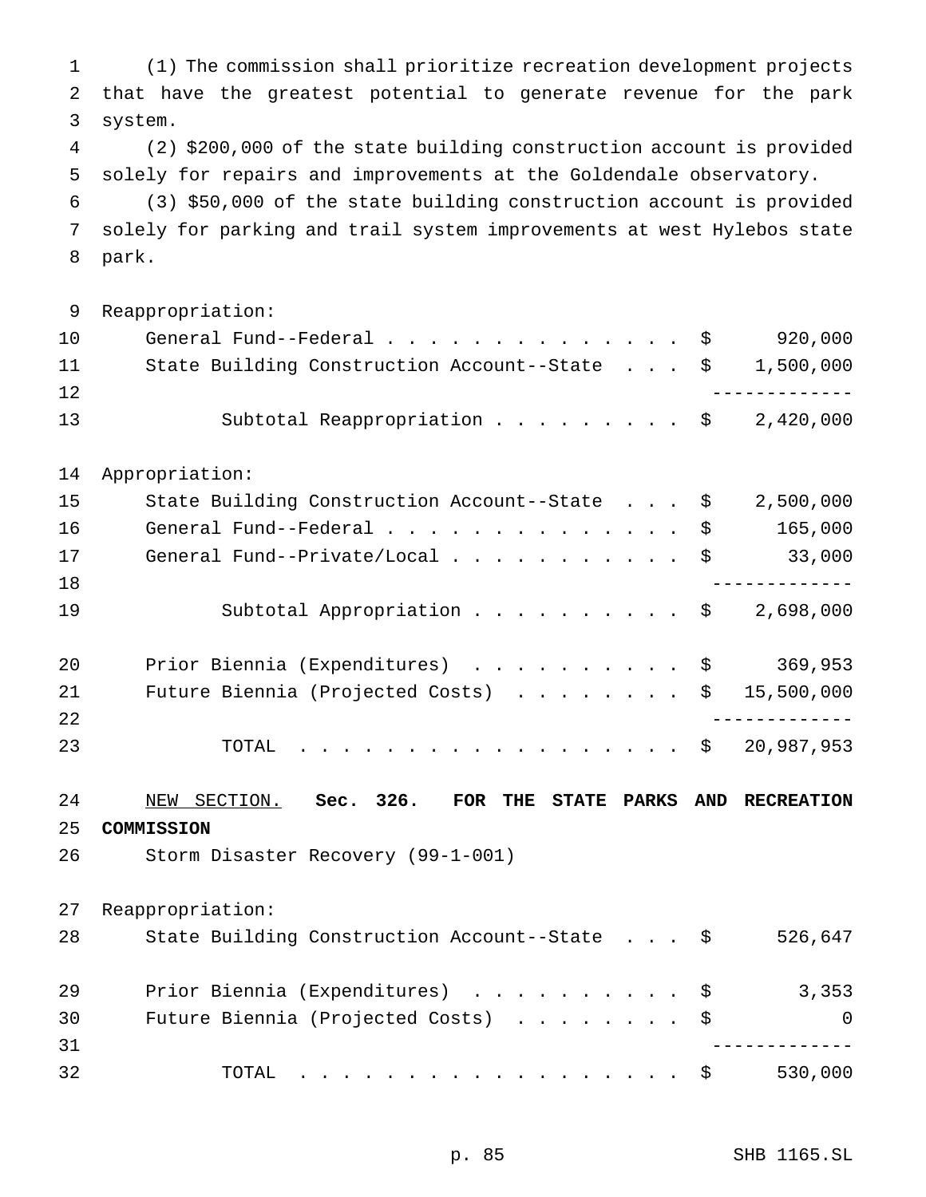(1) The commission shall prioritize recreation development projects that have the greatest potential to generate revenue for the park system. (2) \$200,000 of the state building construction account is provided solely for repairs and improvements at the Goldendale observatory. (3) \$50,000 of the state building construction account is provided solely for parking and trail system improvements at west Hylebos state park. Reappropriation: 10 General Fund--Federal . . . . . . . . . . . . . \$ 920,000 State Building Construction Account--State . . . \$ 1,500,000 ------------- 13 Subtotal Reappropriation . . . . . . . . \$ 2,420,000 Appropriation: State Building Construction Account--State . . . \$ 2,500,000 16 General Fund--Federal.....................\$ 165,000 17 General Fund--Private/Local . . . . . . . . . . \$ 33,000 ------------- 19 Subtotal Appropriation . . . . . . . . . \$ 2,698,000 20 Prior Biennia (Expenditures) . . . . . . . . . \$ 369,953 21 Future Biennia (Projected Costs) . . . . . . . \$ 15,500,000 ------------- TOTAL .................. \$ 20,987,953 NEW SECTION. **Sec. 326. FOR THE STATE PARKS AND RECREATION COMMISSION** Storm Disaster Recovery (99-1-001) Reappropriation: State Building Construction Account--State . . . \$ 526,647 Prior Biennia (Expenditures) .......... \$ 3,353 30 Future Biennia (Projected Costs) . . . . . . . \$ 0 ------------- 32 TOTAL . . . . . . . . . . . . . . . . \$ 530,000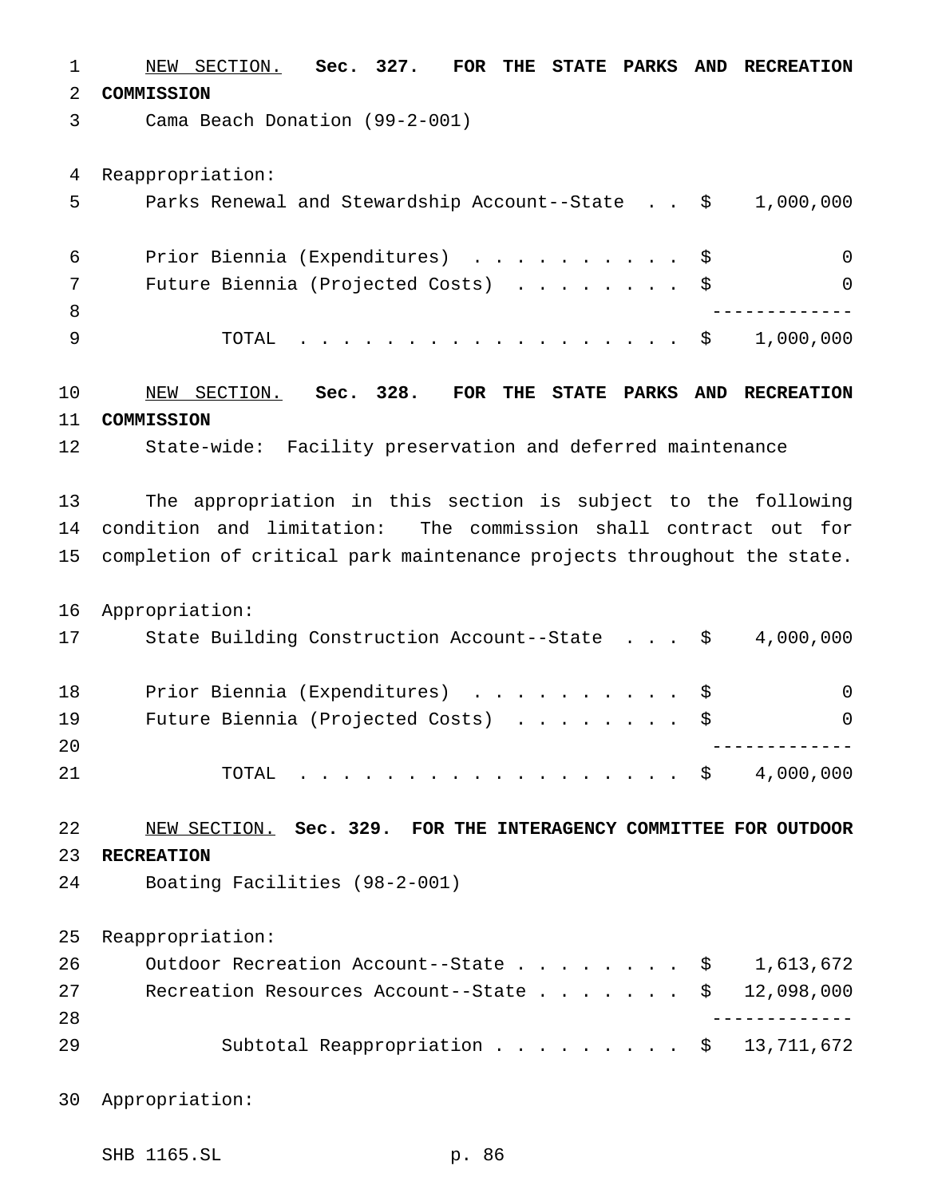NEW SECTION. **Sec. 327. FOR THE STATE PARKS AND RECREATION COMMISSION** Cama Beach Donation (99-2-001) Reappropriation: Parks Renewal and Stewardship Account--State . . \$ 1,000,000 Prior Biennia (Expenditures) .......... \$ 0 Future Biennia (Projected Costs) ........ \$ 0 ------------- TOTAL .................. \$ 1,000,000 NEW SECTION. **Sec. 328. FOR THE STATE PARKS AND RECREATION COMMISSION** State-wide: Facility preservation and deferred maintenance The appropriation in this section is subject to the following condition and limitation: The commission shall contract out for completion of critical park maintenance projects throughout the state. Appropriation: State Building Construction Account--State . . . \$ 4,000,000 18 Prior Biennia (Expenditures) . . . . . . . . . \$ 0 Future Biennia (Projected Costs) ........ \$ 0 ------------- 21 TOTAL . . . . . . . . . . . . . . . . \$ 4,000,000 NEW SECTION. **Sec. 329. FOR THE INTERAGENCY COMMITTEE FOR OUTDOOR RECREATION** Boating Facilities (98-2-001) Reappropriation: 26 Outdoor Recreation Account--State . . . . . . . \$ 1,613,672 27 Recreation Resources Account--State . . . . . . \$ 12,098,000 ------------- Subtotal Reappropriation ......... \$ 13,711,672

Appropriation:

SHB 1165.SL p. 86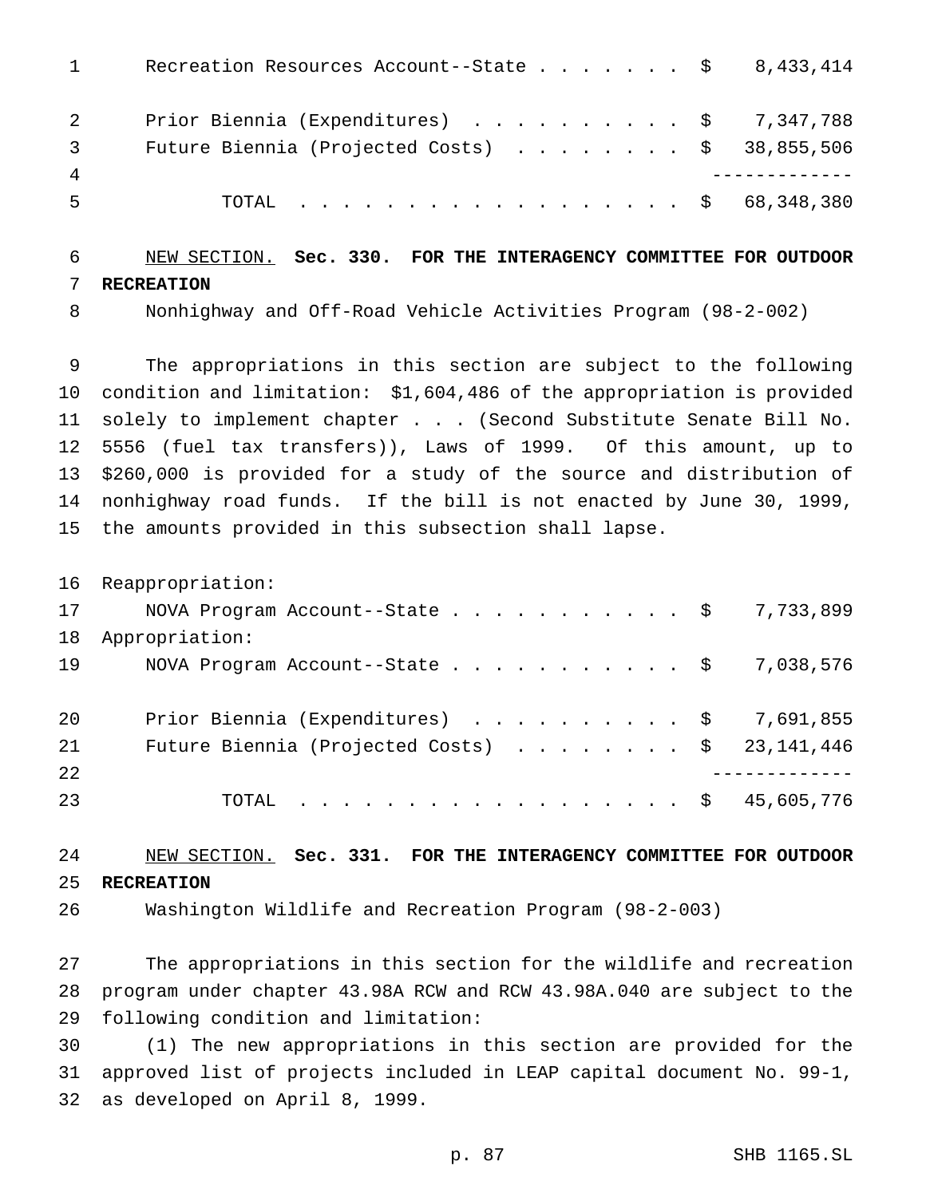| $1 \qquad \qquad$              | Recreation Resources Account--State \$ 8,433,414 |
|--------------------------------|--------------------------------------------------|
| $2 \left( \frac{1}{2} \right)$ | Prior Biennia (Expenditures) \$ 7,347,788        |
| $3 \quad$                      | Future Biennia (Projected Costs) \$ 38,855,506   |
| $\overline{4}$                 |                                                  |
| 5                              | TOTAL \$ 68,348,380                              |

## NEW SECTION. **Sec. 330. FOR THE INTERAGENCY COMMITTEE FOR OUTDOOR RECREATION**

Nonhighway and Off-Road Vehicle Activities Program (98-2-002)

 The appropriations in this section are subject to the following condition and limitation: \$1,604,486 of the appropriation is provided solely to implement chapter . . . (Second Substitute Senate Bill No. 5556 (fuel tax transfers)), Laws of 1999. Of this amount, up to \$260,000 is provided for a study of the source and distribution of nonhighway road funds. If the bill is not enacted by June 30, 1999, the amounts provided in this subsection shall lapse.

Reappropriation:

| 17 | NOVA Program Account--State \$ 7,733,899       |  |
|----|------------------------------------------------|--|
| 18 | Appropriation:                                 |  |
| 19 | NOVA Program Account--State \$ 7,038,576       |  |
|    |                                                |  |
| 20 | Prior Biennia (Expenditures) \$ 7,691,855      |  |
| 21 | Future Biennia (Projected Costs) \$ 23,141,446 |  |
| 22 |                                                |  |
| 23 | TOTAL \$ 45,605,776                            |  |
|    |                                                |  |

 NEW SECTION. **Sec. 331. FOR THE INTERAGENCY COMMITTEE FOR OUTDOOR RECREATION**

Washington Wildlife and Recreation Program (98-2-003)

 The appropriations in this section for the wildlife and recreation program under chapter 43.98A RCW and RCW 43.98A.040 are subject to the following condition and limitation:

 (1) The new appropriations in this section are provided for the approved list of projects included in LEAP capital document No. 99-1, as developed on April 8, 1999.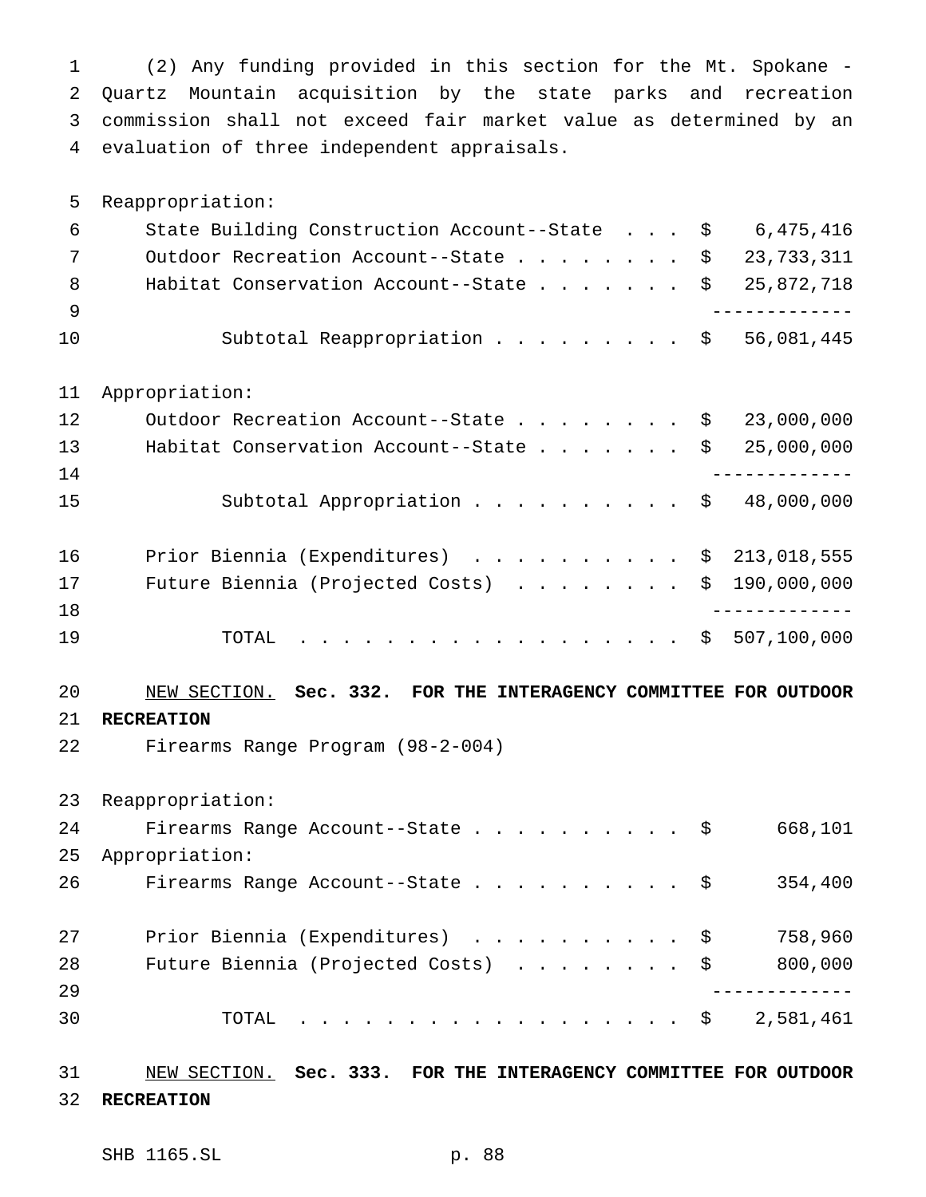(2) Any funding provided in this section for the Mt. Spokane - Quartz Mountain acquisition by the state parks and recreation commission shall not exceed fair market value as determined by an evaluation of three independent appraisals.

Reappropriation:

| -6  | State Building Construction Account--State $\frac{1}{5}$ 6,475,416 |  |
|-----|--------------------------------------------------------------------|--|
|     | Outdoor Recreation Account--State \$ 23,733,311                    |  |
| - 8 | Habitat Conservation Account--State $\ldots$ \$ 25,872,718         |  |
|     |                                                                    |  |
| 10  | Subtotal Reappropriation \$ 56,081,445                             |  |

Appropriation:

| 12 | Outdoor Recreation Account--State \$ 23,000,000            |
|----|------------------------------------------------------------|
| 13 | Habitat Conservation Account--State $\ldots$ \$ 25,000,000 |
| 14 |                                                            |
| 15 | Subtotal Appropriation $\ldots$ \$ 48,000,000              |
|    |                                                            |
| 16 | Prior Biennia (Expenditures) $\ldots$ \$ 213,018,555       |
| 17 | Future Biennia (Projected Costs) $\ldots$ \$ 190,000,000   |
| 18 |                                                            |
| 19 | TOTAL \$ 507,100,000                                       |

## NEW SECTION. **Sec. 332. FOR THE INTERAGENCY COMMITTEE FOR OUTDOOR**

## **RECREATION**

Firearms Range Program (98-2-004)

Reappropriation:

| 24 | Firearms Range Account--State \$    | 668,101 |
|----|-------------------------------------|---------|
| 25 | Appropriation:                      |         |
| 26 | Firearms Range Account--State \$    | 354,400 |
|    |                                     |         |
| 27 | Prior Biennia (Expenditures) \$     | 758,960 |
| 28 | Future Biennia (Projected Costs) \$ | 800,000 |
| 29 |                                     |         |
| 30 | TOTAL \$ 2,581,461                  |         |
|    |                                     |         |

## NEW SECTION. **Sec. 333. FOR THE INTERAGENCY COMMITTEE FOR OUTDOOR RECREATION**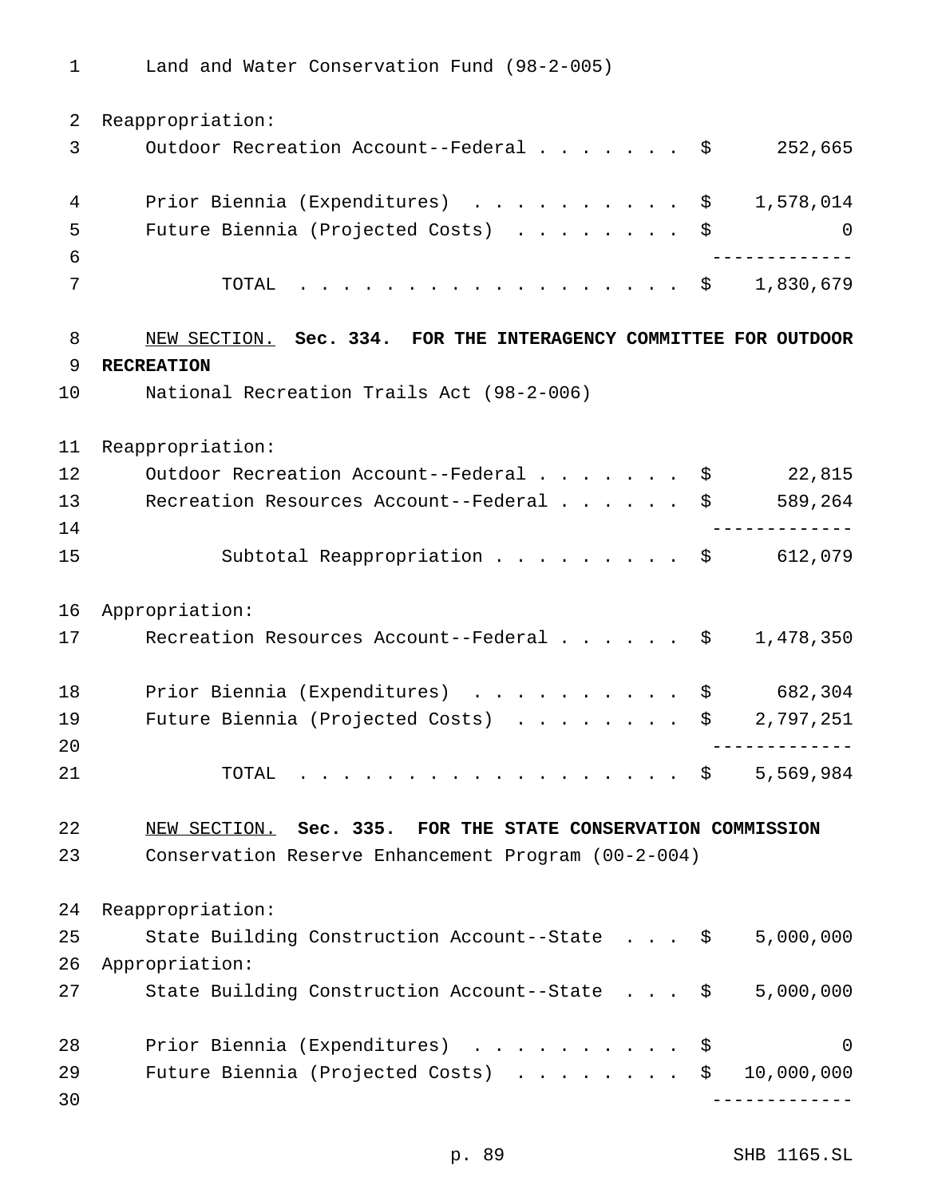Land and Water Conservation Fund (98-2-005)

 Reappropriation: 3 Outdoor Recreation Account--Federal . . . . . . \$ 252,665 4 Prior Biennia (Expenditures) . . . . . . . . . \$ 1,578,014 Future Biennia (Projected Costs) ........ \$ 0 ------------- TOTAL .................. \$ 1,830,679 NEW SECTION. **Sec. 334. FOR THE INTERAGENCY COMMITTEE FOR OUTDOOR RECREATION** National Recreation Trails Act (98-2-006) Reappropriation: 12 Outdoor Recreation Account--Federal . . . . . . \$ 22,815 13 Recreation Resources Account--Federal . . . . . \$ 589,264 ------------- 15 Subtotal Reappropriation . . . . . . . . \$ 612,079 Appropriation: 17 Recreation Resources Account--Federal . . . . . \$ 1,478,350 18 Prior Biennia (Expenditures) . . . . . . . . . \$ 682,304 19 Future Biennia (Projected Costs) . . . . . . . \$ 2,797,251 ------------- 21 TOTAL . . . . . . . . . . . . . . . . \$ 5,569,984 NEW SECTION. **Sec. 335. FOR THE STATE CONSERVATION COMMISSION** Conservation Reserve Enhancement Program (00-2-004) Reappropriation: State Building Construction Account--State . . . \$ 5,000,000 Appropriation: State Building Construction Account--State . . . \$ 5,000,000 28 Prior Biennia (Expenditures) . . . . . . . . . \$ 0 Future Biennia (Projected Costs) ........ \$ 10,000,000 -------------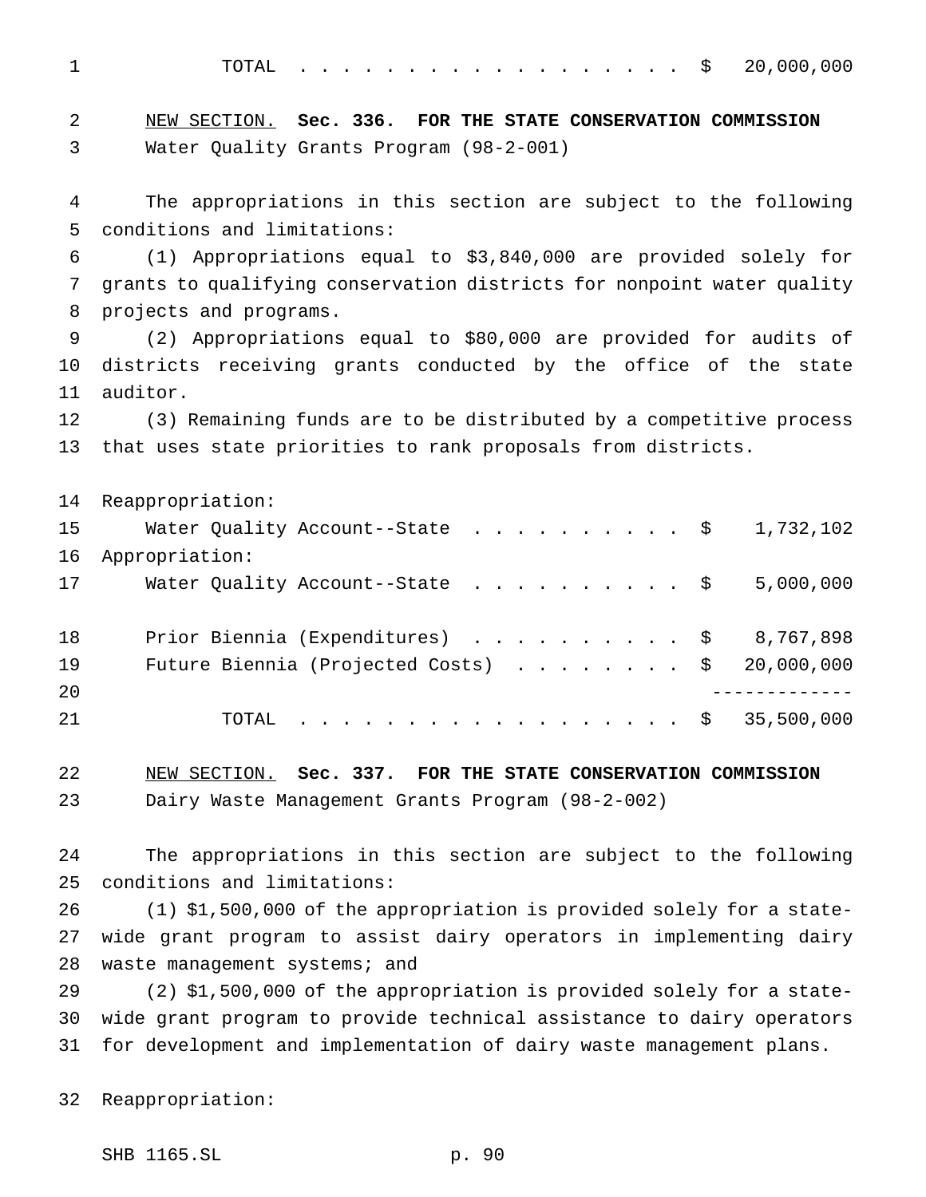TOTAL .................. \$ 20,000,000

 NEW SECTION. **Sec. 336. FOR THE STATE CONSERVATION COMMISSION** Water Quality Grants Program (98-2-001)

 The appropriations in this section are subject to the following conditions and limitations:

 (1) Appropriations equal to \$3,840,000 are provided solely for grants to qualifying conservation districts for nonpoint water quality projects and programs.

 (2) Appropriations equal to \$80,000 are provided for audits of districts receiving grants conducted by the office of the state auditor.

 (3) Remaining funds are to be distributed by a competitive process that uses state priorities to rank proposals from districts.

 Reappropriation: 15 Water Quality Account--State . . . . . . . . . \$ 1,732,102 Appropriation: 17 Water Quality Account--State . . . . . . . . . \$ 5,000,000 Prior Biennia (Expenditures) .......... \$ 8,767,898 19 Future Biennia (Projected Costs) . . . . . . . \$ 20,000,000 ------------- TOTAL .................. \$ 35,500,000

 NEW SECTION. **Sec. 337. FOR THE STATE CONSERVATION COMMISSION** Dairy Waste Management Grants Program (98-2-002)

 The appropriations in this section are subject to the following conditions and limitations:

 (1) \$1,500,000 of the appropriation is provided solely for a state- wide grant program to assist dairy operators in implementing dairy 28 waste management systems; and

 (2) \$1,500,000 of the appropriation is provided solely for a state- wide grant program to provide technical assistance to dairy operators for development and implementation of dairy waste management plans.

Reappropriation:

SHB 1165.SL p. 90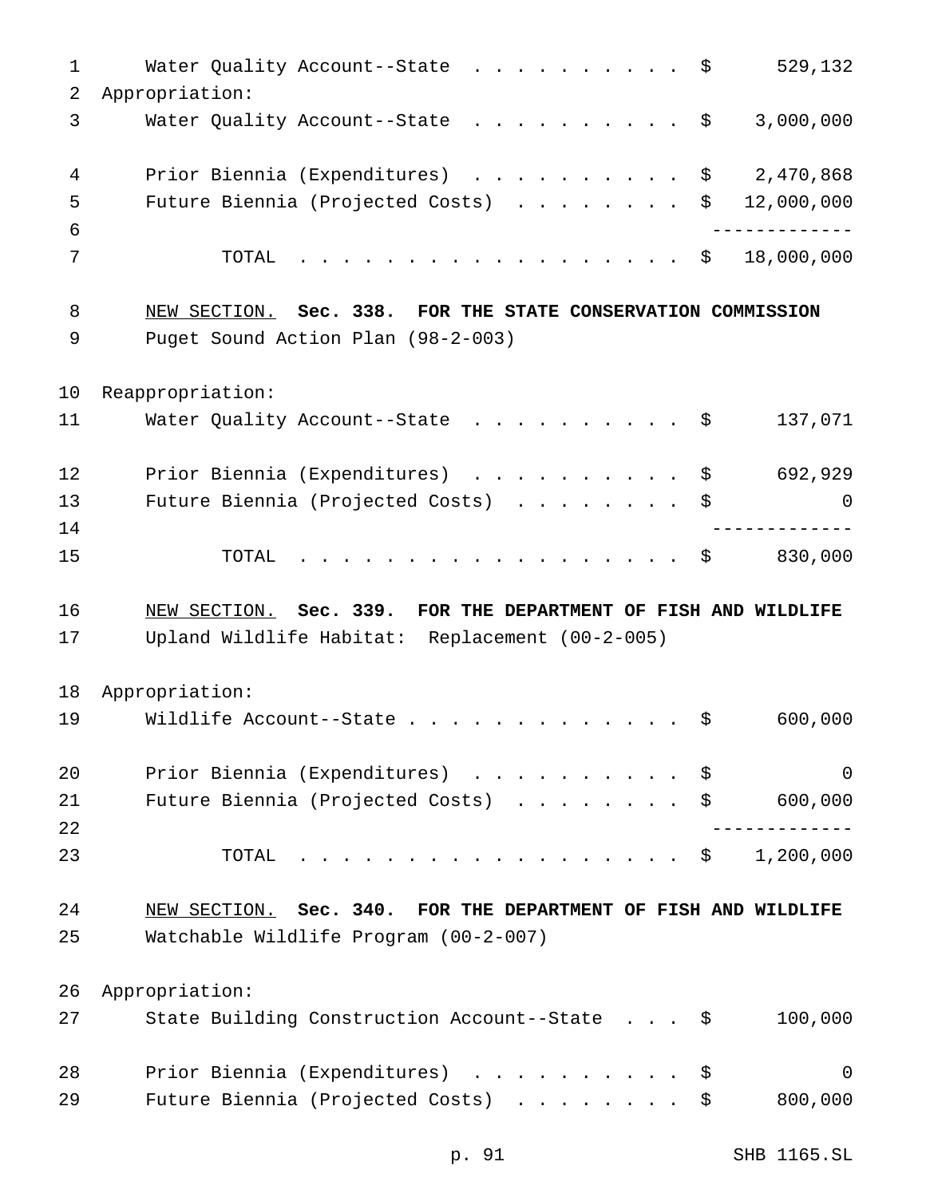| $\mathbf 1$    | Water Quality Account--State \$                                                | 529,132     |
|----------------|--------------------------------------------------------------------------------|-------------|
| $\overline{2}$ | Appropriation:                                                                 |             |
| 3              | Water Quality Account--State $\cdot \cdot \cdot \cdot \cdot \cdot \cdot \cdot$ | 3,000,000   |
| 4              | Prior Biennia (Expenditures)<br>\$                                             | 2,470,868   |
| 5              | Future Biennia (Projected Costs)<br>\$                                         | 12,000,000  |
| 6              |                                                                                |             |
| 7              | \$<br>TOTAL                                                                    | 18,000,000  |
| 8              | NEW SECTION. Sec. 338. FOR THE STATE CONSERVATION COMMISSION                   |             |
| 9              | Puget Sound Action Plan (98-2-003)                                             |             |
| 10             | Reappropriation:                                                               |             |
| 11             | Water Quality Account--State \$                                                | 137,071     |
| 12             | Prior Biennia (Expenditures)<br>\$                                             | 692,929     |
| 13             | Future Biennia (Projected Costs)<br>\$                                         | 0           |
| 14             |                                                                                |             |
| 15             | TOTAL<br>. \$                                                                  | 830,000     |
|                |                                                                                |             |
| 16             | NEW SECTION. Sec. 339. FOR THE DEPARTMENT OF FISH AND WILDLIFE                 |             |
| 17             | Upland Wildlife Habitat: Replacement (00-2-005)                                |             |
| 18             |                                                                                |             |
| 19             | Appropriation:<br>Wildlife Account--State<br>\$                                | 600,000     |
|                |                                                                                |             |
| 20             | Prior Biennia (Expenditures)<br>\$                                             | $\mathbf 0$ |
| 21             | Future Biennia (Projected Costs) $\ldots$ \$ 600,000                           |             |
| 22<br>23       | TOTAL<br>. \$                                                                  | 1,200,000   |
|                |                                                                                |             |
| 24             | NEW SECTION. Sec. 340. FOR THE DEPARTMENT OF FISH AND WILDLIFE                 |             |
| 25             | Watchable Wildlife Program (00-2-007)                                          |             |
| 26             | Appropriation:                                                                 |             |
| 27             | State Building Construction Account--State \$                                  | 100,000     |
| 28             | Prior Biennia (Expenditures)<br>\$                                             | 0           |

p. 91 SHB 1165.SL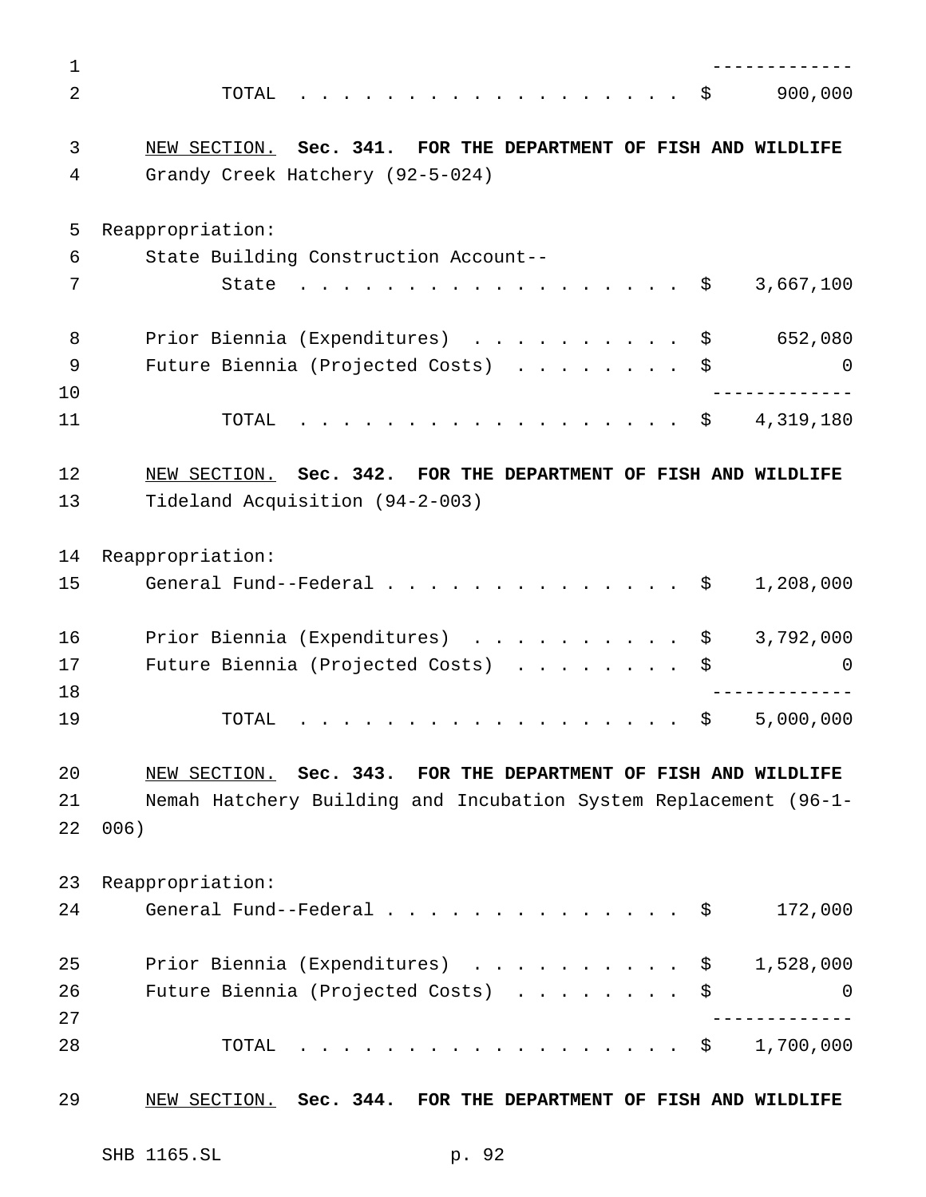| 1  |                                                                                                     |
|----|-----------------------------------------------------------------------------------------------------|
| 2  | 900,000<br>TOTAL<br>\$                                                                              |
| 3  | NEW SECTION. Sec. 341. FOR THE DEPARTMENT OF FISH AND WILDLIFE                                      |
| 4  | Grandy Creek Hatchery (92-5-024)                                                                    |
| 5  | Reappropriation:                                                                                    |
| 6  | State Building Construction Account--                                                               |
| 7  | 3,667,100<br>State<br>- \$                                                                          |
| 8  | Prior Biennia (Expenditures)<br>652,080<br>$\mathbf{r}$ . The state of the state $\mathbf{r}$<br>\$ |
| 9  | Future Biennia (Projected Costs)<br>\$<br>$\Omega$                                                  |
| 10 |                                                                                                     |
| 11 | 4,319,180<br>TOTAL<br>\$<br>.                                                                       |
| 12 | NEW SECTION. Sec. 342. FOR THE DEPARTMENT OF FISH AND WILDLIFE                                      |
| 13 | Tideland Acquisition (94-2-003)                                                                     |
| 14 | Reappropriation:                                                                                    |
| 15 | General Fund--Federal<br>1,208,000<br>\$                                                            |
| 16 | Prior Biennia (Expenditures)<br>$\mathbf{r}$<br>3,792,000<br>\$                                     |
| 17 | Future Biennia (Projected Costs)<br>\$<br>0                                                         |
| 18 |                                                                                                     |
| 19 | 5,000,000<br>\$<br>TOTAL                                                                            |
| 20 | NEW SECTION. Sec. 343. FOR THE DEPARTMENT OF FISH AND WILDLIFE                                      |
| 21 | Nemah Hatchery Building and Incubation System Replacement (96-1-                                    |
| 22 | 006)                                                                                                |
| 23 | Reappropriation:                                                                                    |
| 24 | General Fund--Federal<br>172,000<br>- \$                                                            |
| 25 | Prior Biennia (Expenditures)<br>1,528,000<br>\$                                                     |
| 26 | Future Biennia (Projected Costs)<br>\$<br>0                                                         |
| 27 |                                                                                                     |
| 28 | 1,700,000<br>TOTAL<br>. \$                                                                          |
| 29 | NEW SECTION. Sec. 344. FOR THE DEPARTMENT OF FISH AND WILDLIFE                                      |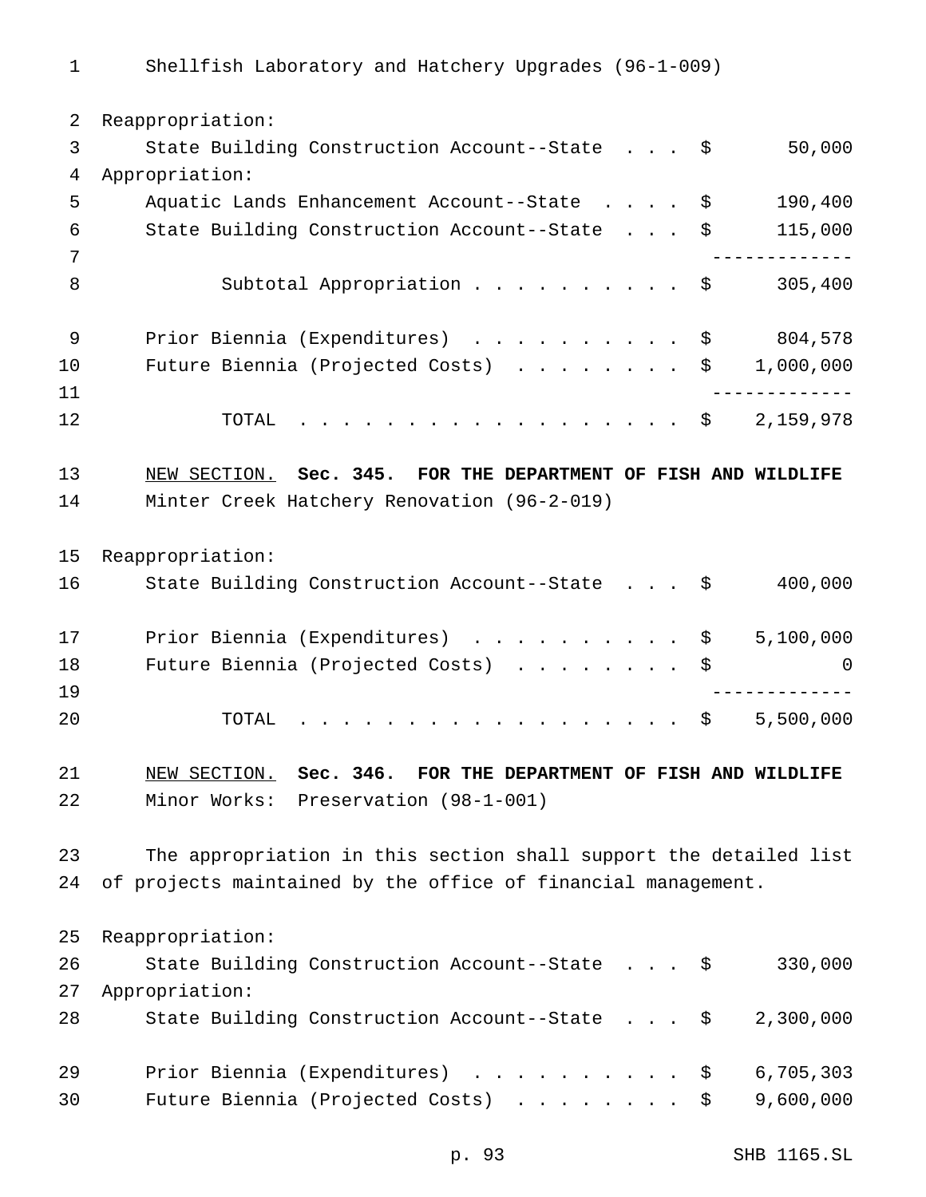Reappropriation: State Building Construction Account--State . . . \$ 50,000 Appropriation: Aquatic Lands Enhancement Account--State .... \$ 190,400 State Building Construction Account--State . . . \$ 115,000 ------------- 8 Subtotal Appropriation . . . . . . . . . \$ 305,400 9 Prior Biennia (Expenditures) . . . . . . . . . \$ 804,578 10 Future Biennia (Projected Costs) . . . . . . . \$ 1,000,000 ------------- 12 TOTAL . . . . . . . . . . . . . . . . \$ 2,159,978 NEW SECTION. **Sec. 345. FOR THE DEPARTMENT OF FISH AND WILDLIFE** Minter Creek Hatchery Renovation (96-2-019) Reappropriation: State Building Construction Account--State . . . \$ 400,000 17 Prior Biennia (Expenditures) . . . . . . . . . \$ 5,100,000 18 Future Biennia (Projected Costs) . . . . . . . \$ 0 ------------- TOTAL .................. \$ 5,500,000 NEW SECTION. **Sec. 346. FOR THE DEPARTMENT OF FISH AND WILDLIFE** Minor Works: Preservation (98-1-001) The appropriation in this section shall support the detailed list of projects maintained by the office of financial management. Reappropriation: State Building Construction Account--State . . . \$ 330,000 Appropriation: State Building Construction Account--State . . . \$ 2,300,000 Prior Biennia (Expenditures) .......... \$ 6,705,303 Future Biennia (Projected Costs) ........ \$ 9,600,000

p. 93 SHB 1165.SL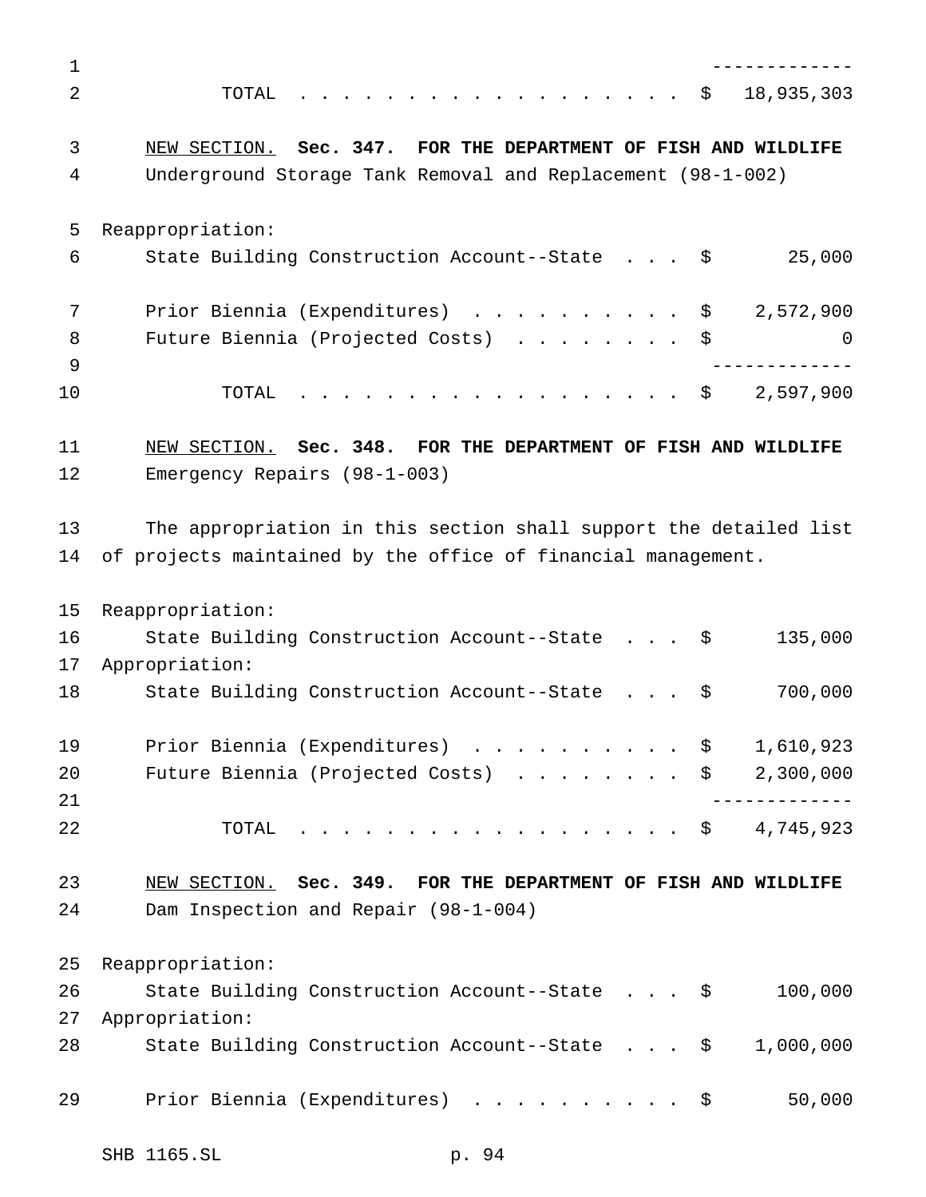| 1              |                                                                   |
|----------------|-------------------------------------------------------------------|
| $\overline{2}$ | 18,935,303<br>. \$<br>TOTAL                                       |
| 3              | NEW SECTION. Sec. 347. FOR THE DEPARTMENT OF FISH AND WILDLIFE    |
| 4              | Underground Storage Tank Removal and Replacement (98-1-002)       |
| 5              | Reappropriation:                                                  |
| 6              | 25,000<br>State Building Construction Account--State \$           |
| 7              | 2,572,900<br>Prior Biennia (Expenditures) \$                      |
| 8<br>9         | Future Biennia (Projected Costs) \$<br>O                          |
| 10             | 2,597,900<br>TOTAL<br>. \$                                        |
| 11             | NEW SECTION. Sec. 348. FOR THE DEPARTMENT OF FISH AND WILDLIFE    |
| 12             | Emergency Repairs (98-1-003)                                      |
| 13             | The appropriation in this section shall support the detailed list |
| 14             | of projects maintained by the office of financial management.     |
| 15             | Reappropriation:                                                  |
| 16             | State Building Construction Account--State \$<br>135,000          |
| 17             | Appropriation:                                                    |
| 18             | 700,000<br>State Building Construction Account--State \$          |
| 19             | Prior Biennia (Expenditures) \$<br>1,610,923                      |
| 20             | 2,300,000<br>Future Biennia (Projected Costs) \$                  |
| 21             |                                                                   |
| 22             | 4,745,923<br>TOTAL<br>. \$                                        |
| 23             | NEW SECTION. Sec. 349. FOR THE DEPARTMENT OF FISH AND WILDLIFE    |
| 24             | Dam Inspection and Repair (98-1-004)                              |
| 25             | Reappropriation:                                                  |
| 26             | 100,000<br>State Building Construction Account--State \$          |
| 27             | Appropriation:                                                    |
| 28             | State Building Construction Account--State \$<br>1,000,000        |
| 29             | 50,000<br>Prior Biennia (Expenditures)<br>. \$                    |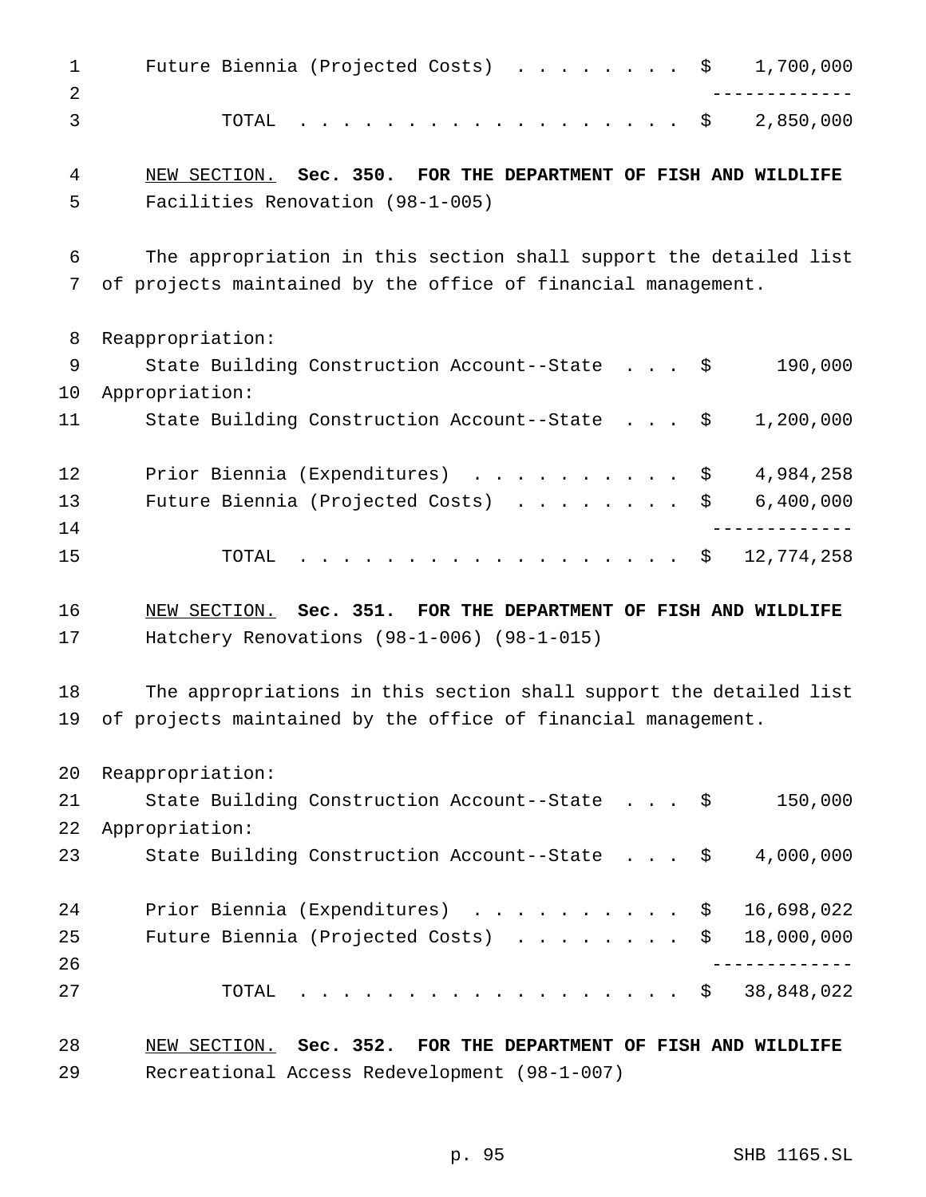| $\mathbf{1}$ | Future Biennia (Projected Costs) \$<br>1,700,000                   |
|--------------|--------------------------------------------------------------------|
| 2<br>3       | . \$<br>2,850,000<br>TOTAL                                         |
| 4            | NEW SECTION. Sec. 350. FOR THE DEPARTMENT OF FISH AND WILDLIFE     |
| 5            | Facilities Renovation (98-1-005)                                   |
| 6            | The appropriation in this section shall support the detailed list  |
| 7            | of projects maintained by the office of financial management.      |
| 8            | Reappropriation:                                                   |
| 9            | State Building Construction Account--State \$<br>190,000           |
| 10           | Appropriation:                                                     |
| 11           | State Building Construction Account--State \$<br>1,200,000         |
| 12           | Prior Biennia (Expenditures) \$<br>4,984,258                       |
| 13           | 6,400,000<br>Future Biennia (Projected Costs)<br>\$                |
| 14           |                                                                    |
| 15           | 12,774,258<br>. \$<br>TOTAL                                        |
| 16           | NEW SECTION. Sec. 351. FOR THE DEPARTMENT OF FISH AND WILDLIFE     |
| 17           | Hatchery Renovations $(98-1-006)$ $(98-1-015)$                     |
| 18           | The appropriations in this section shall support the detailed list |
| 19           | of projects maintained by the office of financial management.      |
| 20           | Reappropriation:                                                   |
| 21           | State Building Construction Account--State \$<br>150,000           |
| 22           | Appropriation:                                                     |
| 23           | State Building Construction Account--State \$<br>4,000,000         |
| 24           | Prior Biennia (Expenditures)<br>16,698,022<br>$\mathsf{S}$         |
| 25           | Future Biennia (Projected Costs)<br>18,000,000<br>\$               |
| 26           |                                                                    |
| 27           | 38,848,022<br>TOTAL<br>. \$                                        |
| 28           | NEW SECTION. Sec. 352. FOR THE DEPARTMENT OF FISH AND WILDLIFE     |

Recreational Access Redevelopment (98-1-007)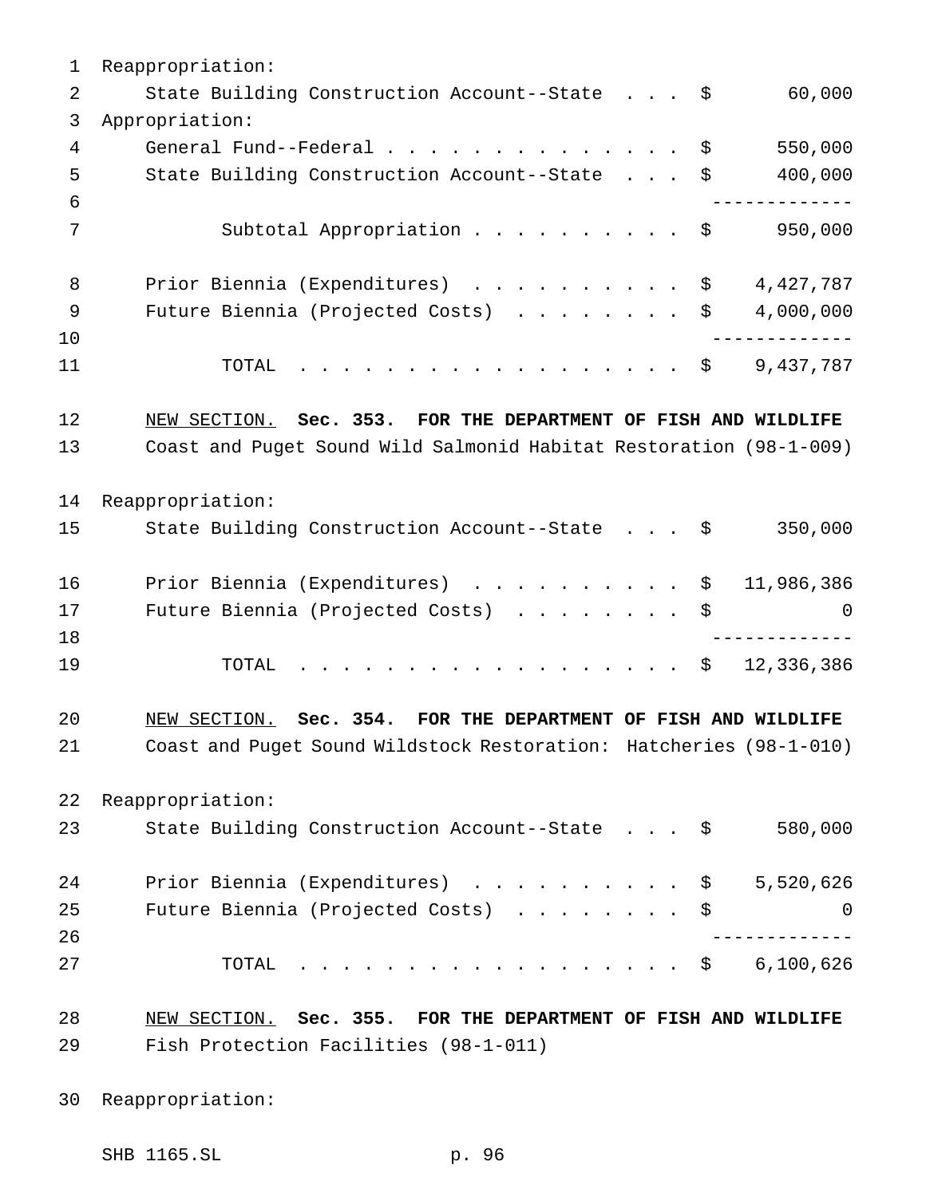Reappropriation: 2 State Building Construction Account--State . . . \$ 60,000 Appropriation: General Fund--Federal.............. \$ 550,000 State Building Construction Account--State . . . \$ 400,000 ------------- 7 Subtotal Appropriation . . . . . . . . . \$ 950,000 8 Prior Biennia (Expenditures) . . . . . . . . . \$ 4,427,787 9 Future Biennia (Projected Costs) . . . . . . . \$ 4,000,000 ------------- TOTAL .................. \$ 9,437,787 NEW SECTION. **Sec. 353. FOR THE DEPARTMENT OF FISH AND WILDLIFE** Coast and Puget Sound Wild Salmonid Habitat Restoration (98-1-009) Reappropriation: State Building Construction Account--State . . . \$ 350,000 16 Prior Biennia (Expenditures) . . . . . . . . . \$ 11,986,386 Future Biennia (Projected Costs) ........ \$ 0 ------------- TOTAL .................. \$ 12,336,386 NEW SECTION. **Sec. 354. FOR THE DEPARTMENT OF FISH AND WILDLIFE** Coast and Puget Sound Wildstock Restoration: Hatcheries (98-1-010) Reappropriation: State Building Construction Account--State . . . \$ 580,000 24 Prior Biennia (Expenditures) . . . . . . . . . \$ 5,520,626 Future Biennia (Projected Costs) ........ \$ 0 ------------- TOTAL .................. \$ 6,100,626 NEW SECTION. **Sec. 355. FOR THE DEPARTMENT OF FISH AND WILDLIFE** Fish Protection Facilities (98-1-011)

Reappropriation:

SHB 1165.SL p. 96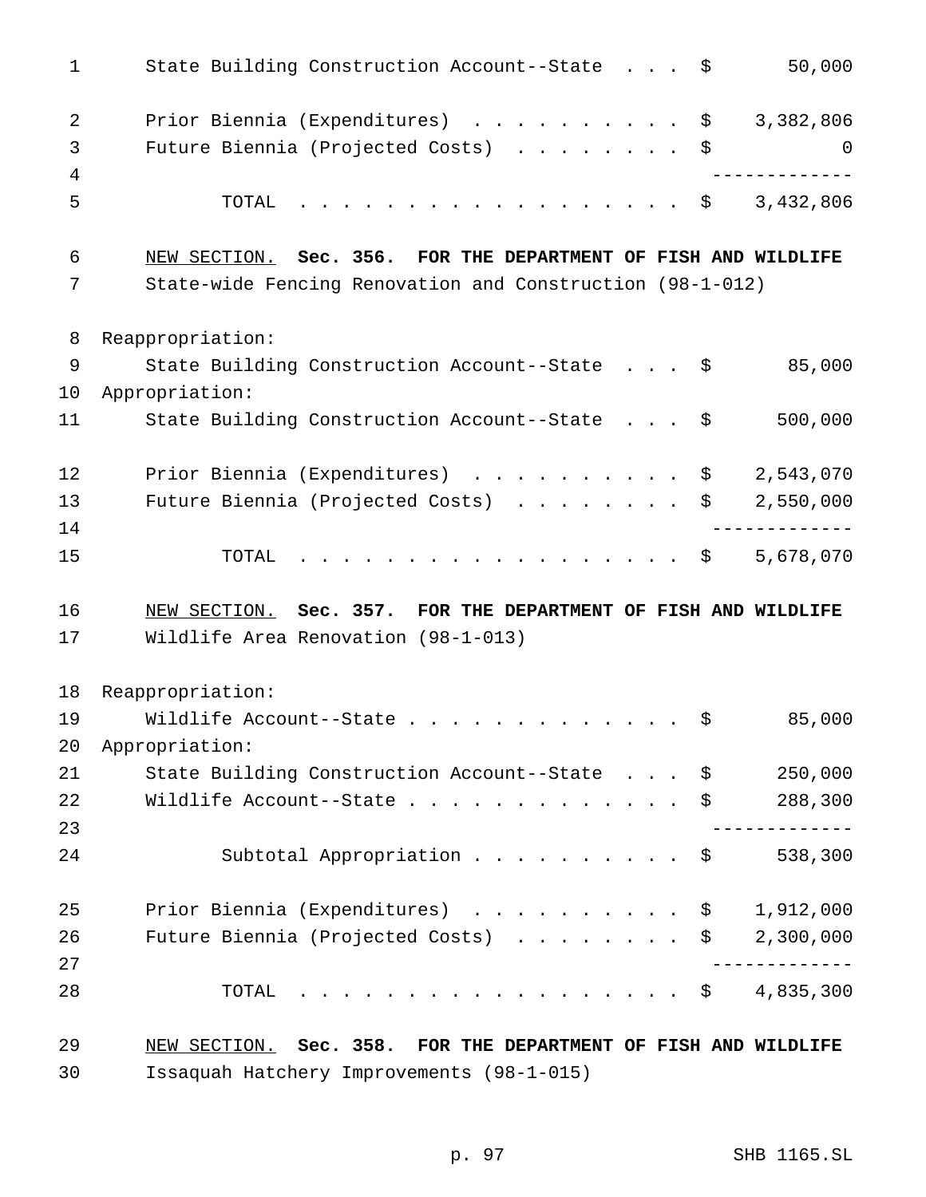| $\mathbf{1}$ | State Building Construction Account--State \$<br>50,000                                                |
|--------------|--------------------------------------------------------------------------------------------------------|
| 2            | Prior Biennia (Expenditures) \$<br>3,382,806                                                           |
| 3            | Future Biennia (Projected Costs) \$<br>0                                                               |
| 4            | ___________                                                                                            |
| 5            | . \$ 3,432,806<br>TOTAL                                                                                |
| 6            | NEW SECTION. Sec. 356. FOR THE DEPARTMENT OF FISH AND WILDLIFE                                         |
| 7            | State-wide Fencing Renovation and Construction (98-1-012)                                              |
| 8            | Reappropriation:                                                                                       |
| 9            | State Building Construction Account--State \$<br>85,000                                                |
| 10           | Appropriation:                                                                                         |
| 11           | 500,000<br>State Building Construction Account--State \$                                               |
| 12           | Prior Biennia (Expenditures) \$ 2,543,070                                                              |
| 13           | Future Biennia (Projected Costs) \$<br>2,550,000                                                       |
| 14           |                                                                                                        |
| 15           | . \$<br>5,678,070<br>TOTAL                                                                             |
| 16           | NEW SECTION. Sec. 357. FOR THE DEPARTMENT OF FISH AND WILDLIFE                                         |
| 17           | Wildlife Area Renovation (98-1-013)                                                                    |
| 18           | Reappropriation:                                                                                       |
| 19           | 85,000<br>Wildlife Account--State<br>\$                                                                |
| 20           | Appropriation:                                                                                         |
| 21           | 250,000<br>State Building Construction Account--State \$                                               |
| 22           | Wildlife Account--State $\cdot \cdot \cdot \cdot \cdot \cdot \cdot \cdot \cdot \cdot \cdot$<br>288,300 |
| 23           |                                                                                                        |
| 24           | Subtotal Appropriation $\ldots$ \$<br>538,300                                                          |
| 25           | Prior Biennia (Expenditures) \$<br>1,912,000                                                           |
| 26           | Future Biennia (Projected Costs) \$<br>2,300,000                                                       |
| 27           | -----------                                                                                            |
| 28           | $\cdot$ \$ 4,835,300<br>TOTAL                                                                          |
|              |                                                                                                        |

 NEW SECTION. **Sec. 358. FOR THE DEPARTMENT OF FISH AND WILDLIFE** Issaquah Hatchery Improvements (98-1-015)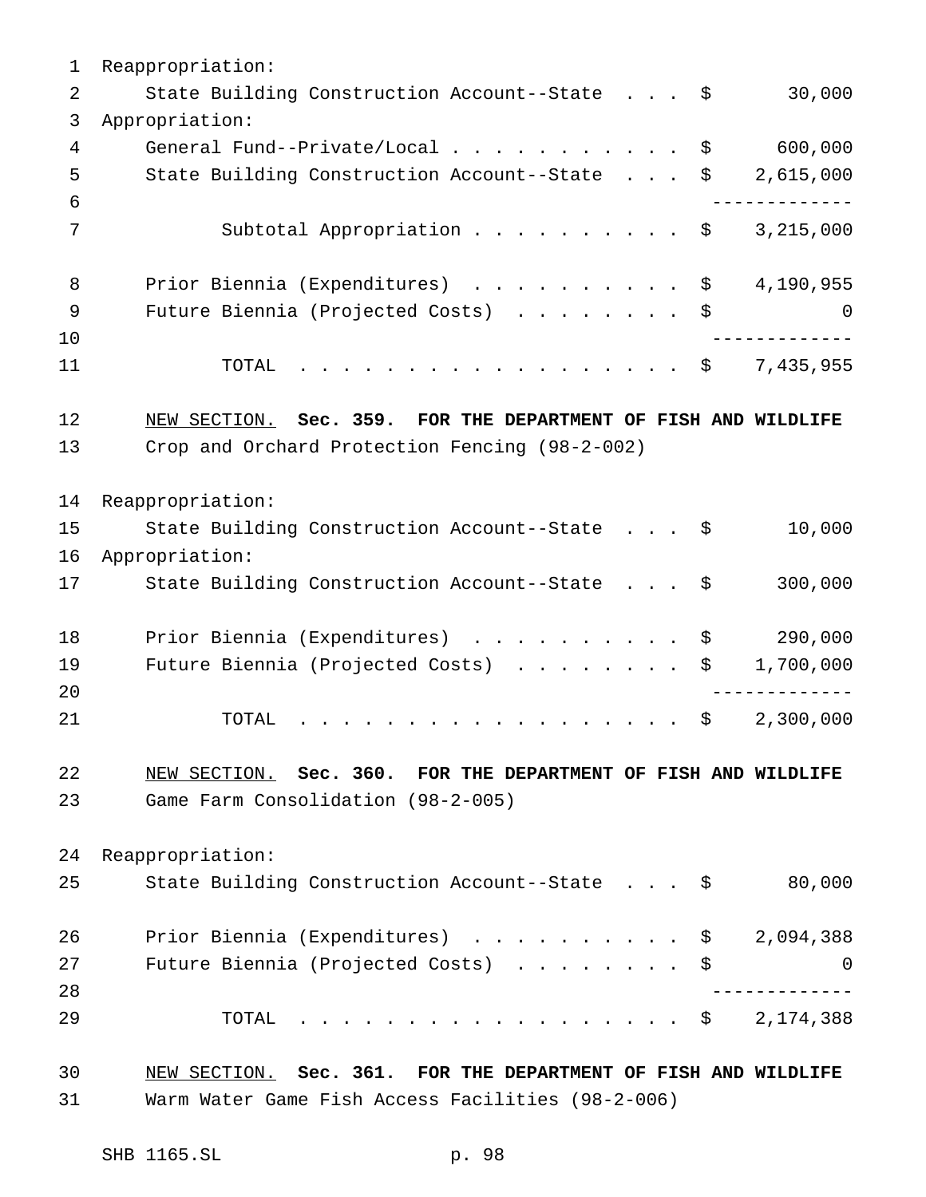Reappropriation: 2 State Building Construction Account--State . . . \$ 30,000 Appropriation: 4 General Fund--Private/Local . . . . . . . . . . \$ 600,000 State Building Construction Account--State . . . \$ 2,615,000 ------------- 7 Subtotal Appropriation . . . . . . . . . \$ 3,215,000 8 Prior Biennia (Expenditures) . . . . . . . . . \$ 4,190,955 Future Biennia (Projected Costs) ........ \$ 0 ------------- TOTAL .................. \$ 7,435,955 NEW SECTION. **Sec. 359. FOR THE DEPARTMENT OF FISH AND WILDLIFE** Crop and Orchard Protection Fencing (98-2-002) Reappropriation: State Building Construction Account--State . . . \$ 10,000 Appropriation: State Building Construction Account--State . . . \$ 300,000 18 Prior Biennia (Expenditures) . . . . . . . . . \$ 290,000 19 Future Biennia (Projected Costs) . . . . . . . \$ 1,700,000 ------------- 21 TOTAL . . . . . . . . . . . . . . . . \$ 2,300,000 NEW SECTION. **Sec. 360. FOR THE DEPARTMENT OF FISH AND WILDLIFE** Game Farm Consolidation (98-2-005) Reappropriation: 25 State Building Construction Account--State . . . \$ 80,000 Prior Biennia (Expenditures) .......... \$ 2,094,388 27 Future Biennia (Projected Costs) . . . . . . . \$ 0 ------------- TOTAL .................. \$ 2,174,388 NEW SECTION. **Sec. 361. FOR THE DEPARTMENT OF FISH AND WILDLIFE** Warm Water Game Fish Access Facilities (98-2-006)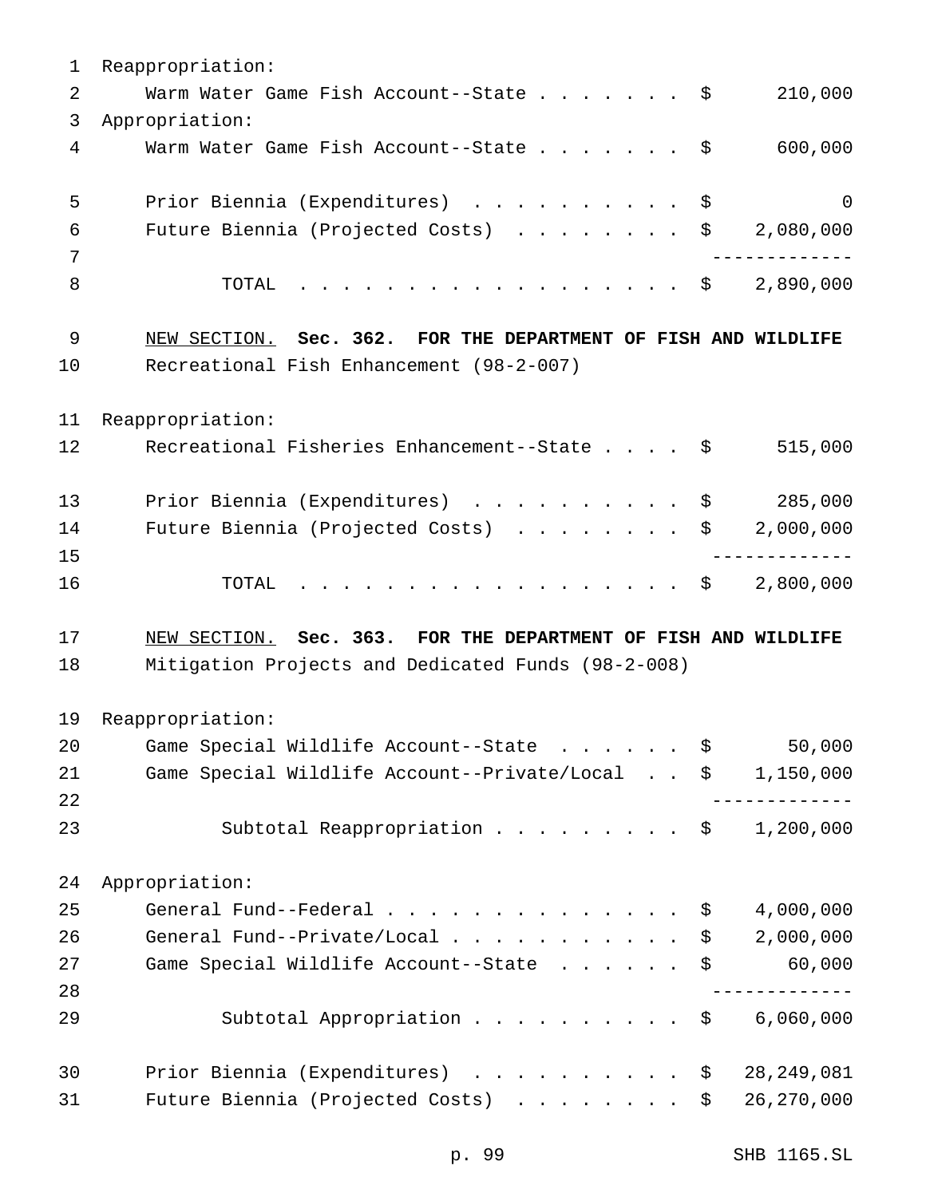| 1        | Reappropriation:                                                                                                     |                        |
|----------|----------------------------------------------------------------------------------------------------------------------|------------------------|
| 2        | Warm Water Game Fish Account--State $\frac{1}{5}$                                                                    | 210,000                |
| 3        | Appropriation:                                                                                                       |                        |
| 4        | Warm Water Game Fish Account--State \$                                                                               | 600,000                |
| 5        | Prior Biennia (Expenditures)<br>\$                                                                                   | $\overline{0}$         |
| 6        | Future Biennia (Projected Costs)<br>\$                                                                               | 2,080,000              |
| 7        |                                                                                                                      |                        |
| 8        | TOTAL<br>. \$                                                                                                        | 2,890,000              |
| 9        | NEW SECTION. Sec. 362. FOR THE DEPARTMENT OF FISH AND WILDLIFE                                                       |                        |
| 10       | Recreational Fish Enhancement (98-2-007)                                                                             |                        |
| 11       | Reappropriation:                                                                                                     |                        |
| 12       | Recreational Fisheries Enhancement--State \$                                                                         | 515,000                |
| 13       | Prior Biennia (Expenditures)<br>\$                                                                                   | 285,000                |
|          |                                                                                                                      | 2,000,000              |
| 14       | Future Biennia (Projected Costs)<br>\$                                                                               |                        |
| 15       |                                                                                                                      |                        |
| 16       | TOTAL<br>\$                                                                                                          | 2,800,000              |
|          |                                                                                                                      |                        |
| 17<br>18 | NEW SECTION. Sec. 363. FOR THE DEPARTMENT OF FISH AND WILDLIFE<br>Mitigation Projects and Dedicated Funds (98-2-008) |                        |
|          |                                                                                                                      |                        |
| 19       | Reappropriation:                                                                                                     |                        |
| 20<br>21 | Game Special Wildlife Account--State<br>\$<br>\$                                                                     | 50,000                 |
| 22       | Game Special Wildlife Account--Private/Local                                                                         |                        |
| 23       | Subtotal Reappropriation<br>\$                                                                                       | 1,150,000<br>1,200,000 |
| 24       | Appropriation:                                                                                                       |                        |
| 25       | General Fund--Federal<br>\$                                                                                          | 4,000,000              |
| 26       | General Fund--Private/Local<br>\$                                                                                    | 2,000,000              |
| 27       | Game Special Wildlife Account--State<br>\$                                                                           | 60,000                 |
| 28       |                                                                                                                      |                        |
| 29       | Subtotal Appropriation<br>\$                                                                                         | 6,060,000              |
| 30       | Prior Biennia (Expenditures)<br>\$                                                                                   | 28, 249, 081           |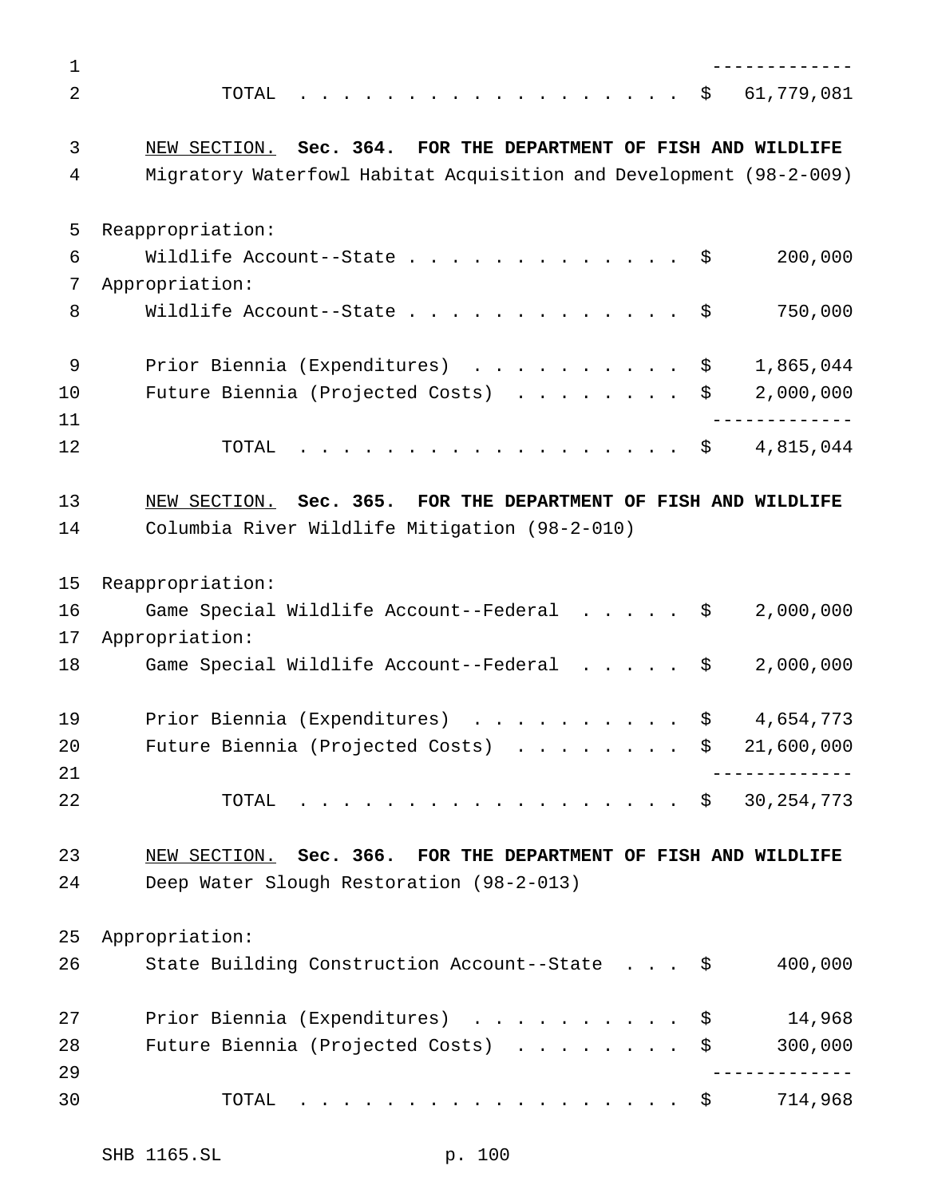| 1              |                                                                    |
|----------------|--------------------------------------------------------------------|
| $\overline{2}$ | \$<br>61,779,081<br>TOTAL                                          |
| 3              | NEW SECTION. Sec. 364. FOR THE DEPARTMENT OF FISH AND WILDLIFE     |
| 4              | Migratory Waterfowl Habitat Acquisition and Development (98-2-009) |
| 5              | Reappropriation:                                                   |
| 6              | 200,000<br>Wildlife Account--State $\ldots$ \$                     |
| 7              | Appropriation:                                                     |
| 8              | Wildlife Account--State<br>750,000<br>- \$                         |
| $\mathsf 9$    | Prior Biennia (Expenditures)<br>1,865,044<br>\$                    |
| 10             | 2,000,000<br>Future Biennia (Projected Costs)<br>\$                |
| 11             |                                                                    |
| 12             | 4,815,044<br>TOTAL<br>. \$                                         |
| 13             | NEW SECTION. Sec. 365. FOR THE DEPARTMENT OF FISH AND WILDLIFE     |
| 14             | Columbia River Wildlife Mitigation (98-2-010)                      |
| 15             | Reappropriation:                                                   |
| 16             | Game Special Wildlife Account--Federal<br>2,000,000<br>- \$        |
| 17             | Appropriation:                                                     |
| 18             | Game Special Wildlife Account--Federal<br>2,000,000<br>\$          |
| 19             | Prior Biennia (Expenditures)<br>4,654,773<br>\$                    |
| 20             | 21,600,000<br>Future Biennia (Projected Costs)<br>\$               |
| 21             |                                                                    |
| 22             | \$30, 254, 773<br>TOTAL                                            |
| 23             | NEW SECTION. Sec. 366. FOR THE DEPARTMENT OF FISH AND WILDLIFE     |
| 24             | Deep Water Slough Restoration (98-2-013)                           |
| 25             | Appropriation:                                                     |
| 26             | 400,000<br>State Building Construction Account--State \$           |
|                |                                                                    |
| 27             | Prior Biennia (Expenditures)<br>14,968<br>- \$                     |
| 28             | 300,000<br>Future Biennia (Projected Costs)<br>\$                  |
| 29             |                                                                    |
| 30             | 714,968<br>TOTAL<br>\$                                             |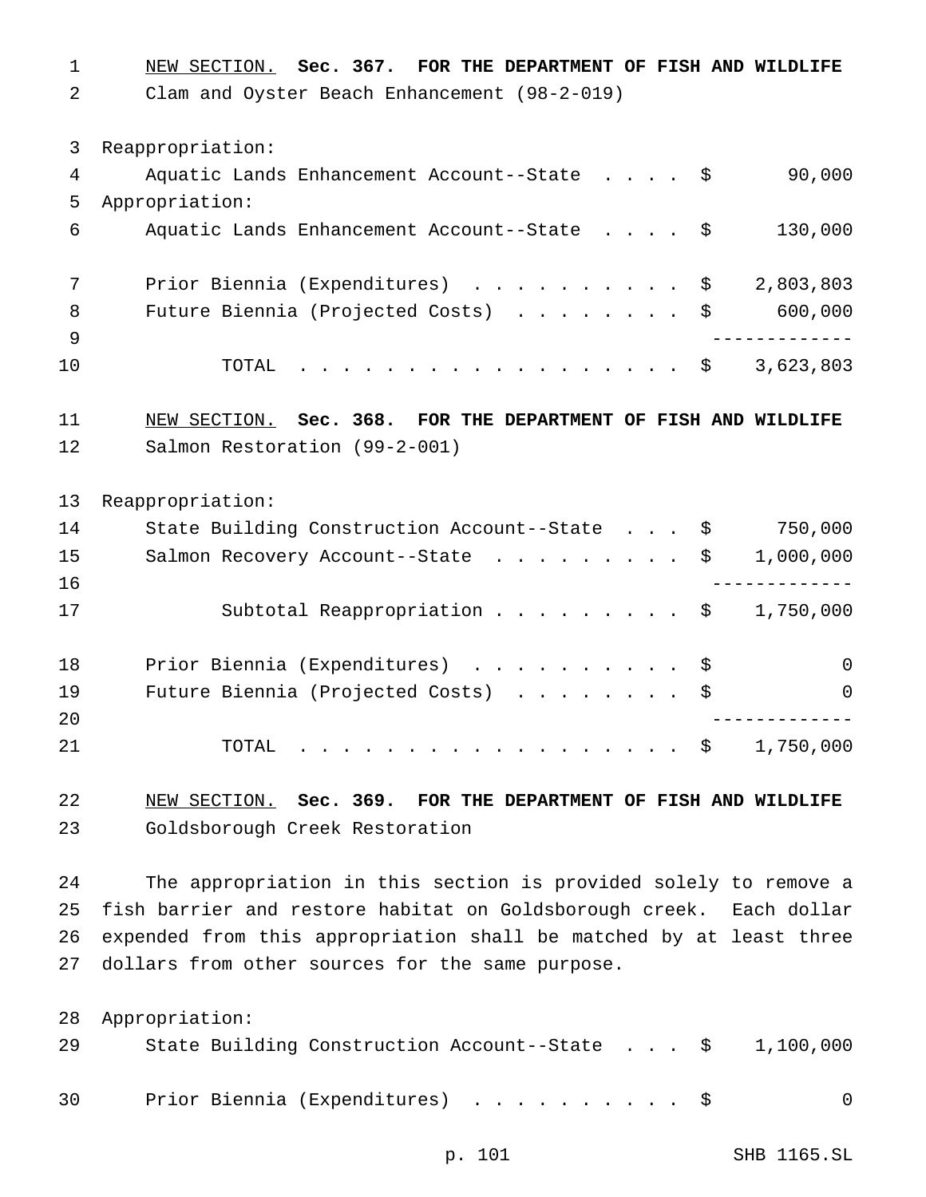NEW SECTION. **Sec. 367. FOR THE DEPARTMENT OF FISH AND WILDLIFE** Clam and Oyster Beach Enhancement (98-2-019) Reappropriation: Aquatic Lands Enhancement Account--State .... \$ 90,000 Appropriation: Aquatic Lands Enhancement Account--State .... \$ 130,000 Prior Biennia (Expenditures) .......... \$ 2,803,803 8 Future Biennia (Projected Costs) . . . . . . . \$ 600,000 ------------- TOTAL .................. \$ 3,623,803 NEW SECTION. **Sec. 368. FOR THE DEPARTMENT OF FISH AND WILDLIFE** Salmon Restoration (99-2-001) Reappropriation: State Building Construction Account--State . . . \$ 750,000 15 Salmon Recovery Account--State . . . . . . . . \$ 1,000,000 ------------- 17 Subtotal Reappropriation . . . . . . . . \$ 1,750,000 18 Prior Biennia (Expenditures) . . . . . . . . . \$ 0 19 Future Biennia (Projected Costs) . . . . . . . \$ 0 ------------- TOTAL .................. \$ 1,750,000 NEW SECTION. **Sec. 369. FOR THE DEPARTMENT OF FISH AND WILDLIFE** Goldsborough Creek Restoration

 The appropriation in this section is provided solely to remove a fish barrier and restore habitat on Goldsborough creek. Each dollar expended from this appropriation shall be matched by at least three dollars from other sources for the same purpose.

|    | 28 Appropriation:                                                  |   |
|----|--------------------------------------------------------------------|---|
| 29 | State Building Construction Account--State $\frac{1}{5}$ 1,100,000 |   |
| 30 | Prior Biennia (Expenditures) \$                                    | 0 |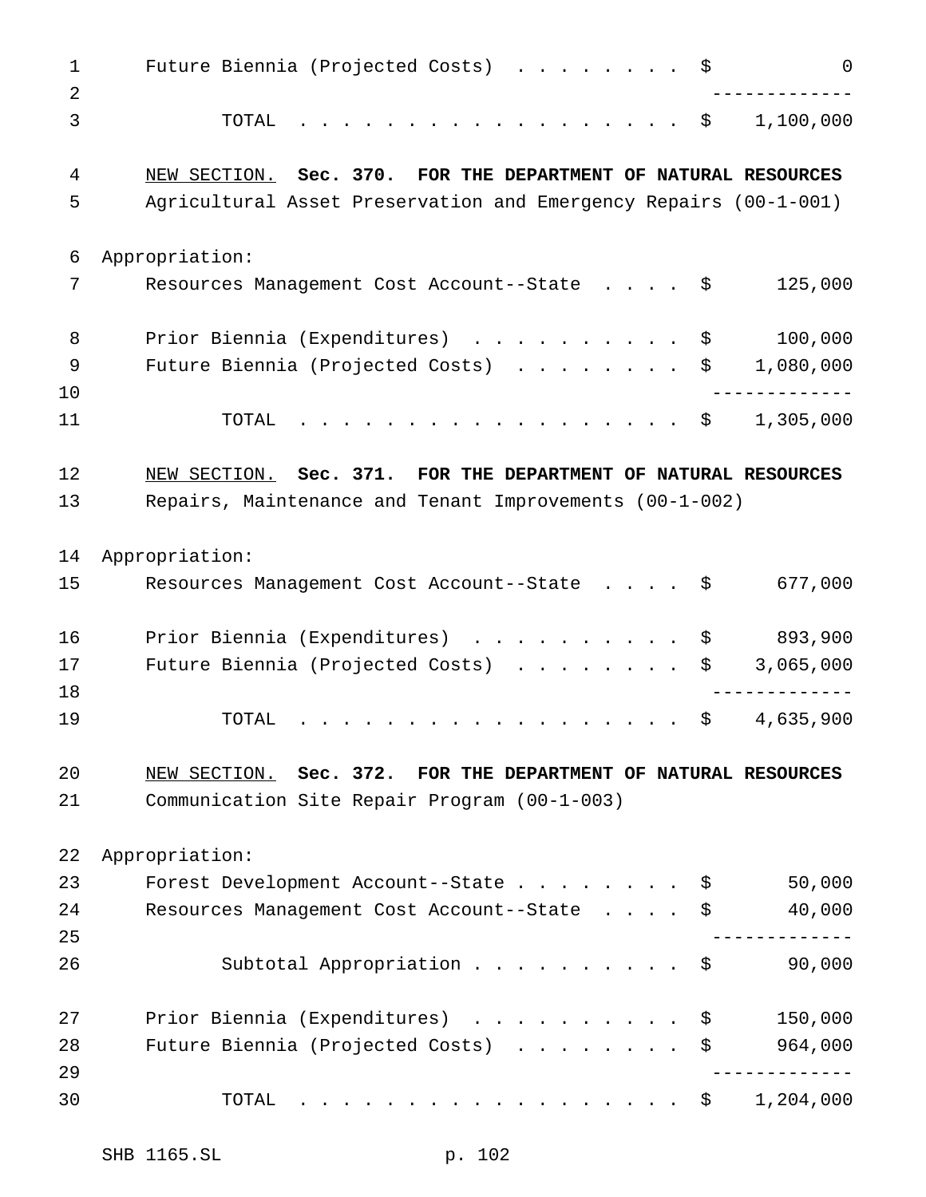| 1<br>2   | Future Biennia (Projected Costs) \$<br>0                         |
|----------|------------------------------------------------------------------|
| 3        | 1,100,000<br>TOTAL<br>. \$                                       |
| 4        | NEW SECTION. Sec. 370. FOR THE DEPARTMENT OF NATURAL RESOURCES   |
| 5        | Agricultural Asset Preservation and Emergency Repairs (00-1-001) |
| 6        | Appropriation:                                                   |
| 7        | 125,000<br>Resources Management Cost Account--State \$           |
| 8        | 100,000<br>Prior Biennia (Expenditures)<br>\$                    |
| 9        | 1,080,000<br>Future Biennia (Projected Costs)<br>\$              |
| 10       |                                                                  |
| 11       | 1,305,000<br>. \$<br>TOTAL                                       |
| 12       | NEW SECTION. Sec. 371. FOR THE DEPARTMENT OF NATURAL RESOURCES   |
| 13       | Repairs, Maintenance and Tenant Improvements (00-1-002)          |
| 14       | Appropriation:                                                   |
| 15       | 677,000<br>Resources Management Cost Account--State \$           |
| 16       | 893,900<br>Prior Biennia (Expenditures) \$                       |
| 17       | 3,065,000<br>Future Biennia (Projected Costs)<br>\$              |
| 18       |                                                                  |
| 19       | 4,635,900<br>\$<br>TOTAL                                         |
| 20       | NEW SECTION. Sec. 372. FOR THE DEPARTMENT OF NATURAL RESOURCES   |
| 21       | Communication Site Repair Program (00-1-003)                     |
| 22       | Appropriation:                                                   |
| 23       | 50,000<br>Forest Development Account--State $\ldots$ \$          |
| 24       | 40,000<br>Resources Management Cost Account--State<br>\$         |
| 25       |                                                                  |
| 26       | Subtotal Appropriation<br>90,000<br>\$                           |
| 27       | Prior Biennia (Expenditures)<br>150,000<br>\$                    |
| 28<br>29 | 964,000<br>Future Biennia (Projected Costs)<br>\$                |
| 30       | 1,204,000<br>.<br>TOTAL<br>$S$ and $S$                           |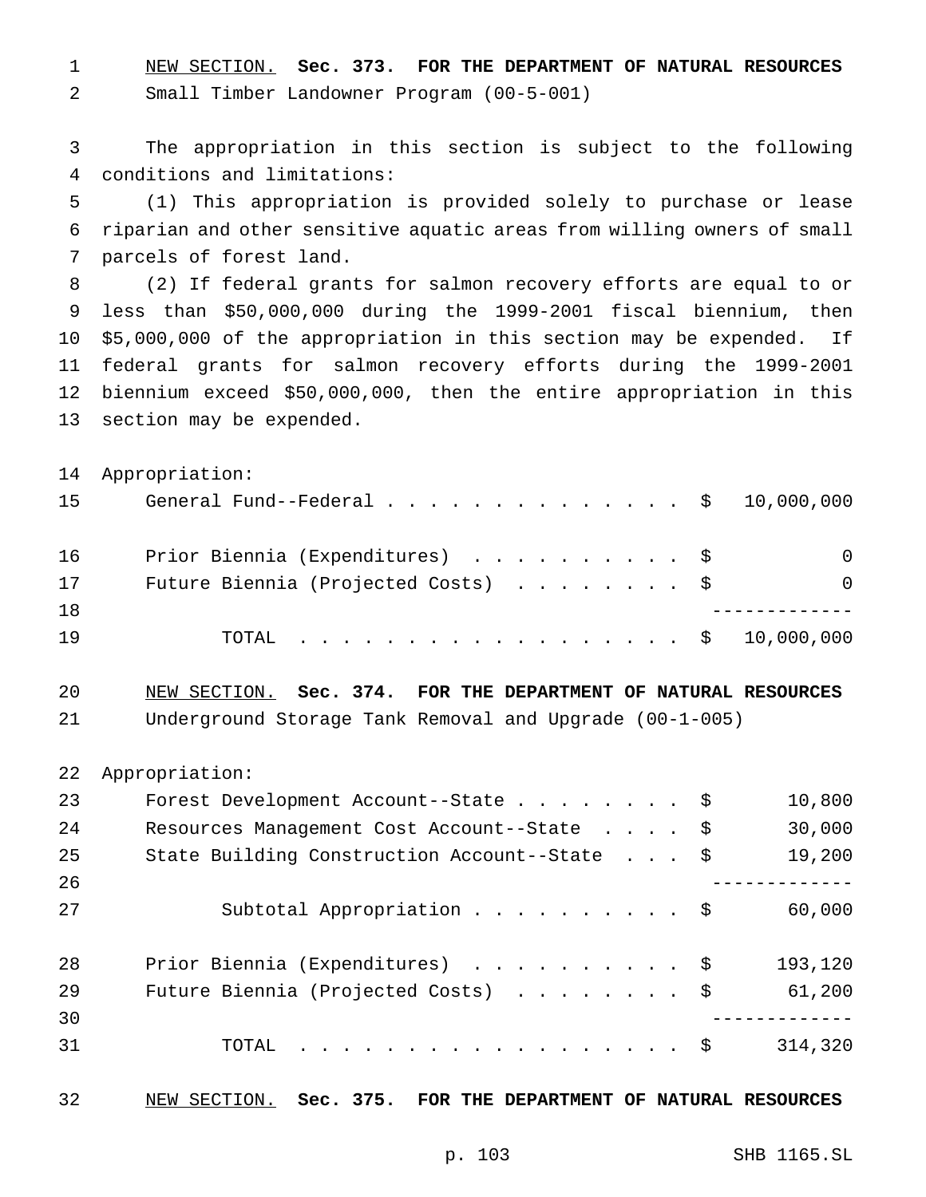NEW SECTION. **Sec. 373. FOR THE DEPARTMENT OF NATURAL RESOURCES** Small Timber Landowner Program (00-5-001)

 The appropriation in this section is subject to the following conditions and limitations:

 (1) This appropriation is provided solely to purchase or lease riparian and other sensitive aquatic areas from willing owners of small parcels of forest land.

 (2) If federal grants for salmon recovery efforts are equal to or less than \$50,000,000 during the 1999-2001 fiscal biennium, then \$5,000,000 of the appropriation in this section may be expended. If federal grants for salmon recovery efforts during the 1999-2001 biennium exceed \$50,000,000, then the entire appropriation in this section may be expended.

|    | 14 Appropriation:                                   |          |
|----|-----------------------------------------------------|----------|
| 15 | General Fund--Federal $\ldots$ , , ,  \$ 10,000,000 |          |
| 16 | Prior Biennia (Expenditures) \$                     | $\Omega$ |
| 17 | Future Biennia (Projected Costs) $\ldots$ \$        | $\Omega$ |
| 18 |                                                     |          |
| 19 | . \$ 10,000,000<br>TOTAL                            |          |

 NEW SECTION. **Sec. 374. FOR THE DEPARTMENT OF NATURAL RESOURCES** Underground Storage Tank Removal and Upgrade (00-1-005)

Appropriation:

| 23 | Forest Development Account--State \$          | 10,800  |
|----|-----------------------------------------------|---------|
| 24 | Resources Management Cost Account--State \$   | 30,000  |
| 25 | State Building Construction Account--State \$ | 19,200  |
| 26 |                                               |         |
| 27 | Subtotal Appropriation \$                     | 60,000  |
|    |                                               |         |
| 28 | Prior Biennia (Expenditures) \$               | 193,120 |
| 29 | Future Biennia (Projected Costs) \$           | 61,200  |
| 30 |                                               |         |
| 31 | TOTAL $\hat{S}$                               | 314,320 |
|    |                                               |         |

NEW SECTION. **Sec. 375. FOR THE DEPARTMENT OF NATURAL RESOURCES**

p. 103 SHB 1165.SL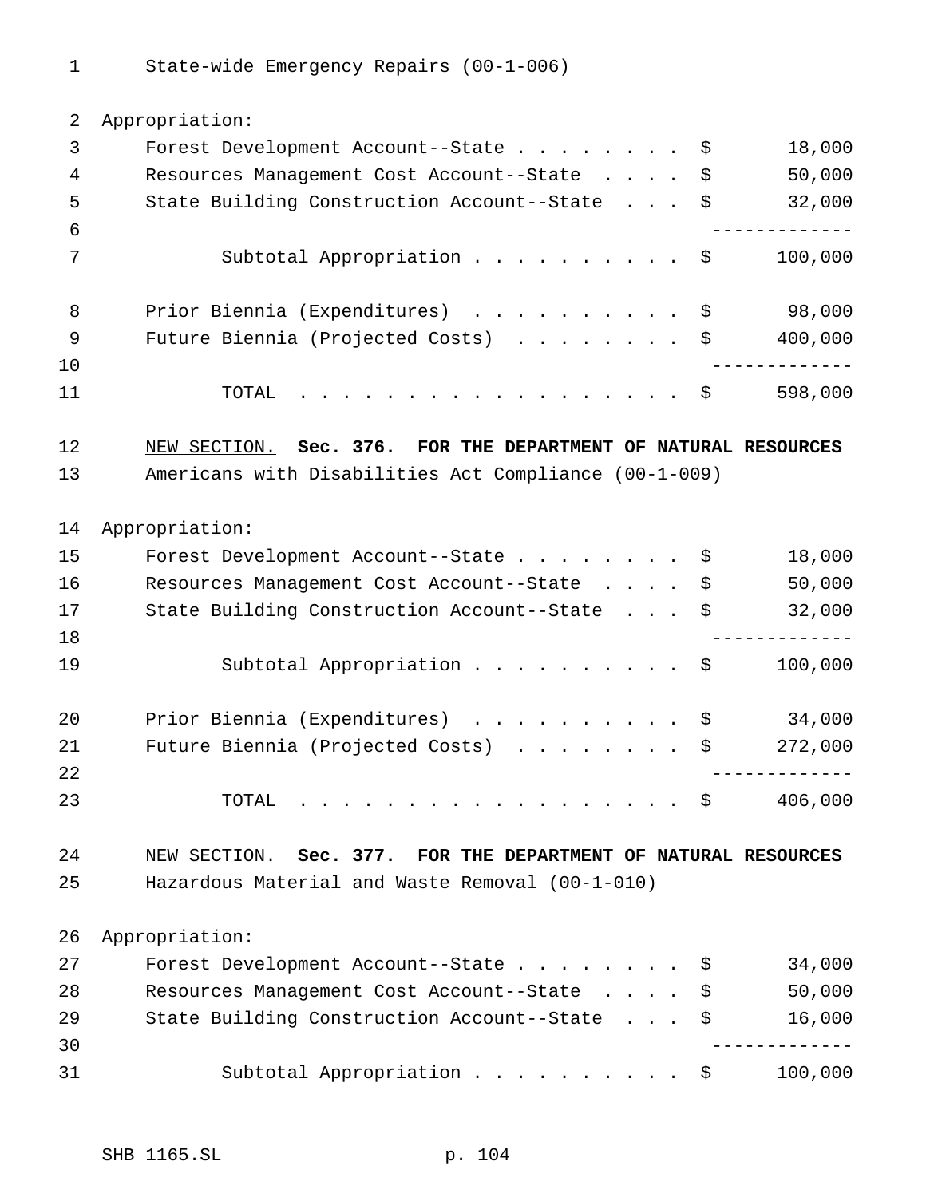State-wide Emergency Repairs (00-1-006)

| 2  | Appropriation:                                                 |             |
|----|----------------------------------------------------------------|-------------|
| 3  | Forest Development Account--State<br>\$                        | 18,000      |
| 4  | Resources Management Cost Account--State<br>\$                 | 50,000      |
| 5  | State Building Construction Account--State \$                  | 32,000      |
| 6  |                                                                |             |
| 7  | Subtotal Appropriation \$                                      | 100,000     |
| 8  | Prior Biennia (Expenditures) \$                                | 98,000      |
| 9  | Future Biennia (Projected Costs) $\ldots$ \$                   | 400,000     |
| 10 |                                                                |             |
| 11 | . \$<br>TOTAL                                                  | 598,000     |
| 12 | NEW SECTION. Sec. 376. FOR THE DEPARTMENT OF NATURAL RESOURCES |             |
| 13 | Americans with Disabilities Act Compliance (00-1-009)          |             |
|    |                                                                |             |
| 14 | Appropriation:                                                 |             |
| 15 | Forest Development Account--State<br>\$                        | 18,000      |
| 16 | Resources Management Cost Account--State \$                    | 50,000      |
| 17 | State Building Construction Account--State \$                  | 32,000      |
| 18 |                                                                |             |
| 19 | Subtotal Appropriation \$                                      | 100,000     |
| 20 | Prior Biennia (Expenditures)<br>\$                             | 34,000      |
| 21 | Future Biennia (Projected Costs)<br>\$                         | 272,000     |
| 22 |                                                                | ----------- |
| 23 | TOTAL<br>- \$<br>.                                             | 406,000     |
| 24 | NEW SECTION. Sec. 377. FOR THE DEPARTMENT OF NATURAL RESOURCES |             |
| 25 | Hazardous Material and Waste Removal (00-1-010)                |             |
| 26 | Appropriation:                                                 |             |
| 27 | Forest Development Account--State<br>\$                        | 34,000      |
| 28 | Resources Management Cost Account--State<br>\$                 | 50,000      |
| 29 | State Building Construction Account--State<br>\$               | 16,000      |
| 30 |                                                                |             |
| 31 | Subtotal Appropriation \$                                      | 100,000     |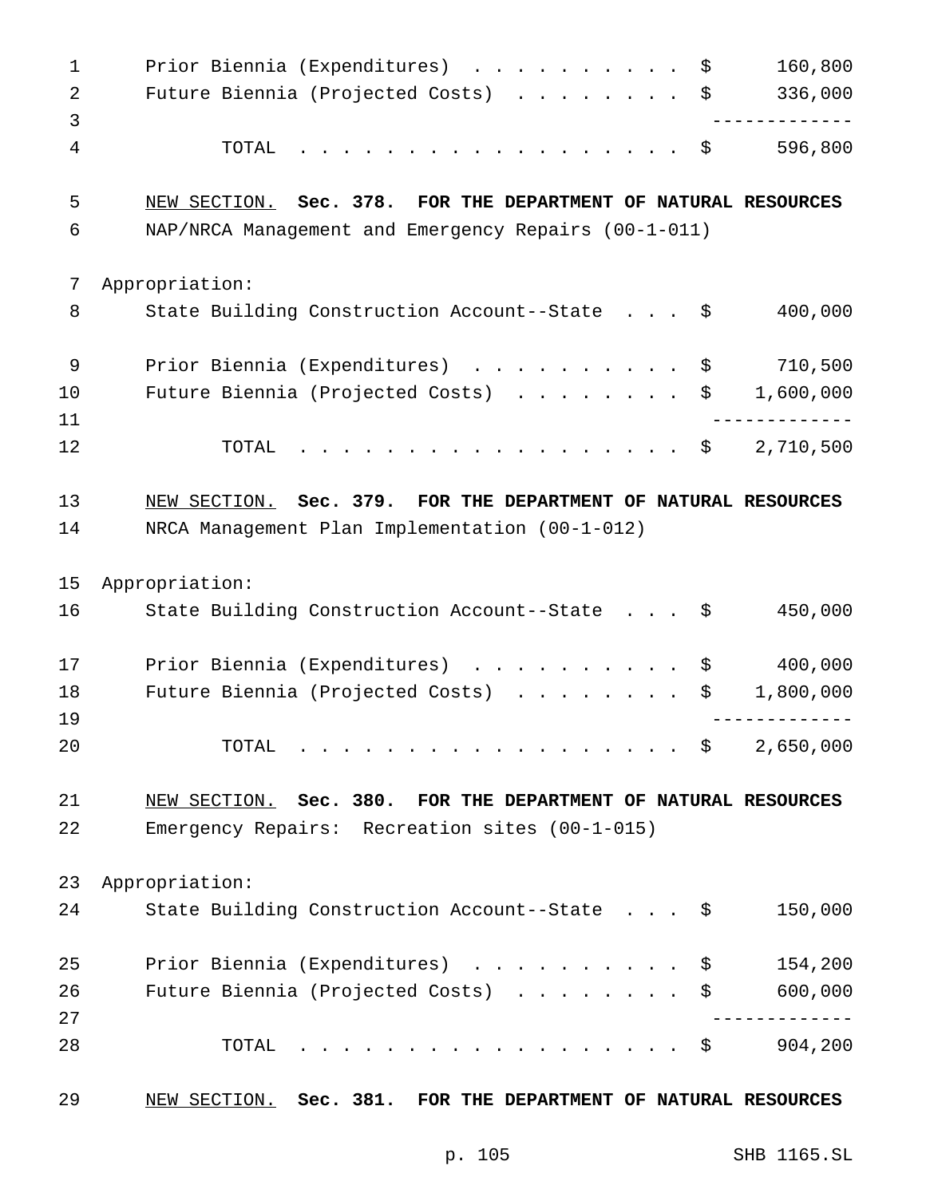| 1              | Prior Biennia (Expenditures) \$                                                                                       | 160,800   |
|----------------|-----------------------------------------------------------------------------------------------------------------------|-----------|
| $\overline{2}$ | Future Biennia (Projected Costs) \$                                                                                   | 336,000   |
| $\overline{3}$ |                                                                                                                       |           |
| 4              | TOTAL<br>. \$                                                                                                         | 596,800   |
| 5              | NEW SECTION. Sec. 378. FOR THE DEPARTMENT OF NATURAL RESOURCES                                                        |           |
| 6              | NAP/NRCA Management and Emergency Repairs (00-1-011)                                                                  |           |
| 7              | Appropriation:                                                                                                        |           |
| 8              | State Building Construction Account--State \$                                                                         | 400,000   |
| $\mathsf 9$    | Prior Biennia (Expenditures) \$                                                                                       | 710,500   |
| 10             | Future Biennia (Projected Costs) \$                                                                                   | 1,600,000 |
| 11             |                                                                                                                       |           |
| 12             | TOTAL<br>. \$                                                                                                         | 2,710,500 |
| 13             | NEW SECTION. Sec. 379. FOR THE DEPARTMENT OF NATURAL RESOURCES                                                        |           |
| 14             | NRCA Management Plan Implementation (00-1-012)                                                                        |           |
| 15             | Appropriation:                                                                                                        |           |
| 16             | State Building Construction Account--State \$                                                                         | 450,000   |
| 17             | Prior Biennia (Expenditures)<br>\$                                                                                    | 400,000   |
| 18             | Future Biennia (Projected Costs)<br>\$                                                                                | 1,800,000 |
| 19             |                                                                                                                       |           |
| 20             | TOTAL<br>- \$                                                                                                         | 2,650,000 |
| 21             | NEW SECTION. Sec. 380. FOR THE DEPARTMENT OF NATURAL RESOURCES                                                        |           |
| 22             | Emergency Repairs: Recreation sites (00-1-015)                                                                        |           |
| 23             | Appropriation:                                                                                                        |           |
| 24             | State Building Construction Account--State \$                                                                         | 150,000   |
| 25             | Prior Biennia (Expenditures)<br>\$                                                                                    | 154,200   |
| 26             | Future Biennia (Projected Costs)<br>\$                                                                                | 600,000   |
| 27             |                                                                                                                       |           |
| 28             | TOTAL<br>\$<br>$\mathbf{r}$ . The state of the state $\mathbf{r}$ is the state of the state of the state $\mathbf{r}$ | 904,200   |
| 29             | Sec. 381. FOR THE DEPARTMENT OF NATURAL RESOURCES<br>NEW SECTION.                                                     |           |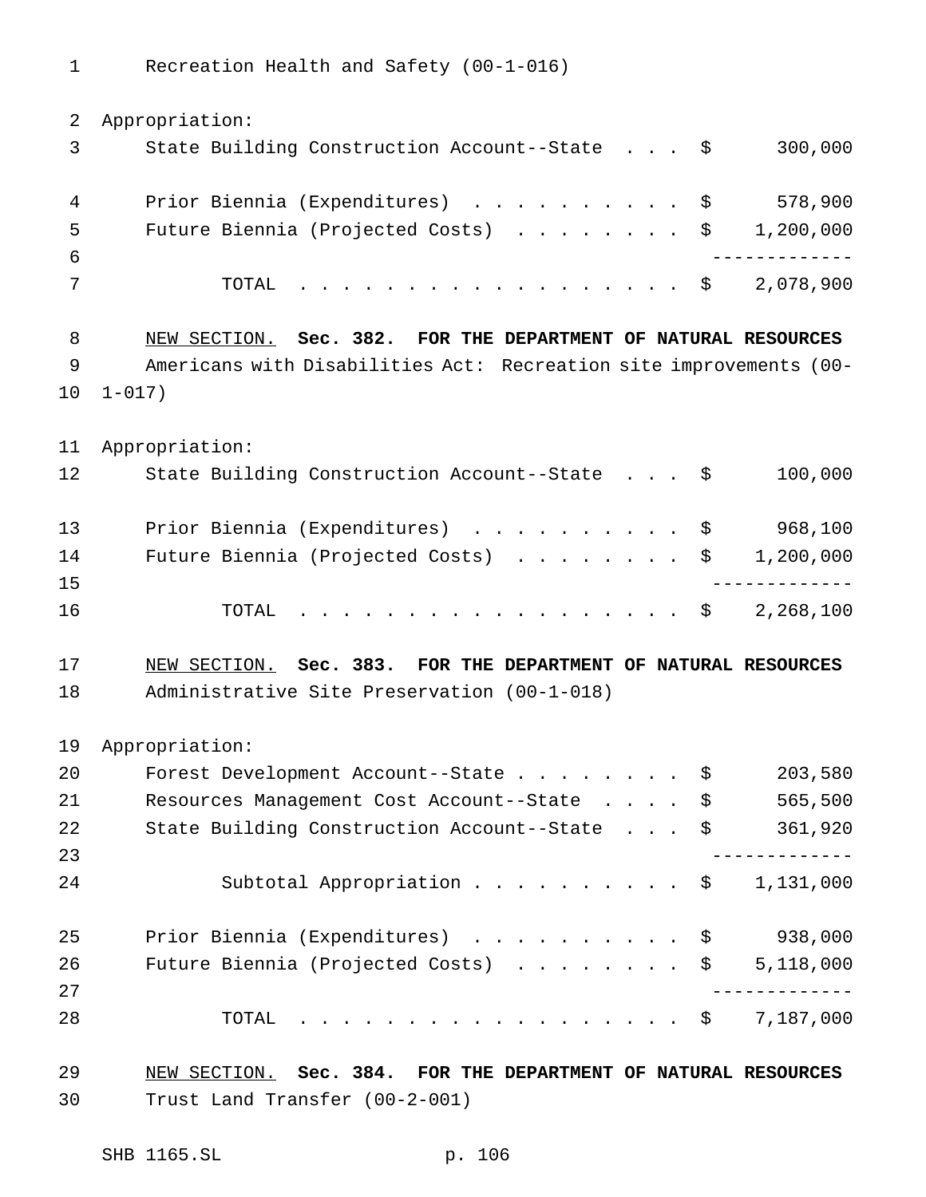Recreation Health and Safety (00-1-016)

| 2  | Appropriation:                                                     |
|----|--------------------------------------------------------------------|
| 3  | 300,000<br>State Building Construction Account--State \$           |
| 4  | 578,900<br>Prior Biennia (Expenditures) \$                         |
| 5  | Future Biennia (Projected Costs) \$<br>1,200,000                   |
| 6  |                                                                    |
| 7  | 2,078,900<br>TOTAL<br>. \$                                         |
| 8  | NEW SECTION. Sec. 382. FOR THE DEPARTMENT OF NATURAL RESOURCES     |
| 9  | Americans with Disabilities Act: Recreation site improvements (00- |
| 10 | $1 - 017$ )                                                        |
| 11 | Appropriation:                                                     |
| 12 | 100,000<br>State Building Construction Account--State \$           |
| 13 | 968,100<br>Prior Biennia (Expenditures) \$                         |
| 14 | 1,200,000<br>Future Biennia (Projected Costs) \$                   |
| 15 |                                                                    |
| 16 | 2,268,100<br>TOTAL<br>. \$                                         |
| 17 | NEW SECTION. Sec. 383. FOR THE DEPARTMENT OF NATURAL RESOURCES     |
| 18 | Administrative Site Preservation (00-1-018)                        |
| 19 | Appropriation:                                                     |
| 20 | 203,580<br>Forest Development Account--State<br>\$                 |
| 21 | 565,500<br>Resources Management Cost Account--State \$             |
| 22 | State Building Construction Account--State \$<br>361,920           |
| 23 |                                                                    |
| 24 | Subtotal Appropriation \$<br>1,131,000                             |
| 25 | 938,000<br>Prior Biennia (Expenditures) \$                         |
| 26 | 5,118,000<br>Future Biennia (Projected Costs) \$                   |
| 27 |                                                                    |
| 28 | 7,187,000<br>TOTAL<br>. \$                                         |
| 29 | NEW SECTION. Sec. 384. FOR THE DEPARTMENT OF NATURAL RESOURCES     |
| 30 | Trust Land Transfer (00-2-001)                                     |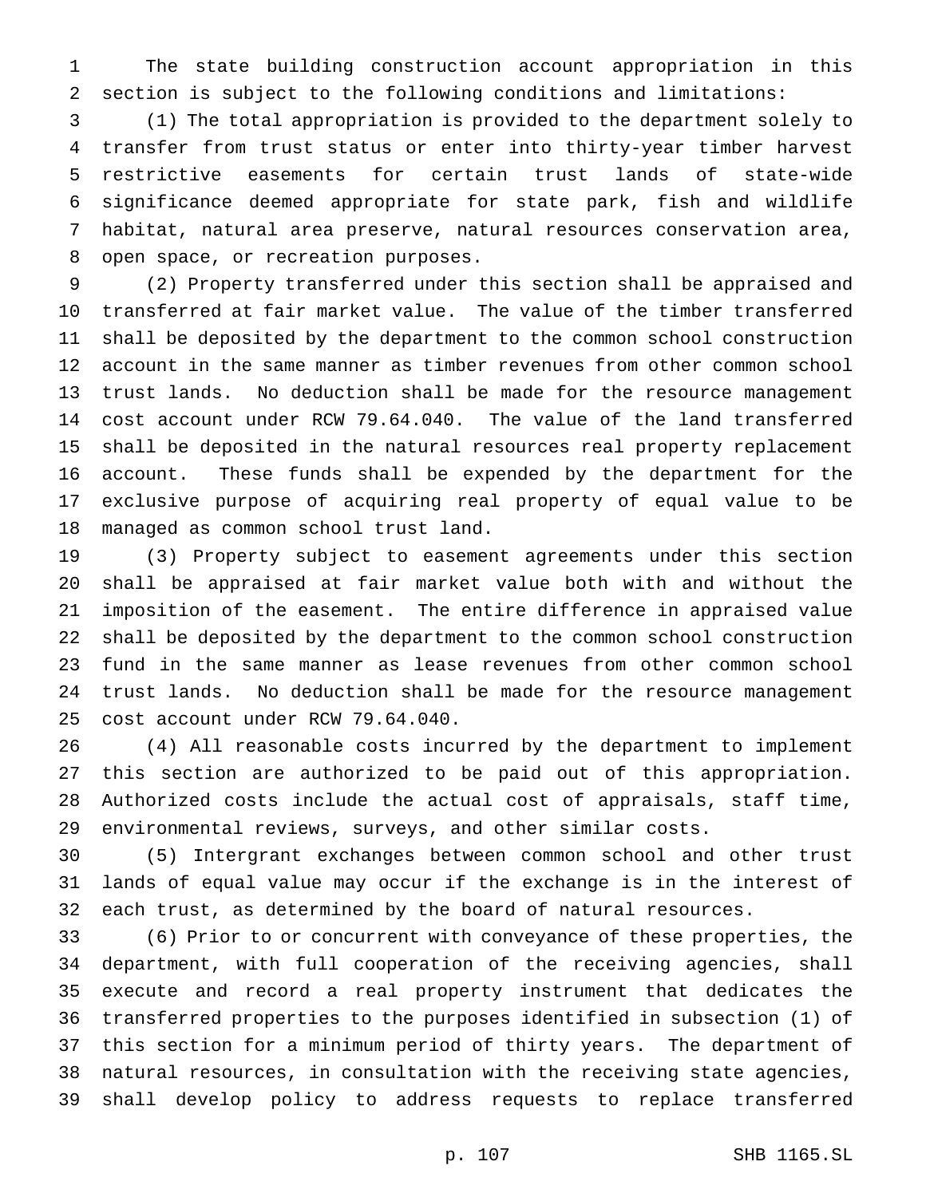The state building construction account appropriation in this section is subject to the following conditions and limitations:

 (1) The total appropriation is provided to the department solely to transfer from trust status or enter into thirty-year timber harvest restrictive easements for certain trust lands of state-wide significance deemed appropriate for state park, fish and wildlife habitat, natural area preserve, natural resources conservation area, open space, or recreation purposes.

 (2) Property transferred under this section shall be appraised and transferred at fair market value. The value of the timber transferred shall be deposited by the department to the common school construction account in the same manner as timber revenues from other common school trust lands. No deduction shall be made for the resource management cost account under RCW 79.64.040. The value of the land transferred shall be deposited in the natural resources real property replacement account. These funds shall be expended by the department for the exclusive purpose of acquiring real property of equal value to be managed as common school trust land.

 (3) Property subject to easement agreements under this section shall be appraised at fair market value both with and without the imposition of the easement. The entire difference in appraised value shall be deposited by the department to the common school construction fund in the same manner as lease revenues from other common school trust lands. No deduction shall be made for the resource management cost account under RCW 79.64.040.

 (4) All reasonable costs incurred by the department to implement this section are authorized to be paid out of this appropriation. Authorized costs include the actual cost of appraisals, staff time, environmental reviews, surveys, and other similar costs.

 (5) Intergrant exchanges between common school and other trust lands of equal value may occur if the exchange is in the interest of each trust, as determined by the board of natural resources.

 (6) Prior to or concurrent with conveyance of these properties, the department, with full cooperation of the receiving agencies, shall execute and record a real property instrument that dedicates the transferred properties to the purposes identified in subsection (1) of this section for a minimum period of thirty years. The department of natural resources, in consultation with the receiving state agencies, shall develop policy to address requests to replace transferred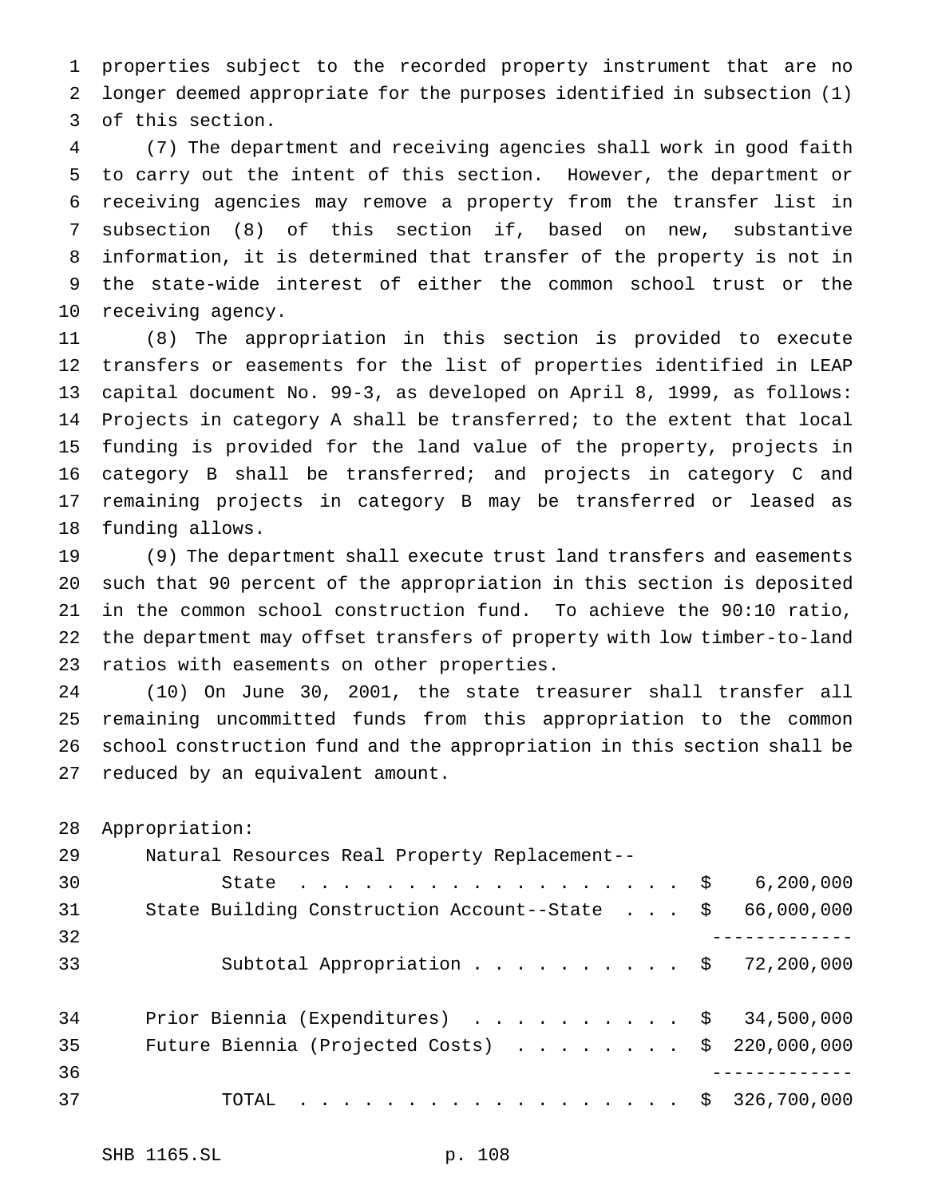properties subject to the recorded property instrument that are no longer deemed appropriate for the purposes identified in subsection (1) of this section.

 (7) The department and receiving agencies shall work in good faith to carry out the intent of this section. However, the department or receiving agencies may remove a property from the transfer list in subsection (8) of this section if, based on new, substantive information, it is determined that transfer of the property is not in the state-wide interest of either the common school trust or the receiving agency.

 (8) The appropriation in this section is provided to execute transfers or easements for the list of properties identified in LEAP capital document No. 99-3, as developed on April 8, 1999, as follows: Projects in category A shall be transferred; to the extent that local funding is provided for the land value of the property, projects in category B shall be transferred; and projects in category C and remaining projects in category B may be transferred or leased as funding allows.

 (9) The department shall execute trust land transfers and easements such that 90 percent of the appropriation in this section is deposited in the common school construction fund. To achieve the 90:10 ratio, the department may offset transfers of property with low timber-to-land ratios with easements on other properties.

 (10) On June 30, 2001, the state treasurer shall transfer all remaining uncommitted funds from this appropriation to the common school construction fund and the appropriation in this section shall be reduced by an equivalent amount.

Appropriation:

| 29 | Natural Resources Real Property Replacement--            |             |
|----|----------------------------------------------------------|-------------|
| 30 | State $\ldots$ \$                                        | 6, 200, 000 |
| 31 | State Building Construction Account--State \$            | 66,000,000  |
| 32 |                                                          |             |
| 33 | Subtotal Appropriation $\ldots$ \$ 72,200,000            |             |
|    |                                                          |             |
| 34 | Prior Biennia (Expenditures) $\ldots$ \$ 34,500,000      |             |
| 35 | Future Biennia (Projected Costs) $\ldots$ \$ 220,000,000 |             |
| 36 |                                                          |             |
| 37 | TOTAL \$ 326,700,000                                     |             |
|    |                                                          |             |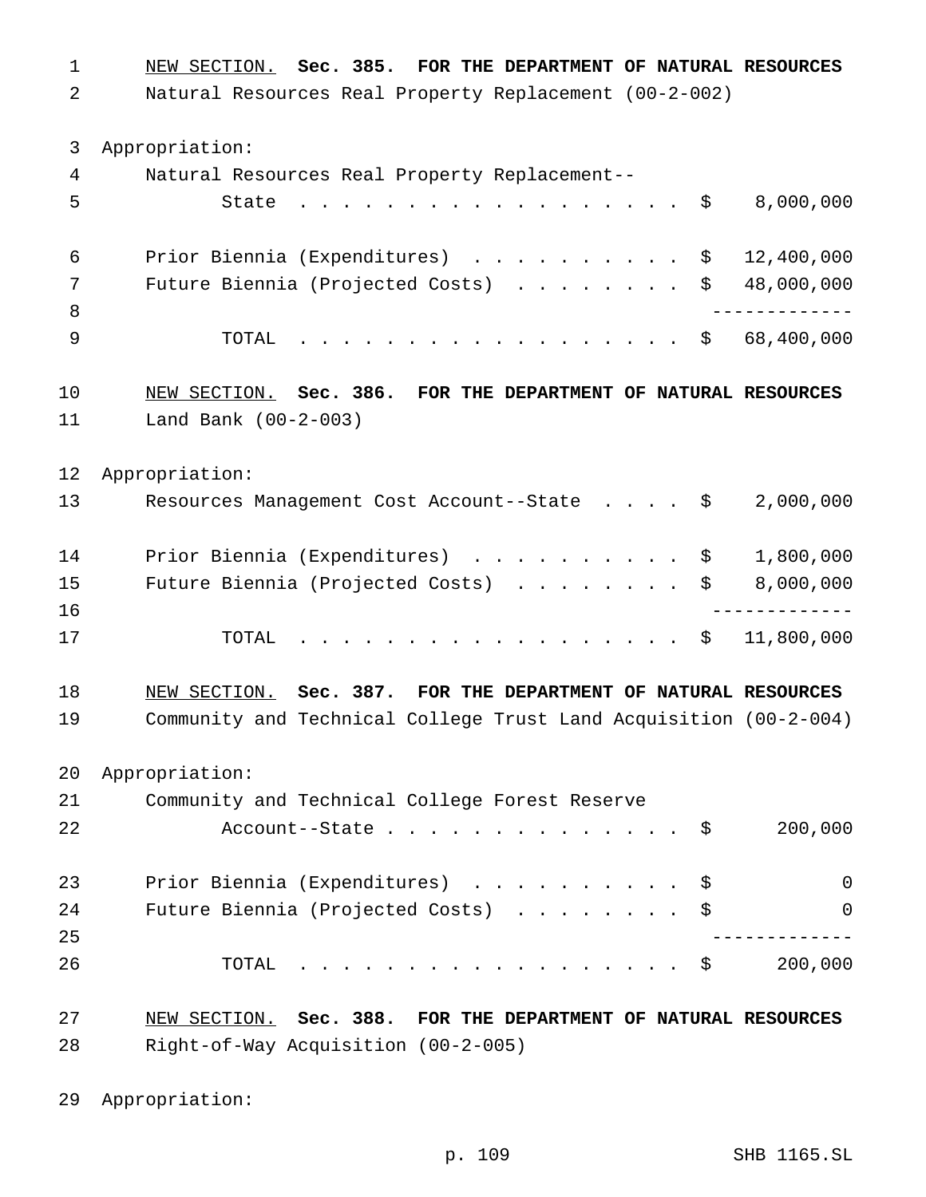NEW SECTION. **Sec. 385. FOR THE DEPARTMENT OF NATURAL RESOURCES** Natural Resources Real Property Replacement (00-2-002) Appropriation: Natural Resources Real Property Replacement-- State .................. \$ 8,000,000 Prior Biennia (Expenditures) .......... \$ 12,400,000 Future Biennia (Projected Costs) ........ \$ 48,000,000 ------------- TOTAL .................. \$ 68,400,000 NEW SECTION. **Sec. 386. FOR THE DEPARTMENT OF NATURAL RESOURCES** Land Bank (00-2-003) Appropriation: Resources Management Cost Account--State .... \$ 2,000,000 14 Prior Biennia (Expenditures) . . . . . . . . . \$ 1,800,000 Future Biennia (Projected Costs) ........ \$ 8,000,000 ------------- TOTAL .................. \$ 11,800,000 NEW SECTION. **Sec. 387. FOR THE DEPARTMENT OF NATURAL RESOURCES** Community and Technical College Trust Land Acquisition (00-2-004) Appropriation: Community and Technical College Forest Reserve 22 Account--State . . . . . . . . . . . . \$ 200,000 Prior Biennia (Expenditures) .......... \$ 0 Future Biennia (Projected Costs) ........ \$ 0 ------------- TOTAL .................. \$ 200,000 NEW SECTION. **Sec. 388. FOR THE DEPARTMENT OF NATURAL RESOURCES** Right-of-Way Acquisition (00-2-005)

Appropriation: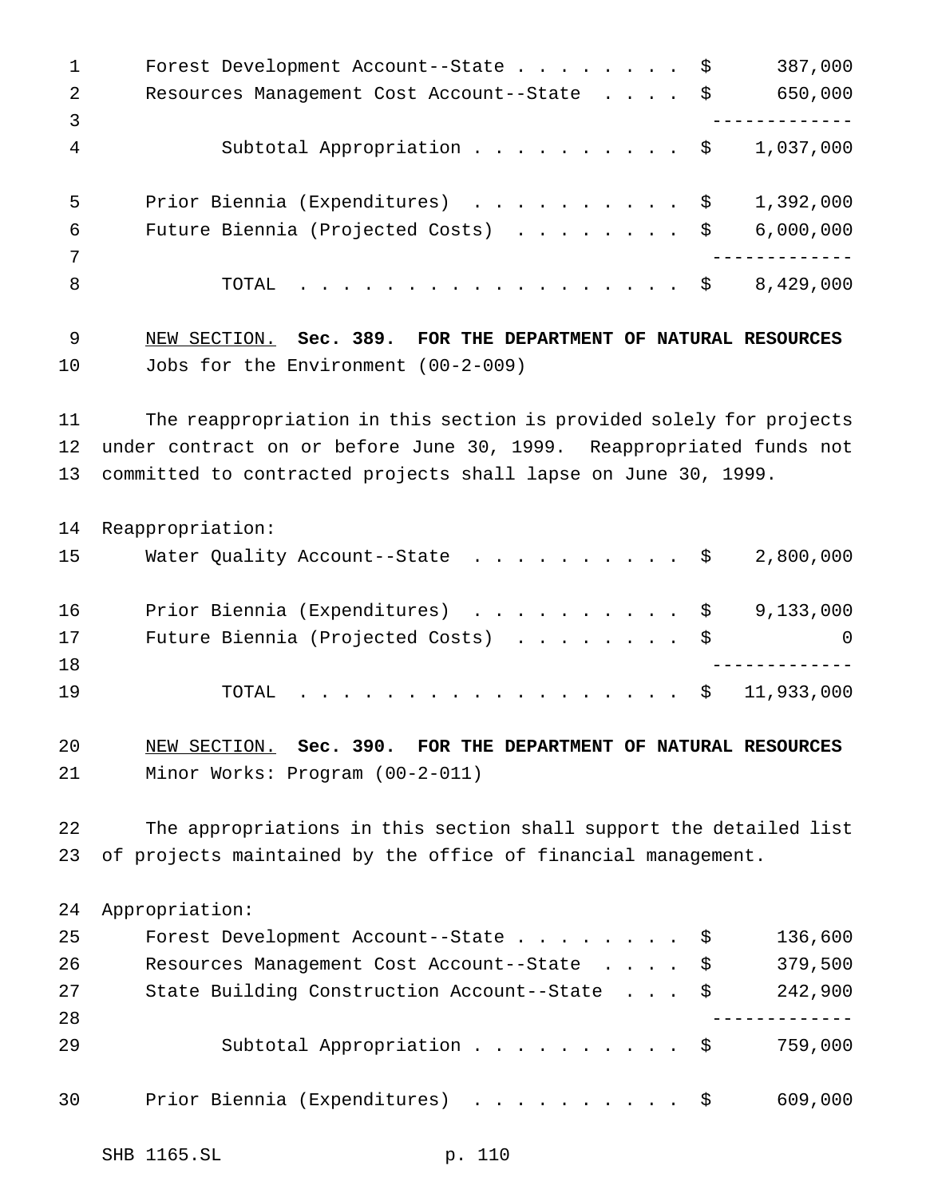| 1        | 387,000<br>Forest Development Account--State \$                      |
|----------|----------------------------------------------------------------------|
| 2        | 650,000<br>Resources Management Cost Account--State \$               |
| 3        |                                                                      |
| 4        | Subtotal Appropriation \$<br>1,037,000                               |
| 5        | Prior Biennia (Expenditures) \$<br>1,392,000                         |
| 6        | Future Biennia (Projected Costs)<br>6,000,000<br>\$                  |
| 7        |                                                                      |
| 8        | 8,429,000<br>TOTAL<br>. \$                                           |
| 9        | NEW SECTION. Sec. 389. FOR THE DEPARTMENT OF NATURAL RESOURCES       |
| 10       | Jobs for the Environment (00-2-009)                                  |
| 11       | The reappropriation in this section is provided solely for projects  |
| 12       | under contract on or before June 30, 1999. Reappropriated funds not  |
| 13       | committed to contracted projects shall lapse on June 30, 1999.       |
| 14       | Reappropriation:                                                     |
| 15       | Water Quality Account--State \$<br>2,800,000                         |
| 16       | Prior Biennia (Expenditures)<br>9,133,000<br>\$                      |
| 17       | Future Biennia (Projected Costs)<br>\$<br>0                          |
| 18       |                                                                      |
| 19       | 11,933,000<br>\$<br>TOTAL                                            |
| 20       | NEW SECTION. Sec. 390. FOR THE DEPARTMENT OF NATURAL RESOURCES       |
| 21       | Minor Works: Program (00-2-011)                                      |
| 22       | The appropriations in this section shall support the detailed list   |
| 23       | of projects maintained by the office of financial management.        |
| 24       | Appropriation:                                                       |
| 25       | 136,600<br>Forest Development Account--State<br>$\ddot{\varepsilon}$ |
| 26       | 379,500<br>Resources Management Cost Account--State<br>\$            |
| 27<br>28 | 242,900<br>State Building Construction Account--State \$             |
| 29       | Subtotal Appropriation \$<br>759,000                                 |
| 30       | Prior Biennia (Expenditures)<br>609,000<br>- \$                      |
|          |                                                                      |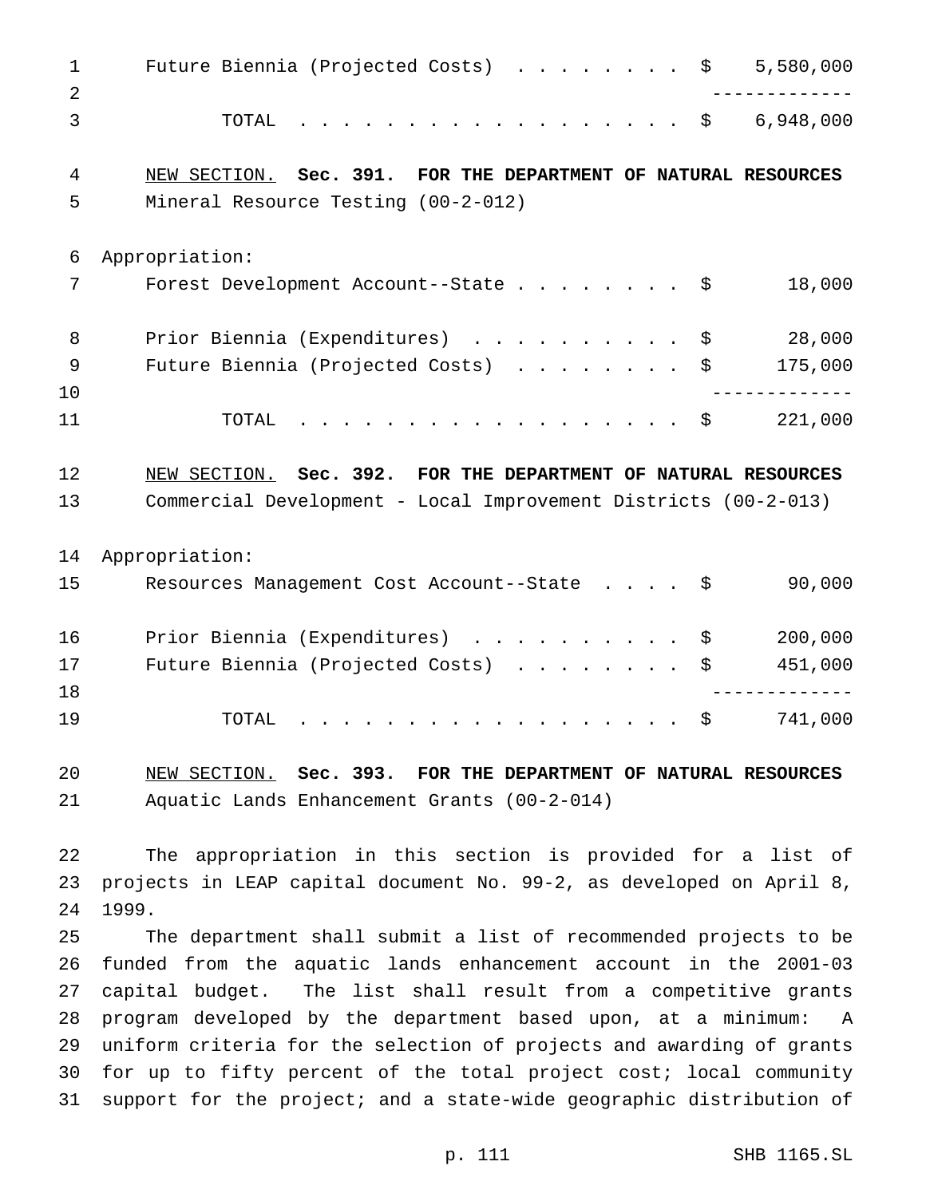| 1        | 5,580,000<br>Future Biennia (Projected Costs) \$                                                                                                                                                                                                        |
|----------|---------------------------------------------------------------------------------------------------------------------------------------------------------------------------------------------------------------------------------------------------------|
| 2<br>3   | . \$ 6,948,000<br>TOTAL                                                                                                                                                                                                                                 |
| 4        | NEW SECTION. Sec. 391.<br>FOR THE DEPARTMENT OF NATURAL RESOURCES                                                                                                                                                                                       |
| 5        | Mineral Resource Testing (00-2-012)                                                                                                                                                                                                                     |
| 6        | Appropriation:                                                                                                                                                                                                                                          |
| 7        | 18,000<br>Forest Development Account--State $\ldots$ \$                                                                                                                                                                                                 |
| 8        | 28,000<br>Prior Biennia (Expenditures)<br>\$                                                                                                                                                                                                            |
| 9<br>10  | 175,000<br>Future Biennia (Projected Costs)<br>\$                                                                                                                                                                                                       |
| 11       | .<br>221,000<br>TOTAL<br>\$                                                                                                                                                                                                                             |
| 12       | NEW SECTION. Sec. 392. FOR THE DEPARTMENT OF NATURAL RESOURCES                                                                                                                                                                                          |
| 13       | Commercial Development - Local Improvement Districts (00-2-013)                                                                                                                                                                                         |
| 14       | Appropriation:                                                                                                                                                                                                                                          |
| 15       | 90,000<br>Resources Management Cost Account--State \$                                                                                                                                                                                                   |
| 16       | Prior Biennia (Expenditures)<br>200,000<br>\$                                                                                                                                                                                                           |
| 17       | 451,000<br>Future Biennia (Projected Costs)<br>\$                                                                                                                                                                                                       |
| 18<br>19 | 741,000<br>\$<br>TOTAL<br>a construction of the construction of the construction of the construction of the construction of the construction of the construction of the construction of the construction of the construction of the construction of the |
| 20       | NEW SECTION. Sec. 393. FOR THE DEPARTMENT OF NATURAL RESOURCES                                                                                                                                                                                          |
| 21       | Aquatic Lands Enhancement Grants (00-2-014)                                                                                                                                                                                                             |
| 22       | The appropriation in this section is provided for a list of                                                                                                                                                                                             |
| 23       | projects in LEAP capital document No. 99-2, as developed on April 8,                                                                                                                                                                                    |
| 24       | 1999.                                                                                                                                                                                                                                                   |
| 25       | The department shall submit a list of recommended projects to be                                                                                                                                                                                        |
| 26       | funded from the aquatic lands enhancement account in the 2001-03                                                                                                                                                                                        |
| 27       | capital budget. The list shall result from a competitive grants                                                                                                                                                                                         |
|          |                                                                                                                                                                                                                                                         |

 program developed by the department based upon, at a minimum: A uniform criteria for the selection of projects and awarding of grants for up to fifty percent of the total project cost; local community support for the project; and a state-wide geographic distribution of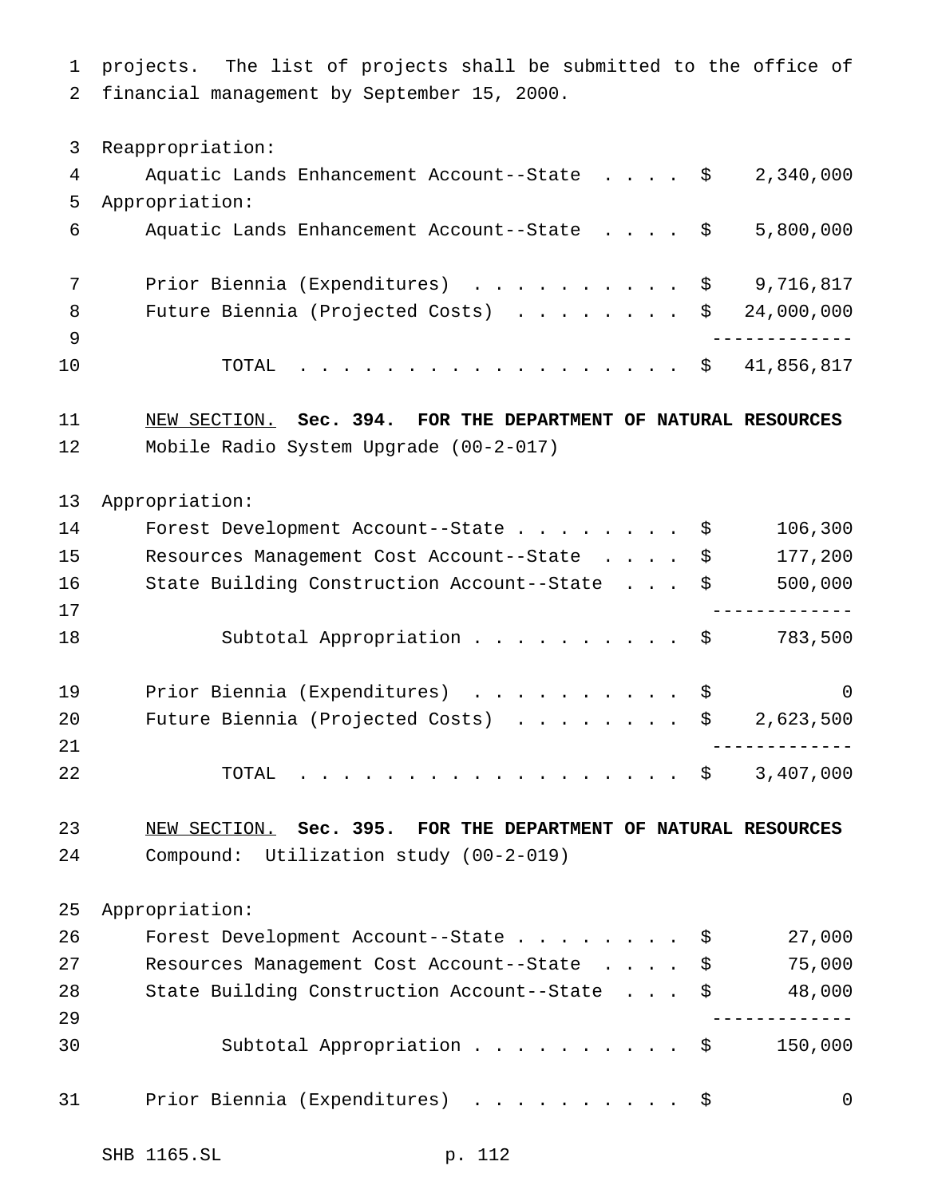projects. The list of projects shall be submitted to the office of financial management by September 15, 2000. Reappropriation: Aquatic Lands Enhancement Account--State .... \$ 2,340,000 Appropriation: Aquatic Lands Enhancement Account--State .... \$ 5,800,000 7 Prior Biennia (Expenditures) . . . . . . . . . \$ 9,716,817 8 Future Biennia (Projected Costs) . . . . . . . \$ 24,000,000 ------------- TOTAL .................. \$ 41,856,817 NEW SECTION. **Sec. 394. FOR THE DEPARTMENT OF NATURAL RESOURCES** Mobile Radio System Upgrade (00-2-017) Appropriation: 14 Forest Development Account--State . . . . . . . \$ 106,300 Resources Management Cost Account--State .... \$ 177,200 State Building Construction Account--State . . . \$ 500,000 ------------- Subtotal Appropriation.......... \$ 783,500 19 Prior Biennia (Expenditures) . . . . . . . . . \$ 0 20 Future Biennia (Projected Costs) . . . . . . . \$ 2,623,500 ------------- 22 TOTAL . . . . . . . . . . . . . . . . \$ 3,407,000 NEW SECTION. **Sec. 395. FOR THE DEPARTMENT OF NATURAL RESOURCES** Compound: Utilization study (00-2-019) Appropriation: Forest Development Account--State........ \$ 27,000 Resources Management Cost Account--State .... \$ 75,000 28 State Building Construction Account--State . . . \$ 48,000 ------------- 30 Subtotal Appropriation . . . . . . . . . \$ 150,000 Prior Biennia (Expenditures) .......... \$ 0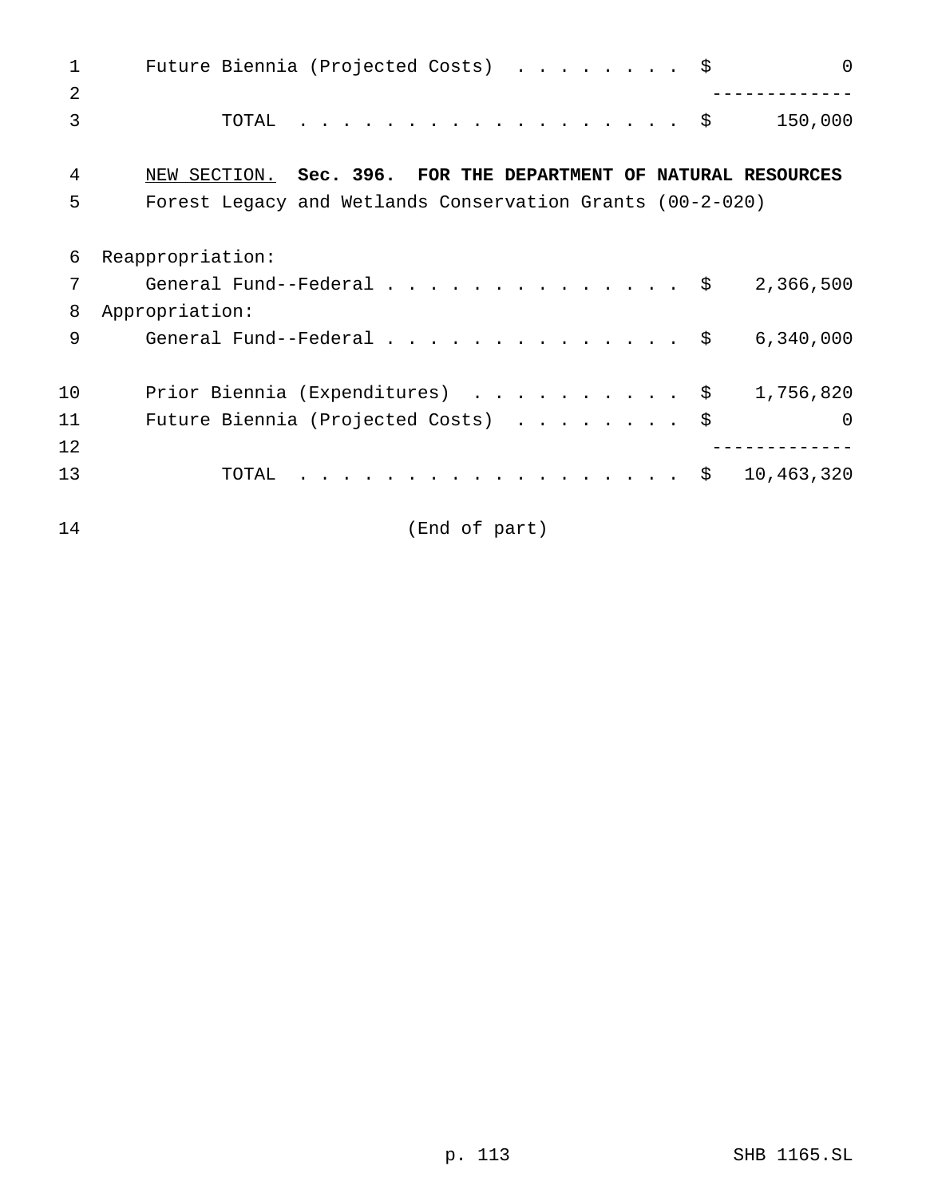| 1              | Future Biennia (Projected Costs) \$<br>$\Omega$                |
|----------------|----------------------------------------------------------------|
| $\overline{2}$ |                                                                |
| 3              | .<br>- \$<br>150,000<br>TOTAL                                  |
| 4              | NEW SECTION. Sec. 396. FOR THE DEPARTMENT OF NATURAL RESOURCES |
| 5              | Forest Legacy and Wetlands Conservation Grants (00-2-020)      |
|                |                                                                |
| 6              | Reappropriation:                                               |
| 7              | General Fund--Federal \$<br>2,366,500                          |
| 8              | Appropriation:                                                 |
| 9              | General Fund--Federal $\frac{1}{5}$<br>6,340,000               |
|                |                                                                |
| 10             | Prior Biennia (Expenditures) \$<br>1,756,820                   |
| 11             | Future Biennia (Projected Costs)<br>$\Omega$                   |
| 12             |                                                                |
| 13             | 10,463,320<br>TOTAL<br>Ş.                                      |
|                |                                                                |
| 14             | (End of part)                                                  |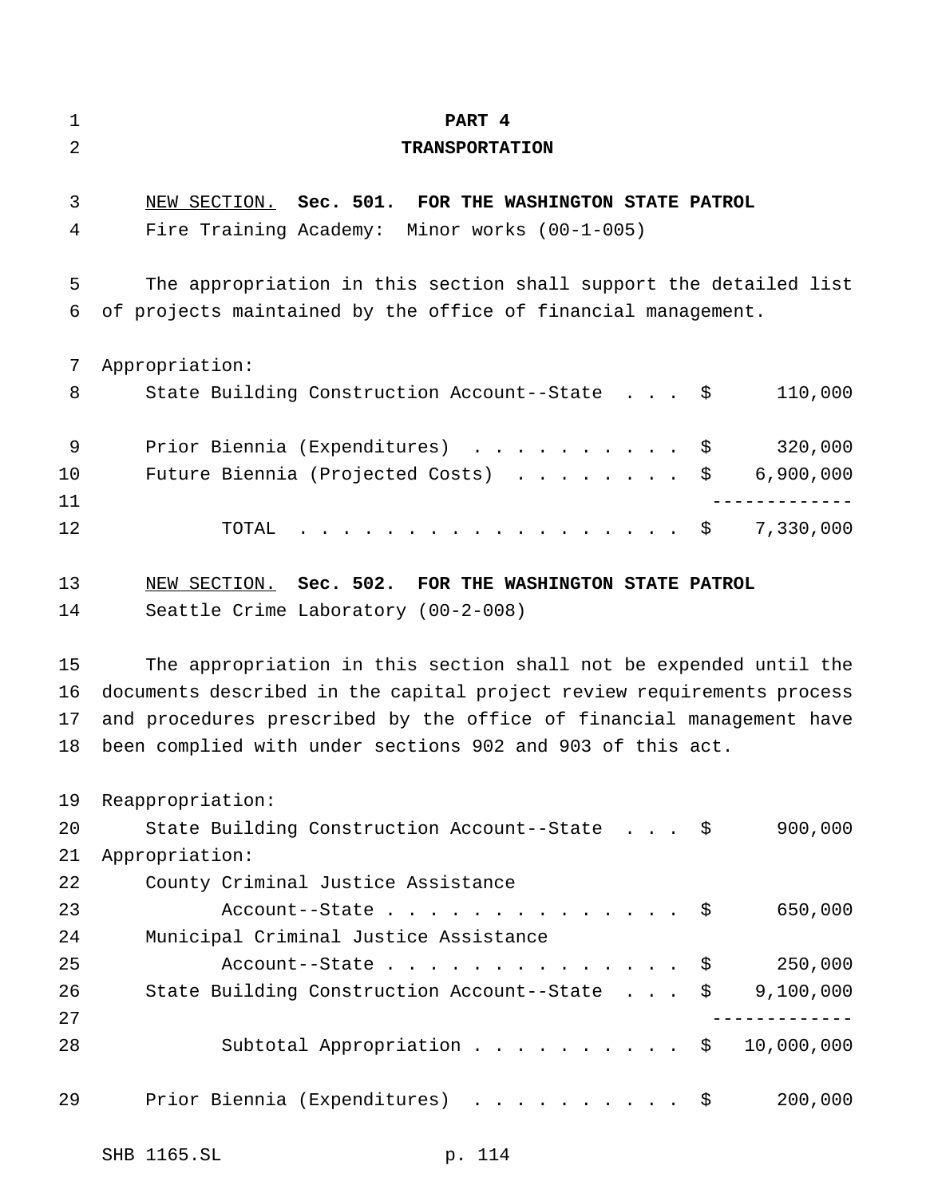| 1              | PART 4                                                                 |
|----------------|------------------------------------------------------------------------|
| $\overline{2}$ | <b>TRANSPORTATION</b>                                                  |
|                |                                                                        |
| 3              | NEW SECTION. Sec. 501. FOR THE WASHINGTON STATE PATROL                 |
| 4              | Fire Training Academy: Minor works (00-1-005)                          |
| 5              | The appropriation in this section shall support the detailed list      |
| 6              | of projects maintained by the office of financial management.          |
| 7              | Appropriation:                                                         |
| 8              | State Building Construction Account--State \$<br>110,000               |
| 9              | 320,000<br>Prior Biennia (Expenditures) \$                             |
| 10             | Future Biennia (Projected Costs) \$ 6,900,000                          |
| 11             |                                                                        |
| 12             | TOTAL $\ldots$ \$<br>7,330,000                                         |
| 13             | NEW SECTION. Sec. 502. FOR THE WASHINGTON STATE PATROL                 |
| 14             | Seattle Crime Laboratory (00-2-008)                                    |
| 15             | The appropriation in this section shall not be expended until the      |
| 16             | documents described in the capital project review requirements process |
| 17             | and procedures prescribed by the office of financial management have   |
| 18             | been complied with under sections 902 and 903 of this act.             |
| 19             | Reappropriation:                                                       |
| 20             | 900,000<br>State Building Construction Account--State \$               |
| 21             | Appropriation:                                                         |
| 22             | County Criminal Justice Assistance                                     |
| 23             | 650,000<br>Account--State $\frac{1}{5}$                                |
| 24             | Municipal Criminal Justice Assistance                                  |
| 25             | 250,000<br>Account--State $\ldots$ $\frac{1}{2}$                       |
| 26             | State Building Construction Account--State \$ 9,100,000                |
| 27             |                                                                        |
| 28             | Subtotal Appropriation \$ 10,000,000                                   |
| 29             | 200,000<br>Prior Biennia (Expenditures) \$                             |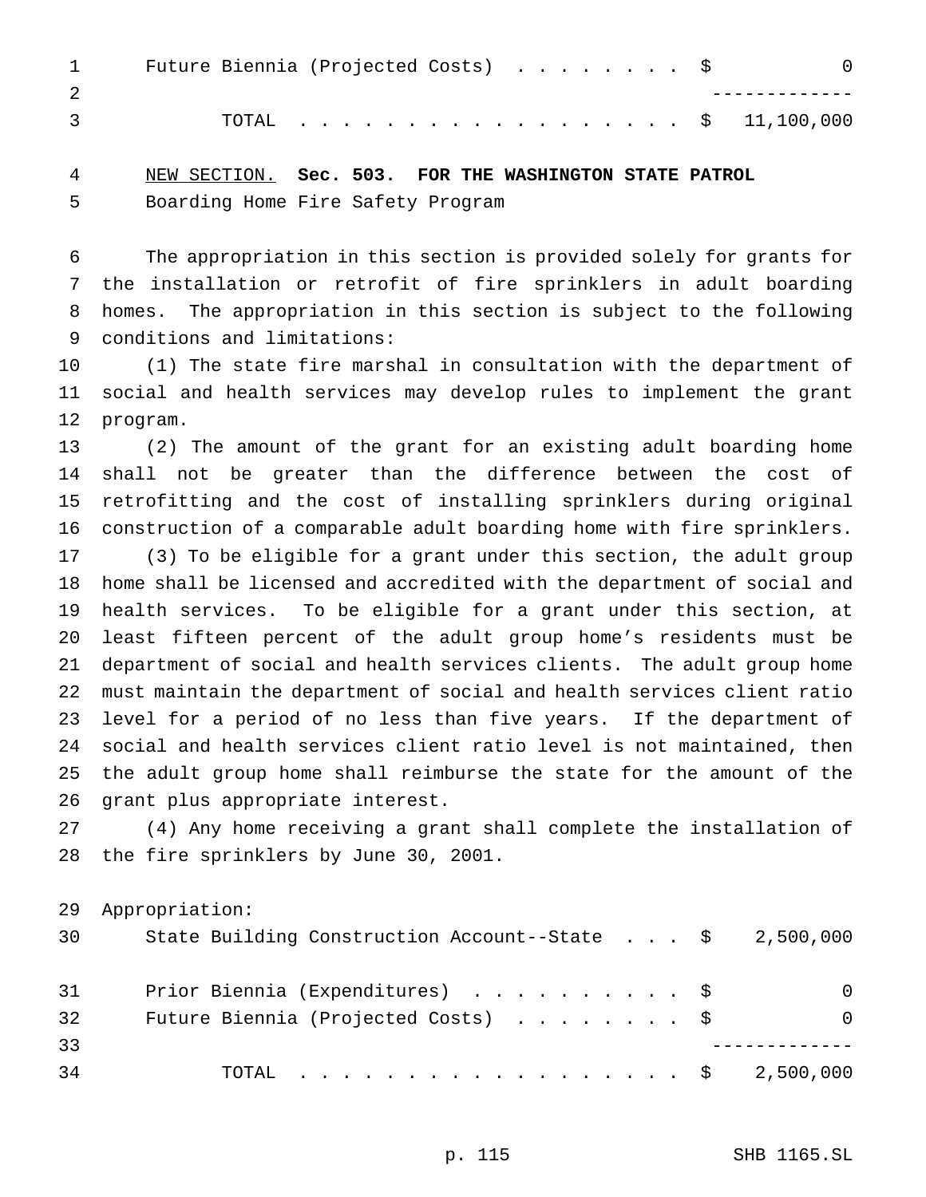| $\mathbf{1}$ | Future Biennia (Projected Costs) \$ |  |  |  |  |  |  |  | $\Box$ 0            |
|--------------|-------------------------------------|--|--|--|--|--|--|--|---------------------|
|              |                                     |  |  |  |  |  |  |  |                     |
|              |                                     |  |  |  |  |  |  |  | TOTAL \$ 11,100,000 |

## NEW SECTION. **Sec. 503. FOR THE WASHINGTON STATE PATROL** Boarding Home Fire Safety Program

 The appropriation in this section is provided solely for grants for the installation or retrofit of fire sprinklers in adult boarding homes. The appropriation in this section is subject to the following conditions and limitations:

 (1) The state fire marshal in consultation with the department of social and health services may develop rules to implement the grant program.

 (2) The amount of the grant for an existing adult boarding home shall not be greater than the difference between the cost of retrofitting and the cost of installing sprinklers during original construction of a comparable adult boarding home with fire sprinklers.

 (3) To be eligible for a grant under this section, the adult group home shall be licensed and accredited with the department of social and health services. To be eligible for a grant under this section, at least fifteen percent of the adult group home's residents must be department of social and health services clients. The adult group home must maintain the department of social and health services client ratio level for a period of no less than five years. If the department of social and health services client ratio level is not maintained, then the adult group home shall reimburse the state for the amount of the grant plus appropriate interest.

 (4) Any home receiving a grant shall complete the installation of the fire sprinklers by June 30, 2001.

Appropriation:

| 30 | State Building Construction Account--State $\frac{1}{2}$ , 500,000 |          |
|----|--------------------------------------------------------------------|----------|
| 31 | Prior Biennia (Expenditures) \$                                    | $\Omega$ |
| 32 | Future Biennia (Projected Costs) \$                                | $\Omega$ |
| 33 |                                                                    |          |
| 34 | TOTAL \$ 2,500,000                                                 |          |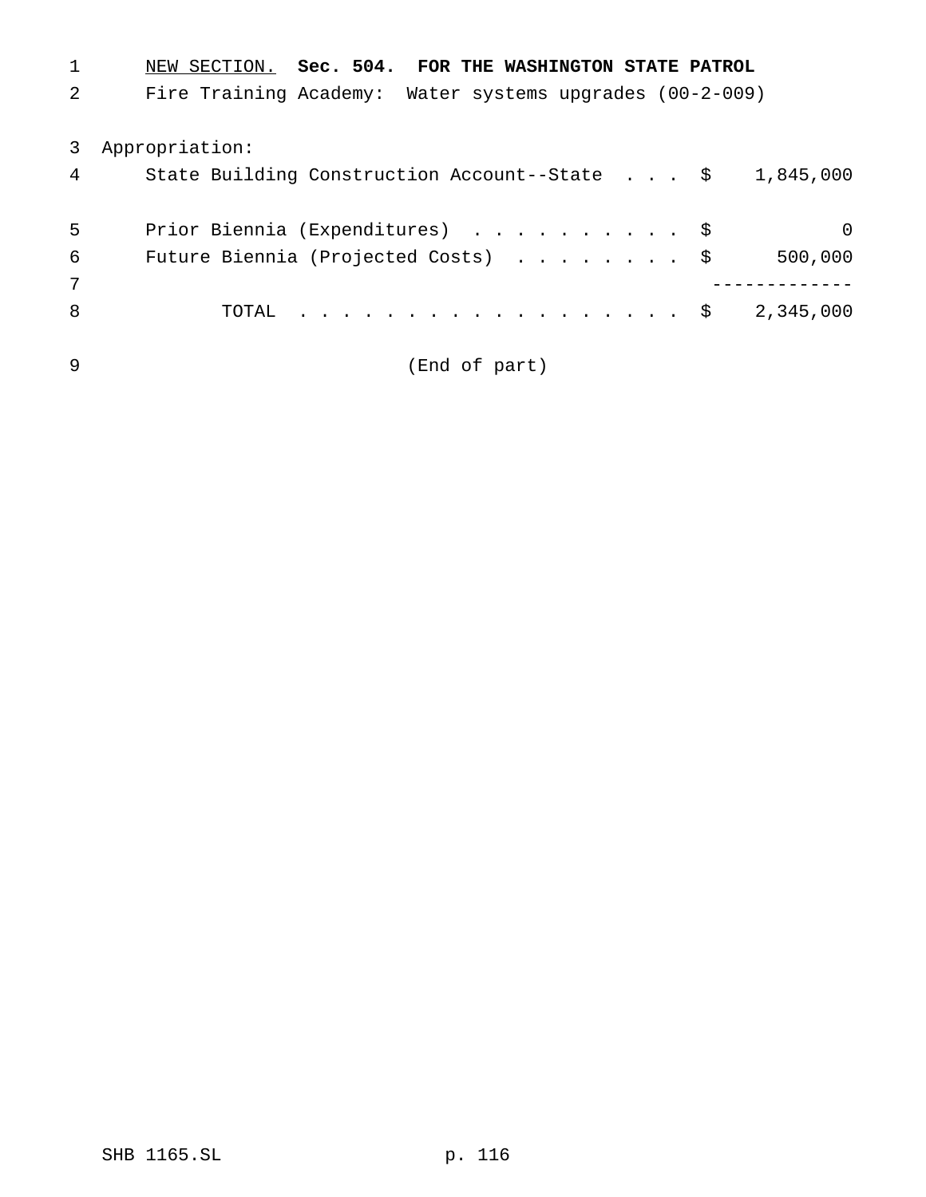| $\mathbf{1}$ | NEW SECTION. Sec. 504. FOR THE WASHINGTON STATE PATROL             |
|--------------|--------------------------------------------------------------------|
| 2            | Fire Training Academy: Water systems upgrades (00-2-009)           |
|              | 3 Appropriation:                                                   |
| 4            | State Building Construction Account--State $\frac{1}{5}$ 1,845,000 |
| 5            | Prior Biennia (Expenditures) \$<br>$\Omega$                        |
| 6            | Future Biennia (Projected Costs) \$<br>500,000                     |
| 7            |                                                                    |
| 8            | TOTAL \$ 2,345,000                                                 |

(End of part)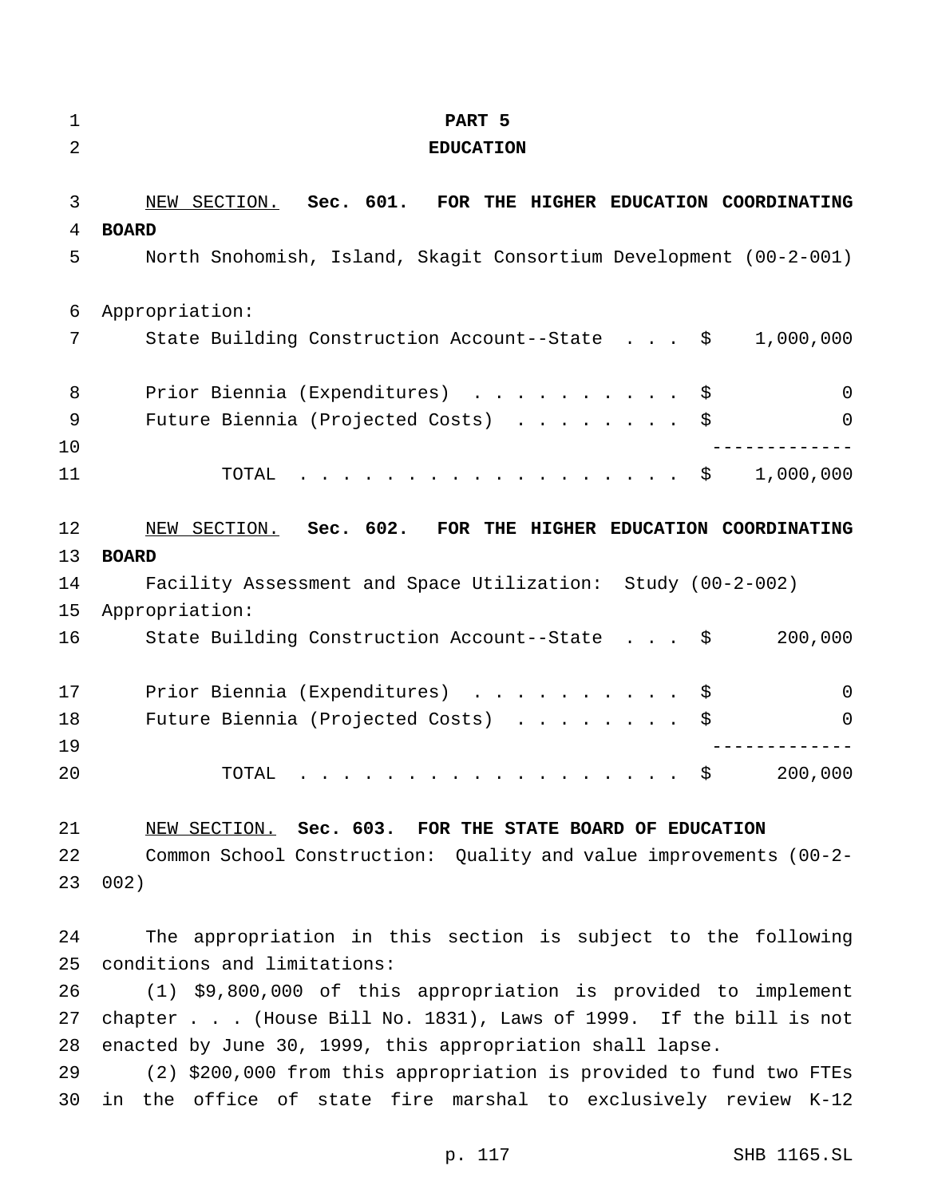| $\mathbf 1$<br>2 | PART 5<br><b>EDUCATION</b>                                                                                                                                                                                                                                                                                                                                                                                                                                                                                           |
|------------------|----------------------------------------------------------------------------------------------------------------------------------------------------------------------------------------------------------------------------------------------------------------------------------------------------------------------------------------------------------------------------------------------------------------------------------------------------------------------------------------------------------------------|
| 3                | NEW SECTION. Sec. 601.<br>FOR THE HIGHER EDUCATION COORDINATING                                                                                                                                                                                                                                                                                                                                                                                                                                                      |
| 4                | <b>BOARD</b>                                                                                                                                                                                                                                                                                                                                                                                                                                                                                                         |
| 5                | North Snohomish, Island, Skagit Consortium Development (00-2-001)                                                                                                                                                                                                                                                                                                                                                                                                                                                    |
| 6                | Appropriation:                                                                                                                                                                                                                                                                                                                                                                                                                                                                                                       |
| 7                | State Building Construction Account--State \$<br>1,000,000                                                                                                                                                                                                                                                                                                                                                                                                                                                           |
| 8                | Prior Biennia (Expenditures) \$<br>$\mathsf{O}$                                                                                                                                                                                                                                                                                                                                                                                                                                                                      |
| 9                | Future Biennia (Projected Costs) \$<br>0                                                                                                                                                                                                                                                                                                                                                                                                                                                                             |
| 10               | ----------                                                                                                                                                                                                                                                                                                                                                                                                                                                                                                           |
| 11               | . \$<br>1,000,000<br>TOTAL                                                                                                                                                                                                                                                                                                                                                                                                                                                                                           |
| 12               | NEW SECTION. Sec. 602. FOR THE HIGHER EDUCATION COORDINATING                                                                                                                                                                                                                                                                                                                                                                                                                                                         |
| 13               | <b>BOARD</b>                                                                                                                                                                                                                                                                                                                                                                                                                                                                                                         |
| 14               | Facility Assessment and Space Utilization: Study (00-2-002)                                                                                                                                                                                                                                                                                                                                                                                                                                                          |
| 15               | Appropriation:                                                                                                                                                                                                                                                                                                                                                                                                                                                                                                       |
| 16               | 200,000<br>State Building Construction Account--State \$                                                                                                                                                                                                                                                                                                                                                                                                                                                             |
| 17               | Prior Biennia (Expenditures) \$<br>0                                                                                                                                                                                                                                                                                                                                                                                                                                                                                 |
| 18               | Future Biennia (Projected Costs)<br>\$<br>0                                                                                                                                                                                                                                                                                                                                                                                                                                                                          |
| 19               |                                                                                                                                                                                                                                                                                                                                                                                                                                                                                                                      |
| 20               | 200,000<br>\$<br>TOTAL<br>$\mathcal{L}^{\mathcal{A}}\left(\mathcal{A}^{\mathcal{A}}\right) \left(\mathcal{A}^{\mathcal{A}}\right) \left(\mathcal{A}^{\mathcal{A}}\right) \left(\mathcal{A}^{\mathcal{A}}\right) \left(\mathcal{A}^{\mathcal{A}}\right) \left(\mathcal{A}^{\mathcal{A}}\right) \left(\mathcal{A}^{\mathcal{A}}\right) \left(\mathcal{A}^{\mathcal{A}}\right) \left(\mathcal{A}^{\mathcal{A}}\right) \left(\mathcal{A}^{\mathcal{A}}\right) \left(\mathcal{A}^{\mathcal{A}}\right) \left(\mathcal{A}^$ |
| 21               | NEW SECTION. Sec. 603. FOR THE STATE BOARD OF EDUCATION                                                                                                                                                                                                                                                                                                                                                                                                                                                              |
| 22               | Common School Construction: Quality and value improvements (00-2-                                                                                                                                                                                                                                                                                                                                                                                                                                                    |
| 23               | 002)                                                                                                                                                                                                                                                                                                                                                                                                                                                                                                                 |
| 24               | The appropriation in this section is subject to the following                                                                                                                                                                                                                                                                                                                                                                                                                                                        |
| 25               | conditions and limitations:                                                                                                                                                                                                                                                                                                                                                                                                                                                                                          |
| 26               | (1) \$9,800,000 of this appropriation is provided to implement                                                                                                                                                                                                                                                                                                                                                                                                                                                       |
| 27               | chapter (House Bill No. 1831), Laws of 1999. If the bill is not                                                                                                                                                                                                                                                                                                                                                                                                                                                      |
| 28               | enacted by June 30, 1999, this appropriation shall lapse.                                                                                                                                                                                                                                                                                                                                                                                                                                                            |
| $20^{\circ}$     | $(2)$ $(2)$ $(0)$ $(0)$ $(0)$ $(0)$ $(0)$ $(0)$ $(0)$ $(0)$ $(0)$ $(0)$ $(0)$ $(0)$ $(0)$ $(0)$ $(0)$ $(0)$ $(0)$ $(0)$ $(0)$ $(0)$ $(0)$ $(0)$ $(0)$ $(0)$ $(0)$ $(0)$ $(0)$ $(0)$ $(0)$ $(0)$ $(0)$ $(0)$ $(0)$ $(0)$ $(0)$                                                                                                                                                                                                                                                                                        |

 (2) \$200,000 from this appropriation is provided to fund two FTEs in the office of state fire marshal to exclusively review K-12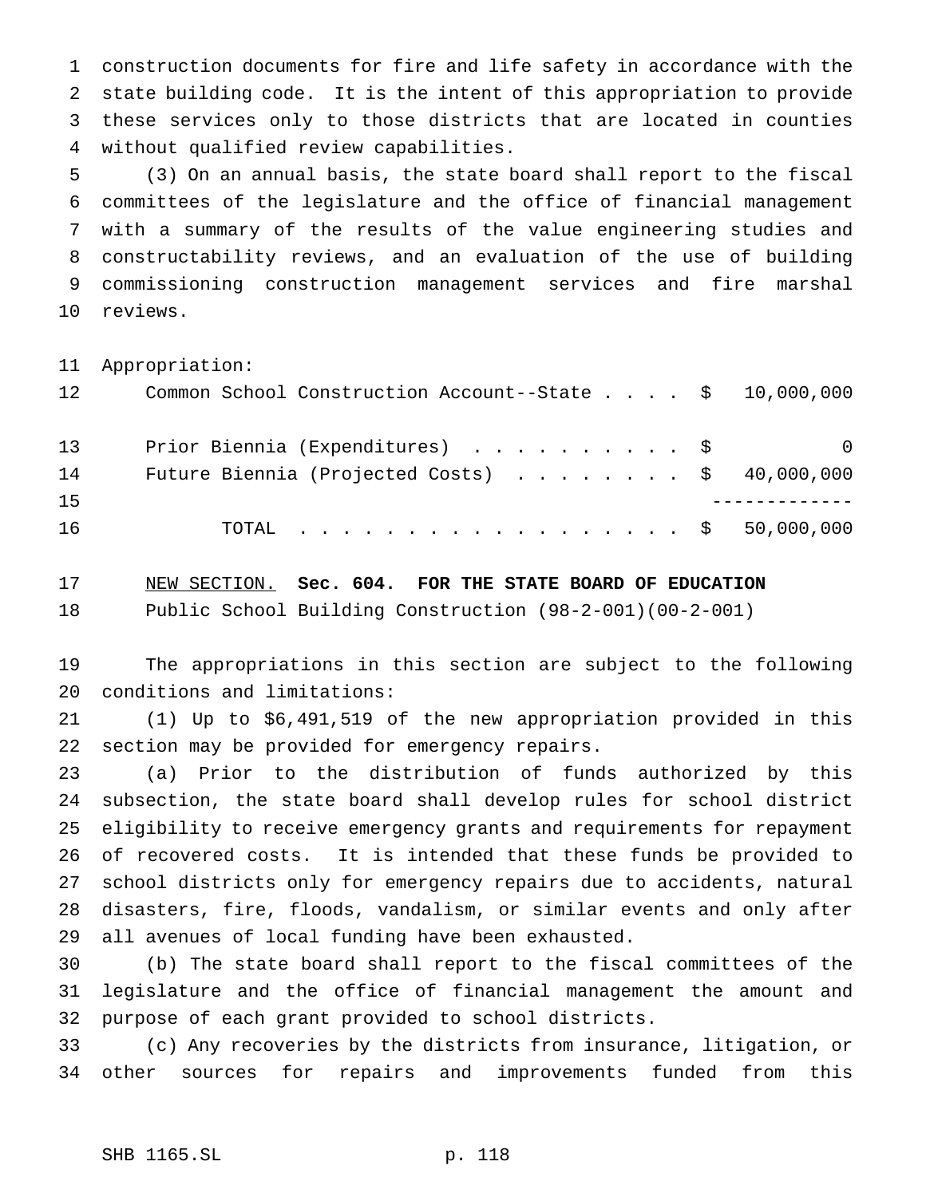construction documents for fire and life safety in accordance with the state building code. It is the intent of this appropriation to provide these services only to those districts that are located in counties without qualified review capabilities.

 (3) On an annual basis, the state board shall report to the fiscal committees of the legislature and the office of financial management with a summary of the results of the value engineering studies and constructability reviews, and an evaluation of the use of building commissioning construction management services and fire marshal reviews.

Appropriation:

| 12 | Common School Construction Account--State \$ 10,000,000 |          |
|----|---------------------------------------------------------|----------|
| 13 | Prior Biennia (Expenditures) \$                         | $\Omega$ |
| 14 | Future Biennia (Projected Costs) $\ldots$ \$ 40,000,000 |          |
| 15 |                                                         |          |
| 16 | TOTAL \$ 50,000,000                                     |          |

 NEW SECTION. **Sec. 604. FOR THE STATE BOARD OF EDUCATION** Public School Building Construction (98-2-001)(00-2-001)

 The appropriations in this section are subject to the following conditions and limitations:

 (1) Up to \$6,491,519 of the new appropriation provided in this section may be provided for emergency repairs.

 (a) Prior to the distribution of funds authorized by this subsection, the state board shall develop rules for school district eligibility to receive emergency grants and requirements for repayment of recovered costs. It is intended that these funds be provided to school districts only for emergency repairs due to accidents, natural disasters, fire, floods, vandalism, or similar events and only after all avenues of local funding have been exhausted.

 (b) The state board shall report to the fiscal committees of the legislature and the office of financial management the amount and purpose of each grant provided to school districts.

 (c) Any recoveries by the districts from insurance, litigation, or other sources for repairs and improvements funded from this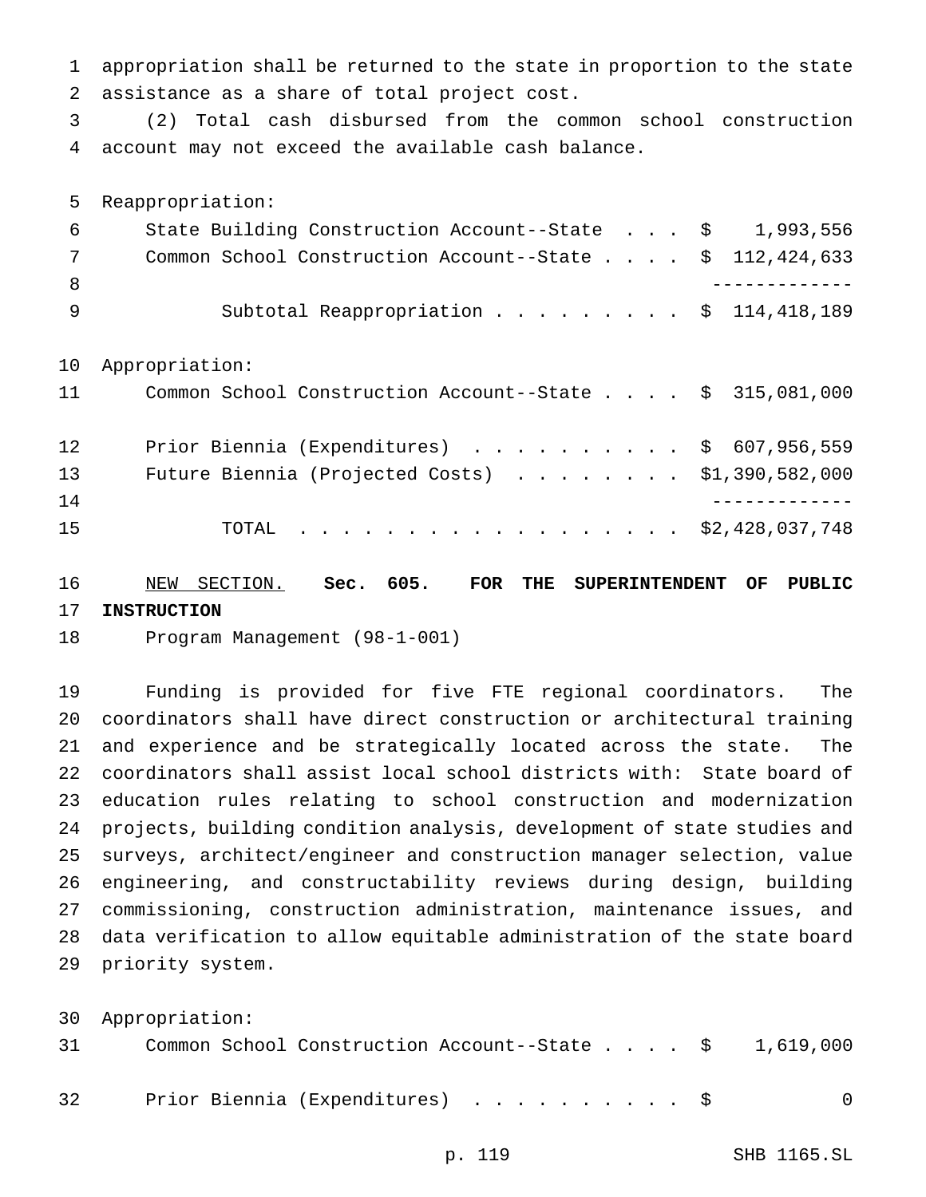appropriation shall be returned to the state in proportion to the state assistance as a share of total project cost.

 (2) Total cash disbursed from the common school construction account may not exceed the available cash balance.

Reappropriation:

| 6  | State Building Construction Account--State $\frac{1}{9}$ , 993,556 |  |  |  |
|----|--------------------------------------------------------------------|--|--|--|
| 7  | Common School Construction Account--State \$ 112,424,633           |  |  |  |
| 8  |                                                                    |  |  |  |
| -9 | Subtotal Reappropriation \$ 114,418,189                            |  |  |  |
| 10 | Appropriation:                                                     |  |  |  |
| 11 | Common School Construction Account--State \$ 315,081,000           |  |  |  |
| 12 | Prior Biennia (Expenditures) \$ 607,956,559                        |  |  |  |
| 13 | Future Biennia (Projected Costs) $\ldots$ \$1,390,582,000          |  |  |  |
| 14 |                                                                    |  |  |  |

15 TOTAL . . . . . . . . . . . . . . . . \$2,428,037,748

 NEW SECTION. **Sec. 605. FOR THE SUPERINTENDENT OF PUBLIC INSTRUCTION**

Program Management (98-1-001)

 Funding is provided for five FTE regional coordinators. The coordinators shall have direct construction or architectural training and experience and be strategically located across the state. The coordinators shall assist local school districts with: State board of education rules relating to school construction and modernization projects, building condition analysis, development of state studies and surveys, architect/engineer and construction manager selection, value engineering, and constructability reviews during design, building commissioning, construction administration, maintenance issues, and data verification to allow equitable administration of the state board priority system.

|    | 30 Appropriation:                                                              |          |
|----|--------------------------------------------------------------------------------|----------|
| 31 | Common School Construction Account--State $\ldots$ , $\frac{1}{5}$ , 1,619,000 |          |
| 32 | Prior Biennia (Expenditures) \$                                                | $\Omega$ |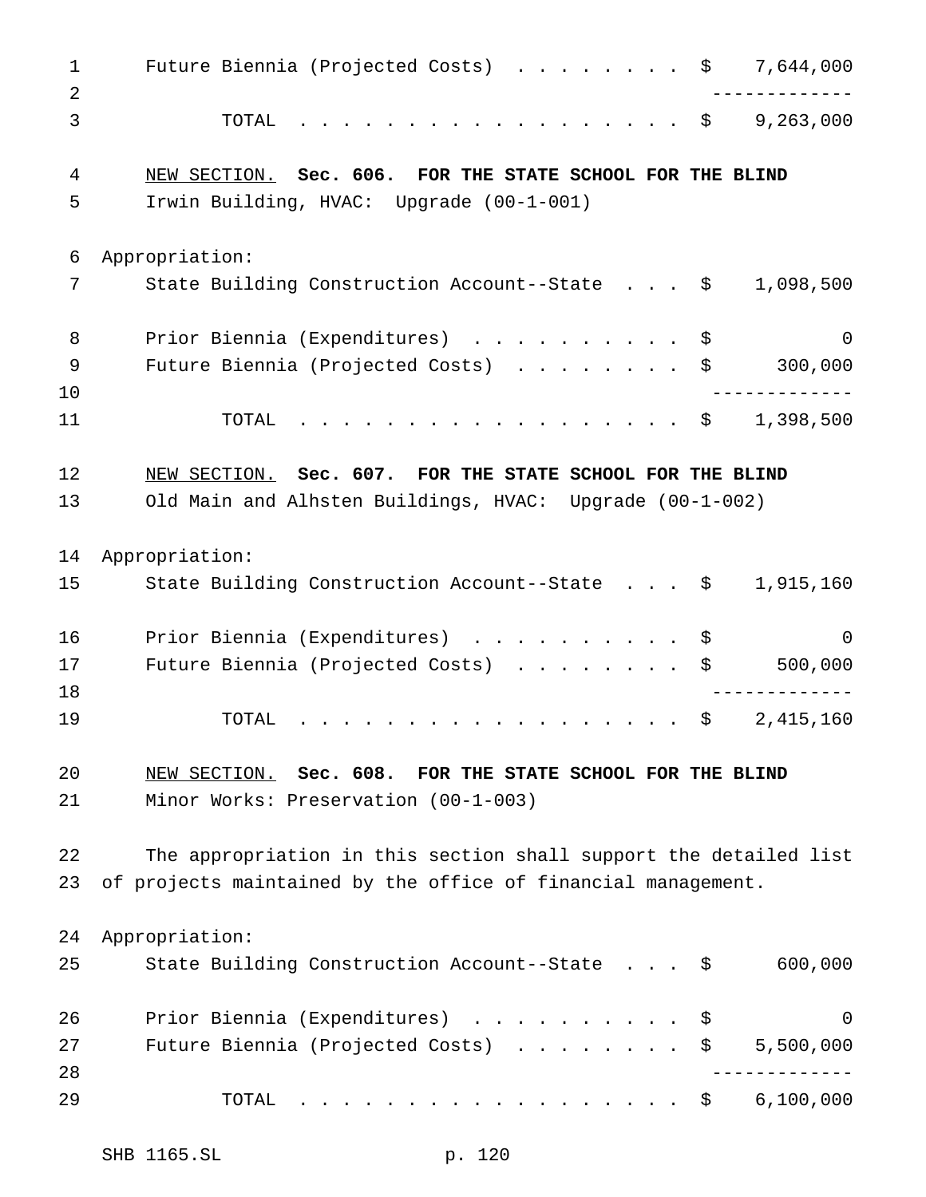1 Future Biennia (Projected Costs) . . . . . . . \$ 7,644,000 ------------- TOTAL .................. \$ 9,263,000 NEW SECTION. **Sec. 606. FOR THE STATE SCHOOL FOR THE BLIND** Irwin Building, HVAC: Upgrade (00-1-001) Appropriation: State Building Construction Account--State . . . \$ 1,098,500 8 Prior Biennia (Expenditures) ............\$ 0 9 Future Biennia (Projected Costs) . . . . . . . \$ 300,000 ------------- 11 TOTAL . . . . . . . . . . . . . . . . \$ 1,398,500 NEW SECTION. **Sec. 607. FOR THE STATE SCHOOL FOR THE BLIND** Old Main and Alhsten Buildings, HVAC: Upgrade (00-1-002) Appropriation: State Building Construction Account--State . . . \$ 1,915,160 16 Prior Biennia (Expenditures) . . . . . . . . . \$ 0 17 Future Biennia (Projected Costs) . . . . . . . \$ 500,000 ------------- 19 TOTAL . . . . . . . . . . . . . . . . \$ 2,415,160 NEW SECTION. **Sec. 608. FOR THE STATE SCHOOL FOR THE BLIND** Minor Works: Preservation (00-1-003) The appropriation in this section shall support the detailed list of projects maintained by the office of financial management. Appropriation: State Building Construction Account--State . . . \$ 600,000 26 Prior Biennia (Expenditures) . . . . . . . . . \$ 0 27 Future Biennia (Projected Costs) . . . . . . . \$ 5,500,000 ------------- TOTAL .................. \$ 6,100,000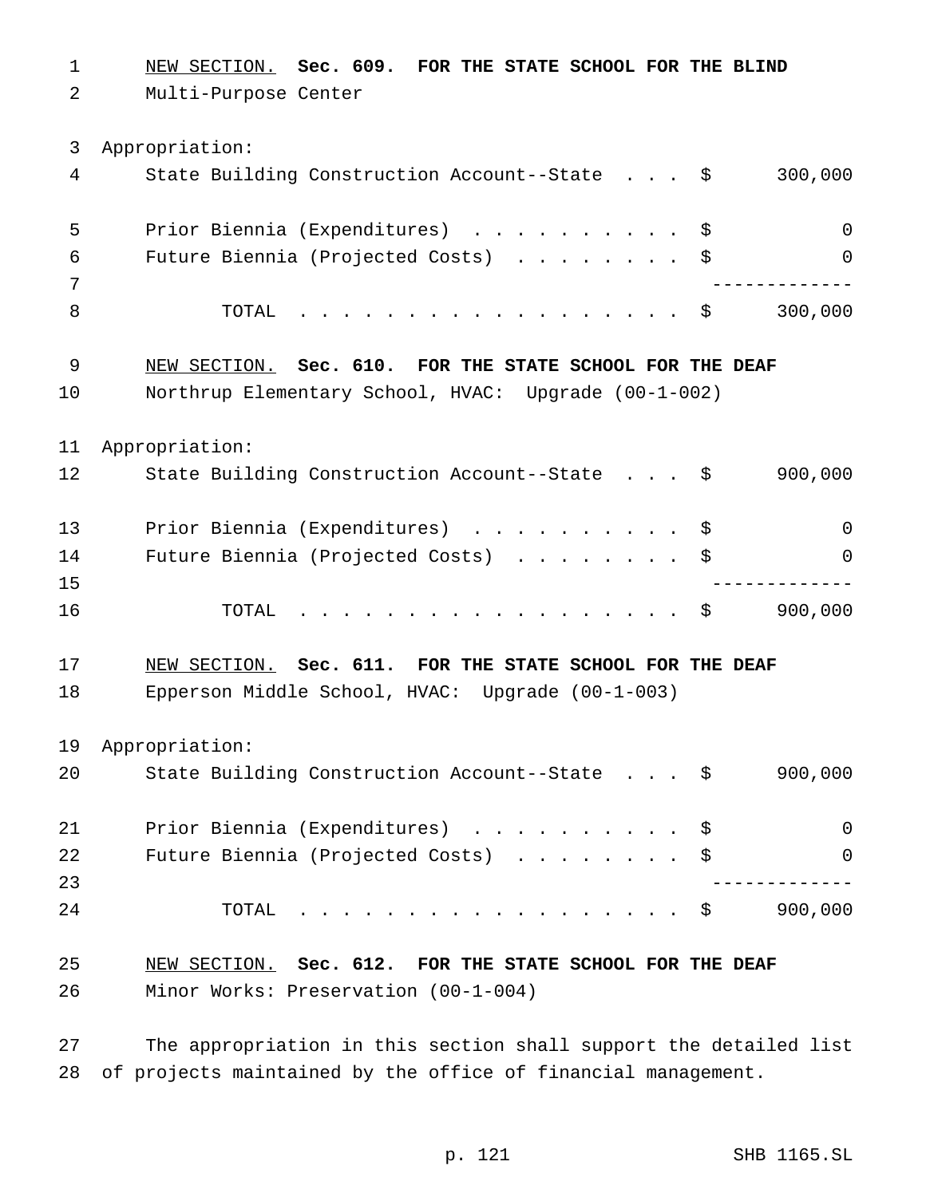NEW SECTION. **Sec. 609. FOR THE STATE SCHOOL FOR THE BLIND** Multi-Purpose Center Appropriation: State Building Construction Account--State . . . \$ 300,000 Prior Biennia (Expenditures) .......... \$ 0 Future Biennia (Projected Costs) ........ \$ 0 ------------- 8 TOTAL . . . . . . . . . . . . . . . . \$ 300,000 NEW SECTION. **Sec. 610. FOR THE STATE SCHOOL FOR THE DEAF** Northrup Elementary School, HVAC: Upgrade (00-1-002) Appropriation: State Building Construction Account--State . . . \$ 900,000 Prior Biennia (Expenditures) .......... \$ 0 14 Future Biennia (Projected Costs) . . . . . . . \$ 0 ------------- TOTAL .................. \$ 900,000 NEW SECTION. **Sec. 611. FOR THE STATE SCHOOL FOR THE DEAF** Epperson Middle School, HVAC: Upgrade (00-1-003) Appropriation: State Building Construction Account--State . . . \$ 900,000 Prior Biennia (Expenditures) .......... \$ 0 22 Future Biennia (Projected Costs) . . . . . . . \$ 0 ------------- TOTAL .................. \$ 900,000 NEW SECTION. **Sec. 612. FOR THE STATE SCHOOL FOR THE DEAF** Minor Works: Preservation (00-1-004)

 The appropriation in this section shall support the detailed list of projects maintained by the office of financial management.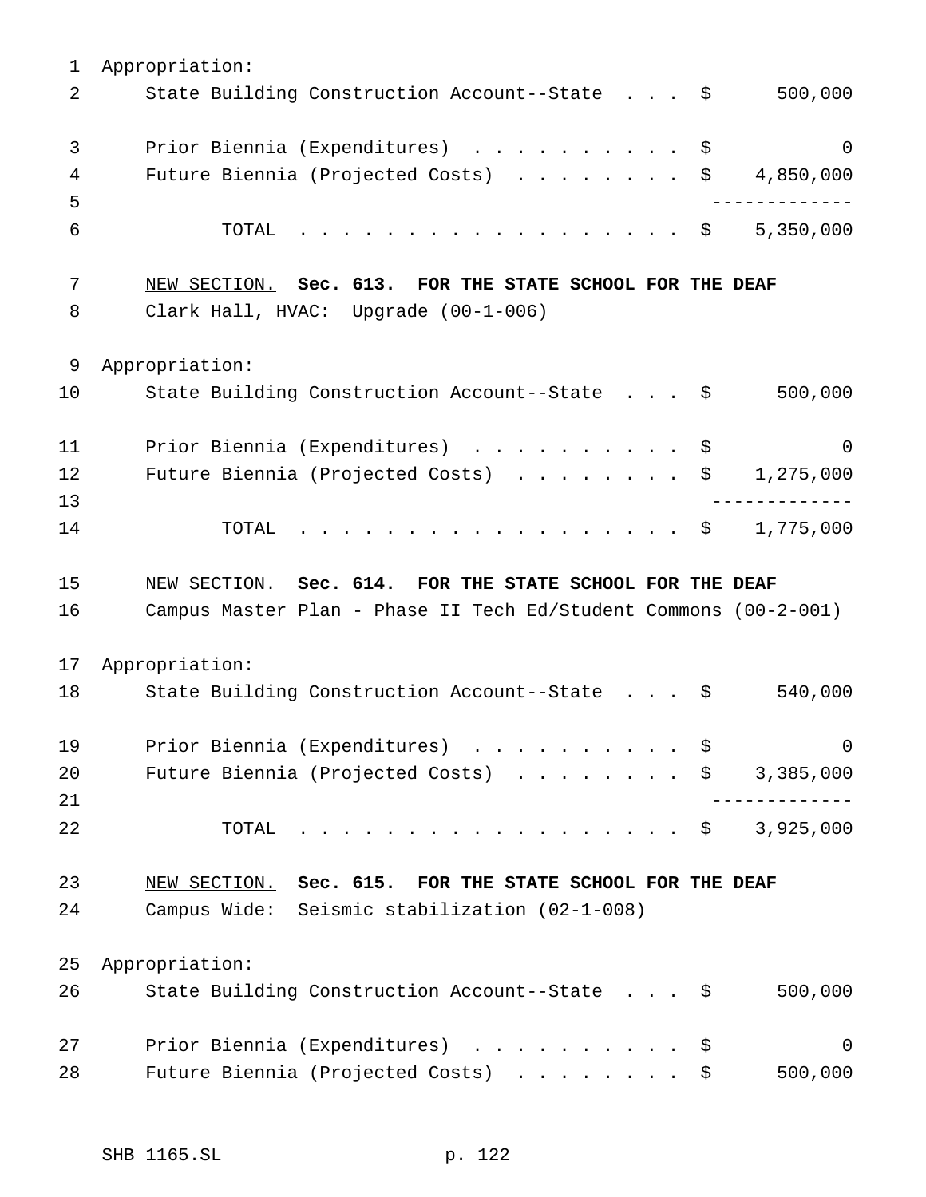Appropriation: 2 State Building Construction Account--State . . . \$ 500,000 3 Prior Biennia (Expenditures) . . . . . . . . . \$ 0 4 Future Biennia (Projected Costs) . . . . . . . \$ 4,850,000 ------------- TOTAL .................. \$ 5,350,000 NEW SECTION. **Sec. 613. FOR THE STATE SCHOOL FOR THE DEAF** Clark Hall, HVAC: Upgrade (00-1-006) Appropriation: State Building Construction Account--State . . . \$ 500,000 11 Prior Biennia (Expenditures) . . . . . . . . . \$ 0 12 Future Biennia (Projected Costs) . . . . . . . \$ 1,275,000 ------------- TOTAL .................. \$ 1,775,000 NEW SECTION. **Sec. 614. FOR THE STATE SCHOOL FOR THE DEAF** Campus Master Plan - Phase II Tech Ed/Student Commons (00-2-001) Appropriation: State Building Construction Account--State . . . \$ 540,000 19 Prior Biennia (Expenditures) . . . . . . . . . \$ 0 20 Future Biennia (Projected Costs) . . . . . . . \$ 3,385,000 ------------- TOTAL .................. \$ 3,925,000 NEW SECTION. **Sec. 615. FOR THE STATE SCHOOL FOR THE DEAF** Campus Wide: Seismic stabilization (02-1-008) Appropriation: State Building Construction Account--State . . . \$ 500,000 27 Prior Biennia (Expenditures) . . . . . . . . . \$ 0 28 Future Biennia (Projected Costs) . . . . . . . \$ 500,000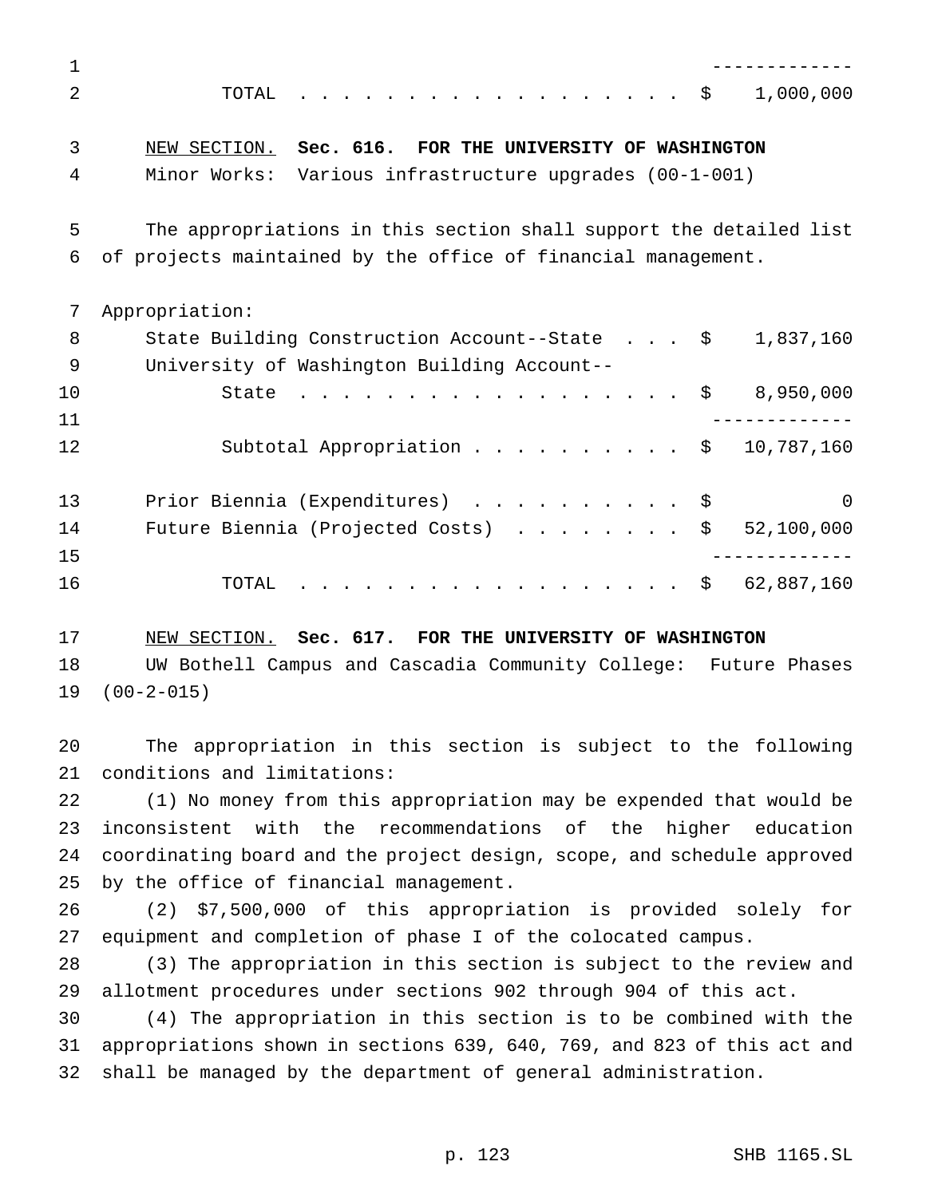| 1              |                                                                       |
|----------------|-----------------------------------------------------------------------|
| $\mathfrak{D}$ | 1,000,000<br>TOTAL<br>. \$                                            |
| 3              | NEW SECTION. Sec. 616. FOR THE UNIVERSITY OF WASHINGTON               |
| 4              | Minor Works: Various infrastructure upgrades (00-1-001)               |
| 5              | The appropriations in this section shall support the detailed list    |
| 6              | of projects maintained by the office of financial management.         |
| 7              | Appropriation:                                                        |
| 8              | State Building Construction Account--State $\frac{1}{5}$<br>1,837,160 |
| 9              | University of Washington Building Account--                           |
| 10             | 8,950,000<br>. \$<br>State                                            |
| 11             |                                                                       |
| 12             | Subtotal Appropriation \$<br>10,787,160                               |
| 13             | Prior Biennia (Expenditures)<br>$\Omega$                              |
| 14             | 52,100,000<br>Future Biennia (Projected Costs)<br>\$                  |
| 15             |                                                                       |
| 16             | 62,887,160<br>- \$<br>TOTAL                                           |

 NEW SECTION. **Sec. 617. FOR THE UNIVERSITY OF WASHINGTON** UW Bothell Campus and Cascadia Community College: Future Phases (00-2-015)

 The appropriation in this section is subject to the following conditions and limitations:

 (1) No money from this appropriation may be expended that would be inconsistent with the recommendations of the higher education coordinating board and the project design, scope, and schedule approved by the office of financial management.

 (2) \$7,500,000 of this appropriation is provided solely for equipment and completion of phase I of the colocated campus.

 (3) The appropriation in this section is subject to the review and allotment procedures under sections 902 through 904 of this act.

 (4) The appropriation in this section is to be combined with the appropriations shown in sections 639, 640, 769, and 823 of this act and shall be managed by the department of general administration.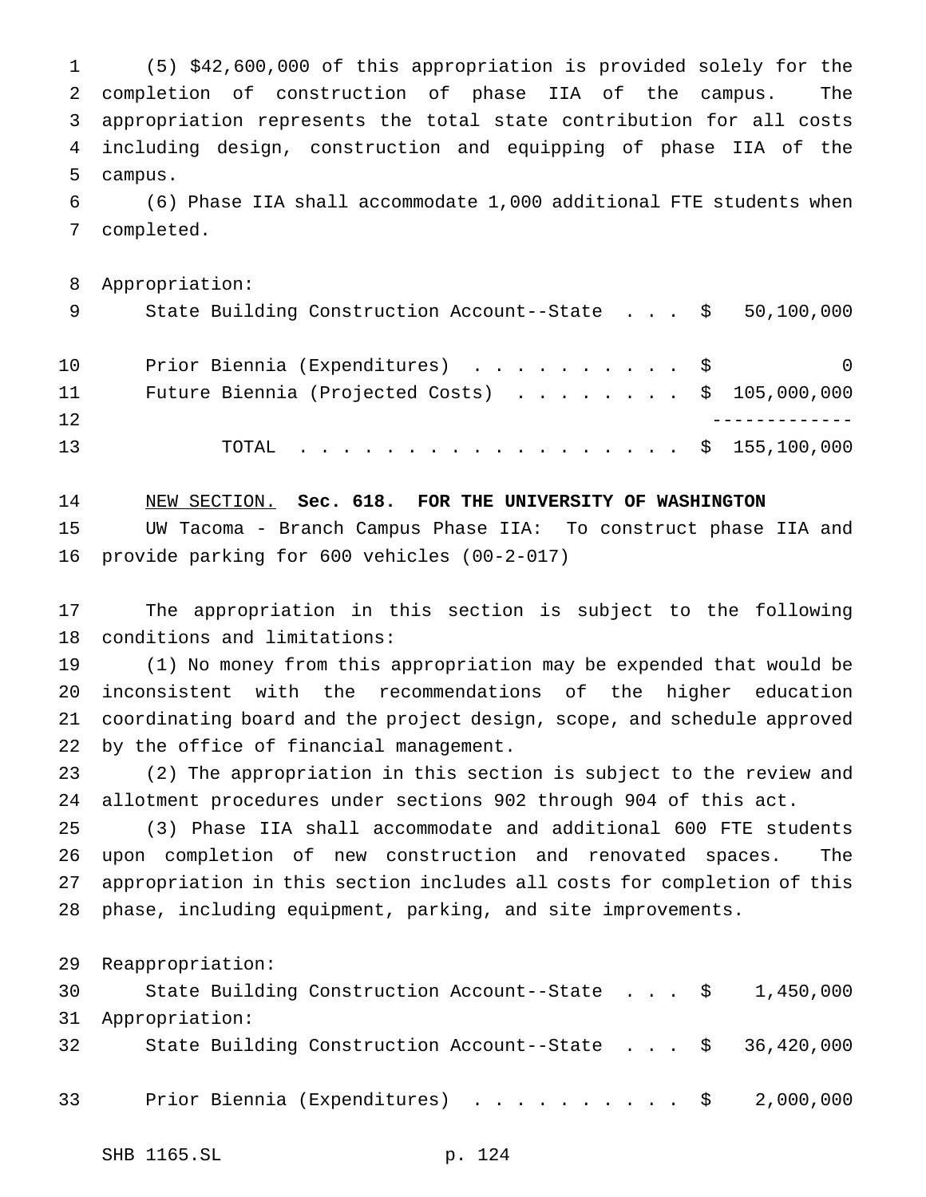(5) \$42,600,000 of this appropriation is provided solely for the completion of construction of phase IIA of the campus. The appropriation represents the total state contribution for all costs including design, construction and equipping of phase IIA of the campus.

 (6) Phase IIA shall accommodate 1,000 additional FTE students when completed.

Appropriation:

| - 9 | State Building Construction Account--State $\ $50,100,000$ |          |
|-----|------------------------------------------------------------|----------|
| 10  | Prior Biennia (Expenditures) \$                            | $\Omega$ |
| 11  | Future Biennia (Projected Costs) $\ldots$ \$ 105,000,000   |          |
| 12  |                                                            |          |
| 13  | TOTAL \$ 155,100,000                                       |          |

 NEW SECTION. **Sec. 618. FOR THE UNIVERSITY OF WASHINGTON** UW Tacoma - Branch Campus Phase IIA: To construct phase IIA and provide parking for 600 vehicles (00-2-017)

 The appropriation in this section is subject to the following conditions and limitations:

 (1) No money from this appropriation may be expended that would be inconsistent with the recommendations of the higher education coordinating board and the project design, scope, and schedule approved by the office of financial management.

 (2) The appropriation in this section is subject to the review and allotment procedures under sections 902 through 904 of this act.

 (3) Phase IIA shall accommodate and additional 600 FTE students upon completion of new construction and renovated spaces. The appropriation in this section includes all costs for completion of this phase, including equipment, parking, and site improvements.

Reappropriation:

| 30 | State Building Construction Account--State $\$$ 1,450,000           |  |  |  |
|----|---------------------------------------------------------------------|--|--|--|
|    | 31 Appropriation:                                                   |  |  |  |
| 32 | State Building Construction Account--State $\frac{1}{5}$ 36,420,000 |  |  |  |
|    |                                                                     |  |  |  |
| 33 | Prior Biennia (Expenditures) \$ 2,000,000                           |  |  |  |
|    |                                                                     |  |  |  |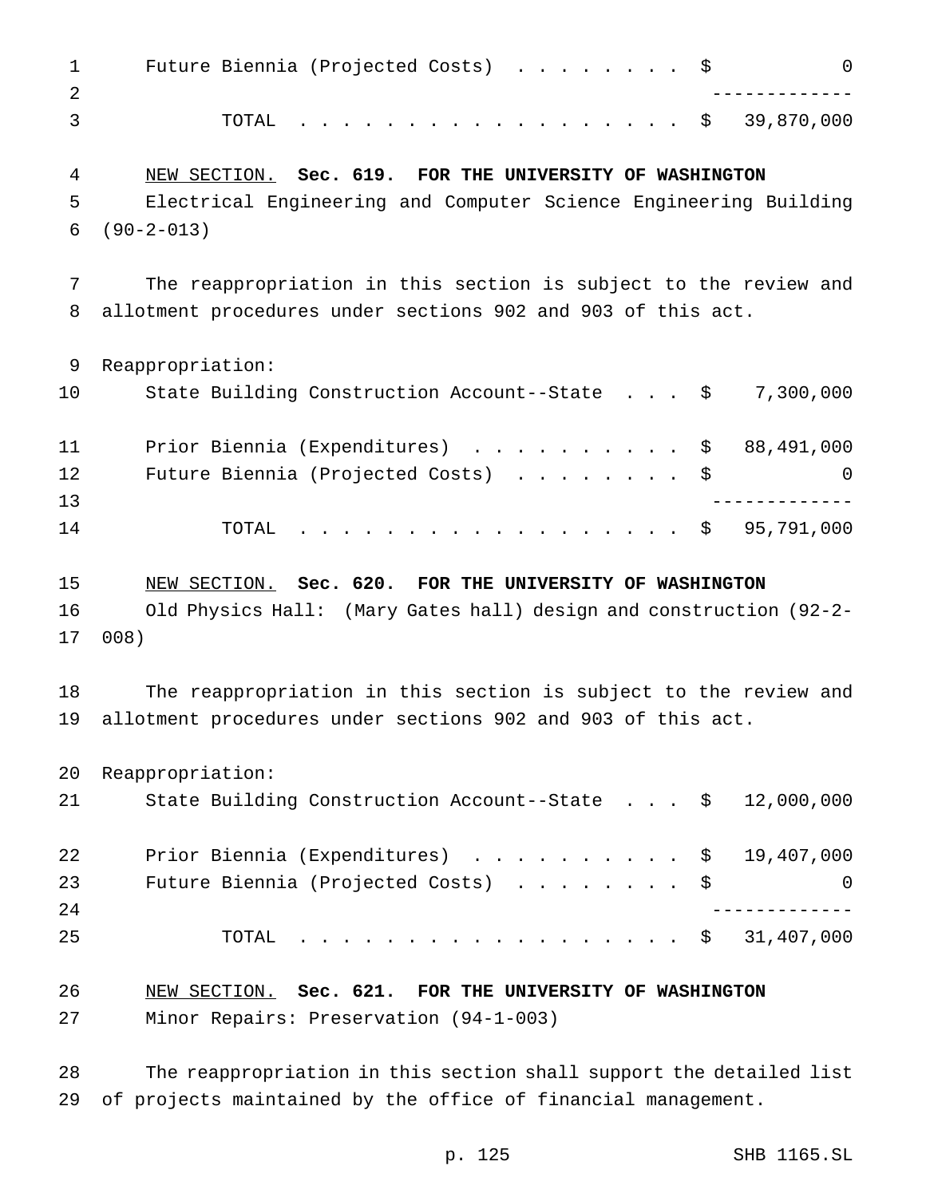| $\mathbf 1$<br>2 | $\mathsf{O}$<br>Future Biennia (Projected Costs) \$                |
|------------------|--------------------------------------------------------------------|
| 3                | 39,870,000<br>TOTAL<br>. \$                                        |
| 4                | NEW SECTION. Sec. 619. FOR THE UNIVERSITY OF WASHINGTON            |
| 5                | Electrical Engineering and Computer Science Engineering Building   |
| 6                | $(90 - 2 - 013)$                                                   |
| 7                | The reappropriation in this section is subject to the review and   |
| 8                | allotment procedures under sections 902 and 903 of this act.       |
| 9                | Reappropriation:                                                   |
| 10               | 7,300,000<br>State Building Construction Account--State \$         |
| 11               | Prior Biennia (Expenditures) \$<br>88,491,000                      |
| 12               | Future Biennia (Projected Costs)<br>\$<br>0                        |
| 13               |                                                                    |
| 14               | 95,791,000<br>TOTAL<br>. \$                                        |
| 15               | NEW SECTION. Sec. 620. FOR THE UNIVERSITY OF WASHINGTON            |
| 16               | Old Physics Hall: (Mary Gates hall) design and construction (92-2- |
| 17               | 008)                                                               |
| 18               | The reappropriation in this section is subject to the review and   |
| 19               | allotment procedures under sections 902 and 903 of this act.       |
| 20               | Reappropriation:                                                   |
| 21               | State Building Construction Account--State \$<br>12,000,000        |
| 22               | Prior Biennia (Expenditures) \$<br>19,407,000                      |
| 23               | Future Biennia (Projected Costs) \$<br>$\Omega$                    |
| 24               |                                                                    |
| 25               | . \$ 31,407,000<br>TOTAL                                           |
| 26               | NEW SECTION. Sec. 621. FOR THE UNIVERSITY OF WASHINGTON            |
| 27               | Minor Repairs: Preservation (94-1-003)                             |

 The reappropriation in this section shall support the detailed list of projects maintained by the office of financial management.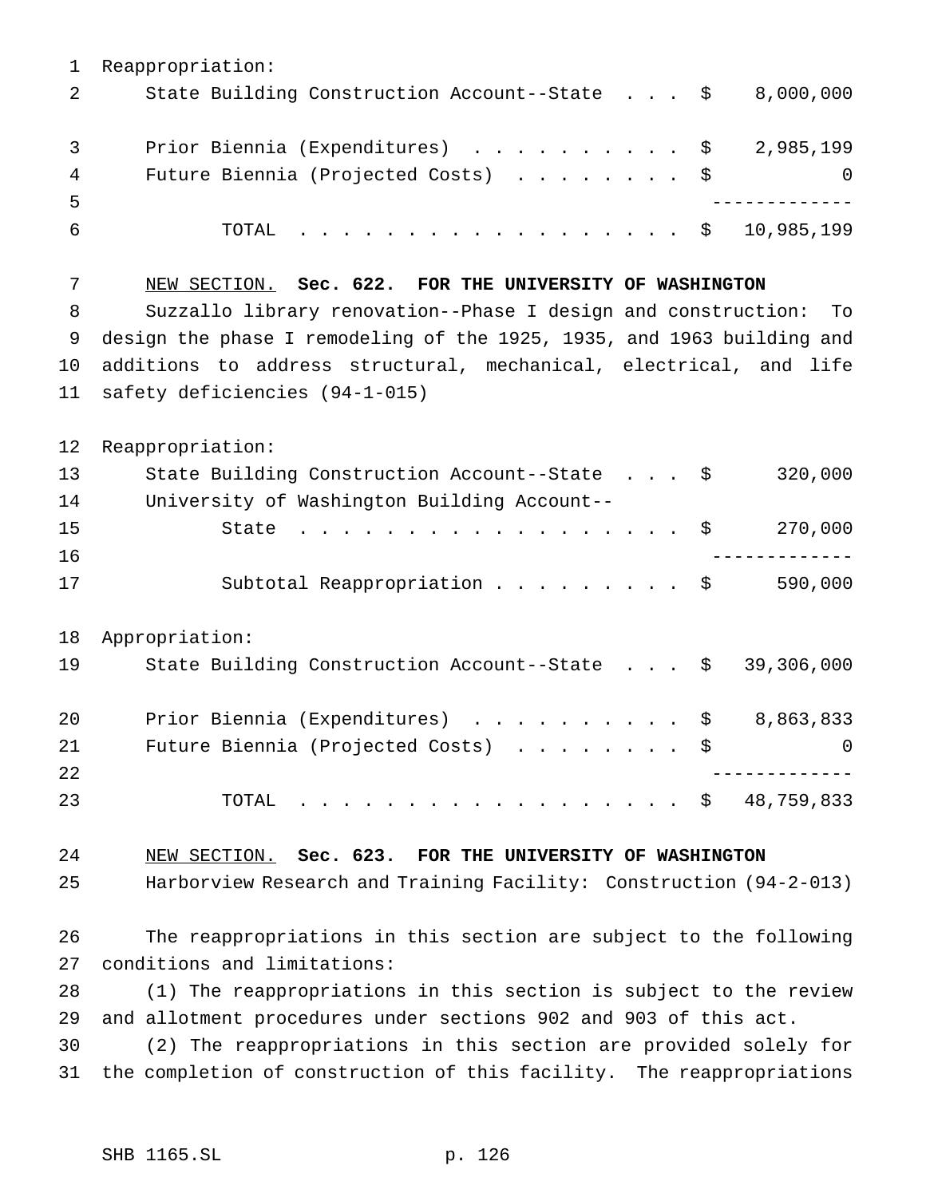Reappropriation: 2 State Building Construction Account--State . . . \$ 8,000,000 3 Prior Biennia (Expenditures) . . . . . . . . . \$ 2,985,199 4 Future Biennia (Projected Costs) . . . . . . . \$ 0 ------------- TOTAL .................. \$ 10,985,199 NEW SECTION. **Sec. 622. FOR THE UNIVERSITY OF WASHINGTON** Suzzallo library renovation--Phase I design and construction: To design the phase I remodeling of the 1925, 1935, and 1963 building and additions to address structural, mechanical, electrical, and life safety deficiencies (94-1-015) Reappropriation: State Building Construction Account--State . . . \$ 320,000 University of Washington Building Account-- State .................. \$ 270,000 ------------- 17 Subtotal Reappropriation . . . . . . . . \$ 590,000 Appropriation: State Building Construction Account--State . . . \$ 39,306,000 Prior Biennia (Expenditures) .......... \$ 8,863,833 21 Future Biennia (Projected Costs) . . . . . . . \$ 0 ------------- TOTAL .................. \$ 48,759,833 NEW SECTION. **Sec. 623. FOR THE UNIVERSITY OF WASHINGTON** Harborview Research and Training Facility: Construction (94-2-013) The reappropriations in this section are subject to the following conditions and limitations: (1) The reappropriations in this section is subject to the review and allotment procedures under sections 902 and 903 of this act. (2) The reappropriations in this section are provided solely for the completion of construction of this facility. The reappropriations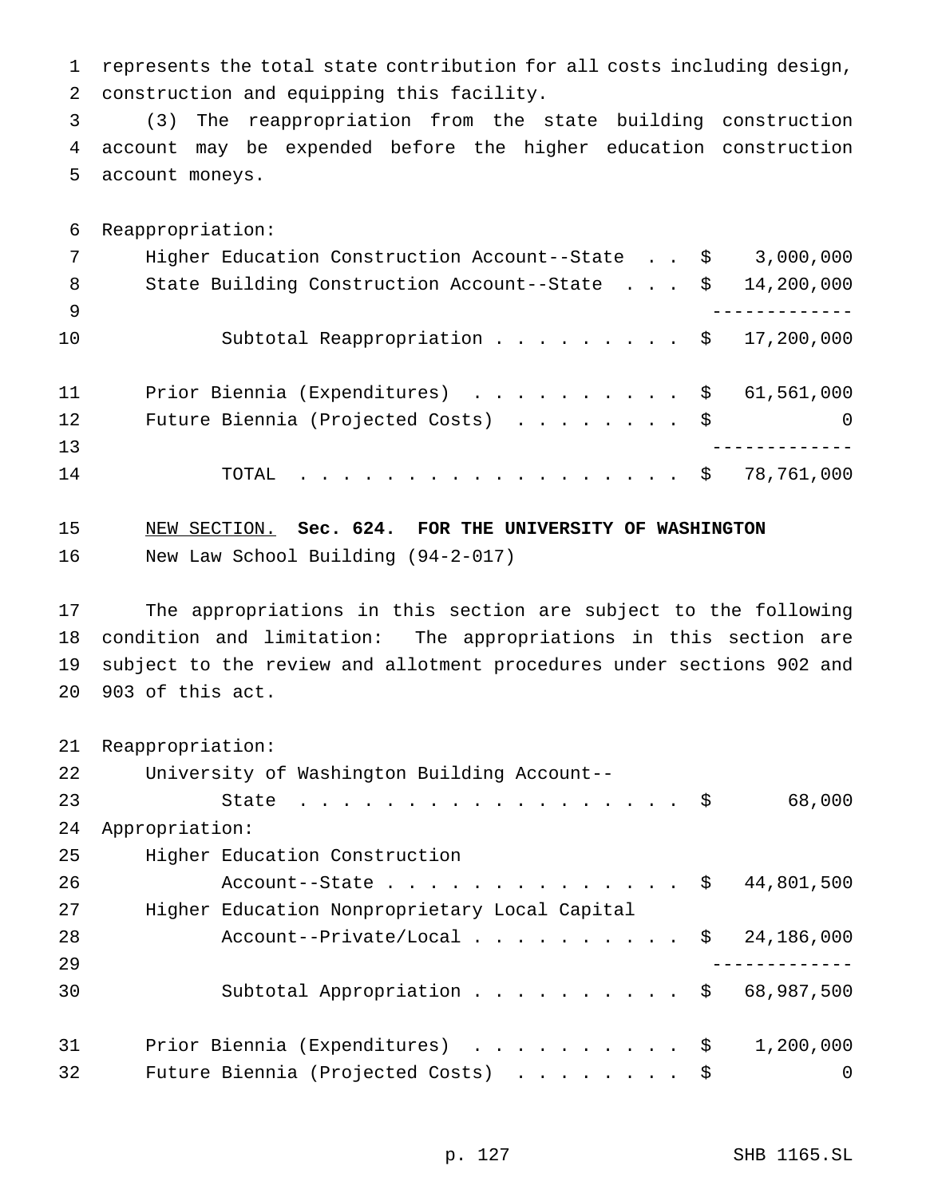represents the total state contribution for all costs including design, construction and equipping this facility.

 (3) The reappropriation from the state building construction account may be expended before the higher education construction account moneys.

Reappropriation:

| 7   | Higher Education Construction Account--State \$     | 3,000,000  |
|-----|-----------------------------------------------------|------------|
| - 8 | State Building Construction Account--State \$       | 14,200,000 |
| - 9 |                                                     |            |
| 10  | Subtotal Reappropriation $\frac{1}{9}$ 17,200,000   |            |
| 11  | Prior Biennia (Expenditures) $\ldots$ \$ 61,561,000 |            |
| 12  | Future Biennia (Projected Costs) \$                 | $\Omega$   |
| 13  |                                                     |            |
| 14  | TOTAL \$ 78,761,000                                 |            |

 NEW SECTION. **Sec. 624. FOR THE UNIVERSITY OF WASHINGTON** New Law School Building (94-2-017)

 The appropriations in this section are subject to the following condition and limitation: The appropriations in this section are subject to the review and allotment procedures under sections 902 and 903 of this act.

Reappropriation:

| 22 | University of Washington Building Account--        |
|----|----------------------------------------------------|
| 23 | 68,000<br>State $\ldots$ \$                        |
| 24 | Appropriation:                                     |
| 25 | Higher Education Construction                      |
| 26 | 44,801,500<br>Account--State $\frac{1}{2}$         |
| 27 | Higher Education Nonproprietary Local Capital      |
| 28 | Account--Private/Local $\frac{1}{5}$<br>24,186,000 |
| 29 |                                                    |
| 30 | Subtotal Appropriation \$ 68,987,500               |
| 31 | Prior Biennia (Expenditures) \$<br>1,200,000       |
| 32 | Future Biennia (Projected Costs) \$<br>$\Omega$    |
|    |                                                    |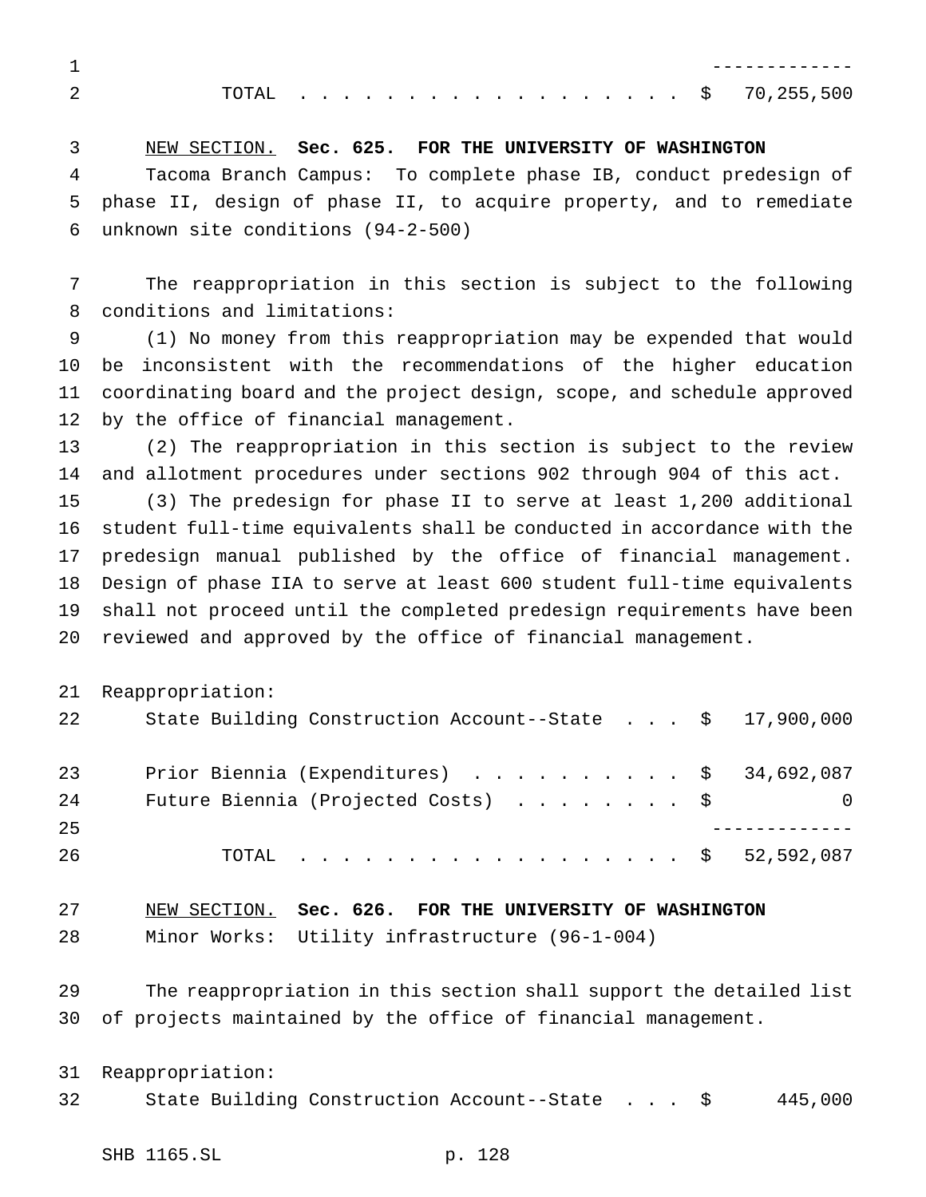------------- TOTAL .................. \$ 70,255,500

NEW SECTION. **Sec. 625. FOR THE UNIVERSITY OF WASHINGTON**

 Tacoma Branch Campus: To complete phase IB, conduct predesign of phase II, design of phase II, to acquire property, and to remediate unknown site conditions (94-2-500)

 The reappropriation in this section is subject to the following conditions and limitations:

 (1) No money from this reappropriation may be expended that would be inconsistent with the recommendations of the higher education coordinating board and the project design, scope, and schedule approved by the office of financial management.

 (2) The reappropriation in this section is subject to the review and allotment procedures under sections 902 through 904 of this act.

 (3) The predesign for phase II to serve at least 1,200 additional student full-time equivalents shall be conducted in accordance with the predesign manual published by the office of financial management. Design of phase IIA to serve at least 600 student full-time equivalents shall not proceed until the completed predesign requirements have been reviewed and approved by the office of financial management.

Reappropriation:

| 22 | State Building Construction Account--State $\frac{1}{5}$ 17,900,000 |   |
|----|---------------------------------------------------------------------|---|
| 23 | Prior Biennia (Expenditures) \$ 34,692,087                          |   |
| 24 | Future Biennia (Projected Costs) $\ldots$ \$                        | 0 |
| 25 |                                                                     |   |
| 26 | TOTAL \$ 52,592,087                                                 |   |

| 27 | NEW SECTION. Sec. 626. FOR THE UNIVERSITY OF WASHINGTON |  |  |  |
|----|---------------------------------------------------------|--|--|--|
| 28 | Minor Works: Utility infrastructure (96-1-004)          |  |  |  |

 The reappropriation in this section shall support the detailed list of projects maintained by the office of financial management.

 Reappropriation: State Building Construction Account--State . . . \$ 445,000

SHB 1165.SL p. 128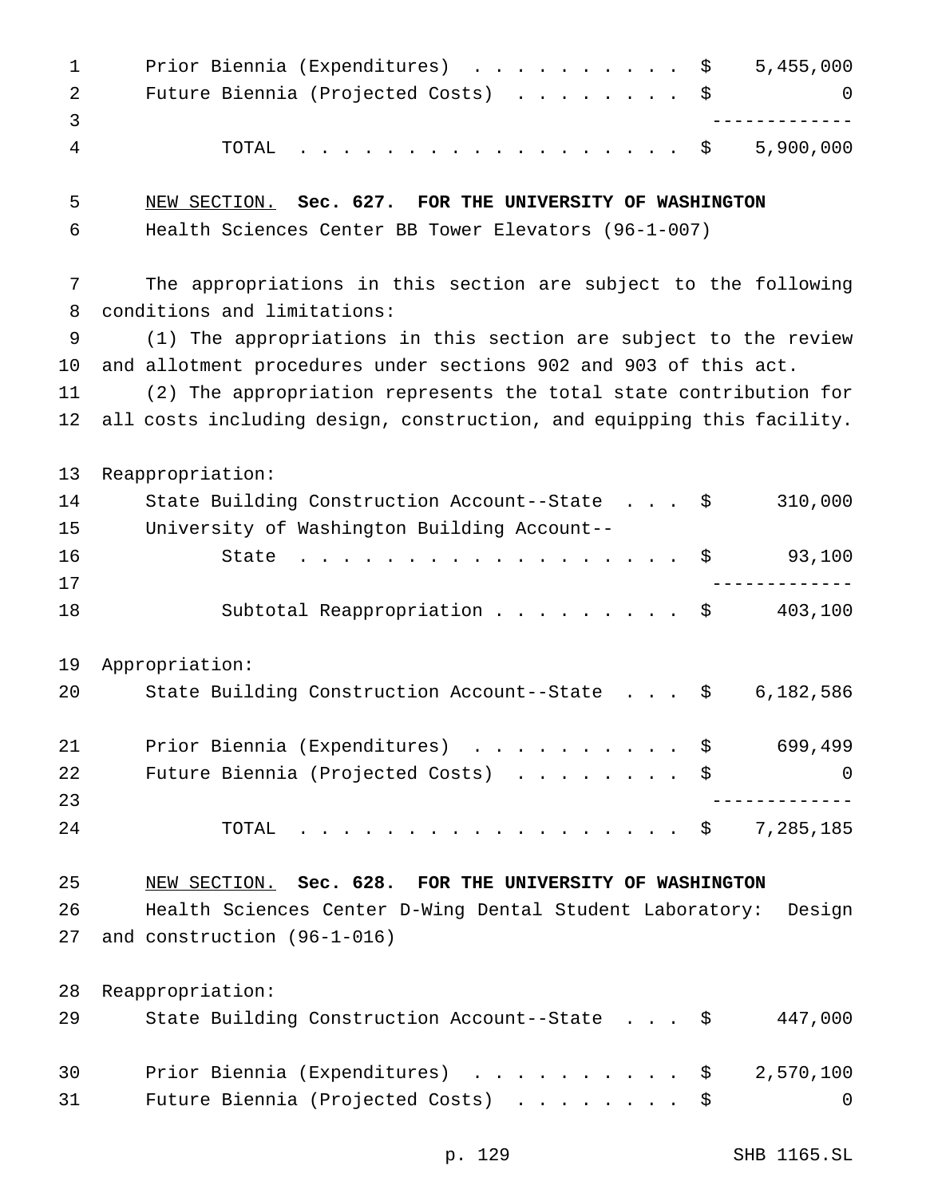| $\mathbf 1$<br>2 | 5,455,000<br>Prior Biennia (Expenditures) \$<br>Future Biennia (Projected Costs)<br>\$<br>0 |
|------------------|---------------------------------------------------------------------------------------------|
| 3<br>4           | 5,900,000<br>TOTAL<br>. \$                                                                  |
|                  |                                                                                             |
| 5                | NEW SECTION. Sec. 627. FOR THE UNIVERSITY OF WASHINGTON                                     |
| 6                | Health Sciences Center BB Tower Elevators (96-1-007)                                        |
| 7                | The appropriations in this section are subject to the following                             |
| 8                | conditions and limitations:                                                                 |
| 9                | (1) The appropriations in this section are subject to the review                            |
| 10               | and allotment procedures under sections 902 and 903 of this act.                            |
| 11               | (2) The appropriation represents the total state contribution for                           |
| 12               | all costs including design, construction, and equipping this facility.                      |
| 13               | Reappropriation:                                                                            |
| 14               | 310,000<br>State Building Construction Account--State \$                                    |
| 15               | University of Washington Building Account--                                                 |
| 16               | 93,100<br>State<br>\$<br>.                                                                  |
| 17               |                                                                                             |
| 18               | Subtotal Reappropriation<br>403,100<br>\$                                                   |
| 19               | Appropriation:                                                                              |
| 20               | State Building Construction Account--State<br>6,182,586<br>- \$                             |
| 21               | Prior Biennia (Expenditures) \$<br>699,499                                                  |
| 22               | Future Biennia (Projected Costs) \$<br>0                                                    |
| 23               |                                                                                             |
| 24               | $\cdot \cdot \cdot \cdot \cdot \cdot \cdot \cdot$ \$ 7,285,185<br>TOTAL                     |
| 25               | NEW SECTION. Sec. 628. FOR THE UNIVERSITY OF WASHINGTON                                     |
| 26               | Health Sciences Center D-Wing Dental Student Laboratory:<br>Design                          |
| 27               | and construction (96-1-016)                                                                 |
| 28               | Reappropriation:                                                                            |
| 29               | State Building Construction Account--State \$<br>447,000                                    |
| 30               | Prior Biennia (Expenditures) \$<br>2,570,100                                                |
| 31               | Future Biennia (Projected Costs) \$<br>0                                                    |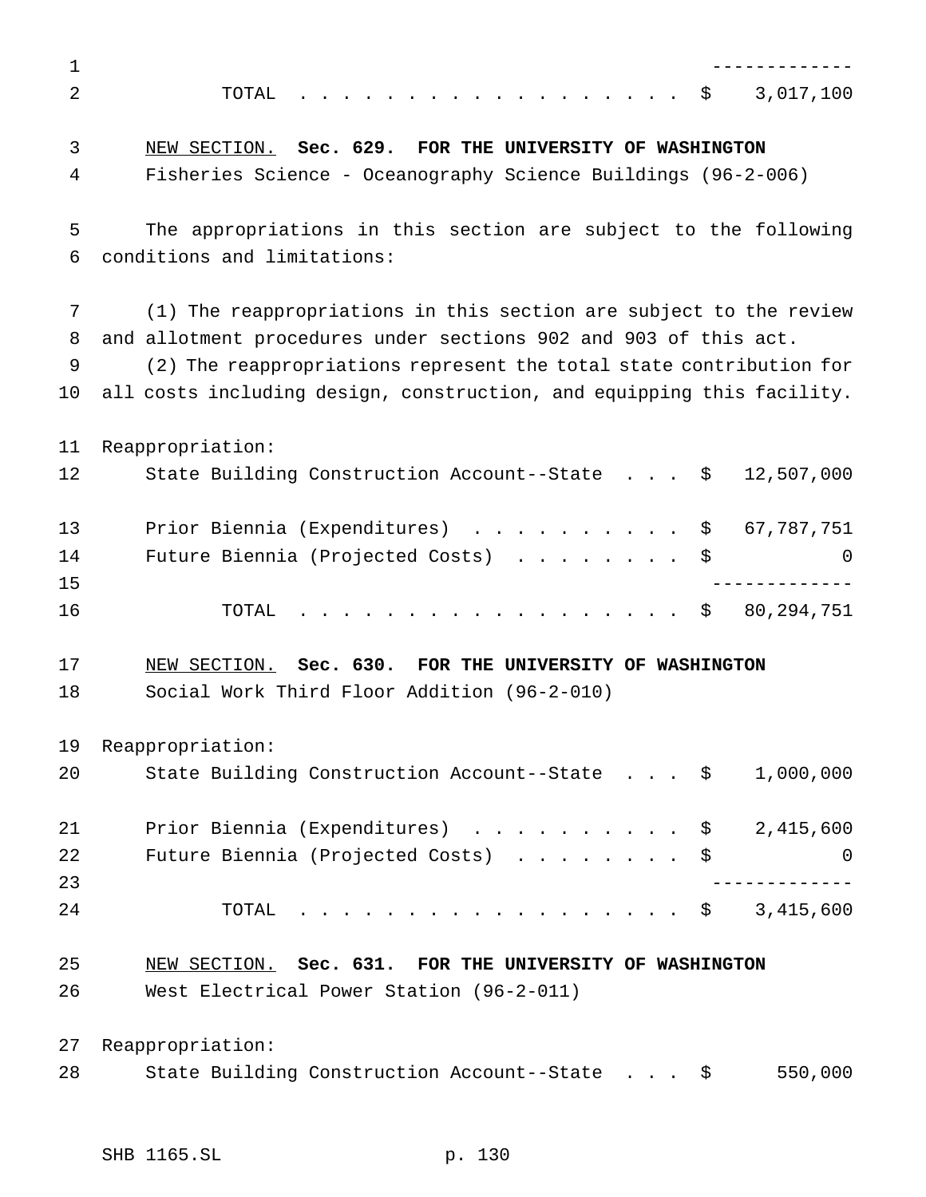| $\mathbf{1}$ |                                                                                 |
|--------------|---------------------------------------------------------------------------------|
| 2            | 3,017,100<br>. \$<br>TOTAL                                                      |
| 3            | NEW SECTION. Sec. 629. FOR THE UNIVERSITY OF WASHINGTON                         |
| 4            | Fisheries Science - Oceanography Science Buildings (96-2-006)                   |
| 5            | The appropriations in this section are subject to the following                 |
| 6            | conditions and limitations:                                                     |
| 7            | (1) The reappropriations in this section are subject to the review              |
| 8            | and allotment procedures under sections 902 and 903 of this act.                |
| 9            | (2) The reappropriations represent the total state contribution for             |
| 10           | all costs including design, construction, and equipping this facility.          |
| 11           | Reappropriation:                                                                |
| 12           | State Building Construction Account--State $\cdot \cdot \cdot$ \$<br>12,507,000 |
| 13           | Prior Biennia (Expenditures) \$ 67,787,751                                      |
| 14           | Future Biennia (Projected Costs)<br>\$<br>0                                     |
| 15           |                                                                                 |
| 16           | 80, 294, 751<br>. \$<br>TOTAL                                                   |
| 17           | NEW SECTION. Sec. 630. FOR THE UNIVERSITY OF WASHINGTON                         |
| 18           | Social Work Third Floor Addition (96-2-010)                                     |
| 19           | Reappropriation:                                                                |
| 20           | State Building Construction Account--State \$<br>1,000,000                      |
| 21           | Prior Biennia (Expenditures) \$ 2,415,600                                       |
| 22           | Future Biennia (Projected Costs)<br>0                                           |
| 23           |                                                                                 |
| 24           | $\cdot$ \$ 3,415,600<br>TOTAL                                                   |
| 25           | NEW SECTION. Sec. 631. FOR THE UNIVERSITY OF WASHINGTON                         |
| 26           | West Electrical Power Station (96-2-011)                                        |
| 27           | Reappropriation:                                                                |
| 28           | State Building Construction Account--State \$<br>550,000                        |
|              |                                                                                 |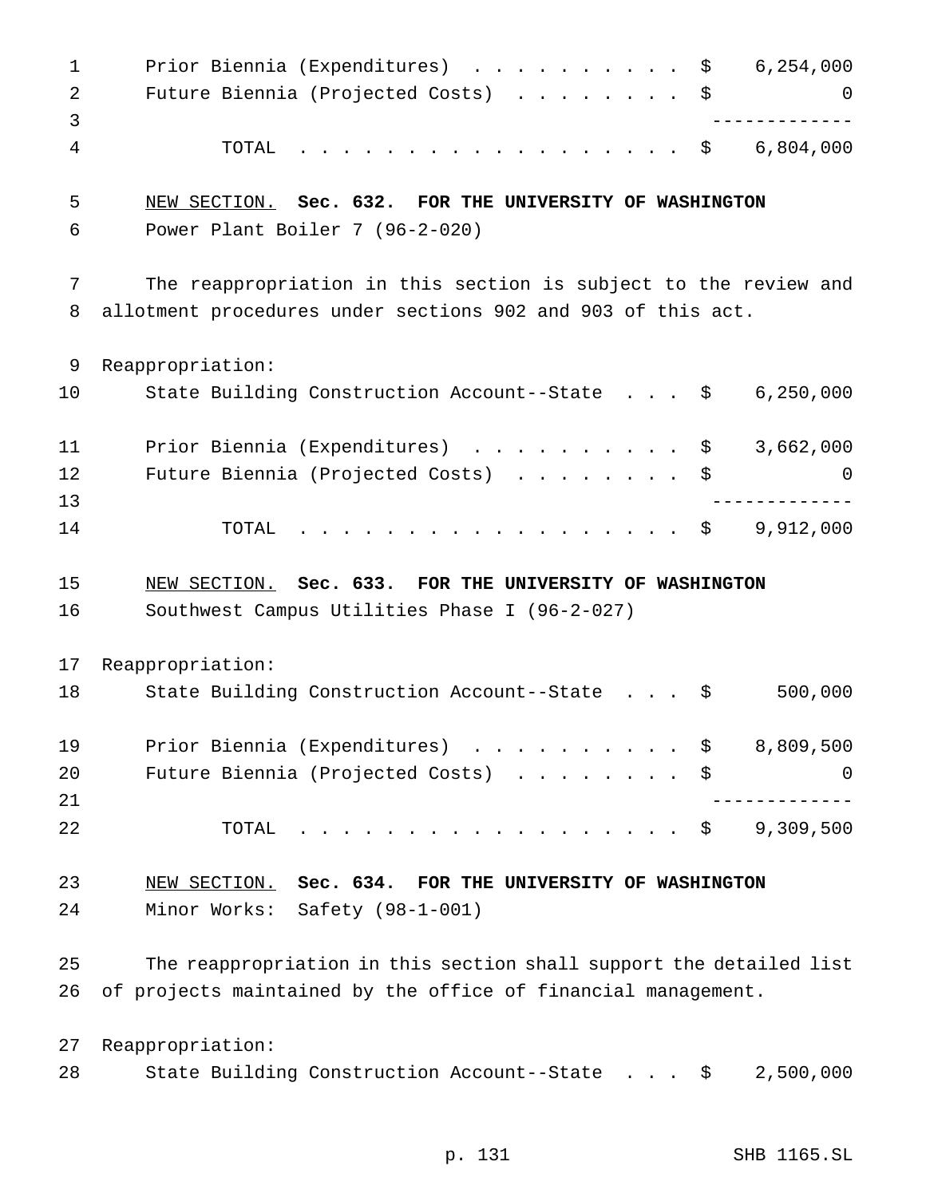| $\mathbf{1}$<br>2<br>3 | Prior Biennia (Expenditures) $\ldots$ \$ 6,254,000<br>Future Biennia (Projected Costs) \$                                            | 0                         |
|------------------------|--------------------------------------------------------------------------------------------------------------------------------------|---------------------------|
| 4                      | . \$ 6,804,000<br>TOTAL                                                                                                              |                           |
| 5<br>6                 | NEW SECTION. Sec. 632. FOR THE UNIVERSITY OF WASHINGTON<br>Power Plant Boiler 7 (96-2-020)                                           |                           |
| 7<br>8                 | The reappropriation in this section is subject to the review and<br>allotment procedures under sections 902 and 903 of this act.     |                           |
| 9                      | Reappropriation:                                                                                                                     |                           |
| 10                     | State Building Construction Account--State \$                                                                                        | 6, 250, 000               |
| 11                     | Prior Biennia (Expenditures) \$                                                                                                      | 3,662,000                 |
| 12                     | Future Biennia (Projected Costs) \$                                                                                                  | 0                         |
| 13                     |                                                                                                                                      | . _ _ _ _ _ _ _ _ _ _ _ _ |
| 14                     | . \$<br>TOTAL                                                                                                                        | 9,912,000                 |
|                        |                                                                                                                                      |                           |
| 15                     | NEW SECTION. Sec. 633. FOR THE UNIVERSITY OF WASHINGTON                                                                              |                           |
| 16                     | Southwest Campus Utilities Phase I (96-2-027)                                                                                        |                           |
| 17                     | Reappropriation:                                                                                                                     |                           |
| 18                     | State Building Construction Account--State \$                                                                                        | 500,000                   |
| 19                     | Prior Biennia (Expenditures) \$                                                                                                      | 8,809,500                 |
| 20                     | Future Biennia (Projected Costs)                                                                                                     | \$<br>0                   |
| 21                     |                                                                                                                                      |                           |
| 22                     | TOTAL<br>$\cdot$ $\cdot$ $\circ$                                                                                                     | 9,309,500                 |
| 23                     | NEW SECTION. Sec. 634. FOR THE UNIVERSITY OF WASHINGTON                                                                              |                           |
| 24                     | Minor Works: Safety (98-1-001)                                                                                                       |                           |
| 25<br>26               | The reappropriation in this section shall support the detailed list<br>of projects maintained by the office of financial management. |                           |
| 27                     | Reappropriation:                                                                                                                     |                           |

p. 131 SHB 1165.SL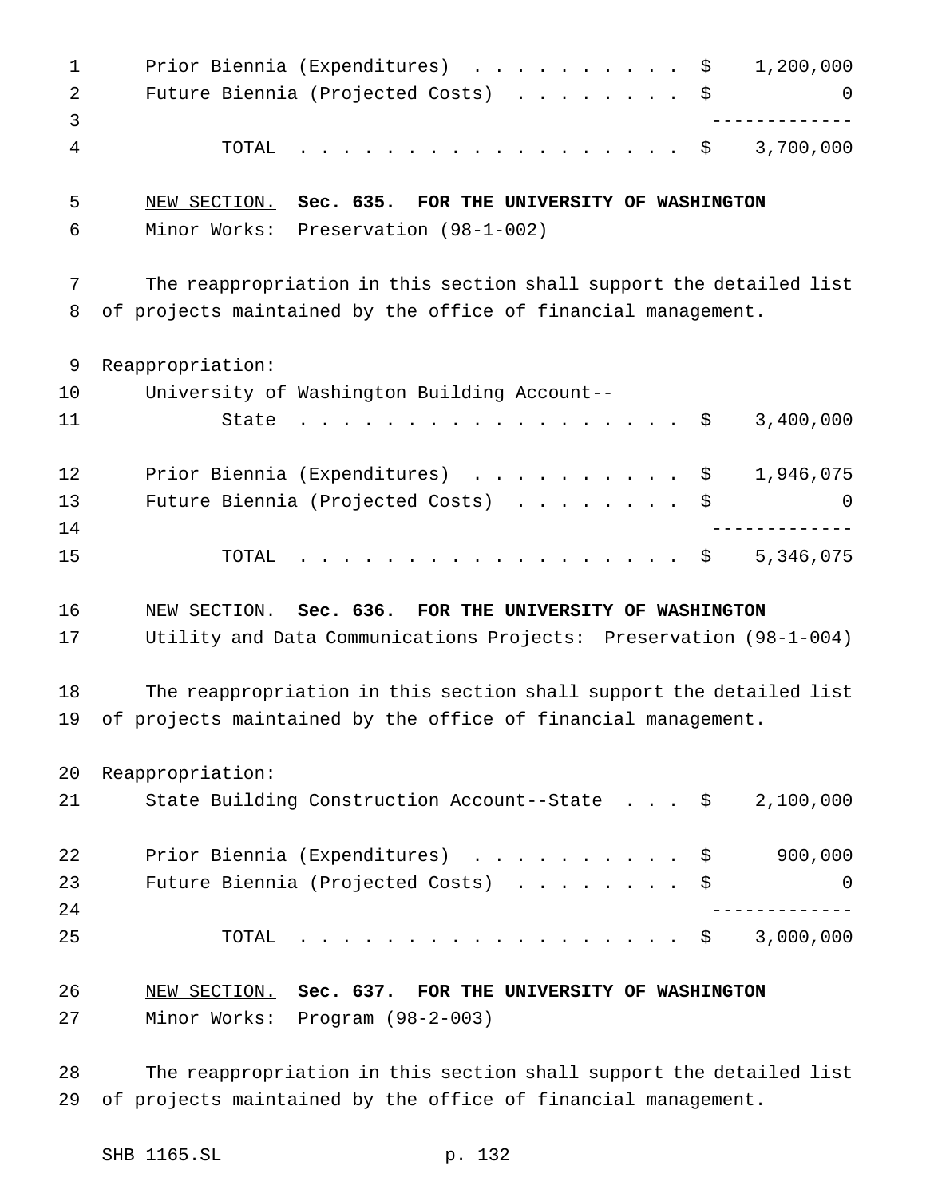1 Prior Biennia (Expenditures) . . . . . . . . . \$ 1,200,000 2 Future Biennia (Projected Costs) . . . . . . . \$ 0 ------------- TOTAL .................. \$ 3,700,000 NEW SECTION. **Sec. 635. FOR THE UNIVERSITY OF WASHINGTON** Minor Works: Preservation (98-1-002) The reappropriation in this section shall support the detailed list of projects maintained by the office of financial management. Reappropriation: University of Washington Building Account-- State .................. \$ 3,400,000 12 Prior Biennia (Expenditures) . . . . . . . . . \$ 1,946,075 13 Future Biennia (Projected Costs) . . . . . . . \$ 0 ------------- 15 TOTAL . . . . . . . . . . . . . . . . \$ 5,346,075 NEW SECTION. **Sec. 636. FOR THE UNIVERSITY OF WASHINGTON** Utility and Data Communications Projects: Preservation (98-1-004) The reappropriation in this section shall support the detailed list of projects maintained by the office of financial management. Reappropriation: State Building Construction Account--State . . . \$ 2,100,000 22 Prior Biennia (Expenditures) . . . . . . . . . \$ 900,000 23 Future Biennia (Projected Costs) . . . . . . . \$ 0 ------------- TOTAL .................. \$ 3,000,000 NEW SECTION. **Sec. 637. FOR THE UNIVERSITY OF WASHINGTON** Minor Works: Program (98-2-003)

 The reappropriation in this section shall support the detailed list of projects maintained by the office of financial management.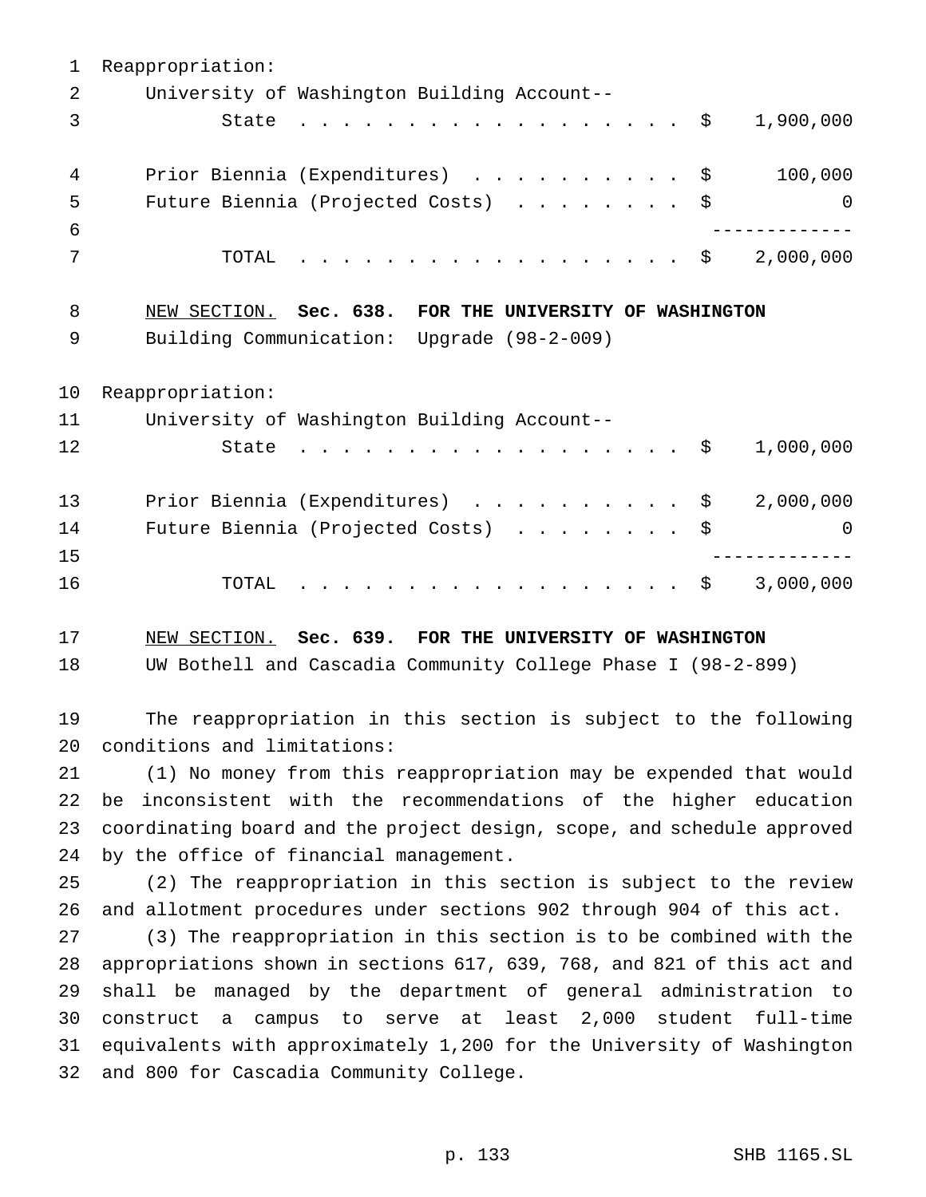Reappropriation: University of Washington Building Account-- 3 State . . . . . . . . . . . . . . . . \$ 1,900,000 4 Prior Biennia (Expenditures) . . . . . . . . . \$ 100,000 Future Biennia (Projected Costs) ........ \$ 0 ------------- TOTAL .................. \$ 2,000,000 NEW SECTION. **Sec. 638. FOR THE UNIVERSITY OF WASHINGTON** Building Communication: Upgrade (98-2-009) Reappropriation: University of Washington Building Account-- 12 State . . . . . . . . . . . . . . . . \$ 1,000,000 13 Prior Biennia (Expenditures) . . . . . . . . . \$ 2,000,000 Future Biennia (Projected Costs) ........ \$ 0 ------------- 16 TOTAL . . . . . . . . . . . . . . . . \$ 3,000,000 NEW SECTION. **Sec. 639. FOR THE UNIVERSITY OF WASHINGTON** UW Bothell and Cascadia Community College Phase I (98-2-899)

 The reappropriation in this section is subject to the following conditions and limitations:

 (1) No money from this reappropriation may be expended that would be inconsistent with the recommendations of the higher education coordinating board and the project design, scope, and schedule approved by the office of financial management.

 (2) The reappropriation in this section is subject to the review and allotment procedures under sections 902 through 904 of this act.

 (3) The reappropriation in this section is to be combined with the appropriations shown in sections 617, 639, 768, and 821 of this act and shall be managed by the department of general administration to construct a campus to serve at least 2,000 student full-time equivalents with approximately 1,200 for the University of Washington and 800 for Cascadia Community College.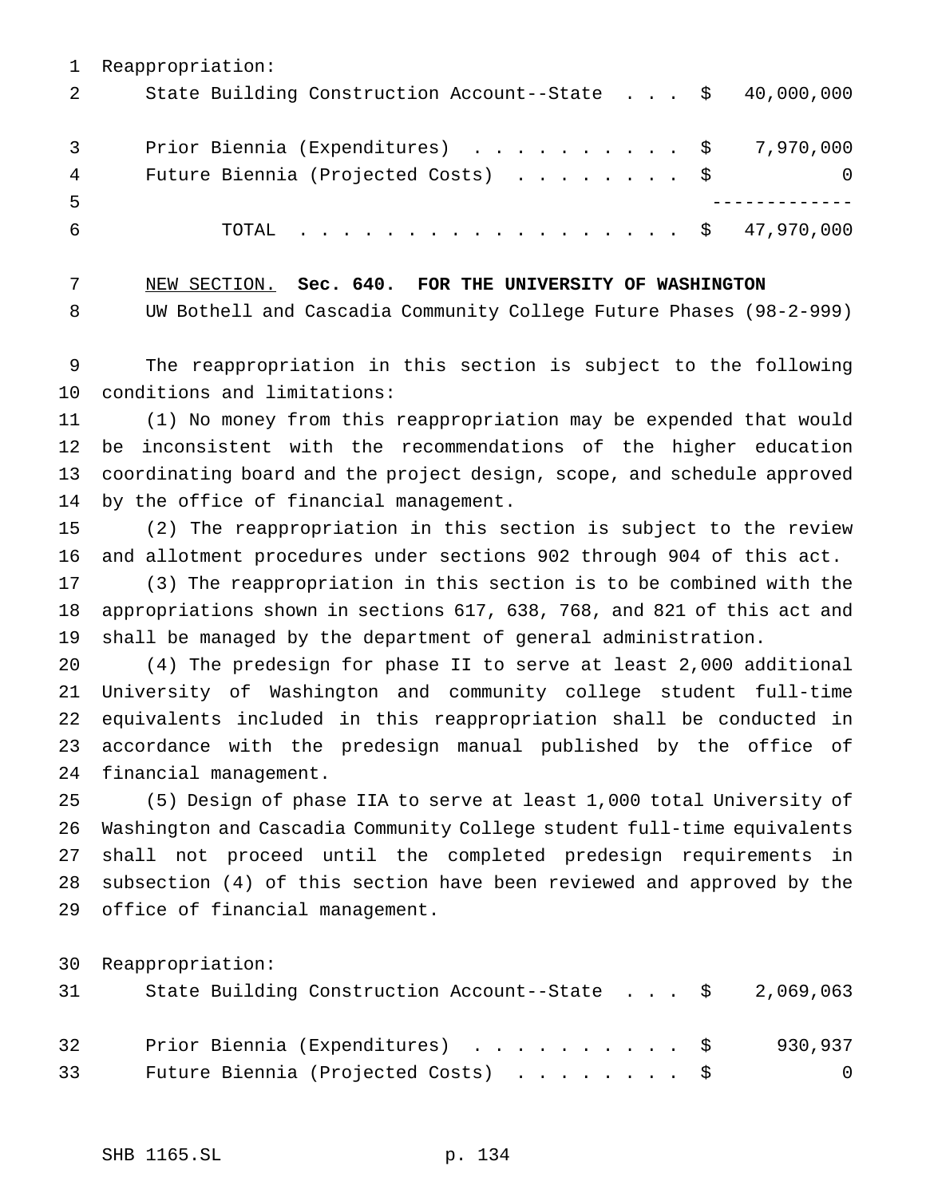Reappropriation: State Building Construction Account--State . . . \$ 40,000,000 Prior Biennia (Expenditures) .......... \$ 7,970,000 4 Future Biennia (Projected Costs) . . . . . . . \$ 0 ------------- TOTAL .................. \$ 47,970,000

 NEW SECTION. **Sec. 640. FOR THE UNIVERSITY OF WASHINGTON** UW Bothell and Cascadia Community College Future Phases (98-2-999)

 The reappropriation in this section is subject to the following conditions and limitations:

 (1) No money from this reappropriation may be expended that would be inconsistent with the recommendations of the higher education coordinating board and the project design, scope, and schedule approved by the office of financial management.

 (2) The reappropriation in this section is subject to the review and allotment procedures under sections 902 through 904 of this act.

 (3) The reappropriation in this section is to be combined with the appropriations shown in sections 617, 638, 768, and 821 of this act and shall be managed by the department of general administration.

 (4) The predesign for phase II to serve at least 2,000 additional University of Washington and community college student full-time equivalents included in this reappropriation shall be conducted in accordance with the predesign manual published by the office of financial management.

 (5) Design of phase IIA to serve at least 1,000 total University of Washington and Cascadia Community College student full-time equivalents shall not proceed until the completed predesign requirements in subsection (4) of this section have been reviewed and approved by the office of financial management.

Reappropriation:

| 31 | State Building Construction Account--State $\$$ 2,069,063 |         |
|----|-----------------------------------------------------------|---------|
| 32 | Prior Biennia (Expenditures) \$                           | 930,937 |
| 33 | Future Biennia (Projected Costs) \$                       | - 0     |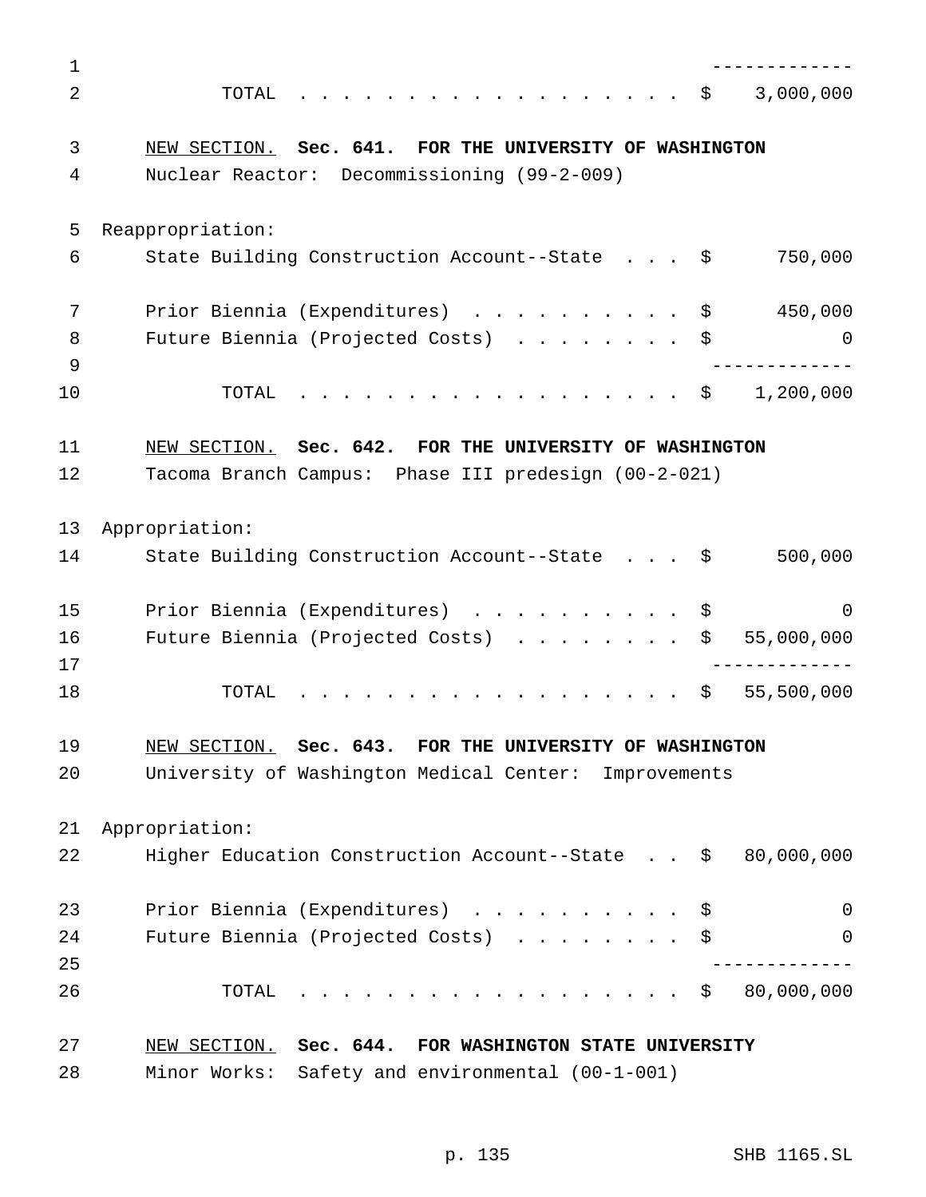| 1        |                                                               |
|----------|---------------------------------------------------------------|
| 2        | 3,000,000<br>TOTAL<br>. \$                                    |
| 3        | NEW SECTION. Sec. 641. FOR THE UNIVERSITY OF WASHINGTON       |
| 4        | Nuclear Reactor: Decommissioning (99-2-009)                   |
| 5        | Reappropriation:                                              |
| 6        | State Building Construction Account--State \$<br>750,000      |
| 7        | Prior Biennia (Expenditures) \$<br>450,000                    |
| 8<br>9   | Future Biennia (Projected Costs) \$<br>0                      |
| 10       | 1,200,000<br>TOTAL<br>. \$                                    |
| 11       | NEW SECTION. Sec. 642. FOR THE UNIVERSITY OF WASHINGTON       |
| 12       | Tacoma Branch Campus: Phase III predesign (00-2-021)          |
| 13       | Appropriation:                                                |
| 14       | 500,000<br>State Building Construction Account--State \$      |
| 15       | Prior Biennia (Expenditures) \$<br>0                          |
| 16<br>17 | Future Biennia (Projected Costs)<br>55,000,000<br>\$          |
| 18       | $\cdot$ \$ 55,500,000<br>TOTAL                                |
| 19       | NEW SECTION. Sec. 643. FOR THE UNIVERSITY OF WASHINGTON       |
| 20       | University of Washington Medical Center: Improvements         |
| 21       | Appropriation:                                                |
| 22       | 80,000,000<br>Higher Education Construction Account--State \$ |
| 23       | Prior Biennia (Expenditures) \$<br>0                          |
| 24<br>25 | Future Biennia (Projected Costs)<br>0                         |
| 26       | $\cdot$ \$ 80,000,000<br>TOTAL                                |
| 27       | NEW SECTION. Sec. 644. FOR WASHINGTON STATE UNIVERSITY        |
| 28       | Minor Works: Safety and environmental (00-1-001)              |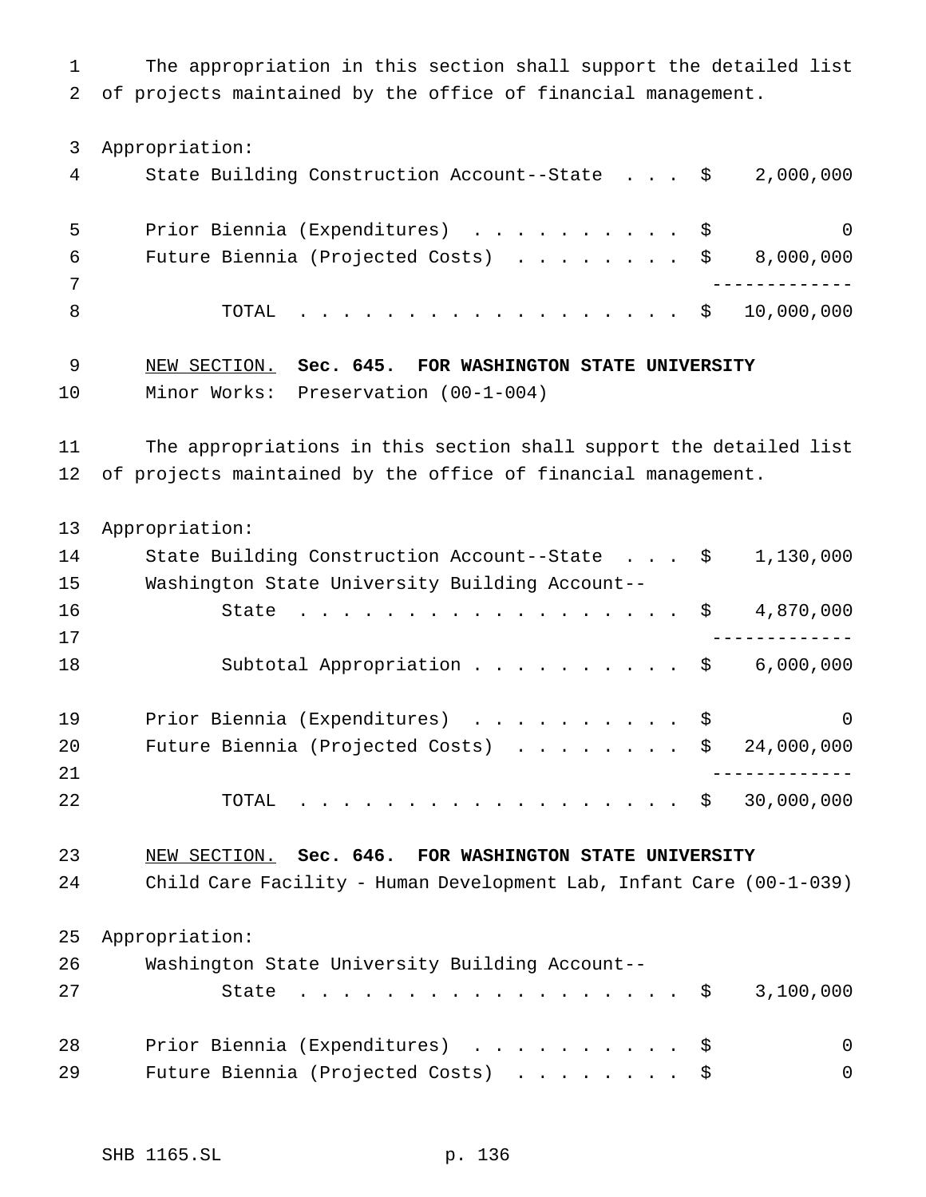The appropriation in this section shall support the detailed list of projects maintained by the office of financial management.

Appropriation:

| 4 | State Building Construction Account--State $\frac{1}{2}$ , 000,000 |          |
|---|--------------------------------------------------------------------|----------|
| 5 | Prior Biennia (Expenditures) \$                                    | $\Omega$ |
| 6 | Future Biennia (Projected Costs) $\ldots$ \$ 8,000,000             |          |
|   |                                                                    |          |
|   | TOTAL \$ 10,000,000                                                |          |

 NEW SECTION. **Sec. 645. FOR WASHINGTON STATE UNIVERSITY** Minor Works: Preservation (00-1-004)

 The appropriations in this section shall support the detailed list of projects maintained by the office of financial management.

 Appropriation: 14 State Building Construction Account--State . . . \$ 1,130,000 Washington State University Building Account-- 16 State . . . . . . . . . . . . . . . . \$ 4,870,000 ------------- 18 Subtotal Appropriation . . . . . . . . . \$ 6,000,000 19 Prior Biennia (Expenditures) . . . . . . . . . \$ 0 20 Future Biennia (Projected Costs) . . . . . . . \$ 24,000,000 ------------- 22 TOTAL . . . . . . . . . . . . . . . . \$ 30,000,000

 NEW SECTION. **Sec. 646. FOR WASHINGTON STATE UNIVERSITY** Child Care Facility - Human Development Lab, Infant Care (00-1-039) Appropriation: Washington State University Building Account--

| 27 | State \$ 3,100,000                  |  |  |  |  |          |
|----|-------------------------------------|--|--|--|--|----------|
| 28 | Prior Biennia (Expenditures) \$     |  |  |  |  | $\Omega$ |
| 29 | Future Biennia (Projected Costs) \$ |  |  |  |  | - 0      |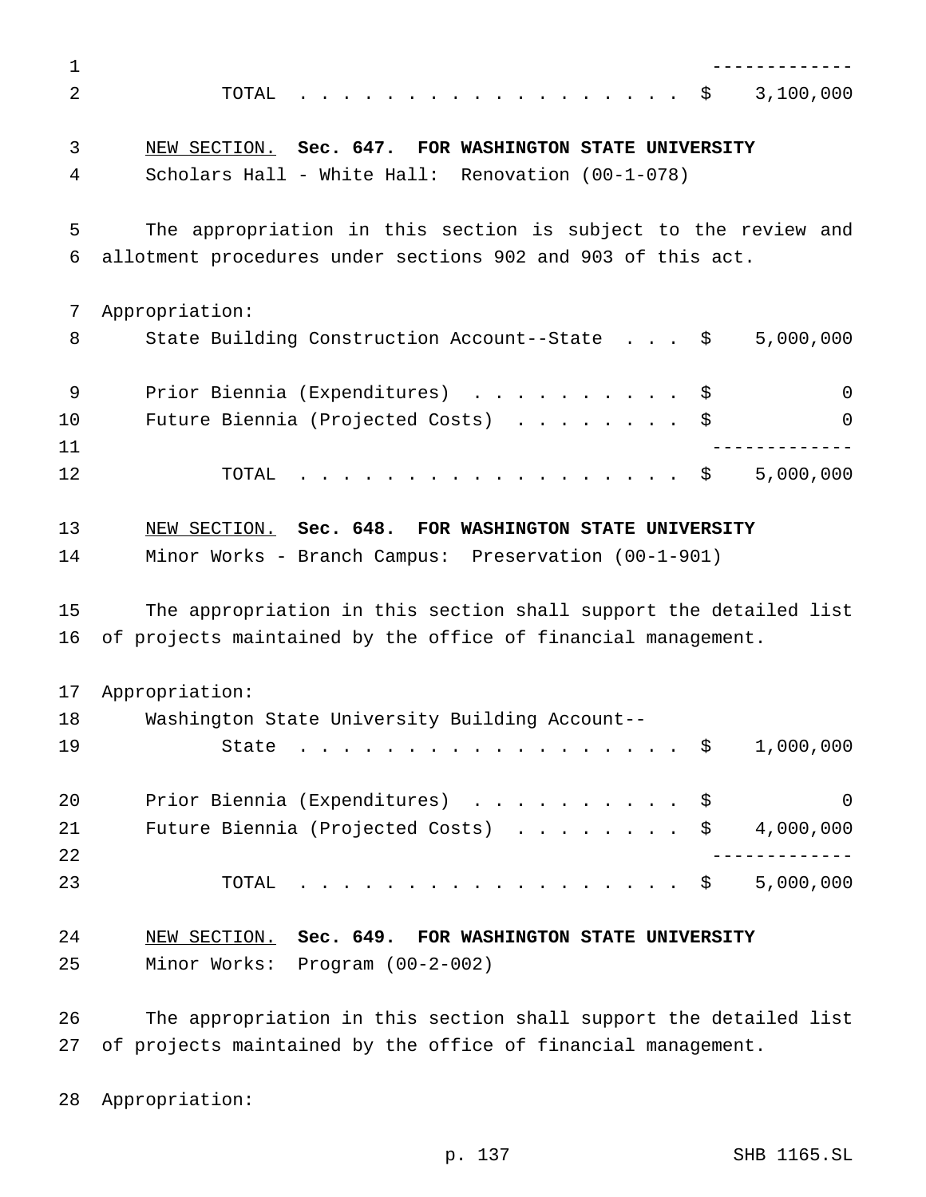| 1              |                                                                   |
|----------------|-------------------------------------------------------------------|
| 2              | 3,100,000<br>TOTAL<br>- \$                                        |
| 3              | NEW SECTION. Sec. 647. FOR WASHINGTON STATE UNIVERSITY            |
| 4              | Scholars Hall - White Hall: Renovation (00-1-078)                 |
| 5              | The appropriation in this section is subject to the review and    |
| 6              | allotment procedures under sections 902 and 903 of this act.      |
| 7              | Appropriation:                                                    |
| 8              | 5,000,000<br>State Building Construction Account--State \$        |
| 9              | Prior Biennia (Expenditures)<br>$\Omega$<br>Ş.                    |
| 10<br>11       | Future Biennia (Projected Costs)<br>$\Omega$                      |
| 12             | . \$<br>5,000,000<br>TOTAL                                        |
| 13             | NEW SECTION. Sec. 648. FOR WASHINGTON STATE UNIVERSITY            |
| 14             | Minor Works - Branch Campus: Preservation (00-1-901)              |
| 15             | The appropriation in this section shall support the detailed list |
| 16             | of projects maintained by the office of financial management.     |
| 17             | Appropriation:                                                    |
| 18             | Washington State University Building Account--                    |
| 19             | 1,000,000<br>State<br>\$<br>$\frac{1}{2}$                         |
| 20             | Prior Biennia (Expenditures) \$<br>0                              |
| 21             | Future Biennia (Projected Costs)<br>4,000,000<br>\$               |
| 22             |                                                                   |
| 23             | 5,000,000<br>TOTAL<br>$\ddot{\varepsilon}$                        |
| 24             | NEW SECTION. Sec. 649. FOR WASHINGTON STATE UNIVERSITY            |
| 25             | Minor Works: Program (00-2-002)                                   |
| $\cap \subset$ | ennroppietien in this sestion shell support the detailed 1:       |

 The appropriation in this section shall support the detailed list of projects maintained by the office of financial management.

Appropriation: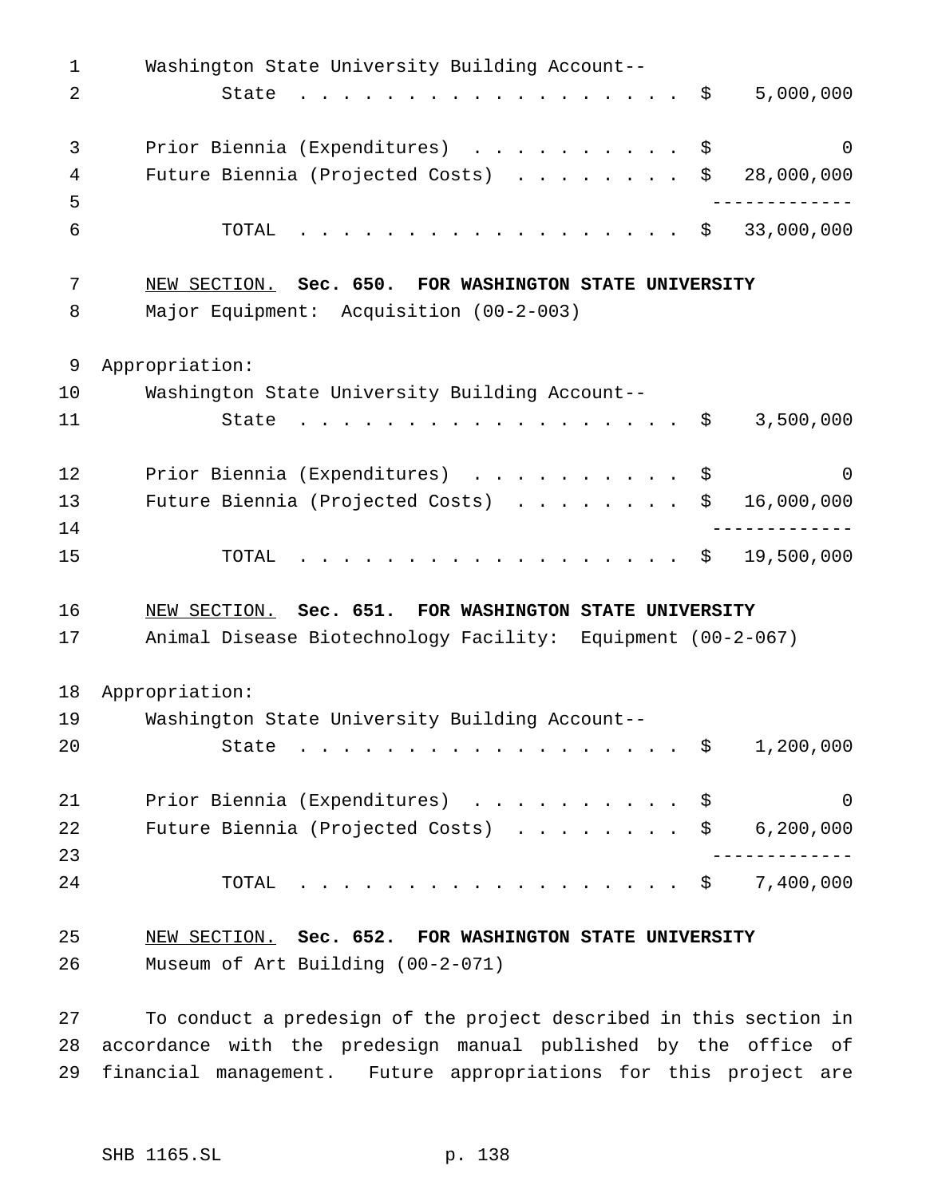| $\mathbf{1}$ | Washington State University Building Account--                                                                                                            |
|--------------|-----------------------------------------------------------------------------------------------------------------------------------------------------------|
| 2            | 5,000,000<br>State<br>$\mathbf{r}$ , and $\mathbf{r}$ , and $\mathbf{r}$ , and $\mathbf{r}$ , and $\mathbf{r}$ , and $\mathbf{r}$<br>$\ddot{\mathcal{Z}}$ |
| 3            | Prior Biennia (Expenditures) \$<br>$\Omega$                                                                                                               |
| 4            | Future Biennia (Projected Costs)<br>\$<br>28,000,000                                                                                                      |
| 5            |                                                                                                                                                           |
| 6            | 33,000,000<br>TOTAL<br>. \$                                                                                                                               |
| 7            | NEW SECTION. Sec. 650. FOR WASHINGTON STATE UNIVERSITY                                                                                                    |
| 8            | Major Equipment: Acquisition (00-2-003)                                                                                                                   |
| 9            | Appropriation:                                                                                                                                            |
| 10           | Washington State University Building Account--                                                                                                            |
| 11           | 3,500,000<br>\$<br>State                                                                                                                                  |
| 12           | Prior Biennia (Expenditures) \$<br>$\Omega$                                                                                                               |
| 13           | Future Biennia (Projected Costs)<br>16,000,000<br>\$                                                                                                      |
| 14           |                                                                                                                                                           |
| 15           | 19,500,000<br>TOTAL<br>. \$                                                                                                                               |
| 16           | NEW SECTION. Sec. 651. FOR WASHINGTON STATE UNIVERSITY                                                                                                    |
| 17           | Animal Disease Biotechnology Facility: Equipment (00-2-067)                                                                                               |
| 18           | Appropriation:                                                                                                                                            |
| 19           | Washington State University Building Account--                                                                                                            |
| 20           | 1,200,000<br>State<br>. \$                                                                                                                                |
| 21           | Prior Biennia (Expenditures)<br>$\Omega$<br>\$                                                                                                            |
| 22           | 6, 200, 000<br>Future Biennia (Projected Costs)<br>\$                                                                                                     |
| 23           |                                                                                                                                                           |
| 24           | 7,400,000<br>TOTAL<br>$\ddot{\mathbf{S}}$<br>$\mathbf{r}$ , and $\mathbf{r}$ , and $\mathbf{r}$ , and $\mathbf{r}$ , and $\mathbf{r}$ , and $\mathbf{r}$  |
| 25           | NEW SECTION. Sec. 652. FOR WASHINGTON STATE UNIVERSITY                                                                                                    |
| 26           | Museum of Art Building (00-2-071)                                                                                                                         |

 To conduct a predesign of the project described in this section in accordance with the predesign manual published by the office of financial management. Future appropriations for this project are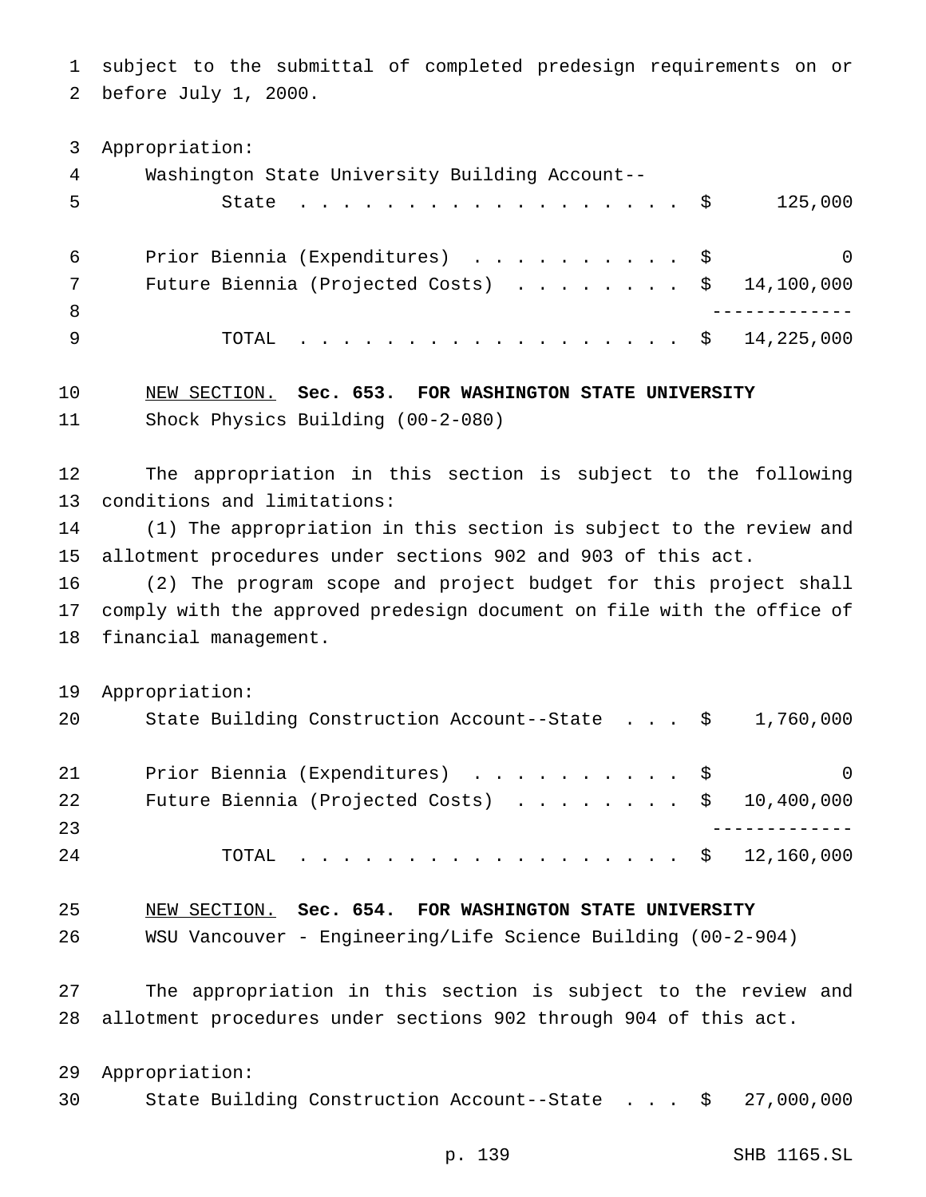subject to the submittal of completed predesign requirements on or before July 1, 2000.

Appropriation:

| 4   | Washington State University Building Account--          |                  |
|-----|---------------------------------------------------------|------------------|
|     | State $\ldots$ $\frac{1}{5}$                            | 125,000          |
| 6   | Prior Biennia (Expenditures) \$                         | $\left( \right)$ |
|     | Future Biennia (Projected Costs) $\ldots$ \$ 14,100,000 |                  |
| - 8 |                                                         |                  |
|     | . \$ 14,225,000<br>TOTAL                                |                  |

 NEW SECTION. **Sec. 653. FOR WASHINGTON STATE UNIVERSITY** Shock Physics Building (00-2-080)

 The appropriation in this section is subject to the following conditions and limitations:

 (1) The appropriation in this section is subject to the review and allotment procedures under sections 902 and 903 of this act.

 (2) The program scope and project budget for this project shall comply with the approved predesign document on file with the office of financial management.

Appropriation:

| 20 | State Building Construction Account--State $\frac{1}{9}$ , 760,000 |   |
|----|--------------------------------------------------------------------|---|
| 21 | Prior Biennia (Expenditures) \$                                    | 0 |
| 22 | Future Biennia (Projected Costs) $\ldots$ \$ 10,400,000            |   |
| 23 |                                                                    |   |
| 24 | TOTAL \$ 12,160,000                                                |   |

NEW SECTION. **Sec. 654. FOR WASHINGTON STATE UNIVERSITY**

WSU Vancouver - Engineering/Life Science Building (00-2-904)

 The appropriation in this section is subject to the review and allotment procedures under sections 902 through 904 of this act.

 Appropriation: State Building Construction Account--State . . . \$ 27,000,000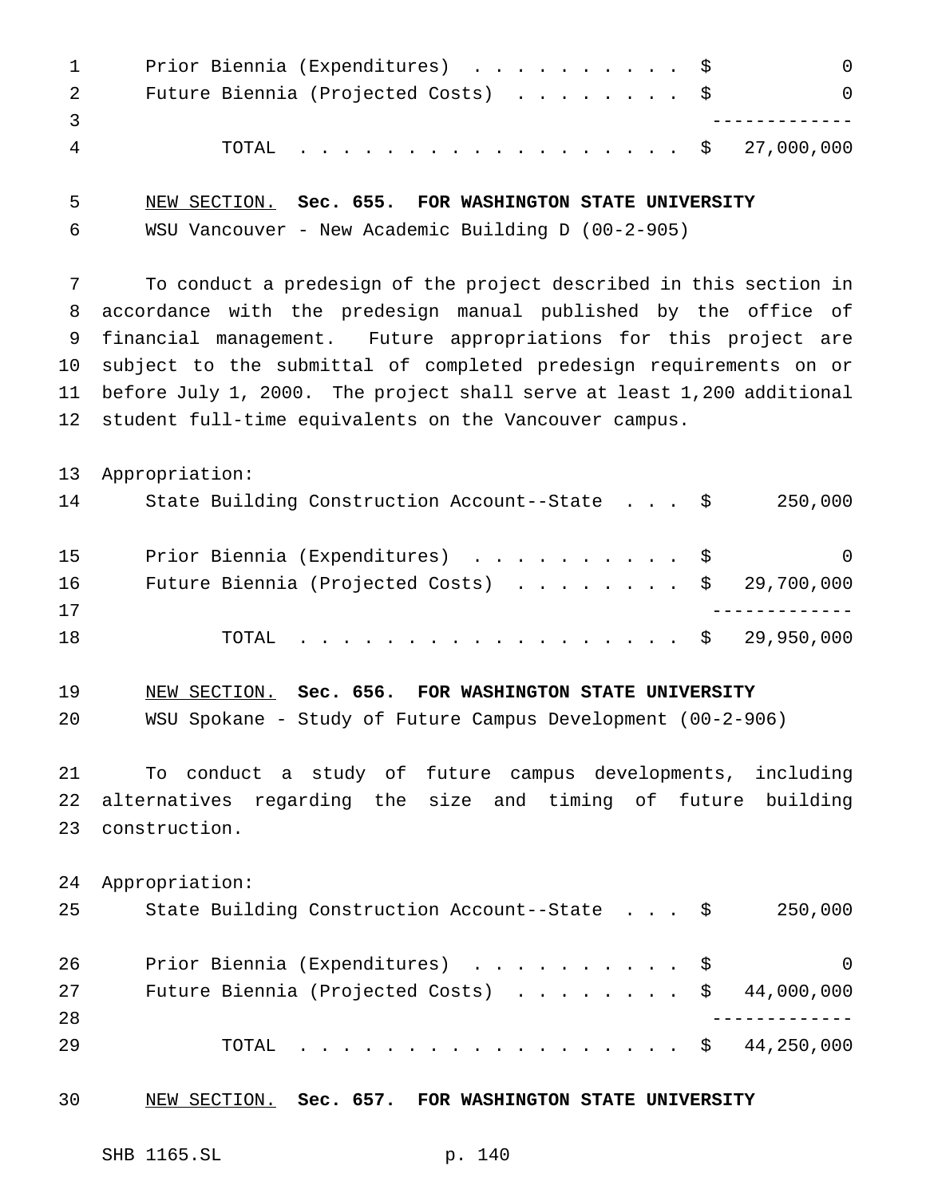|   | Prior Biennia (Expenditures) \$              |  |
|---|----------------------------------------------|--|
|   | Future Biennia (Projected Costs) $\ldots$ \$ |  |
|   |                                              |  |
| 4 | TOTAL \$ 27,000,000                          |  |

 NEW SECTION. **Sec. 655. FOR WASHINGTON STATE UNIVERSITY** WSU Vancouver - New Academic Building D (00-2-905)

 To conduct a predesign of the project described in this section in accordance with the predesign manual published by the office of financial management. Future appropriations for this project are subject to the submittal of completed predesign requirements on or before July 1, 2000. The project shall serve at least 1,200 additional student full-time equivalents on the Vancouver campus.

 Appropriation: State Building Construction Account--State . . . \$ 250,000 Prior Biennia (Expenditures) .......... \$ 0 Future Biennia (Projected Costs) ........ \$ 29,700,000 ------------- TOTAL .................. \$ 29,950,000

 NEW SECTION. **Sec. 656. FOR WASHINGTON STATE UNIVERSITY** WSU Spokane - Study of Future Campus Development (00-2-906)

 To conduct a study of future campus developments, including alternatives regarding the size and timing of future building construction.

- Appropriation: State Building Construction Account--State . . . \$ 250,000 26 Prior Biennia (Expenditures) . . . . . . . . . \$ 0 Future Biennia (Projected Costs) ........ \$ 44,000,000 ------------- TOTAL .................. \$ 44,250,000
- NEW SECTION. **Sec. 657. FOR WASHINGTON STATE UNIVERSITY**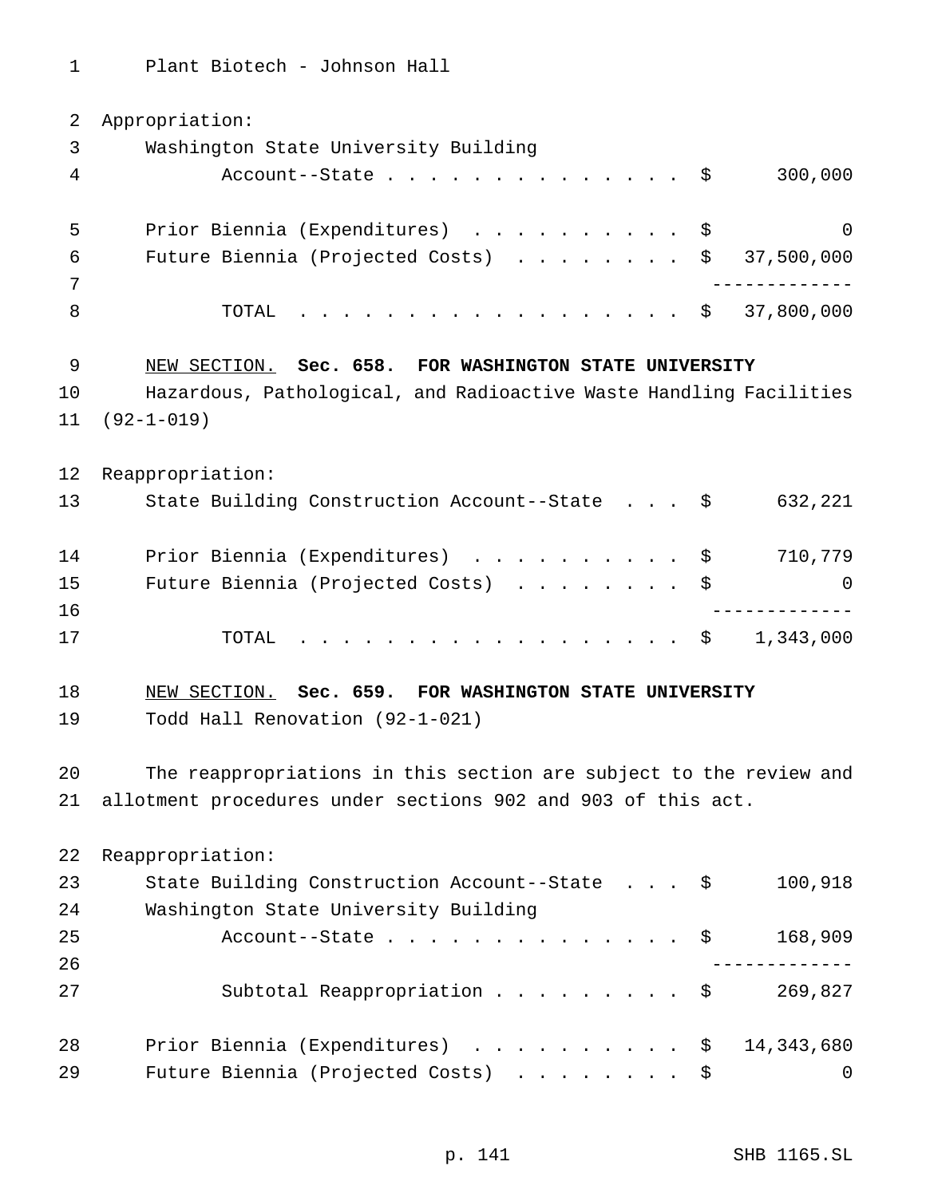Plant Biotech - Johnson Hall

| 2  | Appropriation:                                                     |
|----|--------------------------------------------------------------------|
| 3  | Washington State University Building                               |
| 4  | 300,000<br>Account--State $\ldots$ \$                              |
| 5  | $\overline{0}$<br>Prior Biennia (Expenditures) \$                  |
| 6  | Future Biennia (Projected Costs) $\ldots$ \$ 37,500,000            |
| 7  |                                                                    |
| 8  | $\cdot$ \$ 37,800,000<br>TOTAL                                     |
| 9  | NEW SECTION. Sec. 658. FOR WASHINGTON STATE UNIVERSITY             |
| 10 | Hazardous, Pathological, and Radioactive Waste Handling Facilities |
| 11 | $(92 - 1 - 019)$                                                   |
| 12 | Reappropriation:                                                   |
| 13 | State Building Construction Account--State \$<br>632,221           |
| 14 | Prior Biennia (Expenditures) \$<br>710,779                         |
| 15 | Future Biennia (Projected Costs) \$<br>-0                          |
| 16 | ------------ <i>-</i>                                              |
| 17 | 1,343,000<br>TOTAL<br>. \$                                         |
| 18 | NEW SECTION. Sec. 659. FOR WASHINGTON STATE UNIVERSITY             |
| 19 | Todd Hall Renovation (92-1-021)                                    |
| 20 | The reappropriations in this section are subject to the review and |
|    | 21 allotment procedures under sections 902 and 903 of this act.    |
| 22 | Reappropriation:                                                   |
| 23 | 100,918<br>State Building Construction Account--State \$           |
| 24 | Washington State University Building                               |
| 25 | Account--State $\frac{1}{2}$<br>168,909                            |
| 26 |                                                                    |
| 27 | Subtotal Reappropriation \$<br>269,827                             |
| 28 | Prior Biennia (Expenditures) \$<br>14,343,680                      |
| 29 | Future Biennia (Projected Costs) \$<br>$\mathbf 0$                 |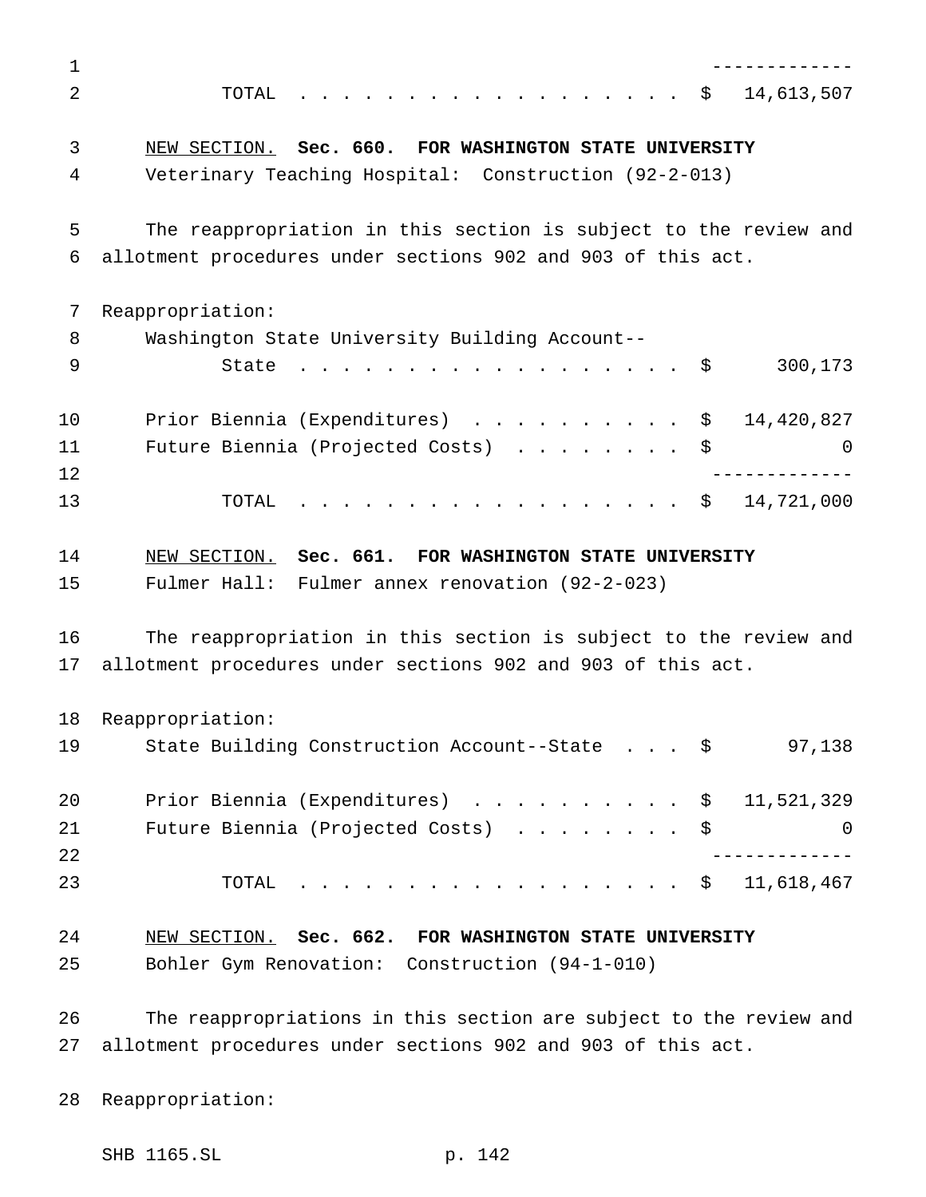------------- TOTAL .................. \$ 14,613,507 NEW SECTION. **Sec. 660. FOR WASHINGTON STATE UNIVERSITY** Veterinary Teaching Hospital: Construction (92-2-013) The reappropriation in this section is subject to the review and allotment procedures under sections 902 and 903 of this act. Reappropriation: Washington State University Building Account-- 9 State . . . . . . . . . . . . . . . . \$ 300,173 Prior Biennia (Expenditures) .......... \$ 14,420,827 11 Future Biennia (Projected Costs) . . . . . . . \$ 0 ------------- TOTAL .................. \$ 14,721,000 NEW SECTION. **Sec. 661. FOR WASHINGTON STATE UNIVERSITY** Fulmer Hall: Fulmer annex renovation (92-2-023) The reappropriation in this section is subject to the review and allotment procedures under sections 902 and 903 of this act. Reappropriation: 19 State Building Construction Account--State . . . \$ 97,138 Prior Biennia (Expenditures) .......... \$ 11,521,329 21 Future Biennia (Projected Costs) . . . . . . . \$ 0 ------------- TOTAL .................. \$ 11,618,467 NEW SECTION. **Sec. 662. FOR WASHINGTON STATE UNIVERSITY** Bohler Gym Renovation: Construction (94-1-010) The reappropriations in this section are subject to the review and allotment procedures under sections 902 and 903 of this act.

Reappropriation:

SHB 1165.SL p. 142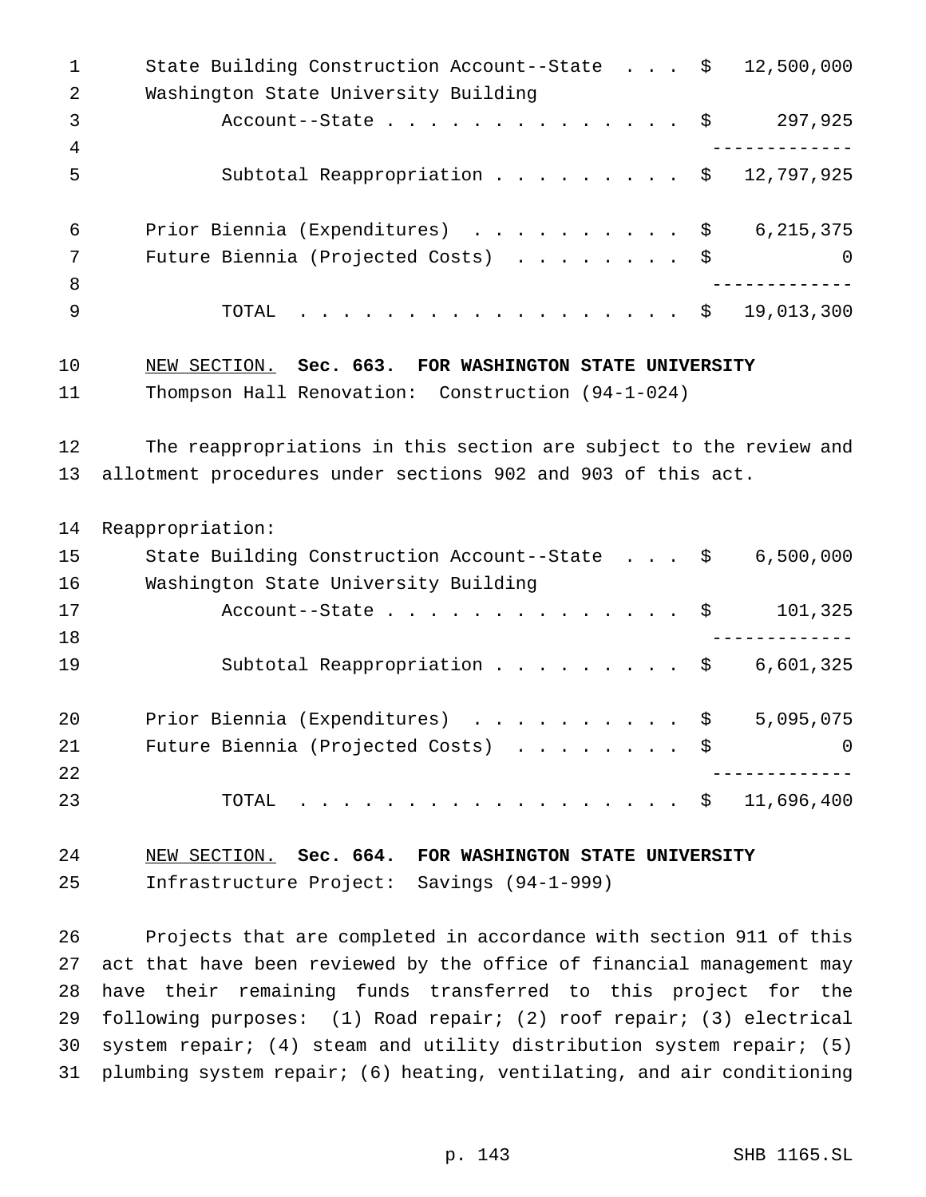1 State Building Construction Account--State . . . \$ 12,500,000 Washington State University Building 3 Account--State................\$ 297,925 ------------- 5 Subtotal Reappropriation . . . . . . . . \$ 12,797,925 Prior Biennia (Expenditures) .......... \$ 6,215,375 7 Future Biennia (Projected Costs) . . . . . . . \$ 0 ------------- TOTAL .................. \$ 19,013,300 NEW SECTION. **Sec. 663. FOR WASHINGTON STATE UNIVERSITY** Thompson Hall Renovation: Construction (94-1-024) The reappropriations in this section are subject to the review and allotment procedures under sections 902 and 903 of this act. Reappropriation: State Building Construction Account--State . . . \$ 6,500,000 Washington State University Building 17 Account--State . . . . . . . . . . . . . \$ 101,325 ------------- 19 Subtotal Reappropriation . . . . . . . . \$ 6,601,325 Prior Biennia (Expenditures) .......... \$ 5,095,075 21 Future Biennia (Projected Costs) . . . . . . . \$ 0 ------------- TOTAL .................. \$ 11,696,400 NEW SECTION. **Sec. 664. FOR WASHINGTON STATE UNIVERSITY** Infrastructure Project: Savings (94-1-999) Projects that are completed in accordance with section 911 of this act that have been reviewed by the office of financial management may have their remaining funds transferred to this project for the

 following purposes: (1) Road repair; (2) roof repair; (3) electrical system repair; (4) steam and utility distribution system repair; (5) plumbing system repair; (6) heating, ventilating, and air conditioning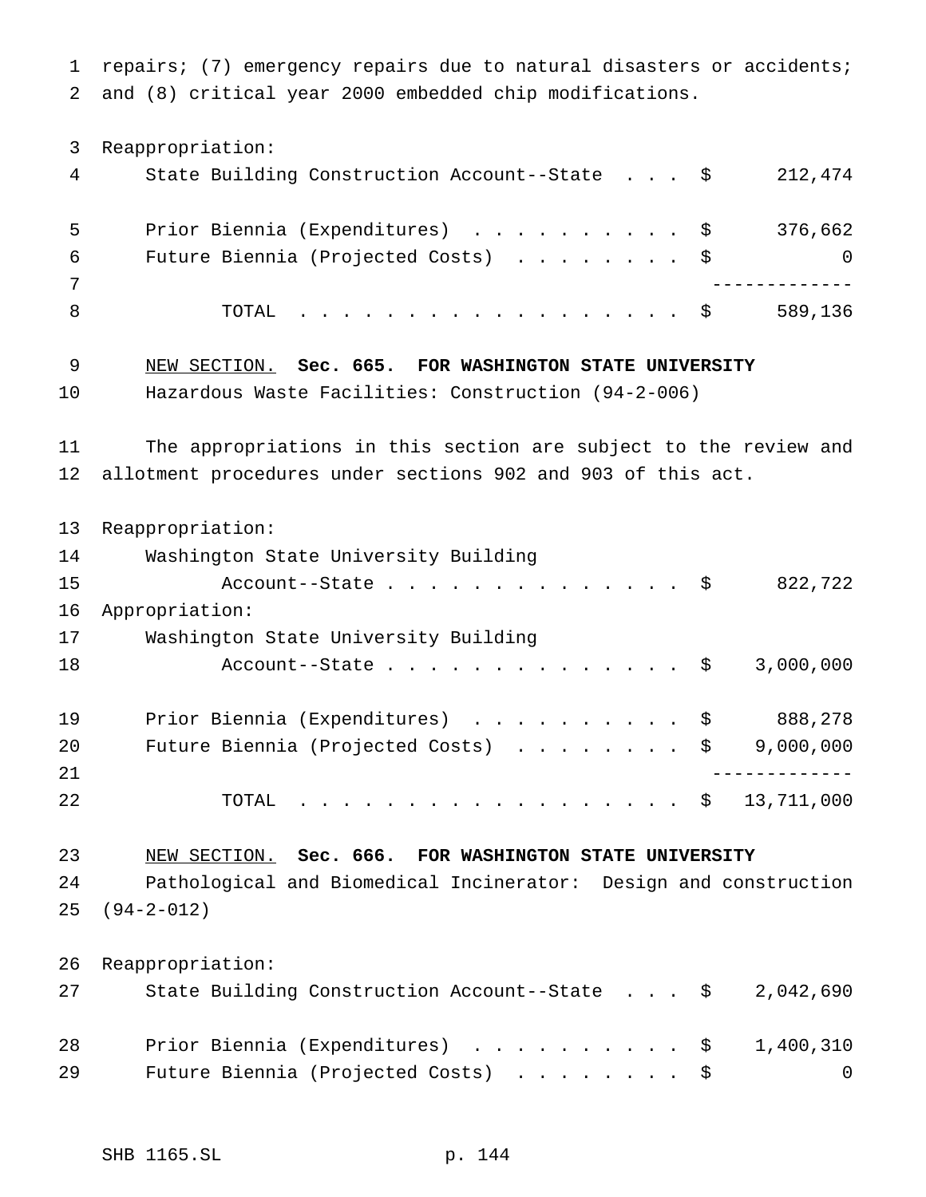repairs; (7) emergency repairs due to natural disasters or accidents; and (8) critical year 2000 embedded chip modifications.

 Reappropriation: State Building Construction Account--State . . . \$ 212,474 5 Prior Biennia (Expenditures) . . . . . . . . . \$ 376,662 Future Biennia (Projected Costs) ........ \$ 0 ------------- 8 TOTAL . . . . . . . . . . . . . . . . \$ 589,136 NEW SECTION. **Sec. 665. FOR WASHINGTON STATE UNIVERSITY** Hazardous Waste Facilities: Construction (94-2-006) The appropriations in this section are subject to the review and allotment procedures under sections 902 and 903 of this act. Reappropriation: Washington State University Building 15 Account--State . . . . . . . . . . . . . \$ 822,722 Appropriation: Washington State University Building 18 Account--State . . . . . . . . . . . . . \$ 3,000,000 Prior Biennia (Expenditures) .......... \$ 888,278 20 Future Biennia (Projected Costs) . . . . . . . \$ 9,000,000 ------------- TOTAL .................. \$ 13,711,000 NEW SECTION. **Sec. 666. FOR WASHINGTON STATE UNIVERSITY** Pathological and Biomedical Incinerator: Design and construction (94-2-012) Reappropriation: State Building Construction Account--State . . . \$ 2,042,690 28 Prior Biennia (Expenditures) . . . . . . . . . \$ 1,400,310 29 Future Biennia (Projected Costs) . . . . . . . \$ 0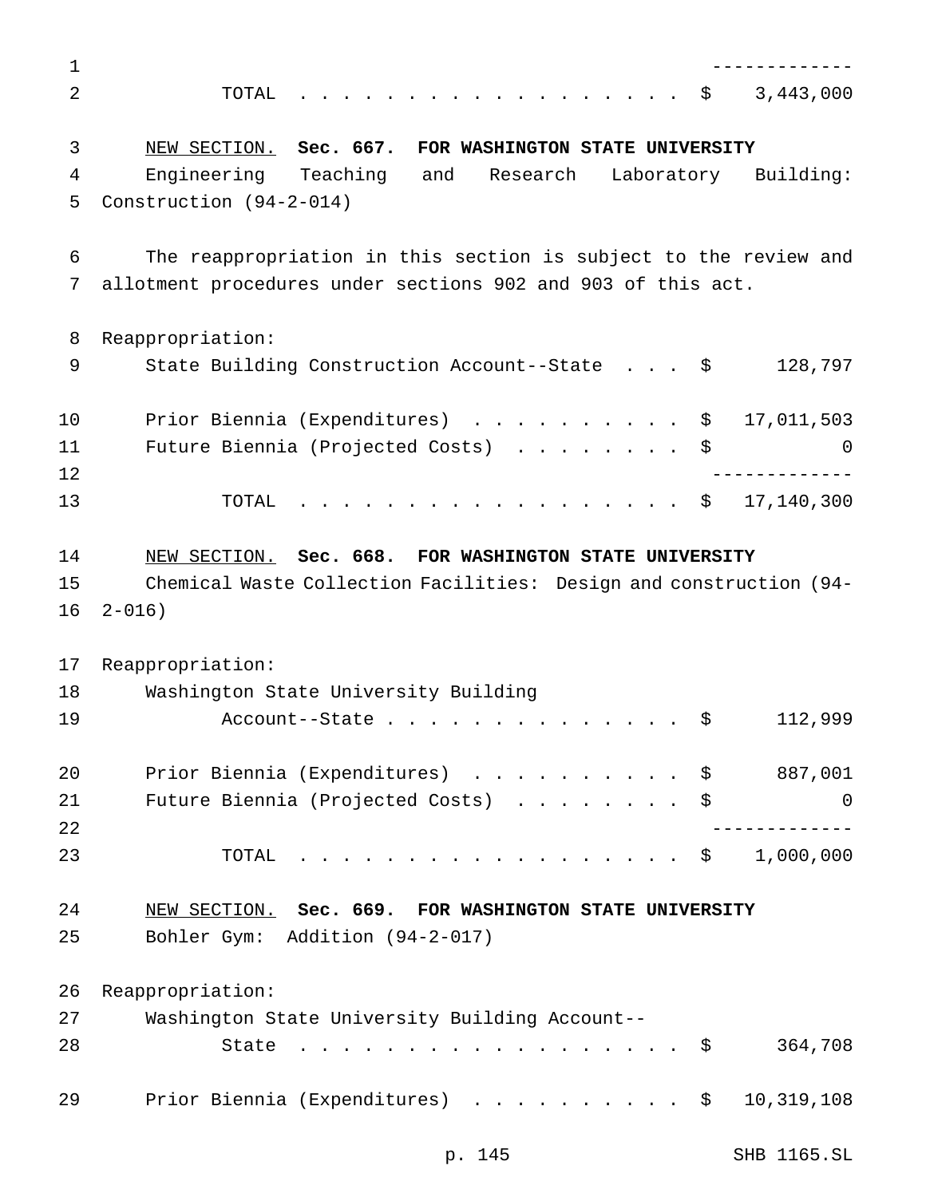| 1  |                                                                    |
|----|--------------------------------------------------------------------|
| 2  | $\cdot$ \$ 3,443,000<br>TOTAL                                      |
| 3  | NEW SECTION. Sec. 667. FOR WASHINGTON STATE UNIVERSITY             |
| 4  | Engineering Teaching and Research<br>Laboratory Building:          |
| 5  | Construction (94-2-014)                                            |
| 6  | The reappropriation in this section is subject to the review and   |
| 7  | allotment procedures under sections 902 and 903 of this act.       |
| 8  | Reappropriation:                                                   |
| 9  | State Building Construction Account--State \$<br>128,797           |
| 10 | Prior Biennia (Expenditures) \$ 17,011,503                         |
| 11 | Future Biennia (Projected Costs) \$<br>0                           |
| 12 |                                                                    |
| 13 | . \$ 17,140,300<br>TOTAL                                           |
| 14 | NEW SECTION. Sec. 668. FOR WASHINGTON STATE UNIVERSITY             |
| 15 | Chemical Waste Collection Facilities: Design and construction (94- |
| 16 | $2 - 016$ )                                                        |
| 17 | Reappropriation:                                                   |
| 18 | Washington State University Building                               |
| 19 | 112,999<br>$Account--State$<br>\$                                  |
| 20 | Prior Biennia (Expenditures) \$ 887,001                            |
| 21 | Future Biennia (Projected Costs)<br>\$<br>0                        |
| 22 |                                                                    |
| 23 | $\cdot$ \$ 1,000,000<br>TOTAL                                      |
| 24 | NEW SECTION. Sec. 669. FOR WASHINGTON STATE UNIVERSITY             |
| 25 | Bohler Gym: Addition (94-2-017)                                    |
| 26 | Reappropriation:                                                   |
| 27 | Washington State University Building Account--                     |
| 28 | 364,708<br>. \$<br>State                                           |
| 29 | Prior Biennia (Expenditures) \$<br>10,319,108                      |
|    |                                                                    |

p. 145 SHB 1165.SL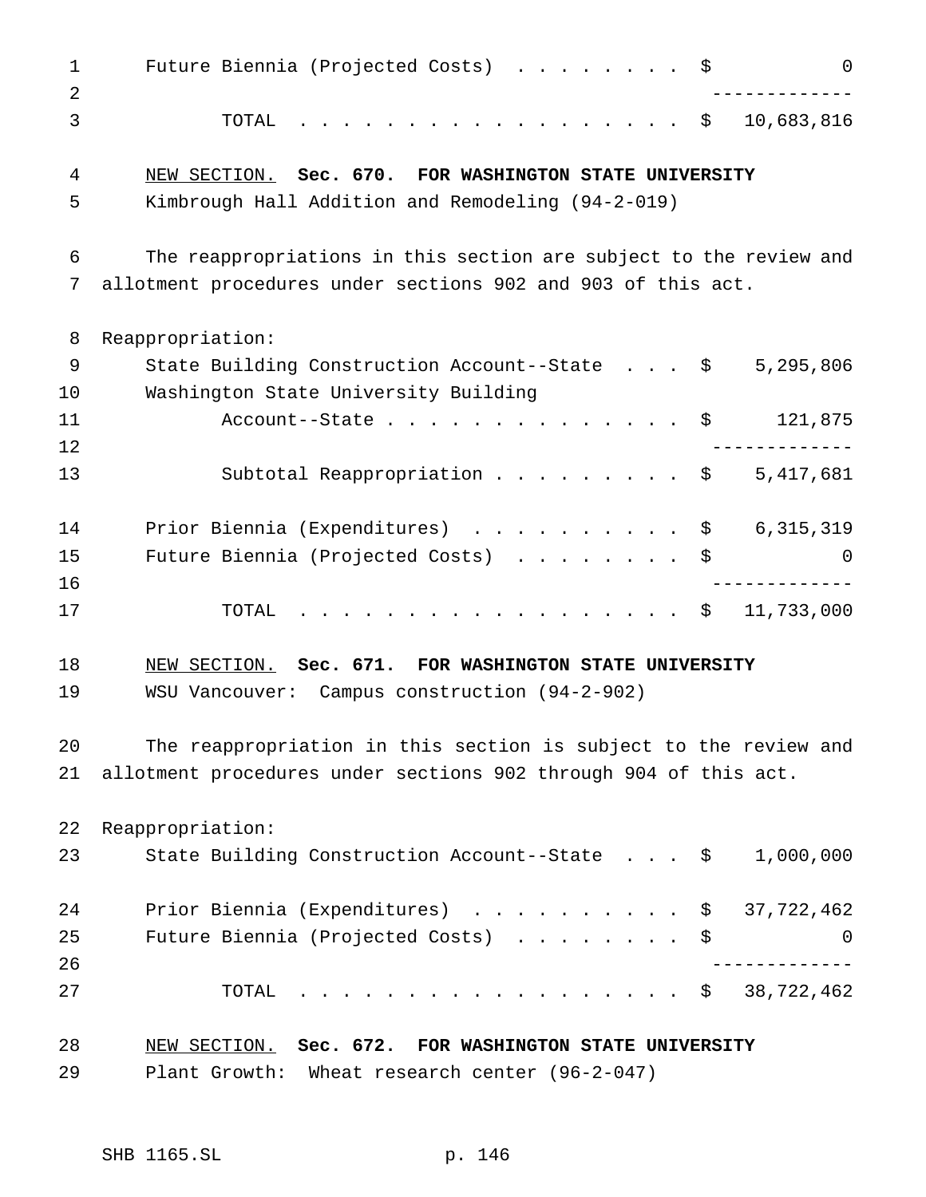| $\mathbf{1}$ | Future Biennia (Projected Costs) $\ldots$ \$<br>$\Omega$           |
|--------------|--------------------------------------------------------------------|
| 2<br>3       | 10,683,816<br>TOTAL<br>. \$                                        |
|              |                                                                    |
| 4            | NEW SECTION. Sec. 670. FOR WASHINGTON STATE UNIVERSITY             |
| 5            | Kimbrough Hall Addition and Remodeling (94-2-019)                  |
| 6            | The reappropriations in this section are subject to the review and |
| 7            | allotment procedures under sections 902 and 903 of this act.       |
| 8            | Reappropriation:                                                   |
| 9            | State Building Construction Account--State \$<br>5,295,806         |
| 10           | Washington State University Building                               |
| 11           | 121,875<br>Account--State $\ldots$ $\hat{S}$                       |
| 12           |                                                                    |
| 13           | Subtotal Reappropriation \$ $5,417,681$                            |
| 14           | Prior Biennia (Expenditures) \$<br>6, 315, 319                     |
| 15           | Future Biennia (Projected Costs) \$<br>0                           |
| 16           | ------------                                                       |
| 17           | 11,733,000<br>TOTAL<br>. \$                                        |
| 18           | NEW SECTION. Sec. 671. FOR WASHINGTON STATE UNIVERSITY             |
| 19           | WSU Vancouver: Campus construction (94-2-902)                      |
| 20           | The reappropriation in this section is subject to the review and   |
| 21           | allotment procedures under sections 902 through 904 of this act.   |
| 22           | Reappropriation:                                                   |
| 23           | State Building Construction Account--State \$<br>1,000,000         |
| 24           | Prior Biennia (Expenditures) \$ 37,722,462                         |
| 25           | Future Biennia (Projected Costs)<br>\$<br>0                        |
| 26           |                                                                    |
| 27           | 38,722,462<br>TOTAL<br>$\cdot$ $\cdot$ $\circ$                     |
| 28           | NEW SECTION. Sec. 672. FOR WASHINGTON STATE UNIVERSITY             |
| 29           | Plant Growth: Wheat research center (96-2-047)                     |
|              |                                                                    |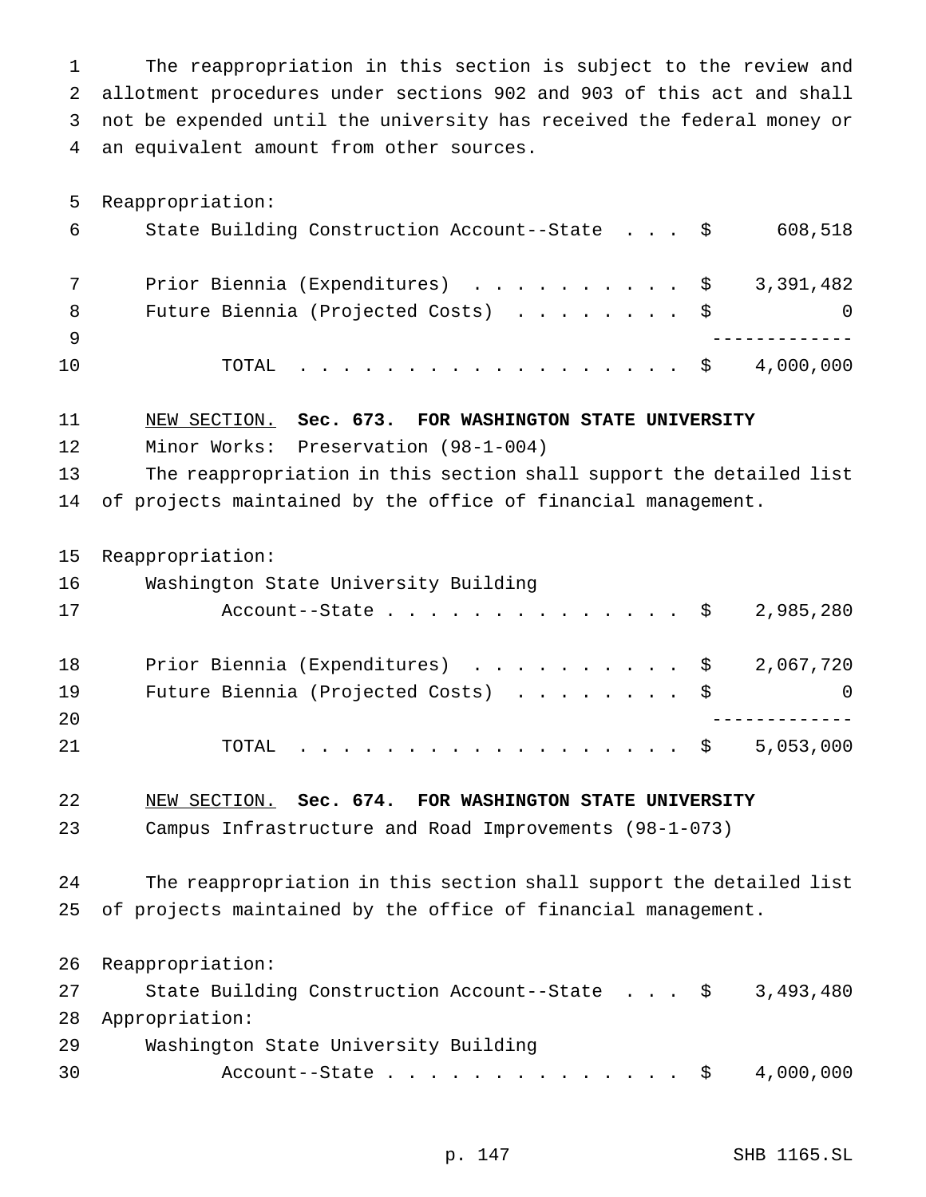The reappropriation in this section is subject to the review and allotment procedures under sections 902 and 903 of this act and shall not be expended until the university has received the federal money or an equivalent amount from other sources.

 Reappropriation: State Building Construction Account--State . . . \$ 608,518 7 Prior Biennia (Expenditures) . . . . . . . . . \$ 3,391,482 8 Future Biennia (Projected Costs) . . . . . . . \$ 0 ------------- TOTAL .................. \$ 4,000,000

NEW SECTION. **Sec. 673. FOR WASHINGTON STATE UNIVERSITY**

Minor Works: Preservation (98-1-004)

 The reappropriation in this section shall support the detailed list of projects maintained by the office of financial management.

Reappropriation:

| 16 | Washington State University Building      |   |
|----|-------------------------------------------|---|
| 17 | Account--State \$ 2,985,280               |   |
| 18 | Prior Biennia (Expenditures) \$ 2,067,720 |   |
| 19 | Future Biennia (Projected Costs) \$       | 0 |
| 20 |                                           |   |

TOTAL .................. \$ 5,053,000

NEW SECTION. **Sec. 674. FOR WASHINGTON STATE UNIVERSITY**

Campus Infrastructure and Road Improvements (98-1-073)

 The reappropriation in this section shall support the detailed list of projects maintained by the office of financial management.

 Reappropriation: 27 State Building Construction Account--State . . . \$ 3,493,480 Appropriation: Washington State University Building 30 Account--State.....................\$ 4,000,000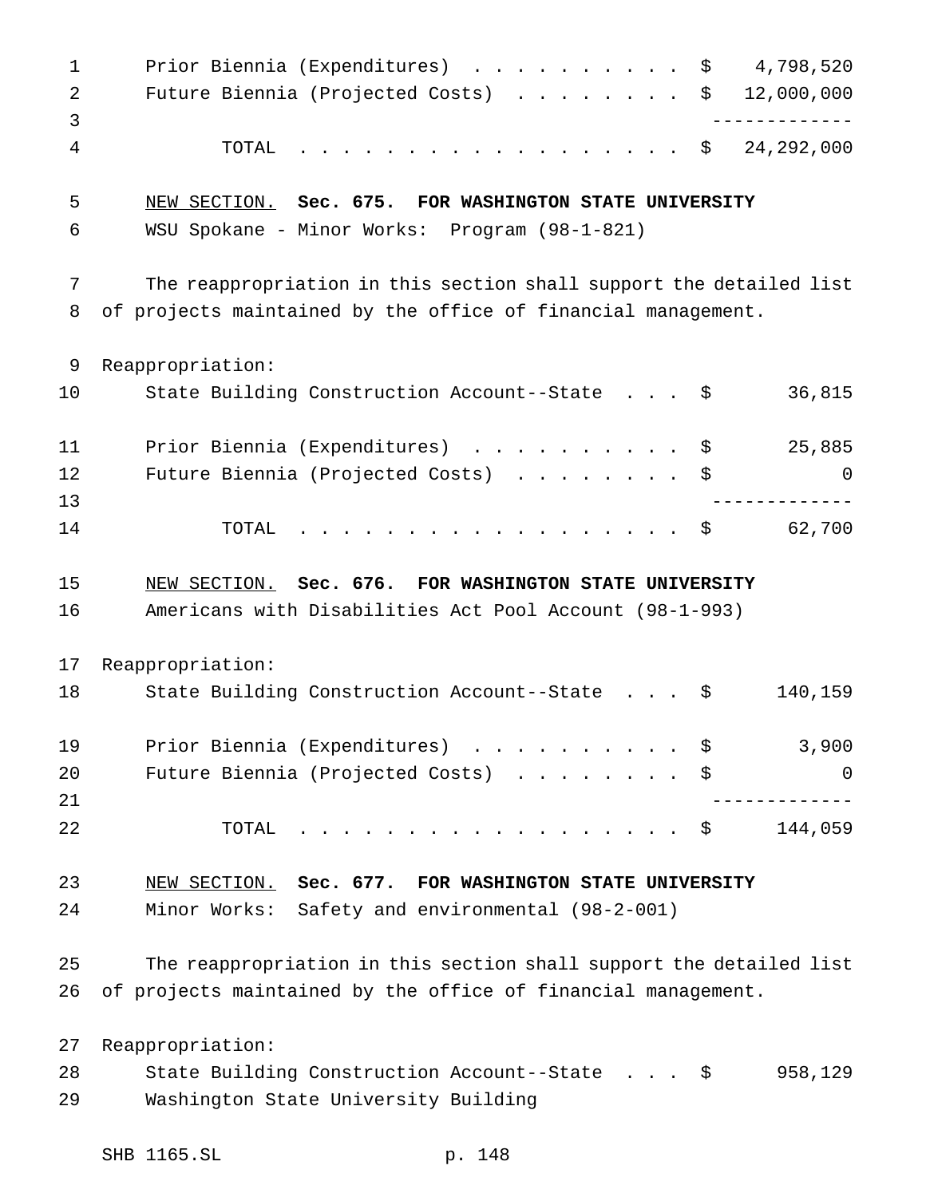1 Prior Biennia (Expenditures) . . . . . . . . . \$ 4,798,520 Future Biennia (Projected Costs) ........ \$ 12,000,000 ------------- TOTAL .................. \$ 24,292,000 NEW SECTION. **Sec. 675. FOR WASHINGTON STATE UNIVERSITY** WSU Spokane - Minor Works: Program (98-1-821) The reappropriation in this section shall support the detailed list of projects maintained by the office of financial management. Reappropriation: 10 State Building Construction Account--State . . . \$ 36,815 11 Prior Biennia (Expenditures) . . . . . . . . . \$ 25,885 Future Biennia (Projected Costs) ........ \$ 0 ------------- TOTAL .................. \$ 62,700 NEW SECTION. **Sec. 676. FOR WASHINGTON STATE UNIVERSITY** Americans with Disabilities Act Pool Account (98-1-993) Reappropriation: 18 State Building Construction Account--State . . . \$ 140,159 19 Prior Biennia (Expenditures) . . . . . . . . . \$ 3,900 20 Future Biennia (Projected Costs) . . . . . . . \$ 0 ------------- TOTAL .................. \$ 144,059 NEW SECTION. **Sec. 677. FOR WASHINGTON STATE UNIVERSITY** Minor Works: Safety and environmental (98-2-001) The reappropriation in this section shall support the detailed list of projects maintained by the office of financial management. Reappropriation: State Building Construction Account--State . . . \$ 958,129 Washington State University Building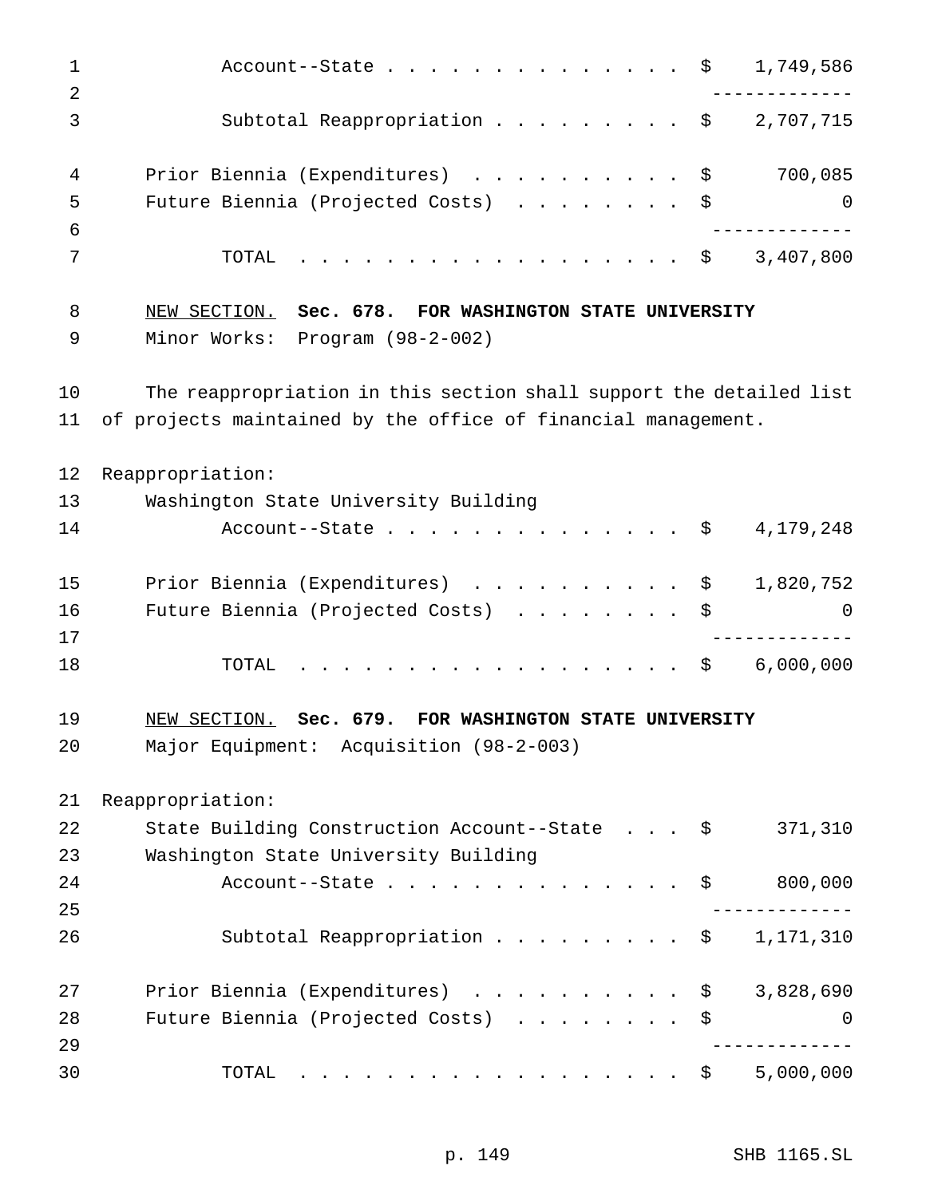| $\mathbf 1$<br>2 | 1,749,586<br>Account--State $\ldots$ \$                                                                                                                                                                                                                   |
|------------------|-----------------------------------------------------------------------------------------------------------------------------------------------------------------------------------------------------------------------------------------------------------|
| 3                | Subtotal Reappropriation \$<br>2,707,715                                                                                                                                                                                                                  |
| 4                | Prior Biennia (Expenditures) \$<br>700,085                                                                                                                                                                                                                |
| 5                | Future Biennia (Projected Costs) \$<br>$\overline{0}$                                                                                                                                                                                                     |
| 6                |                                                                                                                                                                                                                                                           |
| 7                | 3,407,800<br>TOTAL<br>. \$                                                                                                                                                                                                                                |
| 8                | NEW SECTION. Sec. 678. FOR WASHINGTON STATE UNIVERSITY                                                                                                                                                                                                    |
| 9                | Minor Works: Program (98-2-002)                                                                                                                                                                                                                           |
| 10               | The reappropriation in this section shall support the detailed list                                                                                                                                                                                       |
| 11               | of projects maintained by the office of financial management.                                                                                                                                                                                             |
| 12               | Reappropriation:                                                                                                                                                                                                                                          |
| 13               | Washington State University Building                                                                                                                                                                                                                      |
| 14               | Account--State $\ldots$ \$<br>4,179,248                                                                                                                                                                                                                   |
| 15               | Prior Biennia (Expenditures) \$<br>1,820,752                                                                                                                                                                                                              |
| 16               | Future Biennia (Projected Costs)<br>\$<br>0                                                                                                                                                                                                               |
| 17               |                                                                                                                                                                                                                                                           |
| 18               | 6,000,000<br>TOTAL<br>. \$                                                                                                                                                                                                                                |
| 19               | NEW SECTION.<br>Sec. 679.<br>FOR WASHINGTON STATE UNIVERSITY                                                                                                                                                                                              |
| 20               | Major Equipment: Acquisition (98-2-003)                                                                                                                                                                                                                   |
| 21               | Reappropriation:                                                                                                                                                                                                                                          |
| 22               | 371,310<br>State Building Construction Account--State \$                                                                                                                                                                                                  |
| 23               | Washington State University Building                                                                                                                                                                                                                      |
| 24               | 800,000<br>Account--State $\ldots$ $\hat{S}$                                                                                                                                                                                                              |
| 25               |                                                                                                                                                                                                                                                           |
| 26               | Subtotal Reappropriation \$<br>1,171,310                                                                                                                                                                                                                  |
| 27               | Prior Biennia (Expenditures) \$<br>3,828,690                                                                                                                                                                                                              |
| 28               | Future Biennia (Projected Costs)<br>$\mathbf 0$<br>\$                                                                                                                                                                                                     |
| 29               |                                                                                                                                                                                                                                                           |
| 30               | 5,000,000<br>TOTAL<br>\$<br>. The contract of the contract of the contract of the contract of the contract of the contract of the contract of the contract of the contract of the contract of the contract of the contract of the contract of the contrac |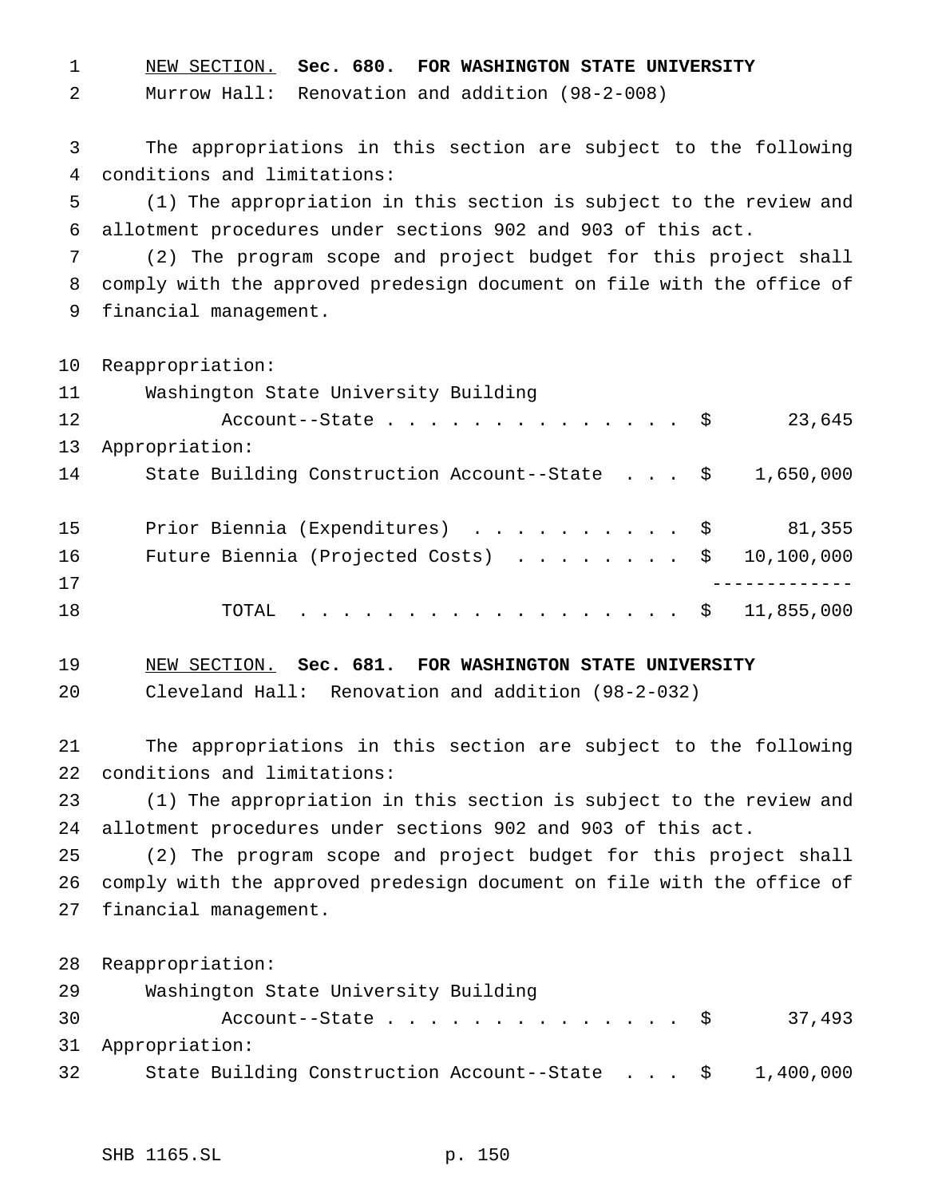NEW SECTION. **Sec. 680. FOR WASHINGTON STATE UNIVERSITY**

Murrow Hall: Renovation and addition (98-2-008)

 The appropriations in this section are subject to the following conditions and limitations:

 (1) The appropriation in this section is subject to the review and allotment procedures under sections 902 and 903 of this act.

 (2) The program scope and project budget for this project shall comply with the approved predesign document on file with the office of financial management.

Reappropriation:

| 11 | Washington State University Building                               |        |
|----|--------------------------------------------------------------------|--------|
| 12 | Account--State $\ldots$ $\frac{1}{5}$                              | 23,645 |
| 13 | Appropriation:                                                     |        |
| 14 | State Building Construction Account--State $\frac{1}{5}$ 1,650,000 |        |
|    |                                                                    |        |
| 15 | Prior Biennia (Expenditures) \$                                    | 81,355 |
| 16 | Future Biennia (Projected Costs) $\ldots$ \$ 10,100,000            |        |
| 17 |                                                                    |        |
| 18 | TOTAL \$ 11,855,000                                                |        |
|    |                                                                    |        |

NEW SECTION. **Sec. 681. FOR WASHINGTON STATE UNIVERSITY**

Cleveland Hall: Renovation and addition (98-2-032)

 The appropriations in this section are subject to the following conditions and limitations:

 (1) The appropriation in this section is subject to the review and allotment procedures under sections 902 and 903 of this act.

 (2) The program scope and project budget for this project shall comply with the approved predesign document on file with the office of financial management.

Reappropriation:

| 29 | Washington State University Building          |           |
|----|-----------------------------------------------|-----------|
| 30 | Account--State S                              | 37,493    |
|    | 31 Appropriation:                             |           |
| 32 | State Building Construction Account--State \$ | 1,400,000 |
|    |                                               |           |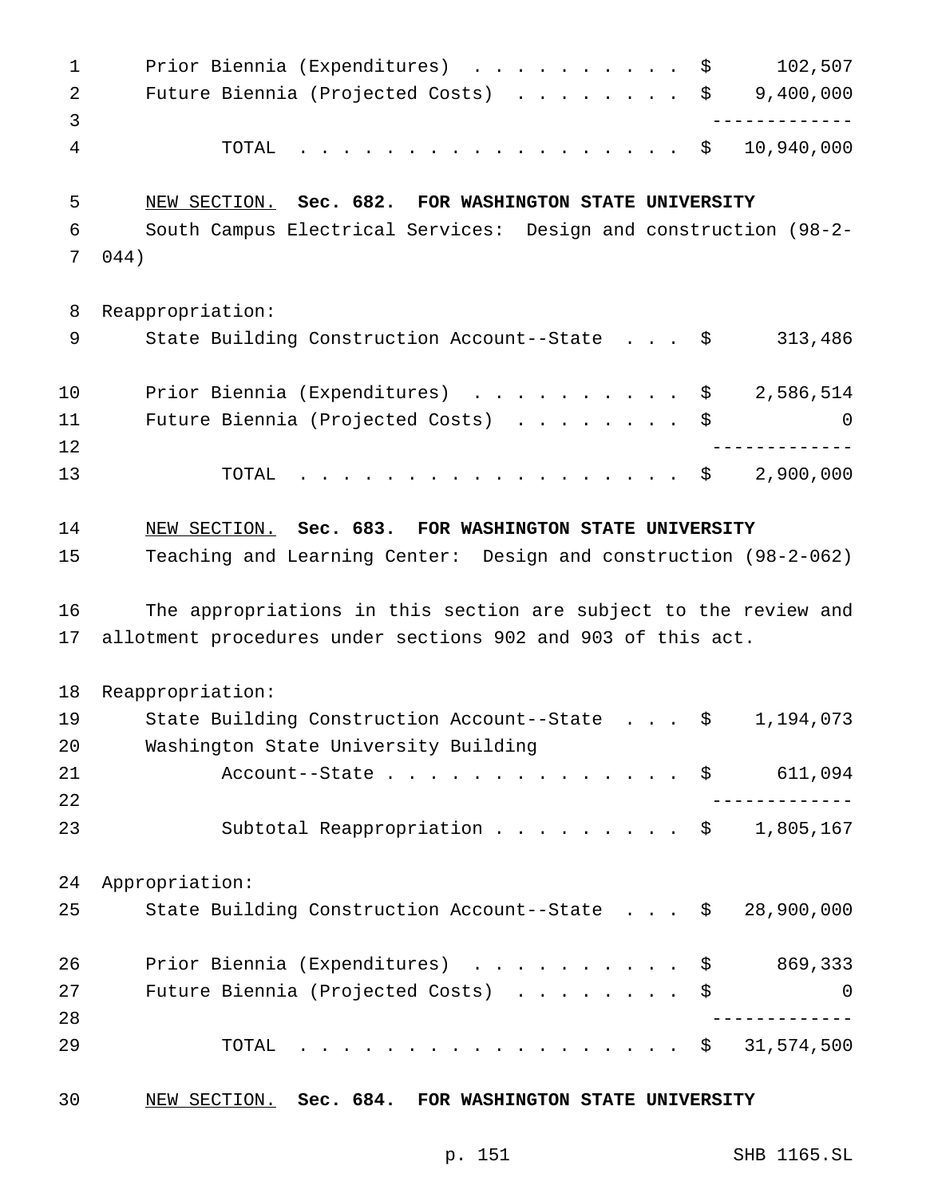1 Prior Biennia (Expenditures) . . . . . . . . . \$ 102,507 Future Biennia (Projected Costs) ........ \$ 9,400,000 ------------- TOTAL .................. \$ 10,940,000 NEW SECTION. **Sec. 682. FOR WASHINGTON STATE UNIVERSITY** South Campus Electrical Services: Design and construction (98-2- 044) Reappropriation: 9 State Building Construction Account--State . . . \$ 313,486 10 Prior Biennia (Expenditures) . . . . . . . . . \$ 2,586,514 11 Future Biennia (Projected Costs) . . . . . . . \$ 0 ------------- TOTAL .................. \$ 2,900,000 NEW SECTION. **Sec. 683. FOR WASHINGTON STATE UNIVERSITY** Teaching and Learning Center: Design and construction (98-2-062) The appropriations in this section are subject to the review and allotment procedures under sections 902 and 903 of this act. Reappropriation: State Building Construction Account--State . . . \$ 1,194,073 Washington State University Building Account--State.............. \$ 611,094 ------------- 23 Subtotal Reappropriation .......... \$ 1,805,167 Appropriation: State Building Construction Account--State . . . \$ 28,900,000 26 Prior Biennia (Expenditures) . . . . . . . . . \$ 869,333 Future Biennia (Projected Costs) ........ \$ 0 ------------- TOTAL .................. \$ 31,574,500 NEW SECTION. **Sec. 684. FOR WASHINGTON STATE UNIVERSITY**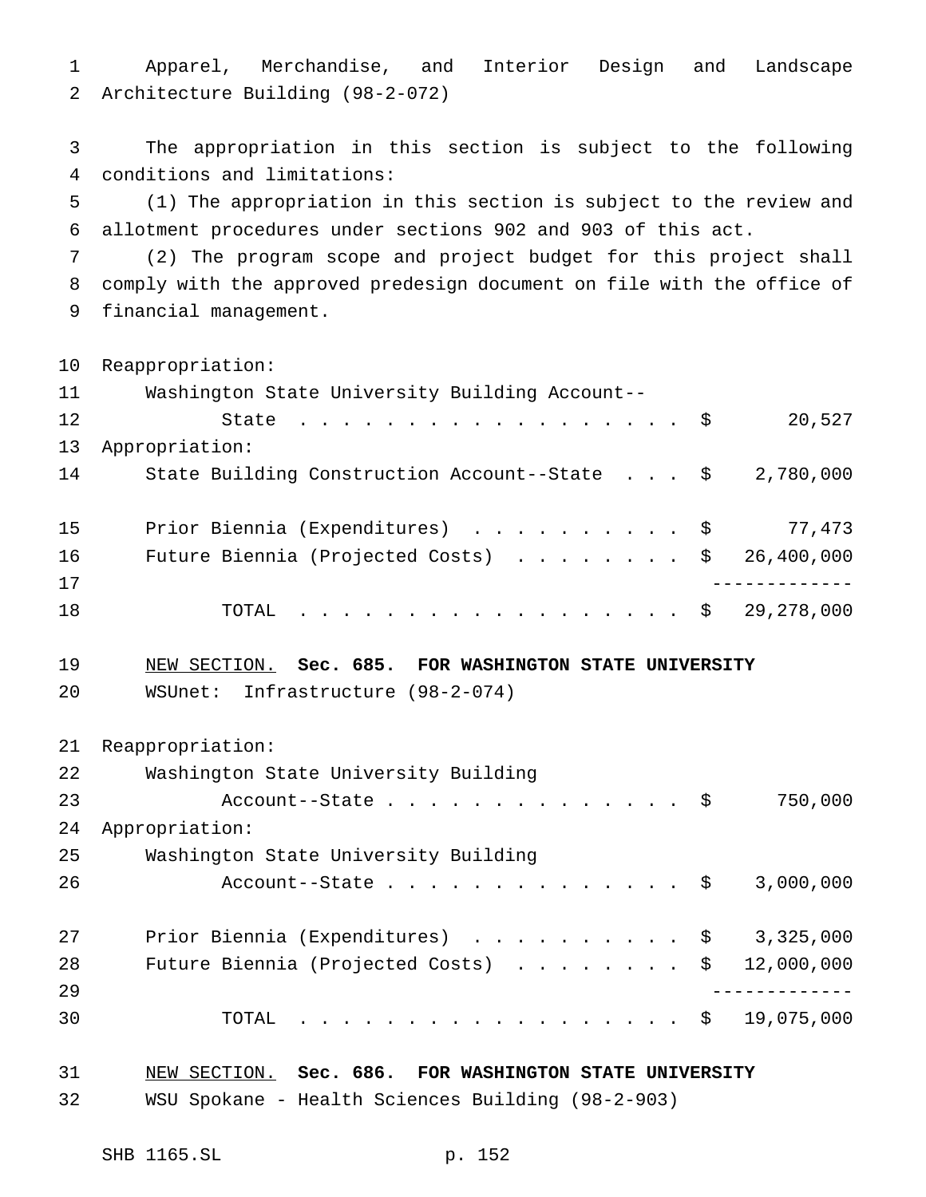Apparel, Merchandise, and Interior Design and Landscape Architecture Building (98-2-072)

 The appropriation in this section is subject to the following conditions and limitations:

 (1) The appropriation in this section is subject to the review and allotment procedures under sections 902 and 903 of this act.

 (2) The program scope and project budget for this project shall comply with the approved predesign document on file with the office of financial management.

Reappropriation:

| 11 | Washington State University Building Account--                     |        |
|----|--------------------------------------------------------------------|--------|
| 12 | State $\ldots$ $\hat{S}$                                           | 20,527 |
| 13 | Appropriation:                                                     |        |
| 14 | State Building Construction Account--State $\frac{1}{2}$ , 780,000 |        |
|    |                                                                    |        |
| 15 | Prior Biennia (Expenditures) \$ 77,473                             |        |
| 16 | Future Biennia (Projected Costs) \$ 26,400,000                     |        |
| 17 |                                                                    |        |
| 18 | TOTAL \$ 29,278,000                                                |        |

## NEW SECTION. **Sec. 685. FOR WASHINGTON STATE UNIVERSITY**

WSUnet: Infrastructure (98-2-074)

Reappropriation:

| 22 | Washington State University Building                    |           |
|----|---------------------------------------------------------|-----------|
| 23 | Account--State $\ldots$ \$                              | 750,000   |
| 24 | Appropriation:                                          |           |
| 25 | Washington State University Building                    |           |
| 26 | Account--State $\ldots$ \$                              | 3,000,000 |
|    |                                                         |           |
| 27 | Prior Biennia (Expenditures) $\ldots$ \$ 3,325,000      |           |
| 28 | Future Biennia (Projected Costs) $\ldots$ \$ 12,000,000 |           |
| 29 |                                                         |           |
| 30 | . \$ 19,075,000<br>TOTAL                                |           |

| 31 |  |  |                                                   | NEW SECTION. Sec. 686. FOR WASHINGTON STATE UNIVERSITY |
|----|--|--|---------------------------------------------------|--------------------------------------------------------|
| 32 |  |  | WSU Spokane - Health Sciences Building (98-2-903) |                                                        |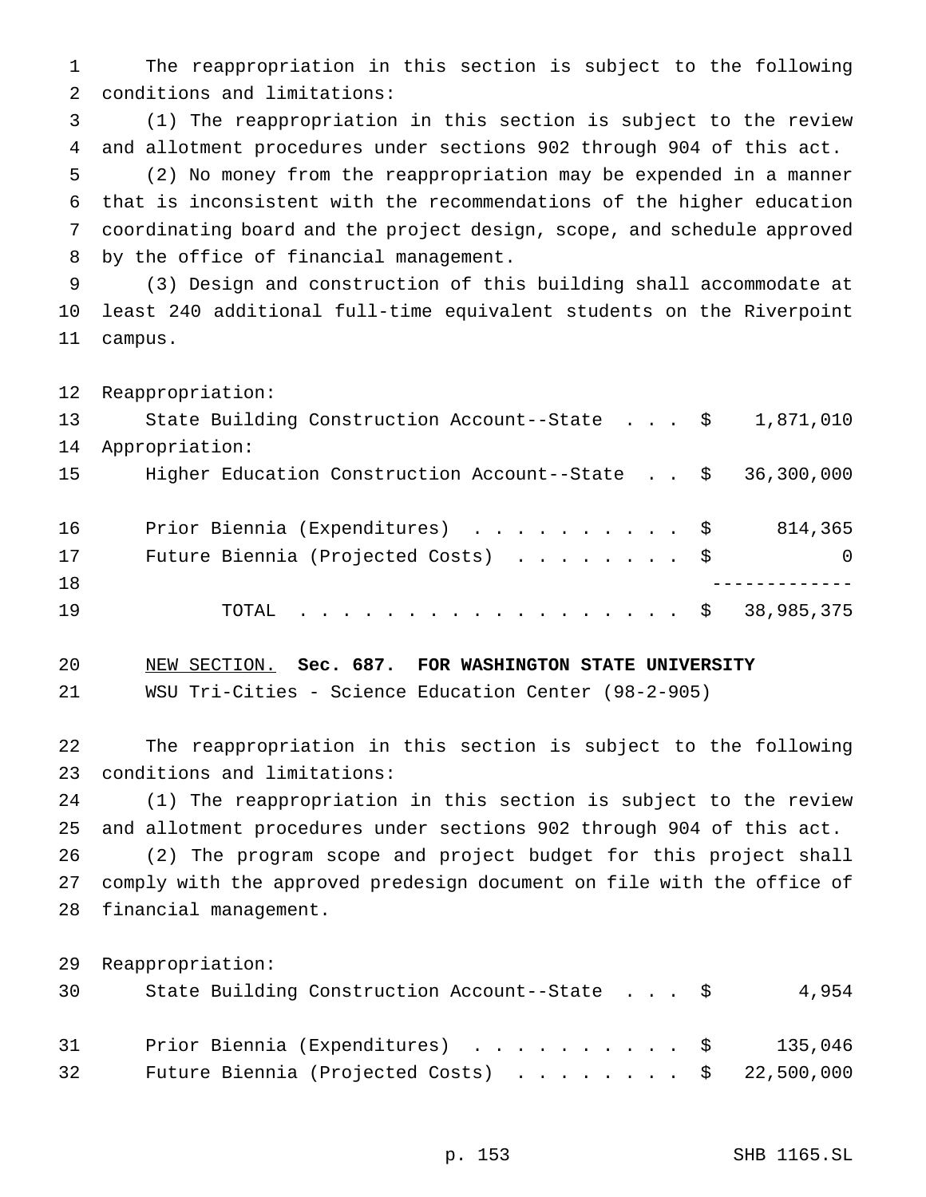The reappropriation in this section is subject to the following conditions and limitations:

 (1) The reappropriation in this section is subject to the review and allotment procedures under sections 902 through 904 of this act.

 (2) No money from the reappropriation may be expended in a manner that is inconsistent with the recommendations of the higher education coordinating board and the project design, scope, and schedule approved by the office of financial management.

 (3) Design and construction of this building shall accommodate at least 240 additional full-time equivalent students on the Riverpoint campus.

Reappropriation:

| 13 | State Building Construction Account--State $\$$ 1,871,010  |          |
|----|------------------------------------------------------------|----------|
| 14 | Appropriation:                                             |          |
| 15 | Higher Education Construction Account--State \$ 36,300,000 |          |
| 16 | Prior Biennia (Expenditures) \$                            | 814,365  |
| 17 | Future Biennia (Projected Costs) \$                        | $\Omega$ |
| 18 |                                                            |          |
| 19 | TOTAL \$ 38,985,375                                        |          |

NEW SECTION. **Sec. 687. FOR WASHINGTON STATE UNIVERSITY**

WSU Tri-Cities - Science Education Center (98-2-905)

 The reappropriation in this section is subject to the following conditions and limitations:

 (1) The reappropriation in this section is subject to the review and allotment procedures under sections 902 through 904 of this act.

 (2) The program scope and project budget for this project shall comply with the approved predesign document on file with the office of financial management.

Reappropriation:

| 30 | State Building Construction Account--State \$           | 4,954   |
|----|---------------------------------------------------------|---------|
| 31 | Prior Biennia (Expenditures) \$                         | 135,046 |
| 32 | Future Biennia (Projected Costs) $\ldots$ \$ 22,500,000 |         |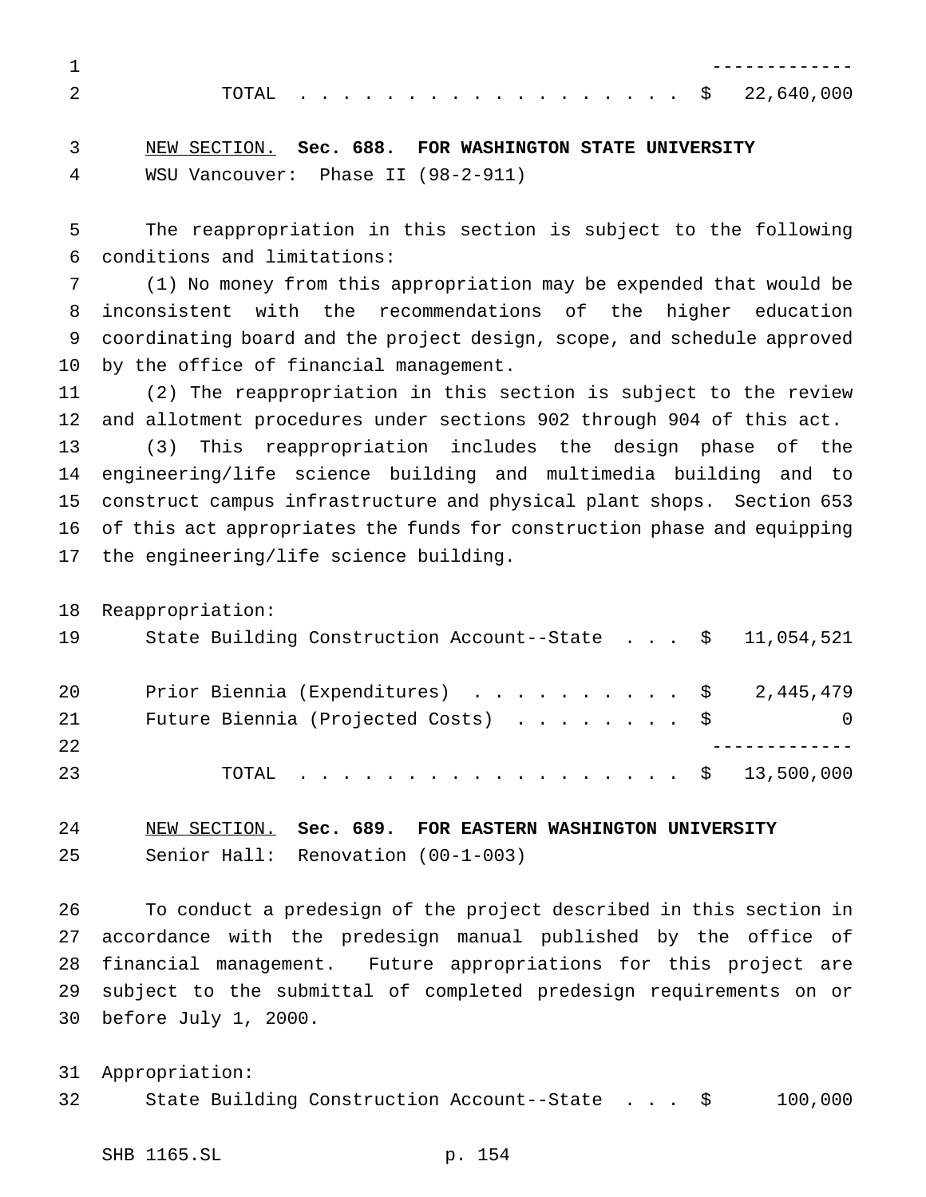TOTAL .................. \$ 22,640,000

 NEW SECTION. **Sec. 688. FOR WASHINGTON STATE UNIVERSITY** WSU Vancouver: Phase II (98-2-911)

 The reappropriation in this section is subject to the following conditions and limitations:

 (1) No money from this appropriation may be expended that would be inconsistent with the recommendations of the higher education coordinating board and the project design, scope, and schedule approved by the office of financial management.

 (2) The reappropriation in this section is subject to the review and allotment procedures under sections 902 through 904 of this act.

 (3) This reappropriation includes the design phase of the engineering/life science building and multimedia building and to construct campus infrastructure and physical plant shops. Section 653 of this act appropriates the funds for construction phase and equipping the engineering/life science building.

Reappropriation:

| 19 | State Building Construction Account--State $\frac{1}{5}$ 11,054,521 |   |
|----|---------------------------------------------------------------------|---|
| 20 | Prior Biennia (Expenditures) \$ 2,445,479                           |   |
| 21 | Future Biennia (Projected Costs) \$                                 | 0 |
| 22 |                                                                     |   |
| 23 | TOTAL \$ 13,500,000                                                 |   |

 NEW SECTION. **Sec. 689. FOR EASTERN WASHINGTON UNIVERSITY** Senior Hall: Renovation (00-1-003)

 To conduct a predesign of the project described in this section in accordance with the predesign manual published by the office of financial management. Future appropriations for this project are subject to the submittal of completed predesign requirements on or before July 1, 2000.

 Appropriation: State Building Construction Account--State . . . \$ 100,000

SHB 1165.SL p. 154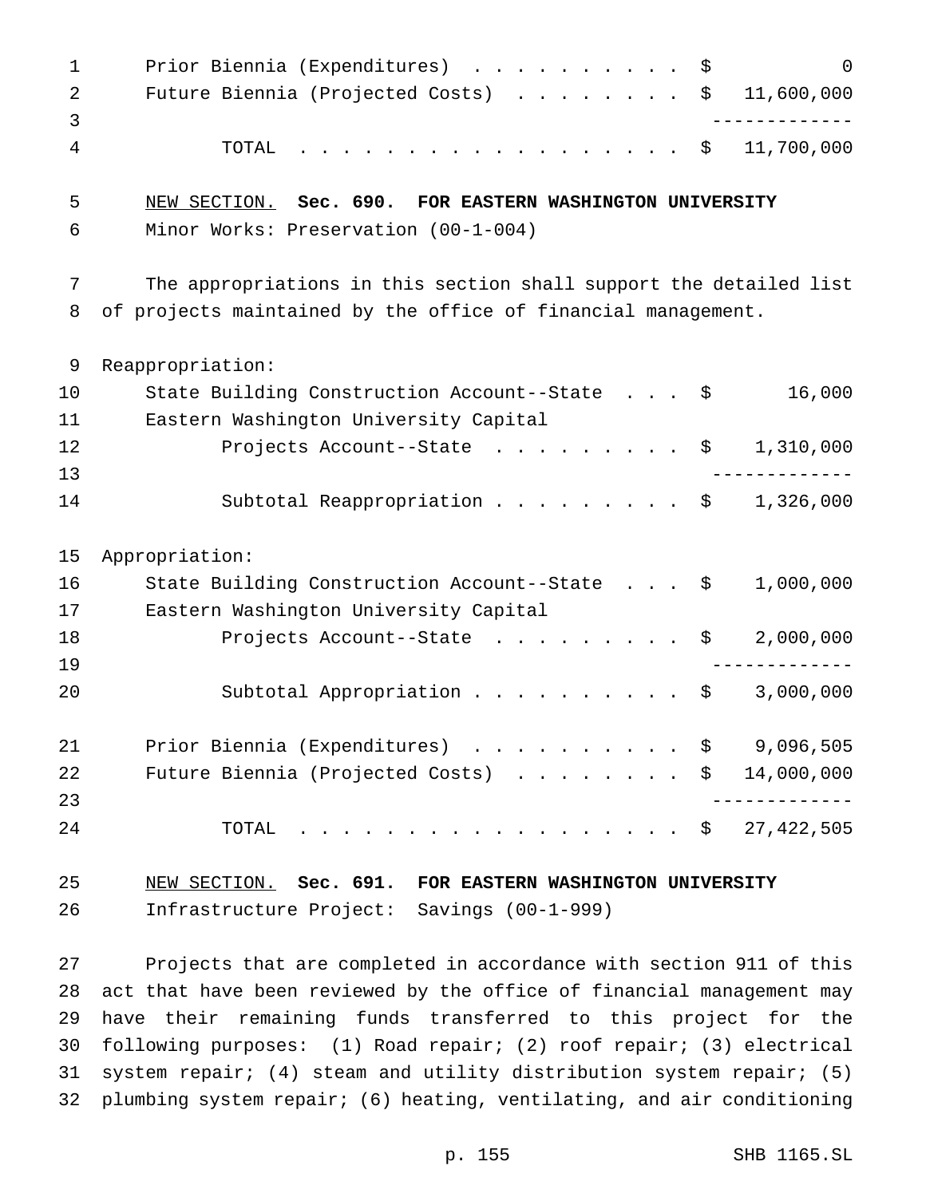1 Prior Biennia (Expenditures) . . . . . . . . . \$ 0 2 Future Biennia (Projected Costs) . . . . . . . \$ 11,600,000 ------------- TOTAL .................. \$ 11,700,000 NEW SECTION. **Sec. 690. FOR EASTERN WASHINGTON UNIVERSITY** Minor Works: Preservation (00-1-004) The appropriations in this section shall support the detailed list of projects maintained by the office of financial management. Reappropriation: State Building Construction Account--State . . . \$ 16,000 Eastern Washington University Capital 12 Projects Account--State . . . . . . . . \$ 1,310,000 ------------- 14 Subtotal Reappropriation . . . . . . . . \$ 1,326,000 Appropriation: State Building Construction Account--State . . . \$ 1,000,000 Eastern Washington University Capital 18 Projects Account--State . . . . . . . . \$ 2,000,000 ------------- Subtotal Appropriation.......... \$ 3,000,000 21 Prior Biennia (Expenditures) . . . . . . . . . \$ 9,096,505 22 Future Biennia (Projected Costs) . . . . . . . \$ 14,000,000 ------------- TOTAL .................. \$ 27,422,505 NEW SECTION. **Sec. 691. FOR EASTERN WASHINGTON UNIVERSITY** Infrastructure Project: Savings (00-1-999)

 Projects that are completed in accordance with section 911 of this act that have been reviewed by the office of financial management may have their remaining funds transferred to this project for the following purposes: (1) Road repair; (2) roof repair; (3) electrical system repair; (4) steam and utility distribution system repair; (5) plumbing system repair; (6) heating, ventilating, and air conditioning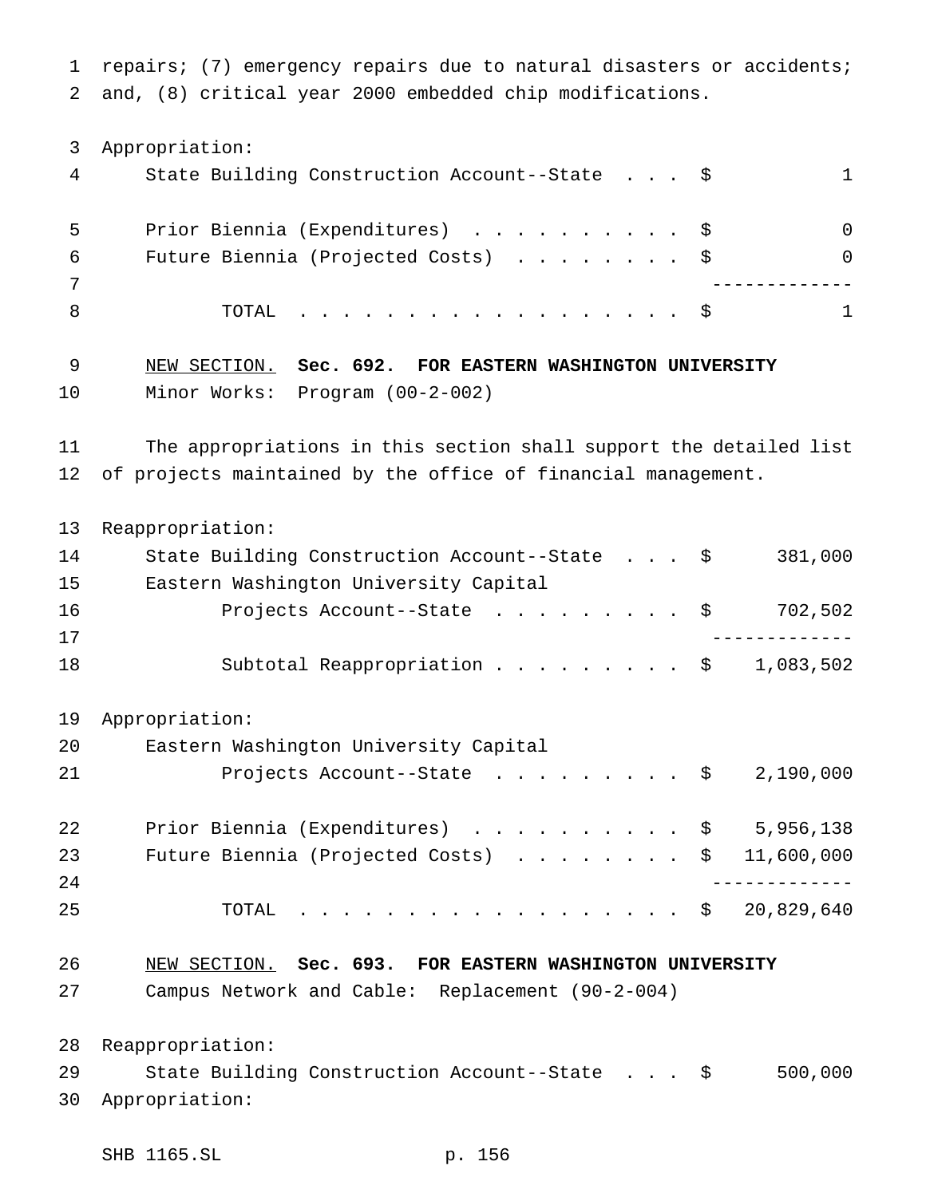repairs; (7) emergency repairs due to natural disasters or accidents; and, (8) critical year 2000 embedded chip modifications.

 Appropriation: State Building Construction Account--State . . . \$ 1 Prior Biennia (Expenditures) .......... \$ 0 Future Biennia (Projected Costs) ........ \$ 0 ------------- 8 TOTAL . . . . . . . . . . . . . . . . \$ 1 NEW SECTION. **Sec. 692. FOR EASTERN WASHINGTON UNIVERSITY** Minor Works: Program (00-2-002) The appropriations in this section shall support the detailed list of projects maintained by the office of financial management. Reappropriation: 14 State Building Construction Account--State . . . \$ 381,000 Eastern Washington University Capital 16 Projects Account--State ......... \$ 702,502 ------------- 18 Subtotal Reappropriation . . . . . . . . \$ 1,083,502 Appropriation: Eastern Washington University Capital 21 Projects Account--State . . . . . . . . \$ 2,190,000 22 Prior Biennia (Expenditures) . . . . . . . . . \$ 5,956,138 23 Future Biennia (Projected Costs) . . . . . . . \$ 11,600,000 ------------- TOTAL .................. \$ 20,829,640 NEW SECTION. **Sec. 693. FOR EASTERN WASHINGTON UNIVERSITY** Campus Network and Cable: Replacement (90-2-004) Reappropriation: State Building Construction Account--State . . . \$ 500,000 Appropriation: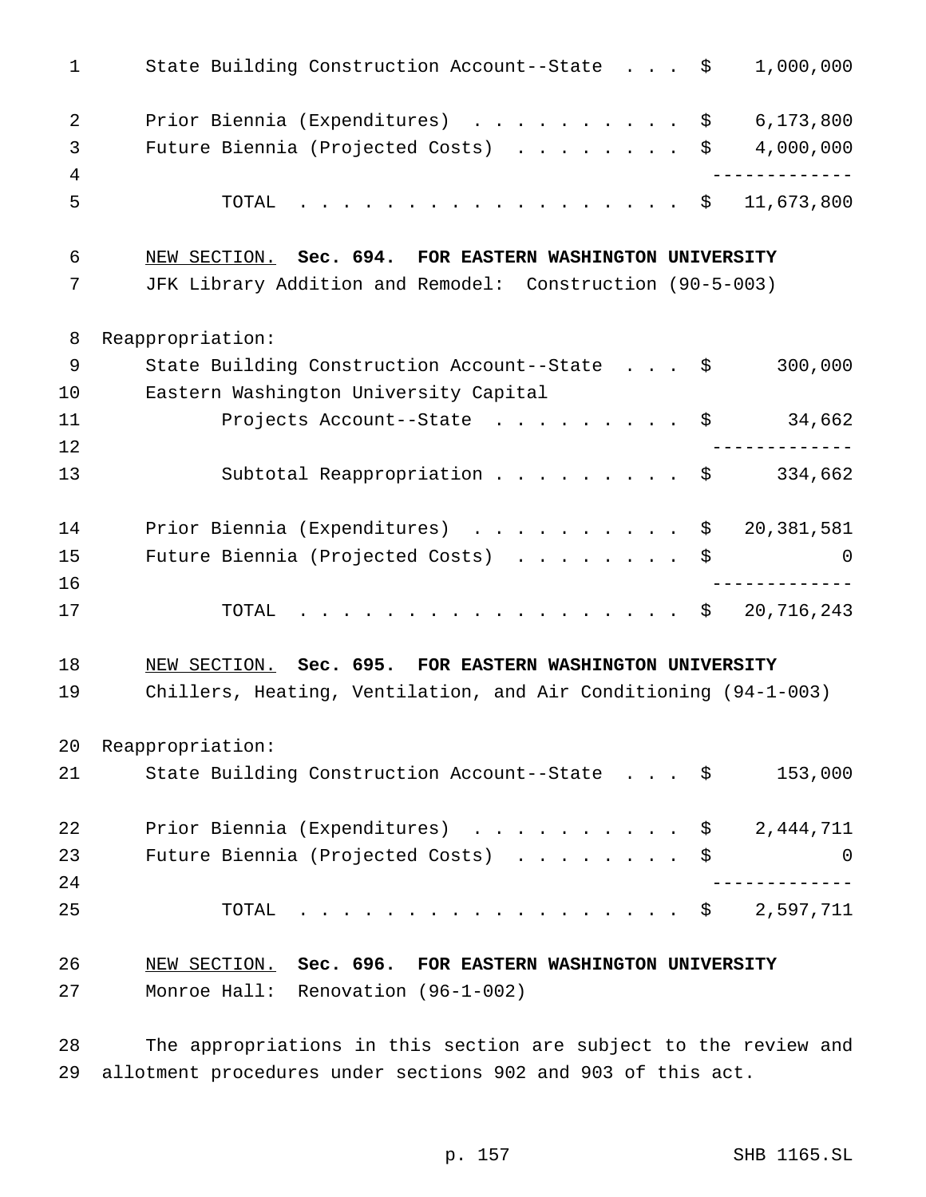| $\mathbf{1}$   | State Building Construction Account--State \$<br>1,000,000      |
|----------------|-----------------------------------------------------------------|
| $\overline{2}$ | Prior Biennia (Expenditures) \$<br>6,173,800                    |
| 3              | 4,000,000<br>Future Biennia (Projected Costs) $\ldots \ldots$   |
| 4              | . _ _ _ _ _ _ _ _ _ _ _ _                                       |
| 5              | 11,673,800<br>TOTAL<br>. \$                                     |
| 6              | NEW SECTION. Sec. 694. FOR EASTERN WASHINGTON UNIVERSITY        |
| 7              | JFK Library Addition and Remodel: Construction (90-5-003)       |
| 8              | Reappropriation:                                                |
| 9              | State Building Construction Account--State \$<br>300,000        |
| 10             | Eastern Washington University Capital                           |
| 11             | Projects Account--State $\ldots$ \$ 34,662                      |
| 12             | ____________                                                    |
| 13             | Subtotal Reappropriation \$ 334,662                             |
| 14             | Prior Biennia (Expenditures) \$ 20,381,581                      |
| 15             | Future Biennia (Projected Costs) \$<br>0                        |
| 16             |                                                                 |
| 17             | . \$<br>20,716,243<br>TOTAL                                     |
| 18             | NEW SECTION. Sec. 695. FOR EASTERN WASHINGTON UNIVERSITY        |
| 19             | Chillers, Heating, Ventilation, and Air Conditioning (94-1-003) |
| 20             | Reappropriation:                                                |
| 21             | State Building Construction Account--State \$<br>153,000        |
| 22             | Prior Biennia (Expenditures) \$ 2,444,711                       |
| 23             | Future Biennia (Projected Costs)<br>\$<br>0                     |
| 24             |                                                                 |
| 25             | $\cdot$ \$ 2,597,711<br>TOTAL                                   |
| 26             | NEW SECTION. Sec. 696. FOR EASTERN WASHINGTON UNIVERSITY        |
| 27             | Monroe Hall: Renovation (96-1-002)                              |

 The appropriations in this section are subject to the review and allotment procedures under sections 902 and 903 of this act.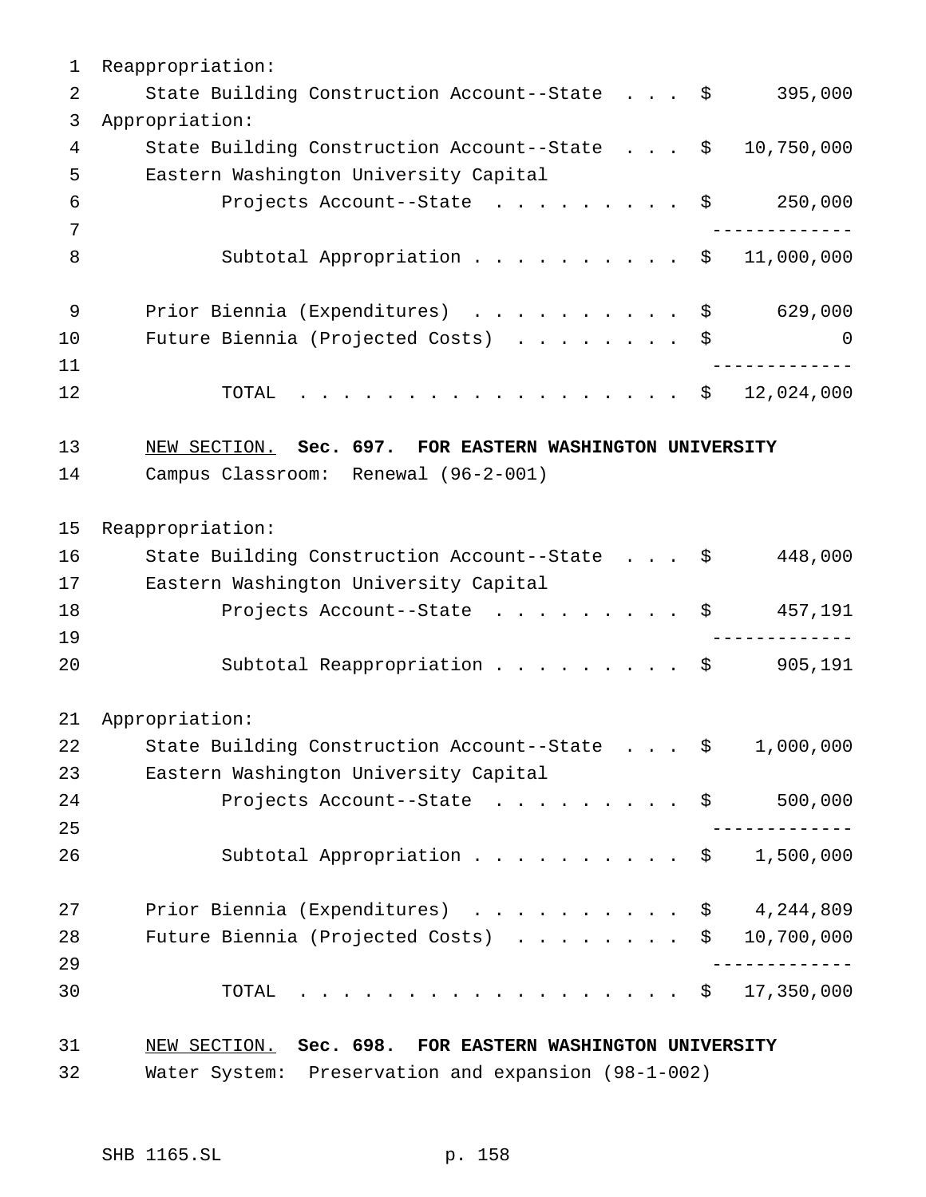Reappropriation: 2 State Building Construction Account--State . . . \$ 395,000 Appropriation: State Building Construction Account--State . . . \$ 10,750,000 Eastern Washington University Capital Projects Account--State ......... \$ 250,000 ------------- 8 Subtotal Appropriation . . . . . . . . . \$ 11,000,000 9 Prior Biennia (Expenditures) . . . . . . . . . \$ 629,000 10 Future Biennia (Projected Costs) . . . . . . . \$ 0 ------------- 12 TOTAL . . . . . . . . . . . . . . . . \$ 12,024,000 NEW SECTION. **Sec. 697. FOR EASTERN WASHINGTON UNIVERSITY** Campus Classroom: Renewal (96-2-001) Reappropriation: State Building Construction Account--State . . . \$ 448,000 Eastern Washington University Capital 18 Projects Account--State . . . . . . . . \$ 457,191 ------------- Subtotal Reappropriation ......... \$ 905,191 Appropriation: State Building Construction Account--State . . . \$ 1,000,000 Eastern Washington University Capital 24 Projects Account--State . . . . . . . . \$ 500,000 ------------- Subtotal Appropriation.......... \$ 1,500,000 Prior Biennia (Expenditures) .......... \$ 4,244,809 Future Biennia (Projected Costs) ........ \$ 10,700,000 ------------- TOTAL .................. \$ 17,350,000 NEW SECTION. **Sec. 698. FOR EASTERN WASHINGTON UNIVERSITY** Water System: Preservation and expansion (98-1-002)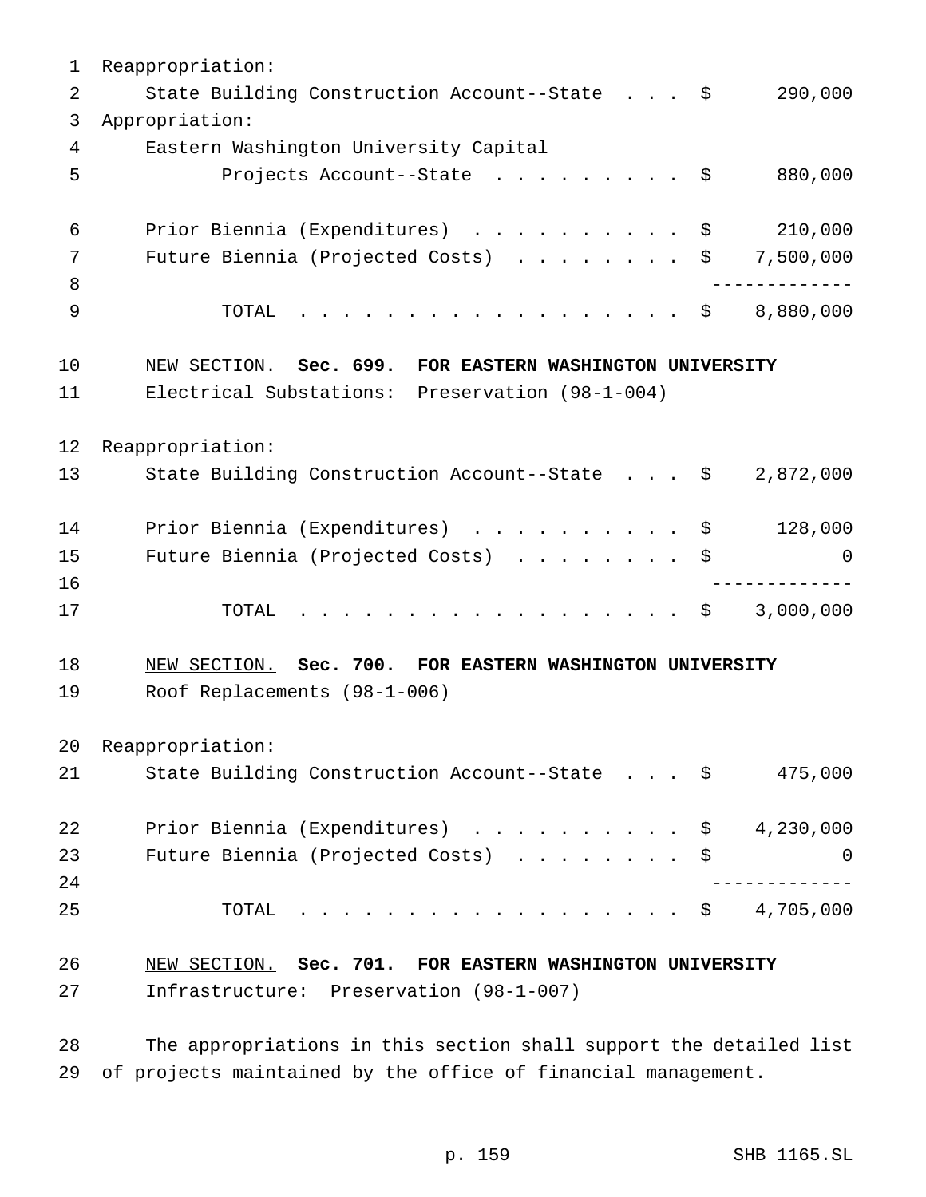| 1  | Reappropriation:                                           |
|----|------------------------------------------------------------|
| 2  | 290,000<br>State Building Construction Account--State \$   |
| 3  | Appropriation:                                             |
| 4  | Eastern Washington University Capital                      |
| 5  | Projects Account--State \$<br>880,000                      |
| 6  | 210,000<br>Prior Biennia (Expenditures) \$                 |
| 7  | Future Biennia (Projected Costs)<br>7,500,000<br>\$        |
| 8  |                                                            |
| 9  | . \$<br>8,880,000<br>TOTAL                                 |
| 10 | NEW SECTION. Sec. 699. FOR EASTERN WASHINGTON UNIVERSITY   |
| 11 | Electrical Substations: Preservation (98-1-004)            |
| 12 | Reappropriation:                                           |
| 13 | State Building Construction Account--State \$<br>2,872,000 |
| 14 | Prior Biennia (Expenditures) \$<br>128,000                 |
| 15 | Future Biennia (Projected Costs)<br>\$<br>$\Omega$         |
| 16 | ------------                                               |
| 17 | . \$<br>3,000,000<br>TOTAL                                 |
| 18 | NEW SECTION. Sec. 700. FOR EASTERN WASHINGTON UNIVERSITY   |
| 19 | Roof Replacements (98-1-006)                               |
| 20 | Reappropriation:                                           |
| 21 | State Building Construction Account--State \$<br>475,000   |
| 22 | Prior Biennia (Expenditures) $\ldots$ \$ 4,230,000         |
| 23 | Future Biennia (Projected Costs)<br>\$<br>0                |
| 24 |                                                            |
| 25 | $\cdot$ \$ 4,705,000<br>TOTAL                              |
| 26 | NEW SECTION. Sec. 701. FOR EASTERN WASHINGTON UNIVERSITY   |
| 27 | Infrastructure: Preservation (98-1-007)                    |
|    |                                                            |

 The appropriations in this section shall support the detailed list of projects maintained by the office of financial management.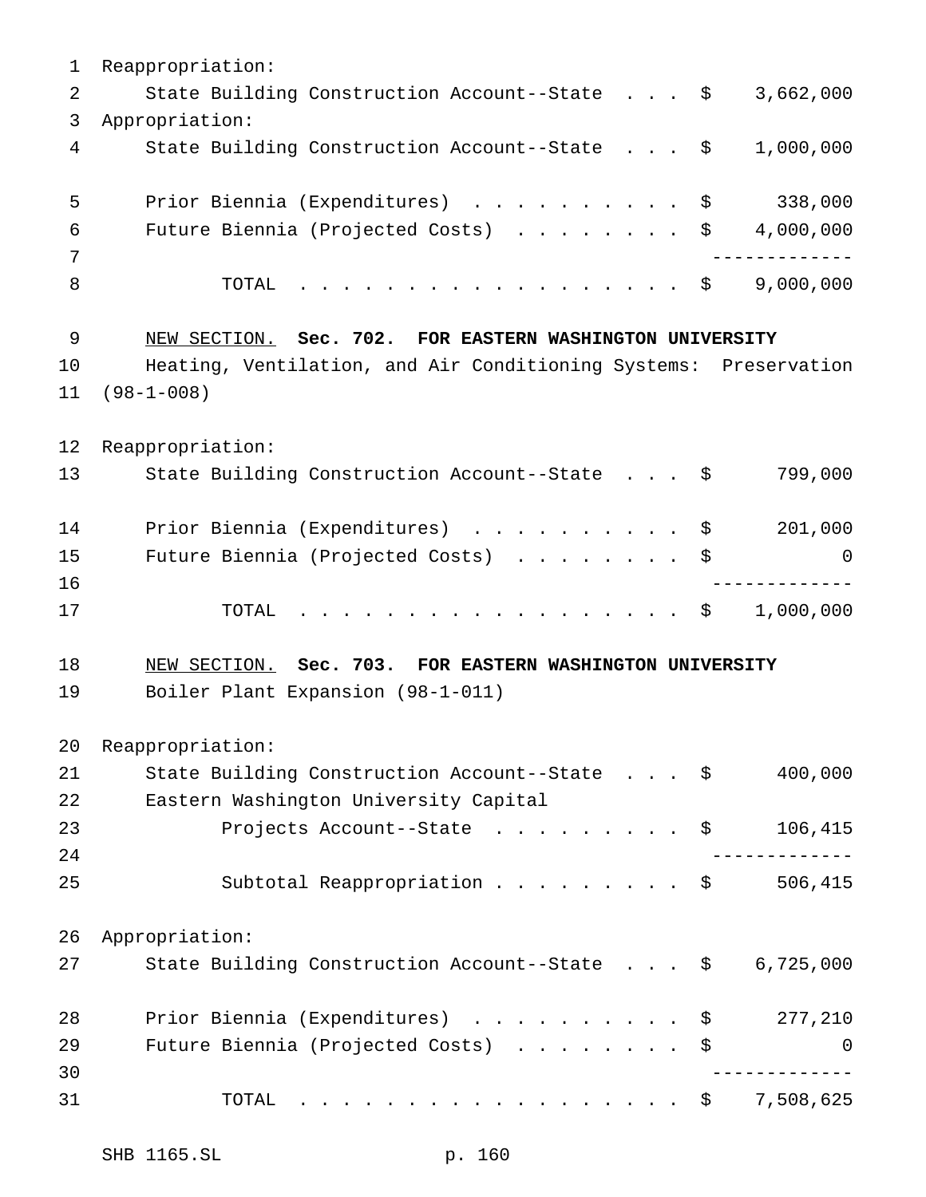| 1  | Reappropriation:                                                 |
|----|------------------------------------------------------------------|
| 2  | State Building Construction Account--State \$<br>3,662,000       |
| 3  | Appropriation:                                                   |
| 4  | State Building Construction Account--State \$<br>1,000,000       |
| 5  | Prior Biennia (Expenditures) \$<br>338,000                       |
| 6  | Future Biennia (Projected Costs) \$<br>4,000,000                 |
| 7  | . _ _ _ _ _ _ _ _ _ _ _ _                                        |
| 8  | 9,000,000<br>. \$<br>TOTAL                                       |
| 9  | NEW SECTION. Sec. 702. FOR EASTERN WASHINGTON UNIVERSITY         |
| 10 | Heating, Ventilation, and Air Conditioning Systems: Preservation |
| 11 | $(98 - 1 - 008)$                                                 |
| 12 | Reappropriation:                                                 |
| 13 | State Building Construction Account--State \$<br>799,000         |
| 14 | Prior Biennia (Expenditures) \$<br>201,000                       |
| 15 | Future Biennia (Projected Costs) \$<br>0                         |
| 16 |                                                                  |
| 17 | . \$<br>1,000,000<br>TOTAL                                       |
| 18 | NEW SECTION. Sec. 703. FOR EASTERN WASHINGTON UNIVERSITY         |
| 19 | Boiler Plant Expansion (98-1-011)                                |
| 20 | Reappropriation:                                                 |
| 21 | State Building Construction Account--State \$<br>400,000         |
| 22 | Eastern Washington University Capital                            |
| 23 | Projects Account--State \$<br>106,415                            |
| 24 |                                                                  |
| 25 | Subtotal Reappropriation $\frac{1}{2}$<br>506,415                |
| 26 | Appropriation:                                                   |
| 27 | State Building Construction Account--State \$<br>6,725,000       |
| 28 | Prior Biennia (Expenditures) \$<br>277,210                       |
| 29 | Future Biennia (Projected Costs)<br>$\mathbf 0$                  |
| 30 |                                                                  |
| 31 | . \$ 7,508,625<br>TOTAL                                          |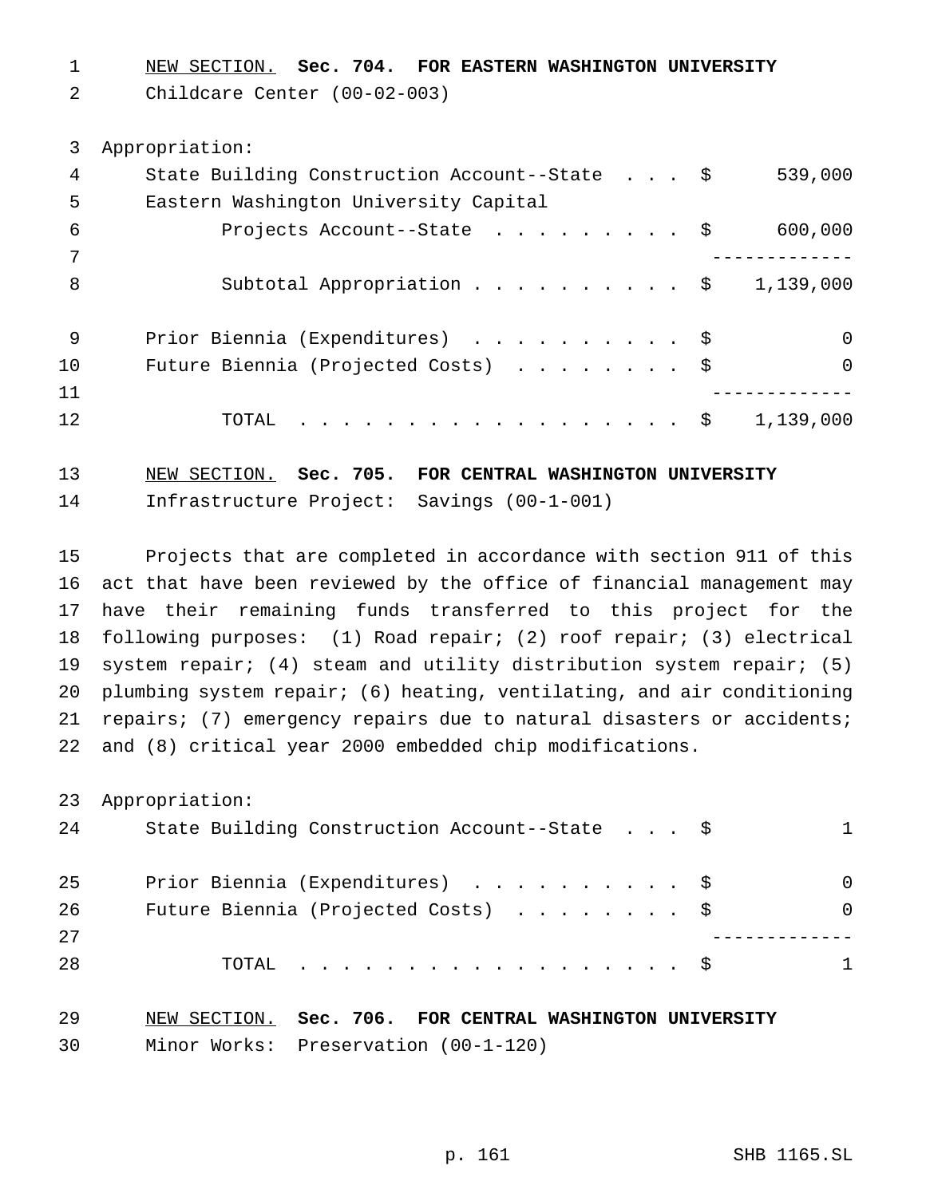NEW SECTION. **Sec. 704. FOR EASTERN WASHINGTON UNIVERSITY**

Childcare Center (00-02-003)

 Appropriation: State Building Construction Account--State . . . \$ 539,000 Eastern Washington University Capital Projects Account--State ......... \$ 600,000 ------------- 8 Subtotal Appropriation . . . . . . . . . \$ 1,139,000 Prior Biennia (Expenditures) .......... \$ 0 10 Future Biennia (Projected Costs) . . . . . . . \$ 0 ------------- 12 TOTAL . . . . . . . . . . . . . . . . \$ 1,139,000

 NEW SECTION. **Sec. 705. FOR CENTRAL WASHINGTON UNIVERSITY** Infrastructure Project: Savings (00-1-001)

 Projects that are completed in accordance with section 911 of this act that have been reviewed by the office of financial management may have their remaining funds transferred to this project for the following purposes: (1) Road repair; (2) roof repair; (3) electrical system repair; (4) steam and utility distribution system repair; (5) plumbing system repair; (6) heating, ventilating, and air conditioning repairs; (7) emergency repairs due to natural disasters or accidents; and (8) critical year 2000 embedded chip modifications.

Appropriation:

| 24 | State Building Construction Account--State \$ | 1            |
|----|-----------------------------------------------|--------------|
| 25 | Prior Biennia (Expenditures) \$               | $\Omega$     |
| 26 | Future Biennia (Projected Costs) $\ldots$ \$  | <sup>0</sup> |
| 27 |                                               |              |
| 28 | TOTAL $\hat{S}$                               | 1            |
|    |                                               |              |

 NEW SECTION. **Sec. 706. FOR CENTRAL WASHINGTON UNIVERSITY** Minor Works: Preservation (00-1-120)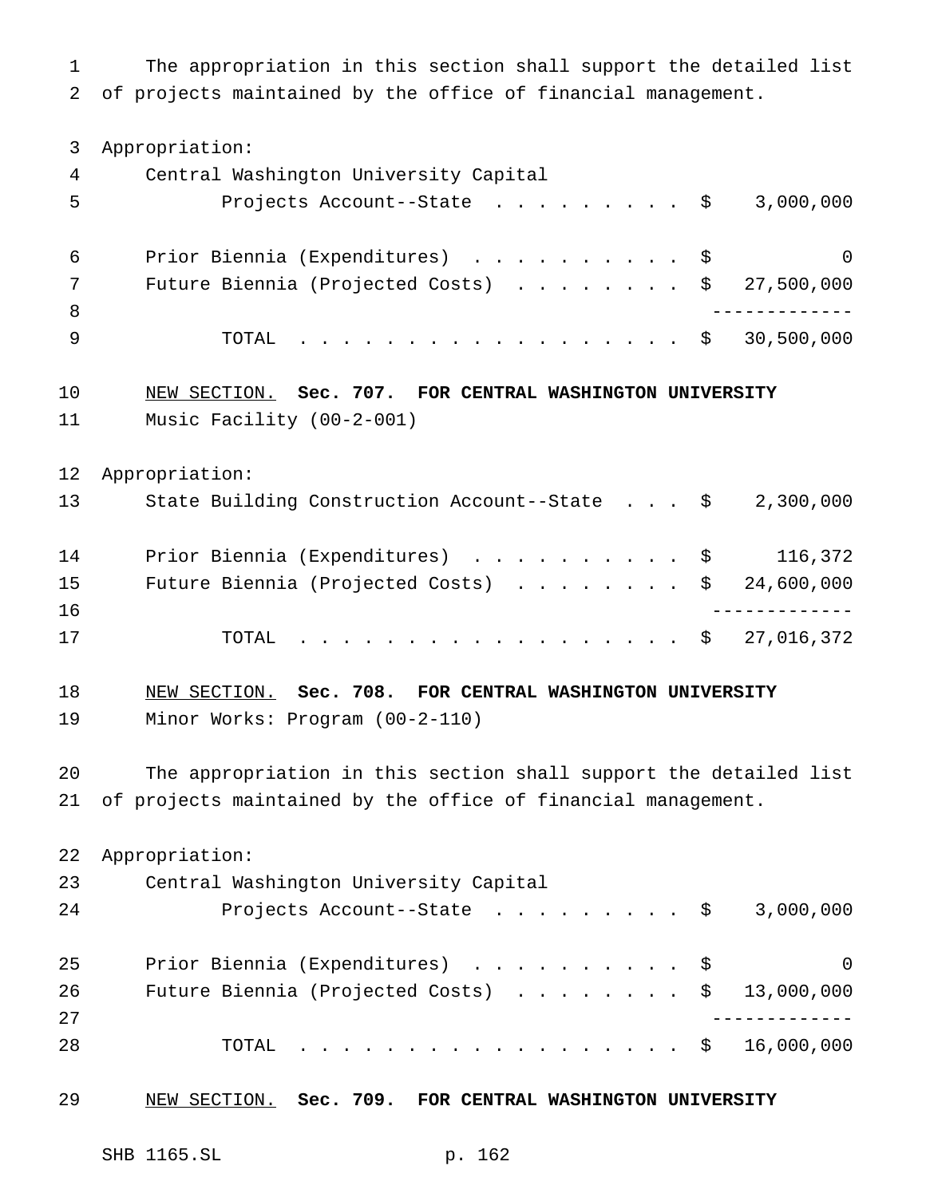The appropriation in this section shall support the detailed list of projects maintained by the office of financial management. Appropriation: Central Washington University Capital Projects Account--State ......... \$ 3,000,000 Prior Biennia (Expenditures) .......... \$ 0 Future Biennia (Projected Costs) ........ \$ 27,500,000 ------------- TOTAL .................. \$ 30,500,000 NEW SECTION. **Sec. 707. FOR CENTRAL WASHINGTON UNIVERSITY** Music Facility (00-2-001) Appropriation: State Building Construction Account--State . . . \$ 2,300,000 14 Prior Biennia (Expenditures) . . . . . . . . . \$ 116,372 Future Biennia (Projected Costs) ........ \$ 24,600,000 ------------- TOTAL .................. \$ 27,016,372 NEW SECTION. **Sec. 708. FOR CENTRAL WASHINGTON UNIVERSITY** Minor Works: Program (00-2-110) The appropriation in this section shall support the detailed list of projects maintained by the office of financial management. Appropriation: Central Washington University Capital 24 Projects Account--State . . . . . . . . \$ 3,000,000 25 Prior Biennia (Expenditures) . . . . . . . . . \$ 0 Future Biennia (Projected Costs) ........ \$ 13,000,000 ------------- TOTAL .................. \$ 16,000,000 NEW SECTION. **Sec. 709. FOR CENTRAL WASHINGTON UNIVERSITY**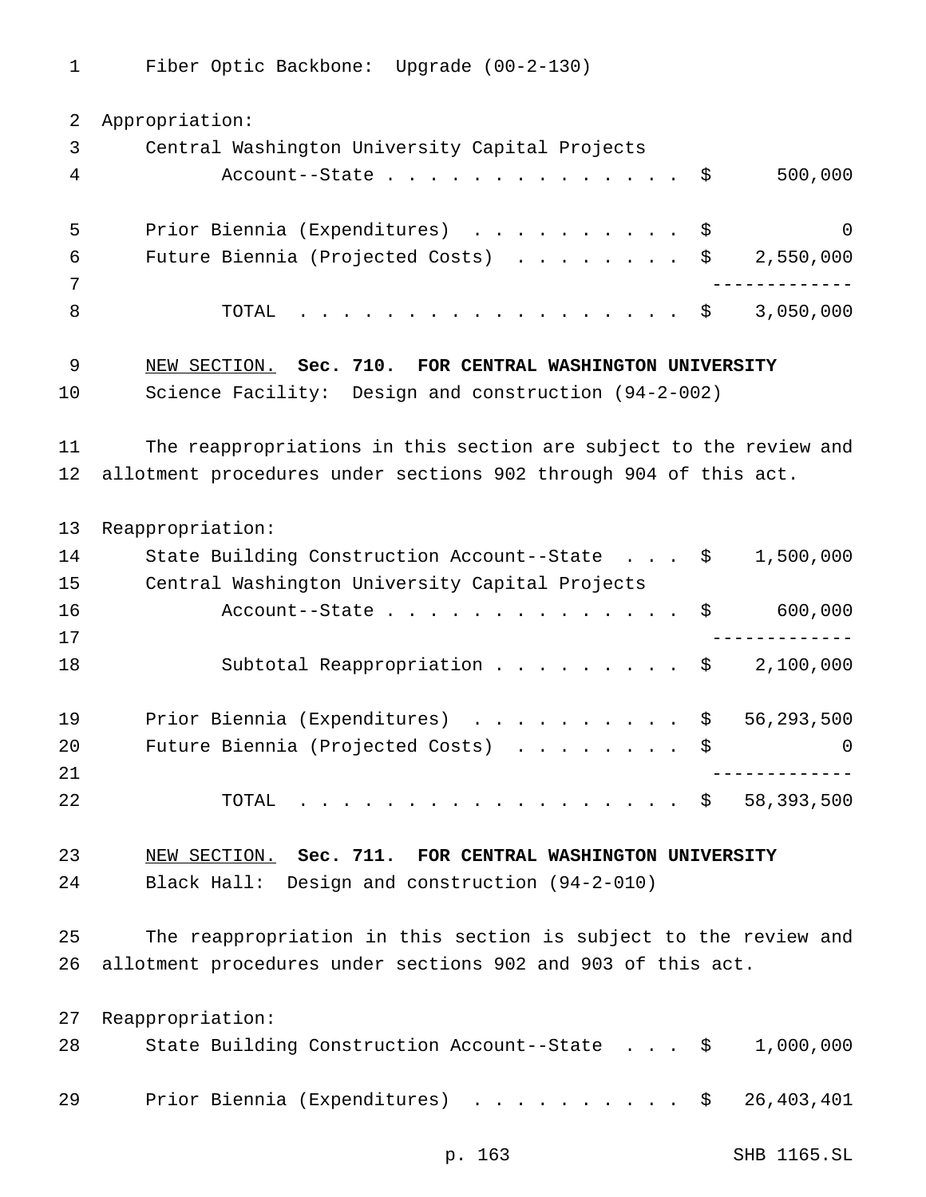Fiber Optic Backbone: Upgrade (00-2-130)

 Appropriation: Central Washington University Capital Projects Account--State.............. \$ 500,000 Prior Biennia (Expenditures) .......... \$ 0 Future Biennia (Projected Costs) ........ \$ 2,550,000 ------------- 8 TOTAL . . . . . . . . . . . . . . . . \$ 3,050,000 NEW SECTION. **Sec. 710. FOR CENTRAL WASHINGTON UNIVERSITY** Science Facility: Design and construction (94-2-002) The reappropriations in this section are subject to the review and allotment procedures under sections 902 through 904 of this act. Reappropriation: 14 State Building Construction Account--State . . . \$ 1,500,000 Central Washington University Capital Projects 16 Account--State....................\$ 600,000 ------------- 18 Subtotal Reappropriation . . . . . . . . \$ 2,100,000 19 Prior Biennia (Expenditures) . . . . . . . . . \$ 56,293,500 20 Future Biennia (Projected Costs) . . . . . . . \$ 0 ------------- TOTAL .................. \$ 58,393,500 NEW SECTION. **Sec. 711. FOR CENTRAL WASHINGTON UNIVERSITY** Black Hall: Design and construction (94-2-010) The reappropriation in this section is subject to the review and allotment procedures under sections 902 and 903 of this act. Reappropriation: State Building Construction Account--State . . . \$ 1,000,000 Prior Biennia (Expenditures) .......... \$ 26,403,401

p. 163 SHB 1165.SL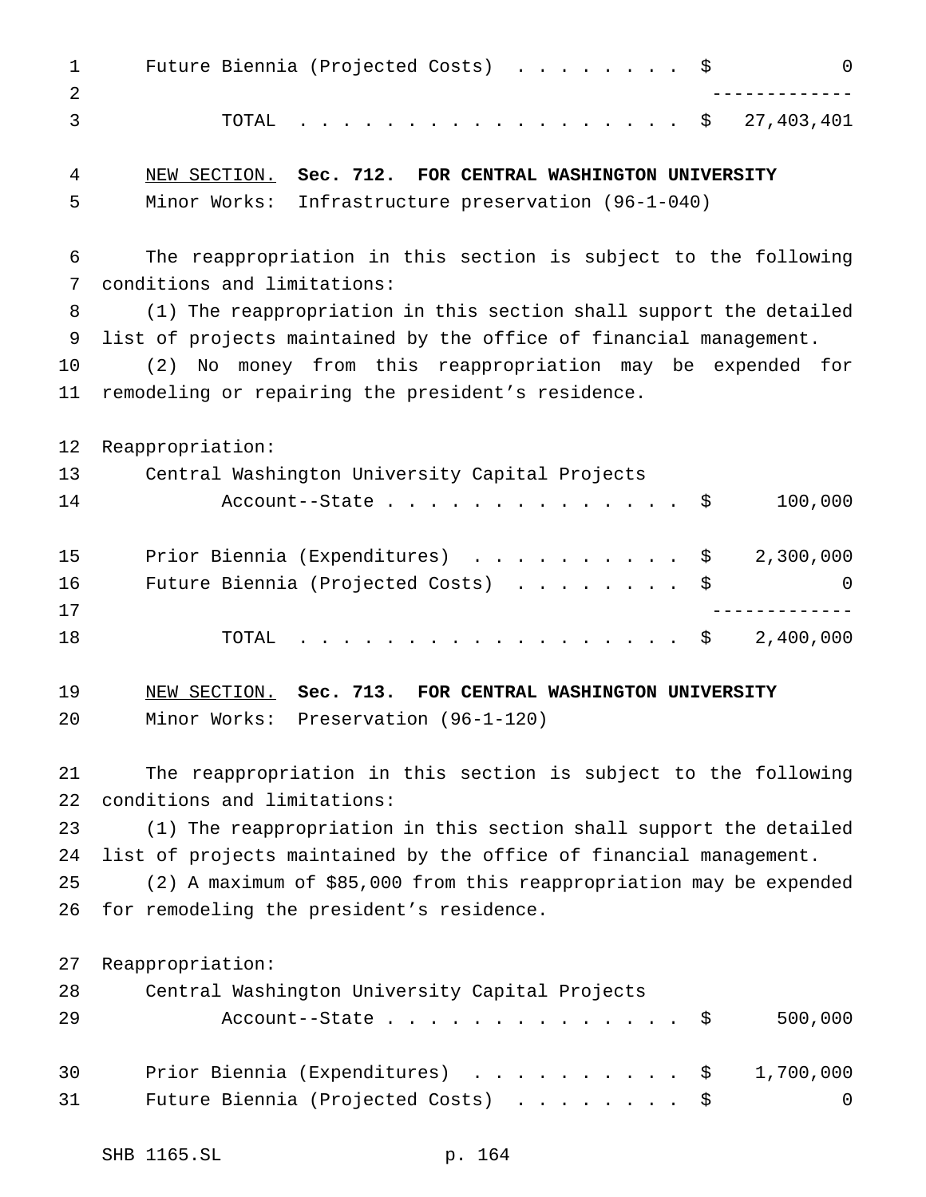| $\mathbf{1}$<br>2 | Future Biennia (Projected Costs) \$<br>$\mathsf 0$                  |
|-------------------|---------------------------------------------------------------------|
| 3                 | TOTAL<br>. \$<br>27,403,401                                         |
| 4                 | NEW SECTION. Sec. 712. FOR CENTRAL WASHINGTON UNIVERSITY            |
| 5                 | Minor Works: Infrastructure preservation (96-1-040)                 |
| 6                 | The reappropriation in this section is subject to the following     |
| 7                 | conditions and limitations:                                         |
| 8                 | (1) The reappropriation in this section shall support the detailed  |
| 9                 | list of projects maintained by the office of financial management.  |
| 10                | (2) No money from this reappropriation may be expended for          |
| 11                | remodeling or repairing the president's residence.                  |
| 12                | Reappropriation:                                                    |
| 13                | Central Washington University Capital Projects                      |
| 14                | 100,000<br>Account--State $\ldots$ \$                               |
| 15                | Prior Biennia (Expenditures) \$<br>2,300,000                        |
| 16                | Future Biennia (Projected Costs) \$<br>0                            |
| 17                | -------------                                                       |
| 18                | 2,400,000<br>TOTAL<br>. \$                                          |
| 19                | NEW SECTION. Sec. 713. FOR CENTRAL WASHINGTON UNIVERSITY            |
| 20                | Minor Works: Preservation (96-1-120)                                |
| 21                | The reappropriation in this section is subject to the following     |
| 22                | conditions and limitations:                                         |
| 23                | (1) The reappropriation in this section shall support the detailed  |
| 24                | list of projects maintained by the office of financial management.  |
| 25                | (2) A maximum of \$85,000 from this reappropriation may be expended |
| 26                | for remodeling the president's residence.                           |
| 27                | Reappropriation:                                                    |
| 28                | Central Washington University Capital Projects                      |
| 29                | 500,000<br>Account--State<br>- \$                                   |
| 30                | Prior Biennia (Expenditures) \$<br>1,700,000                        |
| 31                | Future Biennia (Projected Costs)<br>0<br>- \$                       |
|                   |                                                                     |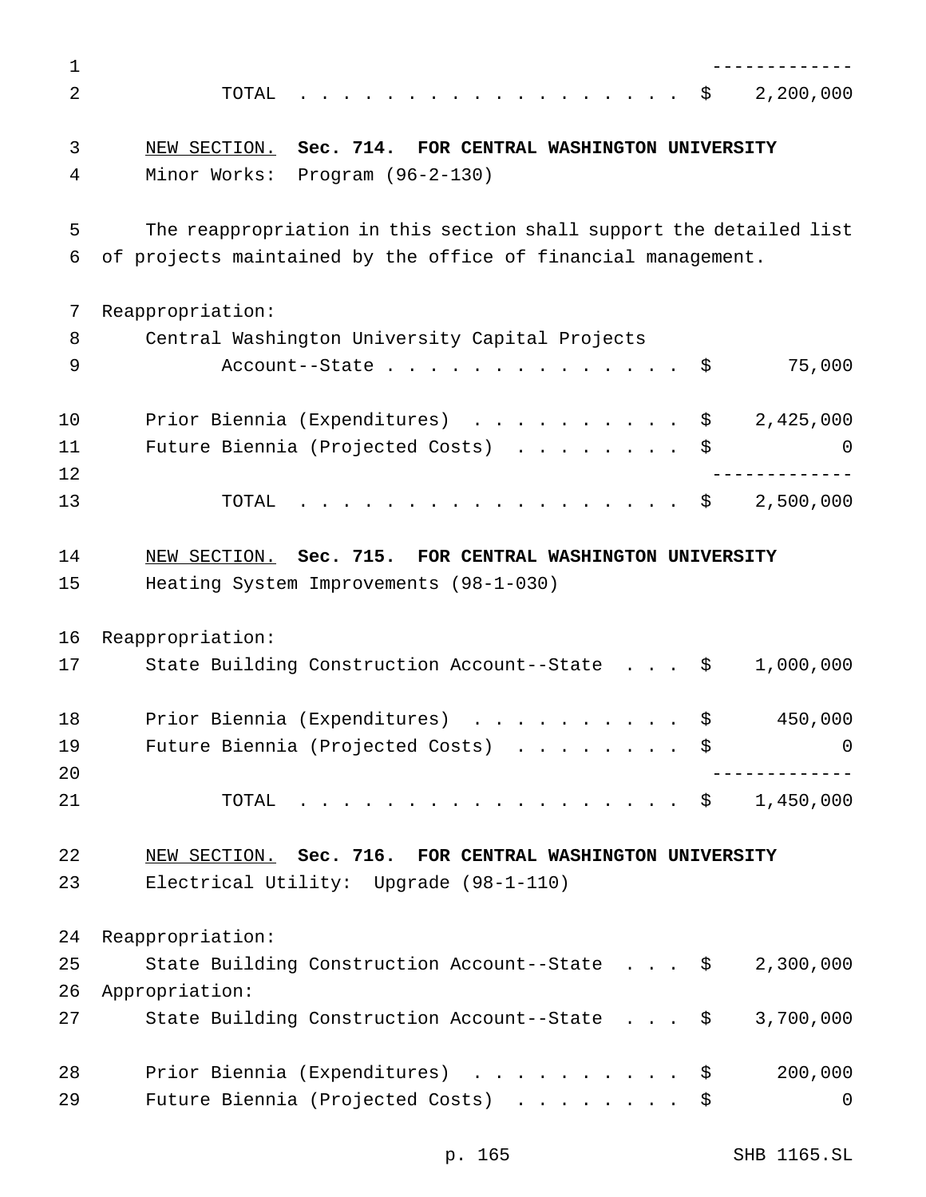| 1  |                                                                                                       |
|----|-------------------------------------------------------------------------------------------------------|
| 2  | 2,200,000<br>TOTAL<br>- \$                                                                            |
| 3  | Sec. 714.<br>FOR CENTRAL WASHINGTON UNIVERSITY<br>NEW SECTION.                                        |
| 4  | Minor Works:<br>Program (96-2-130)                                                                    |
| 5  | The reappropriation in this section shall support the detailed list                                   |
| 6  | of projects maintained by the office of financial management.                                         |
| 7  | Reappropriation:                                                                                      |
| 8  | Central Washington University Capital Projects                                                        |
| 9  | 75,000<br>Account--State<br>\$                                                                        |
| 10 | Prior Biennia (Expenditures)<br>2,425,000<br>\$                                                       |
| 11 | Future Biennia (Projected Costs)<br>\$<br>0                                                           |
| 12 |                                                                                                       |
| 13 | 2,500,000<br>TOTAL<br>$\ddot{\mathbf{S}}$<br>$\frac{1}{2}$                                            |
| 14 | NEW SECTION. Sec. 715. FOR CENTRAL WASHINGTON UNIVERSITY                                              |
| 15 | Heating System Improvements (98-1-030)                                                                |
| 16 | Reappropriation:                                                                                      |
| 17 | 1,000,000<br>State Building Construction Account--State \$                                            |
| 18 | Prior Biennia (Expenditures)<br>450,000<br>\$<br>.                                                    |
| 19 | Future Biennia (Projected Costs) \$<br>0                                                              |
| 20 |                                                                                                       |
| 21 | $\cdot \cdot \cdot \cdot \cdot \cdot \cdot \cdot \cdot \cdot \cdot \cdot \cdot$ \$ 1,450,000<br>TOTAL |
| 22 | NEW SECTION. Sec. 716. FOR CENTRAL WASHINGTON UNIVERSITY                                              |
| 23 | Electrical Utility: Upgrade (98-1-110)                                                                |
| 24 | Reappropriation:                                                                                      |
| 25 | State Building Construction Account--State \$<br>2,300,000                                            |
| 26 | Appropriation:                                                                                        |
| 27 | State Building Construction Account--State \$<br>3,700,000                                            |
| 28 | Prior Biennia (Expenditures)<br>200,000<br>\$                                                         |
| 29 | Future Biennia (Projected Costs)<br>0<br>\$                                                           |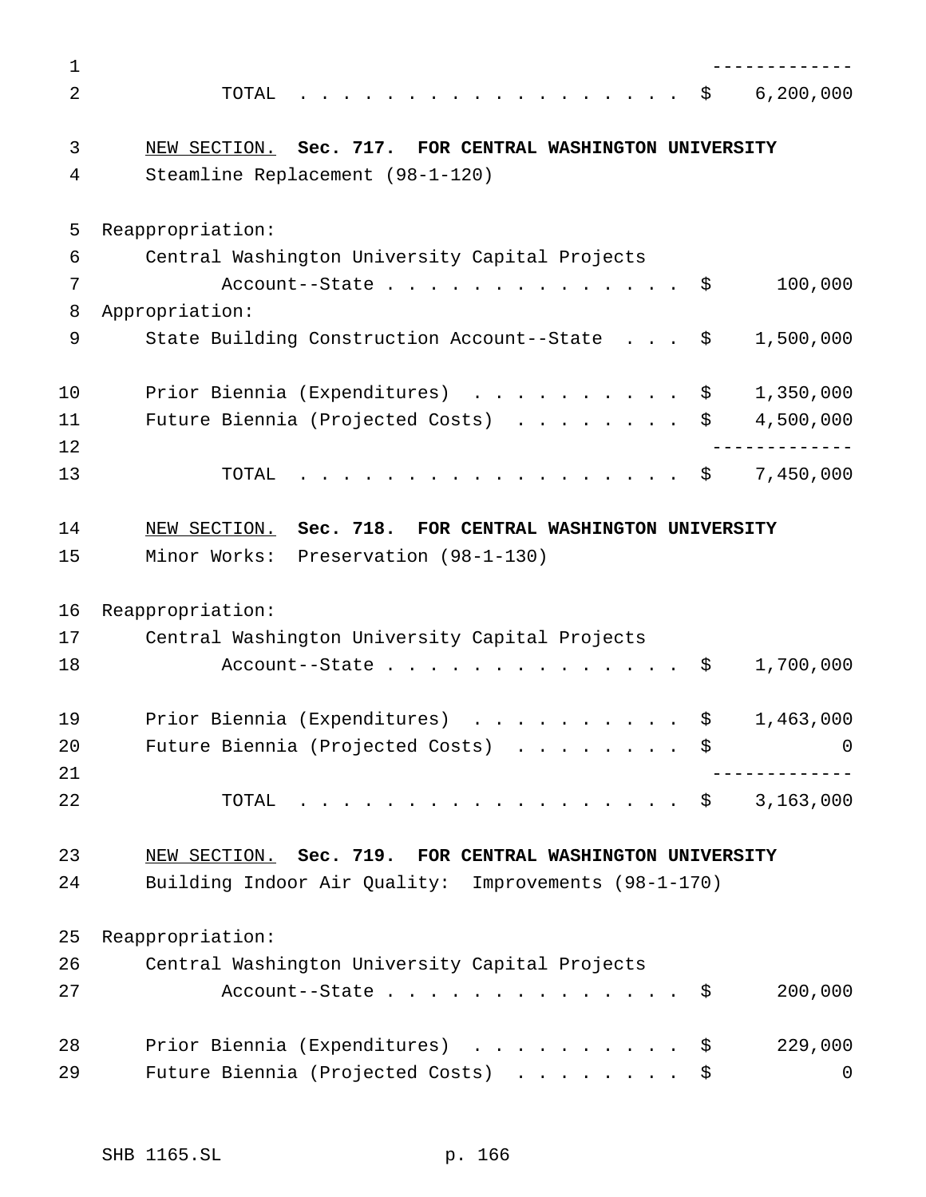| $\mathbf 1$    |                                                               |
|----------------|---------------------------------------------------------------|
| $\overline{2}$ | 6, 200, 000<br>TOTAL<br>- \$                                  |
| 3              | NEW SECTION. Sec. 717. FOR CENTRAL WASHINGTON UNIVERSITY      |
| 4              | Steamline Replacement (98-1-120)                              |
| 5              | Reappropriation:                                              |
| 6              | Central Washington University Capital Projects                |
| 7              | 100,000<br>Account--State<br>-Ş                               |
| 8              | Appropriation:                                                |
| 9              | State Building Construction Account--State \$<br>1,500,000    |
| 10             | Prior Biennia (Expenditures) \$<br>1,350,000                  |
| 11             | 4,500,000<br>Future Biennia (Projected Costs)<br>\$           |
| 12             |                                                               |
| 13             | 7,450,000<br>TOTAL<br>- \$<br>$\frac{1}{2}$                   |
| 14             | NEW SECTION. Sec. 718. FOR CENTRAL WASHINGTON UNIVERSITY      |
| 15             | Minor Works: Preservation (98-1-130)                          |
| 16             | Reappropriation:                                              |
| 17             | Central Washington University Capital Projects                |
| 18             | 1,700,000<br>Account--State<br>\$                             |
|                |                                                               |
| 19             | Prior Biennia (Expenditures)<br>1,463,000<br>\$               |
| 20             | Future Biennia (Projected Costs)<br>0<br>S S                  |
| 21             |                                                               |
| 22             | 3,163,000<br>TOTAL<br>$\cdot$ $\cdot$ $\cdot$ $\cdot$ $\cdot$ |
| 23             | NEW SECTION. Sec. 719. FOR CENTRAL WASHINGTON UNIVERSITY      |
| 24             | Building Indoor Air Quality: Improvements (98-1-170)          |
|                |                                                               |
| 25             | Reappropriation:                                              |
| 26             | Central Washington University Capital Projects                |
| 27             | 200,000<br>Account--State<br>-Ş                               |
| 28             | Prior Biennia (Expenditures)<br>229,000<br>-Ş                 |
| 29             | Future Biennia (Projected Costs)<br>0<br>-Ş                   |
|                |                                                               |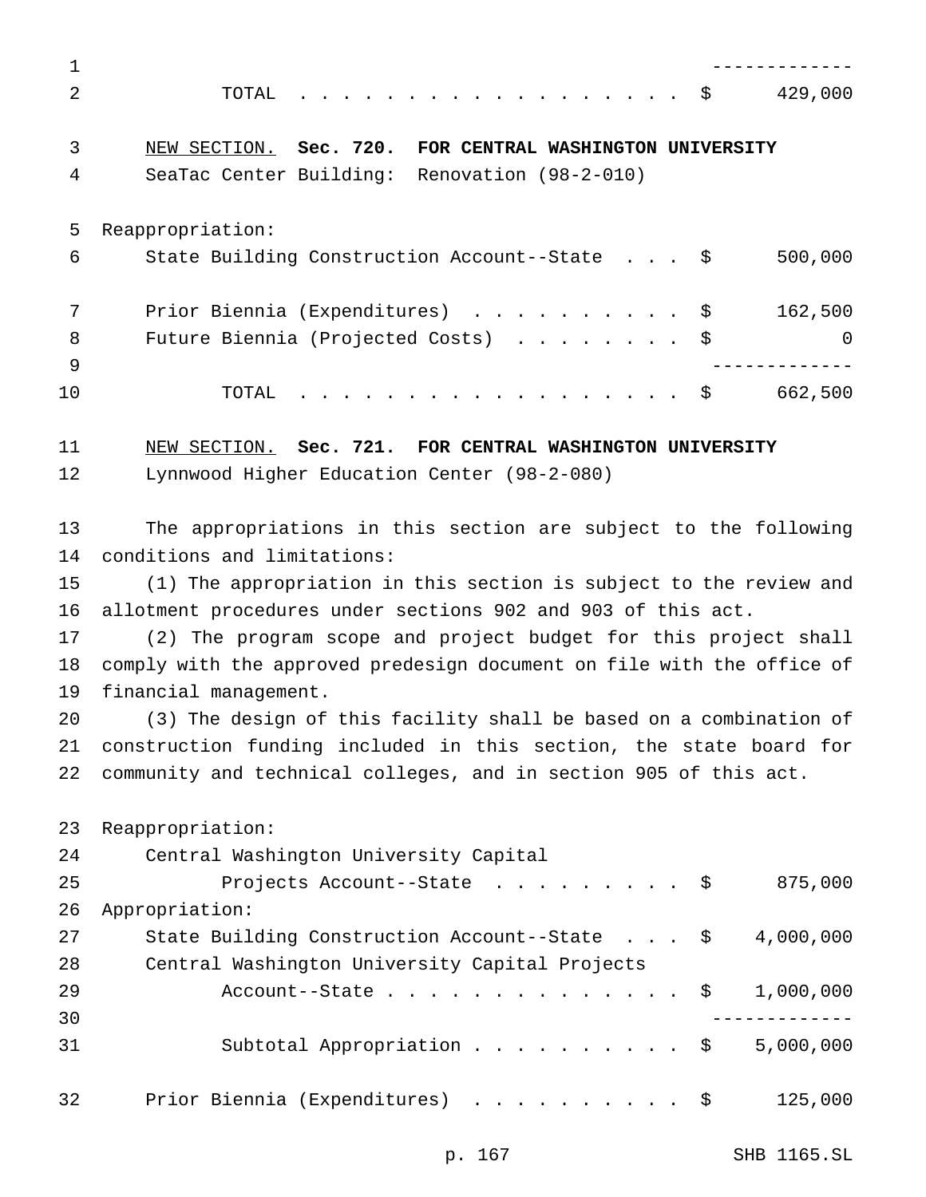| $\mathbf 1$ |                                                                        |  |  |
|-------------|------------------------------------------------------------------------|--|--|
| 2           | . \$<br>429,000<br>TOTAL                                               |  |  |
| 3           | NEW SECTION. Sec. 720.<br>FOR CENTRAL WASHINGTON UNIVERSITY            |  |  |
| 4           | SeaTac Center Building: Renovation (98-2-010)                          |  |  |
| 5           | Reappropriation:                                                       |  |  |
| 6           | 500,000<br>State Building Construction Account--State \$               |  |  |
| 7           | Prior Biennia (Expenditures) \$<br>162,500                             |  |  |
| 8           | Future Biennia (Projected Costs) \$<br>$\Omega$                        |  |  |
| 9<br>10     | . \$<br>662,500<br>TOTAL                                               |  |  |
| 11          | NEW SECTION. Sec. 721. FOR CENTRAL WASHINGTON UNIVERSITY               |  |  |
| 12          | Lynnwood Higher Education Center (98-2-080)                            |  |  |
| 13          | The appropriations in this section are subject to the following        |  |  |
| 14          | conditions and limitations:                                            |  |  |
| 15          | (1) The appropriation in this section is subject to the review and     |  |  |
| 16          | allotment procedures under sections 902 and 903 of this act.           |  |  |
| 17          | (2) The program scope and project budget for this project shall        |  |  |
| 18          | comply with the approved predesign document on file with the office of |  |  |
| 19          | financial management.                                                  |  |  |
| 20          | (3) The design of this facility shall be based on a combination of     |  |  |
| 21          | construction funding included in this section, the state board for     |  |  |
| 22          | community and technical colleges, and in section 905 of this act.      |  |  |
| 23          | Reappropriation:                                                       |  |  |
| 24          | Central Washington University Capital                                  |  |  |
| 25          | 875,000<br>Projects Account--State \$                                  |  |  |
| 26          | Appropriation:                                                         |  |  |
| 27          | State Building Construction Account--State \$ 4,000,000                |  |  |
| 28          | Central Washington University Capital Projects                         |  |  |
| 29          | 1,000,000<br>Account--State $\ldots$ $\frac{1}{2}$                     |  |  |
| 30          |                                                                        |  |  |
| 31          | Subtotal Appropriation \$<br>5,000,000                                 |  |  |
| 32          | Prior Biennia (Expenditures) \$<br>125,000                             |  |  |

p. 167 SHB 1165.SL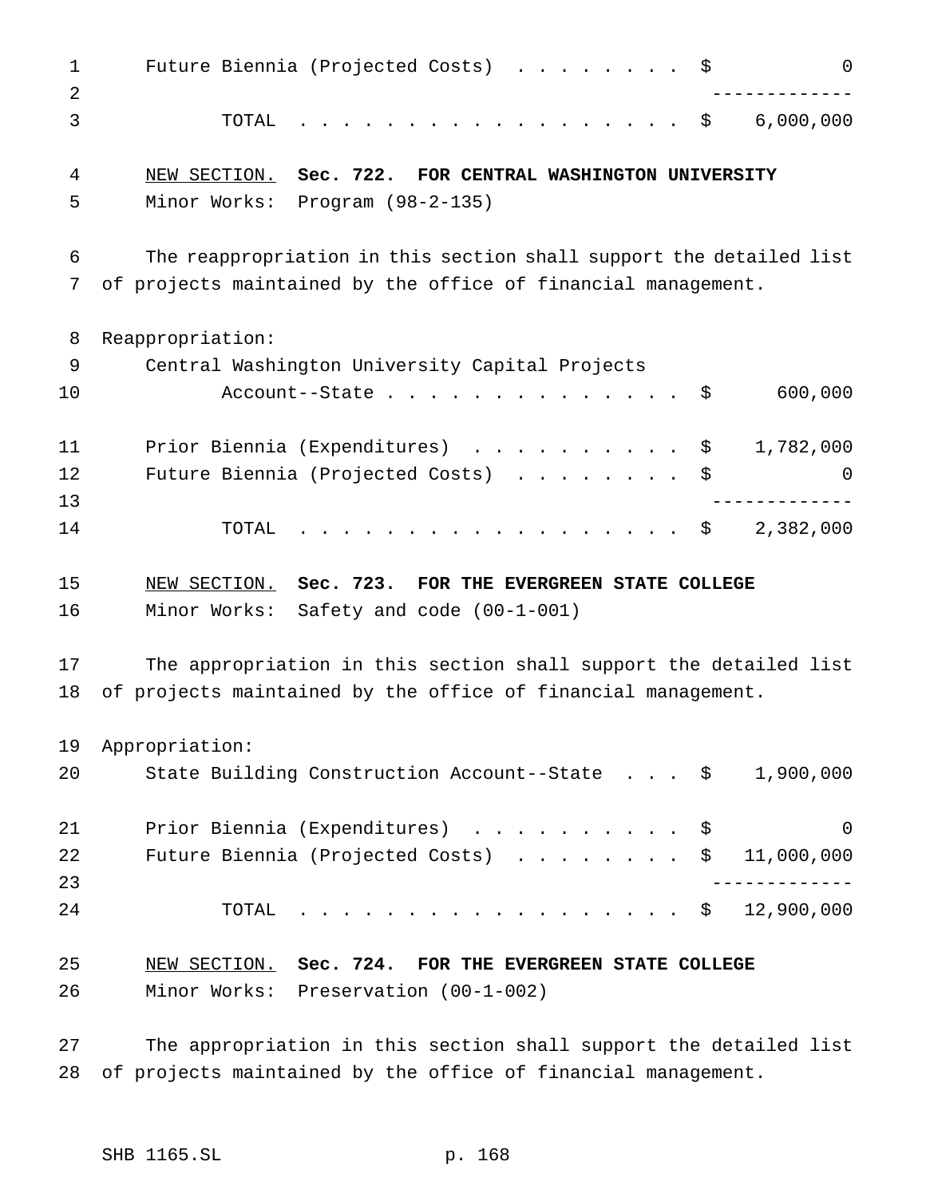| $\mathbf 1$<br>2 | Future Biennia (Projected Costs) \$<br>0                            |
|------------------|---------------------------------------------------------------------|
| 3                | . \$<br>6,000,000<br>TOTAL                                          |
| 4                | NEW SECTION. Sec. 722. FOR CENTRAL WASHINGTON UNIVERSITY            |
| 5                | Minor Works: Program (98-2-135)                                     |
| 6                | The reappropriation in this section shall support the detailed list |
| 7                | of projects maintained by the office of financial management.       |
| 8                | Reappropriation:                                                    |
| 9                | Central Washington University Capital Projects                      |
| 10               | 600,000<br>- \$                                                     |
| 11               | Prior Biennia (Expenditures) \$<br>1,782,000                        |
| 12               | Future Biennia (Projected Costs)<br>$\Omega$<br>\$                  |
| 13               | ___________                                                         |
| 14               | . \$<br>2,382,000<br>TOTAL                                          |
| 15               | NEW SECTION. Sec. 723. FOR THE EVERGREEN STATE COLLEGE              |
| 16               | Minor Works: Safety and code (00-1-001)                             |
| 17               | The appropriation in this section shall support the detailed list   |
| 18               | of projects maintained by the office of financial management.       |
| 19               | Appropriation:                                                      |
| 20               | State Building Construction Account--State \$ 1,900,000             |
| 21               | Prior Biennia (Expenditures) \$<br>0                                |
| 22               | Future Biennia (Projected Costs)<br>\$11,000,000                    |
| 23               |                                                                     |
| 24               | . \$ 12,900,000<br>TOTAL                                            |
| 25               | NEW SECTION. Sec. 724. FOR THE EVERGREEN STATE COLLEGE              |
| 26               | Minor Works: Preservation (00-1-002)                                |

 The appropriation in this section shall support the detailed list of projects maintained by the office of financial management.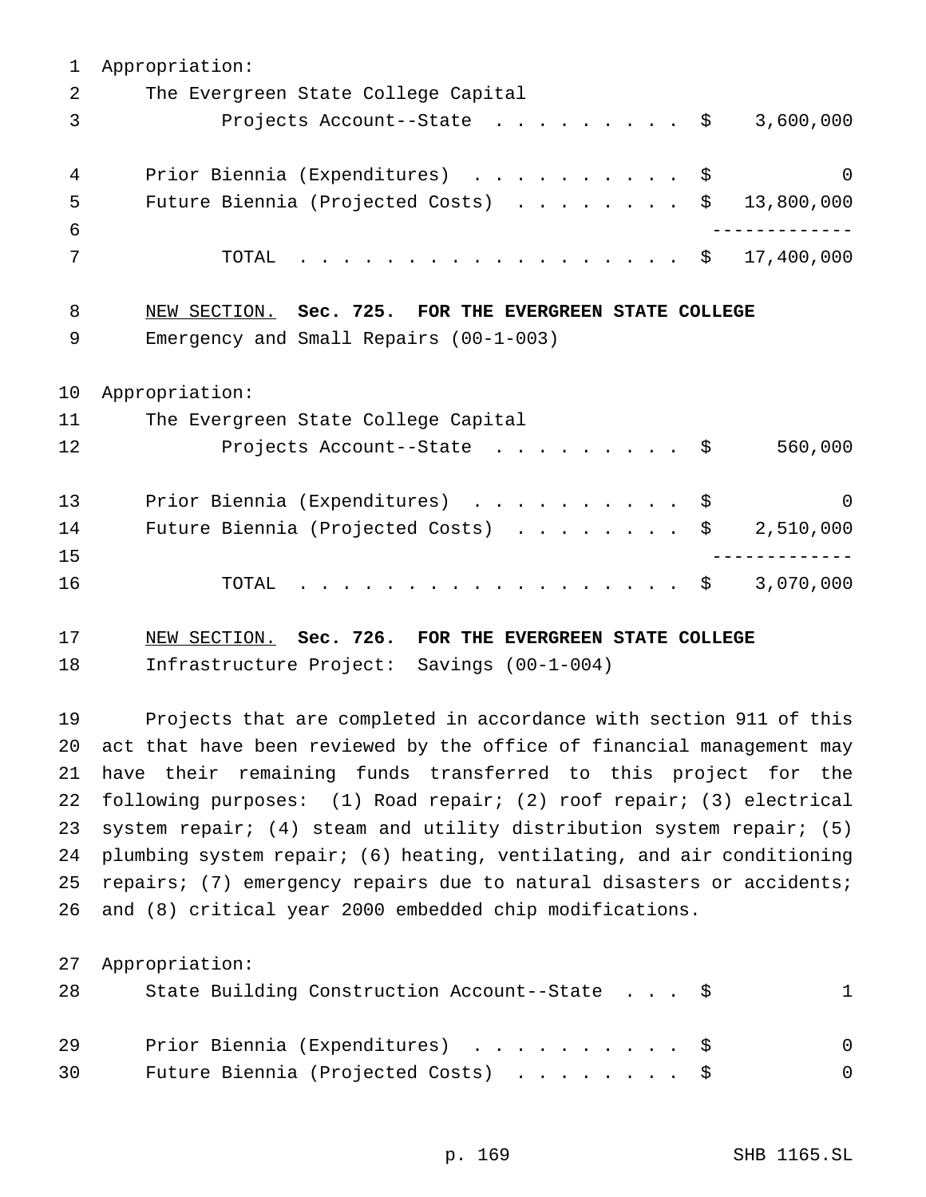Appropriation: The Evergreen State College Capital 3 Projects Account--State ......... \$ 3,600,000 4 Prior Biennia (Expenditures) . . . . . . . . . \$ 0 Future Biennia (Projected Costs) ........ \$ 13,800,000 ------------- TOTAL .................. \$ 17,400,000 NEW SECTION. **Sec. 725. FOR THE EVERGREEN STATE COLLEGE** Emergency and Small Repairs (00-1-003) Appropriation: The Evergreen State College Capital 12 Projects Account--State . . . . . . . . \$ 560,000 13 Prior Biennia (Expenditures) . . . . . . . . . \$ 0 14 Future Biennia (Projected Costs) . . . . . . . \$ 2,510,000 ------------- 16 TOTAL . . . . . . . . . . . . . . . . \$ 3,070,000 NEW SECTION. **Sec. 726. FOR THE EVERGREEN STATE COLLEGE**

Infrastructure Project: Savings (00-1-004)

 Projects that are completed in accordance with section 911 of this act that have been reviewed by the office of financial management may have their remaining funds transferred to this project for the following purposes: (1) Road repair; (2) roof repair; (3) electrical system repair; (4) steam and utility distribution system repair; (5) plumbing system repair; (6) heating, ventilating, and air conditioning repairs; (7) emergency repairs due to natural disasters or accidents; and (8) critical year 2000 embedded chip modifications.

Appropriation:

| 28 | State Building Construction Account--State \$ |          |
|----|-----------------------------------------------|----------|
| 29 | Prior Biennia (Expenditures) \$               | $\Omega$ |
| 30 | Future Biennia (Projected Costs) \$           | $\Omega$ |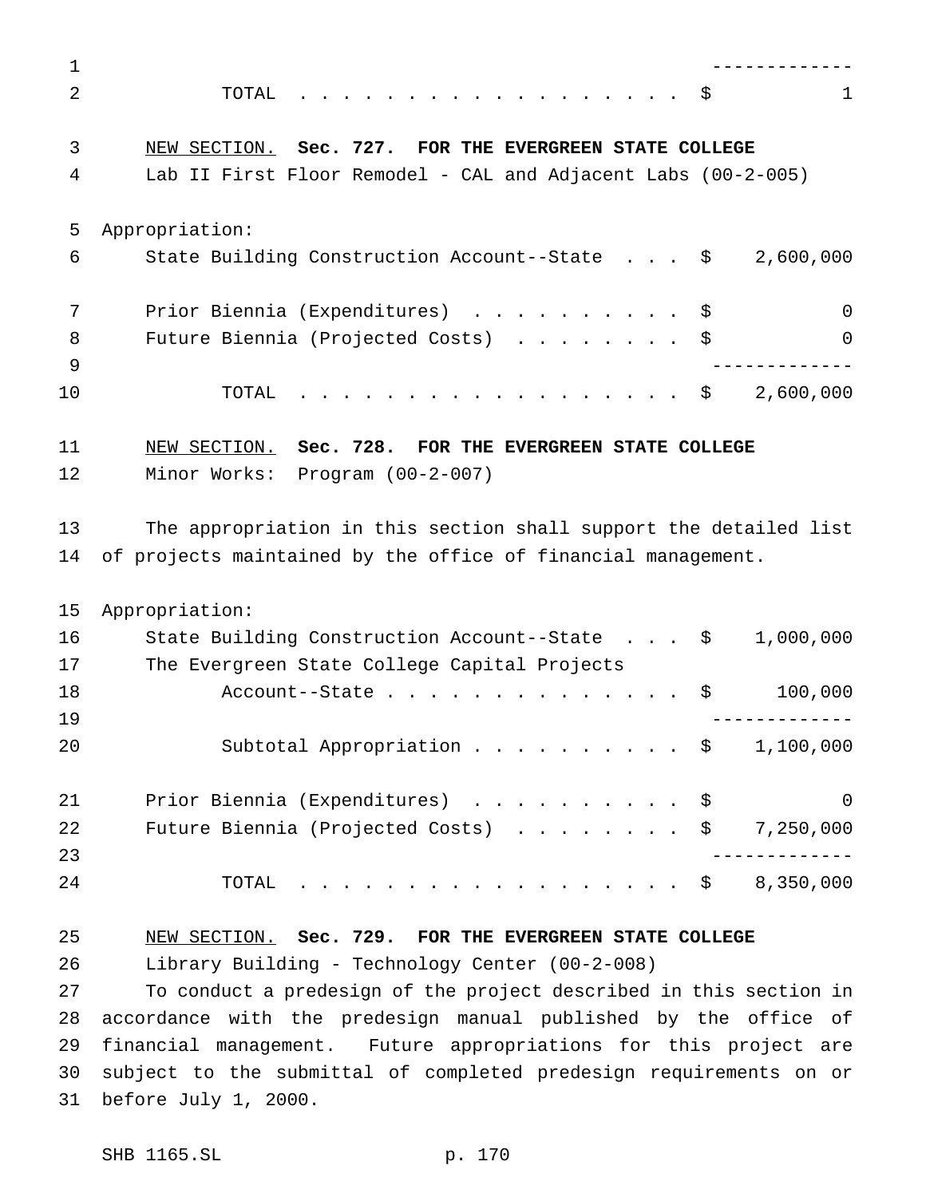| $\mathbf 1$ |                                                                                                                                    |           |
|-------------|------------------------------------------------------------------------------------------------------------------------------------|-----------|
| 2           | TOTAL<br>. \$                                                                                                                      | 1         |
| 3           | NEW SECTION. Sec. 727. FOR THE EVERGREEN STATE COLLEGE                                                                             |           |
| 4           | Lab II First Floor Remodel - CAL and Adjacent Labs (00-2-005)                                                                      |           |
| 5           | Appropriation:                                                                                                                     |           |
| 6           | State Building Construction Account--State \$                                                                                      | 2,600,000 |
| 7           | Prior Biennia (Expenditures) \$                                                                                                    | $\Omega$  |
| 8<br>9      | Future Biennia (Projected Costs) \$                                                                                                | 0         |
| 10          | 2,600,000<br>. \$<br>TOTAL                                                                                                         |           |
| 11          | NEW SECTION. Sec. 728. FOR THE EVERGREEN STATE COLLEGE                                                                             |           |
| 12          | Minor Works: Program (00-2-007)                                                                                                    |           |
| 13<br>14    | The appropriation in this section shall support the detailed list<br>of projects maintained by the office of financial management. |           |
| 15          | Appropriation:                                                                                                                     |           |
| 16          | State Building Construction Account--State \$                                                                                      | 1,000,000 |
| 17          | The Evergreen State College Capital Projects                                                                                       |           |
| 18<br>19    | \$<br>Account--State                                                                                                               | 100,000   |
| 20          | Subtotal Appropriation $\frac{1}{9}$ 1,100,000                                                                                     |           |
| 21          | Prior Biennia (Expenditures) \$                                                                                                    | 0         |
| 22          | Future Biennia (Projected Costs) $\ldots$ \$ 7,250,000                                                                             |           |
| 23          |                                                                                                                                    |           |
| 24          | TOTAL \$ 8,350,000                                                                                                                 |           |
| 25          | NEW SECTION. Sec. 729. FOR THE EVERGREEN STATE COLLEGE                                                                             |           |
| 26          | Library Building - Technology Center (00-2-008)                                                                                    |           |
| 27          | To conduct a predesign of the project described in this section in                                                                 |           |
| 28          | accordance with the predesign manual published by the office of                                                                    |           |
| 29          | financial management. Future appropriations for this project are                                                                   |           |
| 30          | subject to the submittal of completed predesign requirements on or                                                                 |           |
| 31          | before July 1, 2000.                                                                                                               |           |
|             |                                                                                                                                    |           |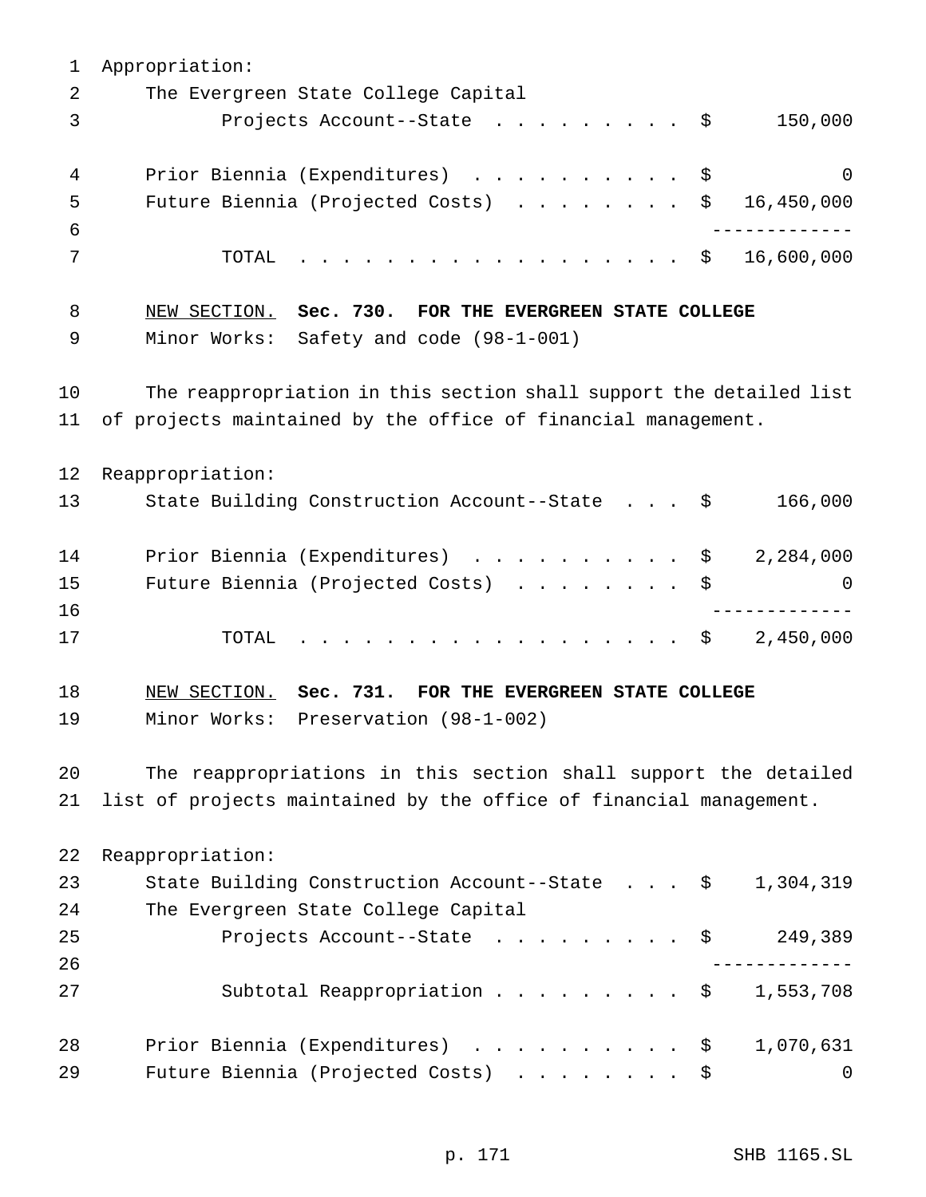Appropriation: The Evergreen State College Capital Projects Account--State ......... \$ 150,000 4 Prior Biennia (Expenditures) . . . . . . . . . \$ 0 Future Biennia (Projected Costs) ........ \$ 16,450,000 ------------- TOTAL .................. \$ 16,600,000 NEW SECTION. **Sec. 730. FOR THE EVERGREEN STATE COLLEGE** Minor Works: Safety and code (98-1-001) The reappropriation in this section shall support the detailed list of projects maintained by the office of financial management. Reappropriation: State Building Construction Account--State . . . \$ 166,000 14 Prior Biennia (Expenditures) . . . . . . . . . \$ 2,284,000 Future Biennia (Projected Costs) ........ \$ 0 ------------- TOTAL .................. \$ 2,450,000 NEW SECTION. **Sec. 731. FOR THE EVERGREEN STATE COLLEGE** Minor Works: Preservation (98-1-002) The reappropriations in this section shall support the detailed list of projects maintained by the office of financial management. Reappropriation: State Building Construction Account--State . . . \$ 1,304,319 The Evergreen State College Capital 25 Projects Account--State . . . . . . . . \$ 249,389 ------------- 27 Subtotal Reappropriation . . . . . . . . \$ 1,553,708 28 Prior Biennia (Expenditures) . . . . . . . . . \$ 1,070,631 29 Future Biennia (Projected Costs) . . . . . . . \$ 0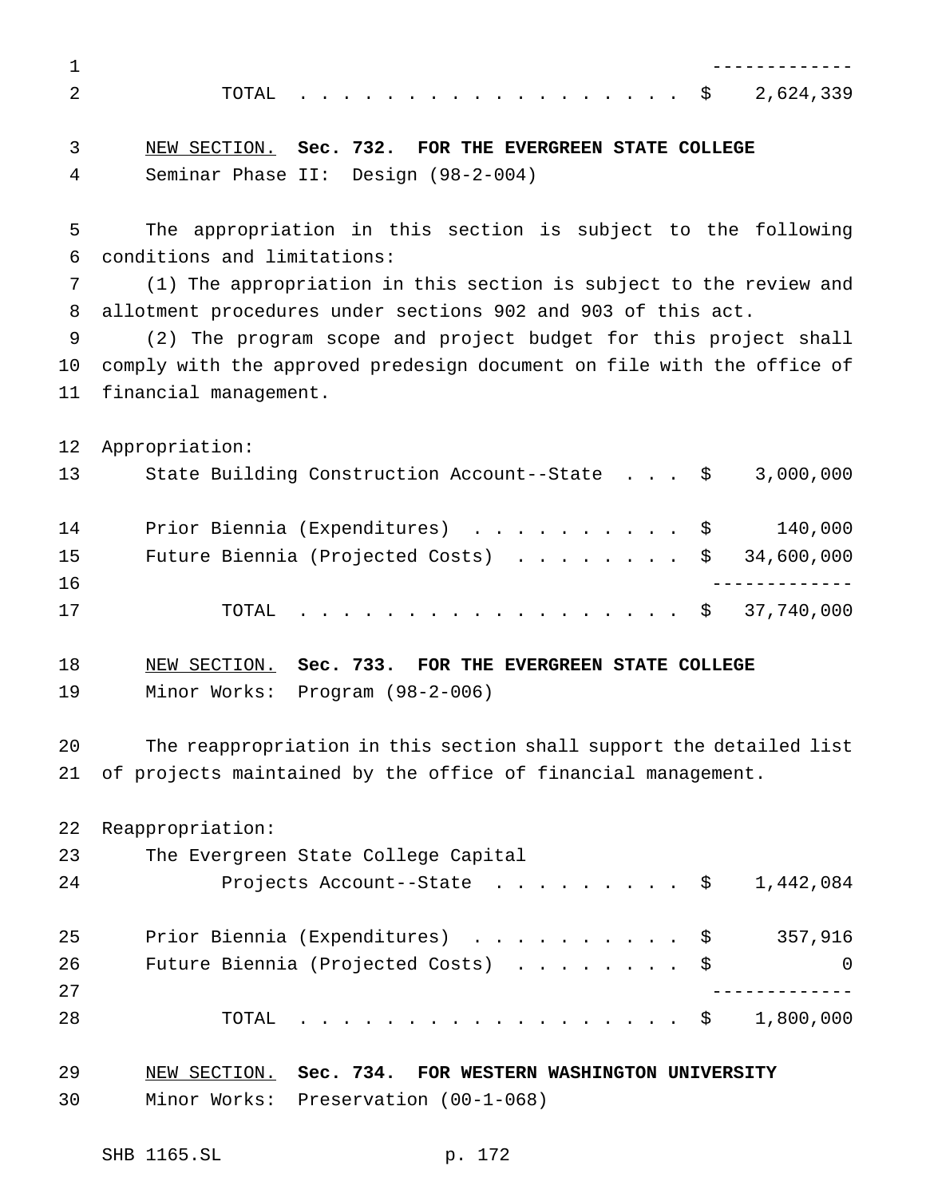------------- TOTAL .................. \$ 2,624,339 NEW SECTION. **Sec. 732. FOR THE EVERGREEN STATE COLLEGE** Seminar Phase II: Design (98-2-004) The appropriation in this section is subject to the following conditions and limitations: (1) The appropriation in this section is subject to the review and allotment procedures under sections 902 and 903 of this act. (2) The program scope and project budget for this project shall comply with the approved predesign document on file with the office of financial management. Appropriation: State Building Construction Account--State . . . \$ 3,000,000 Prior Biennia (Expenditures) .......... \$ 140,000 15 Future Biennia (Projected Costs) . . . . . . . \$ 34,600,000 ------------- TOTAL .................. \$ 37,740,000 NEW SECTION. **Sec. 733. FOR THE EVERGREEN STATE COLLEGE** Minor Works: Program (98-2-006) The reappropriation in this section shall support the detailed list of projects maintained by the office of financial management. Reappropriation: The Evergreen State College Capital 24 Projects Account--State ......... \$ 1,442,084 Prior Biennia (Expenditures) .......... \$ 357,916 26 Future Biennia (Projected Costs) . . . . . . . \$ 0 ------------- TOTAL .................. \$ 1,800,000 NEW SECTION. **Sec. 734. FOR WESTERN WASHINGTON UNIVERSITY** Minor Works: Preservation (00-1-068)

SHB 1165.SL p. 172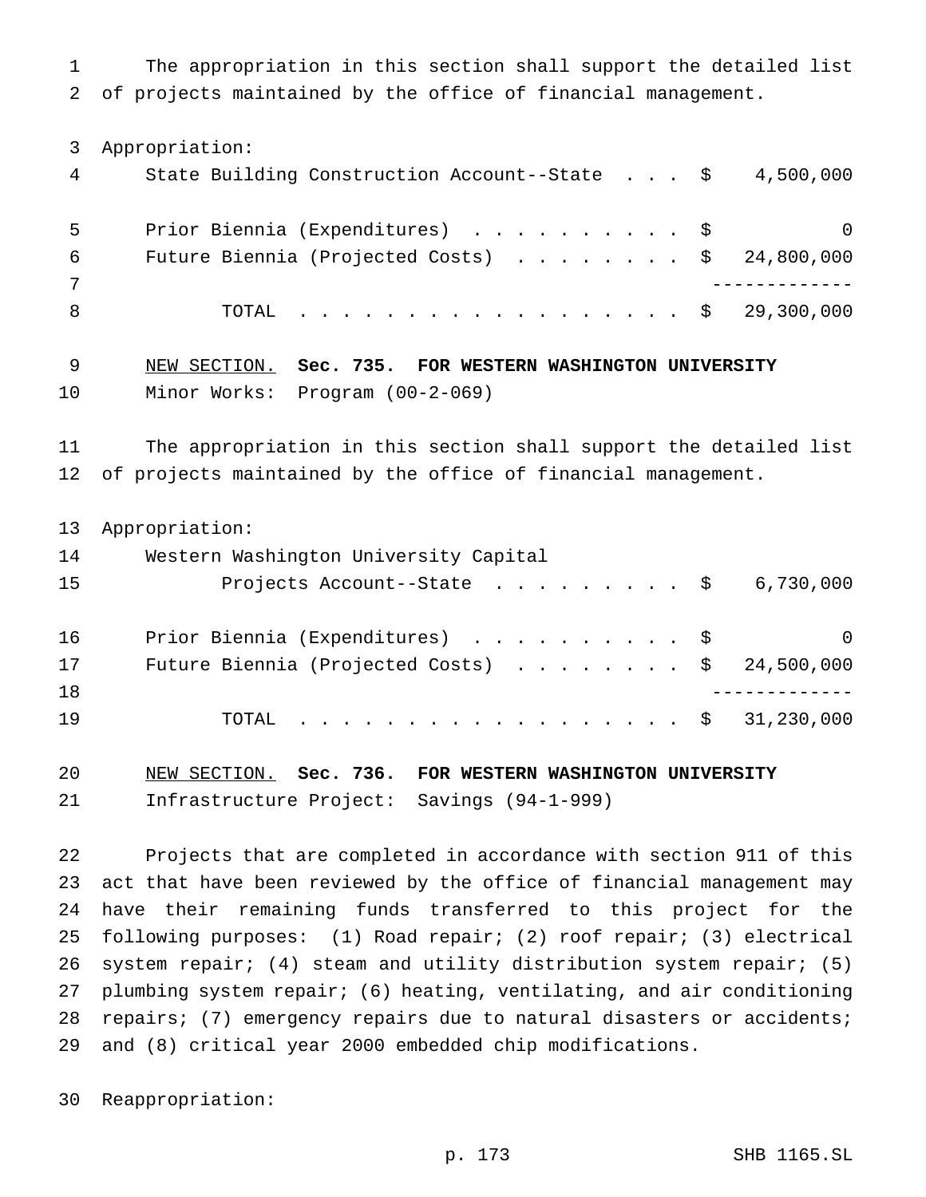The appropriation in this section shall support the detailed list of projects maintained by the office of financial management.

Appropriation:

| 4 | State Building Construction Account--State $\frac{1}{5}$ 4,500,000 |          |
|---|--------------------------------------------------------------------|----------|
|   | Prior Biennia (Expenditures) \$                                    | $\Omega$ |
| 6 | Future Biennia (Projected Costs) $\ldots$ \$ 24,800,000            |          |
|   |                                                                    |          |
|   | TOTAL \$ 29,300,000                                                |          |

 NEW SECTION. **Sec. 735. FOR WESTERN WASHINGTON UNIVERSITY** Minor Works: Program (00-2-069)

 The appropriation in this section shall support the detailed list of projects maintained by the office of financial management.

Appropriation:

| 14 | Western Washington University Capital                   |          |  |  |  |
|----|---------------------------------------------------------|----------|--|--|--|
| 15 | Projects Account--State $\ldots$ \$ 6,730,000           |          |  |  |  |
| 16 | Prior Biennia (Expenditures) \$                         | $\Omega$ |  |  |  |
| 17 | Future Biennia (Projected Costs) $\ldots$ \$ 24,500,000 |          |  |  |  |
| 18 |                                                         |          |  |  |  |
| 19 | TOTAL \$ 31,230,000                                     |          |  |  |  |

 NEW SECTION. **Sec. 736. FOR WESTERN WASHINGTON UNIVERSITY** Infrastructure Project: Savings (94-1-999)

 Projects that are completed in accordance with section 911 of this act that have been reviewed by the office of financial management may have their remaining funds transferred to this project for the following purposes: (1) Road repair; (2) roof repair; (3) electrical system repair; (4) steam and utility distribution system repair; (5) plumbing system repair; (6) heating, ventilating, and air conditioning repairs; (7) emergency repairs due to natural disasters or accidents; and (8) critical year 2000 embedded chip modifications.

Reappropriation: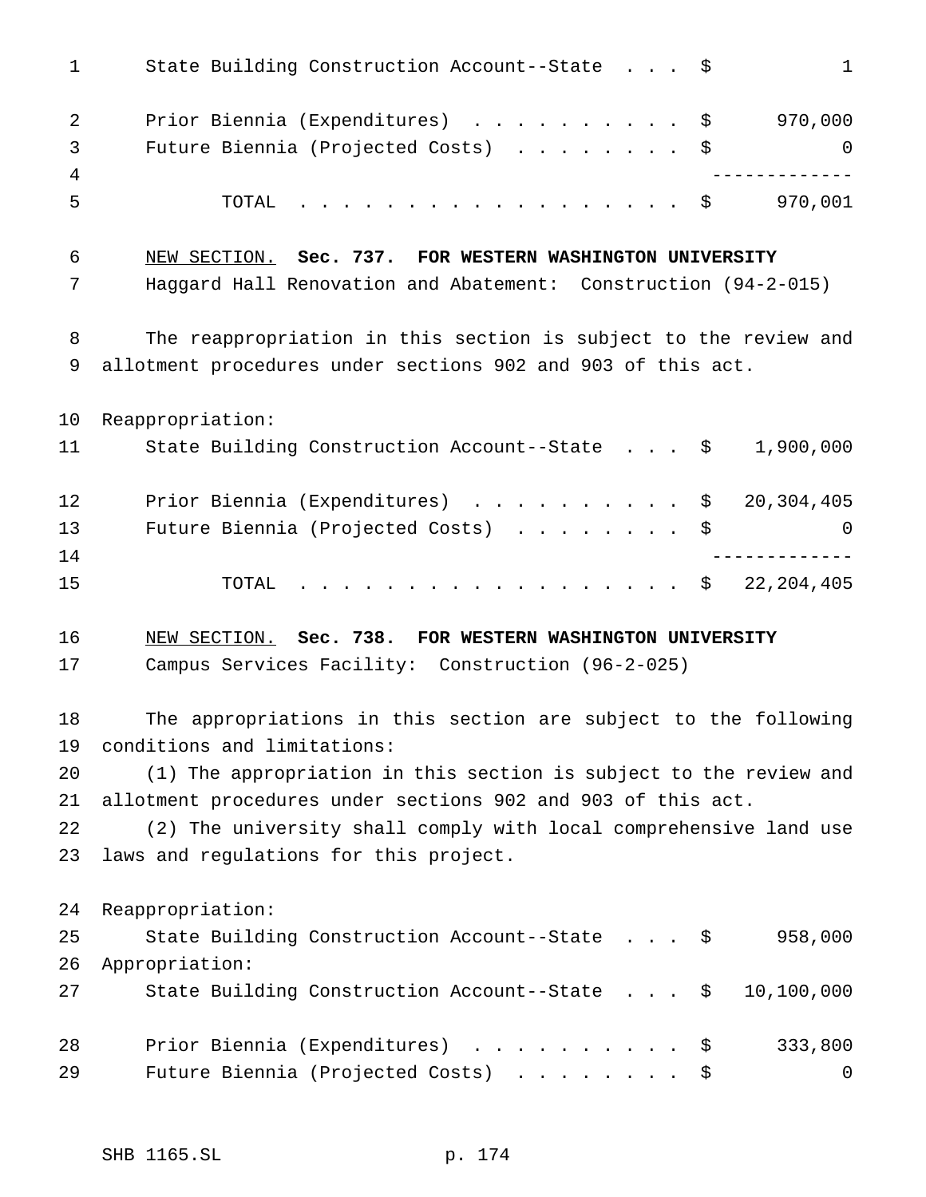| $\mathbf 1$ | State Building Construction Account--State \$<br>$\mathbf{1}$                          |
|-------------|----------------------------------------------------------------------------------------|
| 2<br>3      | 970,000<br>Prior Biennia (Expenditures) \$<br>Future Biennia (Projected Costs) \$<br>0 |
| 4           |                                                                                        |
| 5           | TOTAL \$<br>970,001                                                                    |
| 6           | NEW SECTION. Sec. 737. FOR WESTERN WASHINGTON UNIVERSITY                               |
| 7           | Haggard Hall Renovation and Abatement: Construction (94-2-015)                         |
| 8           | The reappropriation in this section is subject to the review and                       |
| 9           | allotment procedures under sections 902 and 903 of this act.                           |
| 10          | Reappropriation:                                                                       |
| 11          | State Building Construction Account--State \$<br>1,900,000                             |
| 12          | 20,304,405<br>Prior Biennia (Expenditures) \$                                          |
| 13          | Future Biennia (Projected Costs)<br>\$<br>0                                            |
| 14          |                                                                                        |
| 15          | . \$<br>22,204,405<br>TOTAL                                                            |
| 16          | NEW SECTION. Sec. 738. FOR WESTERN WASHINGTON UNIVERSITY                               |
| 17          | Campus Services Facility: Construction (96-2-025)                                      |
| 18          | The appropriations in this section are subject to the following                        |
| 19          | conditions and limitations:                                                            |
| 20          | (1) The appropriation in this section is subject to the review and                     |
| 21          | allotment procedures under sections 902 and 903 of this act.                           |
| 22          | (2) The university shall comply with local comprehensive land use                      |
| 23          | laws and regulations for this project.                                                 |
| 24          | Reappropriation:                                                                       |
| 25          | 958,000<br>State Building Construction Account--State $\cdot \cdot \cdot$              |
| 26          | Appropriation:                                                                         |
| 27          | 10,100,000<br>State Building Construction Account--State \$                            |
| 28          | 333,800<br>Prior Biennia (Expenditures) \$                                             |
| 29          | Future Biennia (Projected Costs)<br>0<br>Ş.                                            |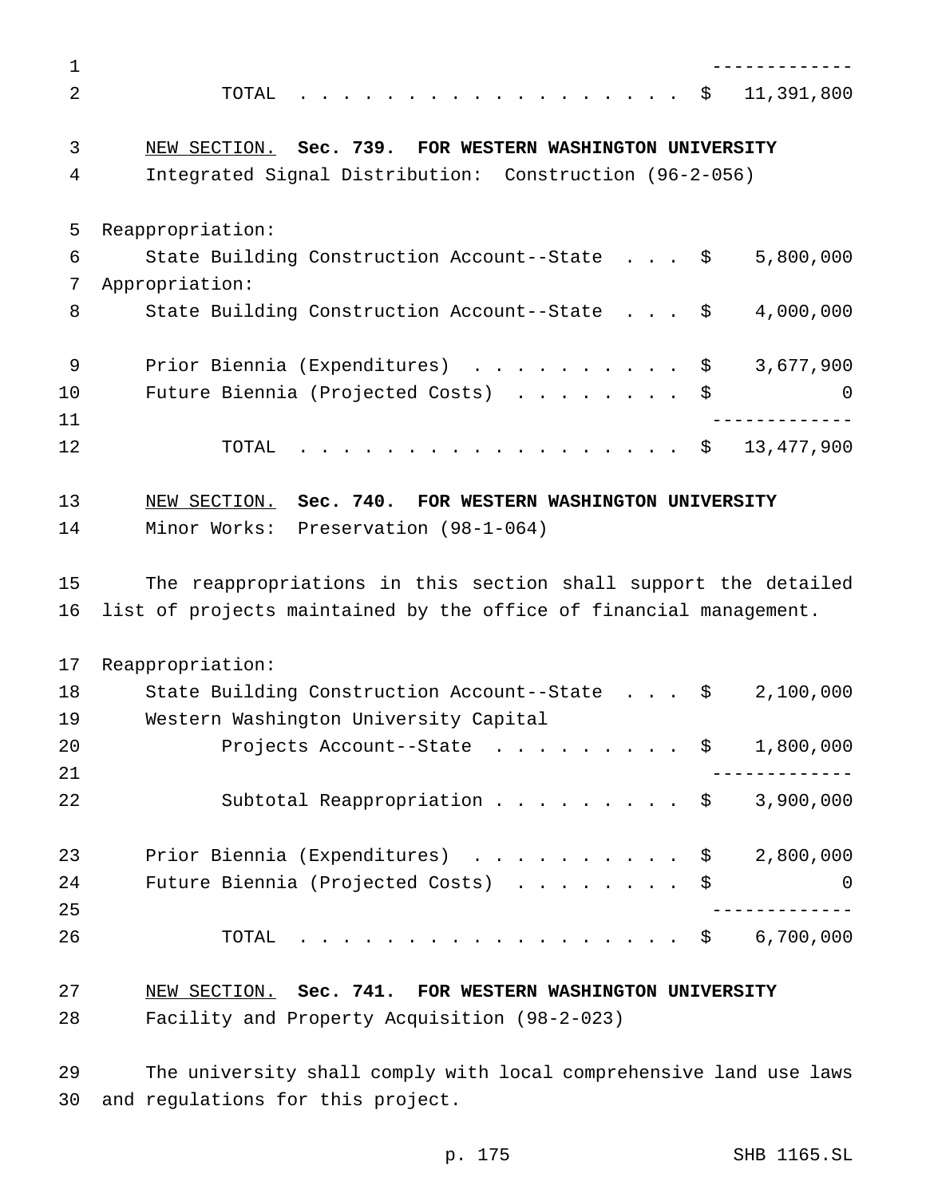| $\mathbf 1$    |                                                                       |
|----------------|-----------------------------------------------------------------------|
| $\overline{2}$ | . \$<br>11,391,800<br>TOTAL                                           |
| 3              | NEW SECTION. Sec. 739. FOR WESTERN WASHINGTON UNIVERSITY              |
| 4              | Integrated Signal Distribution: Construction (96-2-056)               |
|                |                                                                       |
| 5              | Reappropriation:                                                      |
| 6              | State Building Construction Account--State $\frac{1}{2}$<br>5,800,000 |
| 7              | Appropriation:                                                        |
| 8              | State Building Construction Account--State \$<br>4,000,000            |
| 9              | Prior Biennia (Expenditures) \$<br>3,677,900                          |
| 10             | Future Biennia (Projected Costs) \$<br>$\overline{0}$                 |
| 11             | -------------                                                         |
| 12             | TOTAL \$ 13,477,900                                                   |
| 13             | NEW SECTION. Sec. 740. FOR WESTERN WASHINGTON UNIVERSITY              |
| 14             | Minor Works: Preservation (98-1-064)                                  |
| 15             | The reappropriations in this section shall support the detailed       |
| 16             | list of projects maintained by the office of financial management.    |
| 17             | Reappropriation:                                                      |
| 18             | State Building Construction Account--State \$<br>2,100,000            |
| 19             | Western Washington University Capital                                 |
| 20             | Projects Account--State $\ldots$ \$ 1,800,000                         |
| 21             | _________                                                             |
| 22             | Subtotal Reappropriation $\frac{1}{900,000}$                          |
| 23             | Prior Biennia (Expenditures) $\ldots$ \$ 2,800,000                    |
| 24             | Future Biennia (Projected Costs)<br>0                                 |
| 25             |                                                                       |
| 26             | . \$ 6,700,000<br>TOTAL                                               |
| 27             | NEW SECTION. Sec. 741. FOR WESTERN WASHINGTON UNIVERSITY              |
| 28             | Facility and Property Acquisition (98-2-023)                          |

 The university shall comply with local comprehensive land use laws and regulations for this project.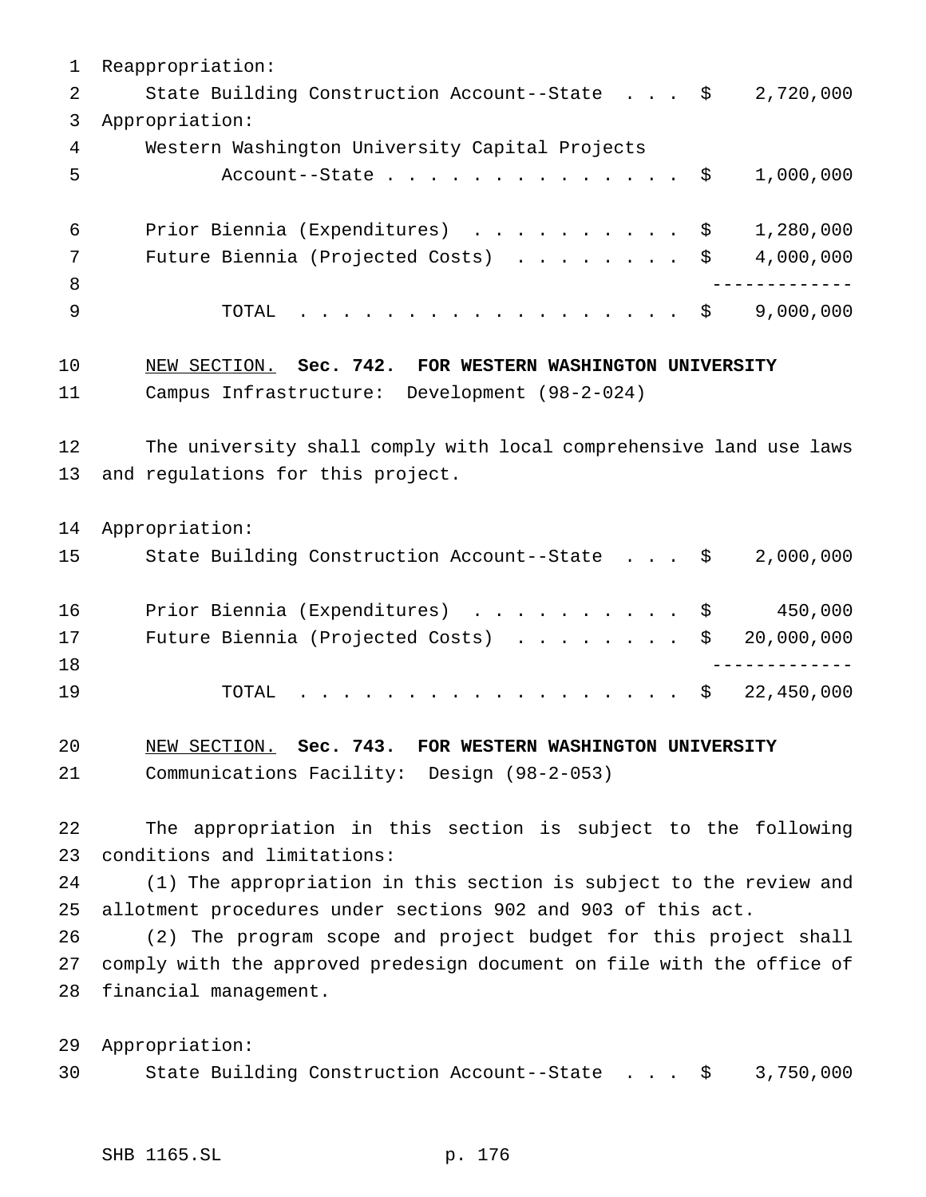Reappropriation: 2 State Building Construction Account--State . . . \$ 2,720,000 Appropriation: Western Washington University Capital Projects 5 Account--State . . . . . . . . . . . . . \$ 1,000,000 Prior Biennia (Expenditures) .......... \$ 1,280,000 7 Future Biennia (Projected Costs) . . . . . . . \$ 4,000,000 ------------- TOTAL .................. \$ 9,000,000 NEW SECTION. **Sec. 742. FOR WESTERN WASHINGTON UNIVERSITY** Campus Infrastructure: Development (98-2-024) The university shall comply with local comprehensive land use laws and regulations for this project. Appropriation: State Building Construction Account--State . . . \$ 2,000,000 Prior Biennia (Expenditures) .......... \$ 450,000 17 Future Biennia (Projected Costs) . . . . . . . \$ 20,000,000 ------------- 19 TOTAL . . . . . . . . . . . . . . . . \$ 22,450,000 NEW SECTION. **Sec. 743. FOR WESTERN WASHINGTON UNIVERSITY** Communications Facility: Design (98-2-053) The appropriation in this section is subject to the following conditions and limitations: (1) The appropriation in this section is subject to the review and allotment procedures under sections 902 and 903 of this act. (2) The program scope and project budget for this project shall comply with the approved predesign document on file with the office of financial management. Appropriation: State Building Construction Account--State . . . \$ 3,750,000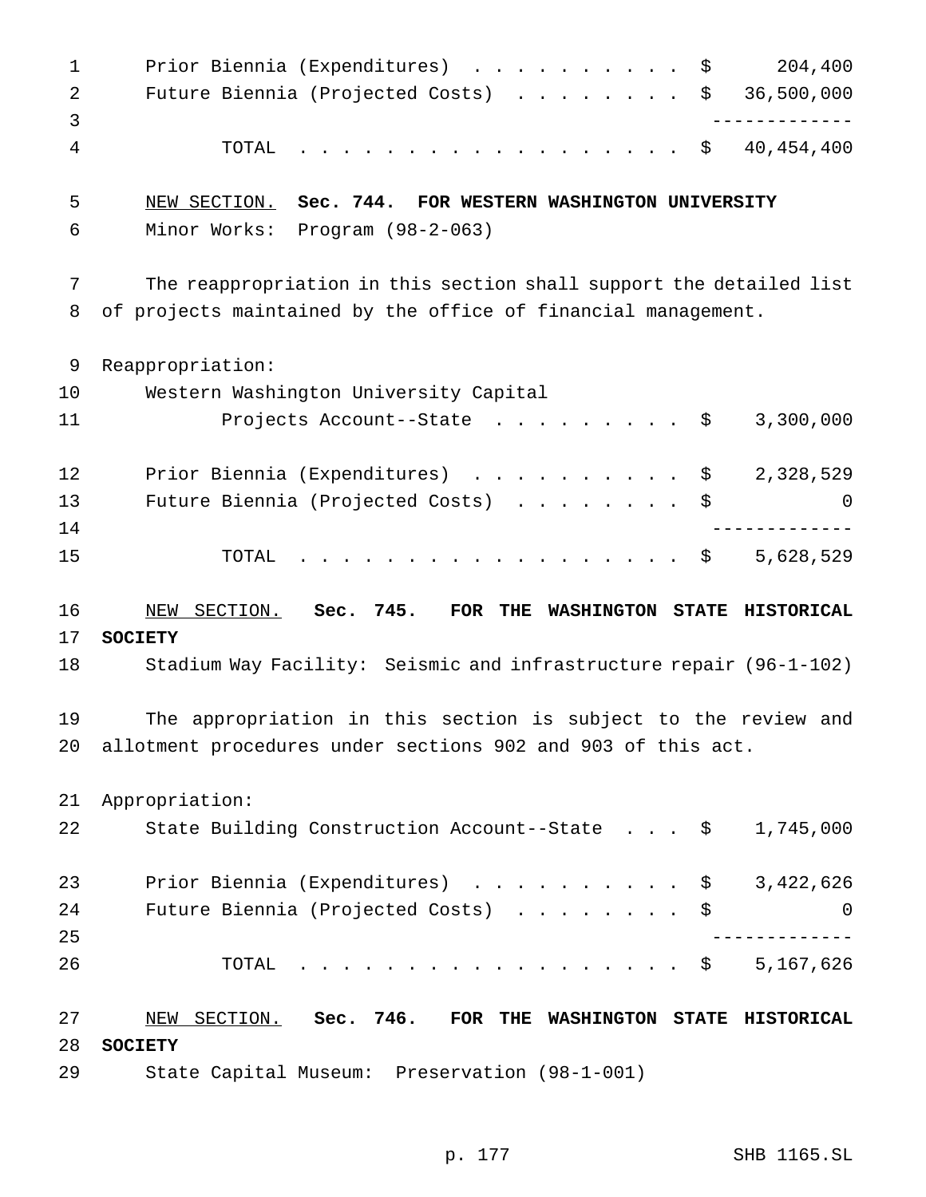1 Prior Biennia (Expenditures) . . . . . . . . . \$ 204,400 2 Future Biennia (Projected Costs) . . . . . . . \$ 36,500,000 ------------- TOTAL .................. \$ 40,454,400 NEW SECTION. **Sec. 744. FOR WESTERN WASHINGTON UNIVERSITY** Minor Works: Program (98-2-063) The reappropriation in this section shall support the detailed list of projects maintained by the office of financial management. Reappropriation: Western Washington University Capital 11 Projects Account--State . . . . . . . . \$ 3,300,000 12 Prior Biennia (Expenditures) . . . . . . . . . \$ 2,328,529 Future Biennia (Projected Costs) ........ \$ 0 ------------- 15 TOTAL . . . . . . . . . . . . . . . . \$ 5,628,529 NEW SECTION. **Sec. 745. FOR THE WASHINGTON STATE HISTORICAL SOCIETY** Stadium Way Facility: Seismic and infrastructure repair (96-1-102) The appropriation in this section is subject to the review and allotment procedures under sections 902 and 903 of this act. Appropriation: State Building Construction Account--State . . . \$ 1,745,000 23 Prior Biennia (Expenditures) . . . . . . . . . \$ 3,422,626 24 Future Biennia (Projected Costs) . . . . . . . \$ 0 ------------- TOTAL .................. \$ 5,167,626 NEW SECTION. **Sec. 746. FOR THE WASHINGTON STATE HISTORICAL SOCIETY** State Capital Museum: Preservation (98-1-001)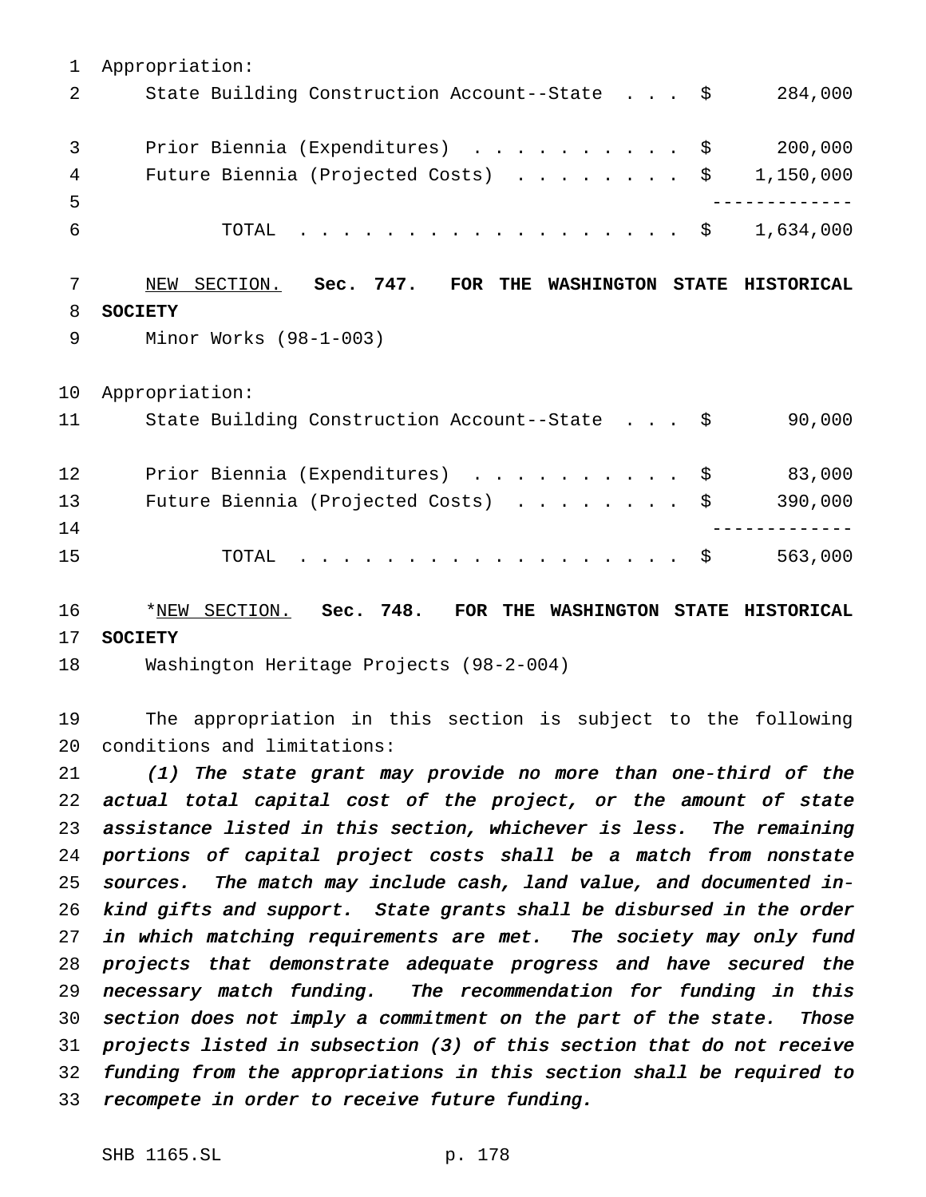Appropriation: 2 State Building Construction Account--State . . . \$ 284,000 3 Prior Biennia (Expenditures) . . . . . . . . . \$ 200,000 4 Future Biennia (Projected Costs) . . . . . . . \$ 1,150,000 ------------- TOTAL .................. \$ 1,634,000 NEW SECTION. **Sec. 747. FOR THE WASHINGTON STATE HISTORICAL SOCIETY** Minor Works (98-1-003) Appropriation: 11 State Building Construction Account--State . . . \$ 90,000 Prior Biennia (Expenditures) .......... \$ 83,000 13 Future Biennia (Projected Costs) . . . . . . . \$ 390,000 ------------- TOTAL .................. \$ 563,000

 \*NEW SECTION. **Sec. 748. FOR THE WASHINGTON STATE HISTORICAL SOCIETY**

Washington Heritage Projects (98-2-004)

 The appropriation in this section is subject to the following conditions and limitations:

 (1) The state grant may provide no more than one-third of the actual total capital cost of the project, or the amount of state assistance listed in this section, whichever is less. The remaining portions of capital project costs shall be <sup>a</sup> match from nonstate sources. The match may include cash, land value, and documented in- kind gifts and support. State grants shall be disbursed in the order 27 in which matching requirements are met. The society may only fund projects that demonstrate adequate progress and have secured the necessary match funding. The recommendation for funding in this section does not imply <sup>a</sup> commitment on the part of the state. Those projects listed in subsection (3) of this section that do not receive funding from the appropriations in this section shall be required to recompete in order to receive future funding.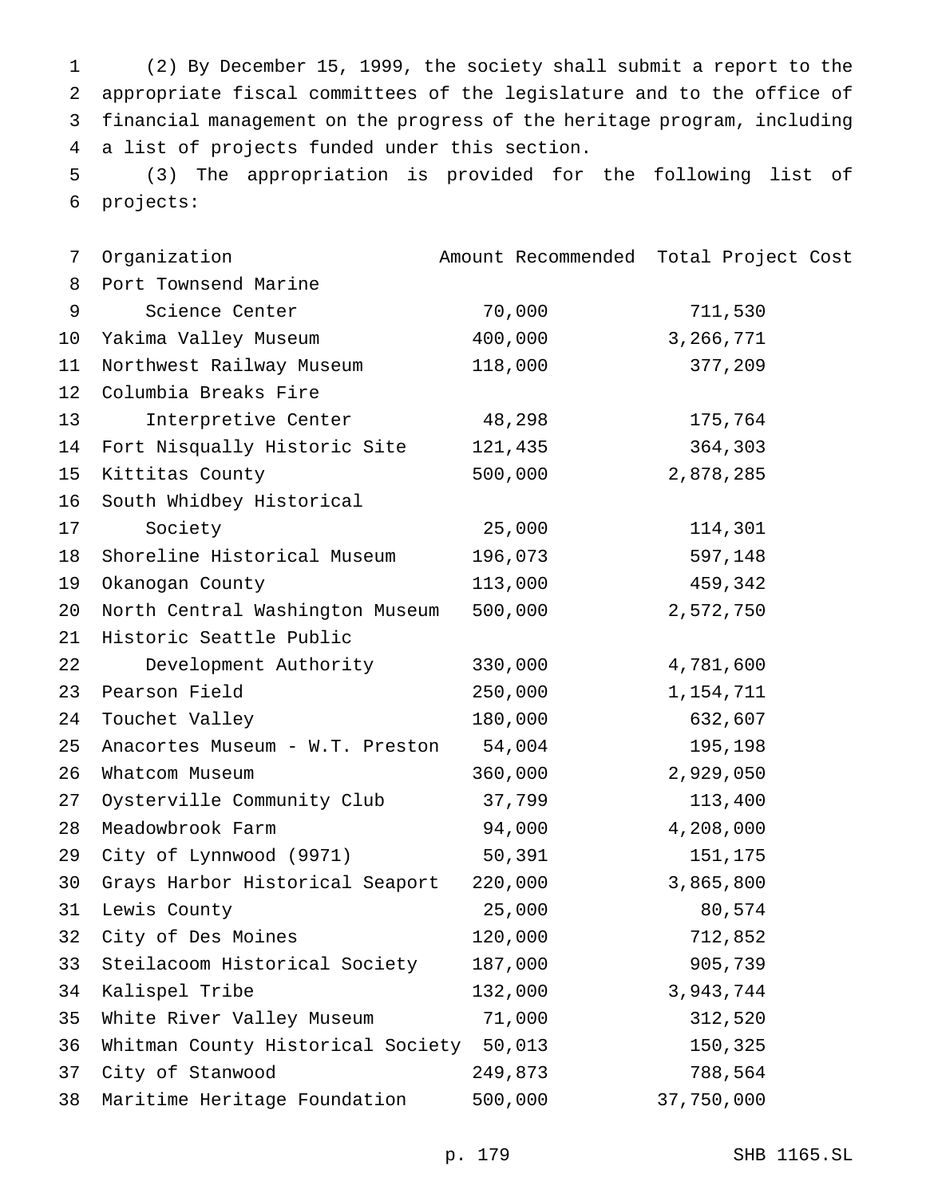(2) By December 15, 1999, the society shall submit a report to the appropriate fiscal committees of the legislature and to the office of financial management on the progress of the heritage program, including a list of projects funded under this section.

 (3) The appropriation is provided for the following list of projects:

| Organization                  |         | Amount Recommended Total Project Cost                                                                                                      |
|-------------------------------|---------|--------------------------------------------------------------------------------------------------------------------------------------------|
| Port Townsend Marine          |         |                                                                                                                                            |
| Science Center                | 70,000  | 711,530                                                                                                                                    |
| Yakima Valley Museum          | 400,000 | 3,266,771                                                                                                                                  |
| Northwest Railway Museum      | 118,000 | 377,209                                                                                                                                    |
| Columbia Breaks Fire          |         |                                                                                                                                            |
| Interpretive Center           | 48,298  | 175,764                                                                                                                                    |
| Fort Nisqually Historic Site  | 121,435 | 364,303                                                                                                                                    |
| Kittitas County               | 500,000 | 2,878,285                                                                                                                                  |
| South Whidbey Historical      |         |                                                                                                                                            |
| Society                       | 25,000  | 114,301                                                                                                                                    |
| Shoreline Historical Museum   | 196,073 | 597,148                                                                                                                                    |
| Okanogan County               | 113,000 | 459,342                                                                                                                                    |
|                               | 500,000 | 2,572,750                                                                                                                                  |
| Historic Seattle Public       |         |                                                                                                                                            |
| Development Authority         | 330,000 | 4,781,600                                                                                                                                  |
| Pearson Field                 | 250,000 | 1,154,711                                                                                                                                  |
| Touchet Valley                | 180,000 | 632,607                                                                                                                                    |
|                               | 54,004  | 195,198                                                                                                                                    |
| Whatcom Museum                | 360,000 | 2,929,050                                                                                                                                  |
| Oysterville Community Club    | 37,799  | 113,400                                                                                                                                    |
| Meadowbrook Farm              | 94,000  | 4,208,000                                                                                                                                  |
| City of Lynnwood (9971)       | 50,391  | 151,175                                                                                                                                    |
|                               | 220,000 | 3,865,800                                                                                                                                  |
| Lewis County                  | 25,000  | 80,574                                                                                                                                     |
| City of Des Moines            | 120,000 | 712,852                                                                                                                                    |
| Steilacoom Historical Society | 187,000 | 905,739                                                                                                                                    |
| Kalispel Tribe                | 132,000 | 3,943,744                                                                                                                                  |
| White River Valley Museum     | 71,000  | 312,520                                                                                                                                    |
|                               | 50,013  | 150,325                                                                                                                                    |
| City of Stanwood              | 249,873 | 788,564                                                                                                                                    |
| Maritime Heritage Foundation  | 500,000 | 37,750,000                                                                                                                                 |
|                               |         | North Central Washington Museum<br>Anacortes Museum - W.T. Preston<br>Grays Harbor Historical Seaport<br>Whitman County Historical Society |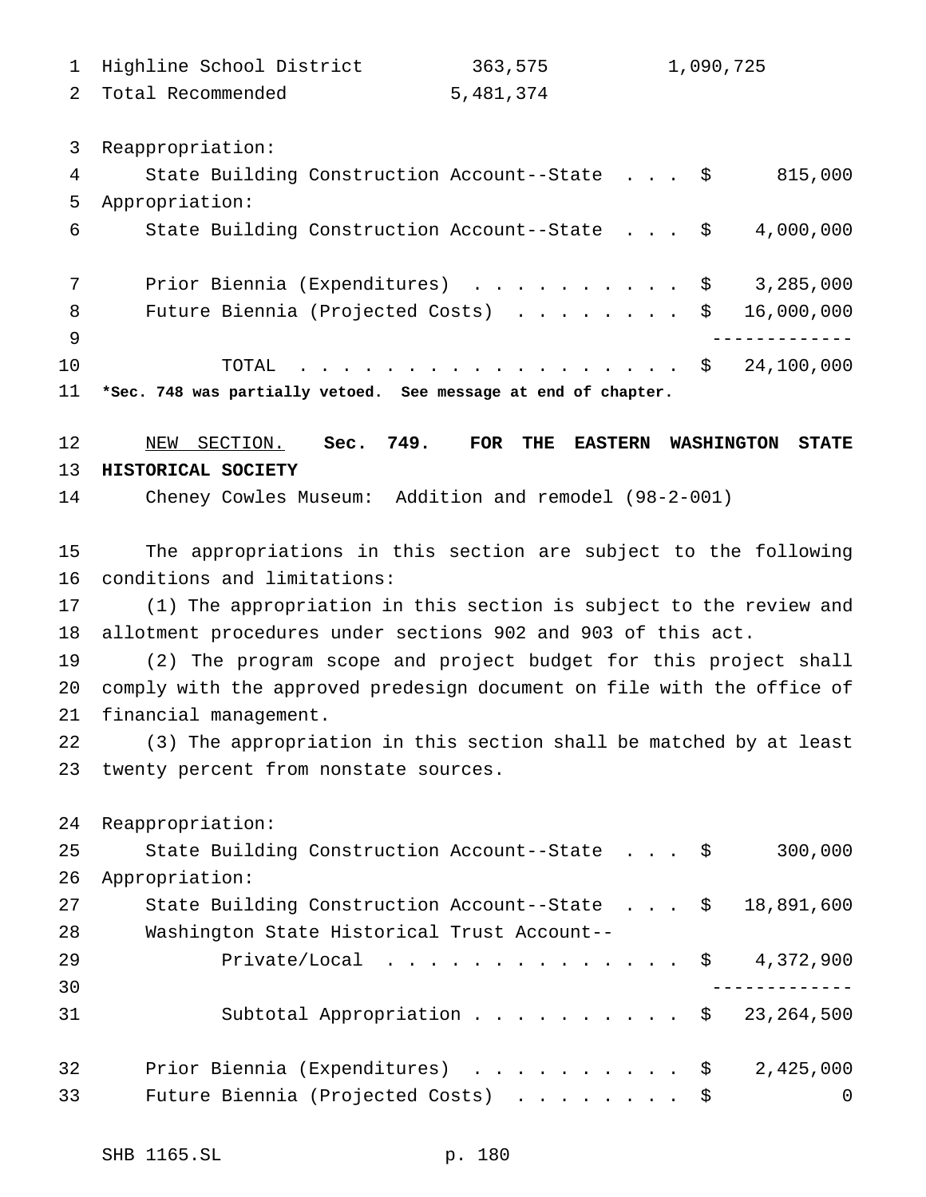| 1 Highline School District | 363,575   | 1,090,725 |
|----------------------------|-----------|-----------|
| 2 Total Recommended        | 5,481,374 |           |

Reappropriation:

| 4            | State Building Construction Account--State \$<br>815,000       |
|--------------|----------------------------------------------------------------|
| 5            | Appropriation:                                                 |
| 6            | State Building Construction Account--State \$<br>4,000,000     |
|              |                                                                |
| 7            | Prior Biennia (Expenditures) $\ldots$ \$ 3,285,000             |
| 8            | 16,000,000<br>Future Biennia (Projected Costs) $\ldots$ \$     |
| <sup>9</sup> |                                                                |
| 10           | TOTAL \$ 24,100,000                                            |
| 11           | *Sec. 748 was partially vetoed. See message at end of chapter. |

 NEW SECTION. **Sec. 749. FOR THE EASTERN WASHINGTON STATE HISTORICAL SOCIETY**

Cheney Cowles Museum: Addition and remodel (98-2-001)

 The appropriations in this section are subject to the following conditions and limitations:

 (1) The appropriation in this section is subject to the review and allotment procedures under sections 902 and 903 of this act.

 (2) The program scope and project budget for this project shall comply with the approved predesign document on file with the office of financial management.

 (3) The appropriation in this section shall be matched by at least twenty percent from nonstate sources.

 Reappropriation: State Building Construction Account--State . . . \$ 300,000 Appropriation: State Building Construction Account--State . . . \$ 18,891,600 Washington State Historical Trust Account-- Private/Local .............. \$ 4,372,900 ------------- Subtotal Appropriation.......... \$ 23,264,500 Prior Biennia (Expenditures) .......... \$ 2,425,000 Future Biennia (Projected Costs) ........ \$ 0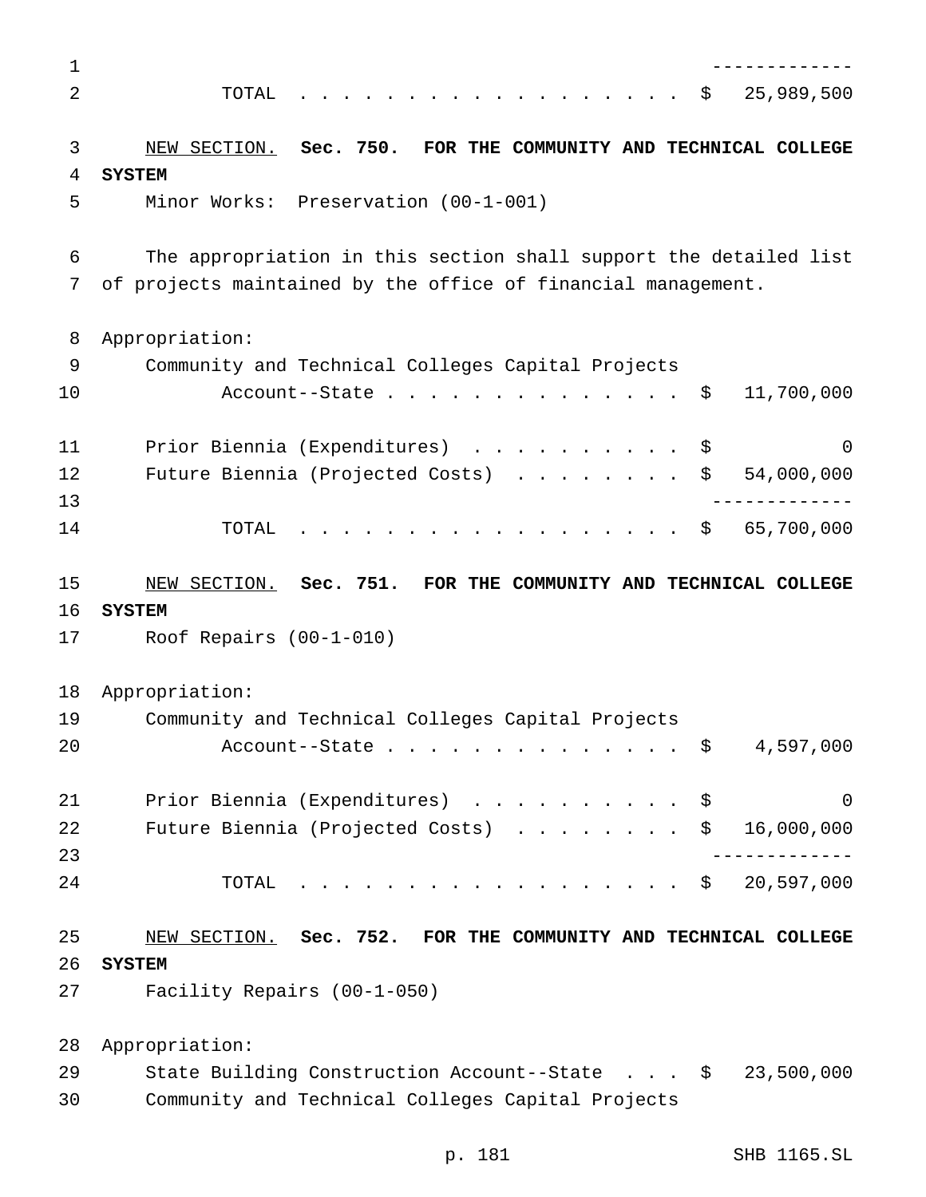| 1  |                                                                                     |
|----|-------------------------------------------------------------------------------------|
| 2  | 25,989,500<br>TOTAL<br>\$                                                           |
|    |                                                                                     |
| 3  | NEW SECTION. Sec. 750. FOR THE COMMUNITY AND TECHNICAL COLLEGE                      |
| 4  | <b>SYSTEM</b>                                                                       |
| 5  | Minor Works: Preservation (00-1-001)                                                |
|    |                                                                                     |
| 6  | The appropriation in this section shall support the detailed list                   |
| 7  | of projects maintained by the office of financial management.                       |
| 8  | Appropriation:                                                                      |
| 9  | Community and Technical Colleges Capital Projects                                   |
| 10 | 11,700,000<br>Account--State<br>\$                                                  |
| 11 | Prior Biennia (Expenditures)<br>\$<br>0                                             |
| 12 | Future Biennia (Projected Costs)<br>\$<br>54,000,000                                |
| 13 |                                                                                     |
| 14 | .<br>65,700,000<br>\$<br>TOTAL                                                      |
|    |                                                                                     |
| 15 | NEW SECTION. Sec. 751. FOR THE COMMUNITY AND TECHNICAL COLLEGE                      |
| 16 | <b>SYSTEM</b>                                                                       |
| 17 | Roof Repairs $(00-1-010)$                                                           |
| 18 |                                                                                     |
| 19 | Appropriation:                                                                      |
| 20 | Community and Technical Colleges Capital Projects<br>4,597,000<br>Account--State \$ |
|    |                                                                                     |
| 21 | Prior Biennia (Expenditures)<br>0<br>\$                                             |
| 22 | Future Biennia (Projected Costs)<br>\$<br>16,000,000                                |
| 23 |                                                                                     |
| 24 | 20,597,000<br>.<br>TOTAL<br>\$                                                      |
| 25 | NEW SECTION. Sec. 752. FOR THE COMMUNITY AND TECHNICAL COLLEGE                      |
| 26 | <b>SYSTEM</b>                                                                       |
| 27 | Facility Repairs (00-1-050)                                                         |
|    |                                                                                     |
| 28 | Appropriation:                                                                      |
| 29 | State Building Construction Account--State \$<br>23,500,000                         |
| 30 | Community and Technical Colleges Capital Projects                                   |

p. 181 SHB 1165.SL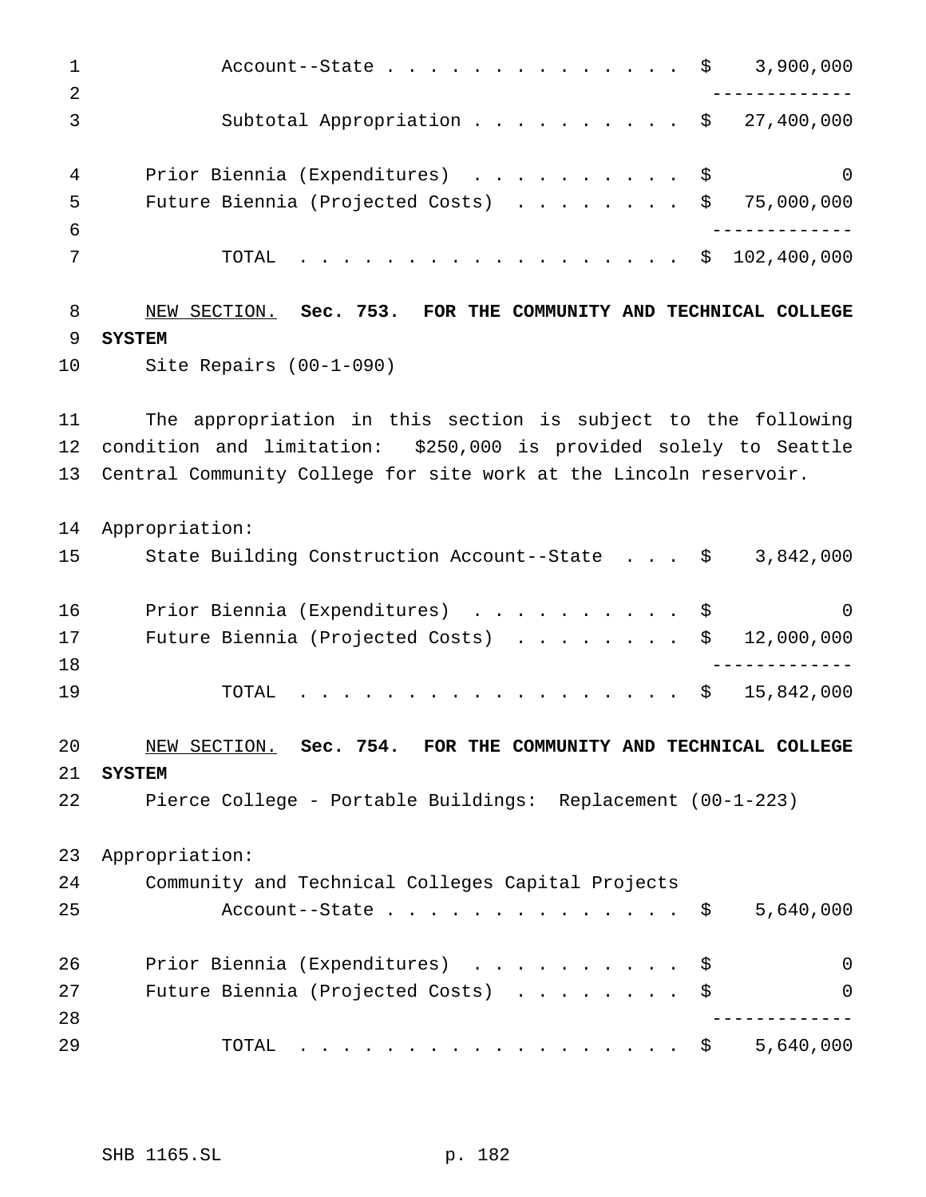1 Account--State............... \$ 3,900,000 ------------- Subtotal Appropriation.......... \$ 27,400,000 4 Prior Biennia (Expenditures) . . . . . . . . . \$ 0 Future Biennia (Projected Costs) ........ \$ 75,000,000 ------------- TOTAL .................. \$ 102,400,000 NEW SECTION. **Sec. 753. FOR THE COMMUNITY AND TECHNICAL COLLEGE SYSTEM** Site Repairs (00-1-090) The appropriation in this section is subject to the following condition and limitation: \$250,000 is provided solely to Seattle Central Community College for site work at the Lincoln reservoir. Appropriation: State Building Construction Account--State . . . \$ 3,842,000 Prior Biennia (Expenditures) .......... \$ 0 17 Future Biennia (Projected Costs) . . . . . . . \$ 12,000,000 ------------- 19 TOTAL . . . . . . . . . . . . . . . . \$ 15,842,000 NEW SECTION. **Sec. 754. FOR THE COMMUNITY AND TECHNICAL COLLEGE SYSTEM** Pierce College - Portable Buildings: Replacement (00-1-223) Appropriation: Community and Technical Colleges Capital Projects 25 Account--State . . . . . . . . . . . . . \$ 5,640,000 26 Prior Biennia (Expenditures) . . . . . . . . . \$ 0 27 Future Biennia (Projected Costs) . . . . . . . \$ 0 ------------- TOTAL .................. \$ 5,640,000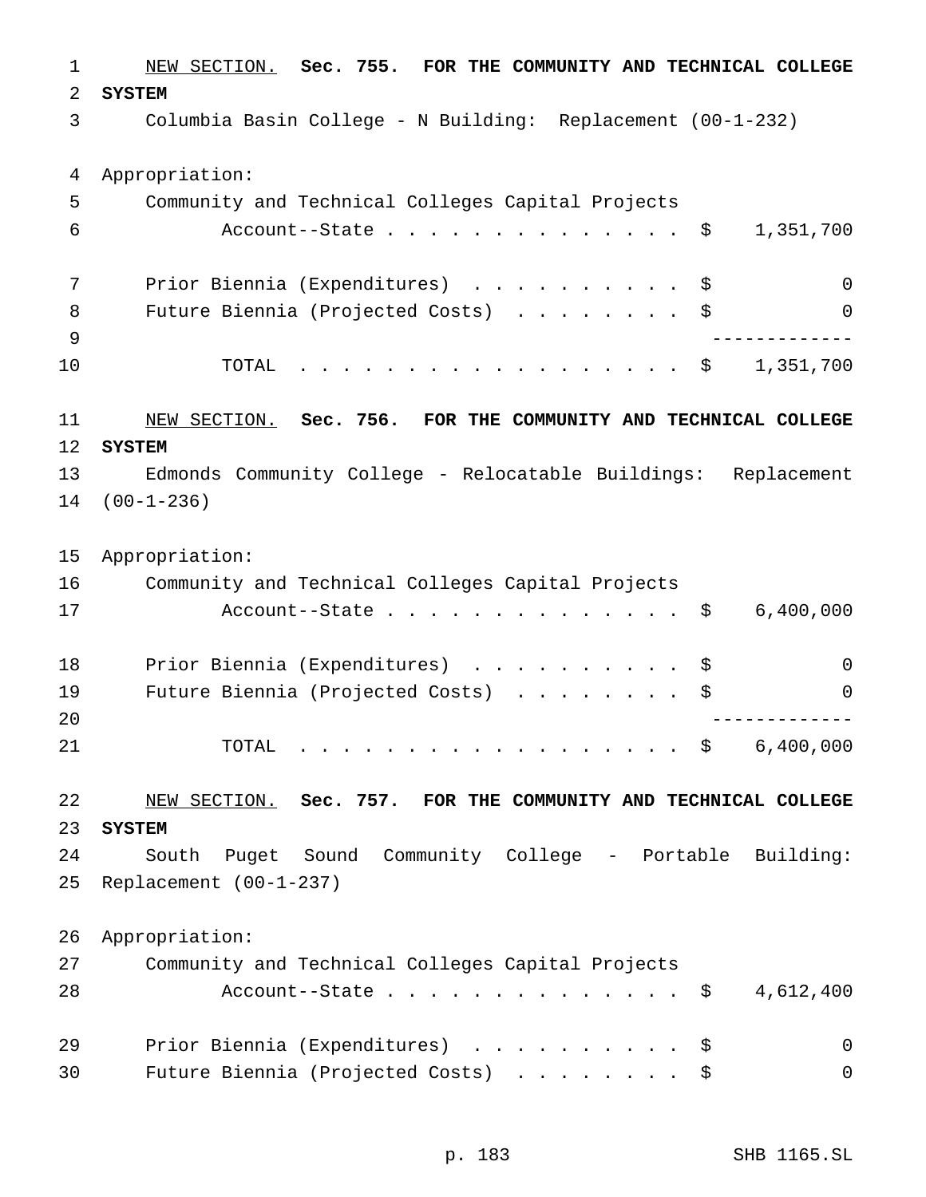NEW SECTION. **Sec. 755. FOR THE COMMUNITY AND TECHNICAL COLLEGE SYSTEM** Columbia Basin College - N Building: Replacement (00-1-232) Appropriation: Community and Technical Colleges Capital Projects Account--State.............. \$ 1,351,700 Prior Biennia (Expenditures) .......... \$ 0 8 Future Biennia (Projected Costs) . . . . . . . \$ 0 ------------- TOTAL .................. \$ 1,351,700 NEW SECTION. **Sec. 756. FOR THE COMMUNITY AND TECHNICAL COLLEGE SYSTEM** Edmonds Community College - Relocatable Buildings: Replacement (00-1-236) Appropriation: Community and Technical Colleges Capital Projects 17 Account--State . . . . . . . . . . . . . \$ 6,400,000 18 Prior Biennia (Expenditures) . . . . . . . . . \$ 0 19 Future Biennia (Projected Costs) . . . . . . . \$ 0 ------------- TOTAL .................. \$ 6,400,000 NEW SECTION. **Sec. 757. FOR THE COMMUNITY AND TECHNICAL COLLEGE SYSTEM** South Puget Sound Community College - Portable Building: Replacement (00-1-237) Appropriation: Community and Technical Colleges Capital Projects 28 Account--State............... \$ 4,612,400 29 Prior Biennia (Expenditures) . . . . . . . . . \$ 0 30 Future Biennia (Projected Costs) . . . . . . . \$ 0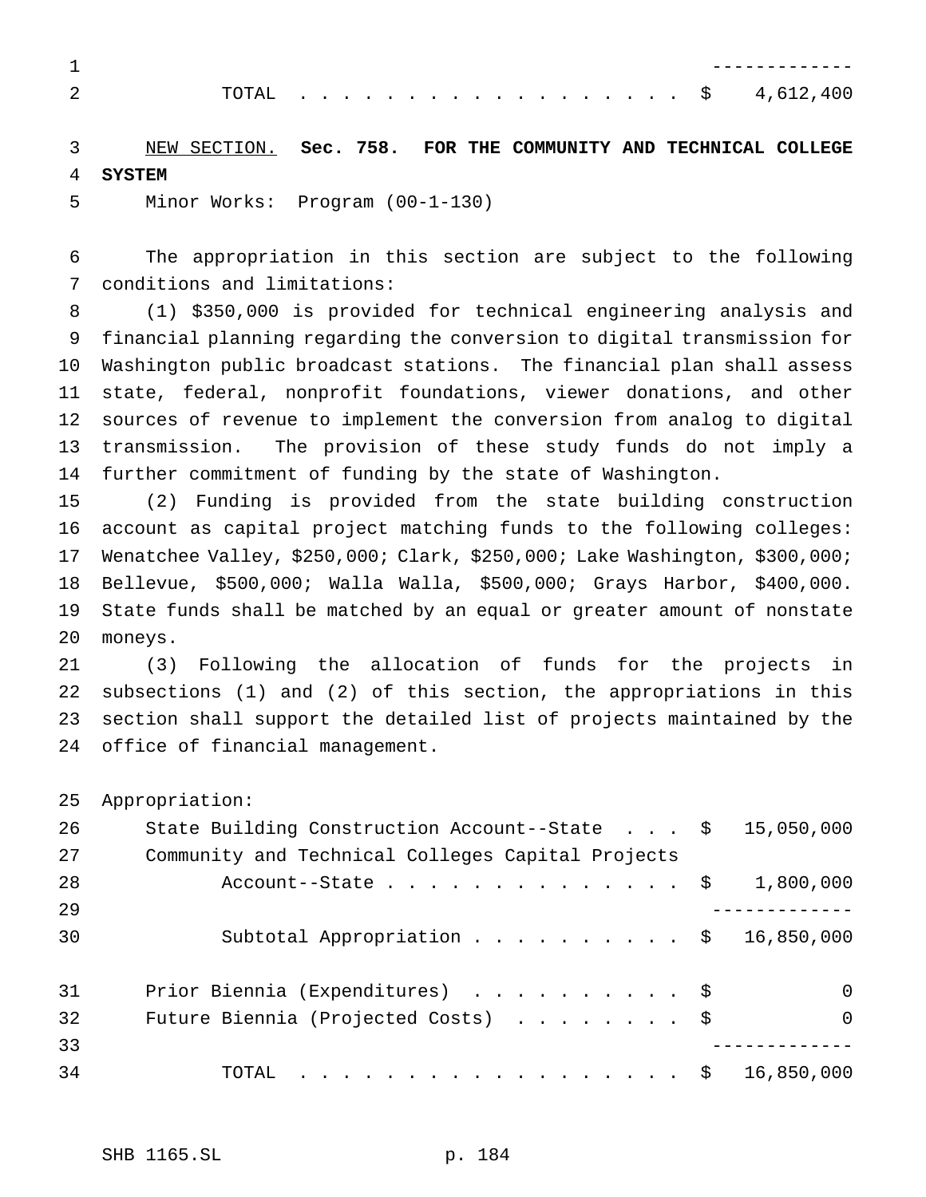|  |  |  |  |  |  |  |  |  |  | . \$4,612,400 |
|--|--|--|--|--|--|--|--|--|--|---------------|

 NEW SECTION. **Sec. 758. FOR THE COMMUNITY AND TECHNICAL COLLEGE SYSTEM**

Minor Works: Program (00-1-130)

 The appropriation in this section are subject to the following conditions and limitations:

 (1) \$350,000 is provided for technical engineering analysis and financial planning regarding the conversion to digital transmission for Washington public broadcast stations. The financial plan shall assess state, federal, nonprofit foundations, viewer donations, and other sources of revenue to implement the conversion from analog to digital transmission. The provision of these study funds do not imply a further commitment of funding by the state of Washington.

 (2) Funding is provided from the state building construction account as capital project matching funds to the following colleges: Wenatchee Valley, \$250,000; Clark, \$250,000; Lake Washington, \$300,000; Bellevue, \$500,000; Walla Walla, \$500,000; Grays Harbor, \$400,000. State funds shall be matched by an equal or greater amount of nonstate moneys.

 (3) Following the allocation of funds for the projects in subsections (1) and (2) of this section, the appropriations in this section shall support the detailed list of projects maintained by the office of financial management.

Appropriation:

| 26 | State Building Construction Account--State $\cdot \cdot \cdot$ | 15,050,000 |
|----|----------------------------------------------------------------|------------|
| 27 | Community and Technical Colleges Capital Projects              |            |
| 28 | Account--State $\ldots$ \$                                     | 1,800,000  |
| 29 |                                                                |            |
| 30 | Subtotal Appropriation $\frac{1}{2}$                           | 16,850,000 |
|    |                                                                |            |
| 31 | Prior Biennia (Expenditures) \$                                | $\Omega$   |
| 32 | Future Biennia (Projected Costs) \$                            | $\Omega$   |
| 33 |                                                                |            |
| 34 | . \$<br>TOTAL                                                  | 16,850,000 |
|    |                                                                |            |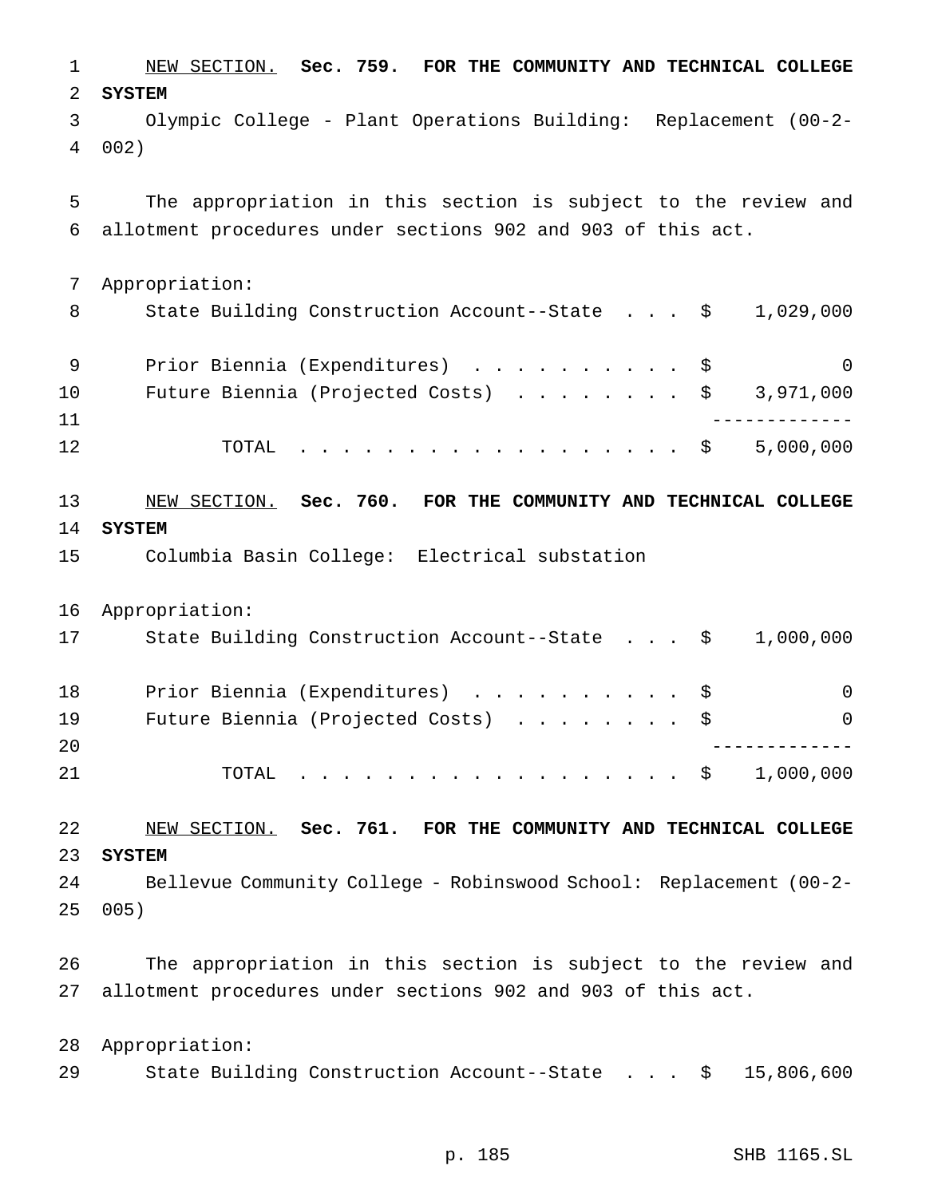NEW SECTION. **Sec. 759. FOR THE COMMUNITY AND TECHNICAL COLLEGE SYSTEM** Olympic College - Plant Operations Building: Replacement (00-2- 002) The appropriation in this section is subject to the review and allotment procedures under sections 902 and 903 of this act. Appropriation: 8 State Building Construction Account--State . . . \$ 1,029,000 9 Prior Biennia (Expenditures) . . . . . . . . . \$ 0 Future Biennia (Projected Costs) ........ \$ 3,971,000 ------------- 12 TOTAL . . . . . . . . . . . . . . . . \$ 5,000,000 NEW SECTION. **Sec. 760. FOR THE COMMUNITY AND TECHNICAL COLLEGE SYSTEM** Columbia Basin College: Electrical substation Appropriation: State Building Construction Account--State . . . \$ 1,000,000 18 Prior Biennia (Expenditures) . . . . . . . . . \$ 0 19 Future Biennia (Projected Costs) . . . . . . . \$ 0 ------------- 21 TOTAL . . . . . . . . . . . . . . . . \$ 1,000,000 NEW SECTION. **Sec. 761. FOR THE COMMUNITY AND TECHNICAL COLLEGE SYSTEM** Bellevue Community College - Robinswood School: Replacement (00-2- 005) The appropriation in this section is subject to the review and allotment procedures under sections 902 and 903 of this act. Appropriation: State Building Construction Account--State . . . \$ 15,806,600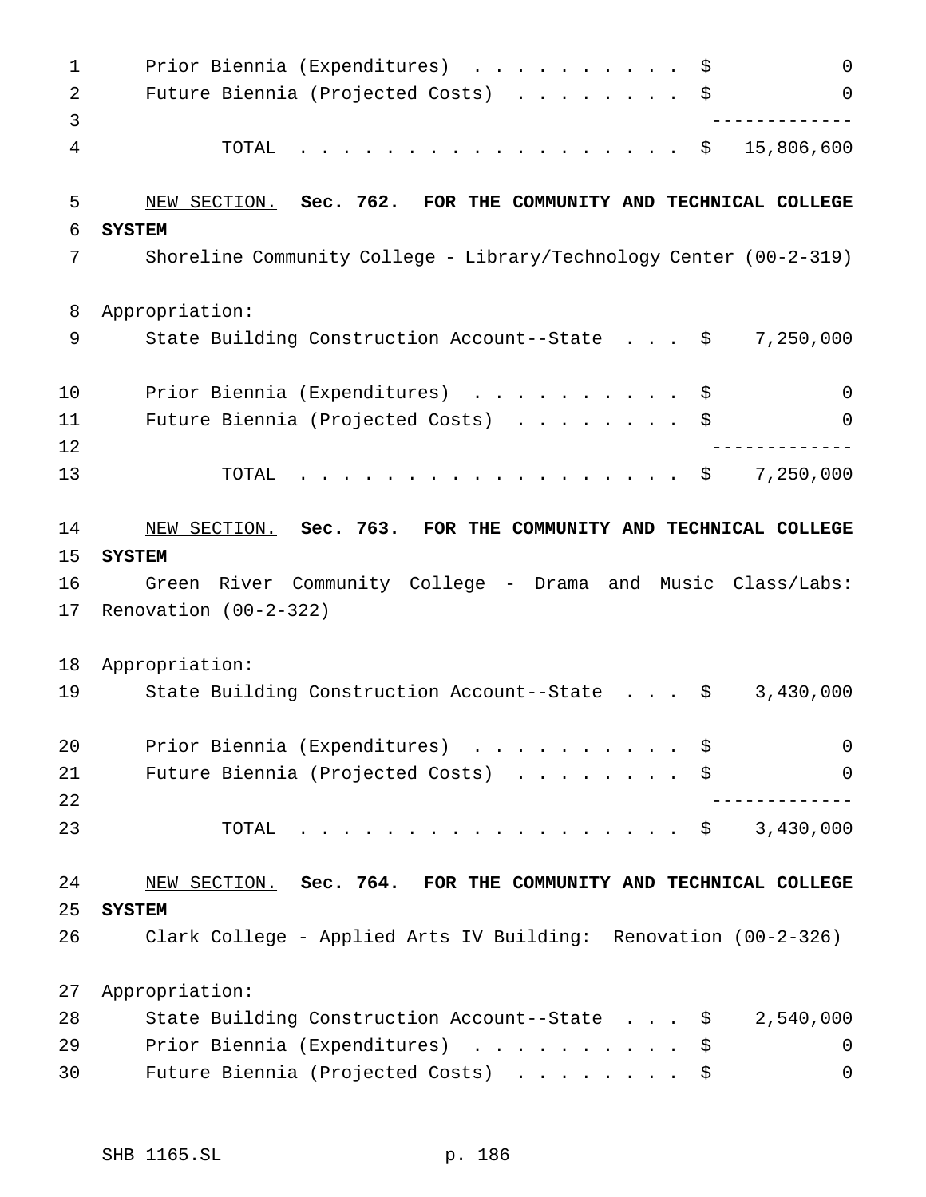| 1              | Prior Biennia (Expenditures)<br>$\Omega$<br>\$                       |
|----------------|----------------------------------------------------------------------|
| $\overline{2}$ | Future Biennia (Projected Costs)<br>\$<br>$\Omega$                   |
| 3              |                                                                      |
| 4              | 15,806,600<br>TOTAL<br>\$<br>.                                       |
| 5              | NEW SECTION. Sec. 762. FOR THE COMMUNITY AND TECHNICAL COLLEGE       |
| 6              | <b>SYSTEM</b>                                                        |
| 7              | Shoreline Community College - Library/Technology Center $(00-2-319)$ |
| 8              | Appropriation:                                                       |
| 9              | State Building Construction Account--State \$<br>7,250,000           |
| 10             | Prior Biennia (Expenditures)<br>$\Omega$<br>\$                       |
| 11             | Future Biennia (Projected Costs)<br>\$<br>0                          |
| 12             |                                                                      |
| 13             | 7,250,000<br>TOTAL<br>.<br>\$                                        |
| 14             | NEW SECTION. Sec. 763. FOR THE COMMUNITY AND TECHNICAL COLLEGE       |
| 15             | <b>SYSTEM</b>                                                        |
| 16             | Green River Community College - Drama and Music Class/Labs:          |
| 17             | Renovation $(00-2-322)$                                              |
| 18             | Appropriation:                                                       |
| 19             | 3,430,000<br>State Building Construction Account--State<br>\$        |
| 20             | Prior Biennia (Expenditures)<br>$\mathbf 0$<br>\$                    |
| 21             | Future Biennia (Projected Costs) \$<br>$\mathbf 0$                   |
| 22             |                                                                      |
| 23             | 3,430,000<br>. \$<br>TOTAL                                           |
| 24             | NEW SECTION. Sec. 764. FOR THE COMMUNITY AND TECHNICAL COLLEGE       |
| 25             | <b>SYSTEM</b>                                                        |
| 26             | Clark College - Applied Arts IV Building: Renovation (00-2-326)      |
| 27             | Appropriation:                                                       |
| 28             | State Building Construction Account--State<br>2,540,000<br>\$        |
| 29             | Prior Biennia (Expenditures)<br>\$<br>0                              |
| 30             | Future Biennia (Projected Costs)<br>0<br>\$                          |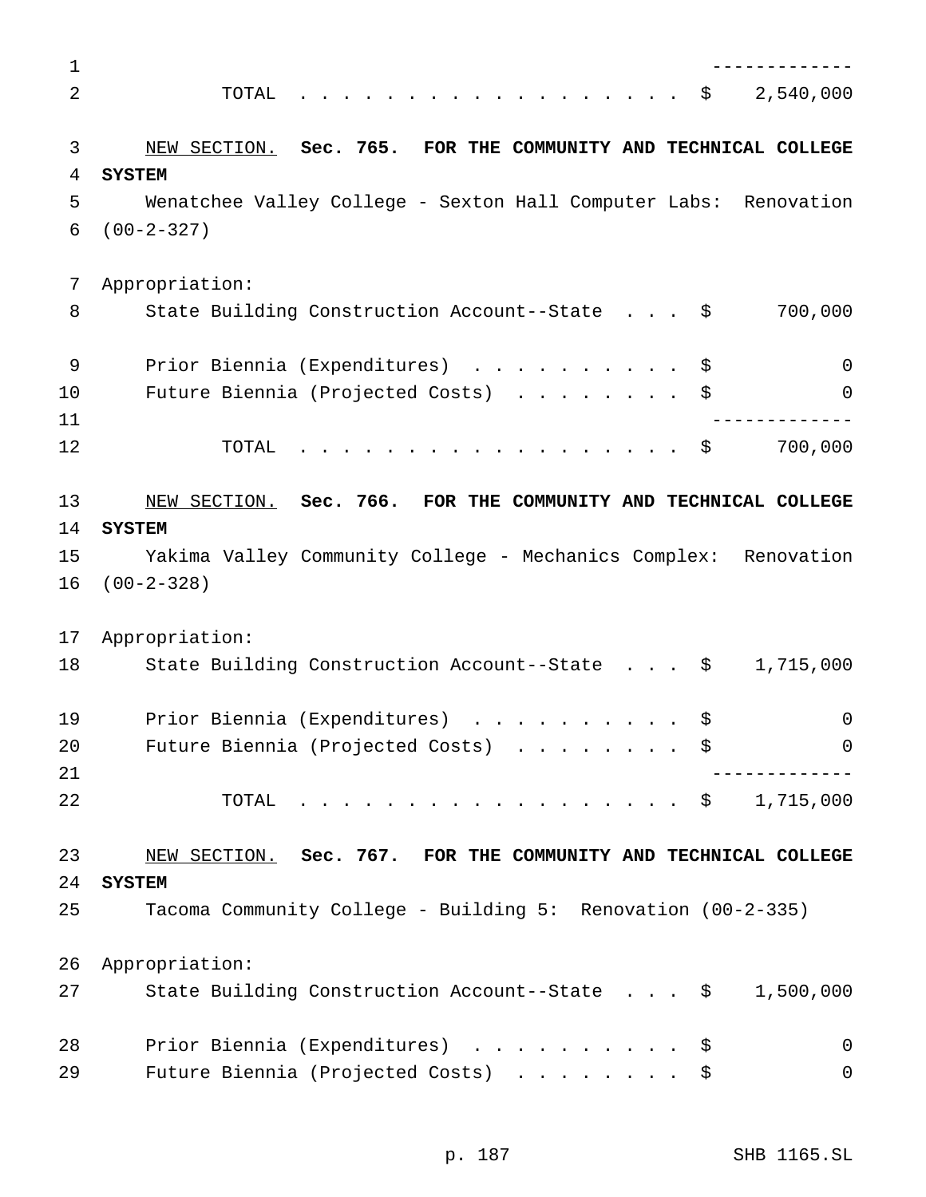| $\mathbf 1$ |                                                                    |
|-------------|--------------------------------------------------------------------|
| 2           | 2,540,000<br>TOTAL<br>$\ddot{\mathbf{S}}$                          |
|             |                                                                    |
| 3           | NEW SECTION. Sec. 765. FOR THE COMMUNITY AND TECHNICAL COLLEGE     |
| 4           | <b>SYSTEM</b>                                                      |
| 5           | Wenatchee Valley College - Sexton Hall Computer Labs: Renovation   |
| 6           | $(00-2-327)$                                                       |
| 7           | Appropriation:                                                     |
| 8           | 700,000<br>State Building Construction Account--State \$           |
| 9           | Prior Biennia (Expenditures) \$<br>0                               |
| 10          | Future Biennia (Projected Costs)<br>0                              |
| 11          |                                                                    |
| 12          | 700,000<br>TOTAL<br>. \$                                           |
| 13          | NEW SECTION. Sec. 766. FOR THE COMMUNITY AND TECHNICAL COLLEGE     |
| 14          | <b>SYSTEM</b>                                                      |
| 15          | Yakima Valley Community College - Mechanics Complex: Renovation    |
| 16          | $(00-2-328)$                                                       |
| 17          | Appropriation:                                                     |
| 18          | State Building Construction Account--State \$<br>1,715,000         |
| 19          | Prior Biennia (Expenditures)<br>\$<br>0                            |
| 20          | Future Biennia (Projected Costs) \$<br>$\Omega$                    |
| 21          |                                                                    |
| 22          | . \$ 1,715,000<br>TOTAL                                            |
| 23          | NEW SECTION. Sec. 767. FOR THE COMMUNITY AND TECHNICAL COLLEGE     |
| 24          | <b>SYSTEM</b>                                                      |
| 25          | Tacoma Community College - Building 5: Renovation (00-2-335)       |
| 26          | Appropriation:                                                     |
| 27          | State Building Construction Account--State $\frac{1}{5}$ 1,500,000 |
| 28          | Prior Biennia (Expenditures) \$<br>0                               |
| 29          | Future Biennia (Projected Costs)<br>$\mathbf 0$<br>\$              |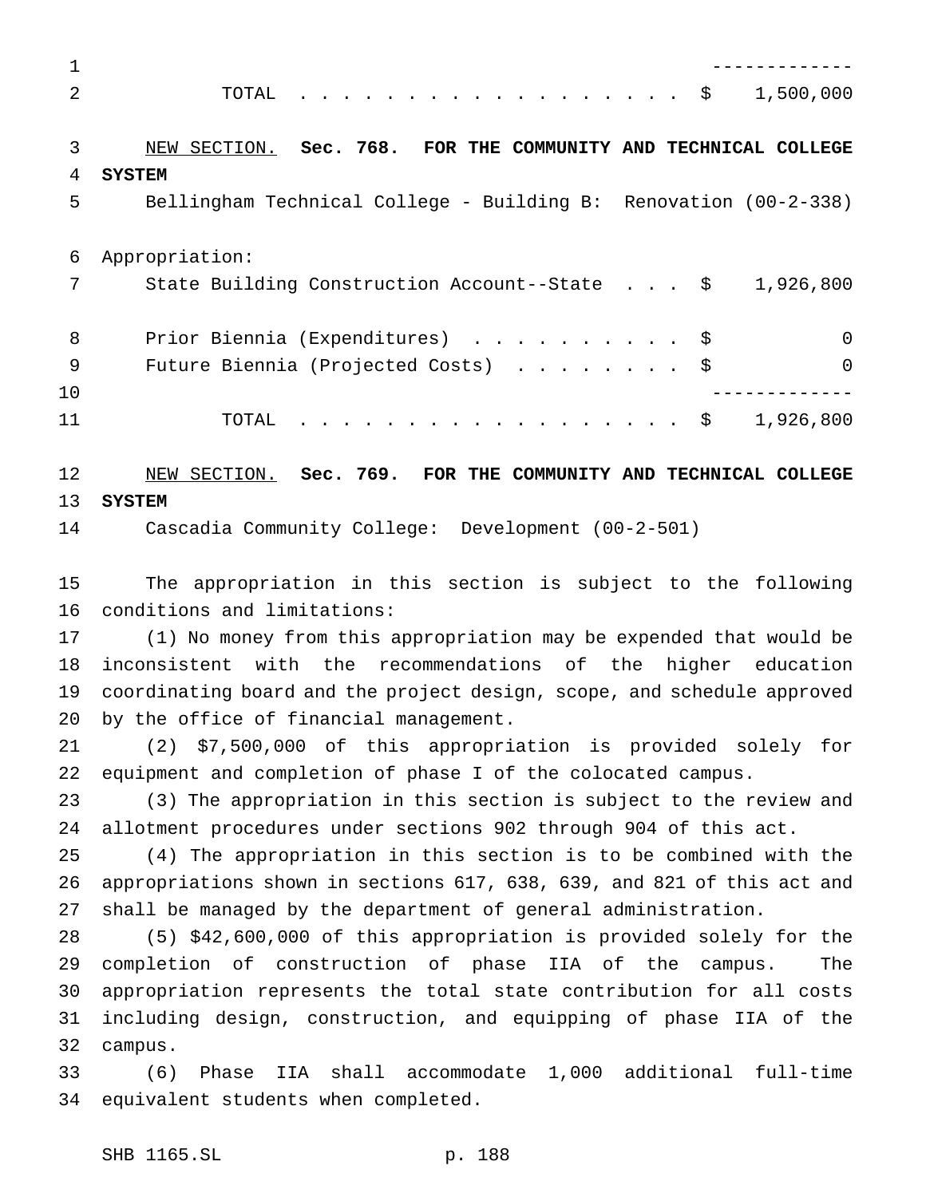| $\mathbf 1$    |                                                                         |
|----------------|-------------------------------------------------------------------------|
| $\overline{2}$ | $\cdot$ \$ 1,500,000<br>TOTAL                                           |
| 3              | NEW SECTION. Sec. 768. FOR THE COMMUNITY AND TECHNICAL COLLEGE          |
| 4              | <b>SYSTEM</b>                                                           |
| 5              | Bellingham Technical College - Building B: Renovation (00-2-338)        |
| 6              | Appropriation:                                                          |
| 7              | State Building Construction Account--State $\frac{1}{9}$ , 1,926,800    |
| 8              | $\mathbf 0$<br>Prior Biennia (Expenditures) \$                          |
| 9              | $\mathbf 0$<br>Future Biennia (Projected Costs)<br>\$                   |
| 10             |                                                                         |
| 11             | . \$ 1,926,800<br>TOTAL                                                 |
| 12             | NEW SECTION. Sec. 769. FOR THE COMMUNITY AND TECHNICAL COLLEGE          |
| 13             | <b>SYSTEM</b>                                                           |
| 14             | Cascadia Community College: Development (00-2-501)                      |
| 15             | The appropriation in this section is subject to the following           |
| 16             | conditions and limitations:                                             |
| 17             | (1) No money from this appropriation may be expended that would be      |
| 18             | inconsistent with the recommendations of the higher education           |
| 19             | coordinating board and the project design, scope, and schedule approved |
| 20             | by the office of financial management.                                  |
| 21             | (2) \$7,500,000 of this appropriation is provided solely for            |
| 22             | equipment and completion of phase I of the colocated campus.            |
| 23             | (3) The appropriation in this section is subject to the review and      |
| 24             | allotment procedures under sections 902 through 904 of this act.        |
| 25             | (4) The appropriation in this section is to be combined with the        |
| 26             | appropriations shown in sections 617, 638, 639, and 821 of this act and |
| 27             | shall be managed by the department of general administration.           |
| 28             | (5) \$42,600,000 of this appropriation is provided solely for the       |
| 29             | completion of construction of phase IIA of the campus.<br>The           |
| 30             | appropriation represents the total state contribution for all costs     |
| 31             | including design, construction, and equipping of phase IIA of the       |
| 32             | campus.                                                                 |
| 33             | Phase IIA shall accommodate 1,000 additional full-time<br>(6)           |
| 34             | equivalent students when completed.                                     |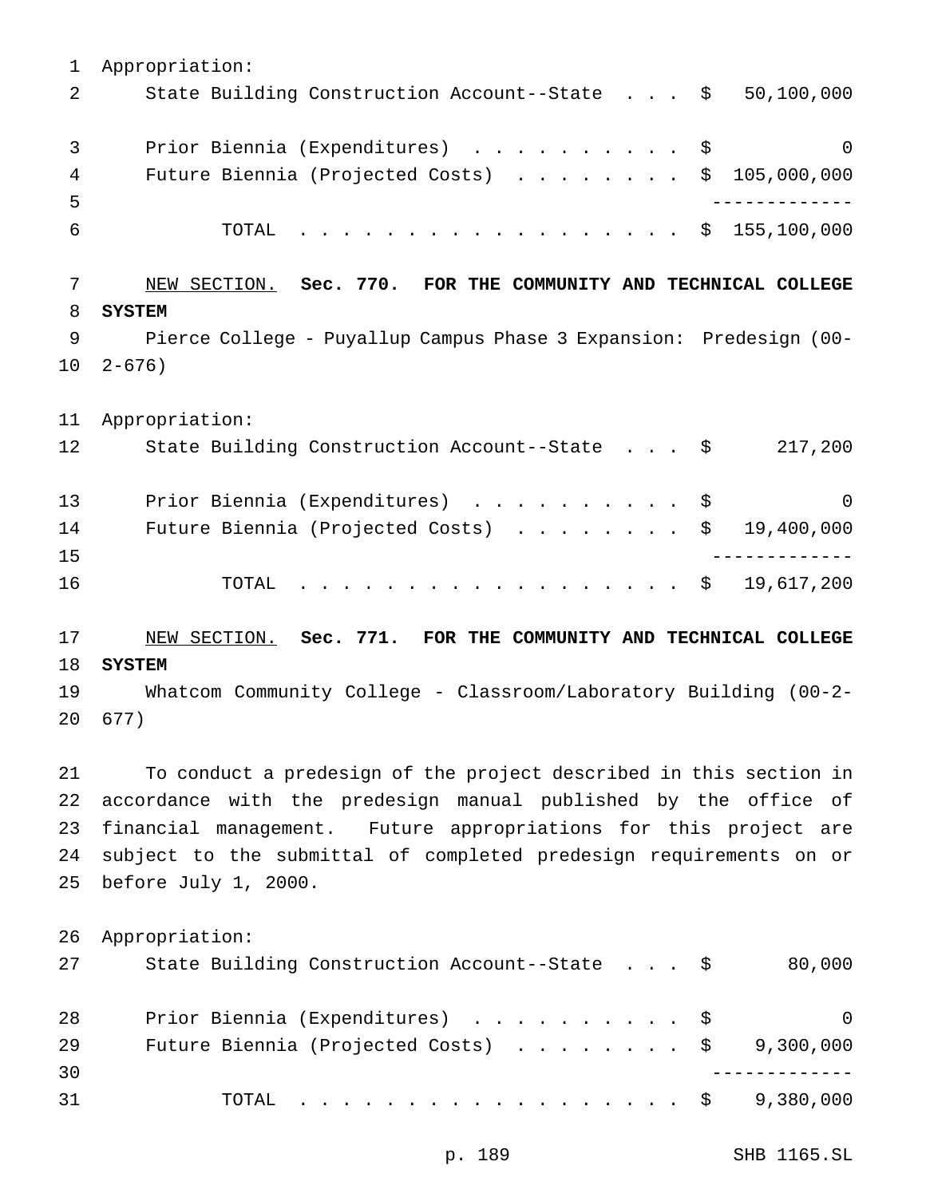Appropriation: 2 State Building Construction Account--State . . . \$ 50,100,000 3 Prior Biennia (Expenditures) . . . . . . . . . \$ 0 Future Biennia (Projected Costs) ........ \$ 105,000,000 ------------- TOTAL .................. \$ 155,100,000 NEW SECTION. **Sec. 770. FOR THE COMMUNITY AND TECHNICAL COLLEGE SYSTEM** Pierce College - Puyallup Campus Phase 3 Expansion: Predesign (00- 2-676) Appropriation: State Building Construction Account--State . . . \$ 217,200 13 Prior Biennia (Expenditures) . . . . . . . . . \$ 0 14 Future Biennia (Projected Costs) . . . . . . . \$ 19,400,000 ------------- 16 TOTAL . . . . . . . . . . . . . . . . \$ 19,617,200 NEW SECTION. **Sec. 771. FOR THE COMMUNITY AND TECHNICAL COLLEGE SYSTEM** Whatcom Community College - Classroom/Laboratory Building (00-2- 677) To conduct a predesign of the project described in this section in accordance with the predesign manual published by the office of financial management. Future appropriations for this project are subject to the submittal of completed predesign requirements on or before July 1, 2000. Appropriation: 27 State Building Construction Account--State . . . \$ 80,000 28 Prior Biennia (Expenditures) . . . . . . . . . \$ 0 29 Future Biennia (Projected Costs) . . . . . . . \$ 9,300,000 ------------- TOTAL .................. \$ 9,380,000

p. 189 SHB 1165.SL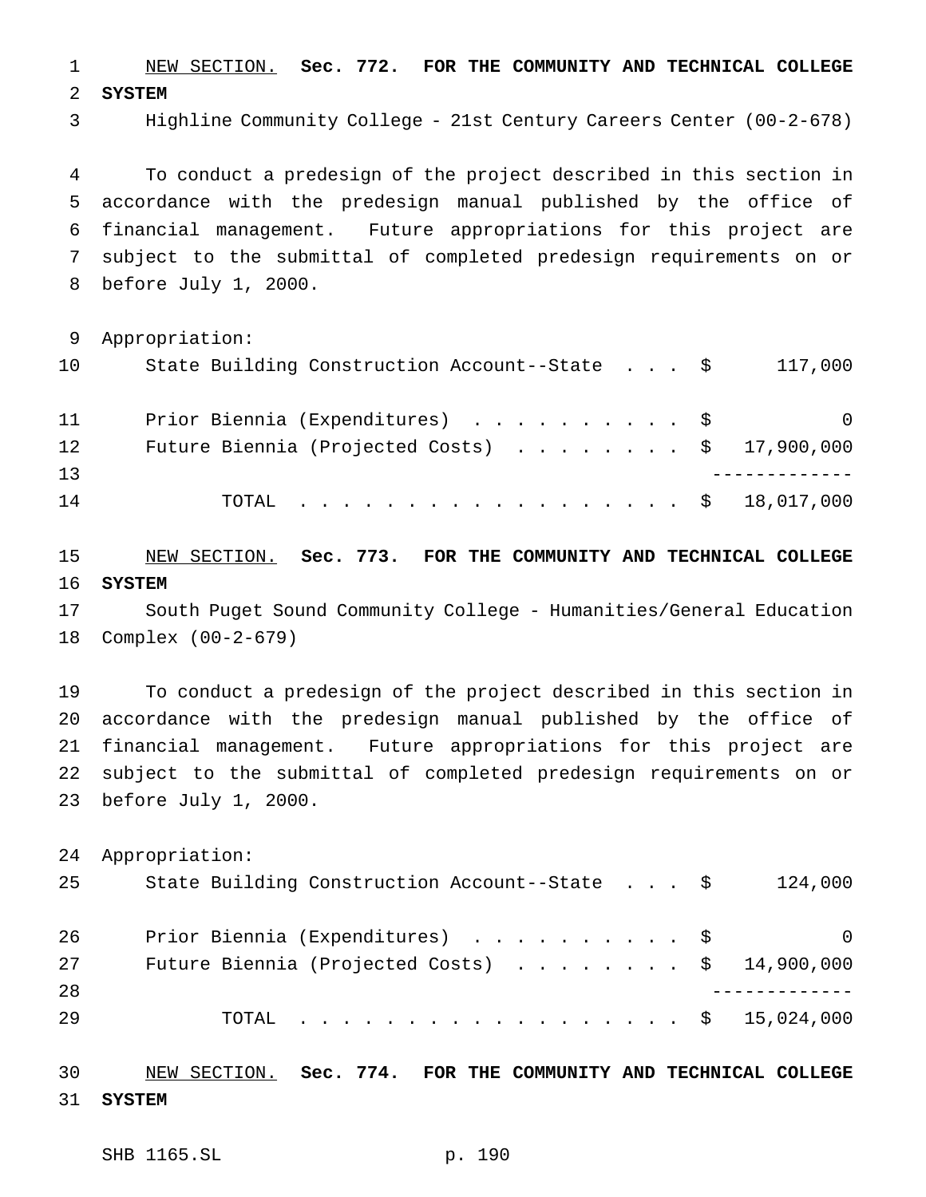NEW SECTION. **Sec. 772. FOR THE COMMUNITY AND TECHNICAL COLLEGE SYSTEM**

Highline Community College - 21st Century Careers Center (00-2-678)

 To conduct a predesign of the project described in this section in accordance with the predesign manual published by the office of financial management. Future appropriations for this project are subject to the submittal of completed predesign requirements on or before July 1, 2000.

Appropriation:

| 10 | State Building Construction Account--State \$           | 117,000  |
|----|---------------------------------------------------------|----------|
| 11 | Prior Biennia (Expenditures) \$                         | $\Omega$ |
| 12 | Future Biennia (Projected Costs) $\ldots$ \$ 17,900,000 |          |
| 13 |                                                         |          |
| 14 | TOTAL \$ 18,017,000                                     |          |

 NEW SECTION. **Sec. 773. FOR THE COMMUNITY AND TECHNICAL COLLEGE SYSTEM**

 South Puget Sound Community College - Humanities/General Education Complex (00-2-679)

 To conduct a predesign of the project described in this section in accordance with the predesign manual published by the office of financial management. Future appropriations for this project are subject to the submittal of completed predesign requirements on or before July 1, 2000.

 Appropriation: State Building Construction Account--State . . . \$ 124,000 Prior Biennia (Expenditures) .......... \$ 0 27 Future Biennia (Projected Costs) . . . . . . . \$ 14,900,000 ------------- TOTAL .................. \$ 15,024,000

 NEW SECTION. **Sec. 774. FOR THE COMMUNITY AND TECHNICAL COLLEGE SYSTEM**

SHB 1165.SL p. 190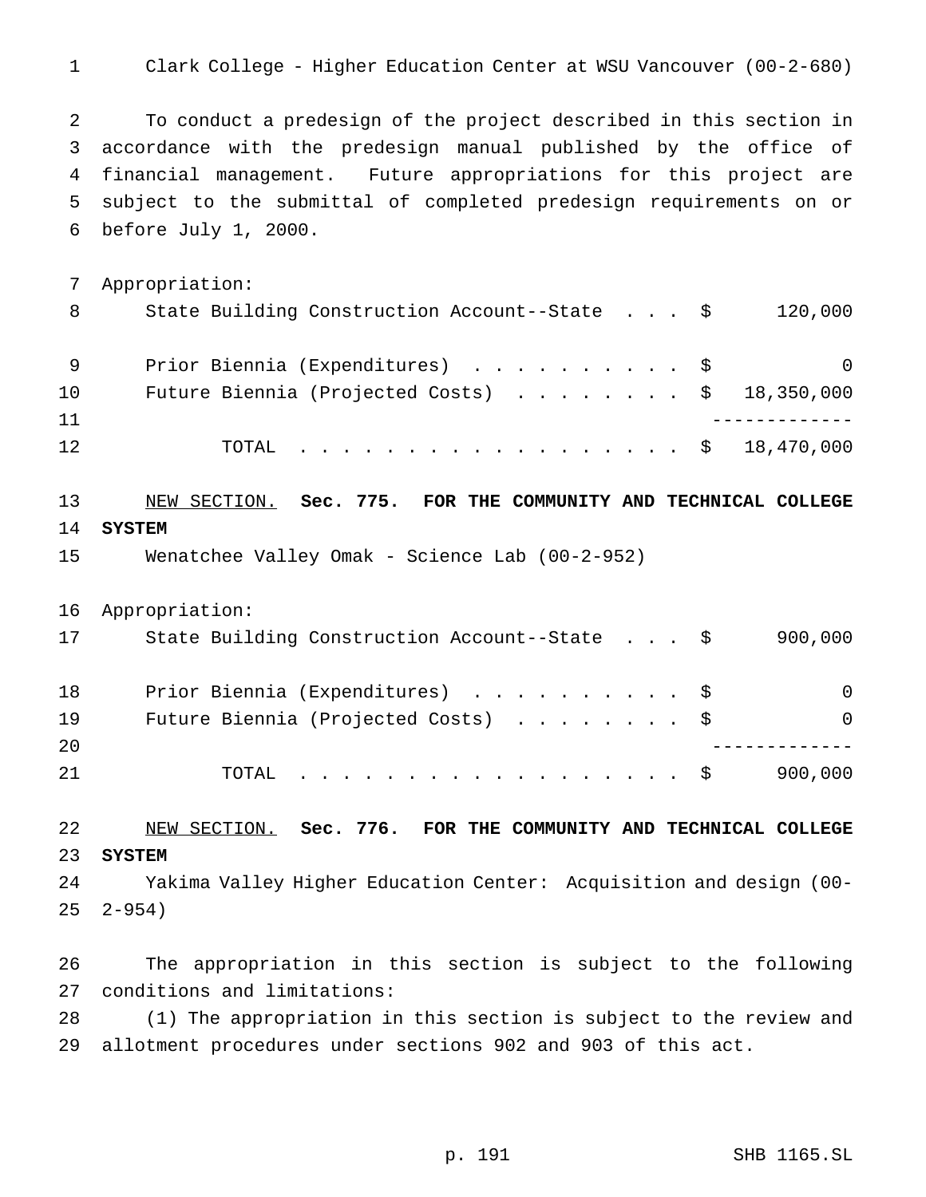Clark College - Higher Education Center at WSU Vancouver (00-2-680)

 To conduct a predesign of the project described in this section in accordance with the predesign manual published by the office of financial management. Future appropriations for this project are subject to the submittal of completed predesign requirements on or before July 1, 2000.

 Appropriation: 8 State Building Construction Account--State . . . \$ 120,000 9 Prior Biennia (Expenditures) . . . . . . . . . \$ 0 Future Biennia (Projected Costs) ........ \$ 18,350,000 ------------- 12 TOTAL . . . . . . . . . . . . . . . . \$ 18,470,000

# NEW SECTION. **Sec. 775. FOR THE COMMUNITY AND TECHNICAL COLLEGE SYSTEM**

- Wenatchee Valley Omak Science Lab (00-2-952)
- Appropriation:

| 17 | State Building Construction Account--State \$              | 900,000  |
|----|------------------------------------------------------------|----------|
| 18 | Prior Biennia (Expenditures) \$                            | $\Omega$ |
| 19 | Future Biennia (Projected Costs) \$                        | $\Omega$ |
| 20 |                                                            |          |
| 21 | TOTAL $\ldots \ldots \ldots \ldots \ldots \ldots \ldots \$ | 900,000  |

### NEW SECTION. **Sec. 776. FOR THE COMMUNITY AND TECHNICAL COLLEGE SYSTEM**

 Yakima Valley Higher Education Center: Acquisition and design (00- 2-954)

 The appropriation in this section is subject to the following conditions and limitations:

 (1) The appropriation in this section is subject to the review and allotment procedures under sections 902 and 903 of this act.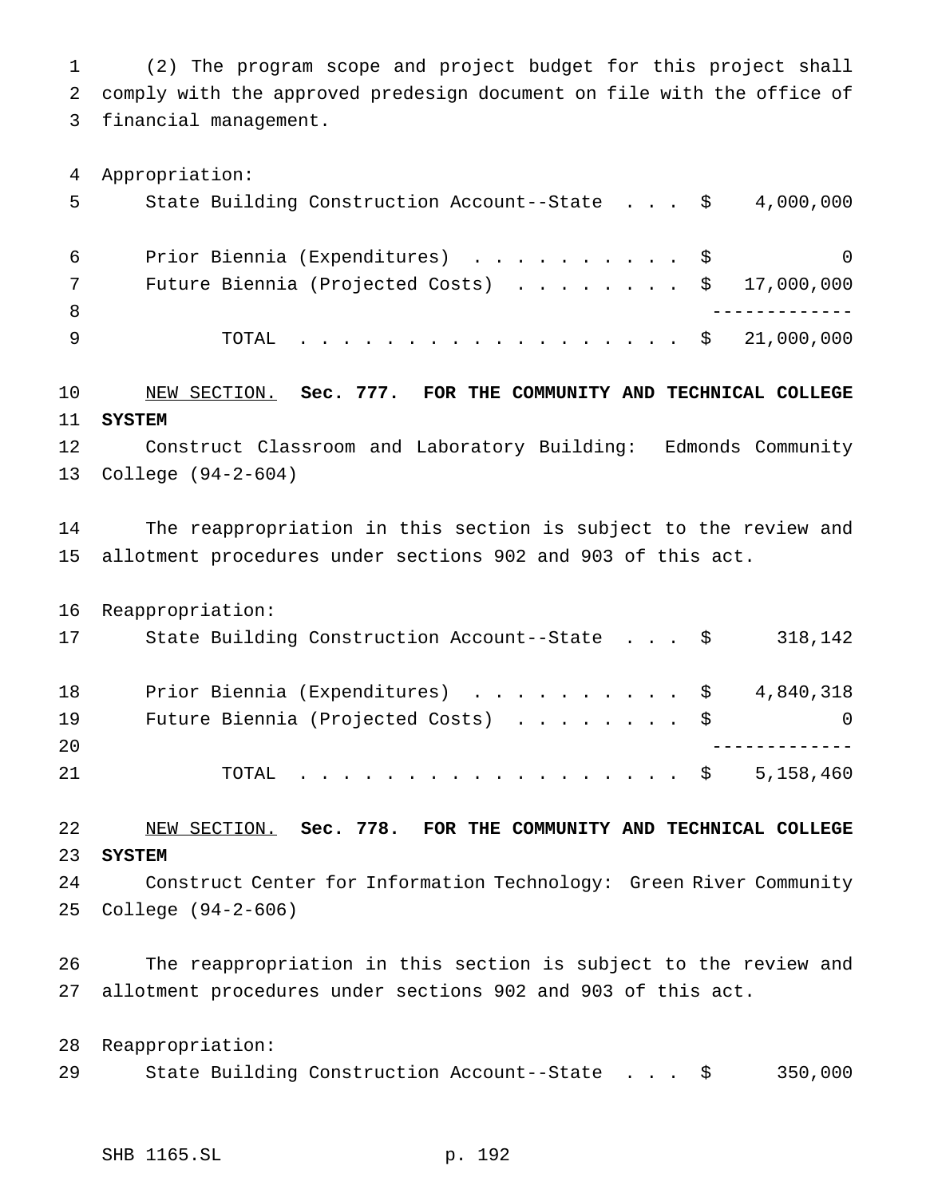(2) The program scope and project budget for this project shall comply with the approved predesign document on file with the office of financial management.

Appropriation:

| 5   | State Building Construction Account--State $\frac{1}{5}$ 4,000,000 |          |
|-----|--------------------------------------------------------------------|----------|
| 6   | Prior Biennia (Expenditures) \$                                    | $\Omega$ |
|     | Future Biennia (Projected Costs) $\ldots$ \$ 17,000,000            |          |
| - 8 |                                                                    |          |
|     | TOTAL \$ 21,000,000                                                |          |

# NEW SECTION. **Sec. 777. FOR THE COMMUNITY AND TECHNICAL COLLEGE SYSTEM**

 Construct Classroom and Laboratory Building: Edmonds Community College (94-2-604)

 The reappropriation in this section is subject to the review and allotment procedures under sections 902 and 903 of this act.

|    | 16 Reappropriation:                           |          |
|----|-----------------------------------------------|----------|
| 17 | State Building Construction Account--State \$ | 318,142  |
| 18 | Prior Biennia (Expenditures) \$ 4,840,318     |          |
| 19 | Future Biennia (Projected Costs) \$           | $\Omega$ |
| 20 |                                               |          |
| 21 | . \$ 5,158,460<br>TOTAL                       |          |

#### NEW SECTION. **Sec. 778. FOR THE COMMUNITY AND TECHNICAL COLLEGE SYSTEM**

 Construct Center for Information Technology: Green River Community College (94-2-606)

 The reappropriation in this section is subject to the review and allotment procedures under sections 902 and 903 of this act.

 Reappropriation: 29 State Building Construction Account--State . . . \$ 350,000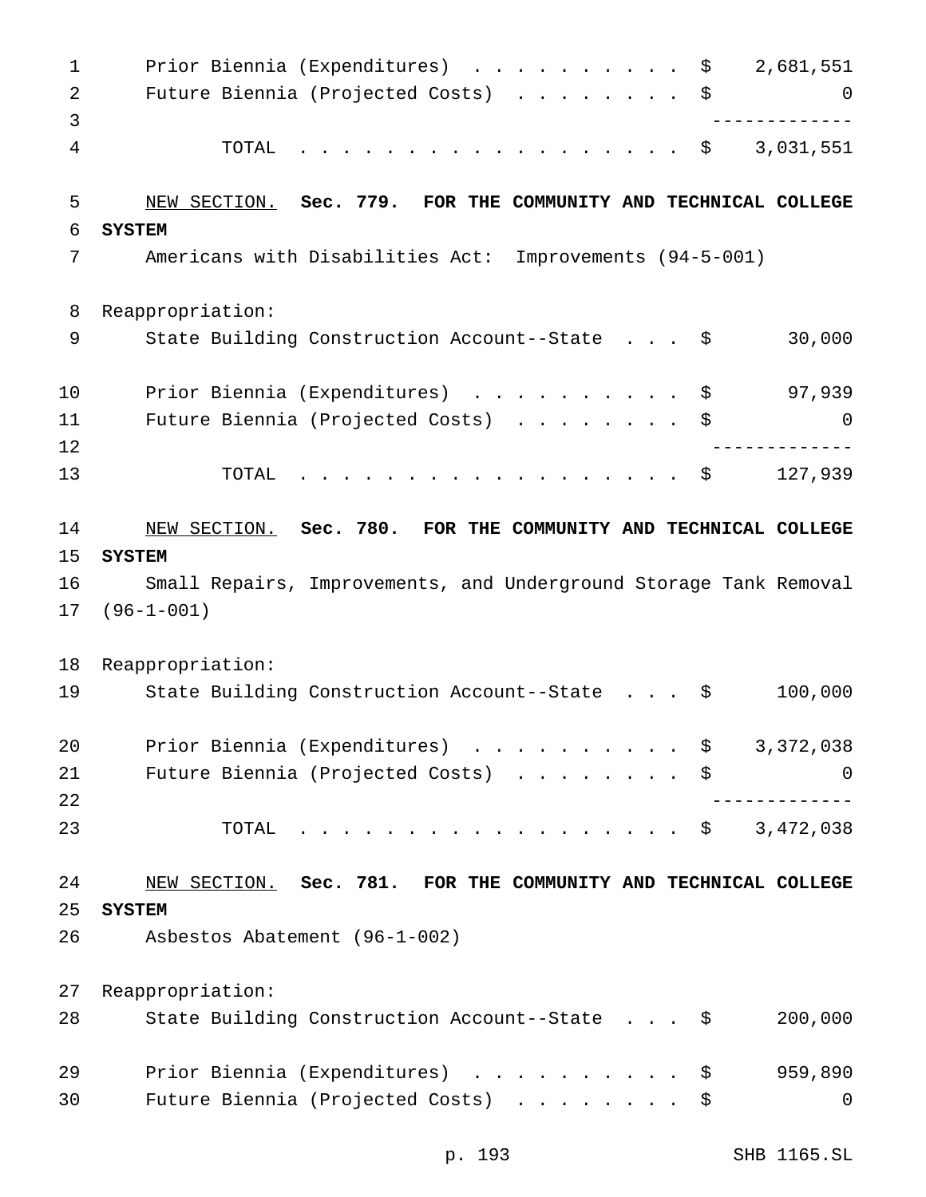| $\mathbf 1$    | Prior Biennia (Expenditures)<br>2,681,551<br>\$                   |
|----------------|-------------------------------------------------------------------|
| $\overline{2}$ | Future Biennia (Projected Costs)<br>\$<br>0                       |
| 3              |                                                                   |
| 4              | 3,031,551<br>TOTAL<br>\$<br>$\frac{1}{2}$                         |
| 5              | NEW SECTION. Sec. 779. FOR THE COMMUNITY AND TECHNICAL COLLEGE    |
| 6              | <b>SYSTEM</b>                                                     |
| 7              | Americans with Disabilities Act: Improvements (94-5-001)          |
| 8              | Reappropriation:                                                  |
| 9              | 30,000<br>State Building Construction Account--State \$           |
| 10             | 97,939<br>Prior Biennia (Expenditures)<br>\$                      |
| 11             | Future Biennia (Projected Costs)<br>\$<br>0                       |
| 12             |                                                                   |
| 13             | 127,939<br>TOTAL<br>\$                                            |
| 14             | NEW SECTION. Sec. 780. FOR THE COMMUNITY AND TECHNICAL COLLEGE    |
| 15             | <b>SYSTEM</b>                                                     |
| 16             | Small Repairs, Improvements, and Underground Storage Tank Removal |
| 17             | $(96 - 1 - 001)$                                                  |
| 18             | Reappropriation:                                                  |
| 19             |                                                                   |
|                | 100,000<br>State Building Construction Account--State<br>\$       |
| 20             | Prior Biennia (Expenditures) \$<br>3,372,038                      |
| 21             | Future Biennia (Projected Costs)<br>\$<br>0                       |
| 22             |                                                                   |
| 23             | 3,472,038<br>TOTAL<br>. \$                                        |
| 24             | NEW SECTION. Sec. 781. FOR THE COMMUNITY AND TECHNICAL COLLEGE    |
| 25             | <b>SYSTEM</b>                                                     |
| 26             | Asbestos Abatement (96-1-002)                                     |
| 27             | Reappropriation:                                                  |
| 28             | State Building Construction Account--State \$<br>200,000          |
| 29             | Prior Biennia (Expenditures)<br>959,890<br>\$                     |

p. 193 SHB 1165.SL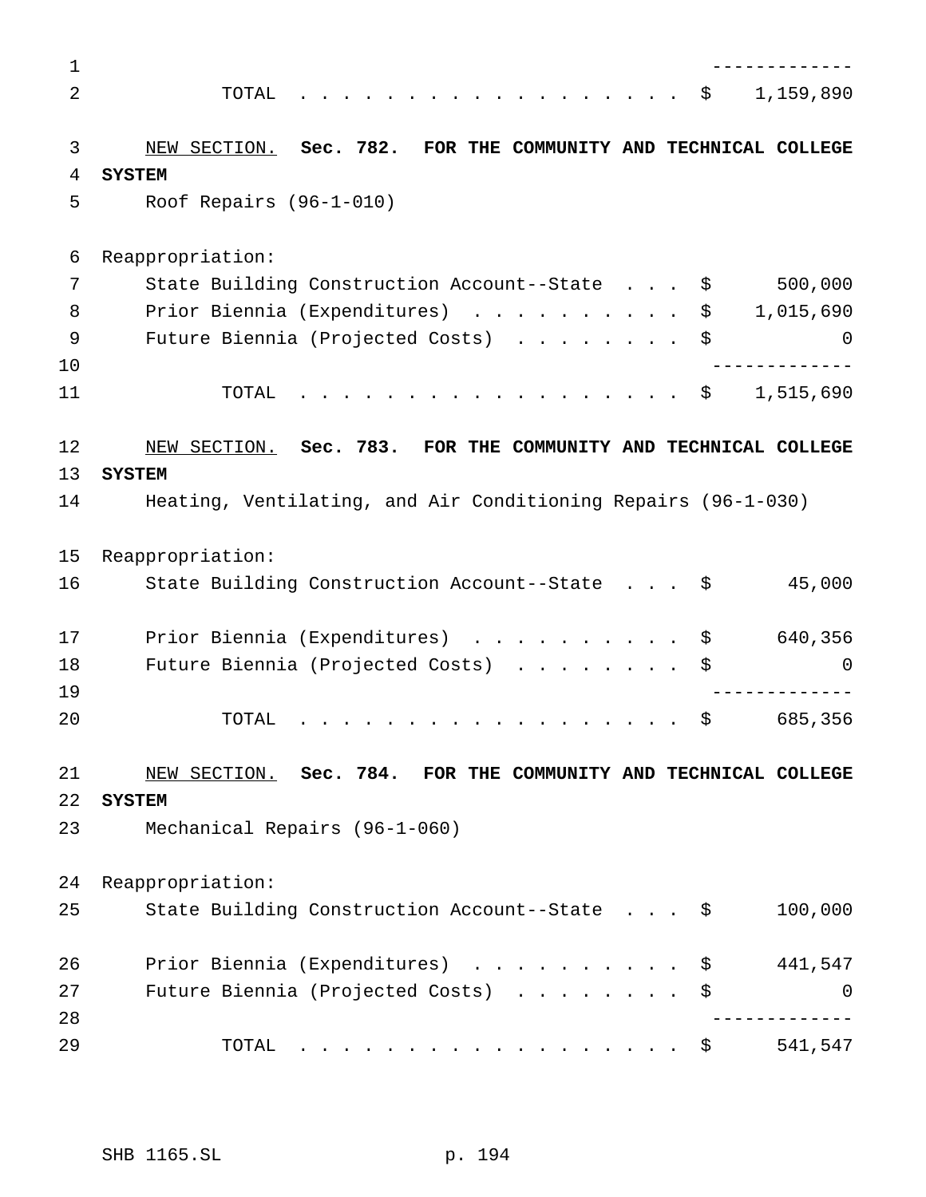| 1        |                                                                                                                                                                                                                                                              |
|----------|--------------------------------------------------------------------------------------------------------------------------------------------------------------------------------------------------------------------------------------------------------------|
| 2        | 1,159,890<br>TOTAL<br>- \$                                                                                                                                                                                                                                   |
|          |                                                                                                                                                                                                                                                              |
| 3        | Sec. 782. FOR THE COMMUNITY AND TECHNICAL COLLEGE<br>NEW SECTION.                                                                                                                                                                                            |
| 4        | <b>SYSTEM</b>                                                                                                                                                                                                                                                |
| 5        | Roof Repairs $(96-1-010)$                                                                                                                                                                                                                                    |
| 6        | Reappropriation:                                                                                                                                                                                                                                             |
| 7        | 500,000<br>State Building Construction Account--State<br>\$                                                                                                                                                                                                  |
| 8        | Prior Biennia (Expenditures)<br>\$<br>1,015,690                                                                                                                                                                                                              |
| 9        | Future Biennia (Projected Costs)<br>\$<br>0                                                                                                                                                                                                                  |
| 10       |                                                                                                                                                                                                                                                              |
| 11       | 1,515,690<br>TOTAL<br>. \$                                                                                                                                                                                                                                   |
| 12       | NEW SECTION. Sec. 783. FOR THE COMMUNITY AND TECHNICAL COLLEGE                                                                                                                                                                                               |
| 13       | <b>SYSTEM</b>                                                                                                                                                                                                                                                |
| 14       | Heating, Ventilating, and Air Conditioning Repairs (96-1-030)                                                                                                                                                                                                |
| 15       | Reappropriation:                                                                                                                                                                                                                                             |
| 16       | 45,000<br>State Building Construction Account--State \$                                                                                                                                                                                                      |
| 17       | 640,356<br>Prior Biennia (Expenditures)<br>\$                                                                                                                                                                                                                |
| 18       | Future Biennia (Projected Costs)<br>\$<br>0                                                                                                                                                                                                                  |
| 19       |                                                                                                                                                                                                                                                              |
| 20       | \$<br>685,356<br>TOTAL<br>$\mathcal{A}$ . The contribution of the contribution of the contribution of the contribution of the contribution of the contribution of the contribution of the contribution of the contribution of the contribution of the contri |
| 21       | NEW SECTION. Sec. 784. FOR THE COMMUNITY AND TECHNICAL COLLEGE                                                                                                                                                                                               |
| 22       | <b>SYSTEM</b>                                                                                                                                                                                                                                                |
| 23       | Mechanical Repairs (96-1-060)                                                                                                                                                                                                                                |
| 24       | Reappropriation:                                                                                                                                                                                                                                             |
| 25       | State Building Construction Account--State \$<br>100,000                                                                                                                                                                                                     |
| 26       | Prior Biennia (Expenditures)<br>441,547<br>\$                                                                                                                                                                                                                |
| 27<br>28 | Future Biennia (Projected Costs)<br>\$<br>0                                                                                                                                                                                                                  |
| 29       | 541,547<br>TOTAL<br>. \$                                                                                                                                                                                                                                     |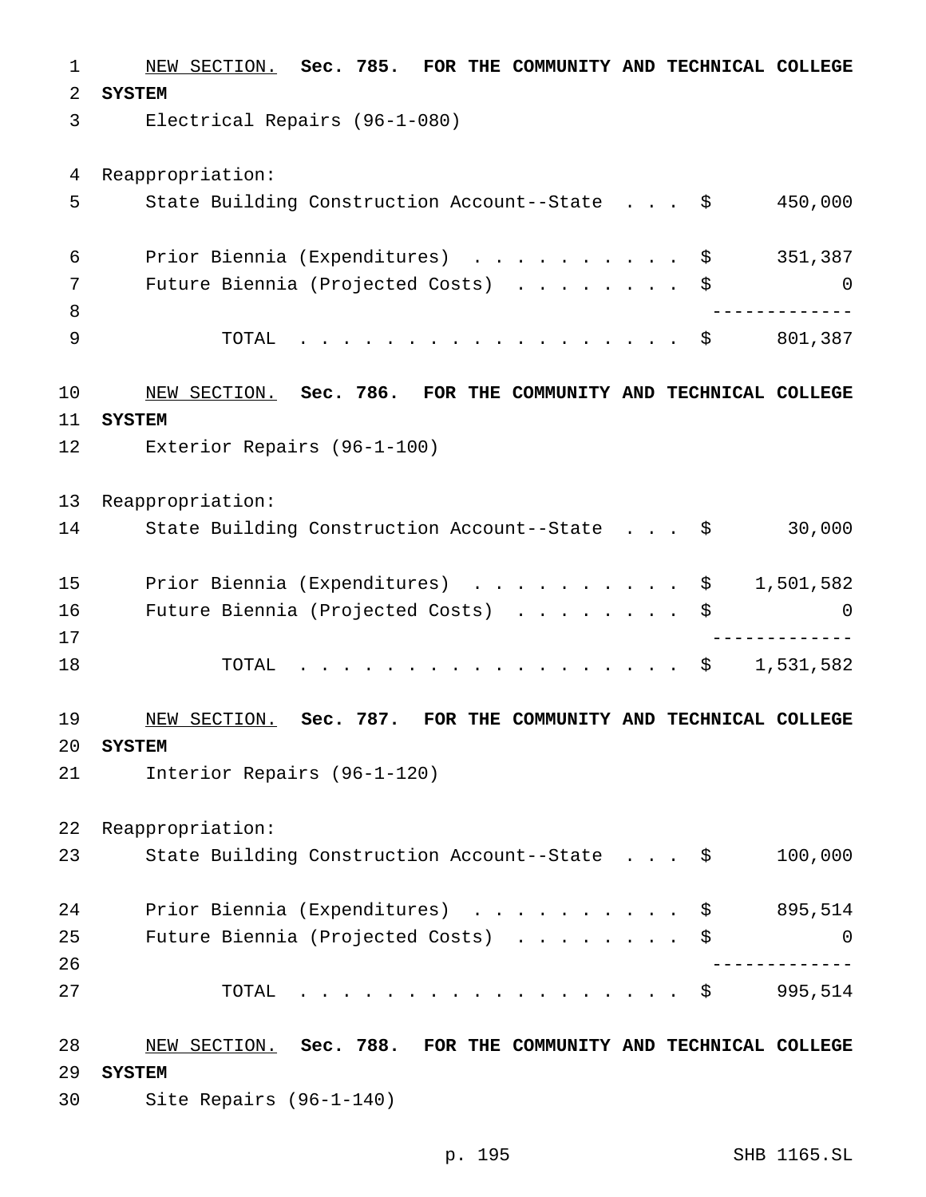NEW SECTION. **Sec. 785. FOR THE COMMUNITY AND TECHNICAL COLLEGE SYSTEM** Electrical Repairs (96-1-080) Reappropriation: State Building Construction Account--State . . . \$ 450,000 6 Prior Biennia (Expenditures) . . . . . . . . . \$ 351,387 Future Biennia (Projected Costs) ........ \$ 0 ------------- 9 TOTAL . . . . . . . . . . . . . . . . \$ 801,387 NEW SECTION. **Sec. 786. FOR THE COMMUNITY AND TECHNICAL COLLEGE SYSTEM** Exterior Repairs (96-1-100) Reappropriation: 14 State Building Construction Account--State . . . \$ 30,000 15 Prior Biennia (Expenditures) . . . . . . . . . \$ 1,501,582 Future Biennia (Projected Costs) ........ \$ 0 ------------- 18 TOTAL . . . . . . . . . . . . . . . . \$ 1,531,582 NEW SECTION. **Sec. 787. FOR THE COMMUNITY AND TECHNICAL COLLEGE SYSTEM** Interior Repairs (96-1-120) Reappropriation: State Building Construction Account--State . . . \$ 100,000 Prior Biennia (Expenditures) .......... \$ 895,514 Future Biennia (Projected Costs) ........ \$ 0 ------------- TOTAL .................. \$ 995,514 NEW SECTION. **Sec. 788. FOR THE COMMUNITY AND TECHNICAL COLLEGE SYSTEM** Site Repairs (96-1-140)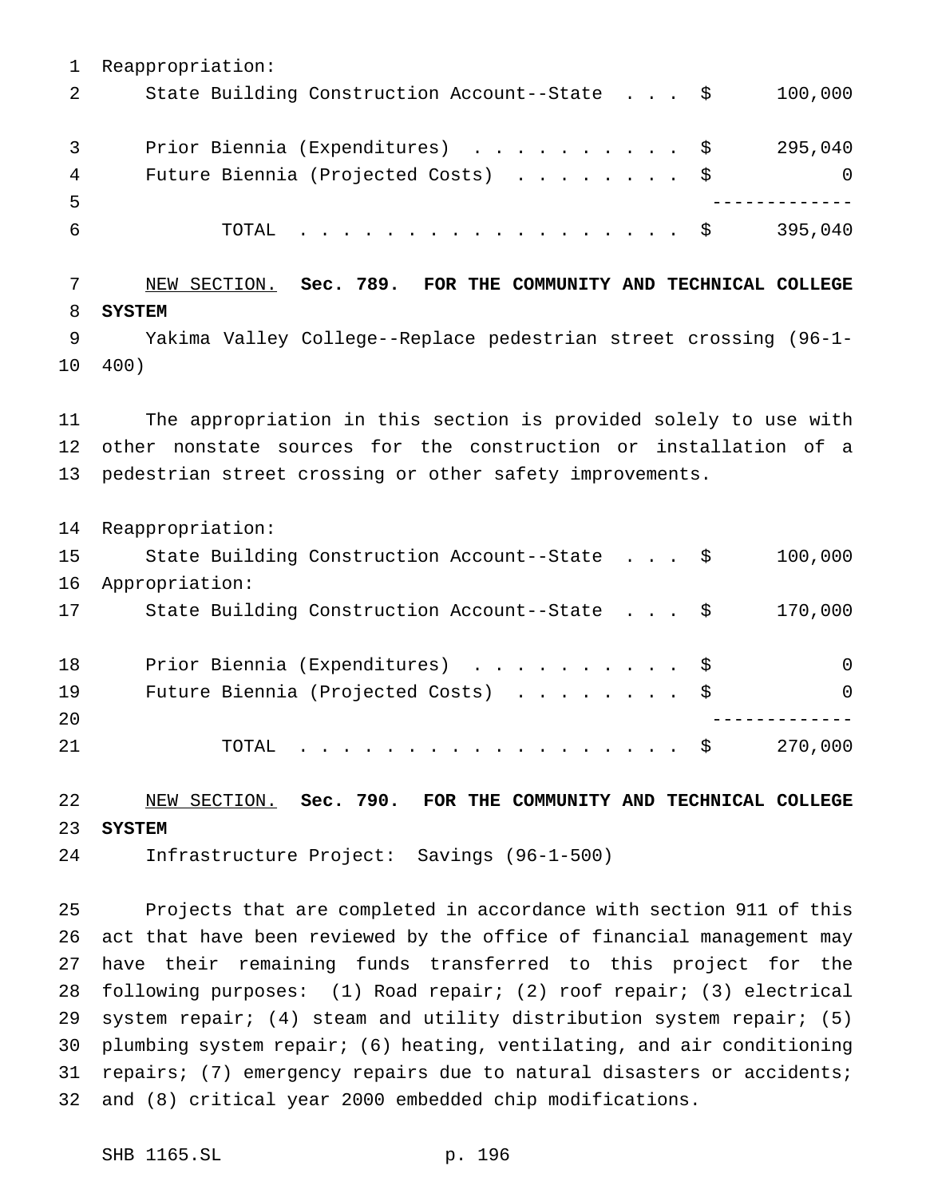Reappropriation: 2 State Building Construction Account--State . . . \$ 100,000 3 Prior Biennia (Expenditures) . . . . . . . . . \$ 295,040 4 Future Biennia (Projected Costs) . . . . . . . \$ 0 ------------- TOTAL .................. \$ 395,040

 NEW SECTION. **Sec. 789. FOR THE COMMUNITY AND TECHNICAL COLLEGE SYSTEM** Yakima Valley College--Replace pedestrian street crossing (96-1- 400)

 The appropriation in this section is provided solely to use with other nonstate sources for the construction or installation of a pedestrian street crossing or other safety improvements.

 Reappropriation: State Building Construction Account--State . . . \$ 100,000 Appropriation: State Building Construction Account--State . . . \$ 170,000 Prior Biennia (Expenditures) .......... \$ 0 Future Biennia (Projected Costs) ........ \$ 0 ------------- 21 TOTAL . . . . . . . . . . . . . . . . \$ 270,000

 NEW SECTION. **Sec. 790. FOR THE COMMUNITY AND TECHNICAL COLLEGE SYSTEM**

Infrastructure Project: Savings (96-1-500)

 Projects that are completed in accordance with section 911 of this act that have been reviewed by the office of financial management may have their remaining funds transferred to this project for the following purposes: (1) Road repair; (2) roof repair; (3) electrical system repair; (4) steam and utility distribution system repair; (5) plumbing system repair; (6) heating, ventilating, and air conditioning repairs; (7) emergency repairs due to natural disasters or accidents; and (8) critical year 2000 embedded chip modifications.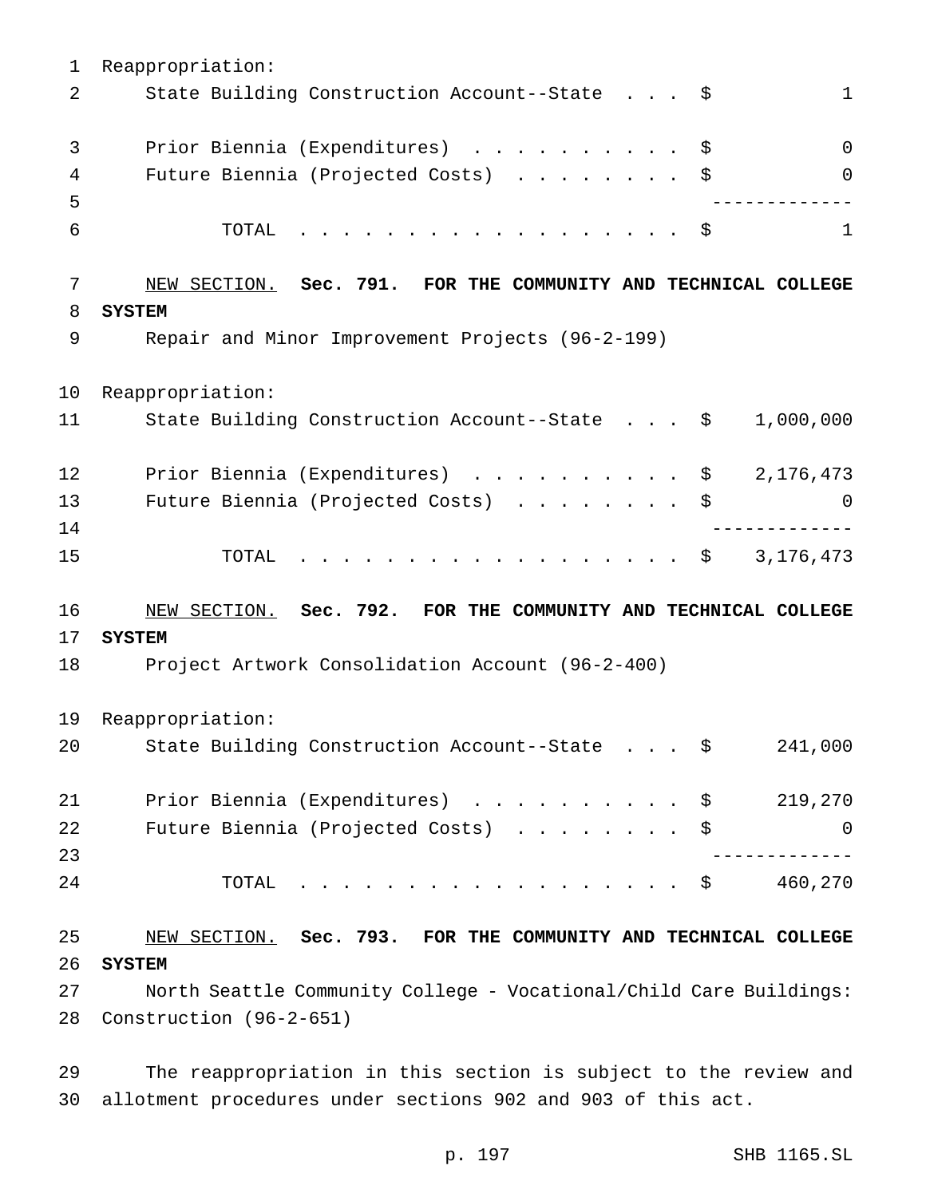Reappropriation: 2 State Building Construction Account--State . . . \$ 1 3 Prior Biennia (Expenditures) . . . . . . . . . \$ 0 4 Future Biennia (Projected Costs) . . . . . . . \$ 0 ------------- TOTAL .................. \$ 1 NEW SECTION. **Sec. 791. FOR THE COMMUNITY AND TECHNICAL COLLEGE SYSTEM** Repair and Minor Improvement Projects (96-2-199) Reappropriation: State Building Construction Account--State . . . \$ 1,000,000 12 Prior Biennia (Expenditures) . . . . . . . . . \$ 2,176,473 Future Biennia (Projected Costs) ........ \$ 0 ------------- 15 TOTAL . . . . . . . . . . . . . . . . \$ 3,176,473 NEW SECTION. **Sec. 792. FOR THE COMMUNITY AND TECHNICAL COLLEGE SYSTEM** Project Artwork Consolidation Account (96-2-400) Reappropriation: State Building Construction Account--State . . . \$ 241,000 21 Prior Biennia (Expenditures) . . . . . . . . . \$ 219,270 Future Biennia (Projected Costs) ........ \$ 0 ------------- 24 TOTAL . . . . . . . . . . . . . . . . \$ 460,270 NEW SECTION. **Sec. 793. FOR THE COMMUNITY AND TECHNICAL COLLEGE SYSTEM** North Seattle Community College - Vocational/Child Care Buildings: Construction (96-2-651)

 The reappropriation in this section is subject to the review and allotment procedures under sections 902 and 903 of this act.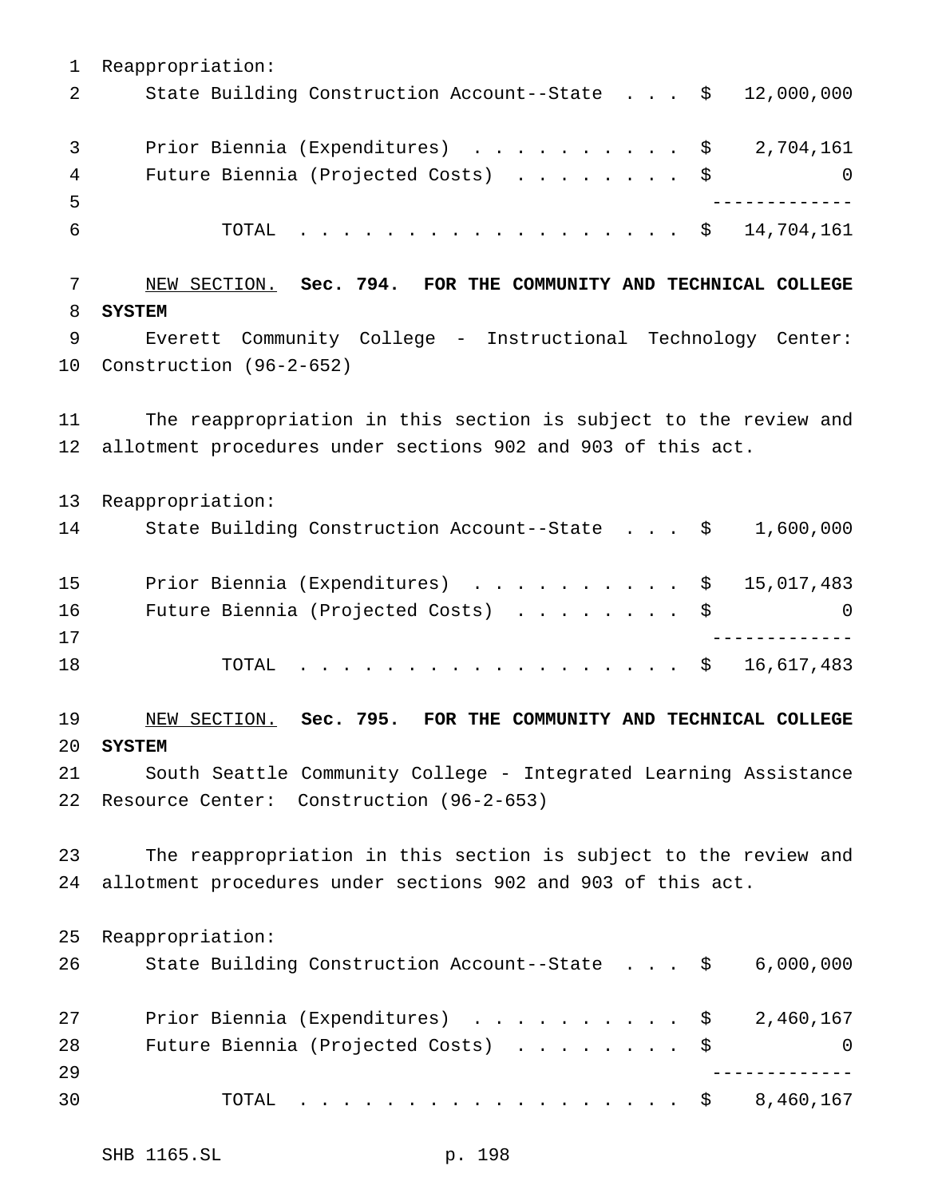Reappropriation: State Building Construction Account--State . . . \$ 12,000,000 3 Prior Biennia (Expenditures) . . . . . . . . . \$ 2,704,161 4 Future Biennia (Projected Costs) . . . . . . . \$ 0 ------------- 6 TOTAL . . . . . . . . . . . . . . . . \$ 14,704,161 NEW SECTION. **Sec. 794. FOR THE COMMUNITY AND TECHNICAL COLLEGE SYSTEM** Everett Community College - Instructional Technology Center: Construction (96-2-652) The reappropriation in this section is subject to the review and allotment procedures under sections 902 and 903 of this act. Reappropriation: State Building Construction Account--State . . . \$ 1,600,000 15 Prior Biennia (Expenditures) . . . . . . . . . \$ 15,017,483 Future Biennia (Projected Costs) ........ \$ 0 ------------- 18 TOTAL . . . . . . . . . . . . . . . . \$ 16,617,483 NEW SECTION. **Sec. 795. FOR THE COMMUNITY AND TECHNICAL COLLEGE SYSTEM** South Seattle Community College - Integrated Learning Assistance Resource Center: Construction (96-2-653) The reappropriation in this section is subject to the review and allotment procedures under sections 902 and 903 of this act. Reappropriation: State Building Construction Account--State . . . \$ 6,000,000 27 Prior Biennia (Expenditures) . . . . . . . . . \$ 2,460,167 28 Future Biennia (Projected Costs) . . . . . . . \$ 0 ------------- TOTAL .................. \$ 8,460,167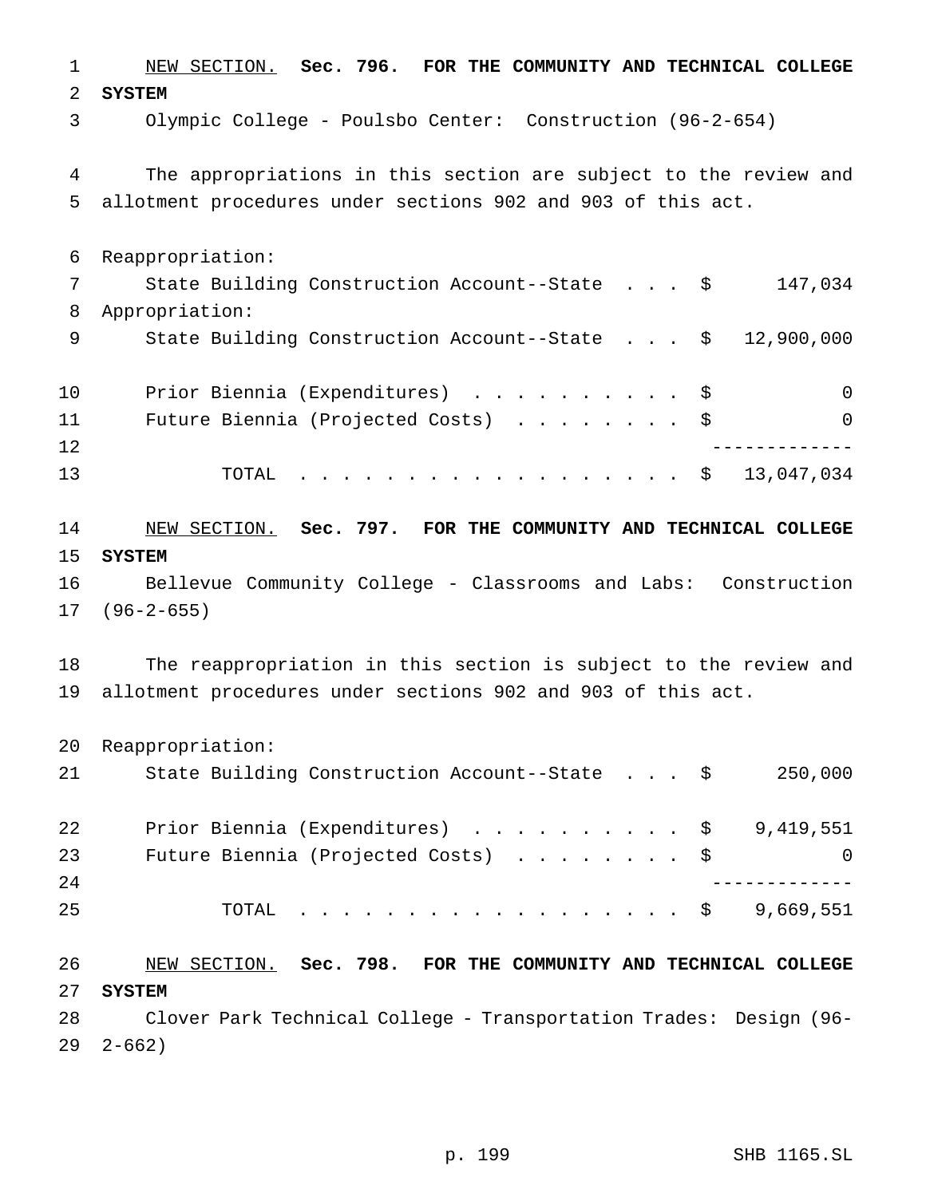NEW SECTION. **Sec. 796. FOR THE COMMUNITY AND TECHNICAL COLLEGE SYSTEM** Olympic College - Poulsbo Center: Construction (96-2-654) The appropriations in this section are subject to the review and allotment procedures under sections 902 and 903 of this act. Reappropriation: State Building Construction Account--State . . . \$ 147,034 Appropriation: 9 State Building Construction Account--State . . . \$ 12,900,000 10 Prior Biennia (Expenditures) .............\$ 0 Future Biennia (Projected Costs) ........ \$ 0 ------------- TOTAL .................. \$ 13,047,034 NEW SECTION. **Sec. 797. FOR THE COMMUNITY AND TECHNICAL COLLEGE SYSTEM** Bellevue Community College - Classrooms and Labs: Construction (96-2-655) The reappropriation in this section is subject to the review and allotment procedures under sections 902 and 903 of this act. Reappropriation: State Building Construction Account--State . . . \$ 250,000 22 Prior Biennia (Expenditures) . . . . . . . . . \$ 9,419,551 23 Future Biennia (Projected Costs) . . . . . . . \$ 0 ------------- 25 TOTAL . . . . . . . . . . . . . . . . \$ 9,669,551 NEW SECTION. **Sec. 798. FOR THE COMMUNITY AND TECHNICAL COLLEGE SYSTEM** Clover Park Technical College - Transportation Trades: Design (96- 2-662)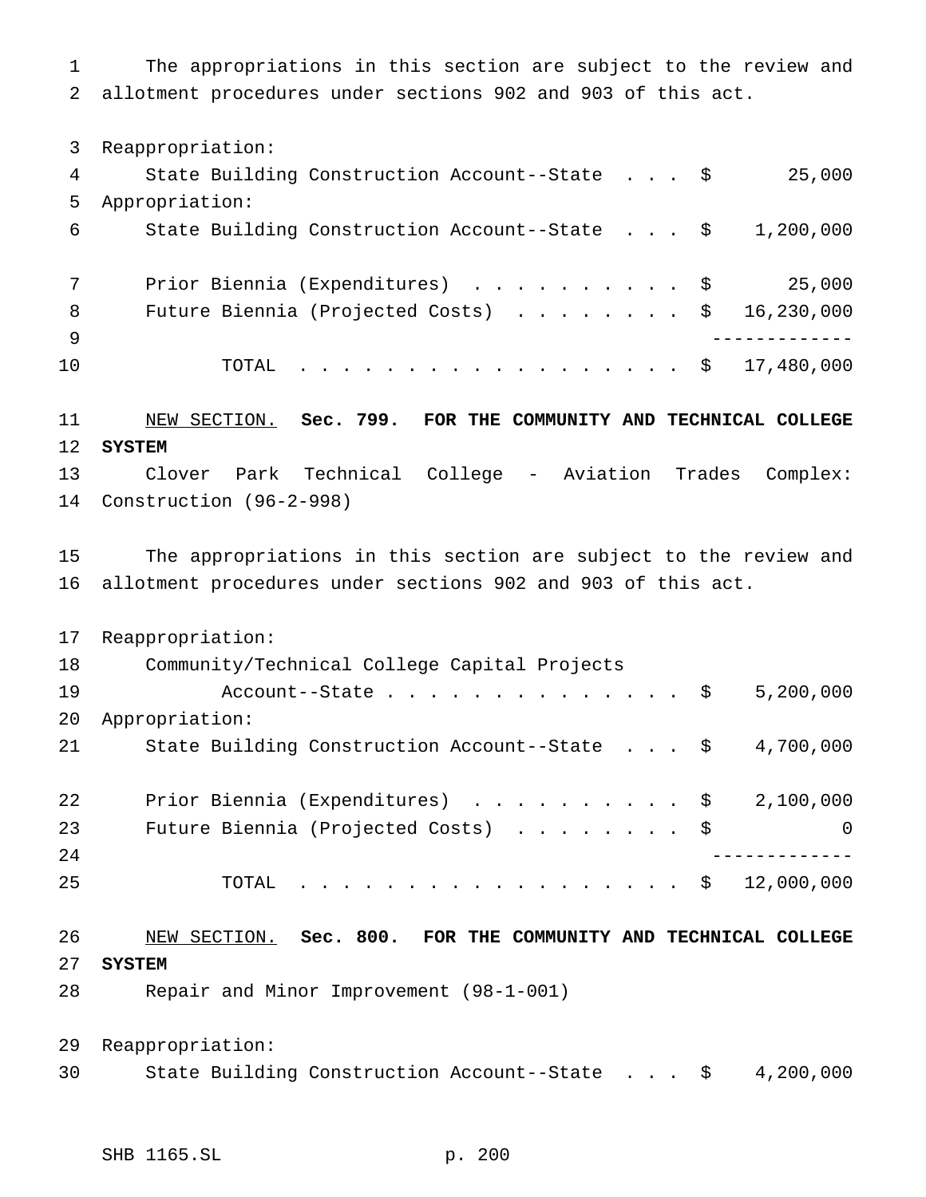The appropriations in this section are subject to the review and allotment procedures under sections 902 and 903 of this act.

Reappropriation:

| 4   | State Building Construction Account--State \$                      | 25,000 |
|-----|--------------------------------------------------------------------|--------|
| 5   | Appropriation:                                                     |        |
| 6   | State Building Construction Account--State $\frac{1}{2}$ , 200,000 |        |
|     |                                                                    |        |
|     | Prior Biennia (Expenditures) \$                                    | 25,000 |
| 8   | Future Biennia (Projected Costs) $\ldots$ \$ 16,230,000            |        |
| - 9 |                                                                    |        |
| 10  | TOTAL \$ 17,480,000                                                |        |
|     |                                                                    |        |

#### NEW SECTION. **Sec. 799. FOR THE COMMUNITY AND TECHNICAL COLLEGE SYSTEM**

 Clover Park Technical College - Aviation Trades Complex: Construction (96-2-998)

 The appropriations in this section are subject to the review and allotment procedures under sections 902 and 903 of this act.

 Reappropriation: Community/Technical College Capital Projects 19 Account--State............... \$ 5,200,000 Appropriation: 21 State Building Construction Account--State . . . \$ 4,700,000 22 Prior Biennia (Expenditures) . . . . . . . . . \$ 2,100,000 23 Future Biennia (Projected Costs) . . . . . . . \$ 0 -------------

TOTAL .................. \$ 12,000,000

 NEW SECTION. **Sec. 800. FOR THE COMMUNITY AND TECHNICAL COLLEGE SYSTEM**

Repair and Minor Improvement (98-1-001)

 Reappropriation: State Building Construction Account--State . . . \$ 4,200,000

SHB 1165.SL p. 200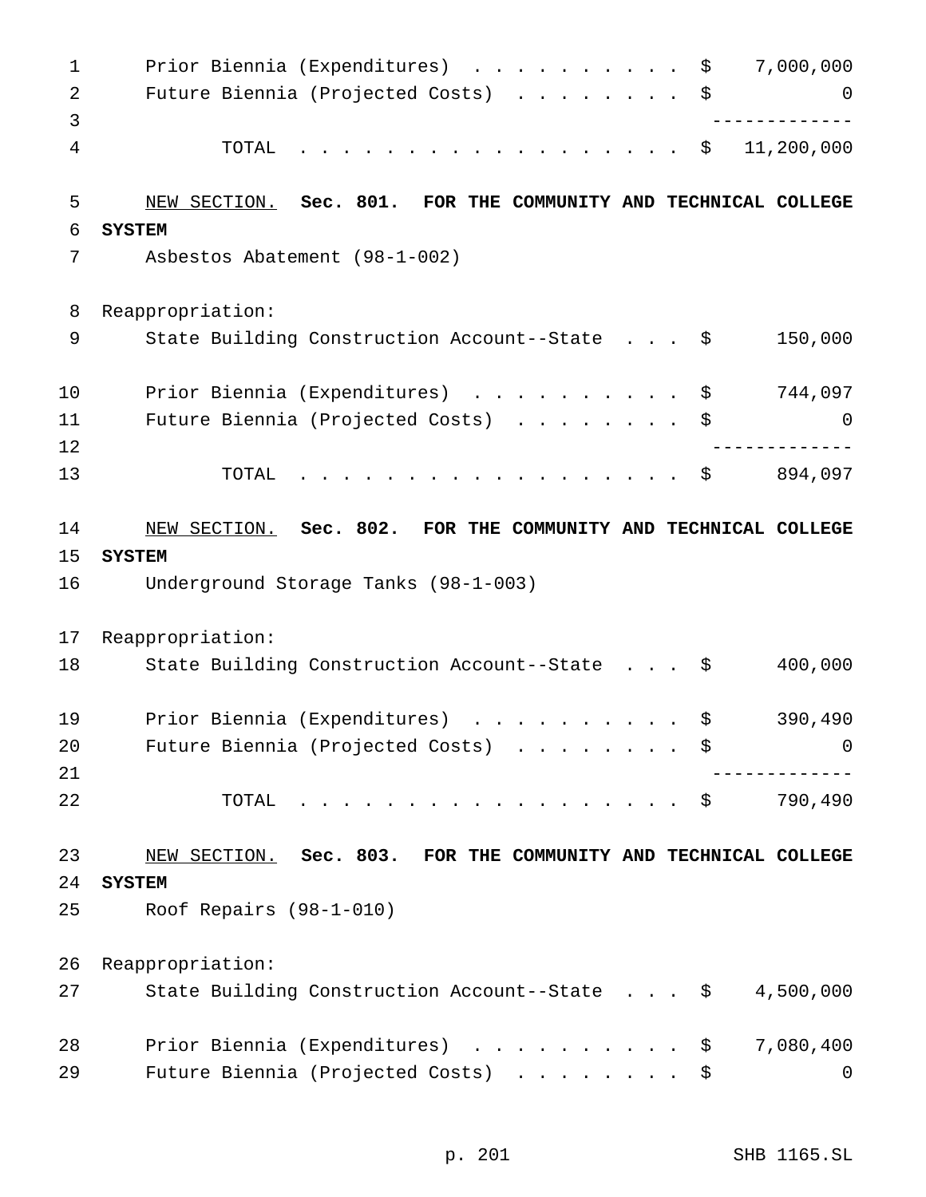| $\mathbf 1$    | 7,000,000<br>Prior Biennia (Expenditures)<br>\$                                                                       |
|----------------|-----------------------------------------------------------------------------------------------------------------------|
| $\overline{a}$ | Future Biennia (Projected Costs)<br>$\cdot$ $\cdot$ $\cdot$ $\cdot$ $\cdot$ $\cdot$ $\cdot$ $\cdot$<br>\$<br>$\Omega$ |
| 3              |                                                                                                                       |
| 4              | 11,200,000<br>TOTAL<br>.<br>\$                                                                                        |
| 5              | Sec. 801. FOR THE COMMUNITY AND TECHNICAL COLLEGE<br>NEW SECTION.                                                     |
| 6              | <b>SYSTEM</b>                                                                                                         |
| 7              | Asbestos Abatement (98-1-002)                                                                                         |
| 8              | Reappropriation:                                                                                                      |
| 9              | 150,000<br>State Building Construction Account--State \$                                                              |
| 10             | 744,097<br>Prior Biennia (Expenditures)<br>$\mathbf{r}$ . The state of the state $\mathbf{r}$<br>\$                   |
| 11             | Future Biennia (Projected Costs)<br>\$<br>0                                                                           |
| 12             |                                                                                                                       |
| 13             | 894,097<br>TOTAL<br>.<br>\$                                                                                           |
| 14             | NEW SECTION. Sec. 802. FOR THE COMMUNITY AND TECHNICAL COLLEGE                                                        |
| 15             | <b>SYSTEM</b>                                                                                                         |
| 16             | Underground Storage Tanks (98-1-003)                                                                                  |
| 17             | Reappropriation:                                                                                                      |
| 18             | 400,000<br>State Building Construction Account--State \$                                                              |
| 19             | 390,490<br>Prior Biennia (Expenditures)<br>\$                                                                         |
| 20             | Future Biennia (Projected Costs) \$<br>0                                                                              |
| 21             |                                                                                                                       |
| 22             | 790,490<br>TOTAL<br>. \$                                                                                              |
| 23             | NEW SECTION. Sec. 803. FOR THE COMMUNITY AND TECHNICAL COLLEGE                                                        |
| 24             | <b>SYSTEM</b>                                                                                                         |
| 25             | Roof Repairs $(98-1-010)$                                                                                             |
| 26             | Reappropriation:                                                                                                      |
| 27             | 4,500,000<br>State Building Construction Account--State \$                                                            |
| 28             | Prior Biennia (Expenditures) \$<br>7,080,400                                                                          |
| 29             | Future Biennia (Projected Costs)<br>\$<br>0                                                                           |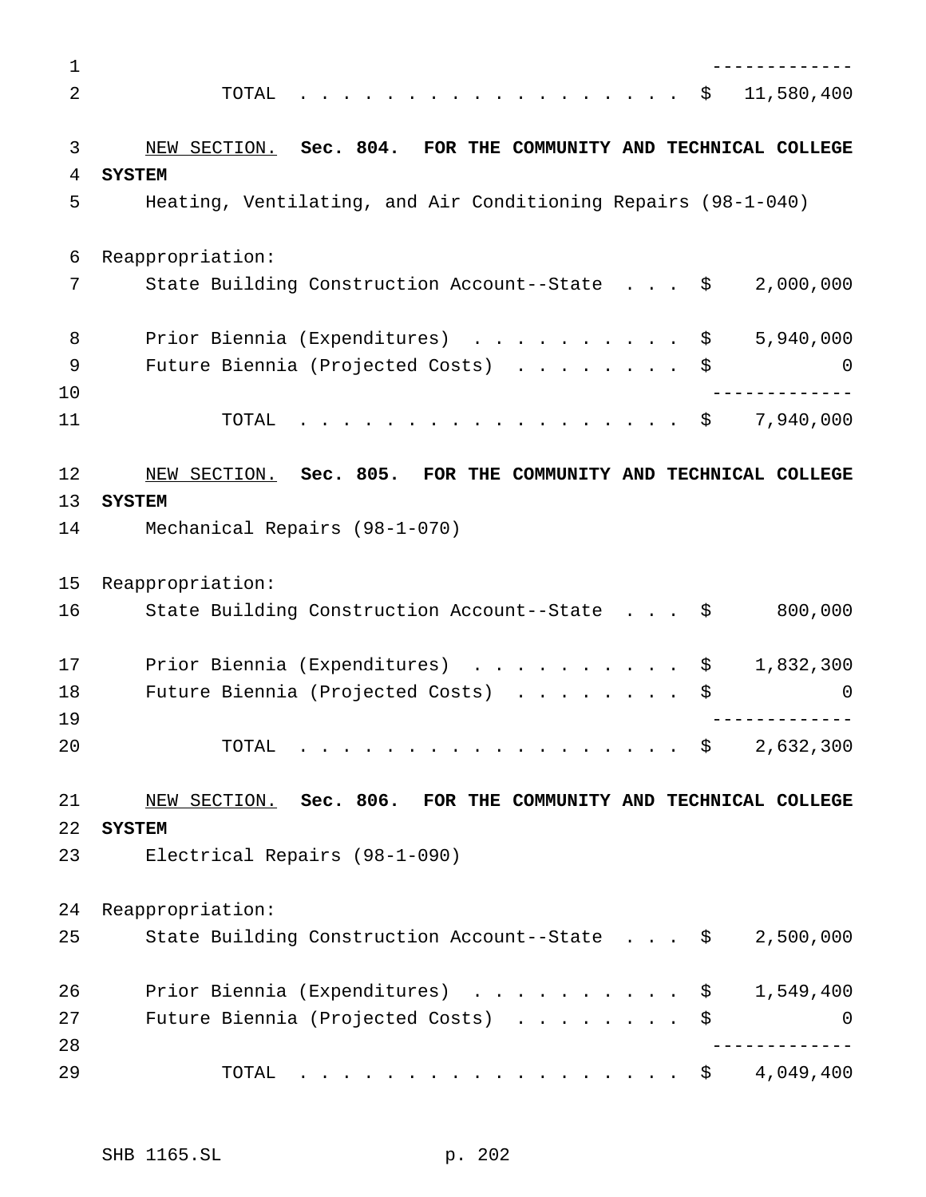| 1              |                                                                  |
|----------------|------------------------------------------------------------------|
| $\overline{2}$ | 11,580,400<br>TOTAL<br>\$                                        |
|                |                                                                  |
| 3              | NEW SECTION. Sec. 804. FOR THE COMMUNITY AND TECHNICAL COLLEGE   |
| 4              | <b>SYSTEM</b>                                                    |
| 5              | Heating, Ventilating, and Air Conditioning Repairs (98-1-040)    |
| 6              | Reappropriation:                                                 |
| 7              | State Building Construction Account--State \$<br>2,000,000       |
| 8              | 5,940,000<br>Prior Biennia (Expenditures)<br>\$                  |
| 9              | Future Biennia (Projected Costs)<br>\$<br>$\Omega$               |
| 10             |                                                                  |
| 11             | 7,940,000<br>TOTAL<br>\$<br>.                                    |
| 12             | NEW SECTION. Sec. 805. FOR THE COMMUNITY AND TECHNICAL COLLEGE   |
| 13             | <b>SYSTEM</b>                                                    |
| 14             | Mechanical Repairs (98-1-070)                                    |
| 15             | Reappropriation:                                                 |
| 16             | 800,000<br>State Building Construction Account--State \$         |
|                |                                                                  |
| 17             | Prior Biennia (Expenditures)<br>1,832,300<br>\$                  |
| 18             | Future Biennia (Projected Costs)<br>\$<br>0                      |
| 19             |                                                                  |
| 20             | 2,632,300<br>TOTAL<br>.<br>$\mathcal{S}$                         |
| 21             | NEW SECTION. Sec. 806. FOR THE COMMUNITY AND TECHNICAL COLLEGE   |
| 22             | <b>SYSTEM</b>                                                    |
| 23             | Electrical Repairs (98-1-090)                                    |
| 24             | Reappropriation:                                                 |
| 25             | State Building Construction Account--State \$<br>2,500,000       |
|                |                                                                  |
| 26             | Prior Biennia (Expenditures)<br>1,549,400<br>$\ddot{\mathsf{S}}$ |
| 27             | Future Biennia (Projected Costs)<br>\$<br>0                      |
| 28             |                                                                  |
| 29             | 4,049,400<br>TOTAL<br>. \$                                       |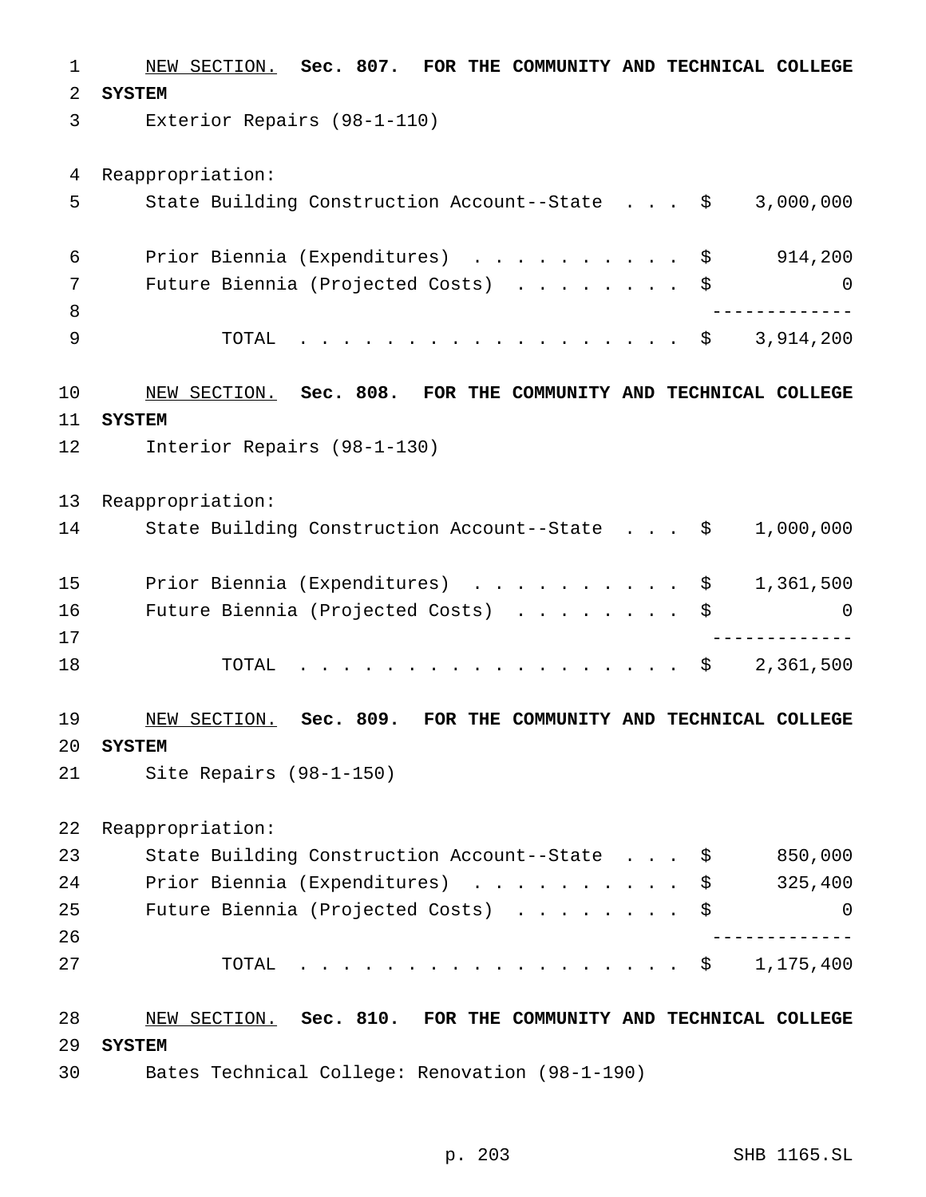NEW SECTION. **Sec. 807. FOR THE COMMUNITY AND TECHNICAL COLLEGE SYSTEM** Exterior Repairs (98-1-110) Reappropriation: State Building Construction Account--State . . . \$ 3,000,000 Prior Biennia (Expenditures) .......... \$ 914,200 Future Biennia (Projected Costs) ........ \$ 0 ------------- TOTAL .................. \$ 3,914,200 NEW SECTION. **Sec. 808. FOR THE COMMUNITY AND TECHNICAL COLLEGE SYSTEM** Interior Repairs (98-1-130) Reappropriation: State Building Construction Account--State . . . \$ 1,000,000 15 Prior Biennia (Expenditures) . . . . . . . . . \$ 1,361,500 Future Biennia (Projected Costs) ........ \$ 0 ------------- 18 TOTAL . . . . . . . . . . . . . . . . \$ 2,361,500 NEW SECTION. **Sec. 809. FOR THE COMMUNITY AND TECHNICAL COLLEGE SYSTEM** Site Repairs (98-1-150) Reappropriation: 23 State Building Construction Account--State . . . \$ 850,000 24 Prior Biennia (Expenditures) . . . . . . . . . \$ 325,400 25 Future Biennia (Projected Costs) . . . . . . . \$ 0 ------------- TOTAL .................. \$ 1,175,400 NEW SECTION. **Sec. 810. FOR THE COMMUNITY AND TECHNICAL COLLEGE SYSTEM** Bates Technical College: Renovation (98-1-190)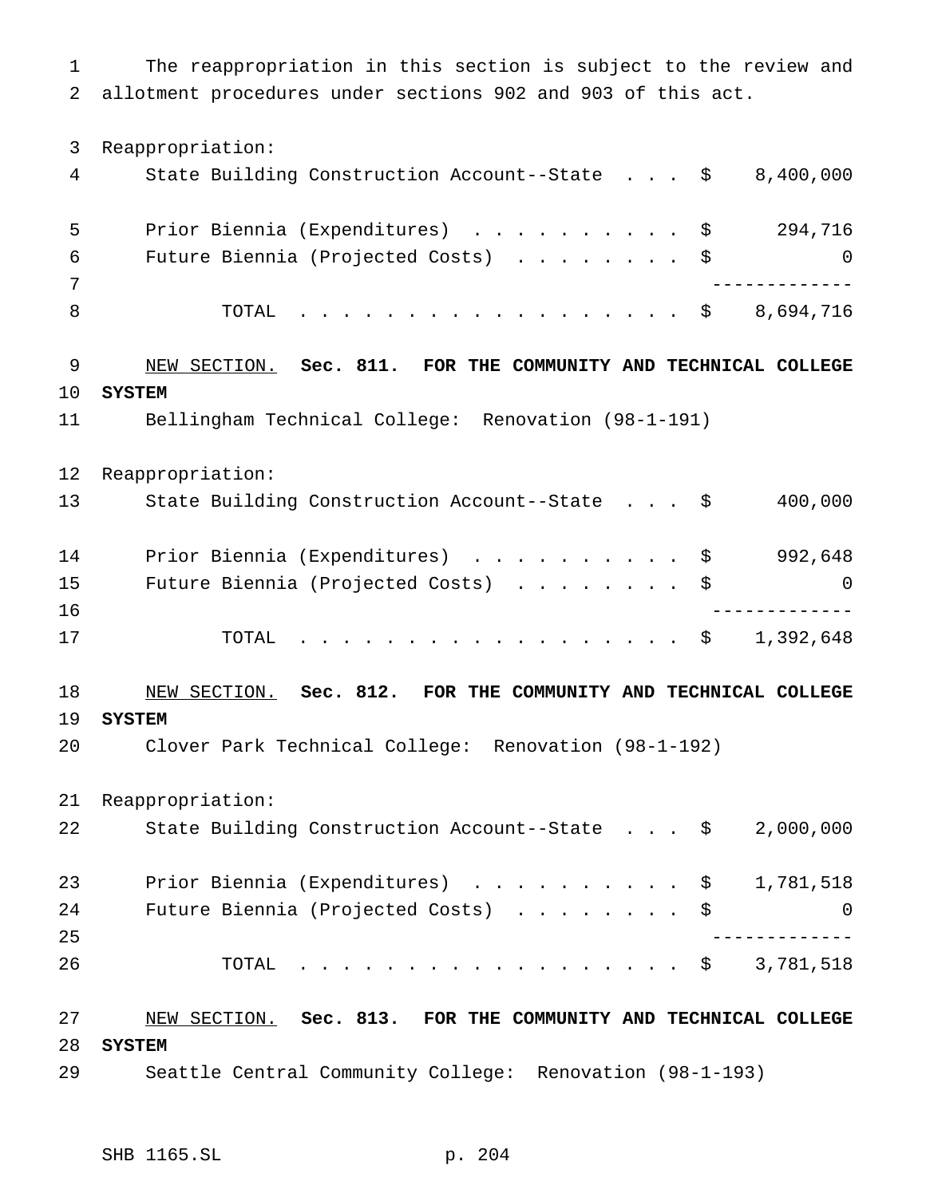The reappropriation in this section is subject to the review and allotment procedures under sections 902 and 903 of this act. Reappropriation: State Building Construction Account--State . . . \$ 8,400,000 Prior Biennia (Expenditures) .......... \$ 294,716 Future Biennia (Projected Costs) ........ \$ 0 ------------- 8 TOTAL . . . . . . . . . . . . . . . . \$ 8,694,716 NEW SECTION. **Sec. 811. FOR THE COMMUNITY AND TECHNICAL COLLEGE SYSTEM** Bellingham Technical College: Renovation (98-1-191) Reappropriation: State Building Construction Account--State . . . \$ 400,000 14 Prior Biennia (Expenditures) . . . . . . . . . \$ 992,648 Future Biennia (Projected Costs) ........ \$ 0 ------------- TOTAL .................. \$ 1,392,648 NEW SECTION. **Sec. 812. FOR THE COMMUNITY AND TECHNICAL COLLEGE SYSTEM** Clover Park Technical College: Renovation (98-1-192) Reappropriation: State Building Construction Account--State . . . \$ 2,000,000 23 Prior Biennia (Expenditures) . . . . . . . . . \$ 1,781,518 Future Biennia (Projected Costs) ........ \$ 0 ------------- TOTAL .................. \$ 3,781,518 NEW SECTION. **Sec. 813. FOR THE COMMUNITY AND TECHNICAL COLLEGE SYSTEM** Seattle Central Community College: Renovation (98-1-193)

SHB 1165.SL p. 204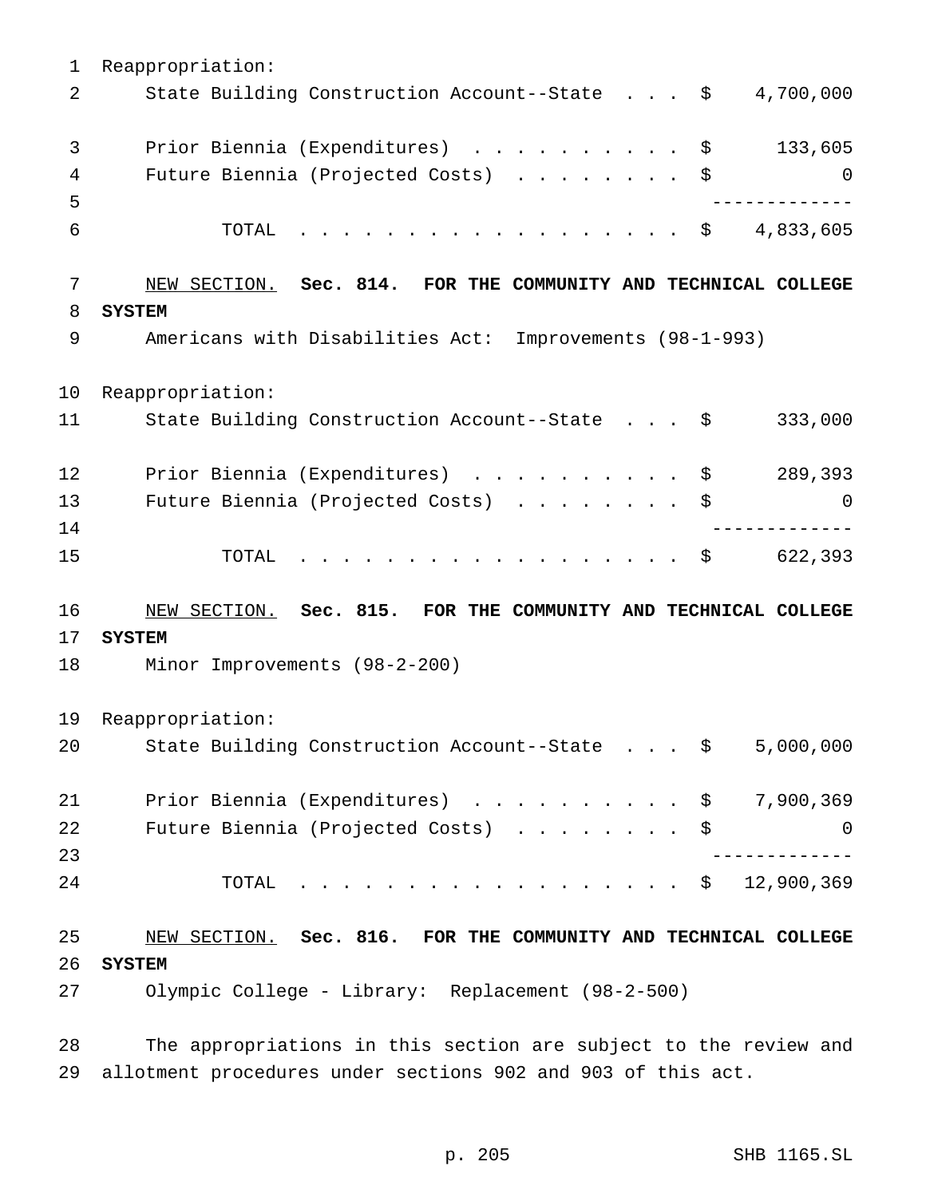Reappropriation: 2 State Building Construction Account--State . . . \$ 4,700,000 3 Prior Biennia (Expenditures) . . . . . . . . . \$ 133,605 4 Future Biennia (Projected Costs) . . . . . . . \$ 0 ------------- 6 TOTAL . . . . . . . . . . . . . . . . \$ 4,833,605 NEW SECTION. **Sec. 814. FOR THE COMMUNITY AND TECHNICAL COLLEGE SYSTEM** Americans with Disabilities Act: Improvements (98-1-993) Reappropriation: 11 State Building Construction Account--State . . . \$ 333,000 12 Prior Biennia (Expenditures) . . . . . . . . . \$ 289,393 Future Biennia (Projected Costs) ........ \$ 0 ------------- 15 TOTAL . . . . . . . . . . . . . . . . \$ 622,393 NEW SECTION. **Sec. 815. FOR THE COMMUNITY AND TECHNICAL COLLEGE SYSTEM** Minor Improvements (98-2-200) Reappropriation: State Building Construction Account--State . . . \$ 5,000,000 21 Prior Biennia (Expenditures) . . . . . . . . . \$ 7,900,369 Future Biennia (Projected Costs) ........ \$ 0 ------------- TOTAL .................. \$ 12,900,369 NEW SECTION. **Sec. 816. FOR THE COMMUNITY AND TECHNICAL COLLEGE SYSTEM** Olympic College - Library: Replacement (98-2-500)

 The appropriations in this section are subject to the review and allotment procedures under sections 902 and 903 of this act.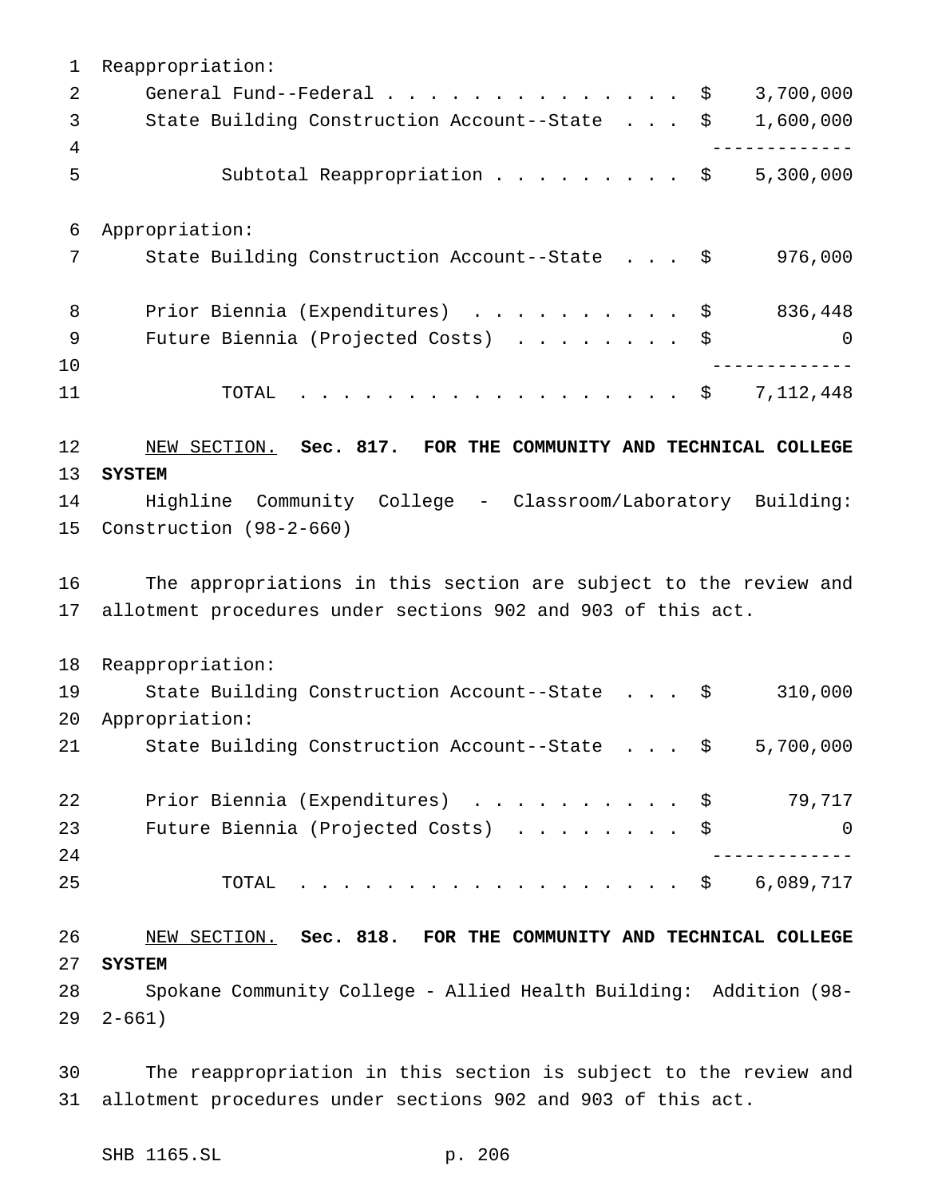Reappropriation: General Fund--Federal.............. \$ 3,700,000 State Building Construction Account--State . . . \$ 1,600,000 ------------- Subtotal Reappropriation ......... \$ 5,300,000 Appropriation: 7 State Building Construction Account--State . . . \$ 976,000 8 Prior Biennia (Expenditures) . . . . . . . . . \$ 836,448 Future Biennia (Projected Costs) ........ \$ 0 ------------- 11 TOTAL . . . . . . . . . . . . . . . . \$ 7,112,448 NEW SECTION. **Sec. 817. FOR THE COMMUNITY AND TECHNICAL COLLEGE SYSTEM** Highline Community College - Classroom/Laboratory Building: Construction (98-2-660) The appropriations in this section are subject to the review and allotment procedures under sections 902 and 903 of this act. Reappropriation: State Building Construction Account--State . . . \$ 310,000 Appropriation: State Building Construction Account--State . . . \$ 5,700,000 22 Prior Biennia (Expenditures) . . . . . . . . . \$ 79,717 Future Biennia (Projected Costs) ........ \$ 0 ------------- TOTAL .................. \$ 6,089,717 NEW SECTION. **Sec. 818. FOR THE COMMUNITY AND TECHNICAL COLLEGE SYSTEM** Spokane Community College - Allied Health Building: Addition (98- 2-661)

 The reappropriation in this section is subject to the review and allotment procedures under sections 902 and 903 of this act.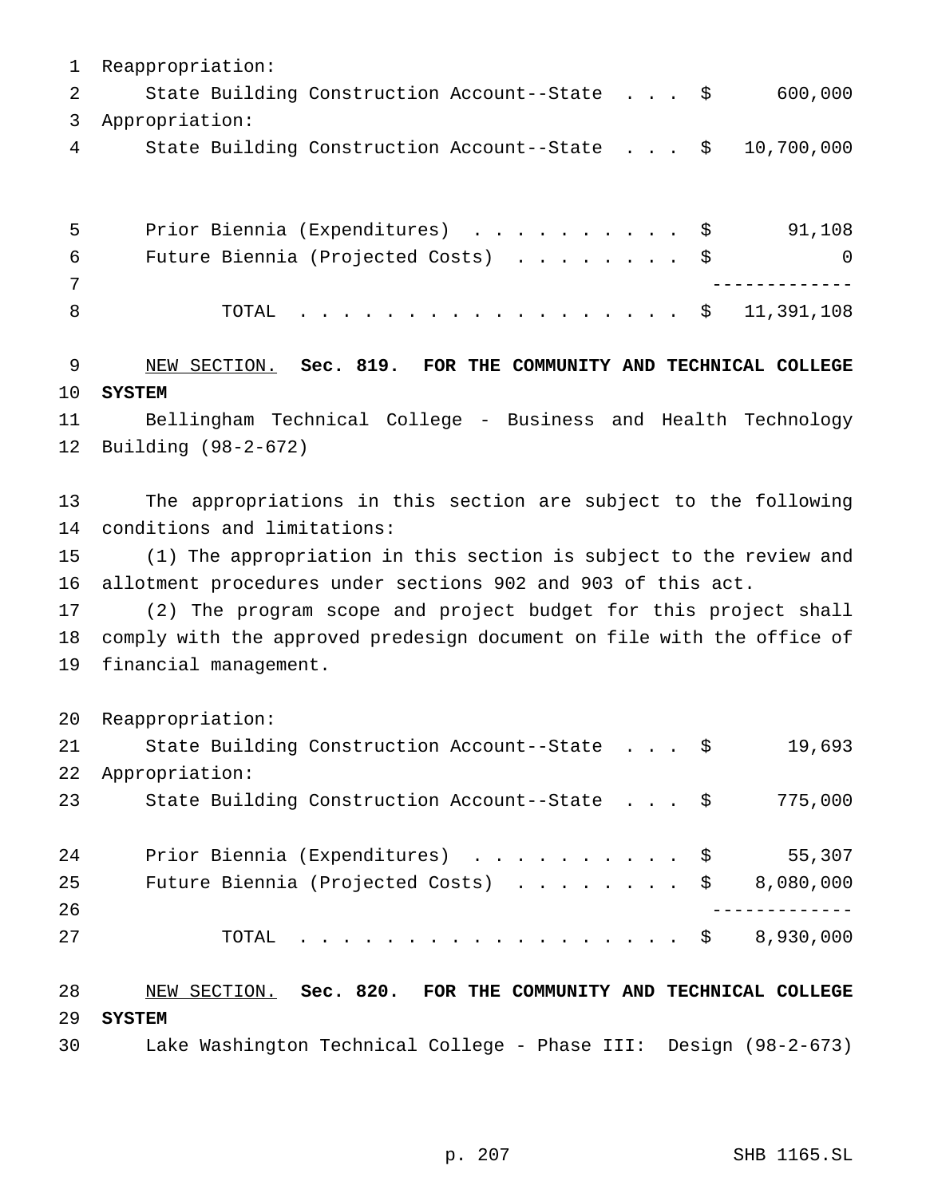Reappropriation: 2 State Building Construction Account--State . . . \$ 600,000 Appropriation: State Building Construction Account--State . . . \$ 10,700,000

| $-5$ | Prior Biennia (Expenditures) \$              | 91,108         |
|------|----------------------------------------------|----------------|
| 6    | Future Biennia (Projected Costs) $\ldots$ \$ | $\overline{0}$ |
|      |                                              |                |
|      | TOTAL \$ 11,391,108                          |                |

 NEW SECTION. **Sec. 819. FOR THE COMMUNITY AND TECHNICAL COLLEGE SYSTEM**

 Bellingham Technical College - Business and Health Technology Building (98-2-672)

 The appropriations in this section are subject to the following conditions and limitations:

 (1) The appropriation in this section is subject to the review and allotment procedures under sections 902 and 903 of this act.

 (2) The program scope and project budget for this project shall comply with the approved predesign document on file with the office of financial management.

Reappropriation:

| 21 | State Building Construction Account--State \$ |  |  | 19,693    |
|----|-----------------------------------------------|--|--|-----------|
| 22 | Appropriation:                                |  |  |           |
| 23 | State Building Construction Account--State \$ |  |  | 775,000   |
|    |                                               |  |  |           |
| 24 | Prior Biennia (Expenditures) \$               |  |  | 55,307    |
| 25 | Future Biennia (Projected Costs) \$           |  |  | 8,080,000 |
| 26 |                                               |  |  |           |
| 27 | TOTAL \$ 8,930,000                            |  |  |           |
|    |                                               |  |  |           |
|    |                                               |  |  |           |

 NEW SECTION. **Sec. 820. FOR THE COMMUNITY AND TECHNICAL COLLEGE SYSTEM**

Lake Washington Technical College - Phase III: Design (98-2-673)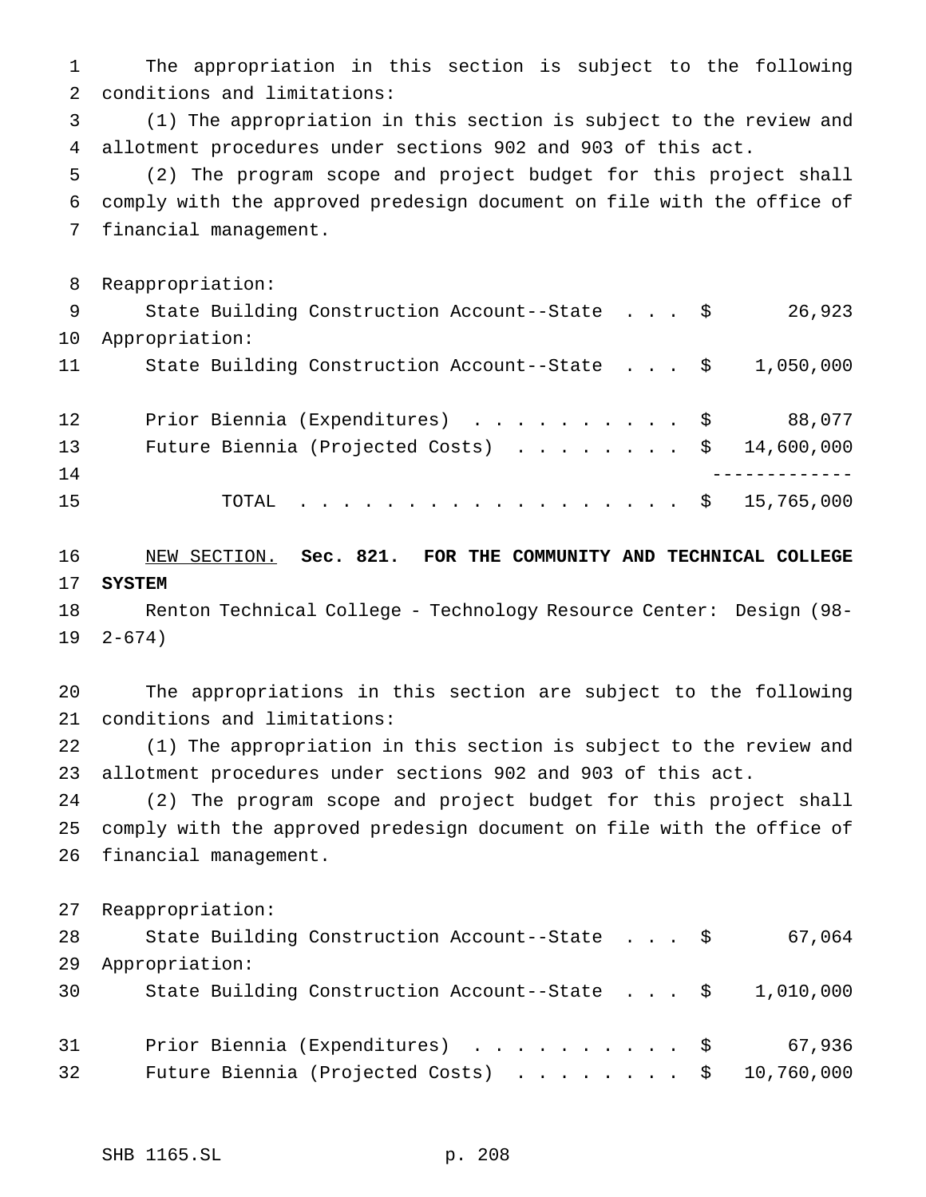The appropriation in this section is subject to the following conditions and limitations:

 (1) The appropriation in this section is subject to the review and allotment procedures under sections 902 and 903 of this act.

 (2) The program scope and project budget for this project shall comply with the approved predesign document on file with the office of financial management.

Reappropriation:

 State Building Construction Account--State . . . \$ 26,923 Appropriation: State Building Construction Account--State . . . \$ 1,050,000

| 12 <sub>2</sub> |  |  |  |  |  |  |  |  | Prior Biennia (Expenditures) \$ 88,077                  |
|-----------------|--|--|--|--|--|--|--|--|---------------------------------------------------------|
| 13              |  |  |  |  |  |  |  |  | Future Biennia (Projected Costs) $\ldots$ \$ 14,600,000 |
| 14              |  |  |  |  |  |  |  |  |                                                         |
| 15              |  |  |  |  |  |  |  |  | TOTAL \$ 15,765,000                                     |

 NEW SECTION. **Sec. 821. FOR THE COMMUNITY AND TECHNICAL COLLEGE SYSTEM**

 Renton Technical College - Technology Resource Center: Design (98- 2-674)

 The appropriations in this section are subject to the following conditions and limitations:

 (1) The appropriation in this section is subject to the review and allotment procedures under sections 902 and 903 of this act.

 (2) The program scope and project budget for this project shall comply with the approved predesign document on file with the office of financial management.

Reappropriation:

| 28 | State Building Construction Account--State \$                      |  |  | 67,064 |
|----|--------------------------------------------------------------------|--|--|--------|
| 29 | Appropriation:                                                     |  |  |        |
| 30 | State Building Construction Account--State $\frac{1}{9}$ , 010,000 |  |  |        |
|    |                                                                    |  |  |        |
| 31 | Prior Biennia (Expenditures) \$                                    |  |  | 67,936 |
| 32 | Future Biennia (Projected Costs) $\ldots$ \$ 10,760,000            |  |  |        |
|    |                                                                    |  |  |        |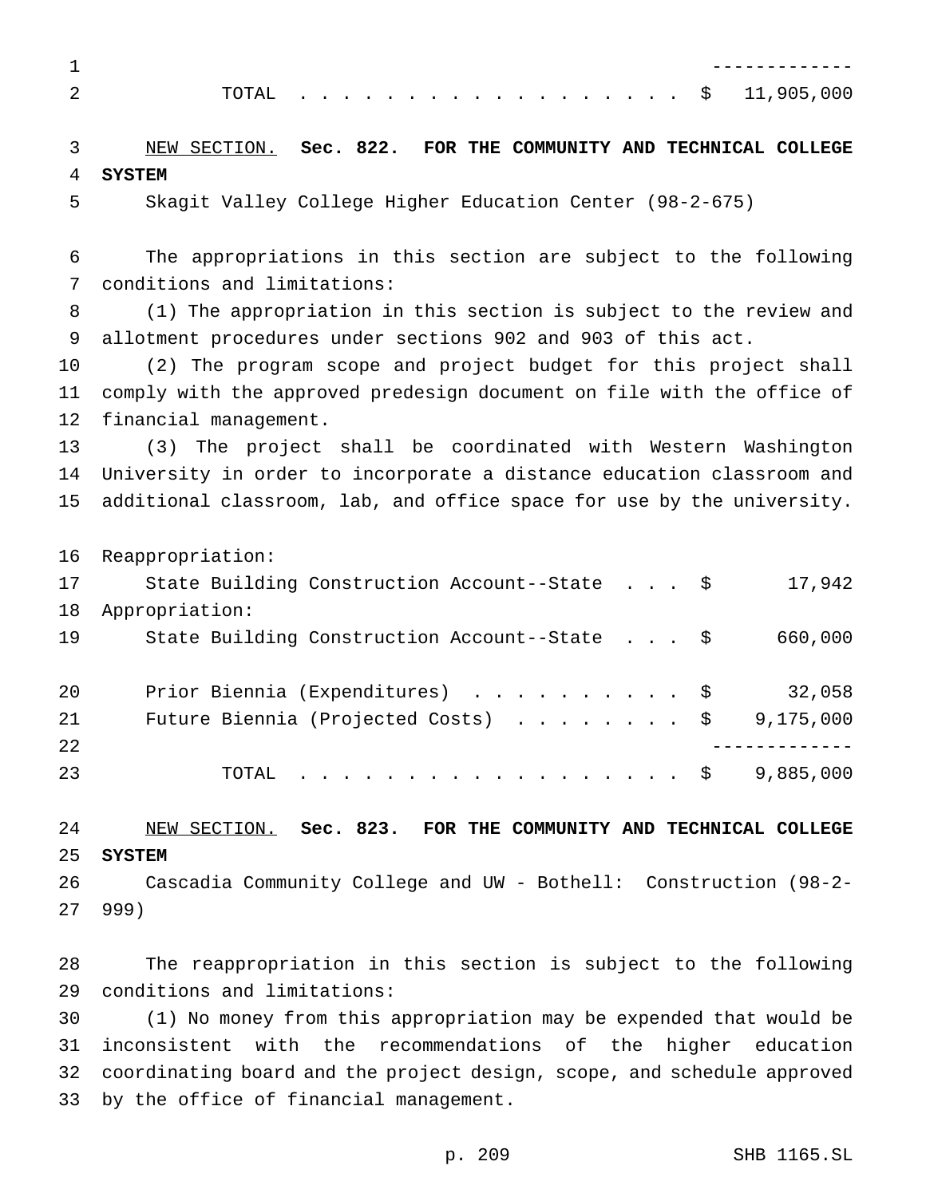|  |  |  |  |  |  |  |  |  |  | $\cdot$ \$ 11,905,000 |
|--|--|--|--|--|--|--|--|--|--|-----------------------|

 NEW SECTION. **Sec. 822. FOR THE COMMUNITY AND TECHNICAL COLLEGE SYSTEM**

Skagit Valley College Higher Education Center (98-2-675)

 The appropriations in this section are subject to the following conditions and limitations:

 (1) The appropriation in this section is subject to the review and allotment procedures under sections 902 and 903 of this act.

 (2) The program scope and project budget for this project shall comply with the approved predesign document on file with the office of financial management.

 (3) The project shall be coordinated with Western Washington University in order to incorporate a distance education classroom and additional classroom, lab, and office space for use by the university.

Reappropriation:

| Appropriation:<br>18<br>19<br>State Building Construction Account--State \$<br>Prior Biennia (Expenditures) \$<br>20<br>21<br>Future Biennia (Projected Costs) \$<br>22<br>23<br>TOTAL $\ldots$ \$ | 17 | State Building Construction Account--State \$ |  |  | 17,942    |
|----------------------------------------------------------------------------------------------------------------------------------------------------------------------------------------------------|----|-----------------------------------------------|--|--|-----------|
|                                                                                                                                                                                                    |    |                                               |  |  |           |
|                                                                                                                                                                                                    |    |                                               |  |  | 660,000   |
|                                                                                                                                                                                                    |    |                                               |  |  |           |
|                                                                                                                                                                                                    |    |                                               |  |  | 32,058    |
|                                                                                                                                                                                                    |    |                                               |  |  | 9,175,000 |
|                                                                                                                                                                                                    |    |                                               |  |  |           |
|                                                                                                                                                                                                    |    |                                               |  |  | 9,885,000 |

#### NEW SECTION. **Sec. 823. FOR THE COMMUNITY AND TECHNICAL COLLEGE SYSTEM**

 Cascadia Community College and UW - Bothell: Construction (98-2- 999)

 The reappropriation in this section is subject to the following conditions and limitations:

 (1) No money from this appropriation may be expended that would be inconsistent with the recommendations of the higher education coordinating board and the project design, scope, and schedule approved by the office of financial management.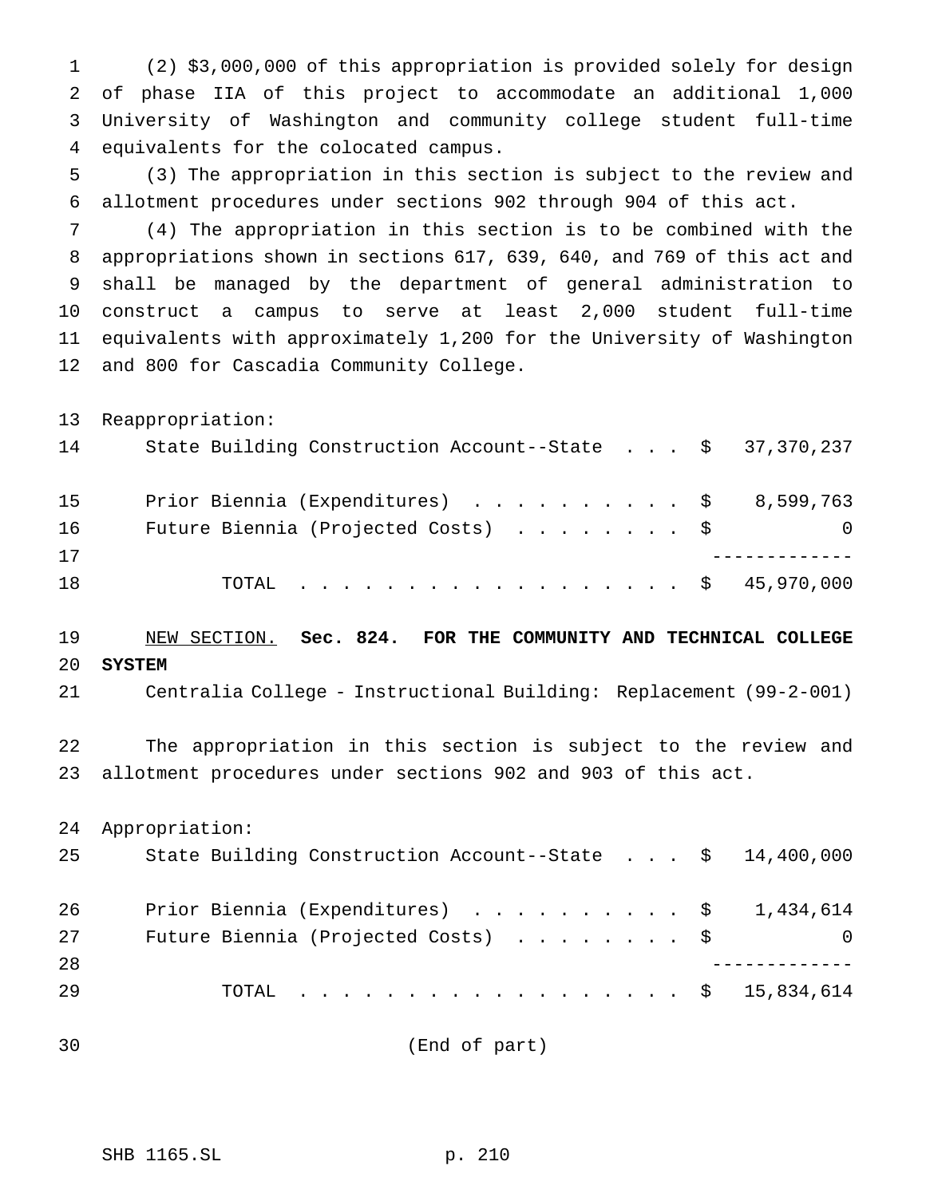(2) \$3,000,000 of this appropriation is provided solely for design of phase IIA of this project to accommodate an additional 1,000 University of Washington and community college student full-time equivalents for the colocated campus.

 (3) The appropriation in this section is subject to the review and allotment procedures under sections 902 through 904 of this act.

 (4) The appropriation in this section is to be combined with the appropriations shown in sections 617, 639, 640, and 769 of this act and shall be managed by the department of general administration to construct a campus to serve at least 2,000 student full-time equivalents with approximately 1,200 for the University of Washington and 800 for Cascadia Community College.

Reappropriation:

| 14 | State Building Construction Account--State $\frac{1}{5}$ 37,370,237 |   |
|----|---------------------------------------------------------------------|---|
| 15 | Prior Biennia (Expenditures) \$ 8,599,763                           |   |
| 16 | Future Biennia (Projected Costs) $\ldots$ \$                        | 0 |
| 17 |                                                                     |   |
| 18 | TOTAL \$ 45,970,000                                                 |   |

## NEW SECTION. **Sec. 824. FOR THE COMMUNITY AND TECHNICAL COLLEGE SYSTEM**

Centralia College - Instructional Building: Replacement (99-2-001)

 The appropriation in this section is subject to the review and allotment procedures under sections 902 and 903 of this act.

Appropriation:

| Prior Biennia (Expenditures) $\ldots$ \$ 1,434,614 |                                                                     |
|----------------------------------------------------|---------------------------------------------------------------------|
| Future Biennia (Projected Costs) \$                | $\Omega$                                                            |
|                                                    |                                                                     |
| TOTAL \$ 15,834,614                                |                                                                     |
|                                                    | State Building Construction Account--State $\frac{1}{2}$ 14,400,000 |

(End of part)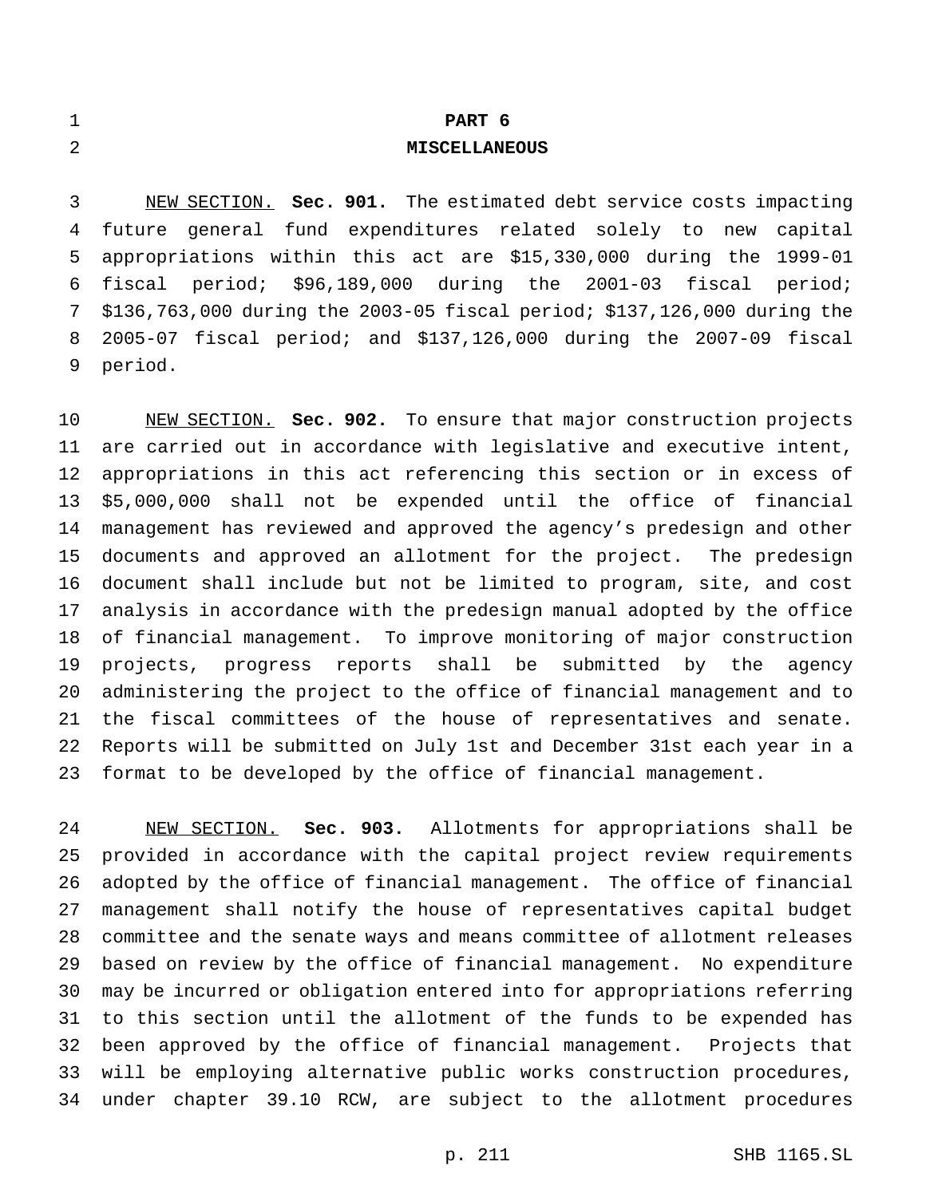| $\blacksquare$<br><b>_</b> | PART 6               |
|----------------------------|----------------------|
| 2                          | <b>MISCELLANEOUS</b> |

 NEW SECTION. **Sec. 901.** The estimated debt service costs impacting future general fund expenditures related solely to new capital appropriations within this act are \$15,330,000 during the 1999-01 fiscal period; \$96,189,000 during the 2001-03 fiscal period; \$136,763,000 during the 2003-05 fiscal period; \$137,126,000 during the 2005-07 fiscal period; and \$137,126,000 during the 2007-09 fiscal period.

 NEW SECTION. **Sec. 902.** To ensure that major construction projects are carried out in accordance with legislative and executive intent, appropriations in this act referencing this section or in excess of \$5,000,000 shall not be expended until the office of financial management has reviewed and approved the agency's predesign and other documents and approved an allotment for the project. The predesign document shall include but not be limited to program, site, and cost analysis in accordance with the predesign manual adopted by the office of financial management. To improve monitoring of major construction projects, progress reports shall be submitted by the agency administering the project to the office of financial management and to the fiscal committees of the house of representatives and senate. Reports will be submitted on July 1st and December 31st each year in a format to be developed by the office of financial management.

 NEW SECTION. **Sec. 903.** Allotments for appropriations shall be provided in accordance with the capital project review requirements adopted by the office of financial management. The office of financial management shall notify the house of representatives capital budget committee and the senate ways and means committee of allotment releases based on review by the office of financial management. No expenditure may be incurred or obligation entered into for appropriations referring to this section until the allotment of the funds to be expended has been approved by the office of financial management. Projects that will be employing alternative public works construction procedures, under chapter 39.10 RCW, are subject to the allotment procedures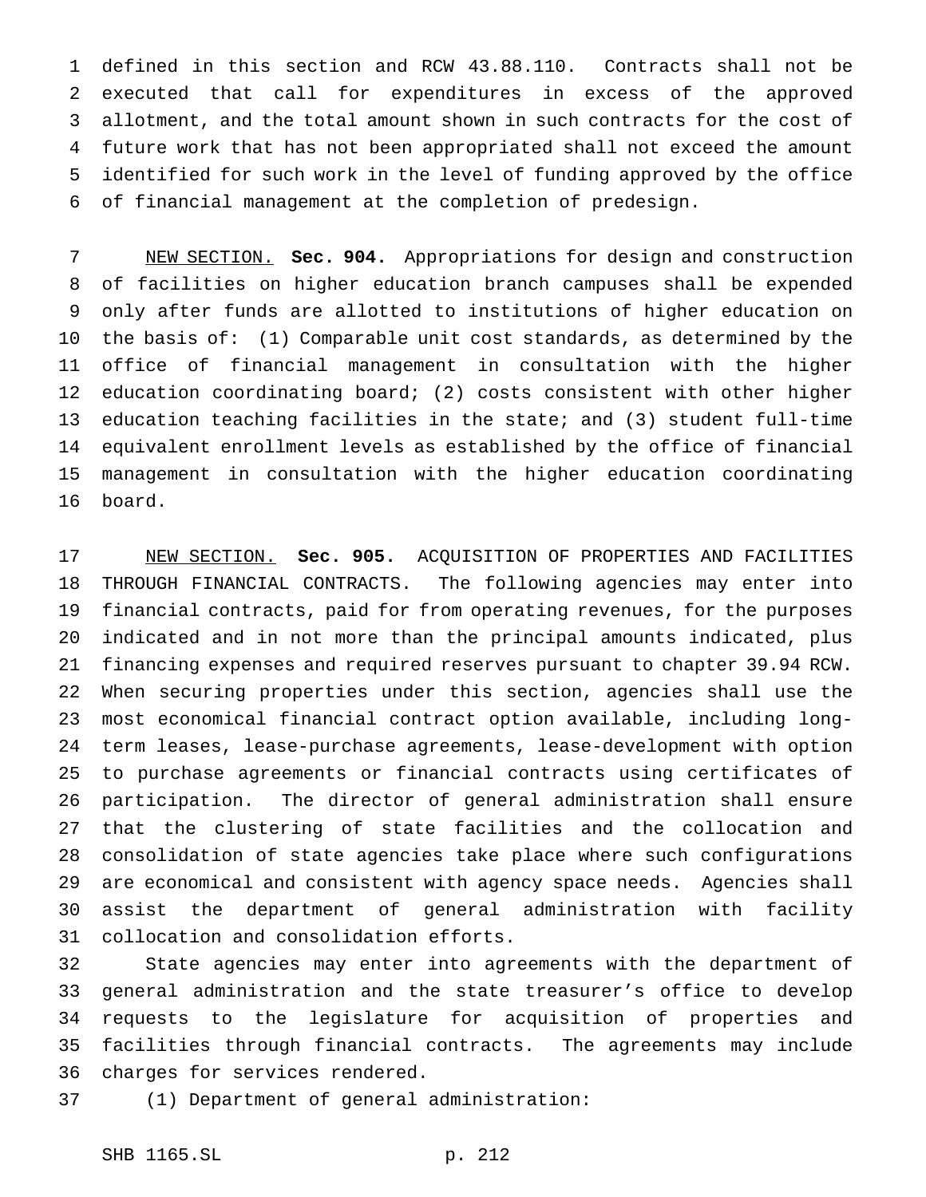defined in this section and RCW 43.88.110. Contracts shall not be executed that call for expenditures in excess of the approved allotment, and the total amount shown in such contracts for the cost of future work that has not been appropriated shall not exceed the amount identified for such work in the level of funding approved by the office of financial management at the completion of predesign.

 NEW SECTION. **Sec. 904.** Appropriations for design and construction of facilities on higher education branch campuses shall be expended only after funds are allotted to institutions of higher education on the basis of: (1) Comparable unit cost standards, as determined by the office of financial management in consultation with the higher education coordinating board; (2) costs consistent with other higher education teaching facilities in the state; and (3) student full-time equivalent enrollment levels as established by the office of financial management in consultation with the higher education coordinating board.

 NEW SECTION. **Sec. 905.** ACQUISITION OF PROPERTIES AND FACILITIES THROUGH FINANCIAL CONTRACTS. The following agencies may enter into financial contracts, paid for from operating revenues, for the purposes indicated and in not more than the principal amounts indicated, plus financing expenses and required reserves pursuant to chapter 39.94 RCW. When securing properties under this section, agencies shall use the most economical financial contract option available, including long- term leases, lease-purchase agreements, lease-development with option to purchase agreements or financial contracts using certificates of participation. The director of general administration shall ensure that the clustering of state facilities and the collocation and consolidation of state agencies take place where such configurations are economical and consistent with agency space needs. Agencies shall assist the department of general administration with facility collocation and consolidation efforts.

 State agencies may enter into agreements with the department of general administration and the state treasurer's office to develop requests to the legislature for acquisition of properties and facilities through financial contracts. The agreements may include charges for services rendered.

(1) Department of general administration: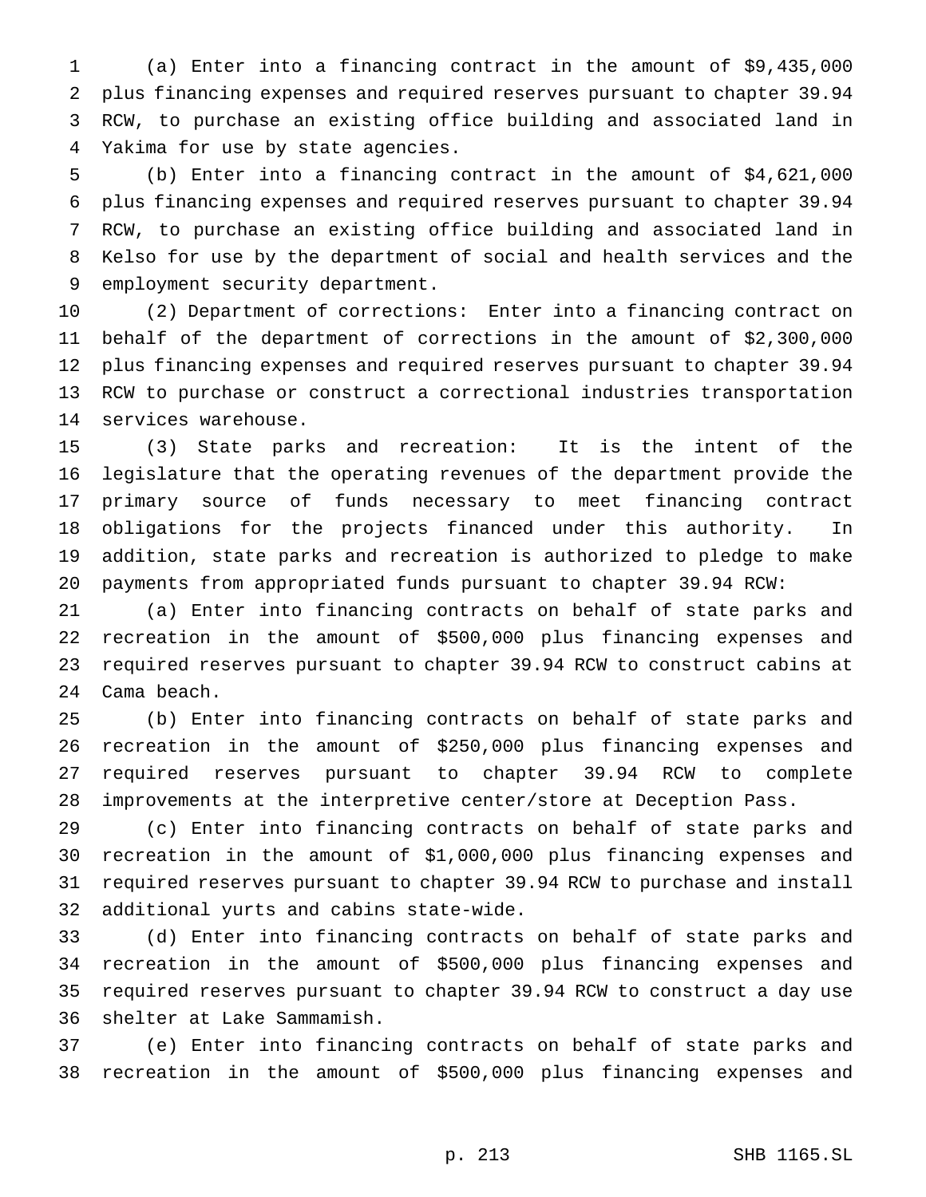(a) Enter into a financing contract in the amount of \$9,435,000 plus financing expenses and required reserves pursuant to chapter 39.94 RCW, to purchase an existing office building and associated land in Yakima for use by state agencies.

 (b) Enter into a financing contract in the amount of \$4,621,000 plus financing expenses and required reserves pursuant to chapter 39.94 RCW, to purchase an existing office building and associated land in Kelso for use by the department of social and health services and the employment security department.

 (2) Department of corrections: Enter into a financing contract on behalf of the department of corrections in the amount of \$2,300,000 plus financing expenses and required reserves pursuant to chapter 39.94 RCW to purchase or construct a correctional industries transportation services warehouse.

 (3) State parks and recreation: It is the intent of the legislature that the operating revenues of the department provide the primary source of funds necessary to meet financing contract obligations for the projects financed under this authority. In addition, state parks and recreation is authorized to pledge to make payments from appropriated funds pursuant to chapter 39.94 RCW:

 (a) Enter into financing contracts on behalf of state parks and recreation in the amount of \$500,000 plus financing expenses and required reserves pursuant to chapter 39.94 RCW to construct cabins at Cama beach.

 (b) Enter into financing contracts on behalf of state parks and recreation in the amount of \$250,000 plus financing expenses and required reserves pursuant to chapter 39.94 RCW to complete improvements at the interpretive center/store at Deception Pass.

 (c) Enter into financing contracts on behalf of state parks and recreation in the amount of \$1,000,000 plus financing expenses and required reserves pursuant to chapter 39.94 RCW to purchase and install additional yurts and cabins state-wide.

 (d) Enter into financing contracts on behalf of state parks and recreation in the amount of \$500,000 plus financing expenses and required reserves pursuant to chapter 39.94 RCW to construct a day use shelter at Lake Sammamish.

 (e) Enter into financing contracts on behalf of state parks and recreation in the amount of \$500,000 plus financing expenses and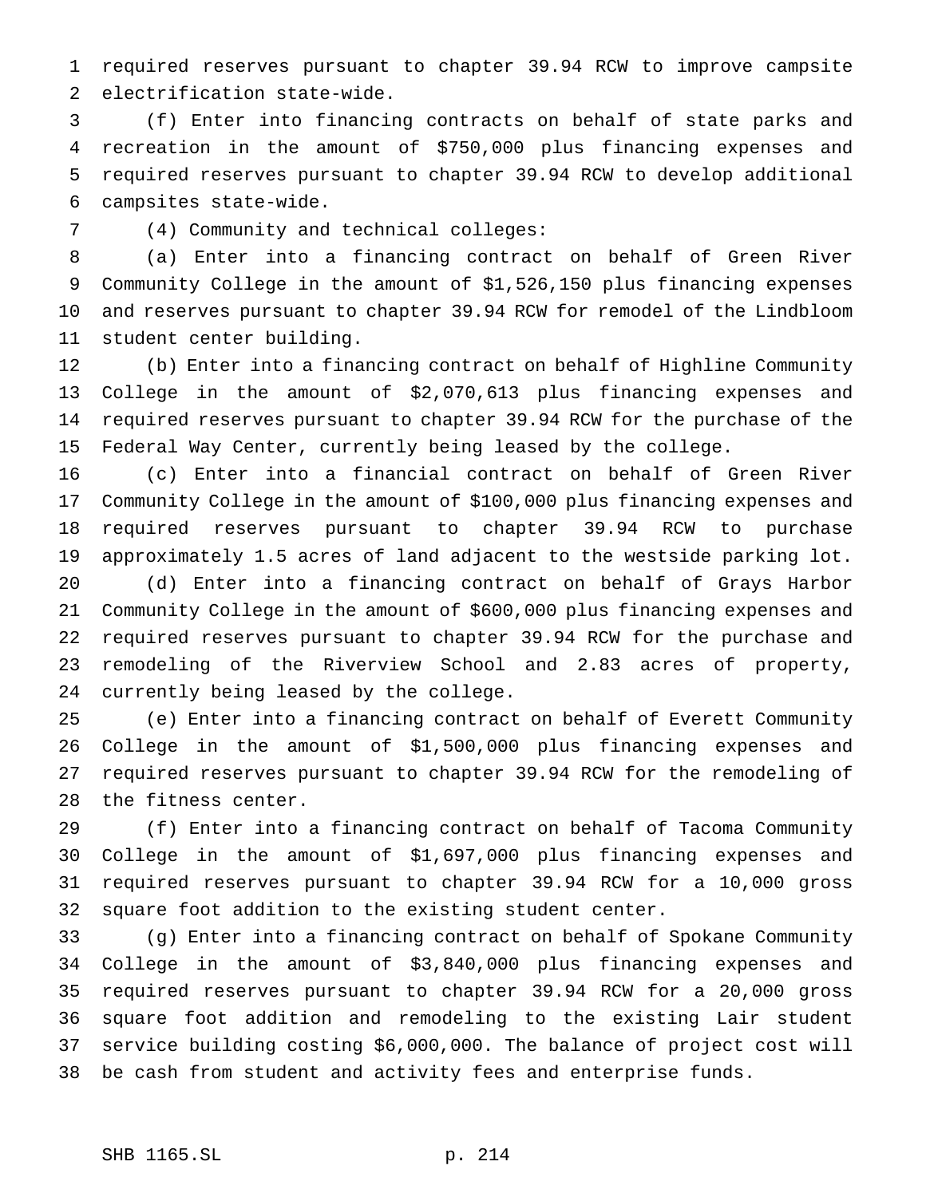required reserves pursuant to chapter 39.94 RCW to improve campsite electrification state-wide.

 (f) Enter into financing contracts on behalf of state parks and recreation in the amount of \$750,000 plus financing expenses and required reserves pursuant to chapter 39.94 RCW to develop additional campsites state-wide.

(4) Community and technical colleges:

 (a) Enter into a financing contract on behalf of Green River Community College in the amount of \$1,526,150 plus financing expenses and reserves pursuant to chapter 39.94 RCW for remodel of the Lindbloom student center building.

 (b) Enter into a financing contract on behalf of Highline Community College in the amount of \$2,070,613 plus financing expenses and required reserves pursuant to chapter 39.94 RCW for the purchase of the Federal Way Center, currently being leased by the college.

 (c) Enter into a financial contract on behalf of Green River Community College in the amount of \$100,000 plus financing expenses and required reserves pursuant to chapter 39.94 RCW to purchase approximately 1.5 acres of land adjacent to the westside parking lot.

 (d) Enter into a financing contract on behalf of Grays Harbor Community College in the amount of \$600,000 plus financing expenses and required reserves pursuant to chapter 39.94 RCW for the purchase and remodeling of the Riverview School and 2.83 acres of property, currently being leased by the college.

 (e) Enter into a financing contract on behalf of Everett Community College in the amount of \$1,500,000 plus financing expenses and required reserves pursuant to chapter 39.94 RCW for the remodeling of the fitness center.

 (f) Enter into a financing contract on behalf of Tacoma Community College in the amount of \$1,697,000 plus financing expenses and required reserves pursuant to chapter 39.94 RCW for a 10,000 gross square foot addition to the existing student center.

 (g) Enter into a financing contract on behalf of Spokane Community College in the amount of \$3,840,000 plus financing expenses and required reserves pursuant to chapter 39.94 RCW for a 20,000 gross square foot addition and remodeling to the existing Lair student service building costing \$6,000,000. The balance of project cost will be cash from student and activity fees and enterprise funds.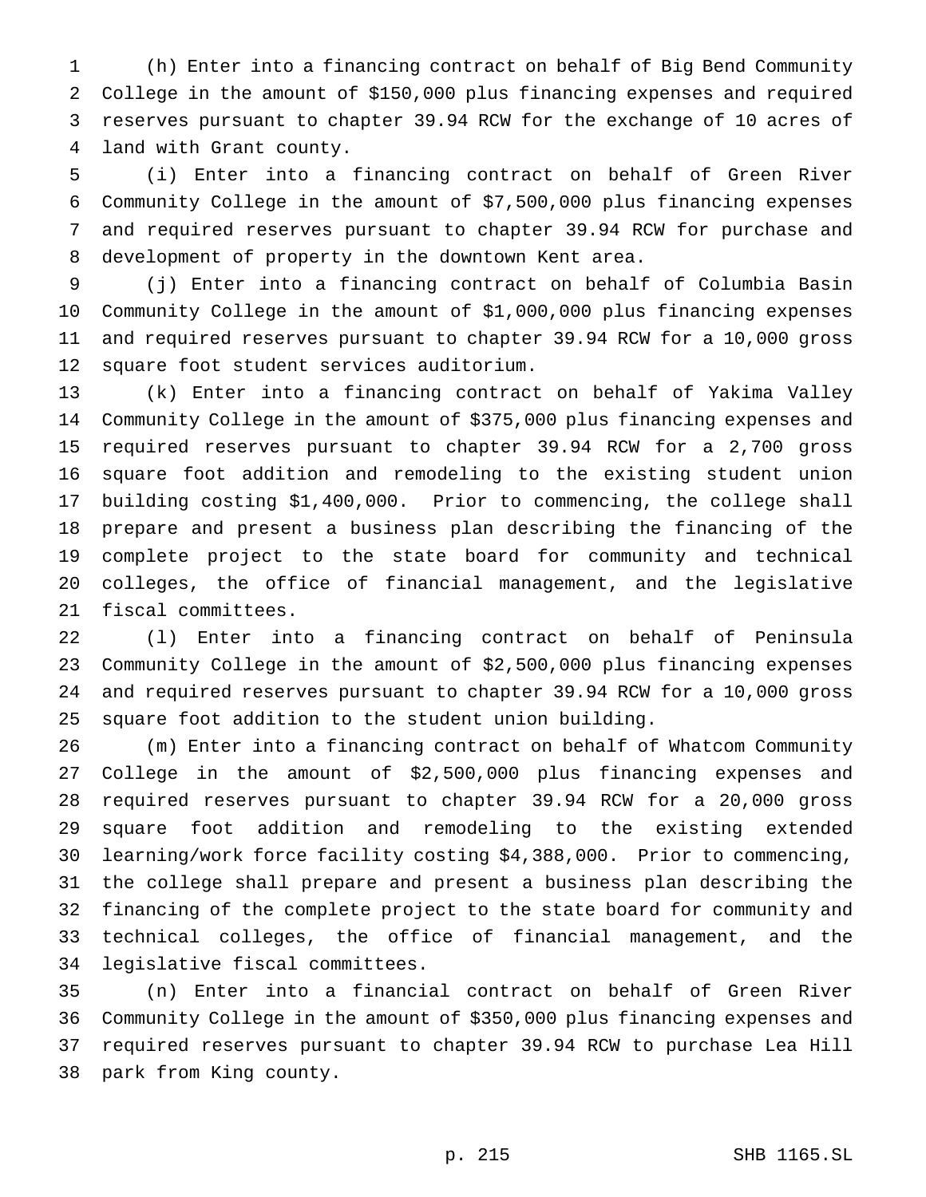(h) Enter into a financing contract on behalf of Big Bend Community College in the amount of \$150,000 plus financing expenses and required reserves pursuant to chapter 39.94 RCW for the exchange of 10 acres of land with Grant county.

 (i) Enter into a financing contract on behalf of Green River Community College in the amount of \$7,500,000 plus financing expenses and required reserves pursuant to chapter 39.94 RCW for purchase and development of property in the downtown Kent area.

 (j) Enter into a financing contract on behalf of Columbia Basin Community College in the amount of \$1,000,000 plus financing expenses and required reserves pursuant to chapter 39.94 RCW for a 10,000 gross square foot student services auditorium.

 (k) Enter into a financing contract on behalf of Yakima Valley Community College in the amount of \$375,000 plus financing expenses and required reserves pursuant to chapter 39.94 RCW for a 2,700 gross square foot addition and remodeling to the existing student union building costing \$1,400,000. Prior to commencing, the college shall prepare and present a business plan describing the financing of the complete project to the state board for community and technical colleges, the office of financial management, and the legislative fiscal committees.

 (l) Enter into a financing contract on behalf of Peninsula Community College in the amount of \$2,500,000 plus financing expenses and required reserves pursuant to chapter 39.94 RCW for a 10,000 gross square foot addition to the student union building.

 (m) Enter into a financing contract on behalf of Whatcom Community College in the amount of \$2,500,000 plus financing expenses and required reserves pursuant to chapter 39.94 RCW for a 20,000 gross square foot addition and remodeling to the existing extended learning/work force facility costing \$4,388,000. Prior to commencing, the college shall prepare and present a business plan describing the financing of the complete project to the state board for community and technical colleges, the office of financial management, and the legislative fiscal committees.

 (n) Enter into a financial contract on behalf of Green River Community College in the amount of \$350,000 plus financing expenses and required reserves pursuant to chapter 39.94 RCW to purchase Lea Hill park from King county.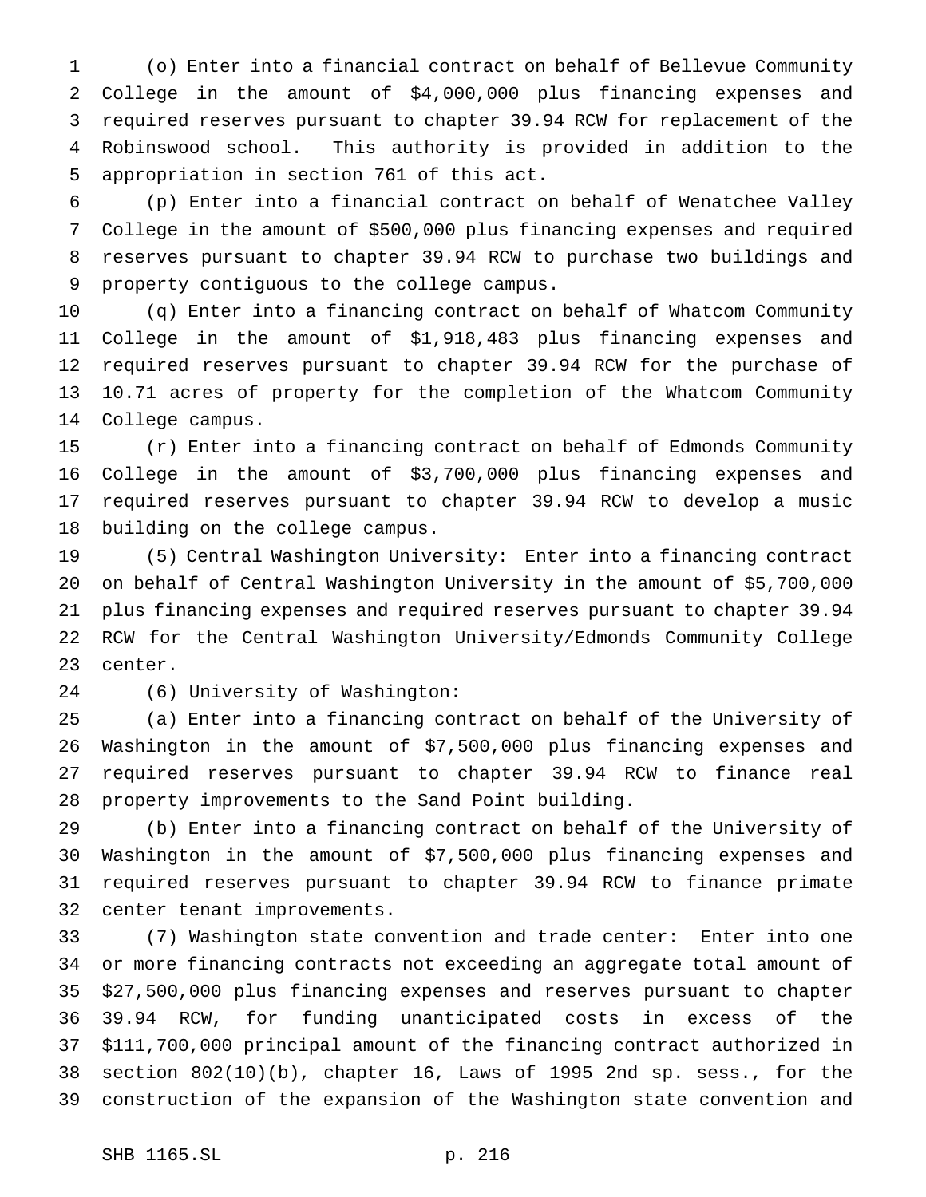(o) Enter into a financial contract on behalf of Bellevue Community College in the amount of \$4,000,000 plus financing expenses and required reserves pursuant to chapter 39.94 RCW for replacement of the Robinswood school. This authority is provided in addition to the appropriation in section 761 of this act.

 (p) Enter into a financial contract on behalf of Wenatchee Valley College in the amount of \$500,000 plus financing expenses and required reserves pursuant to chapter 39.94 RCW to purchase two buildings and property contiguous to the college campus.

 (q) Enter into a financing contract on behalf of Whatcom Community College in the amount of \$1,918,483 plus financing expenses and required reserves pursuant to chapter 39.94 RCW for the purchase of 10.71 acres of property for the completion of the Whatcom Community College campus.

 (r) Enter into a financing contract on behalf of Edmonds Community College in the amount of \$3,700,000 plus financing expenses and required reserves pursuant to chapter 39.94 RCW to develop a music building on the college campus.

 (5) Central Washington University: Enter into a financing contract on behalf of Central Washington University in the amount of \$5,700,000 plus financing expenses and required reserves pursuant to chapter 39.94 RCW for the Central Washington University/Edmonds Community College center.

(6) University of Washington:

 (a) Enter into a financing contract on behalf of the University of Washington in the amount of \$7,500,000 plus financing expenses and required reserves pursuant to chapter 39.94 RCW to finance real property improvements to the Sand Point building.

 (b) Enter into a financing contract on behalf of the University of Washington in the amount of \$7,500,000 plus financing expenses and required reserves pursuant to chapter 39.94 RCW to finance primate center tenant improvements.

 (7) Washington state convention and trade center: Enter into one or more financing contracts not exceeding an aggregate total amount of \$27,500,000 plus financing expenses and reserves pursuant to chapter 39.94 RCW, for funding unanticipated costs in excess of the \$111,700,000 principal amount of the financing contract authorized in section 802(10)(b), chapter 16, Laws of 1995 2nd sp. sess., for the construction of the expansion of the Washington state convention and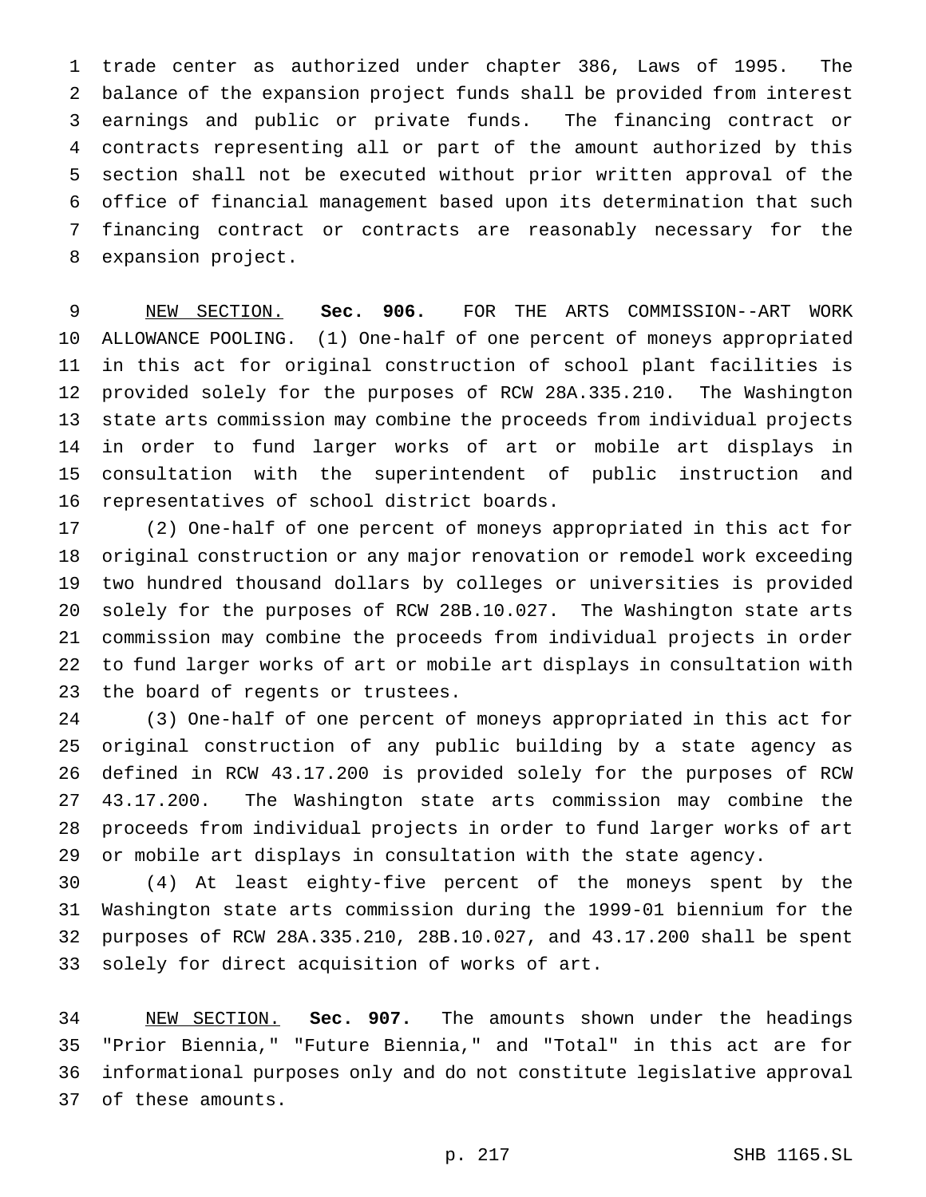trade center as authorized under chapter 386, Laws of 1995. The balance of the expansion project funds shall be provided from interest earnings and public or private funds. The financing contract or contracts representing all or part of the amount authorized by this section shall not be executed without prior written approval of the office of financial management based upon its determination that such financing contract or contracts are reasonably necessary for the expansion project.

 NEW SECTION. **Sec. 906.** FOR THE ARTS COMMISSION--ART WORK ALLOWANCE POOLING. (1) One-half of one percent of moneys appropriated in this act for original construction of school plant facilities is provided solely for the purposes of RCW 28A.335.210. The Washington state arts commission may combine the proceeds from individual projects in order to fund larger works of art or mobile art displays in consultation with the superintendent of public instruction and representatives of school district boards.

 (2) One-half of one percent of moneys appropriated in this act for original construction or any major renovation or remodel work exceeding two hundred thousand dollars by colleges or universities is provided solely for the purposes of RCW 28B.10.027. The Washington state arts commission may combine the proceeds from individual projects in order to fund larger works of art or mobile art displays in consultation with the board of regents or trustees.

 (3) One-half of one percent of moneys appropriated in this act for original construction of any public building by a state agency as defined in RCW 43.17.200 is provided solely for the purposes of RCW 43.17.200. The Washington state arts commission may combine the proceeds from individual projects in order to fund larger works of art or mobile art displays in consultation with the state agency.

 (4) At least eighty-five percent of the moneys spent by the Washington state arts commission during the 1999-01 biennium for the purposes of RCW 28A.335.210, 28B.10.027, and 43.17.200 shall be spent solely for direct acquisition of works of art.

 NEW SECTION. **Sec. 907.** The amounts shown under the headings "Prior Biennia," "Future Biennia," and "Total" in this act are for informational purposes only and do not constitute legislative approval of these amounts.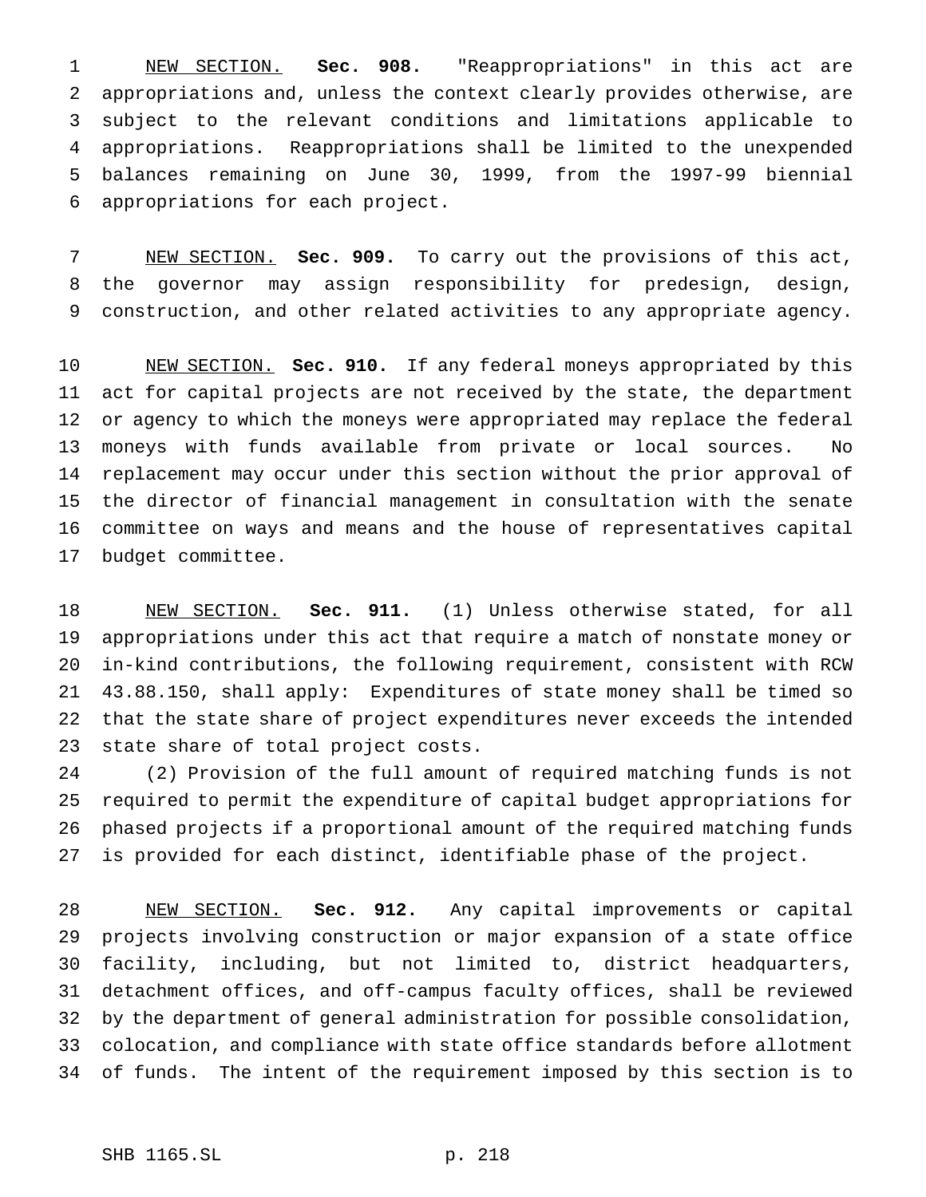NEW SECTION. **Sec. 908.** "Reappropriations" in this act are appropriations and, unless the context clearly provides otherwise, are subject to the relevant conditions and limitations applicable to appropriations. Reappropriations shall be limited to the unexpended balances remaining on June 30, 1999, from the 1997-99 biennial appropriations for each project.

 NEW SECTION. **Sec. 909.** To carry out the provisions of this act, the governor may assign responsibility for predesign, design, construction, and other related activities to any appropriate agency.

 NEW SECTION. **Sec. 910.** If any federal moneys appropriated by this act for capital projects are not received by the state, the department or agency to which the moneys were appropriated may replace the federal moneys with funds available from private or local sources. No replacement may occur under this section without the prior approval of the director of financial management in consultation with the senate committee on ways and means and the house of representatives capital budget committee.

 NEW SECTION. **Sec. 911.** (1) Unless otherwise stated, for all appropriations under this act that require a match of nonstate money or in-kind contributions, the following requirement, consistent with RCW 43.88.150, shall apply: Expenditures of state money shall be timed so that the state share of project expenditures never exceeds the intended state share of total project costs.

 (2) Provision of the full amount of required matching funds is not required to permit the expenditure of capital budget appropriations for phased projects if a proportional amount of the required matching funds is provided for each distinct, identifiable phase of the project.

 NEW SECTION. **Sec. 912.** Any capital improvements or capital projects involving construction or major expansion of a state office facility, including, but not limited to, district headquarters, detachment offices, and off-campus faculty offices, shall be reviewed by the department of general administration for possible consolidation, colocation, and compliance with state office standards before allotment of funds. The intent of the requirement imposed by this section is to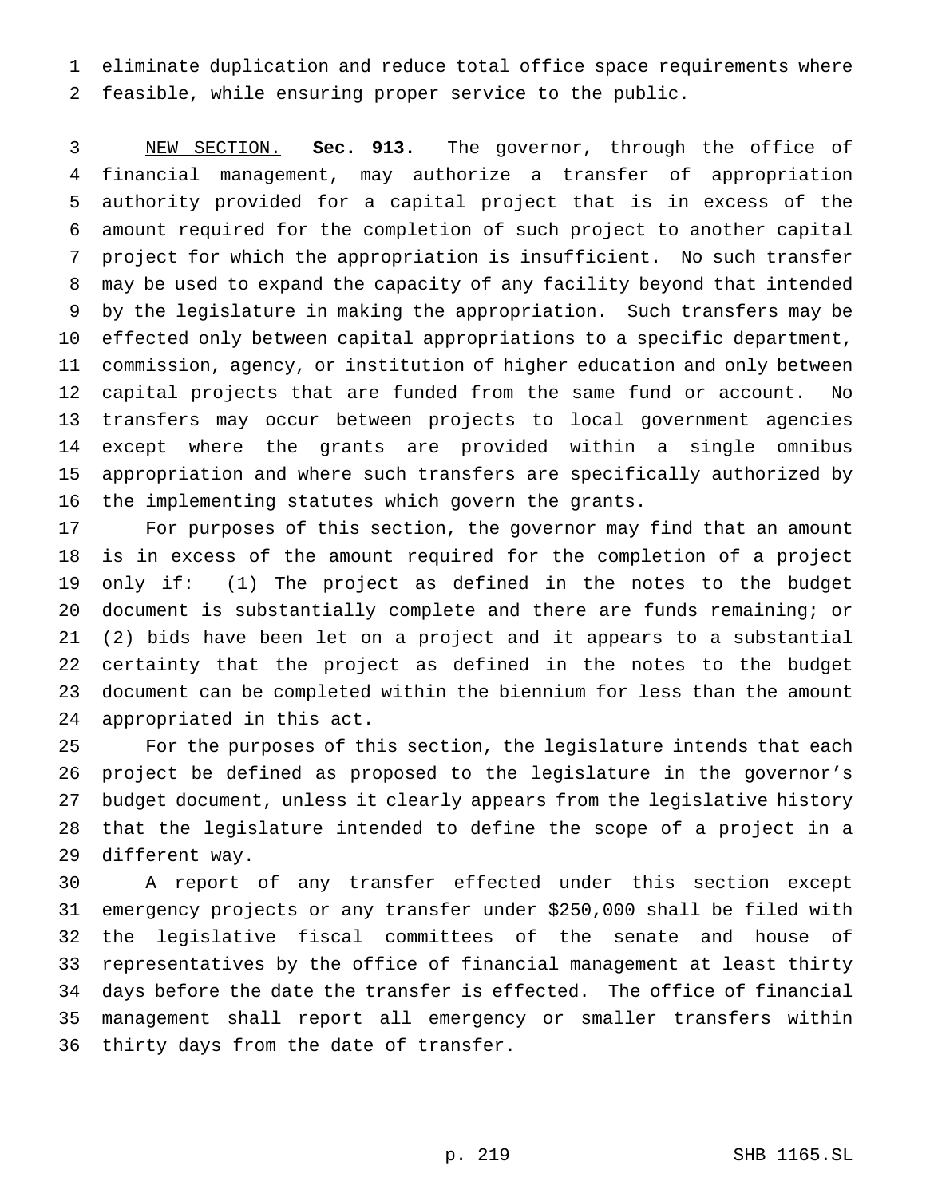eliminate duplication and reduce total office space requirements where feasible, while ensuring proper service to the public.

 NEW SECTION. **Sec. 913.** The governor, through the office of financial management, may authorize a transfer of appropriation authority provided for a capital project that is in excess of the amount required for the completion of such project to another capital project for which the appropriation is insufficient. No such transfer may be used to expand the capacity of any facility beyond that intended by the legislature in making the appropriation. Such transfers may be effected only between capital appropriations to a specific department, commission, agency, or institution of higher education and only between capital projects that are funded from the same fund or account. No transfers may occur between projects to local government agencies except where the grants are provided within a single omnibus appropriation and where such transfers are specifically authorized by the implementing statutes which govern the grants.

 For purposes of this section, the governor may find that an amount is in excess of the amount required for the completion of a project only if: (1) The project as defined in the notes to the budget document is substantially complete and there are funds remaining; or (2) bids have been let on a project and it appears to a substantial certainty that the project as defined in the notes to the budget document can be completed within the biennium for less than the amount appropriated in this act.

 For the purposes of this section, the legislature intends that each project be defined as proposed to the legislature in the governor's budget document, unless it clearly appears from the legislative history that the legislature intended to define the scope of a project in a different way.

 A report of any transfer effected under this section except emergency projects or any transfer under \$250,000 shall be filed with the legislative fiscal committees of the senate and house of representatives by the office of financial management at least thirty days before the date the transfer is effected. The office of financial management shall report all emergency or smaller transfers within thirty days from the date of transfer.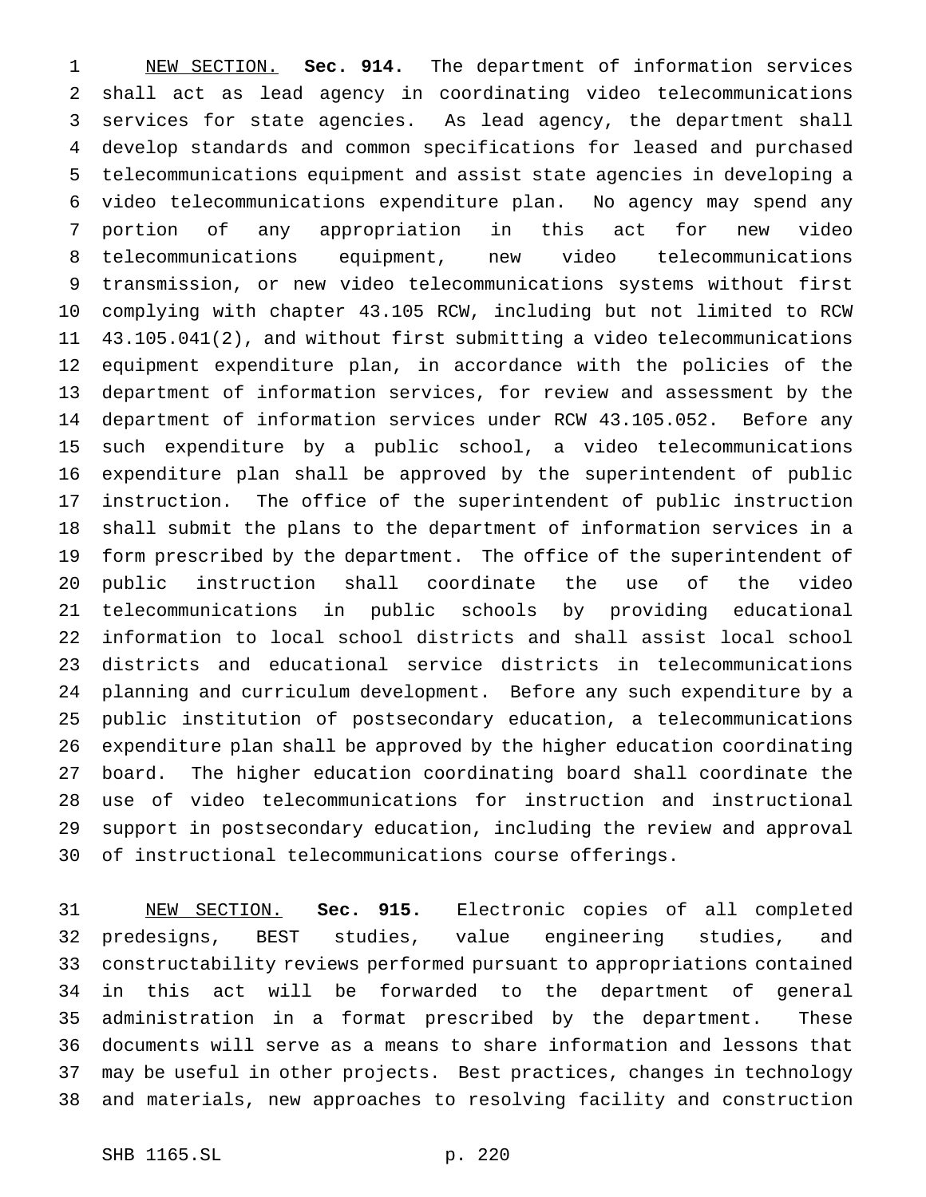NEW SECTION. **Sec. 914.** The department of information services shall act as lead agency in coordinating video telecommunications services for state agencies. As lead agency, the department shall develop standards and common specifications for leased and purchased telecommunications equipment and assist state agencies in developing a video telecommunications expenditure plan. No agency may spend any portion of any appropriation in this act for new video telecommunications equipment, new video telecommunications transmission, or new video telecommunications systems without first complying with chapter 43.105 RCW, including but not limited to RCW 43.105.041(2), and without first submitting a video telecommunications equipment expenditure plan, in accordance with the policies of the department of information services, for review and assessment by the department of information services under RCW 43.105.052. Before any such expenditure by a public school, a video telecommunications expenditure plan shall be approved by the superintendent of public instruction. The office of the superintendent of public instruction shall submit the plans to the department of information services in a form prescribed by the department. The office of the superintendent of public instruction shall coordinate the use of the video telecommunications in public schools by providing educational information to local school districts and shall assist local school districts and educational service districts in telecommunications planning and curriculum development. Before any such expenditure by a public institution of postsecondary education, a telecommunications expenditure plan shall be approved by the higher education coordinating board. The higher education coordinating board shall coordinate the use of video telecommunications for instruction and instructional support in postsecondary education, including the review and approval of instructional telecommunications course offerings.

 NEW SECTION. **Sec. 915.** Electronic copies of all completed predesigns, BEST studies, value engineering studies, and constructability reviews performed pursuant to appropriations contained in this act will be forwarded to the department of general administration in a format prescribed by the department. These documents will serve as a means to share information and lessons that may be useful in other projects. Best practices, changes in technology and materials, new approaches to resolving facility and construction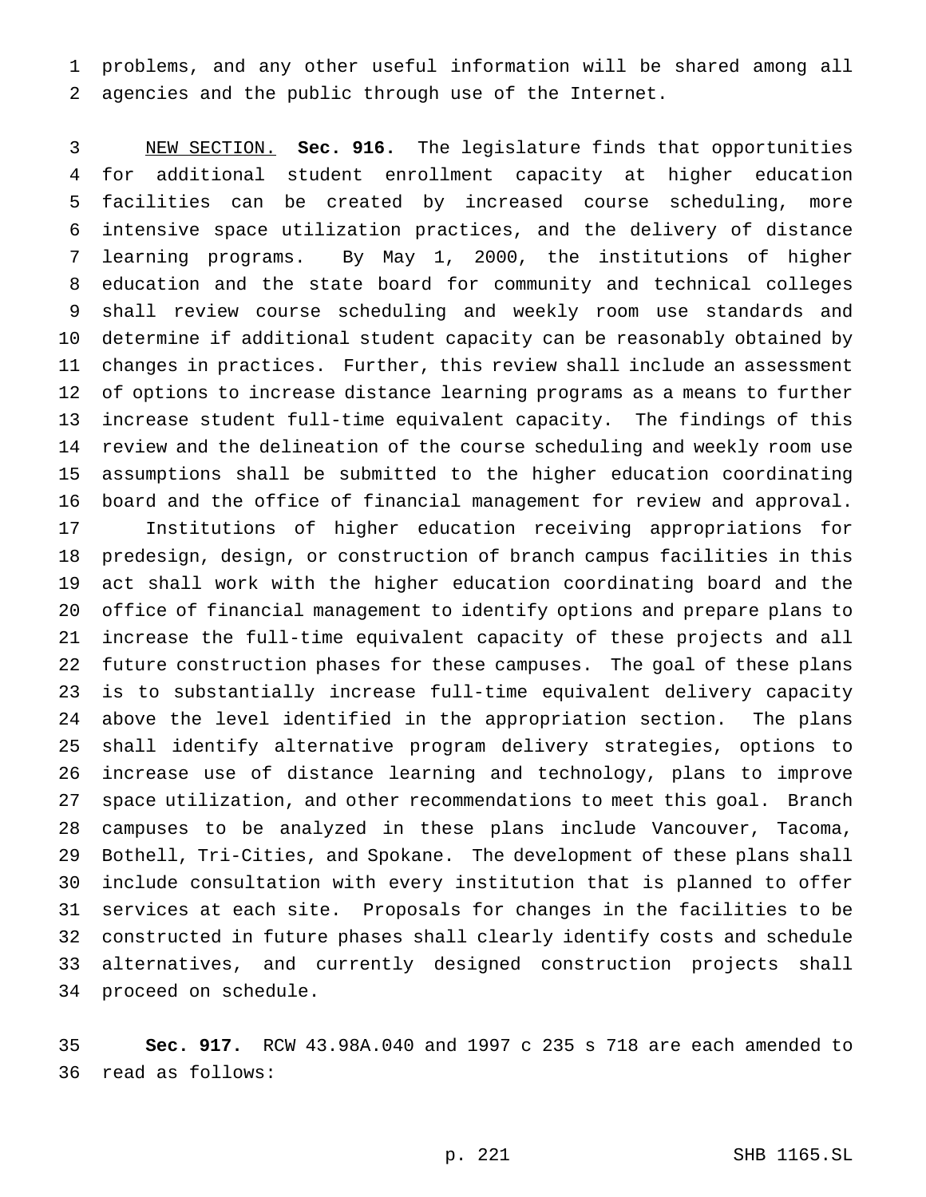problems, and any other useful information will be shared among all agencies and the public through use of the Internet.

 NEW SECTION. **Sec. 916.** The legislature finds that opportunities for additional student enrollment capacity at higher education facilities can be created by increased course scheduling, more intensive space utilization practices, and the delivery of distance learning programs. By May 1, 2000, the institutions of higher education and the state board for community and technical colleges shall review course scheduling and weekly room use standards and determine if additional student capacity can be reasonably obtained by changes in practices. Further, this review shall include an assessment of options to increase distance learning programs as a means to further increase student full-time equivalent capacity. The findings of this review and the delineation of the course scheduling and weekly room use assumptions shall be submitted to the higher education coordinating board and the office of financial management for review and approval. Institutions of higher education receiving appropriations for predesign, design, or construction of branch campus facilities in this act shall work with the higher education coordinating board and the office of financial management to identify options and prepare plans to increase the full-time equivalent capacity of these projects and all future construction phases for these campuses. The goal of these plans is to substantially increase full-time equivalent delivery capacity above the level identified in the appropriation section. The plans shall identify alternative program delivery strategies, options to increase use of distance learning and technology, plans to improve space utilization, and other recommendations to meet this goal. Branch campuses to be analyzed in these plans include Vancouver, Tacoma, Bothell, Tri-Cities, and Spokane. The development of these plans shall include consultation with every institution that is planned to offer services at each site. Proposals for changes in the facilities to be constructed in future phases shall clearly identify costs and schedule alternatives, and currently designed construction projects shall proceed on schedule.

 **Sec. 917.** RCW 43.98A.040 and 1997 c 235 s 718 are each amended to read as follows: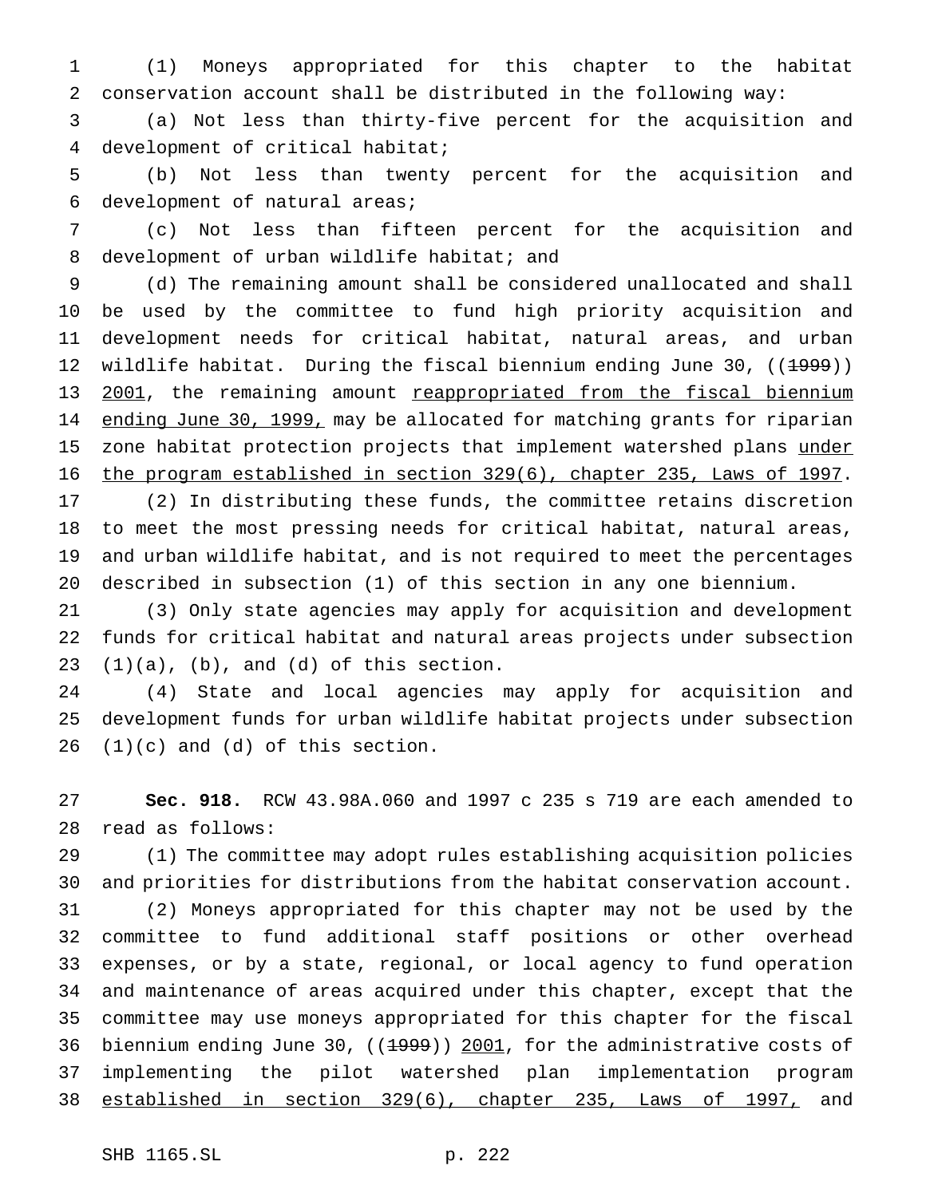(1) Moneys appropriated for this chapter to the habitat conservation account shall be distributed in the following way:

 (a) Not less than thirty-five percent for the acquisition and development of critical habitat;

 (b) Not less than twenty percent for the acquisition and development of natural areas;

 (c) Not less than fifteen percent for the acquisition and 8 development of urban wildlife habitat; and

 (d) The remaining amount shall be considered unallocated and shall be used by the committee to fund high priority acquisition and development needs for critical habitat, natural areas, and urban 12 wildlife habitat. During the fiscal biennium ending June 30, ((1999)) 13 2001, the remaining amount reappropriated from the fiscal biennium 14 ending June 30, 1999, may be allocated for matching grants for riparian 15 zone habitat protection projects that implement watershed plans under the program established in section 329(6), chapter 235, Laws of 1997.

 (2) In distributing these funds, the committee retains discretion to meet the most pressing needs for critical habitat, natural areas, and urban wildlife habitat, and is not required to meet the percentages described in subsection (1) of this section in any one biennium.

 (3) Only state agencies may apply for acquisition and development funds for critical habitat and natural areas projects under subsection  $(1)(a)$ ,  $(b)$ , and  $(d)$  of this section.

 (4) State and local agencies may apply for acquisition and development funds for urban wildlife habitat projects under subsection  $(1)(c)$  and  $(d)$  of this section.

 **Sec. 918.** RCW 43.98A.060 and 1997 c 235 s 719 are each amended to read as follows:

 (1) The committee may adopt rules establishing acquisition policies and priorities for distributions from the habitat conservation account.

 (2) Moneys appropriated for this chapter may not be used by the committee to fund additional staff positions or other overhead expenses, or by a state, regional, or local agency to fund operation and maintenance of areas acquired under this chapter, except that the committee may use moneys appropriated for this chapter for the fiscal 36 biennium ending June 30, ((1999)) 2001, for the administrative costs of implementing the pilot watershed plan implementation program established in section 329(6), chapter 235, Laws of 1997, and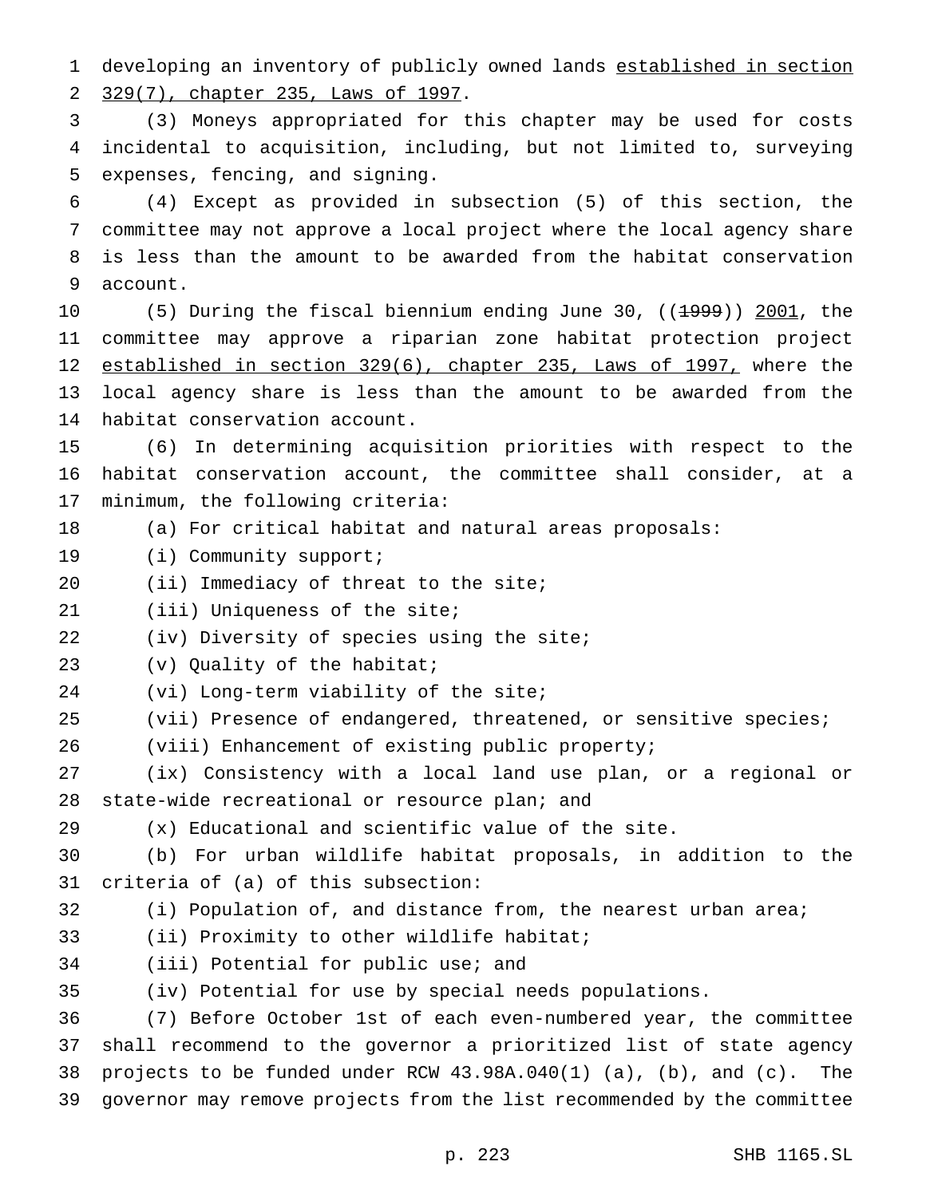developing an inventory of publicly owned lands established in section 329(7), chapter 235, Laws of 1997.

 (3) Moneys appropriated for this chapter may be used for costs incidental to acquisition, including, but not limited to, surveying expenses, fencing, and signing.

 (4) Except as provided in subsection (5) of this section, the committee may not approve a local project where the local agency share is less than the amount to be awarded from the habitat conservation account.

10 (5) During the fiscal biennium ending June 30, ((1999)) 2001, the committee may approve a riparian zone habitat protection project established in section 329(6), chapter 235, Laws of 1997, where the local agency share is less than the amount to be awarded from the habitat conservation account.

 (6) In determining acquisition priorities with respect to the habitat conservation account, the committee shall consider, at a minimum, the following criteria:

(a) For critical habitat and natural areas proposals:

19 (i) Community support;

20 (ii) Immediacy of threat to the site;

(iii) Uniqueness of the site;

22 (iv) Diversity of species using the site;

(v) Quality of the habitat;

(vi) Long-term viability of the site;

- (vii) Presence of endangered, threatened, or sensitive species;
- (viii) Enhancement of existing public property;

 (ix) Consistency with a local land use plan, or a regional or state-wide recreational or resource plan; and

(x) Educational and scientific value of the site.

 (b) For urban wildlife habitat proposals, in addition to the criteria of (a) of this subsection:

- (i) Population of, and distance from, the nearest urban area;
- (ii) Proximity to other wildlife habitat;
- (iii) Potential for public use; and

(iv) Potential for use by special needs populations.

 (7) Before October 1st of each even-numbered year, the committee shall recommend to the governor a prioritized list of state agency projects to be funded under RCW 43.98A.040(1) (a), (b), and (c). The governor may remove projects from the list recommended by the committee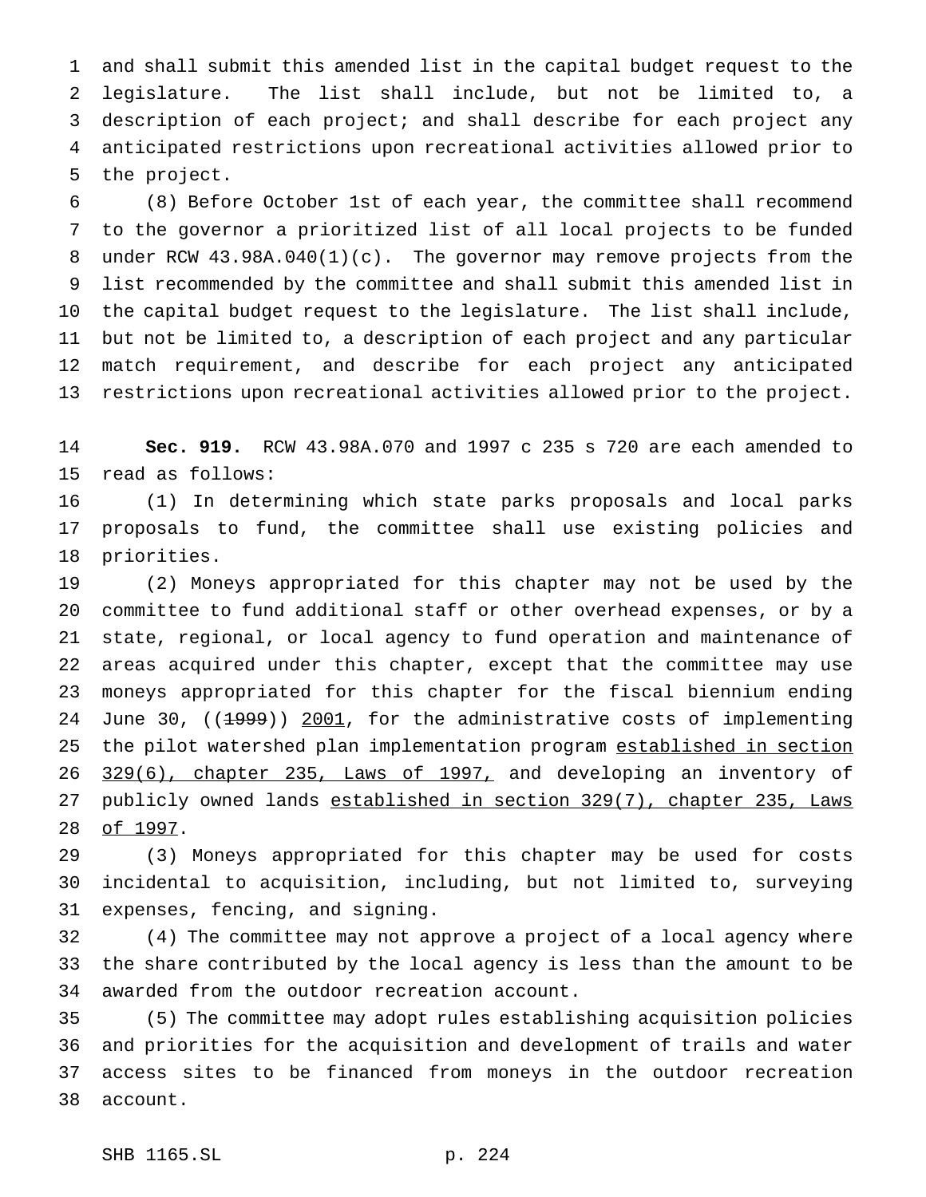and shall submit this amended list in the capital budget request to the legislature. The list shall include, but not be limited to, a description of each project; and shall describe for each project any anticipated restrictions upon recreational activities allowed prior to the project.

 (8) Before October 1st of each year, the committee shall recommend to the governor a prioritized list of all local projects to be funded under RCW 43.98A.040(1)(c). The governor may remove projects from the list recommended by the committee and shall submit this amended list in the capital budget request to the legislature. The list shall include, but not be limited to, a description of each project and any particular match requirement, and describe for each project any anticipated restrictions upon recreational activities allowed prior to the project.

 **Sec. 919.** RCW 43.98A.070 and 1997 c 235 s 720 are each amended to read as follows:

 (1) In determining which state parks proposals and local parks proposals to fund, the committee shall use existing policies and priorities.

 (2) Moneys appropriated for this chapter may not be used by the committee to fund additional staff or other overhead expenses, or by a state, regional, or local agency to fund operation and maintenance of areas acquired under this chapter, except that the committee may use moneys appropriated for this chapter for the fiscal biennium ending 24 June 30, ((1999)) 2001, for the administrative costs of implementing 25 the pilot watershed plan implementation program established in section 26 329(6), chapter 235, Laws of 1997, and developing an inventory of 27 publicly owned lands established in section 329(7), chapter 235, Laws 28 of 1997.

 (3) Moneys appropriated for this chapter may be used for costs incidental to acquisition, including, but not limited to, surveying expenses, fencing, and signing.

 (4) The committee may not approve a project of a local agency where the share contributed by the local agency is less than the amount to be awarded from the outdoor recreation account.

 (5) The committee may adopt rules establishing acquisition policies and priorities for the acquisition and development of trails and water access sites to be financed from moneys in the outdoor recreation account.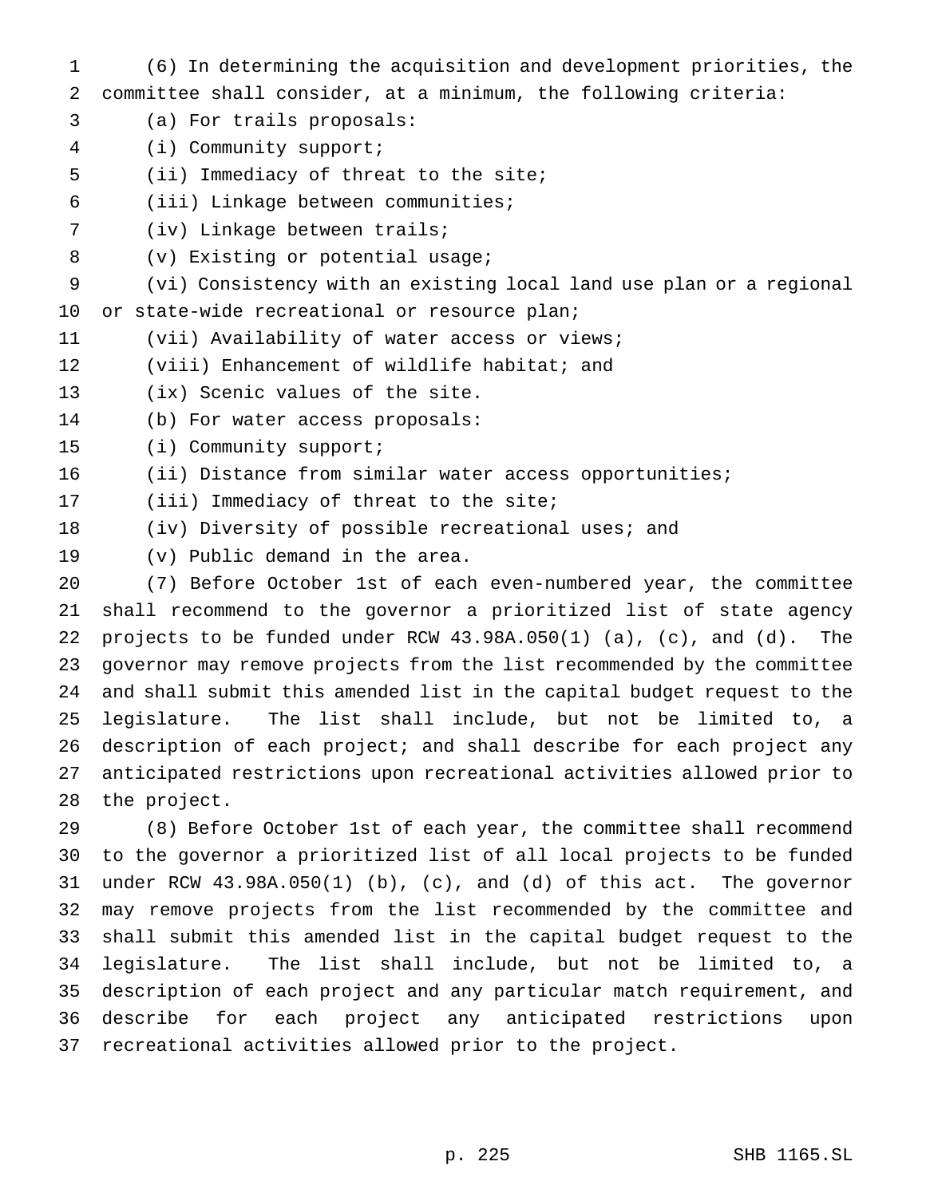- (6) In determining the acquisition and development priorities, the committee shall consider, at a minimum, the following criteria:
- (a) For trails proposals:
- (i) Community support;
- (ii) Immediacy of threat to the site;
- (iii) Linkage between communities;
- (iv) Linkage between trails;
- (v) Existing or potential usage;
- (vi) Consistency with an existing local land use plan or a regional 10 or state-wide recreational or resource plan;
- (vii) Availability of water access or views;
- (viii) Enhancement of wildlife habitat; and
- (ix) Scenic values of the site.
- (b) For water access proposals:
- (i) Community support;
- (ii) Distance from similar water access opportunities;
- 17 (iii) Immediacy of threat to the site;
- (iv) Diversity of possible recreational uses; and
- (v) Public demand in the area.

 (7) Before October 1st of each even-numbered year, the committee shall recommend to the governor a prioritized list of state agency projects to be funded under RCW 43.98A.050(1) (a), (c), and (d). The governor may remove projects from the list recommended by the committee and shall submit this amended list in the capital budget request to the legislature. The list shall include, but not be limited to, a description of each project; and shall describe for each project any anticipated restrictions upon recreational activities allowed prior to the project.

 (8) Before October 1st of each year, the committee shall recommend to the governor a prioritized list of all local projects to be funded under RCW 43.98A.050(1) (b), (c), and (d) of this act. The governor may remove projects from the list recommended by the committee and shall submit this amended list in the capital budget request to the legislature. The list shall include, but not be limited to, a description of each project and any particular match requirement, and describe for each project any anticipated restrictions upon recreational activities allowed prior to the project.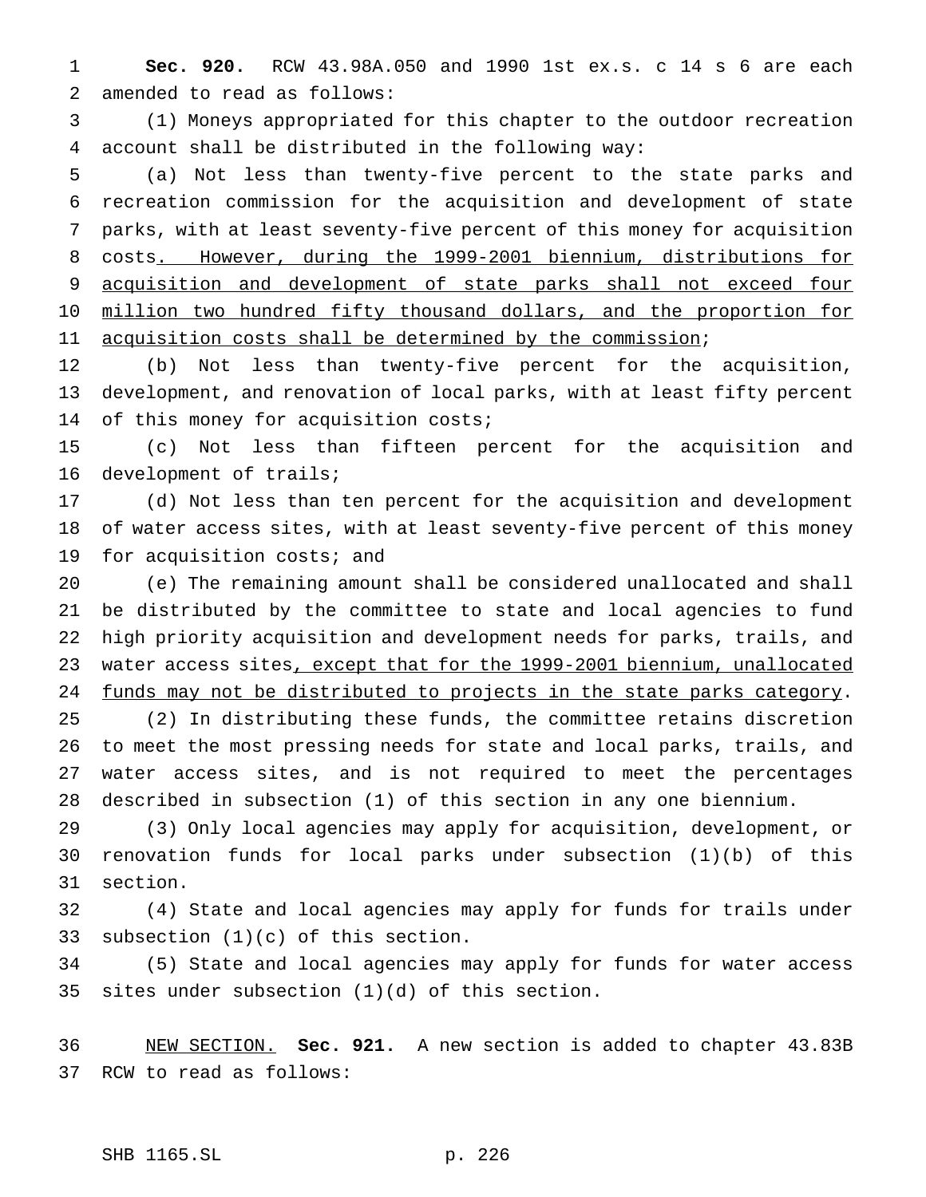**Sec. 920.** RCW 43.98A.050 and 1990 1st ex.s. c 14 s 6 are each amended to read as follows:

 (1) Moneys appropriated for this chapter to the outdoor recreation account shall be distributed in the following way:

 (a) Not less than twenty-five percent to the state parks and recreation commission for the acquisition and development of state parks, with at least seventy-five percent of this money for acquisition costs. However, during the 1999-2001 biennium, distributions for 9 acquisition and development of state parks shall not exceed four 10 million two hundred fifty thousand dollars, and the proportion for 11 acquisition costs shall be determined by the commission;

 (b) Not less than twenty-five percent for the acquisition, development, and renovation of local parks, with at least fifty percent 14 of this money for acquisition costs;

 (c) Not less than fifteen percent for the acquisition and development of trails;

 (d) Not less than ten percent for the acquisition and development of water access sites, with at least seventy-five percent of this money 19 for acquisition costs; and

 (e) The remaining amount shall be considered unallocated and shall be distributed by the committee to state and local agencies to fund high priority acquisition and development needs for parks, trails, and 23 water access sites, except that for the 1999-2001 biennium, unallocated funds may not be distributed to projects in the state parks category.

 (2) In distributing these funds, the committee retains discretion to meet the most pressing needs for state and local parks, trails, and water access sites, and is not required to meet the percentages described in subsection (1) of this section in any one biennium.

 (3) Only local agencies may apply for acquisition, development, or renovation funds for local parks under subsection (1)(b) of this section.

 (4) State and local agencies may apply for funds for trails under subsection (1)(c) of this section.

 (5) State and local agencies may apply for funds for water access sites under subsection (1)(d) of this section.

 NEW SECTION. **Sec. 921.** A new section is added to chapter 43.83B RCW to read as follows:

## SHB 1165.SL p. 226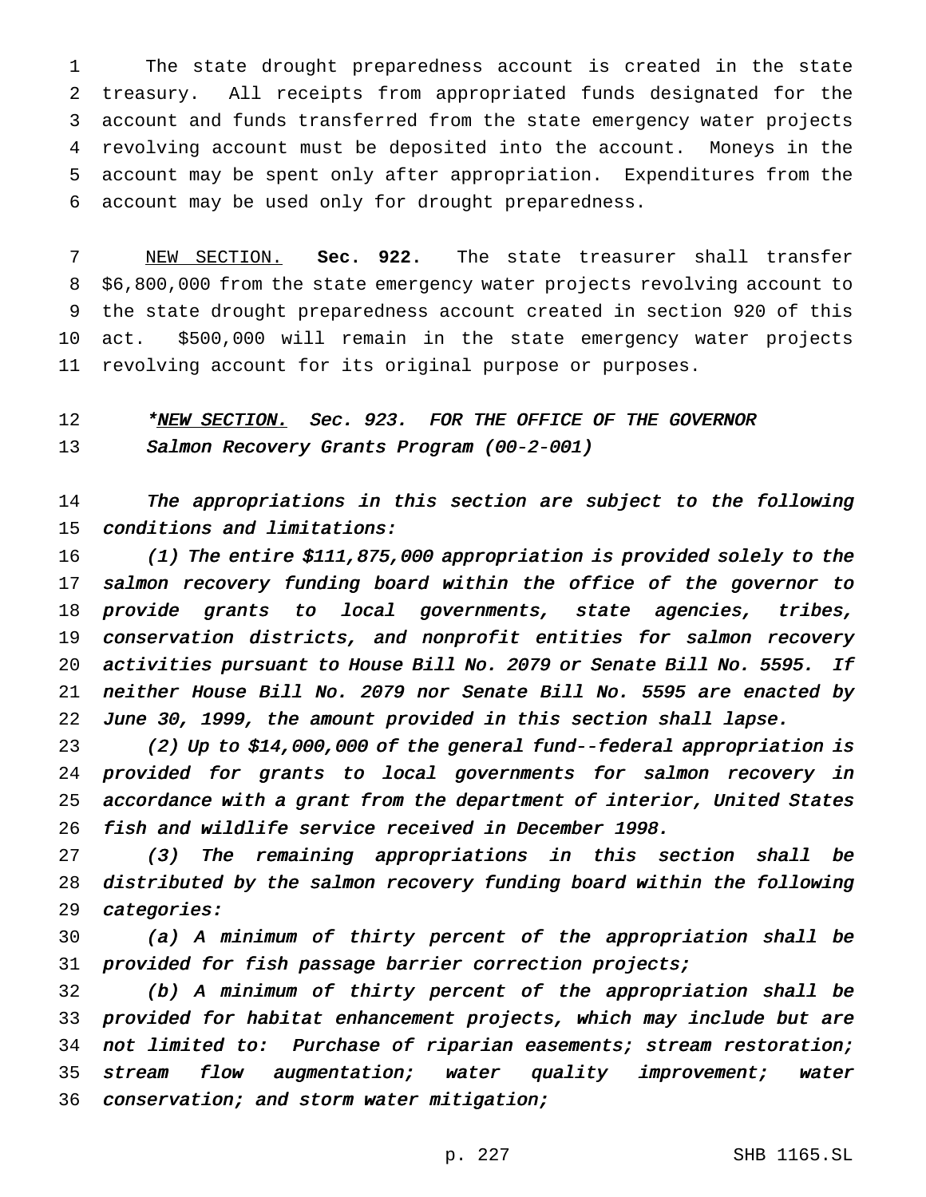The state drought preparedness account is created in the state treasury. All receipts from appropriated funds designated for the account and funds transferred from the state emergency water projects revolving account must be deposited into the account. Moneys in the account may be spent only after appropriation. Expenditures from the account may be used only for drought preparedness.

 NEW SECTION. **Sec. 922.** The state treasurer shall transfer \$6,800,000 from the state emergency water projects revolving account to the state drought preparedness account created in section 920 of this act. \$500,000 will remain in the state emergency water projects revolving account for its original purpose or purposes.

# 12 \*NEW SECTION. Sec. 923. FOR THE OFFICE OF THE GOVERNOR 13 Salmon Recovery Grants Program (00-2-001)

 The appropriations in this section are subject to the following conditions and limitations:

 (1) The entire \$111,875,000 appropriation is provided solely to the salmon recovery funding board within the office of the governor to provide grants to local governments, state agencies, tribes, conservation districts, and nonprofit entities for salmon recovery activities pursuant to House Bill No. <sup>2079</sup> or Senate Bill No. 5595. If neither House Bill No. <sup>2079</sup> nor Senate Bill No. <sup>5595</sup> are enacted by June 30, 1999, the amount provided in this section shall lapse.

 (2) Up to \$14,000,000 of the general fund--federal appropriation is provided for grants to local governments for salmon recovery in accordance with <sup>a</sup> grant from the department of interior, United States fish and wildlife service received in December 1998.

 (3) The remaining appropriations in this section shall be distributed by the salmon recovery funding board within the following categories:

 (a) <sup>A</sup> minimum of thirty percent of the appropriation shall be 31 provided for fish passage barrier correction projects;

 (b) <sup>A</sup> minimum of thirty percent of the appropriation shall be provided for habitat enhancement projects, which may include but are 34 not limited to: Purchase of riparian easements; stream restoration; 35 stream flow augmentation; water quality improvement; water conservation; and storm water mitigation;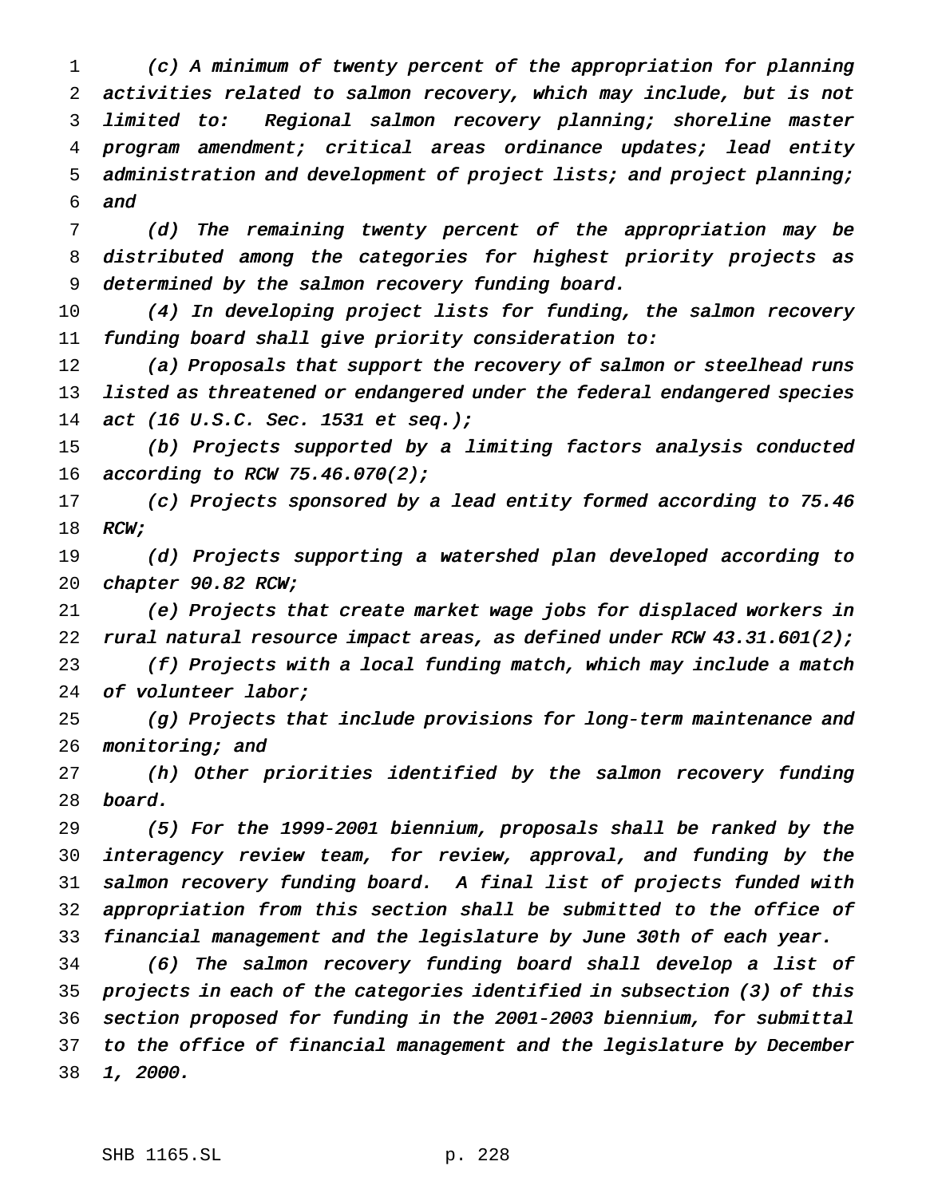(c) <sup>A</sup> minimum of twenty percent of the appropriation for planning activities related to salmon recovery, which may include, but is not limited to: Regional salmon recovery planning; shoreline master 4 program amendment; critical areas ordinance updates; lead entity administration and development of project lists; and project planning; and

 (d) The remaining twenty percent of the appropriation may be distributed among the categories for highest priority projects as determined by the salmon recovery funding board.

 (4) In developing project lists for funding, the salmon recovery funding board shall give priority consideration to:

12 (a) Proposals that support the recovery of salmon or steelhead runs 13 listed as threatened or endangered under the federal endangered species act (16 U.S.C. Sec. <sup>1531</sup> et seq.);

 (b) Projects supported by <sup>a</sup> limiting factors analysis conducted according to RCW 75.46.070(2);

 (c) Projects sponsored by <sup>a</sup> lead entity formed according to 75.46 18 RCW;

 (d) Projects supporting <sup>a</sup> watershed plan developed according to chapter 90.82 RCW;

 (e) Projects that create market wage jobs for displaced workers in rural natural resource impact areas, as defined under RCW 43.31.601(2);

 (f) Projects with <sup>a</sup> local funding match, which may include <sup>a</sup> match of volunteer labor;

 (g) Projects that include provisions for long-term maintenance and 26 monitoring; and

 (h) Other priorities identified by the salmon recovery funding board.

 (5) For the 1999-2001 biennium, proposals shall be ranked by the interagency review team, for review, approval, and funding by the salmon recovery funding board. <sup>A</sup> final list of projects funded with appropriation from this section shall be submitted to the office of financial management and the legislature by June 30th of each year.

 (6) The salmon recovery funding board shall develop <sup>a</sup> list of projects in each of the categories identified in subsection (3) of this section proposed for funding in the 2001-2003 biennium, for submittal to the office of financial management and the legislature by December 1, 2000.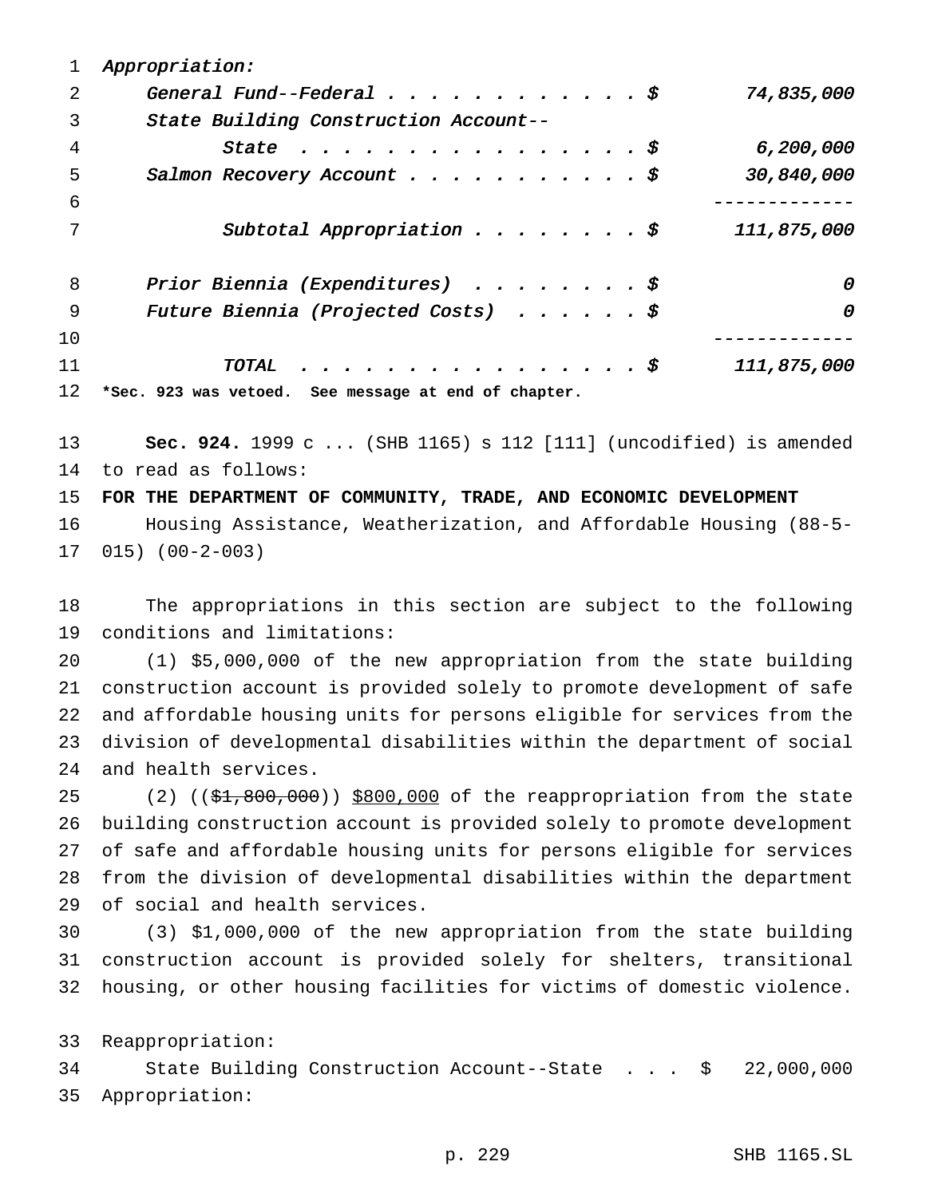| ı  | Appropriation:                                       |             |
|----|------------------------------------------------------|-------------|
| 2  | General Fund--Federal $\frac{1}{5}$                  | 74,835,000  |
| 3  | State Building Construction Account--                |             |
| 4  | State $\ldots \ldots \ldots \ldots \ldots \ldots$    | 6,200,000   |
| 5  | Salmon Recovery Account $\ddot{s}$                   | 30,840,000  |
| 6  |                                                      |             |
| 7  | Subtotal Appropriation $\ddot{s}$                    | 111,875,000 |
| 8  | Prior Biennia (Expenditures) $\frac{1}{5}$           | 0           |
| 9  | Future Biennia (Projected Costs) $\hat{s}$           | 0           |
| 10 |                                                      |             |
| 11 | TOTAL $\hat{s}$                                      | 111,875,000 |
| 12 | *Sec. 923 was vetoed. See message at end of chapter. |             |

 **Sec. 924.** 1999 c ... (SHB 1165) s 112 [111] (uncodified) is amended to read as follows:

**FOR THE DEPARTMENT OF COMMUNITY, TRADE, AND ECONOMIC DEVELOPMENT**

 Housing Assistance, Weatherization, and Affordable Housing (88-5- 015) (00-2-003)

 The appropriations in this section are subject to the following conditions and limitations:

 (1) \$5,000,000 of the new appropriation from the state building construction account is provided solely to promote development of safe and affordable housing units for persons eligible for services from the division of developmental disabilities within the department of social and health services.

25 (2)  $(3, 4, 800, 000)$   $$800,000$  of the reappropriation from the state building construction account is provided solely to promote development of safe and affordable housing units for persons eligible for services from the division of developmental disabilities within the department of social and health services.

 (3) \$1,000,000 of the new appropriation from the state building construction account is provided solely for shelters, transitional housing, or other housing facilities for victims of domestic violence.

Reappropriation:

 State Building Construction Account--State . . . \$ 22,000,000 Appropriation: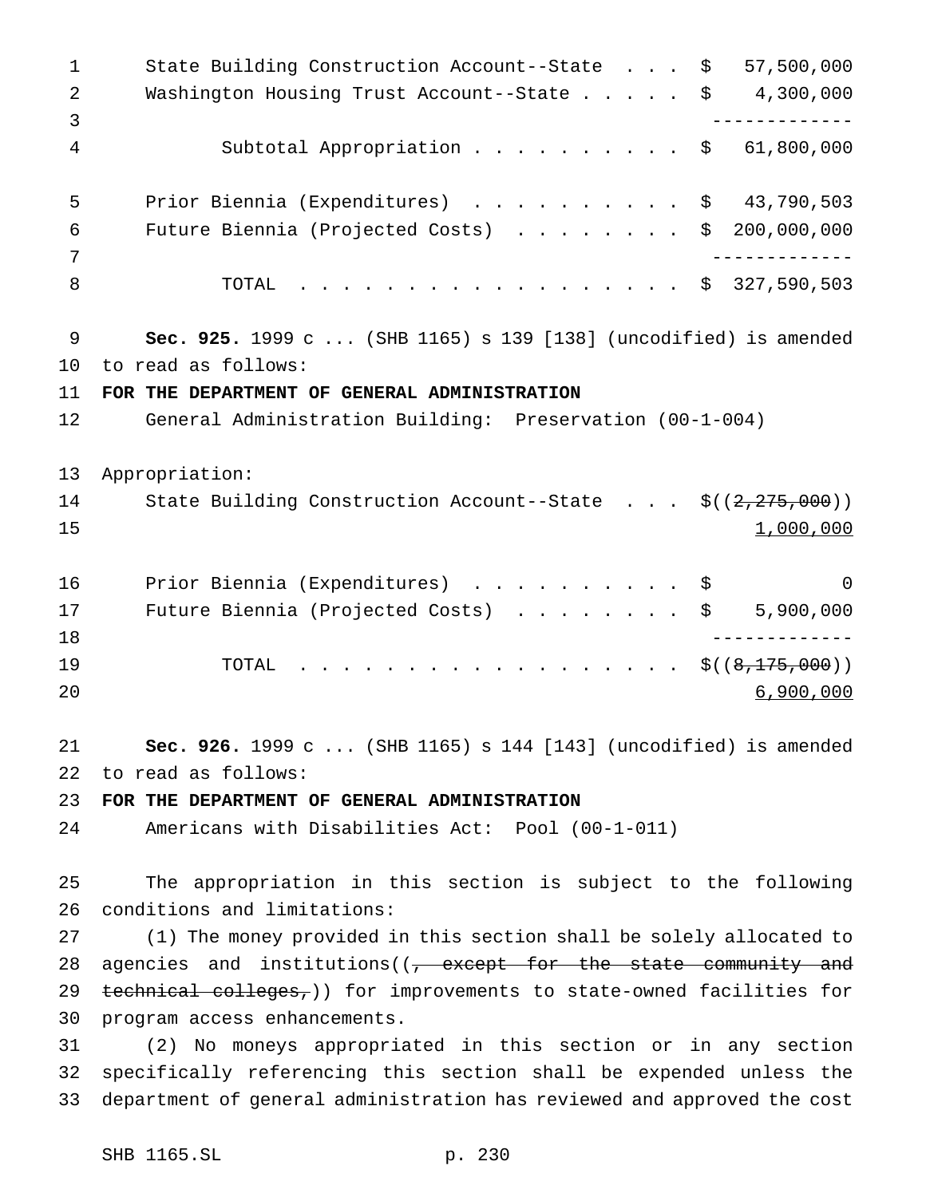State Building Construction Account--State . . . \$ 57,500,000 Washington Housing Trust Account--State..... \$ 4,300,000 ------------- Subtotal Appropriation.......... \$ 61,800,000 Prior Biennia (Expenditures) .......... \$ 43,790,503 Future Biennia (Projected Costs) ........ \$ 200,000,000 ------------- 8 TOTAL . . . . . . . . . . . . . . . . \$ 327,590,503 **Sec. 925.** 1999 c ... (SHB 1165) s 139 [138] (uncodified) is amended to read as follows: **FOR THE DEPARTMENT OF GENERAL ADMINISTRATION** General Administration Building: Preservation (00-1-004) Appropriation: 14 State Building Construction Account--State . . . \$((2,275,000)) 1,000,000 16 Prior Biennia (Expenditures) . . . . . . . . . \$ 0 17 Future Biennia (Projected Costs) . . . . . . . \$ 5,900,000 ------------- 19 TOTAL . . . . . . . . . . . . . . . . \$((<del>8,175,000</del>)) 6,900,000 **Sec. 926.** 1999 c ... (SHB 1165) s 144 [143] (uncodified) is amended to read as follows: **FOR THE DEPARTMENT OF GENERAL ADMINISTRATION** Americans with Disabilities Act: Pool (00-1-011) The appropriation in this section is subject to the following conditions and limitations: (1) The money provided in this section shall be solely allocated to 28 agencies and institutions((<del>, except for the state community and</del> 29 technical colleges, )) for improvements to state-owned facilities for program access enhancements. (2) No moneys appropriated in this section or in any section specifically referencing this section shall be expended unless the department of general administration has reviewed and approved the cost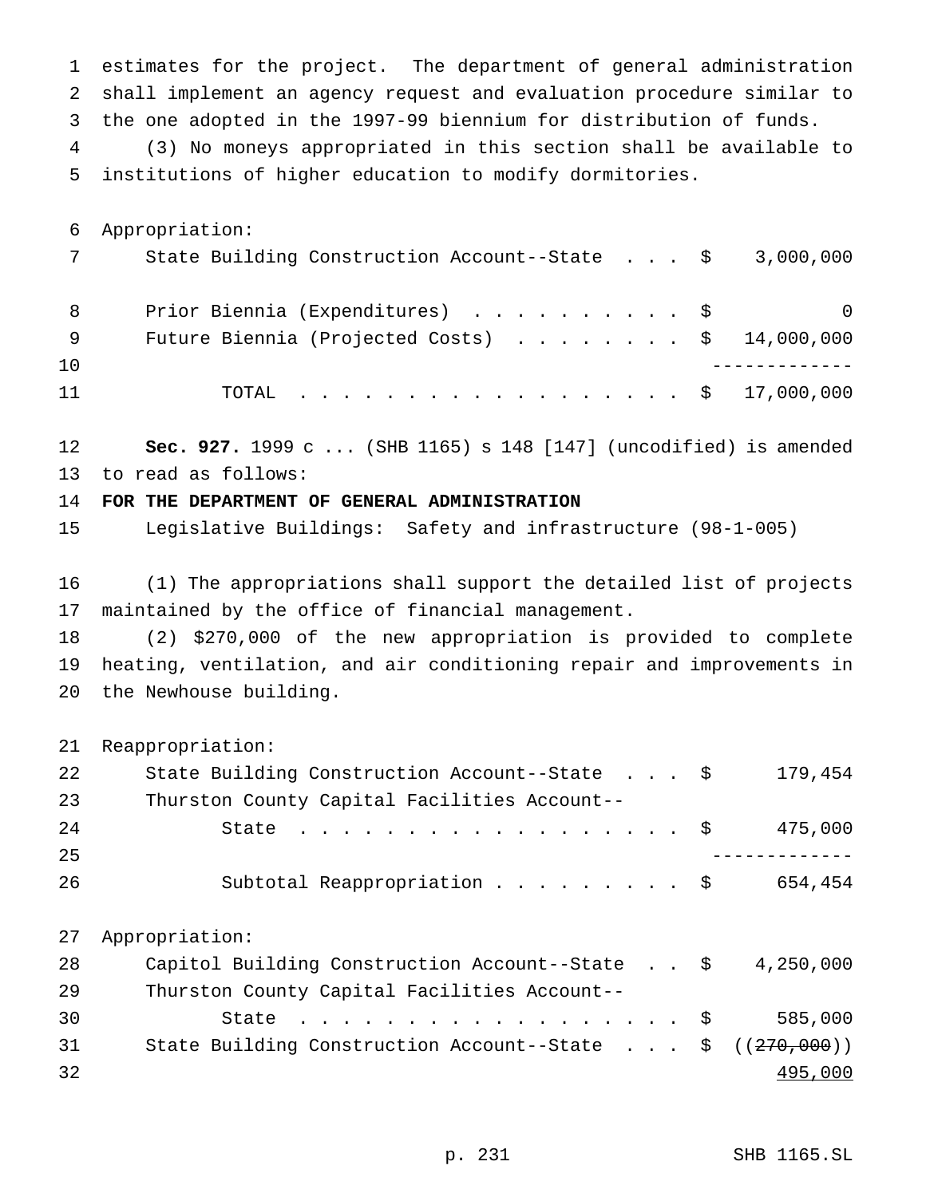estimates for the project. The department of general administration shall implement an agency request and evaluation procedure similar to the one adopted in the 1997-99 biennium for distribution of funds. (3) No moneys appropriated in this section shall be available to institutions of higher education to modify dormitories.

 Appropriation: State Building Construction Account--State . . . \$ 3,000,000 8 Prior Biennia (Expenditures) . . . . . . . . . \$ 0 9 Future Biennia (Projected Costs) . . . . . . . \$ 14,000,000 ------------- 11 TOTAL . . . . . . . . . . . . . . . . \$ 17,000,000

 **Sec. 927.** 1999 c ... (SHB 1165) s 148 [147] (uncodified) is amended to read as follows:

**FOR THE DEPARTMENT OF GENERAL ADMINISTRATION**

Legislative Buildings: Safety and infrastructure (98-1-005)

 (1) The appropriations shall support the detailed list of projects maintained by the office of financial management.

 (2) \$270,000 of the new appropriation is provided to complete heating, ventilation, and air conditioning repair and improvements in the Newhouse building.

Reappropriation:

| 22 | State Building Construction Account--State \$                 | 179,454   |
|----|---------------------------------------------------------------|-----------|
| 23 | Thurston County Capital Facilities Account--                  |           |
| 24 | State $\ldots$ \$                                             | 475,000   |
| 25 |                                                               |           |
| 26 | Subtotal Reappropriation \$                                   | 654,454   |
|    |                                                               |           |
| 27 | Appropriation:                                                |           |
| 28 | Capitol Building Construction Account--State \$               | 4,250,000 |
| 29 | Thurston County Capital Facilities Account--                  |           |
| 30 | State $\ldots$ \$                                             | 585,000   |
| 31 | State Building Construction Account--State $\frac{270}{1000}$ |           |
| 32 |                                                               | 495,000   |
|    |                                                               |           |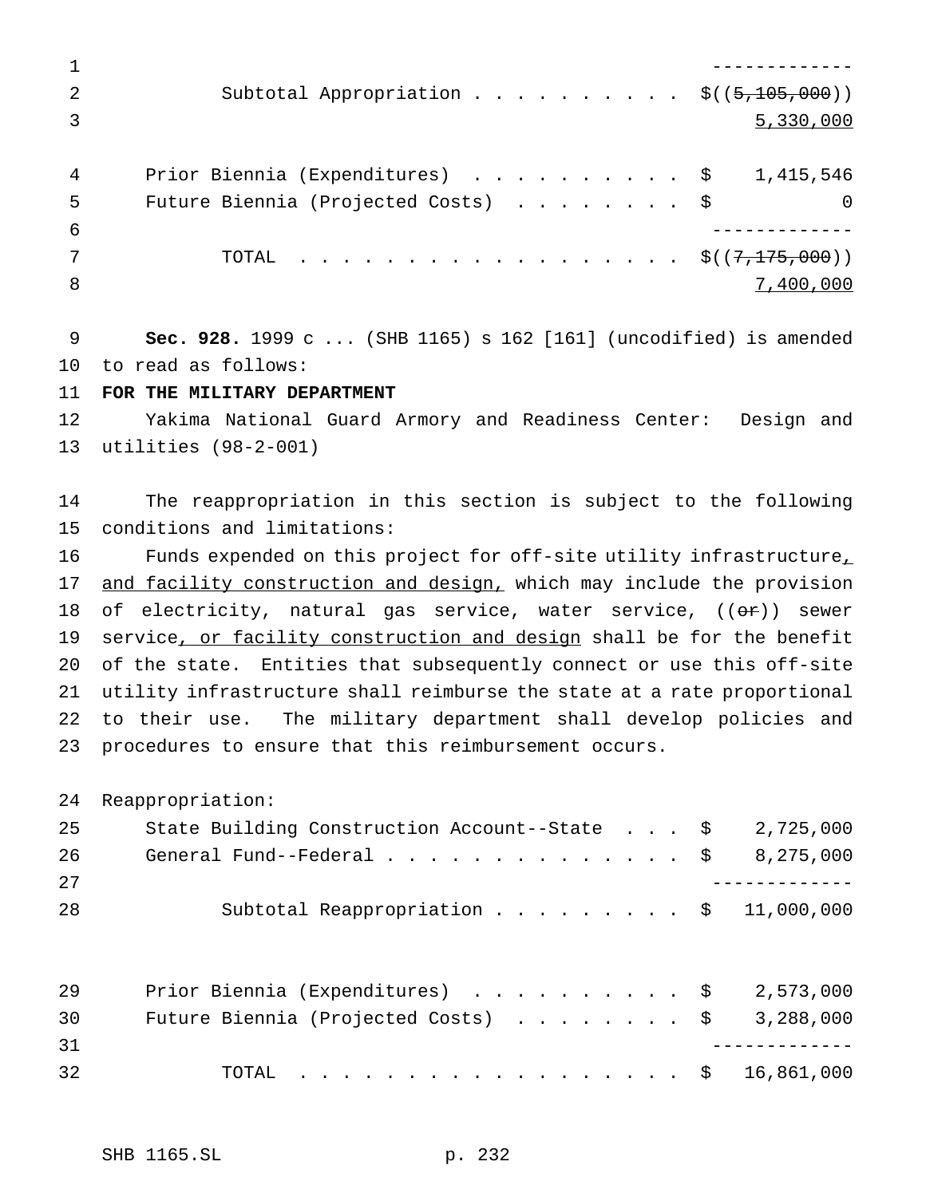|    | Subtotal Appropriation \$ $((5,105,000))$          |           |
|----|----------------------------------------------------|-----------|
|    |                                                    | 5,330,000 |
|    |                                                    |           |
| 4  | Prior Biennia (Expenditures) $\ldots$ \$ 1,415,546 |           |
| -5 | Future Biennia (Projected Costs) \$                |           |
| -6 |                                                    |           |
|    | TOTAL \$( $(7,175,000)$ )                          |           |
| 8  |                                                    | 7,400,000 |

 **Sec. 928.** 1999 c ... (SHB 1165) s 162 [161] (uncodified) is amended to read as follows:

**FOR THE MILITARY DEPARTMENT**

 Yakima National Guard Armory and Readiness Center: Design and utilities (98-2-001)

 The reappropriation in this section is subject to the following conditions and limitations:

16 Funds expended on this project for off-site utility infrastructure<sub>1</sub> 17 and facility construction and design, which may include the provision 18 of electricity, natural gas service, water service,  $((\Theta \hat{r}))$  sewer 19 service, or facility construction and design shall be for the benefit of the state. Entities that subsequently connect or use this off-site utility infrastructure shall reimburse the state at a rate proportional to their use. The military department shall develop policies and procedures to ensure that this reimbursement occurs.

Reappropriation:

| 25 | State Building Construction Account--State $\frac{1}{5}$ 2,725,000                 |  |  |  |
|----|------------------------------------------------------------------------------------|--|--|--|
| 26 | General Fund--Federal $\ldots$ , $\ldots$ , $\ldots$ , $\ddot{\text{S}}$ 8,275,000 |  |  |  |
| 27 |                                                                                    |  |  |  |
| 28 | Subtotal Reappropriation $\ldots$ \$ 11,000,000                                    |  |  |  |
|    |                                                                                    |  |  |  |
|    |                                                                                    |  |  |  |

| 29  |  |  |  |  |  |  |  |  |  | Prior Biennia (Expenditures) $\ldots$ \$ 2,573,000     |
|-----|--|--|--|--|--|--|--|--|--|--------------------------------------------------------|
| 30  |  |  |  |  |  |  |  |  |  | Future Biennia (Projected Costs) $\ldots$ \$ 3,288,000 |
| 31  |  |  |  |  |  |  |  |  |  |                                                        |
| -32 |  |  |  |  |  |  |  |  |  | TOTAL \$ 16,861,000                                    |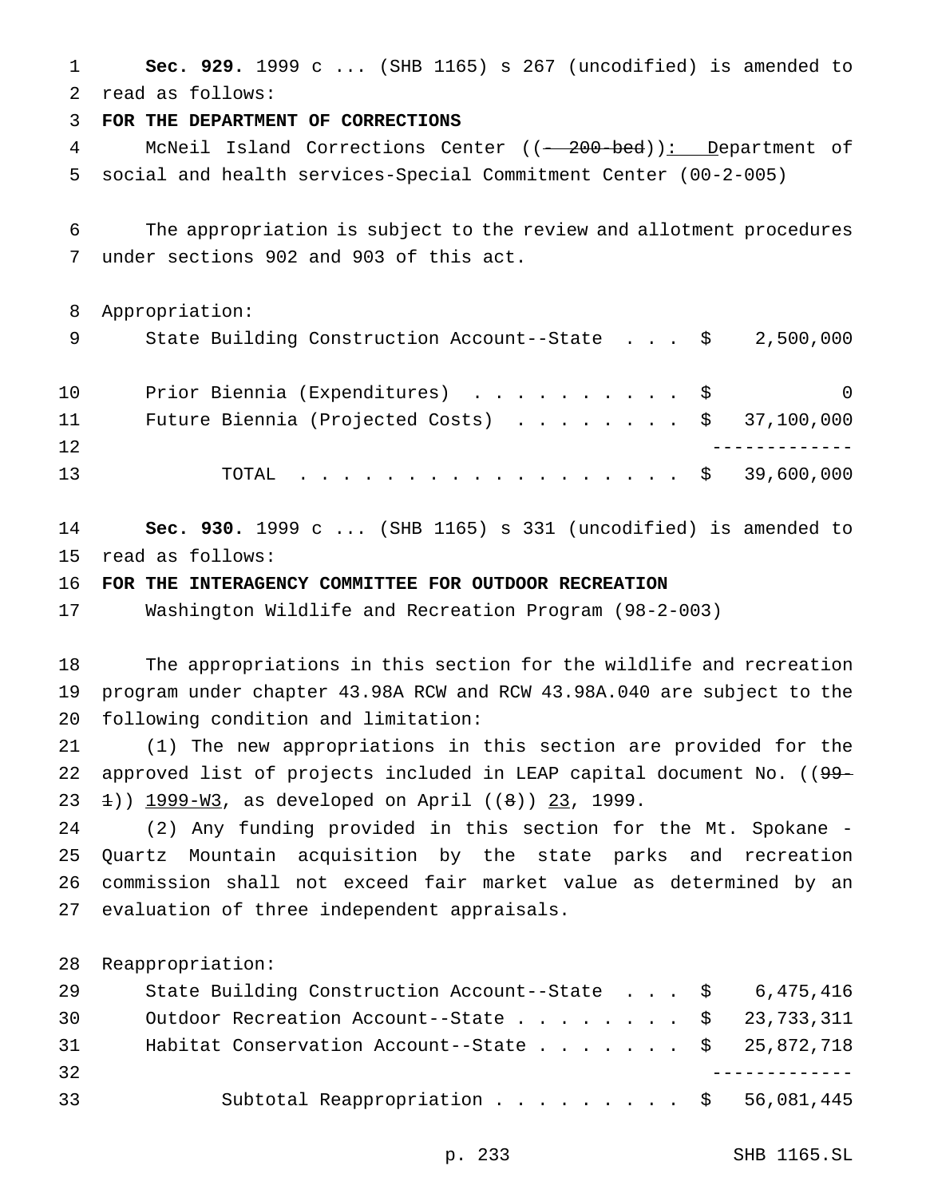**Sec. 929.** 1999 c ... (SHB 1165) s 267 (uncodified) is amended to read as follows:

**FOR THE DEPARTMENT OF CORRECTIONS**

4 McNeil Island Corrections Center ((-200-bed)): Department of social and health services-Special Commitment Center (00-2-005)

 The appropriation is subject to the review and allotment procedures under sections 902 and 903 of this act.

Appropriation:

| State Building Construction Account--State |  |  |  |  | 2,500,000 |
|--------------------------------------------|--|--|--|--|-----------|
|--------------------------------------------|--|--|--|--|-----------|

| 10 | Prior Biennia (Expenditures) \$ |  |  |  |  |  |  |  |  |  | $\overline{\phantom{0}}$                                |
|----|---------------------------------|--|--|--|--|--|--|--|--|--|---------------------------------------------------------|
| 11 |                                 |  |  |  |  |  |  |  |  |  | Future Biennia (Projected Costs) $\ldots$ \$ 37,100,000 |
| 12 |                                 |  |  |  |  |  |  |  |  |  |                                                         |
| 13 |                                 |  |  |  |  |  |  |  |  |  | TOTAL \$ 39,600,000                                     |

 **Sec. 930.** 1999 c ... (SHB 1165) s 331 (uncodified) is amended to read as follows:

## **FOR THE INTERAGENCY COMMITTEE FOR OUTDOOR RECREATION**

Washington Wildlife and Recreation Program (98-2-003)

 The appropriations in this section for the wildlife and recreation program under chapter 43.98A RCW and RCW 43.98A.040 are subject to the following condition and limitation:

 (1) The new appropriations in this section are provided for the 22 approved list of projects included in LEAP capital document No. ((99-23  $\pm$ )) 1999-W3, as developed on April ((8)) 23, 1999.

 (2) Any funding provided in this section for the Mt. Spokane - Quartz Mountain acquisition by the state parks and recreation commission shall not exceed fair market value as determined by an evaluation of three independent appraisals.

Reappropriation:

| 29 | State Building Construction Account--State $\frac{1}{5}$ 6,475,416 |  |  |
|----|--------------------------------------------------------------------|--|--|
| 30 | Outdoor Recreation Account--State \$ 23,733,311                    |  |  |
| 31 | Habitat Conservation Account--State \$ 25,872,718                  |  |  |
| 32 |                                                                    |  |  |
| 33 | Subtotal Reappropriation \$ 56,081,445                             |  |  |
|    |                                                                    |  |  |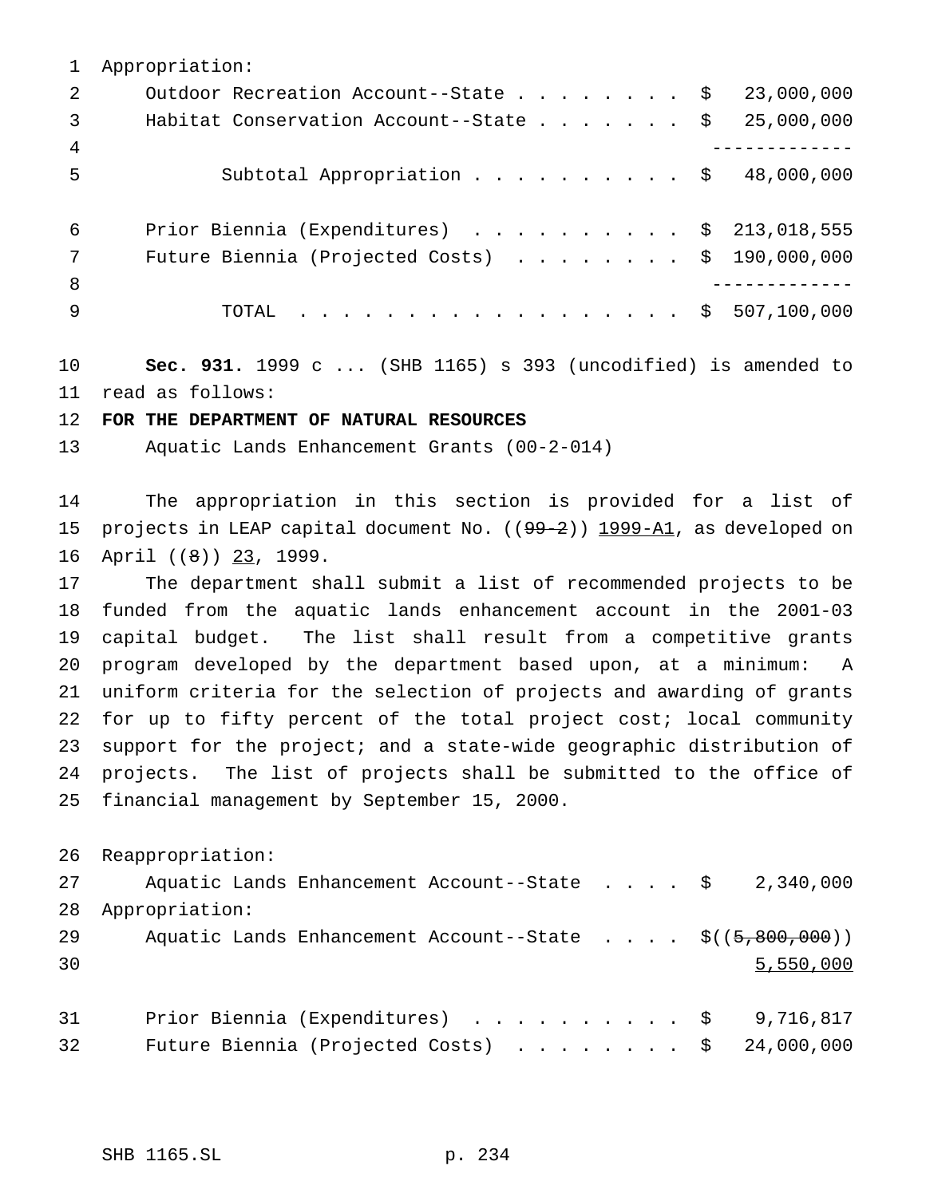Appropriation:

| $\overline{2}$ | Outdoor Recreation Account--State \$ 23,000,000            |
|----------------|------------------------------------------------------------|
| $\overline{3}$ | Habitat Conservation Account--State $\ldots$ \$ 25,000,000 |
| $\overline{4}$ |                                                            |
| -5             | Subtotal Appropriation \$ 48,000,000                       |
|                |                                                            |
| 6              | Prior Biennia (Expenditures) \$ 213,018,555                |
| 7              | Future Biennia (Projected Costs) $\ldots$ \$ 190,000,000   |
| - 8            |                                                            |
| - 9            | TOTAL \$ 507,100,000                                       |

 **Sec. 931.** 1999 c ... (SHB 1165) s 393 (uncodified) is amended to read as follows:

**FOR THE DEPARTMENT OF NATURAL RESOURCES**

Aquatic Lands Enhancement Grants (00-2-014)

 The appropriation in this section is provided for a list of 15 projects in LEAP capital document No. ((99-2)) 1999-A1, as developed on 16 April ((8)) 23, 1999.

 The department shall submit a list of recommended projects to be funded from the aquatic lands enhancement account in the 2001-03 capital budget. The list shall result from a competitive grants program developed by the department based upon, at a minimum: A uniform criteria for the selection of projects and awarding of grants for up to fifty percent of the total project cost; local community support for the project; and a state-wide geographic distribution of projects. The list of projects shall be submitted to the office of financial management by September 15, 2000.

Reappropriation:

 Aquatic Lands Enhancement Account--State .... \$ 2,340,000 Appropriation: 29 Aquatic Lands Enhancement Account--State . . . . \$((5,800,000)) 5,550,000 31 Prior Biennia (Expenditures) . . . . . . . . . \$ 9,716,817

| 32 | Future Biennia (Projected Costs) $\ldots$ \$ 24,000,000 |  |  |  |  |  |
|----|---------------------------------------------------------|--|--|--|--|--|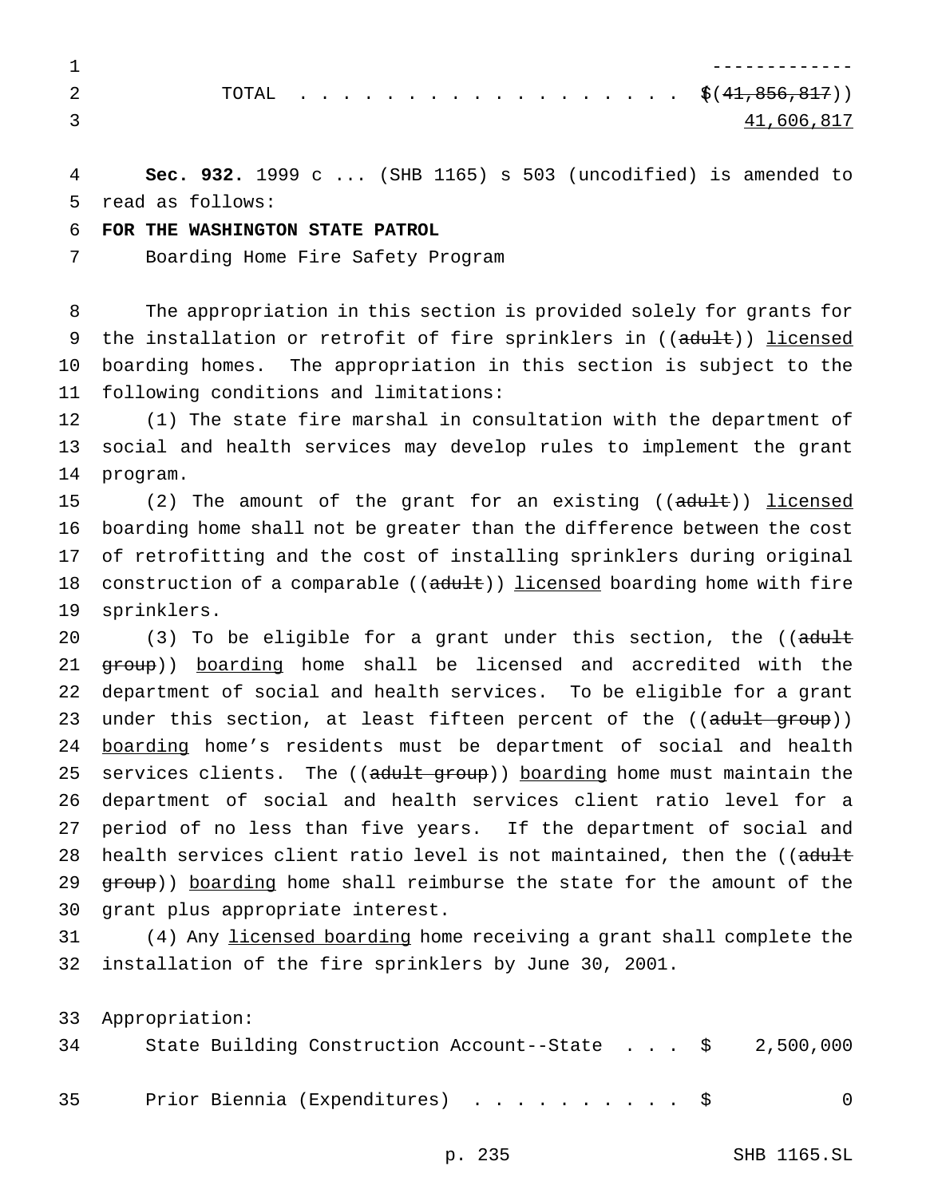|  |  |  |  |  |  |  |  |  |  | TOTAL \$ $(41,856,817))$ |
|--|--|--|--|--|--|--|--|--|--|--------------------------|
|  |  |  |  |  |  |  |  |  |  | 41.606.817               |

 **Sec. 932.** 1999 c ... (SHB 1165) s 503 (uncodified) is amended to read as follows:

## **FOR THE WASHINGTON STATE PATROL**

Boarding Home Fire Safety Program

 The appropriation in this section is provided solely for grants for 9 the installation or retrofit of fire sprinklers in ((adult)) licensed boarding homes. The appropriation in this section is subject to the following conditions and limitations:

 (1) The state fire marshal in consultation with the department of social and health services may develop rules to implement the grant program.

15 (2) The amount of the grant for an existing ((adult)) licensed boarding home shall not be greater than the difference between the cost of retrofitting and the cost of installing sprinklers during original 18 construction of a comparable ((adult)) licensed boarding home with fire sprinklers.

20 (3) To be eligible for a grant under this section, the ((adult 21 group)) boarding home shall be licensed and accredited with the department of social and health services. To be eligible for a grant 23 under this section, at least fifteen percent of the ((adult group)) 24 boarding home's residents must be department of social and health 25 services clients. The ((adult group)) boarding home must maintain the department of social and health services client ratio level for a period of no less than five years. If the department of social and 28 health services client ratio level is not maintained, then the ((adult 29 group)) boarding home shall reimburse the state for the amount of the grant plus appropriate interest.

 (4) Any licensed boarding home receiving a grant shall complete the installation of the fire sprinklers by June 30, 2001.

 Appropriation: State Building Construction Account--State . . . \$ 2,500,000 35 Prior Biennia (Expenditures) . . . . . . . . . \$ 0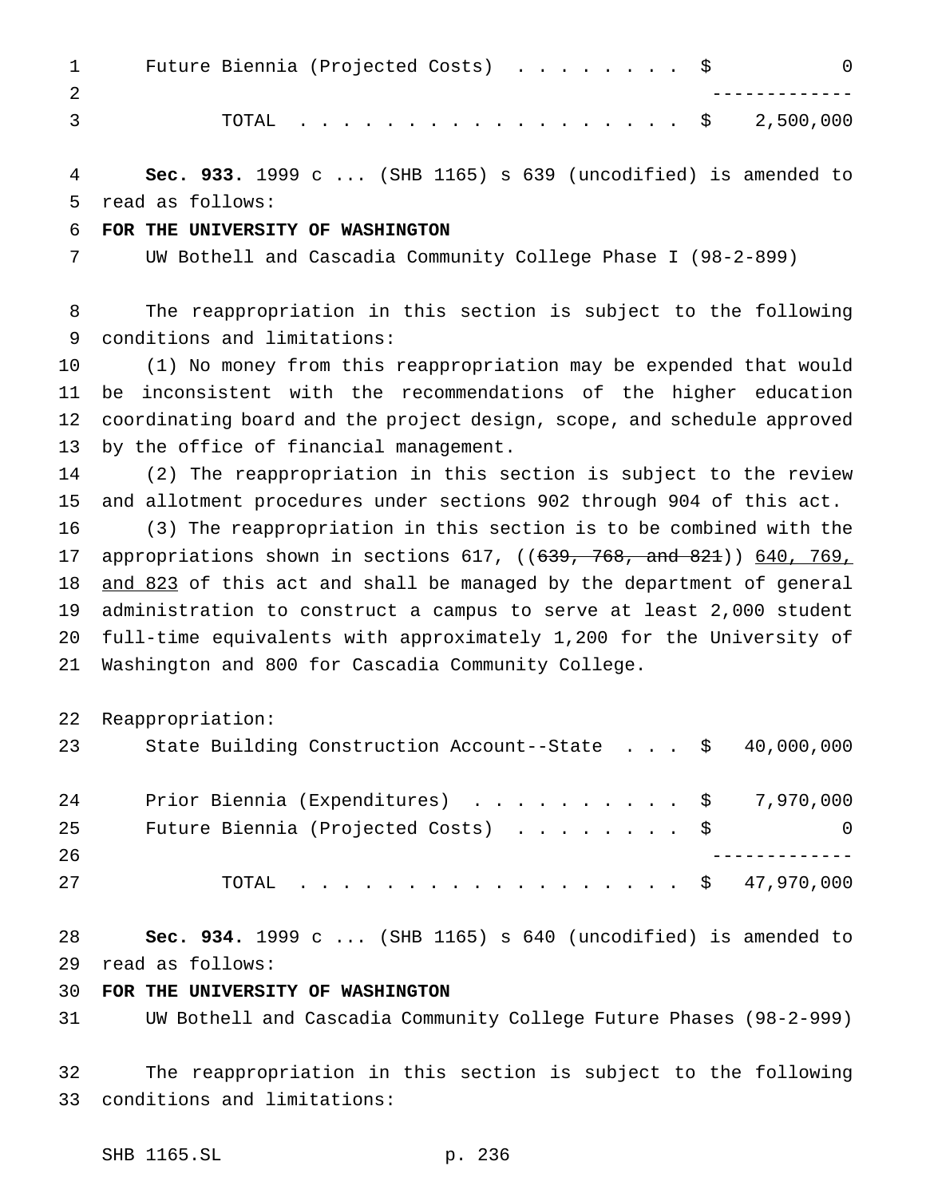| $\mathbf{1}$ | Future Biennia (Projected Costs) \$<br>$\Omega$                         |
|--------------|-------------------------------------------------------------------------|
| 2            |                                                                         |
| 3            | 2,500,000<br>. \$<br>TOTAL                                              |
| 4            | Sec. 933. 1999 c  (SHB 1165) s 639 (uncodified) is amended to           |
| 5            | read as follows:                                                        |
| 6            | FOR THE UNIVERSITY OF WASHINGTON                                        |
| 7            | UW Bothell and Cascadia Community College Phase I (98-2-899)            |
| 8            | The reappropriation in this section is subject to the following         |
| 9            | conditions and limitations:                                             |
| 10           | (1) No money from this reappropriation may be expended that would       |
| 11           | inconsistent with the recommendations of the higher education<br>be     |
| 12           | coordinating board and the project design, scope, and schedule approved |
| 13           | by the office of financial management.                                  |
| 14           | (2) The reappropriation in this section is subject to the review        |
| 15           | and allotment procedures under sections 902 through 904 of this act.    |
| 16           | (3) The reappropriation in this section is to be combined with the      |
| 17           | appropriations shown in sections 617, ((639, 768, and 821)) 640, 769,   |
| 18           | and 823 of this act and shall be managed by the department of general   |
| 19           | administration to construct a campus to serve at least 2,000 student    |
| 20           | full-time equivalents with approximately 1,200 for the University of    |
| 21           | Washington and 800 for Cascadia Community College.                      |
| 22           | Reappropriation:                                                        |
| 23           | 40,000,000<br>State Building Construction Account--State \$             |
| 24           | Prior Biennia (Expenditures) \$<br>7,970,000                            |
| 25           | Future Biennia (Projected Costs) \$<br>0                                |
| 26           |                                                                         |
| 27           | \$47,970,000<br>TOTAL                                                   |
| 28           | Sec. 934. 1999 c  (SHB 1165) s 640 (uncodified) is amended to           |
| 29           | read as follows:                                                        |
| 30           | FOR THE UNIVERSITY OF WASHINGTON                                        |
| 31           | UW Bothell and Cascadia Community College Future Phases (98-2-999)      |

 The reappropriation in this section is subject to the following conditions and limitations: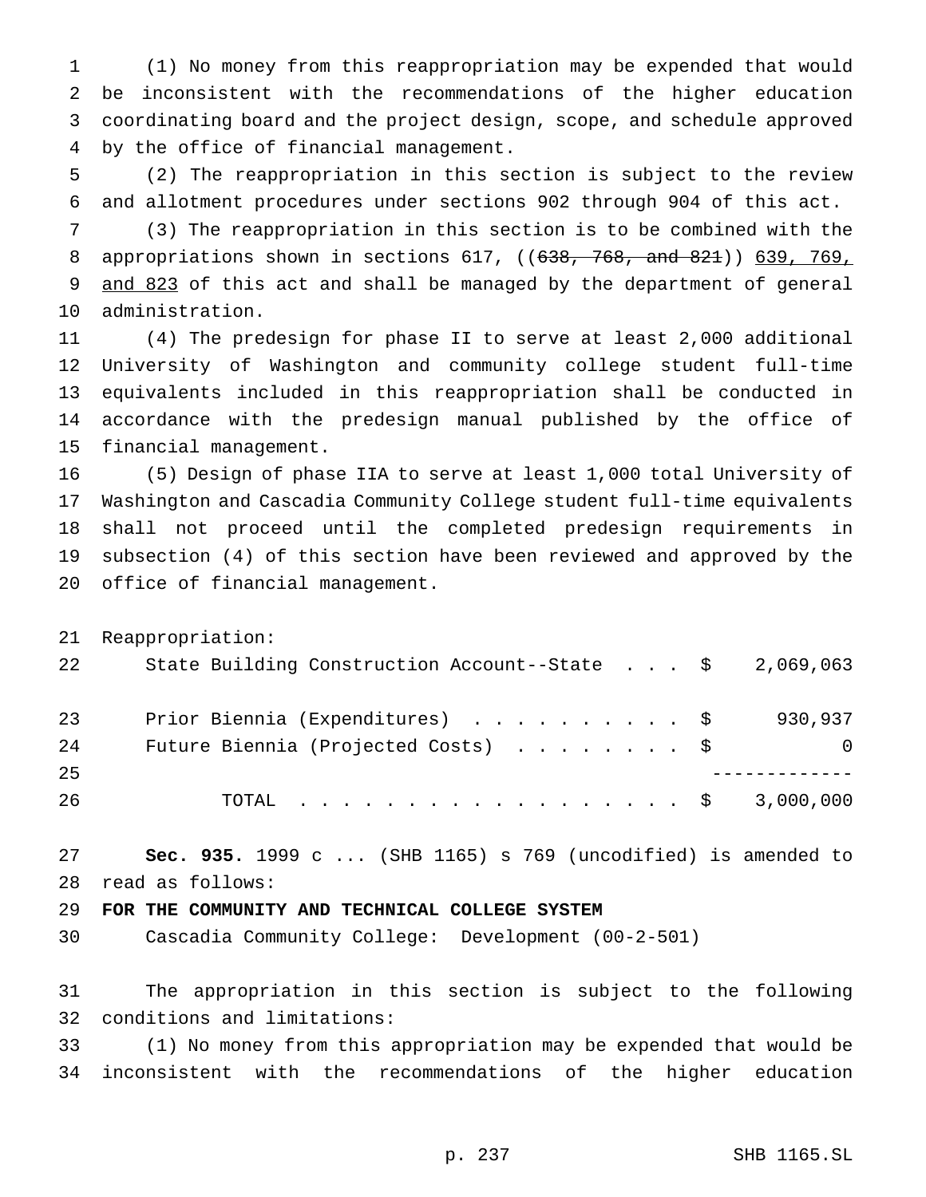(1) No money from this reappropriation may be expended that would be inconsistent with the recommendations of the higher education coordinating board and the project design, scope, and schedule approved by the office of financial management.

 (2) The reappropriation in this section is subject to the review and allotment procedures under sections 902 through 904 of this act.

 (3) The reappropriation in this section is to be combined with the appropriations shown in sections 617, ((638, 768, and 821)) 639, 769, 9 and 823 of this act and shall be managed by the department of general administration.

 (4) The predesign for phase II to serve at least 2,000 additional University of Washington and community college student full-time equivalents included in this reappropriation shall be conducted in accordance with the predesign manual published by the office of financial management.

 (5) Design of phase IIA to serve at least 1,000 total University of Washington and Cascadia Community College student full-time equivalents shall not proceed until the completed predesign requirements in subsection (4) of this section have been reviewed and approved by the office of financial management.

Reappropriation:

| 22 | State Building Construction Account--State $\frac{1}{5}$ 2,069,063 |          |
|----|--------------------------------------------------------------------|----------|
| 23 | Prior Biennia (Expenditures) \$                                    | 930,937  |
| 24 | Future Biennia (Projected Costs) \$                                | $\Omega$ |
| 25 |                                                                    |          |
| 26 | TOTAL \$ 3,000,000                                                 |          |

 **Sec. 935.** 1999 c ... (SHB 1165) s 769 (uncodified) is amended to read as follows:

# **FOR THE COMMUNITY AND TECHNICAL COLLEGE SYSTEM**

Cascadia Community College: Development (00-2-501)

 The appropriation in this section is subject to the following conditions and limitations:

 (1) No money from this appropriation may be expended that would be inconsistent with the recommendations of the higher education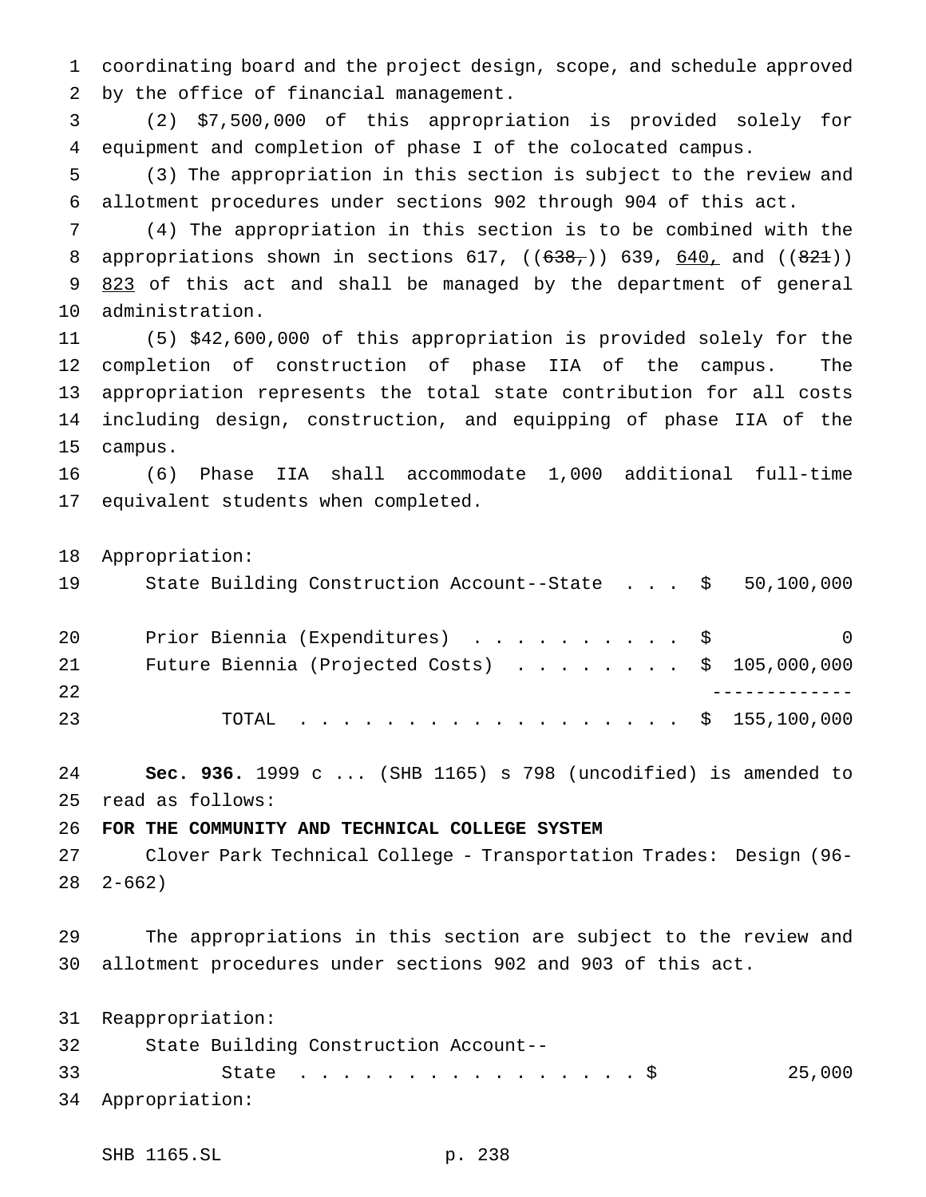coordinating board and the project design, scope, and schedule approved by the office of financial management.

 (2) \$7,500,000 of this appropriation is provided solely for equipment and completion of phase I of the colocated campus.

 (3) The appropriation in this section is subject to the review and allotment procedures under sections 902 through 904 of this act.

 (4) The appropriation in this section is to be combined with the 8 appropriations shown in sections 617,  $((638_7))$  639,  $640_1$  and  $((821))$ 9 823 of this act and shall be managed by the department of general administration.

 (5) \$42,600,000 of this appropriation is provided solely for the completion of construction of phase IIA of the campus. The appropriation represents the total state contribution for all costs including design, construction, and equipping of phase IIA of the campus.

 (6) Phase IIA shall accommodate 1,000 additional full-time equivalent students when completed.

Appropriation:

State Building Construction Account--State . . . \$ 50,100,000

| 20  | Prior Biennia (Expenditures) \$                          | $\overline{0}$ |
|-----|----------------------------------------------------------|----------------|
| 21  | Future Biennia (Projected Costs) $\ldots$ \$ 105,000,000 |                |
| 2.2 |                                                          |                |
| 23  | TOTAL \$ 155,100,000                                     |                |

 **Sec. 936.** 1999 c ... (SHB 1165) s 798 (uncodified) is amended to read as follows:

**FOR THE COMMUNITY AND TECHNICAL COLLEGE SYSTEM**

 Clover Park Technical College - Transportation Trades: Design (96- 2-662)

 The appropriations in this section are subject to the review and allotment procedures under sections 902 and 903 of this act.

 Reappropriation: State Building Construction Account-- State ................\$ 25,000 Appropriation:

SHB 1165.SL p. 238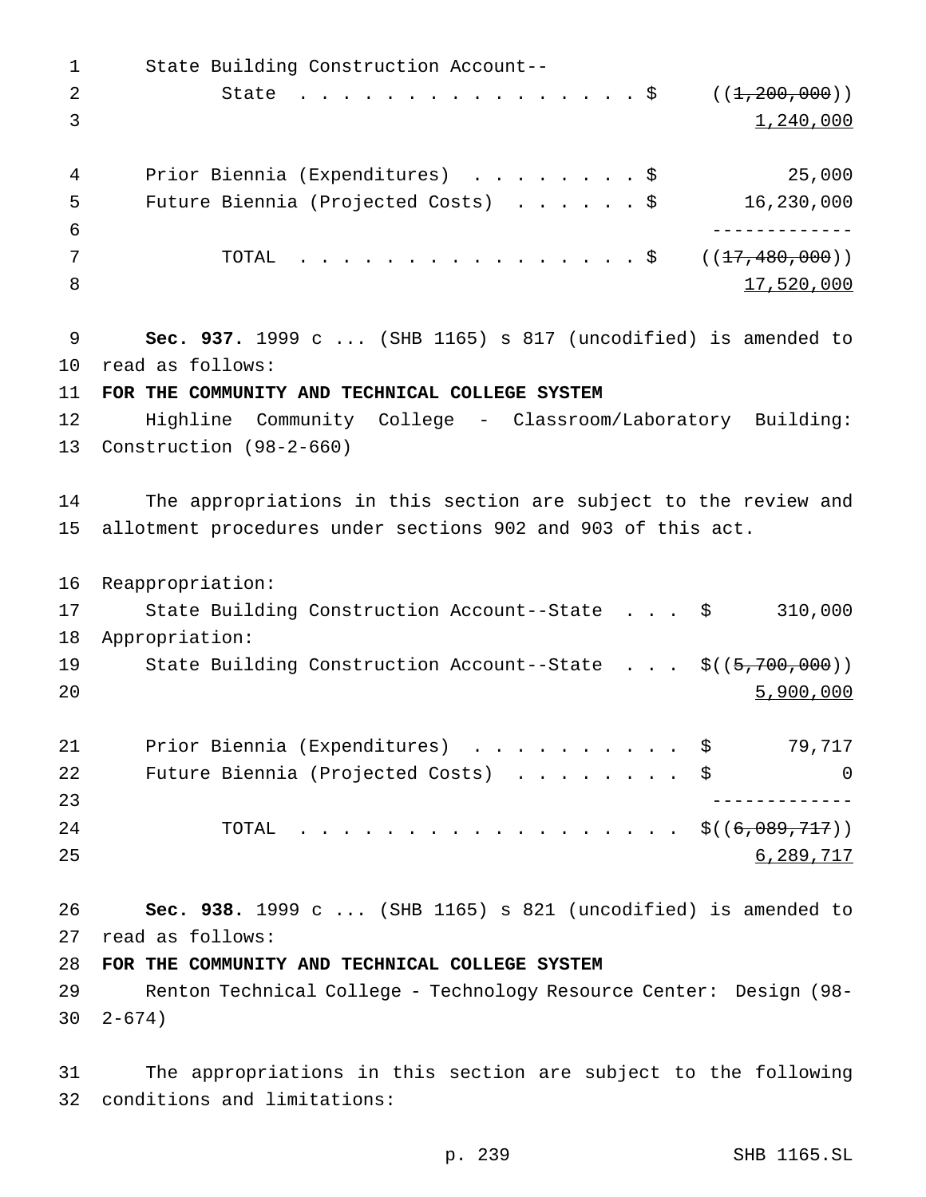State Building Construction Account-- 2 State . . . . . . . . . . . . . . \$ ((<del>1,200,000</del>)) 3  $1,240,000$  Prior Biennia (Expenditures) ........\$ 25,000 Future Biennia (Projected Costs) ......\$ 16,230,000 ------------- 7 TOTAL . . . . . . . . . . . . . . \$ ((<del>17,480,000</del>)) 8 17,520,000 **Sec. 937.** 1999 c ... (SHB 1165) s 817 (uncodified) is amended to read as follows: **FOR THE COMMUNITY AND TECHNICAL COLLEGE SYSTEM** Highline Community College - Classroom/Laboratory Building: Construction (98-2-660) The appropriations in this section are subject to the review and allotment procedures under sections 902 and 903 of this act. Reappropriation: State Building Construction Account--State . . . \$ 310,000 Appropriation: 19 State Building Construction Account--State . . . \$((5,700,000)) 20 5,900,000 21 Prior Biennia (Expenditures) . . . . . . . . . \$ 79,717 22 Future Biennia (Projected Costs) . . . . . . . \$ 0 ------------- TOTAL .................. \$((6,089,717)) 25 6,289,717 **Sec. 938.** 1999 c ... (SHB 1165) s 821 (uncodified) is amended to read as follows: **FOR THE COMMUNITY AND TECHNICAL COLLEGE SYSTEM** Renton Technical College - Technology Resource Center: Design (98- 2-674)

 The appropriations in this section are subject to the following conditions and limitations: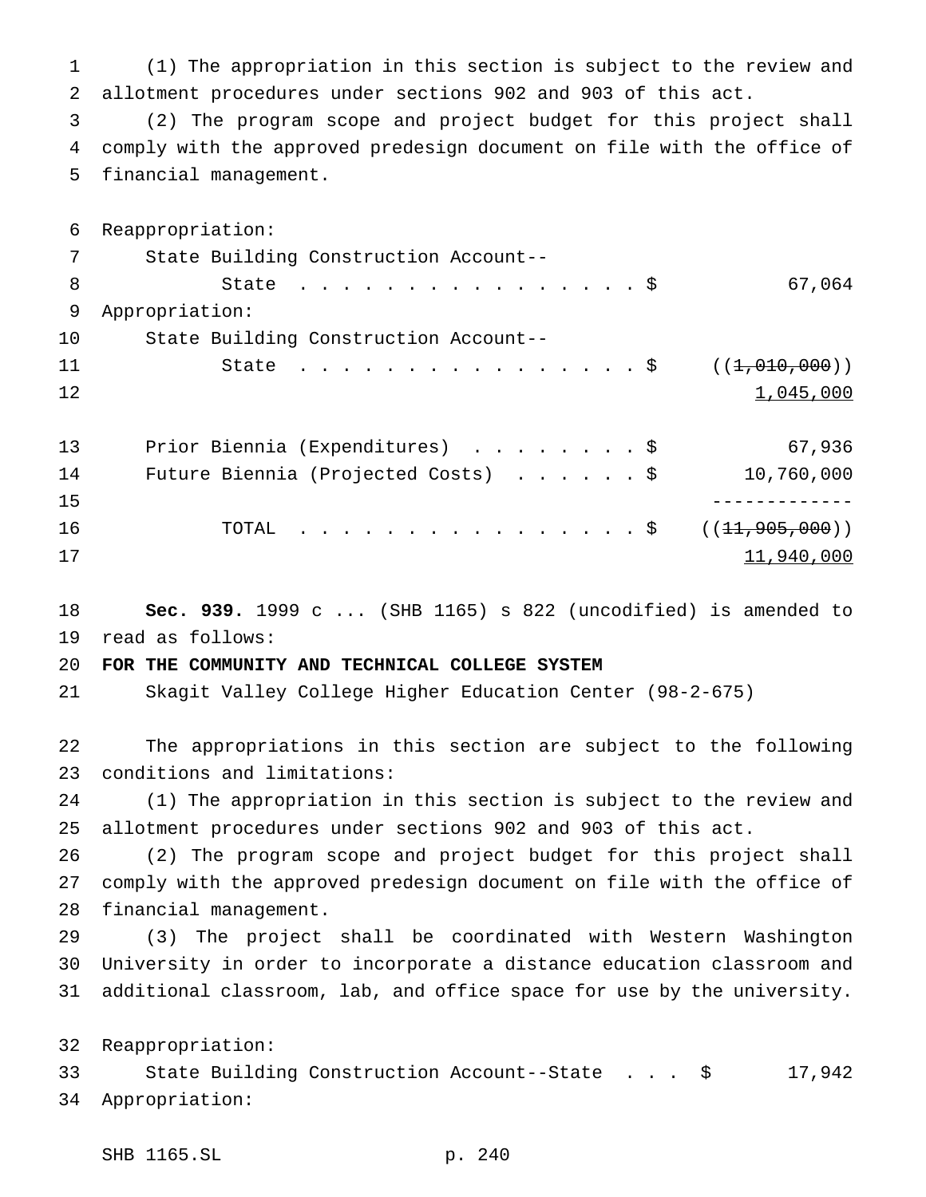(1) The appropriation in this section is subject to the review and allotment procedures under sections 902 and 903 of this act.

 (2) The program scope and project budget for this project shall comply with the approved predesign document on file with the office of financial management.

 Reappropriation: State Building Construction Account-- 8 State . . . . . . . . . . . . . . \$ 67,064 Appropriation: State Building Construction Account-- 11 State . . . . . . . . . . . . . . \$ ((<del>1,010,000</del>)) 1,045,000 Prior Biennia (Expenditures) ........\$ 67,936 Future Biennia (Projected Costs) ......\$ 10,760,000 ------------- 16 TOTAL ................\$ ((<del>11,905,000</del>)) and  $11,940,000$ 

 **Sec. 939.** 1999 c ... (SHB 1165) s 822 (uncodified) is amended to read as follows:

# **FOR THE COMMUNITY AND TECHNICAL COLLEGE SYSTEM**

Skagit Valley College Higher Education Center (98-2-675)

 The appropriations in this section are subject to the following conditions and limitations:

 (1) The appropriation in this section is subject to the review and allotment procedures under sections 902 and 903 of this act.

 (2) The program scope and project budget for this project shall comply with the approved predesign document on file with the office of financial management.

 (3) The project shall be coordinated with Western Washington University in order to incorporate a distance education classroom and additional classroom, lab, and office space for use by the university.

Reappropriation:

 State Building Construction Account--State . . . \$ 17,942 Appropriation: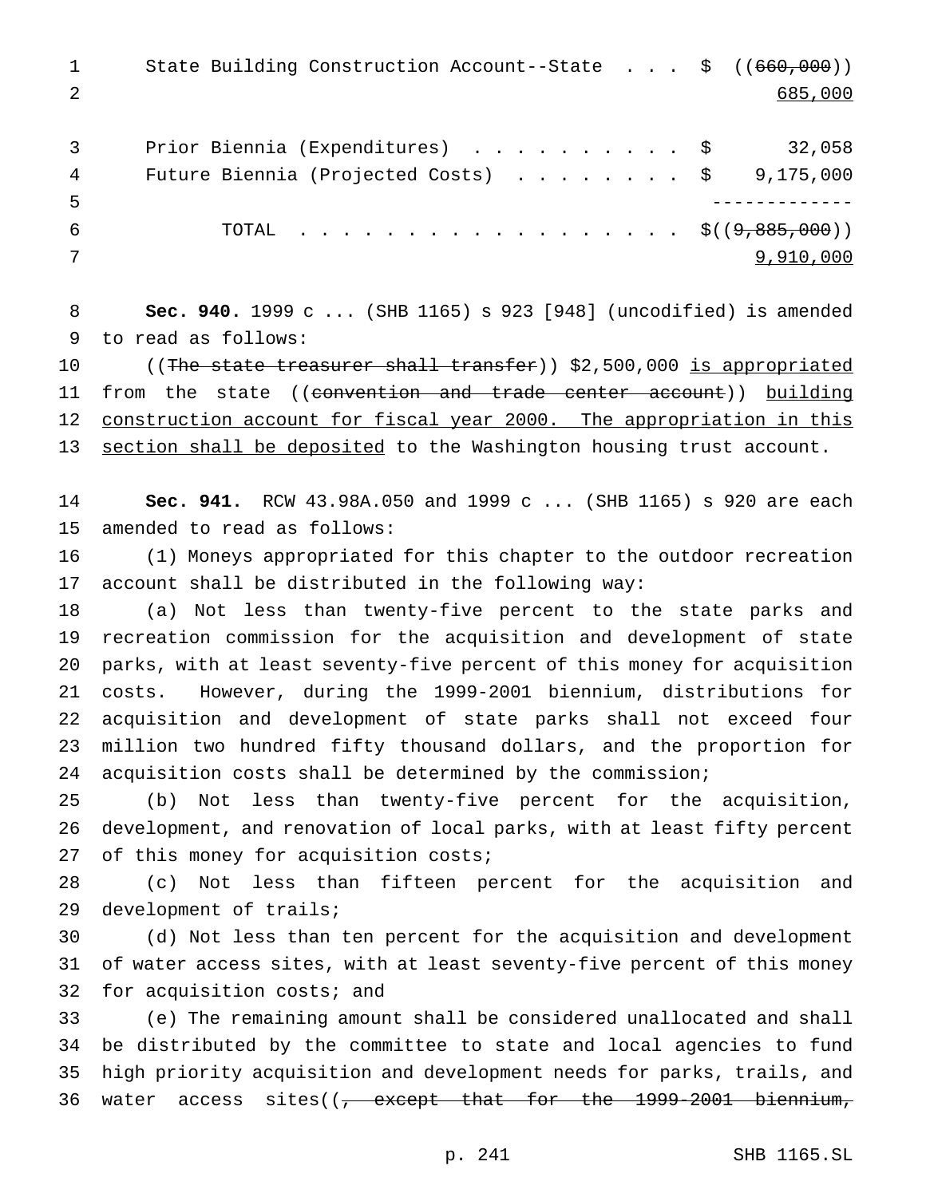1 State Building Construction Account--State . . . \$ ((660,000)) 2 685,000

| 3  | Prior Biennia (Expenditures) \$ 32,058                |           |
|----|-------------------------------------------------------|-----------|
| 4  | Future Biennia (Projected Costs) $\ldots$ \$9,175,000 |           |
| -5 |                                                       |           |
| -6 | TOTAL $\frac{1}{5}((9,885,000))$                      |           |
|    |                                                       | 9,910,000 |

 **Sec. 940.** 1999 c ... (SHB 1165) s 923 [948] (uncodified) is amended to read as follows:

10 ((The state treasurer shall transfer)) \$2,500,000 is appropriated 11 from the state ((convention and trade center account)) building 12 construction account for fiscal year 2000. The appropriation in this 13 section shall be deposited to the Washington housing trust account.

 **Sec. 941.** RCW 43.98A.050 and 1999 c ... (SHB 1165) s 920 are each amended to read as follows:

 (1) Moneys appropriated for this chapter to the outdoor recreation account shall be distributed in the following way:

 (a) Not less than twenty-five percent to the state parks and recreation commission for the acquisition and development of state parks, with at least seventy-five percent of this money for acquisition costs. However, during the 1999-2001 biennium, distributions for acquisition and development of state parks shall not exceed four million two hundred fifty thousand dollars, and the proportion for acquisition costs shall be determined by the commission;

 (b) Not less than twenty-five percent for the acquisition, development, and renovation of local parks, with at least fifty percent 27 of this money for acquisition costs;

 (c) Not less than fifteen percent for the acquisition and development of trails;

 (d) Not less than ten percent for the acquisition and development of water access sites, with at least seventy-five percent of this money for acquisition costs; and

 (e) The remaining amount shall be considered unallocated and shall be distributed by the committee to state and local agencies to fund high priority acquisition and development needs for parks, trails, and 36 water access sites((<del>, except that for the 1999-2001 biennium,</del>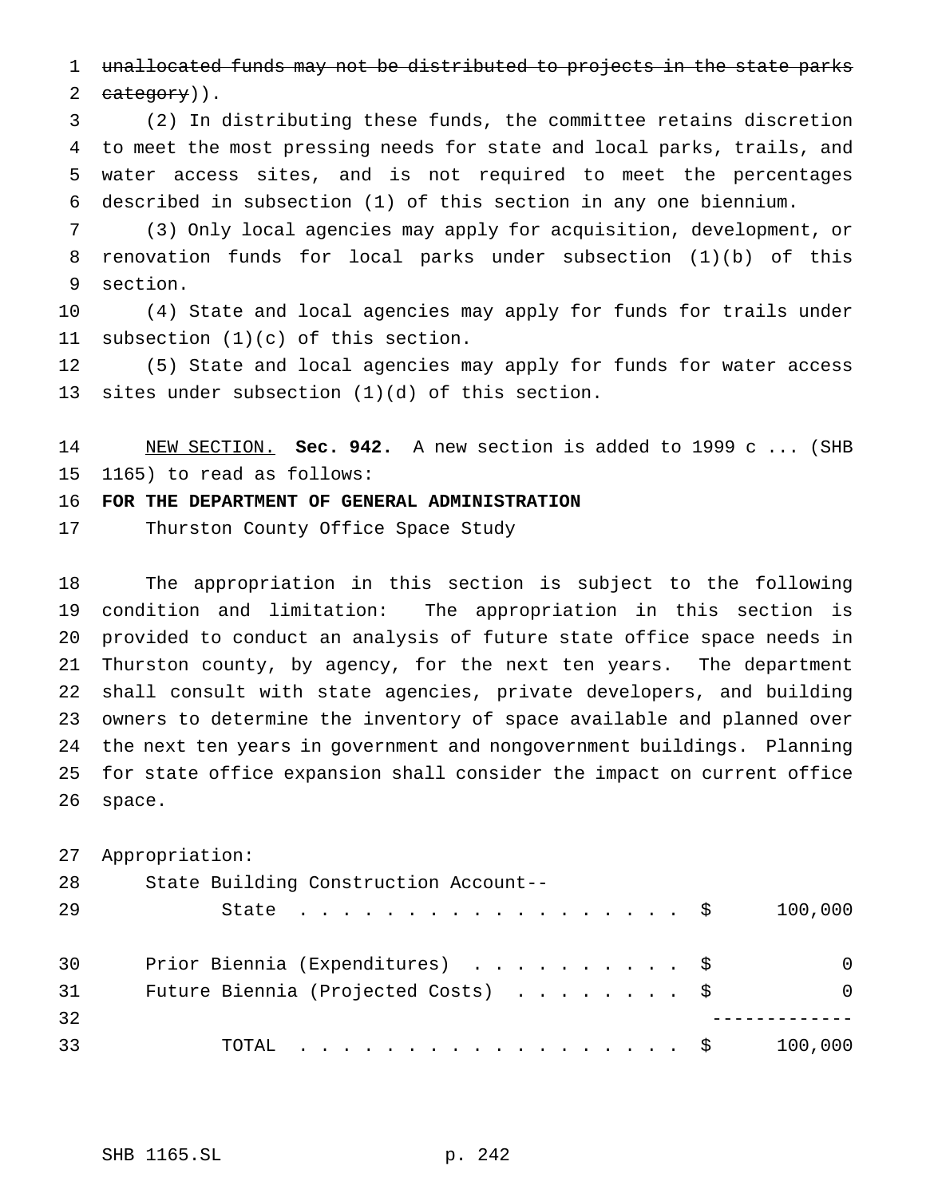unallocated funds may not be distributed to projects in the state parks  $category)$ .

 (2) In distributing these funds, the committee retains discretion to meet the most pressing needs for state and local parks, trails, and water access sites, and is not required to meet the percentages described in subsection (1) of this section in any one biennium.

 (3) Only local agencies may apply for acquisition, development, or renovation funds for local parks under subsection (1)(b) of this section.

 (4) State and local agencies may apply for funds for trails under subsection (1)(c) of this section.

 (5) State and local agencies may apply for funds for water access sites under subsection (1)(d) of this section.

 NEW SECTION. **Sec. 942.** A new section is added to 1999 c ... (SHB 1165) to read as follows:

**FOR THE DEPARTMENT OF GENERAL ADMINISTRATION**

Thurston County Office Space Study

 The appropriation in this section is subject to the following condition and limitation: The appropriation in this section is provided to conduct an analysis of future state office space needs in Thurston county, by agency, for the next ten years. The department shall consult with state agencies, private developers, and building owners to determine the inventory of space available and planned over the next ten years in government and nongovernment buildings. Planning for state office expansion shall consider the impact on current office space.

Appropriation:

| 28 | State Building Construction Account--        |          |
|----|----------------------------------------------|----------|
| 29 | State $\ldots$ $\ddot{s}$                    | 100,000  |
|    |                                              |          |
| 30 | Prior Biennia (Expenditures) \$              | $\Omega$ |
| 31 | Future Biennia (Projected Costs) $\ldots$ \$ | $\Omega$ |
| 32 |                                              |          |
| 33 | TOTAL $\hat{S}$                              | 100,000  |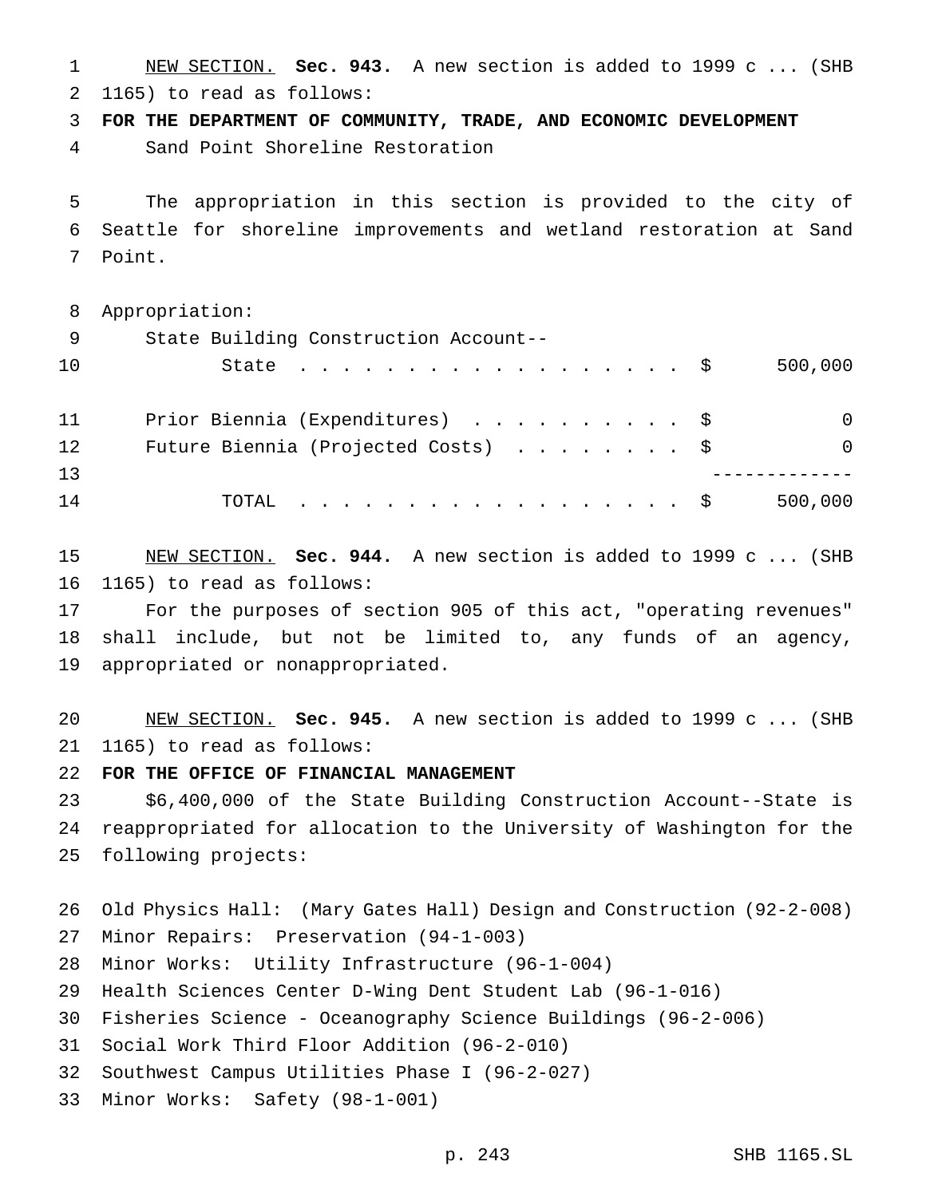NEW SECTION. **Sec. 943.** A new section is added to 1999 c ... (SHB 1165) to read as follows:

**FOR THE DEPARTMENT OF COMMUNITY, TRADE, AND ECONOMIC DEVELOPMENT**

Sand Point Shoreline Restoration

 The appropriation in this section is provided to the city of Seattle for shoreline improvements and wetland restoration at Sand Point.

| 8                 | Appropriation:                                  |
|-------------------|-------------------------------------------------|
| 9                 | State Building Construction Account--           |
| 10                | 500,000<br>State $\ldots$ \$                    |
| 11                | Prior Biennia (Expenditures) \$<br>$\Omega$     |
| $12 \overline{ }$ | Future Biennia (Projected Costs) \$<br>$\Omega$ |
| 13                |                                                 |
| 14                | 500,000<br>TOTAL $\ldots$ \$                    |

 NEW SECTION. **Sec. 944.** A new section is added to 1999 c ... (SHB 1165) to read as follows:

 For the purposes of section 905 of this act, "operating revenues" shall include, but not be limited to, any funds of an agency, appropriated or nonappropriated.

 NEW SECTION. **Sec. 945.** A new section is added to 1999 c ... (SHB 1165) to read as follows:

**FOR THE OFFICE OF FINANCIAL MANAGEMENT**

 \$6,400,000 of the State Building Construction Account--State is reappropriated for allocation to the University of Washington for the following projects:

 Old Physics Hall: (Mary Gates Hall) Design and Construction (92-2-008) Minor Repairs: Preservation (94-1-003) Minor Works: Utility Infrastructure (96-1-004) Health Sciences Center D-Wing Dent Student Lab (96-1-016) Fisheries Science - Oceanography Science Buildings (96-2-006) Social Work Third Floor Addition (96-2-010) Southwest Campus Utilities Phase I (96-2-027) Minor Works: Safety (98-1-001)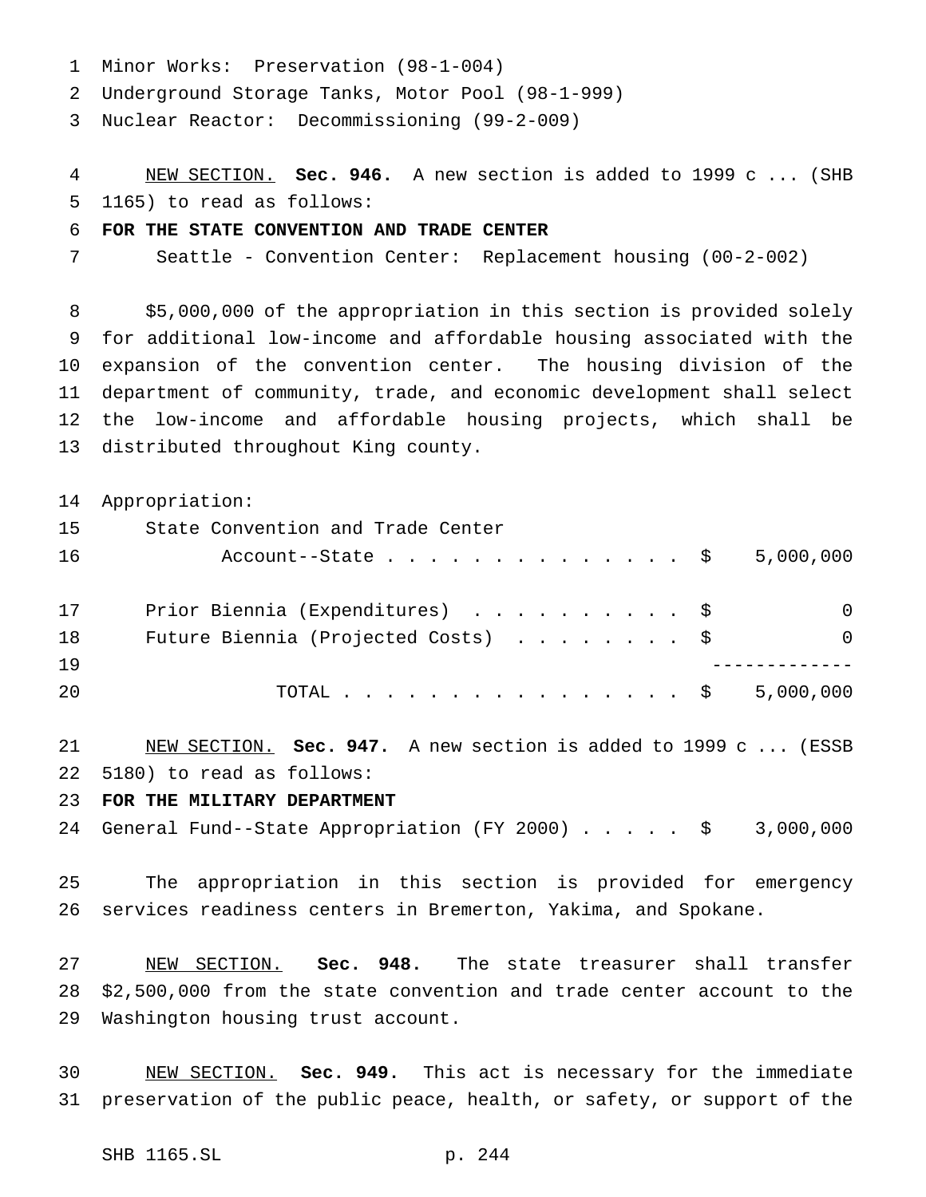- Minor Works: Preservation (98-1-004)
- Underground Storage Tanks, Motor Pool (98-1-999)

Nuclear Reactor: Decommissioning (99-2-009)

 NEW SECTION. **Sec. 946.** A new section is added to 1999 c ... (SHB 1165) to read as follows:

#### **FOR THE STATE CONVENTION AND TRADE CENTER**

Seattle - Convention Center: Replacement housing (00-2-002)

 \$5,000,000 of the appropriation in this section is provided solely for additional low-income and affordable housing associated with the expansion of the convention center. The housing division of the department of community, trade, and economic development shall select the low-income and affordable housing projects, which shall be distributed throughout King county.

Appropriation:

| 15 | State Convention and Trade Center                  |          |
|----|----------------------------------------------------|----------|
| 16 | Account--State $\ldots$ $\frac{1}{2}$<br>5,000,000 |          |
| 17 | Prior Biennia (Expenditures) \$                    | $\Omega$ |
| 18 | Future Biennia (Projected Costs) \$                | $\Omega$ |
| 19 |                                                    |          |
| 20 | 5,000,000<br>TOTAL $\tilde{\textrm{S}}$            |          |

 NEW SECTION. **Sec. 947.** A new section is added to 1999 c ... (ESSB 5180) to read as follows:

## **FOR THE MILITARY DEPARTMENT**

General Fund--State Appropriation (FY 2000)..... \$ 3,000,000

 The appropriation in this section is provided for emergency services readiness centers in Bremerton, Yakima, and Spokane.

 NEW SECTION. **Sec. 948.** The state treasurer shall transfer \$2,500,000 from the state convention and trade center account to the Washington housing trust account.

 NEW SECTION. **Sec. 949.** This act is necessary for the immediate preservation of the public peace, health, or safety, or support of the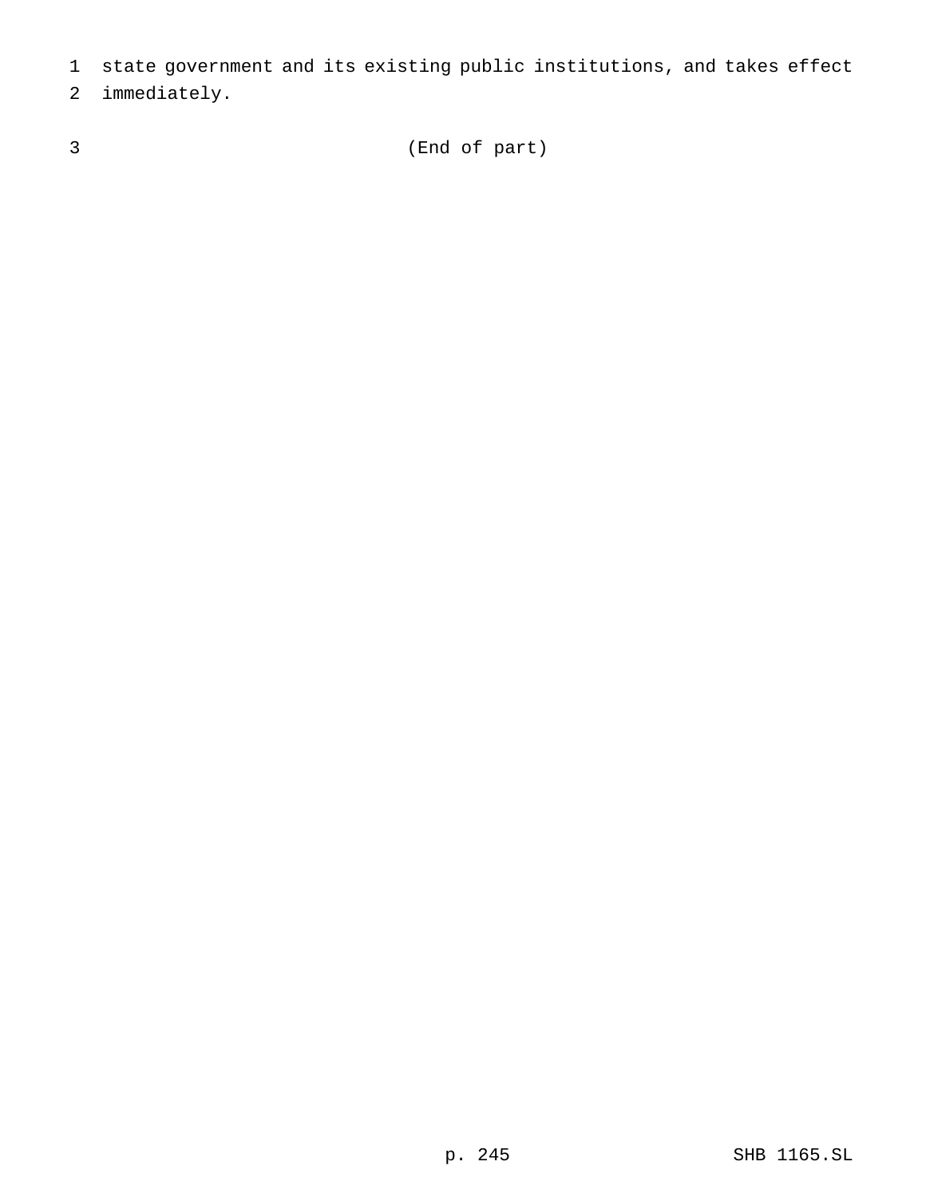- state government and its existing public institutions, and takes effect
- immediately.
- 

(End of part)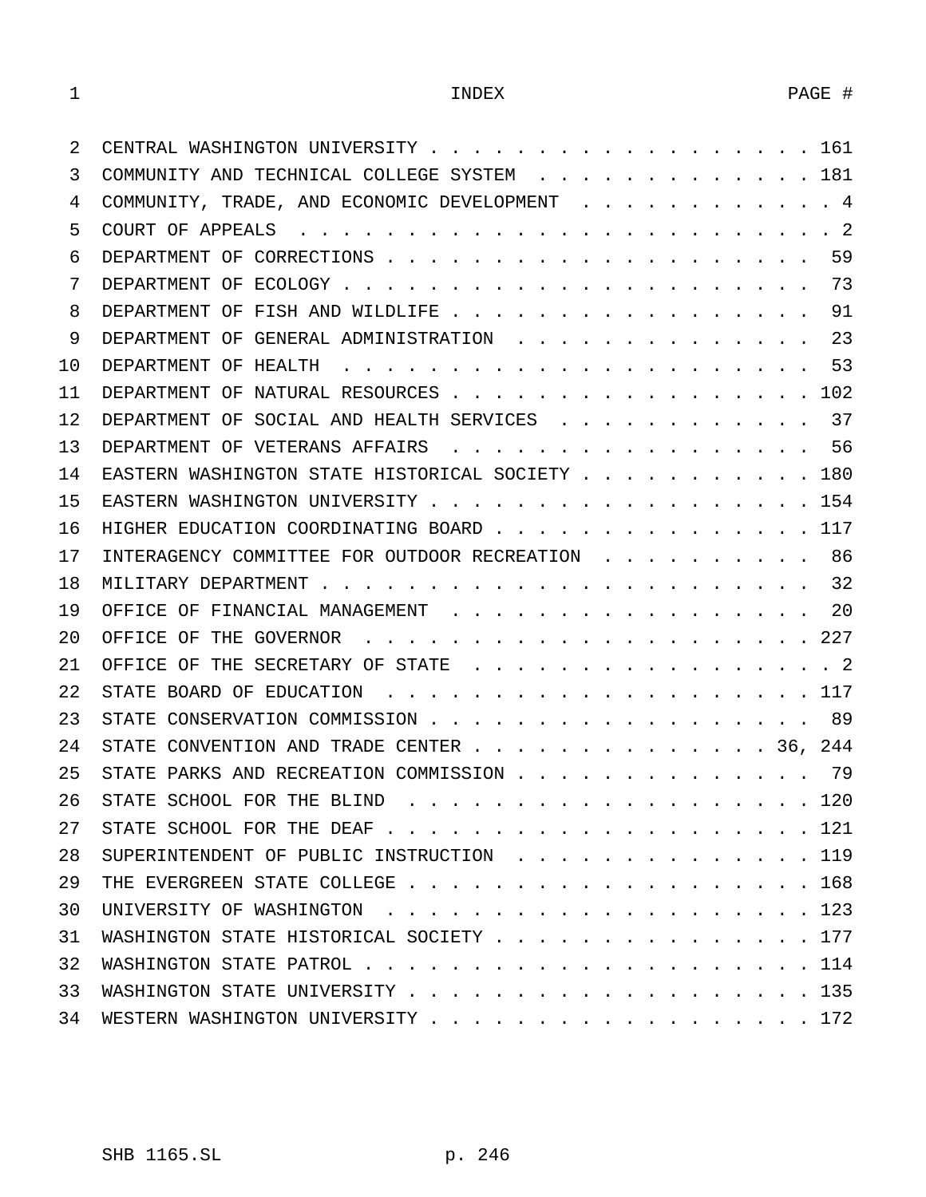| 2       | 161                                                |
|---------|----------------------------------------------------|
| 3       | COMMUNITY AND TECHNICAL COLLEGE SYSTEM 181         |
| 4       | COMMUNITY, TRADE, AND ECONOMIC DEVELOPMENT 4       |
| 5       |                                                    |
| 6       | 59                                                 |
| 7       | 73                                                 |
| 8       | 91<br>DEPARTMENT OF FISH AND WILDLIFE              |
| 9       | 23<br>DEPARTMENT OF GENERAL ADMINISTRATION         |
| 10      | 53                                                 |
| 11      | DEPARTMENT OF NATURAL RESOURCES<br>102             |
| $12 \,$ | 37<br>DEPARTMENT OF SOCIAL AND HEALTH SERVICES     |
| 13      | DEPARTMENT OF VETERANS AFFAIRS 56                  |
| 14      | EASTERN WASHINGTON STATE HISTORICAL SOCIETY 180    |
| 15      | 154                                                |
| 16      | HIGHER EDUCATION COORDINATING BOARD 117            |
| 17      | 86<br>INTERAGENCY COMMITTEE FOR OUTDOOR RECREATION |
| 18      | 32                                                 |
| 19      | 20<br>OFFICE OF FINANCIAL MANAGEMENT               |
| 20      |                                                    |
| 21      | OFFICE OF THE SECRETARY OF STATE 2                 |
| 22      |                                                    |
| 23      | 89                                                 |
| 24      | STATE CONVENTION AND TRADE CENTER 36, 244          |
| 25      | 79<br>STATE PARKS AND RECREATION COMMISSION        |
| 26      |                                                    |
| 27      | STATE SCHOOL FOR THE DEAF $\ldots$ , 121           |
| 28      | SUPERINTENDENT OF PUBLIC INSTRUCTION 119           |
| 29      |                                                    |
| 30      |                                                    |
| 31      | WASHINGTON STATE HISTORICAL SOCIETY 177            |
| 32      |                                                    |
| 33      | WASHINGTON STATE UNIVERSITY 135                    |
| 34      | WESTERN WASHINGTON UNIVERSITY 172                  |